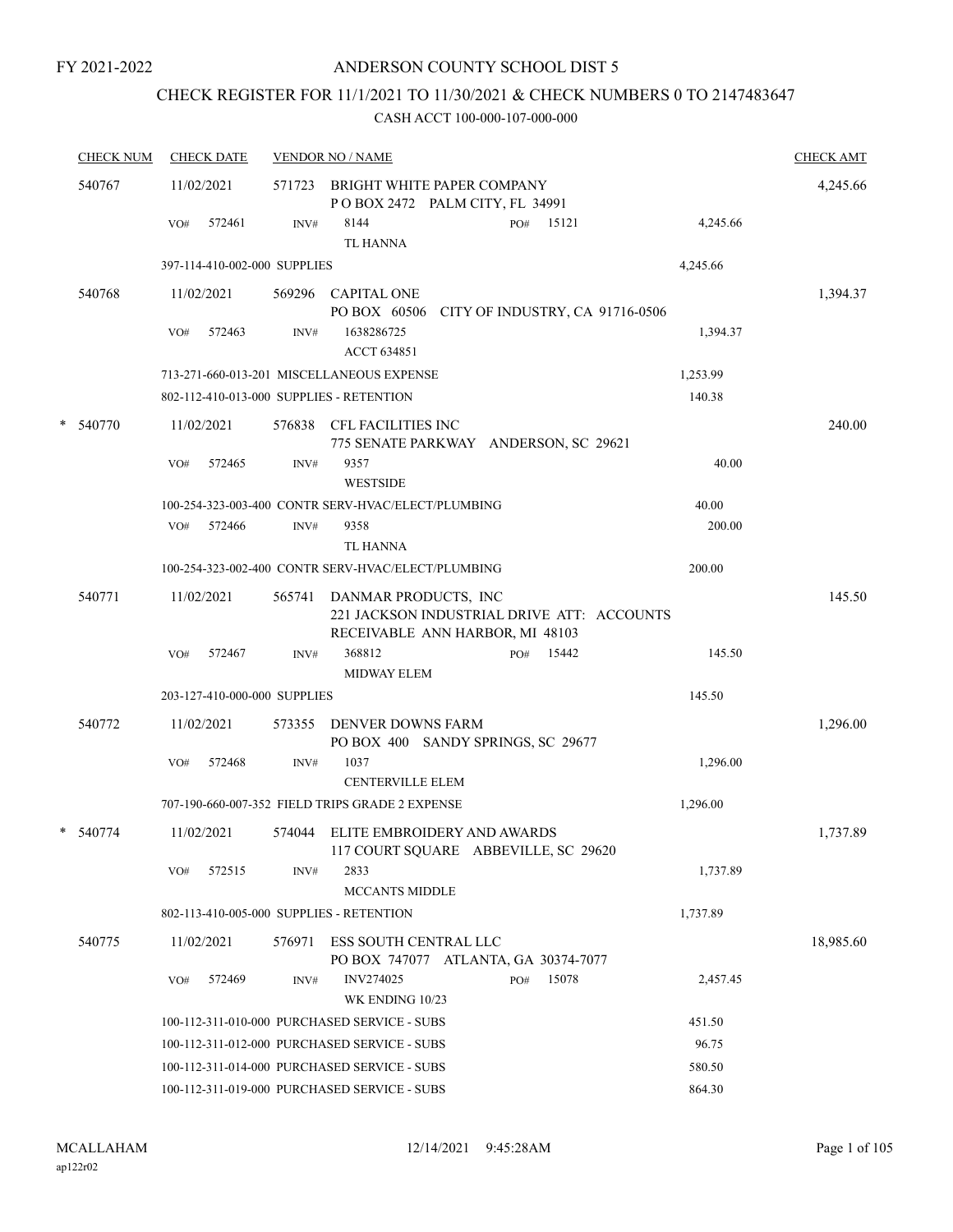## ANDERSON COUNTY SCHOOL DIST 5

## CHECK REGISTER FOR 11/1/2021 TO 11/30/2021 & CHECK NUMBERS 0 TO 2147483647

| <b>CHECK NUM</b> | <b>CHECK DATE</b>                        |        | <b>VENDOR NO / NAME</b>                                                         |          | <b>CHECK AMT</b> |
|------------------|------------------------------------------|--------|---------------------------------------------------------------------------------|----------|------------------|
| 540767           | 11/02/2021                               | 571723 | BRIGHT WHITE PAPER COMPANY<br>POBOX 2472 PALM CITY, FL 34991                    |          | 4,245.66         |
|                  | 572461<br>VO#                            | INV#   | 8144<br>15121<br>PO#<br><b>TL HANNA</b>                                         | 4,245.66 |                  |
|                  | 397-114-410-002-000 SUPPLIES             |        |                                                                                 | 4,245.66 |                  |
| 540768           | 11/02/2021                               | 569296 | <b>CAPITAL ONE</b><br>PO BOX 60506 CITY OF INDUSTRY, CA 91716-0506              |          | 1,394.37         |
|                  | 572463<br>VO#                            | INV#   | 1638286725<br><b>ACCT 634851</b>                                                | 1,394.37 |                  |
|                  |                                          |        | 713-271-660-013-201 MISCELLANEOUS EXPENSE                                       | 1,253.99 |                  |
|                  | 802-112-410-013-000 SUPPLIES - RETENTION |        |                                                                                 | 140.38   |                  |
| * 540770         | 11/02/2021                               | 576838 | CFL FACILITIES INC<br>775 SENATE PARKWAY ANDERSON, SC 29621                     |          | 240.00           |
|                  | 572465<br>VO#                            | INV#   | 9357<br><b>WESTSIDE</b>                                                         | 40.00    |                  |
|                  |                                          |        | 100-254-323-003-400 CONTR SERV-HVAC/ELECT/PLUMBING                              | 40.00    |                  |
|                  | VO#<br>572466                            | INV#   | 9358<br><b>TL HANNA</b>                                                         | 200.00   |                  |
|                  |                                          |        | 100-254-323-002-400 CONTR SERV-HVAC/ELECT/PLUMBING                              | 200.00   |                  |
| 540771           | 11/02/2021                               | 565741 | DANMAR PRODUCTS, INC<br>221 JACKSON INDUSTRIAL DRIVE ATT: ACCOUNTS              |          | 145.50           |
|                  | 572467<br>VO#                            | INV#   | RECEIVABLE ANN HARBOR, MI 48103<br>368812<br>15442<br>PO#<br><b>MIDWAY ELEM</b> | 145.50   |                  |
|                  | 203-127-410-000-000 SUPPLIES             |        |                                                                                 | 145.50   |                  |
| 540772           | 11/02/2021                               | 573355 | <b>DENVER DOWNS FARM</b><br>PO BOX 400 SANDY SPRINGS, SC 29677                  |          | 1,296.00         |
|                  | 572468<br>VO#                            | INV#   | 1037<br><b>CENTERVILLE ELEM</b>                                                 | 1,296.00 |                  |
|                  |                                          |        | 707-190-660-007-352 FIELD TRIPS GRADE 2 EXPENSE                                 | 1,296.00 |                  |
| * 540774         | 11/02/2021                               | 574044 | ELITE EMBROIDERY AND AWARDS<br>117 COURT SQUARE ABBEVILLE, SC 29620             |          | 1,737.89         |
|                  | 572515<br>VO#                            | INV#   | 2833<br><b>MCCANTS MIDDLE</b>                                                   | 1,737.89 |                  |
|                  | 802-113-410-005-000 SUPPLIES - RETENTION |        |                                                                                 | 1,737.89 |                  |
| 540775           | 11/02/2021                               | 576971 | ESS SOUTH CENTRAL LLC<br>PO BOX 747077 ATLANTA, GA 30374-7077                   |          | 18,985.60        |
|                  | 572469<br>VO#                            | INV#   | <b>INV274025</b><br>PO#<br>15078<br>WK ENDING 10/23                             | 2,457.45 |                  |
|                  |                                          |        | 100-112-311-010-000 PURCHASED SERVICE - SUBS                                    | 451.50   |                  |
|                  |                                          |        | 100-112-311-012-000 PURCHASED SERVICE - SUBS                                    | 96.75    |                  |
|                  |                                          |        | 100-112-311-014-000 PURCHASED SERVICE - SUBS                                    | 580.50   |                  |
|                  |                                          |        | 100-112-311-019-000 PURCHASED SERVICE - SUBS                                    | 864.30   |                  |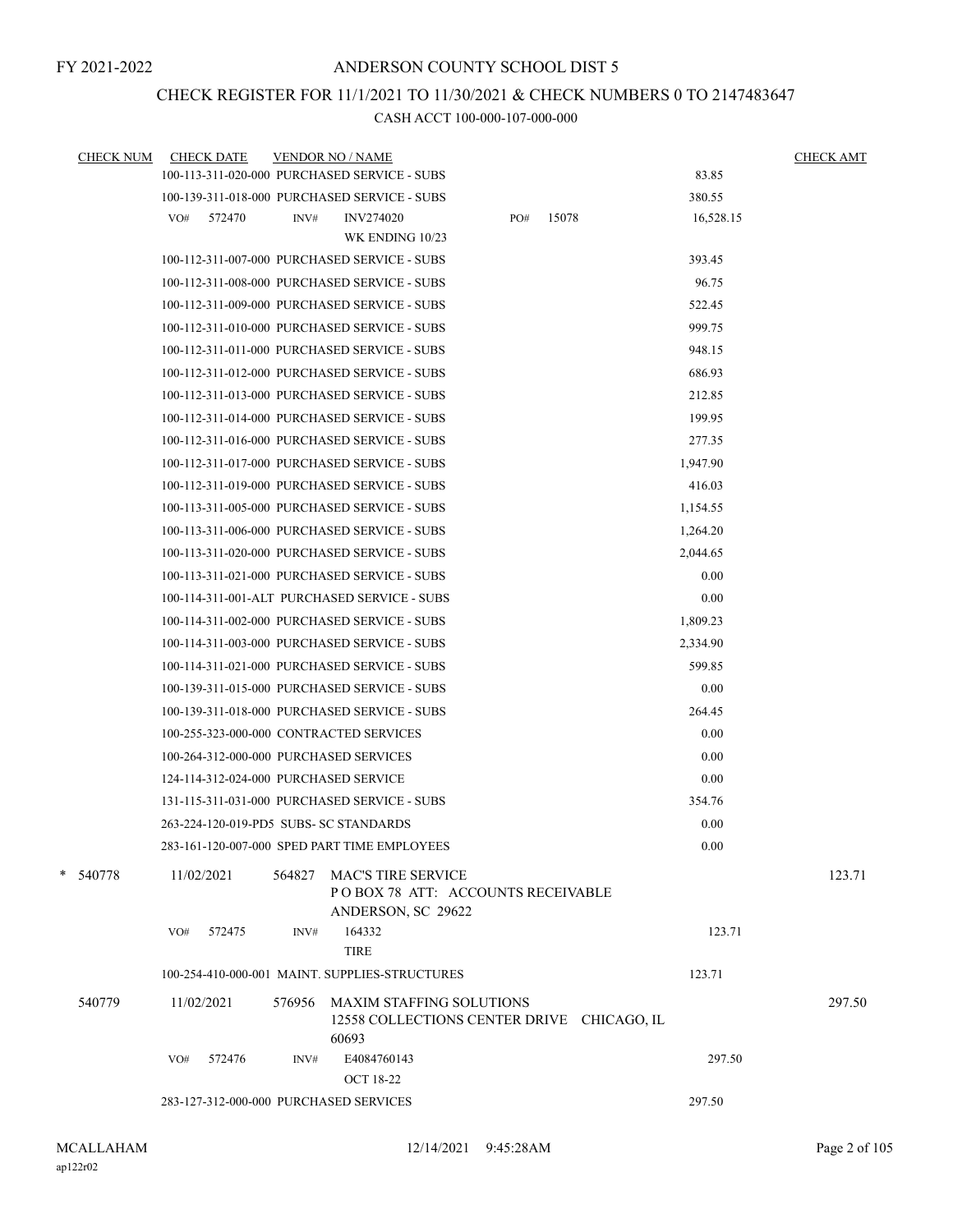## CHECK REGISTER FOR 11/1/2021 TO 11/30/2021 & CHECK NUMBERS 0 TO 2147483647

| <b>CHECK NUM</b> | <b>CHECK DATE</b>                       |        | <b>VENDOR NO / NAME</b>                                                                |     |       |           | <b>CHECK AMT</b> |
|------------------|-----------------------------------------|--------|----------------------------------------------------------------------------------------|-----|-------|-----------|------------------|
|                  |                                         |        | 100-113-311-020-000 PURCHASED SERVICE - SUBS                                           |     |       | 83.85     |                  |
|                  |                                         |        | 100-139-311-018-000 PURCHASED SERVICE - SUBS                                           |     |       | 380.55    |                  |
|                  | 572470<br>VO#                           | INV#   | <b>INV274020</b>                                                                       | PO# | 15078 | 16,528.15 |                  |
|                  |                                         |        | WK ENDING 10/23                                                                        |     |       |           |                  |
|                  |                                         |        | 100-112-311-007-000 PURCHASED SERVICE - SUBS                                           |     |       | 393.45    |                  |
|                  |                                         |        | 100-112-311-008-000 PURCHASED SERVICE - SUBS                                           |     |       | 96.75     |                  |
|                  |                                         |        | 100-112-311-009-000 PURCHASED SERVICE - SUBS                                           |     |       | 522.45    |                  |
|                  |                                         |        | 100-112-311-010-000 PURCHASED SERVICE - SUBS                                           |     |       | 999.75    |                  |
|                  |                                         |        | 100-112-311-011-000 PURCHASED SERVICE - SUBS                                           |     |       | 948.15    |                  |
|                  |                                         |        | 100-112-311-012-000 PURCHASED SERVICE - SUBS                                           |     |       | 686.93    |                  |
|                  |                                         |        | 100-112-311-013-000 PURCHASED SERVICE - SUBS                                           |     |       | 212.85    |                  |
|                  |                                         |        | 100-112-311-014-000 PURCHASED SERVICE - SUBS                                           |     |       | 199.95    |                  |
|                  |                                         |        | 100-112-311-016-000 PURCHASED SERVICE - SUBS                                           |     |       | 277.35    |                  |
|                  |                                         |        | 100-112-311-017-000 PURCHASED SERVICE - SUBS                                           |     |       | 1,947.90  |                  |
|                  |                                         |        | 100-112-311-019-000 PURCHASED SERVICE - SUBS                                           |     |       | 416.03    |                  |
|                  |                                         |        | 100-113-311-005-000 PURCHASED SERVICE - SUBS                                           |     |       | 1,154.55  |                  |
|                  |                                         |        | 100-113-311-006-000 PURCHASED SERVICE - SUBS                                           |     |       | 1,264.20  |                  |
|                  |                                         |        | 100-113-311-020-000 PURCHASED SERVICE - SUBS                                           |     |       | 2,044.65  |                  |
|                  |                                         |        | 100-113-311-021-000 PURCHASED SERVICE - SUBS                                           |     |       | 0.00      |                  |
|                  |                                         |        | 100-114-311-001-ALT PURCHASED SERVICE - SUBS                                           |     |       | 0.00      |                  |
|                  |                                         |        | 100-114-311-002-000 PURCHASED SERVICE - SUBS                                           |     |       | 1,809.23  |                  |
|                  |                                         |        | 100-114-311-003-000 PURCHASED SERVICE - SUBS                                           |     |       | 2,334.90  |                  |
|                  |                                         |        | 100-114-311-021-000 PURCHASED SERVICE - SUBS                                           |     |       | 599.85    |                  |
|                  |                                         |        | 100-139-311-015-000 PURCHASED SERVICE - SUBS                                           |     |       | 0.00      |                  |
|                  |                                         |        | 100-139-311-018-000 PURCHASED SERVICE - SUBS                                           |     |       | 264.45    |                  |
|                  | 100-255-323-000-000 CONTRACTED SERVICES |        |                                                                                        |     |       | 0.00      |                  |
|                  | 100-264-312-000-000 PURCHASED SERVICES  |        |                                                                                        |     |       | 0.00      |                  |
|                  | 124-114-312-024-000 PURCHASED SERVICE   |        |                                                                                        |     |       | 0.00      |                  |
|                  |                                         |        | 131-115-311-031-000 PURCHASED SERVICE - SUBS                                           |     |       | 354.76    |                  |
|                  | 263-224-120-019-PD5 SUBS- SC STANDARDS  |        |                                                                                        |     |       | 0.00      |                  |
|                  |                                         |        | 283-161-120-007-000 SPED PART TIME EMPLOYEES                                           |     |       | 0.00      |                  |
| * 540778         | 11/02/2021                              | 564827 | <b>MAC'S TIRE SERVICE</b><br>POBOX 78 ATT: ACCOUNTS RECEIVABLE<br>ANDERSON, SC 29622   |     |       |           | 123.71           |
|                  | 572475<br>VO#                           | INV#   | 164332<br><b>TIRE</b>                                                                  |     |       | 123.71    |                  |
|                  |                                         |        | 100-254-410-000-001 MAINT. SUPPLIES-STRUCTURES                                         |     |       | 123.71    |                  |
| 540779           | 11/02/2021                              |        | 576956 MAXIM STAFFING SOLUTIONS<br>12558 COLLECTIONS CENTER DRIVE CHICAGO, IL<br>60693 |     |       |           | 297.50           |
|                  | 572476<br>VO#                           | INV#   | E4084760143<br><b>OCT 18-22</b>                                                        |     |       | 297.50    |                  |
|                  | 283-127-312-000-000 PURCHASED SERVICES  |        |                                                                                        |     |       | 297.50    |                  |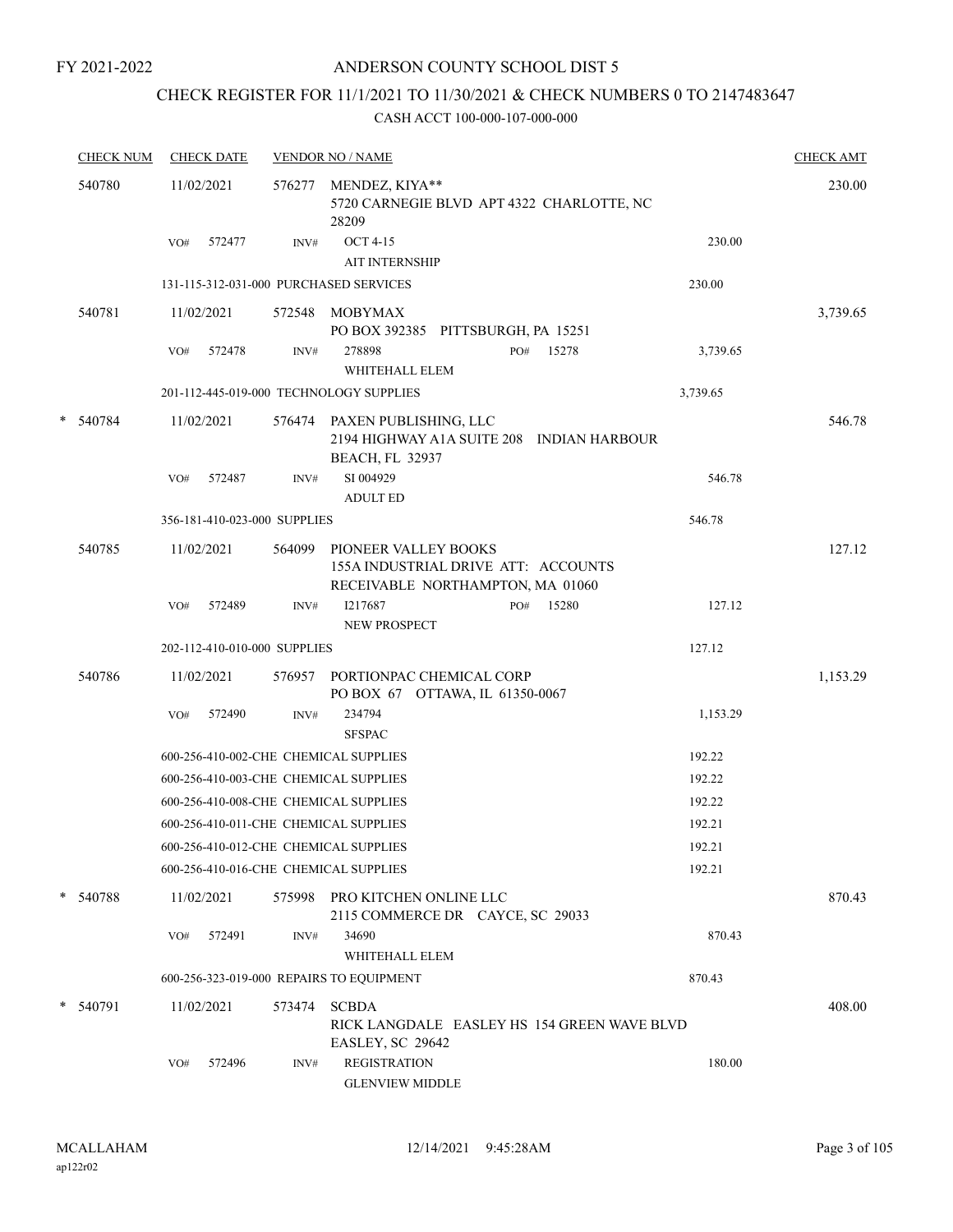## ANDERSON COUNTY SCHOOL DIST 5

## CHECK REGISTER FOR 11/1/2021 TO 11/30/2021 & CHECK NUMBERS 0 TO 2147483647

|   | <b>CHECK NUM</b> |            | <b>CHECK DATE</b> |                              | <b>VENDOR NO / NAME</b>                                                                             |     |       |          | <b>CHECK AMT</b> |
|---|------------------|------------|-------------------|------------------------------|-----------------------------------------------------------------------------------------------------|-----|-------|----------|------------------|
|   | 540780           | 11/02/2021 |                   |                              | 576277 MENDEZ, KIYA**<br>5720 CARNEGIE BLVD APT 4322 CHARLOTTE, NC<br>28209                         |     |       |          | 230.00           |
|   |                  | VO#        | 572477            | INV#                         | <b>OCT 4-15</b><br><b>AIT INTERNSHIP</b>                                                            |     |       | 230.00   |                  |
|   |                  |            |                   |                              | 131-115-312-031-000 PURCHASED SERVICES                                                              |     |       | 230.00   |                  |
|   | 540781           | 11/02/2021 |                   | 572548                       | MOBYMAX<br>PO BOX 392385 PITTSBURGH, PA 15251                                                       |     |       |          | 3,739.65         |
|   |                  | VO#        | 572478            | INV#                         | 278898<br>WHITEHALL ELEM                                                                            | PO# | 15278 | 3,739.65 |                  |
|   |                  |            |                   |                              | 201-112-445-019-000 TECHNOLOGY SUPPLIES                                                             |     |       | 3,739.65 |                  |
| * | 540784           | 11/02/2021 |                   |                              | 576474 PAXEN PUBLISHING, LLC<br>2194 HIGHWAY A1A SUITE 208 INDIAN HARBOUR<br><b>BEACH, FL 32937</b> |     |       |          | 546.78           |
|   |                  | VO#        | 572487            | INV#                         | SI 004929<br><b>ADULT ED</b>                                                                        |     |       | 546.78   |                  |
|   |                  |            |                   | 356-181-410-023-000 SUPPLIES |                                                                                                     |     |       | 546.78   |                  |
|   | 540785           | 11/02/2021 |                   | 564099                       | PIONEER VALLEY BOOKS<br>155A INDUSTRIAL DRIVE ATT: ACCOUNTS<br>RECEIVABLE NORTHAMPTON, MA 01060     |     |       |          | 127.12           |
|   |                  | VO#        | 572489            | INV#                         | I217687<br>NEW PROSPECT                                                                             | PO# | 15280 | 127.12   |                  |
|   |                  |            |                   | 202-112-410-010-000 SUPPLIES |                                                                                                     |     |       | 127.12   |                  |
|   | 540786           | 11/02/2021 |                   |                              | 576957 PORTIONPAC CHEMICAL CORP<br>PO BOX 67 OTTAWA, IL 61350-0067                                  |     |       |          | 1,153.29         |
|   |                  | VO#        | 572490            | INV#                         | 234794<br><b>SFSPAC</b>                                                                             |     |       | 1,153.29 |                  |
|   |                  |            |                   |                              | 600-256-410-002-CHE CHEMICAL SUPPLIES                                                               |     |       | 192.22   |                  |
|   |                  |            |                   |                              | 600-256-410-003-CHE CHEMICAL SUPPLIES                                                               |     |       | 192.22   |                  |
|   |                  |            |                   |                              | 600-256-410-008-CHE CHEMICAL SUPPLIES                                                               |     |       | 192.22   |                  |
|   |                  |            |                   |                              | 600-256-410-011-CHE CHEMICAL SUPPLIES                                                               |     |       | 192.21   |                  |
|   |                  |            |                   |                              | 600-256-410-012-CHE CHEMICAL SUPPLIES                                                               |     |       | 192.21   |                  |
|   |                  |            |                   |                              | 600-256-410-016-CHE CHEMICAL SUPPLIES                                                               |     |       | 192.21   |                  |
|   | * 540788         |            | 11/02/2021        |                              | 575998 PRO KITCHEN ONLINE LLC<br>2115 COMMERCE DR CAYCE, SC 29033                                   |     |       |          | 870.43           |
|   |                  | VO#        | 572491            | INV#                         | 34690<br>WHITEHALL ELEM                                                                             |     |       | 870.43   |                  |
|   |                  |            |                   |                              | 600-256-323-019-000 REPAIRS TO EQUIPMENT                                                            |     |       | 870.43   |                  |
|   | * 540791         | 11/02/2021 |                   | 573474                       | <b>SCBDA</b><br>RICK LANGDALE EASLEY HS 154 GREEN WAVE BLVD<br>EASLEY, SC 29642                     |     |       |          | 408.00           |
|   |                  | VO#        | 572496            | INV#                         | <b>REGISTRATION</b><br><b>GLENVIEW MIDDLE</b>                                                       |     |       | 180.00   |                  |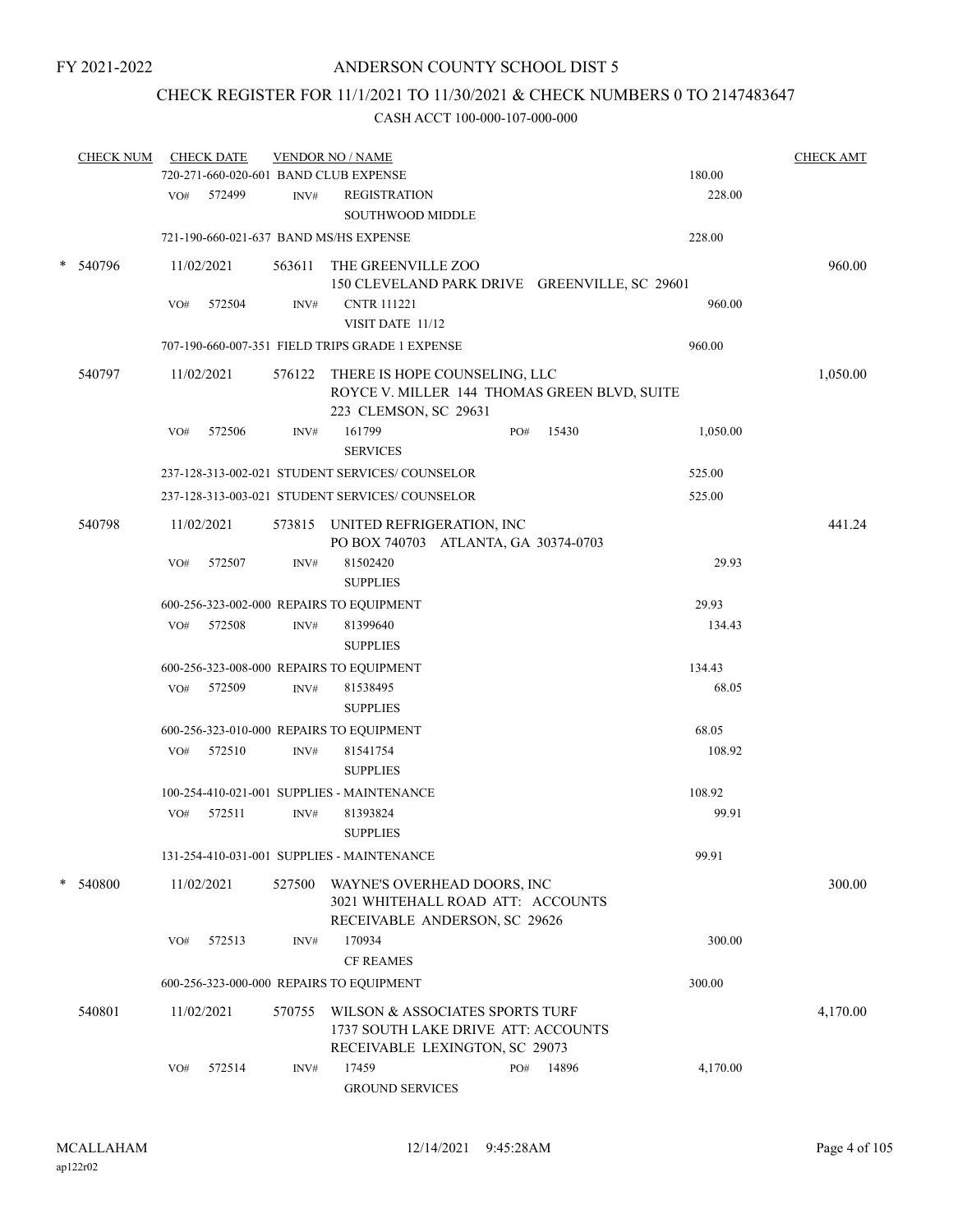## CHECK REGISTER FOR 11/1/2021 TO 11/30/2021 & CHECK NUMBERS 0 TO 2147483647

|        | <b>CHECK NUM</b> |     | <b>CHECK DATE</b> |        | <b>VENDOR NO / NAME</b><br>720-271-660-020-601 BAND CLUB EXPENSE                                              |     |       | 180.00   | <b>CHECK AMT</b> |
|--------|------------------|-----|-------------------|--------|---------------------------------------------------------------------------------------------------------------|-----|-------|----------|------------------|
|        |                  |     |                   |        |                                                                                                               |     |       |          |                  |
|        |                  | VO# | 572499            | INV#   | <b>REGISTRATION</b><br>SOUTHWOOD MIDDLE                                                                       |     |       | 228.00   |                  |
|        |                  |     |                   |        | 721-190-660-021-637 BAND MS/HS EXPENSE                                                                        |     |       | 228.00   |                  |
| $\ast$ | 540796           |     | 11/02/2021        | 563611 | THE GREENVILLE ZOO<br>150 CLEVELAND PARK DRIVE GREENVILLE, SC 29601                                           |     |       |          | 960.00           |
|        |                  | VO# | 572504            | INV#   | <b>CNTR 111221</b>                                                                                            |     |       | 960.00   |                  |
|        |                  |     |                   |        | VISIT DATE 11/12                                                                                              |     |       |          |                  |
|        |                  |     |                   |        | 707-190-660-007-351 FIELD TRIPS GRADE 1 EXPENSE                                                               |     |       | 960.00   |                  |
|        | 540797           |     | 11/02/2021        |        | 576122 THERE IS HOPE COUNSELING, LLC<br>ROYCE V. MILLER 144 THOMAS GREEN BLVD, SUITE<br>223 CLEMSON, SC 29631 |     |       |          | 1,050.00         |
|        |                  | VO# | 572506            | INV#   | 161799<br><b>SERVICES</b>                                                                                     | PO# | 15430 | 1,050.00 |                  |
|        |                  |     |                   |        | 237-128-313-002-021 STUDENT SERVICES/COUNSELOR                                                                |     |       | 525.00   |                  |
|        |                  |     |                   |        | 237-128-313-003-021 STUDENT SERVICES/COUNSELOR                                                                |     |       | 525.00   |                  |
|        | 540798           |     | 11/02/2021        |        | 573815 UNITED REFRIGERATION, INC<br>PO BOX 740703 ATLANTA, GA 30374-0703                                      |     |       |          | 441.24           |
|        |                  | VO# | 572507            | INV#   | 81502420<br><b>SUPPLIES</b>                                                                                   |     |       | 29.93    |                  |
|        |                  |     |                   |        | 600-256-323-002-000 REPAIRS TO EQUIPMENT                                                                      |     |       | 29.93    |                  |
|        |                  | VO# | 572508            | INV#   | 81399640                                                                                                      |     |       | 134.43   |                  |
|        |                  |     |                   |        | <b>SUPPLIES</b>                                                                                               |     |       |          |                  |
|        |                  |     |                   |        | 600-256-323-008-000 REPAIRS TO EQUIPMENT                                                                      |     |       | 134.43   |                  |
|        |                  | VO# | 572509            | INV#   | 81538495<br><b>SUPPLIES</b>                                                                                   |     |       | 68.05    |                  |
|        |                  |     |                   |        | 600-256-323-010-000 REPAIRS TO EQUIPMENT                                                                      |     |       | 68.05    |                  |
|        |                  | VO# | 572510            | INV#   | 81541754<br><b>SUPPLIES</b>                                                                                   |     |       | 108.92   |                  |
|        |                  |     |                   |        | 100-254-410-021-001 SUPPLIES - MAINTENANCE                                                                    |     |       | 108.92   |                  |
|        |                  | VO# | 572511            | INV#   | 81393824<br><b>SUPPLIES</b>                                                                                   |     |       | 99.91    |                  |
|        |                  |     |                   |        | 131-254-410-031-001 SUPPLIES - MAINTENANCE                                                                    |     |       | 99.91    |                  |
| $\ast$ | 540800           |     | 11/02/2021        | 527500 | WAYNE'S OVERHEAD DOORS, INC<br>3021 WHITEHALL ROAD ATT: ACCOUNTS<br>RECEIVABLE ANDERSON, SC 29626             |     |       |          | 300.00           |
|        |                  | VO# | 572513            | INV#   | 170934<br><b>CF REAMES</b>                                                                                    |     |       | 300.00   |                  |
|        |                  |     |                   |        | 600-256-323-000-000 REPAIRS TO EQUIPMENT                                                                      |     |       | 300.00   |                  |
|        | 540801           |     | 11/02/2021        | 570755 | WILSON & ASSOCIATES SPORTS TURF<br>1737 SOUTH LAKE DRIVE ATT: ACCOUNTS<br>RECEIVABLE LEXINGTON, SC 29073      |     |       |          | 4,170.00         |
|        |                  | VO# | 572514            | INV#   | 17459<br><b>GROUND SERVICES</b>                                                                               | PO# | 14896 | 4,170.00 |                  |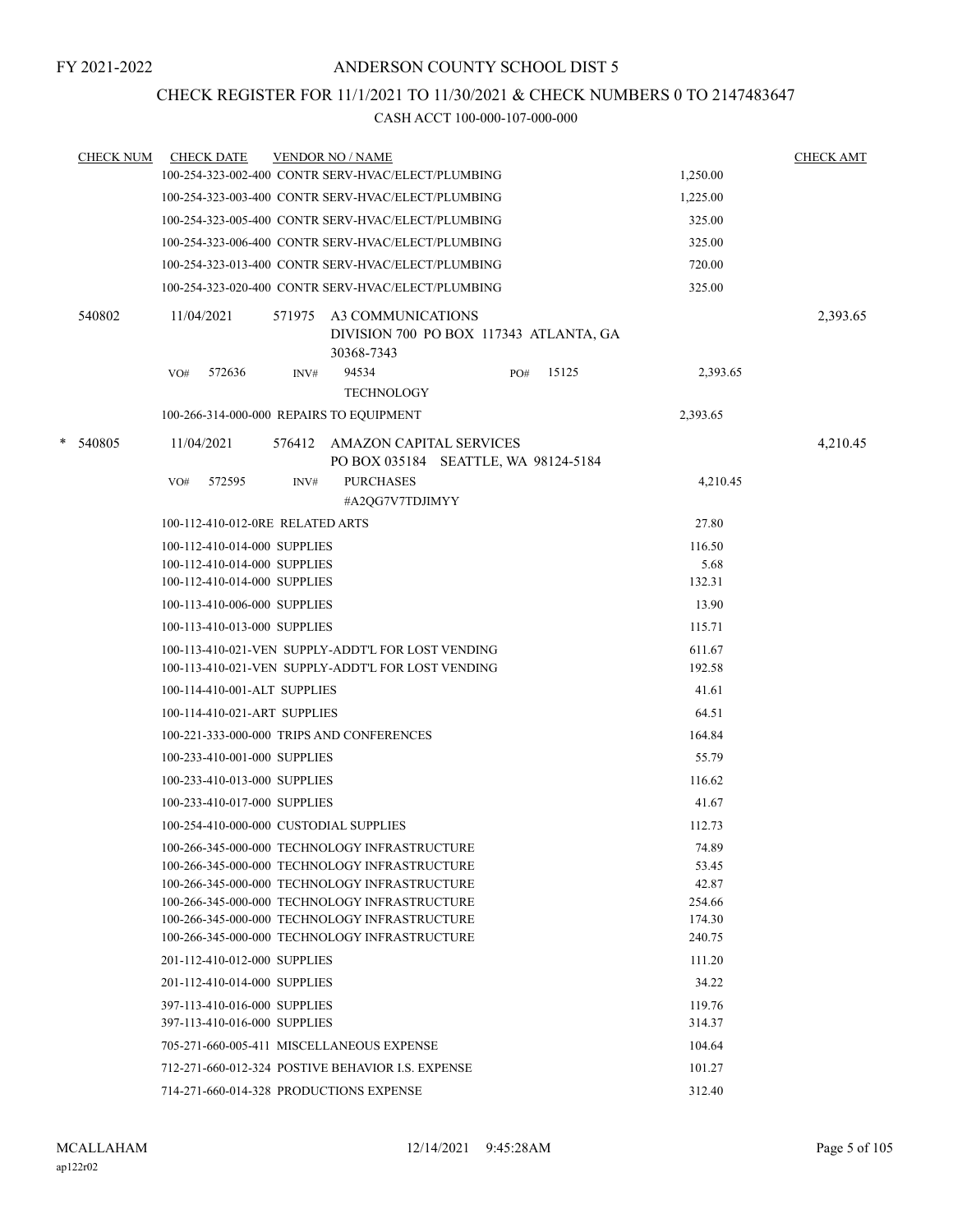## CHECK REGISTER FOR 11/1/2021 TO 11/30/2021 & CHECK NUMBERS 0 TO 2147483647

| <b>CHECK NUM</b> | <b>CHECK DATE</b>                                                                              |        | <b>VENDOR NO / NAME</b>                                                   |              |                 | <b>CHECK AMT</b> |
|------------------|------------------------------------------------------------------------------------------------|--------|---------------------------------------------------------------------------|--------------|-----------------|------------------|
|                  | 100-254-323-002-400 CONTR SERV-HVAC/ELECT/PLUMBING                                             |        |                                                                           |              | 1,250.00        |                  |
|                  | 100-254-323-003-400 CONTR SERV-HVAC/ELECT/PLUMBING                                             |        |                                                                           |              | 1,225.00        |                  |
|                  | 100-254-323-005-400 CONTR SERV-HVAC/ELECT/PLUMBING                                             |        |                                                                           |              | 325.00          |                  |
|                  | 100-254-323-006-400 CONTR SERV-HVAC/ELECT/PLUMBING                                             |        |                                                                           |              | 325.00          |                  |
|                  | 100-254-323-013-400 CONTR SERV-HVAC/ELECT/PLUMBING                                             |        |                                                                           |              | 720.00          |                  |
|                  | 100-254-323-020-400 CONTR SERV-HVAC/ELECT/PLUMBING                                             |        |                                                                           |              | 325.00          |                  |
| 540802           | 11/04/2021                                                                                     | 571975 | A3 COMMUNICATIONS<br>DIVISION 700 PO BOX 117343 ATLANTA, GA<br>30368-7343 |              |                 | 2,393.65         |
|                  | 572636<br>VO#                                                                                  | INV#   | 94534<br><b>TECHNOLOGY</b>                                                | 15125<br>PO# | 2,393.65        |                  |
|                  | 100-266-314-000-000 REPAIRS TO EQUIPMENT                                                       |        |                                                                           |              | 2,393.65        |                  |
| * 540805         | 11/04/2021                                                                                     |        | 576412 AMAZON CAPITAL SERVICES<br>PO BOX 035184 SEATTLE, WA 98124-5184    |              |                 | 4,210.45         |
|                  | 572595<br>VO#                                                                                  | INV#   | <b>PURCHASES</b>                                                          |              | 4,210.45        |                  |
|                  |                                                                                                |        | #A2QG7V7TDJIMYY                                                           |              |                 |                  |
|                  | 100-112-410-012-0RE RELATED ARTS                                                               |        |                                                                           |              | 27.80           |                  |
|                  | 100-112-410-014-000 SUPPLIES                                                                   |        |                                                                           |              | 116.50          |                  |
|                  | 100-112-410-014-000 SUPPLIES<br>100-112-410-014-000 SUPPLIES                                   |        |                                                                           |              | 5.68<br>132.31  |                  |
|                  | 100-113-410-006-000 SUPPLIES                                                                   |        |                                                                           |              | 13.90           |                  |
|                  | 100-113-410-013-000 SUPPLIES                                                                   |        |                                                                           |              | 115.71          |                  |
|                  | 100-113-410-021-VEN SUPPLY-ADDT'L FOR LOST VENDING                                             |        |                                                                           |              | 611.67          |                  |
|                  | 100-113-410-021-VEN SUPPLY-ADDT'L FOR LOST VENDING                                             |        |                                                                           |              | 192.58          |                  |
|                  | 100-114-410-001-ALT SUPPLIES                                                                   |        |                                                                           |              | 41.61           |                  |
|                  | 100-114-410-021-ART SUPPLIES                                                                   |        |                                                                           |              | 64.51           |                  |
|                  | 100-221-333-000-000 TRIPS AND CONFERENCES                                                      |        |                                                                           |              | 164.84          |                  |
|                  | 100-233-410-001-000 SUPPLIES                                                                   |        |                                                                           |              | 55.79           |                  |
|                  | 100-233-410-013-000 SUPPLIES                                                                   |        |                                                                           |              | 116.62          |                  |
|                  | 100-233-410-017-000 SUPPLIES                                                                   |        |                                                                           |              | 41.67           |                  |
|                  | 100-254-410-000-000 CUSTODIAL SUPPLIES                                                         |        |                                                                           |              | 112.73          |                  |
|                  | 100-266-345-000-000 TECHNOLOGY INFRASTRUCTURE                                                  |        |                                                                           |              | 74.89           |                  |
|                  | 100-266-345-000-000 TECHNOLOGY INFRASTRUCTURE                                                  |        |                                                                           |              | 53.45           |                  |
|                  | 100-266-345-000-000 TECHNOLOGY INFRASTRUCTURE<br>100-266-345-000-000 TECHNOLOGY INFRASTRUCTURE |        |                                                                           |              | 42.87<br>254.66 |                  |
|                  | 100-266-345-000-000 TECHNOLOGY INFRASTRUCTURE                                                  |        |                                                                           |              | 174.30          |                  |
|                  | 100-266-345-000-000 TECHNOLOGY INFRASTRUCTURE                                                  |        |                                                                           |              | 240.75          |                  |
|                  | 201-112-410-012-000 SUPPLIES                                                                   |        |                                                                           |              | 111.20          |                  |
|                  | 201-112-410-014-000 SUPPLIES                                                                   |        |                                                                           |              | 34.22           |                  |
|                  | 397-113-410-016-000 SUPPLIES                                                                   |        |                                                                           |              | 119.76          |                  |
|                  | 397-113-410-016-000 SUPPLIES                                                                   |        |                                                                           |              | 314.37          |                  |
|                  | 705-271-660-005-411 MISCELLANEOUS EXPENSE                                                      |        |                                                                           |              | 104.64          |                  |
|                  | 712-271-660-012-324 POSTIVE BEHAVIOR I.S. EXPENSE                                              |        |                                                                           |              | 101.27          |                  |
|                  | 714-271-660-014-328 PRODUCTIONS EXPENSE                                                        |        |                                                                           |              | 312.40          |                  |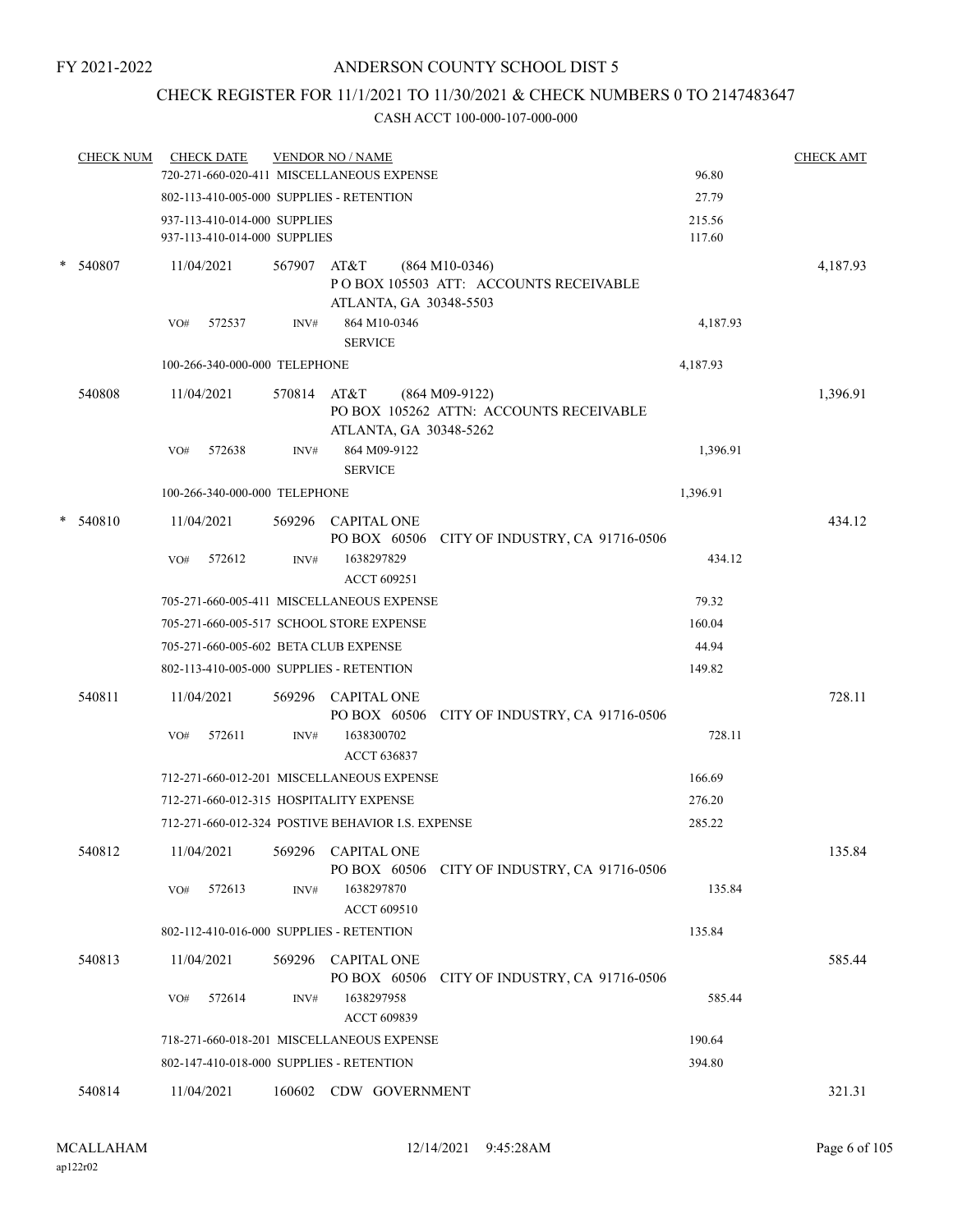## CHECK REGISTER FOR 11/1/2021 TO 11/30/2021 & CHECK NUMBERS 0 TO 2147483647

|        | <b>CHECK NUM</b> | <b>CHECK DATE</b>                                            | <b>VENDOR NO / NAME</b>                           |                                                           |                  | <b>CHECK AMT</b> |
|--------|------------------|--------------------------------------------------------------|---------------------------------------------------|-----------------------------------------------------------|------------------|------------------|
|        |                  |                                                              | 720-271-660-020-411 MISCELLANEOUS EXPENSE         |                                                           | 96.80            |                  |
|        |                  |                                                              | 802-113-410-005-000 SUPPLIES - RETENTION          |                                                           | 27.79            |                  |
|        |                  | 937-113-410-014-000 SUPPLIES<br>937-113-410-014-000 SUPPLIES |                                                   |                                                           | 215.56<br>117.60 |                  |
|        |                  |                                                              |                                                   |                                                           |                  |                  |
| *      | 540807           | 11/04/2021                                                   | 567907 AT&T                                       | $(864 M10-0346)$<br>POBOX 105503 ATT: ACCOUNTS RECEIVABLE |                  | 4,187.93         |
|        |                  |                                                              | ATLANTA, GA 30348-5503                            |                                                           |                  |                  |
|        |                  | VO#<br>572537                                                | 864 M10-0346<br>INV#                              |                                                           | 4,187.93         |                  |
|        |                  |                                                              | <b>SERVICE</b>                                    |                                                           |                  |                  |
|        |                  | 100-266-340-000-000 TELEPHONE                                |                                                   |                                                           | 4,187.93         |                  |
|        | 540808           | 11/04/2021                                                   | 570814 AT&T                                       | $(864 M09-9122)$                                          |                  | 1,396.91         |
|        |                  |                                                              |                                                   | PO BOX 105262 ATTN: ACCOUNTS RECEIVABLE                   |                  |                  |
|        |                  | 572638                                                       | ATLANTA, GA 30348-5262<br>864 M09-9122            |                                                           |                  |                  |
|        |                  | VO#                                                          | INV#<br><b>SERVICE</b>                            |                                                           | 1,396.91         |                  |
|        |                  | 100-266-340-000-000 TELEPHONE                                |                                                   |                                                           | 1,396.91         |                  |
| $\ast$ | 540810           | 11/04/2021                                                   | 569296 CAPITAL ONE                                |                                                           |                  | 434.12           |
|        |                  |                                                              |                                                   | PO BOX 60506 CITY OF INDUSTRY, CA 91716-0506              |                  |                  |
|        |                  | 572612<br>VO#                                                | 1638297829<br>INV#                                |                                                           | 434.12           |                  |
|        |                  |                                                              | <b>ACCT 609251</b>                                |                                                           |                  |                  |
|        |                  |                                                              | 705-271-660-005-411 MISCELLANEOUS EXPENSE         |                                                           | 79.32            |                  |
|        |                  |                                                              | 705-271-660-005-517 SCHOOL STORE EXPENSE          |                                                           | 160.04           |                  |
|        |                  |                                                              | 705-271-660-005-602 BETA CLUB EXPENSE             |                                                           | 44.94            |                  |
|        |                  |                                                              | 802-113-410-005-000 SUPPLIES - RETENTION          |                                                           | 149.82           |                  |
|        | 540811           | 11/04/2021                                                   | 569296 CAPITAL ONE                                |                                                           |                  | 728.11           |
|        |                  |                                                              | PO BOX 60506                                      | CITY OF INDUSTRY, CA 91716-0506                           |                  |                  |
|        |                  | VO#<br>572611                                                | INV#<br>1638300702<br>ACCT 636837                 |                                                           | 728.11           |                  |
|        |                  |                                                              | 712-271-660-012-201 MISCELLANEOUS EXPENSE         |                                                           | 166.69           |                  |
|        |                  |                                                              | 712-271-660-012-315 HOSPITALITY EXPENSE           |                                                           | 276.20           |                  |
|        |                  |                                                              | 712-271-660-012-324 POSTIVE BEHAVIOR I.S. EXPENSE |                                                           | 285.22           |                  |
|        |                  |                                                              |                                                   |                                                           |                  |                  |
|        | 540812           | 11/04/2021                                                   | 569296<br><b>CAPITAL ONE</b><br>PO BOX 60506      | CITY OF INDUSTRY, CA 91716-0506                           |                  | 135.84           |
|        |                  | 572613<br>VO#                                                | INV#<br>1638297870                                |                                                           | 135.84           |                  |
|        |                  |                                                              | ACCT 609510                                       |                                                           |                  |                  |
|        |                  |                                                              | 802-112-410-016-000 SUPPLIES - RETENTION          |                                                           | 135.84           |                  |
|        | 540813           | 11/04/2021                                                   | <b>CAPITAL ONE</b><br>569296                      |                                                           |                  | 585.44           |
|        |                  |                                                              | PO BOX 60506                                      | CITY OF INDUSTRY, CA 91716-0506                           |                  |                  |
|        |                  | 572614<br>VO#                                                | 1638297958<br>INV#                                |                                                           | 585.44           |                  |
|        |                  |                                                              | ACCT 609839                                       |                                                           |                  |                  |
|        |                  |                                                              | 718-271-660-018-201 MISCELLANEOUS EXPENSE         |                                                           | 190.64           |                  |
|        |                  |                                                              | 802-147-410-018-000 SUPPLIES - RETENTION          |                                                           | 394.80           |                  |
|        | 540814           | 11/04/2021                                                   | 160602<br>CDW GOVERNMENT                          |                                                           |                  | 321.31           |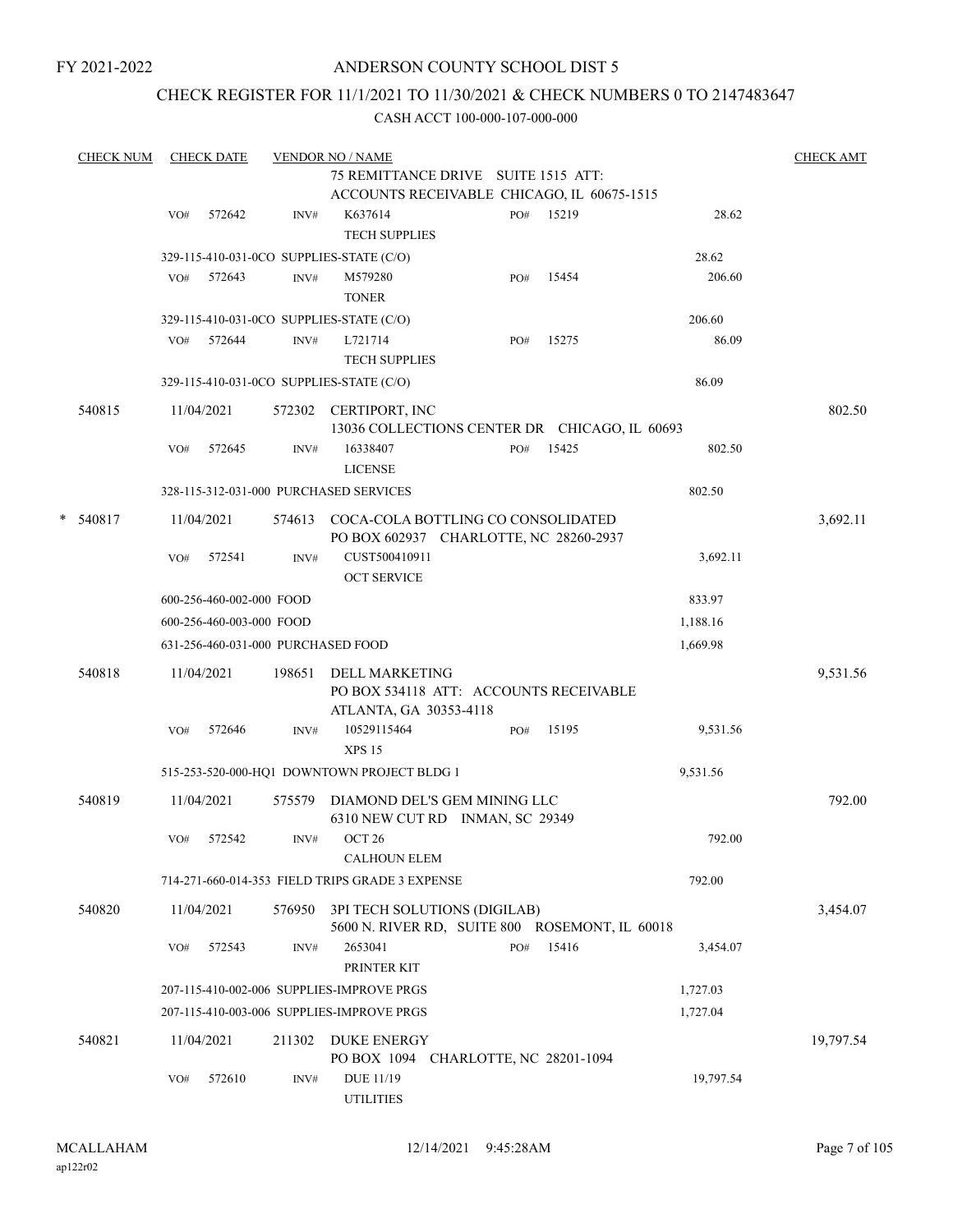## ANDERSON COUNTY SCHOOL DIST 5

## CHECK REGISTER FOR 11/1/2021 TO 11/30/2021 & CHECK NUMBERS 0 TO 2147483647

| <b>CHECK NUM</b> |     | <b>CHECK DATE</b>        |        | <b>VENDOR NO / NAME</b>                                                        |     |       |           | <b>CHECK AMT</b> |
|------------------|-----|--------------------------|--------|--------------------------------------------------------------------------------|-----|-------|-----------|------------------|
|                  |     |                          |        | 75 REMITTANCE DRIVE SUITE 1515 ATT:                                            |     |       |           |                  |
|                  |     |                          |        | ACCOUNTS RECEIVABLE CHICAGO, IL 60675-1515                                     |     |       |           |                  |
|                  | VO# | 572642                   | INV#   | K637614<br><b>TECH SUPPLIES</b>                                                | PO# | 15219 | 28.62     |                  |
|                  |     |                          |        | 329-115-410-031-0CO SUPPLIES-STATE (C/O)                                       |     |       | 28.62     |                  |
|                  | VO# | 572643                   | INV#   | M579280<br><b>TONER</b>                                                        | PO# | 15454 | 206.60    |                  |
|                  |     |                          |        | 329-115-410-031-0CO SUPPLIES-STATE (C/O)                                       |     |       | 206.60    |                  |
|                  | VO# | 572644                   | INV#   | L721714<br><b>TECH SUPPLIES</b>                                                | PO# | 15275 | 86.09     |                  |
|                  |     |                          |        | 329-115-410-031-0CO SUPPLIES-STATE (C/O)                                       |     |       | 86.09     |                  |
| 540815           |     | 11/04/2021               |        | 572302 CERTIPORT, INC<br>13036 COLLECTIONS CENTER DR CHICAGO, IL 60693         |     |       |           | 802.50           |
|                  | VO# | 572645                   | INV#   | 16338407<br><b>LICENSE</b>                                                     | PO# | 15425 | 802.50    |                  |
|                  |     |                          |        | 328-115-312-031-000 PURCHASED SERVICES                                         |     |       | 802.50    |                  |
| $* 540817$       |     | 11/04/2021               | 574613 | COCA-COLA BOTTLING CO CONSOLIDATED<br>PO BOX 602937 CHARLOTTE, NC 28260-2937   |     |       |           | 3,692.11         |
|                  | VO# | 572541                   | INV#   | CUST500410911<br><b>OCT SERVICE</b>                                            |     |       | 3,692.11  |                  |
|                  |     | 600-256-460-002-000 FOOD |        |                                                                                |     |       | 833.97    |                  |
|                  |     | 600-256-460-003-000 FOOD |        |                                                                                |     |       | 1,188.16  |                  |
|                  |     |                          |        | 631-256-460-031-000 PURCHASED FOOD                                             |     |       | 1,669.98  |                  |
| 540818           |     | 11/04/2021               | 198651 | DELL MARKETING<br>PO BOX 534118 ATT: ACCOUNTS RECEIVABLE                       |     |       |           | 9,531.56         |
|                  | VO# | 572646                   | INV#   | ATLANTA, GA 30353-4118<br>10529115464<br><b>XPS 15</b>                         | PO# | 15195 | 9,531.56  |                  |
|                  |     |                          |        | 515-253-520-000-HQ1 DOWNTOWN PROJECT BLDG 1                                    |     |       | 9,531.56  |                  |
| 540819           |     | 11/04/2021               | 575579 | DIAMOND DEL'S GEM MINING LLC<br>6310 NEW CUT RD INMAN, SC 29349                |     |       |           | 792.00           |
|                  | VO# | 572542                   | INV#   | OCT <sub>26</sub><br><b>CALHOUN ELEM</b>                                       |     |       | 792.00    |                  |
|                  |     |                          |        | 714-271-660-014-353 FIELD TRIPS GRADE 3 EXPENSE                                |     |       | 792.00    |                  |
| 540820           |     | 11/04/2021               | 576950 | 3PI TECH SOLUTIONS (DIGILAB)<br>5600 N. RIVER RD, SUITE 800 ROSEMONT, IL 60018 |     |       |           | 3,454.07         |
|                  | VO# | 572543                   | INV#   | 2653041<br>PRINTER KIT                                                         | PO# | 15416 | 3,454.07  |                  |
|                  |     |                          |        | 207-115-410-002-006 SUPPLIES-IMPROVE PRGS                                      |     |       | 1,727.03  |                  |
|                  |     |                          |        | 207-115-410-003-006 SUPPLIES-IMPROVE PRGS                                      |     |       | 1,727.04  |                  |
| 540821           |     | 11/04/2021               | 211302 | <b>DUKE ENERGY</b><br>PO BOX 1094 CHARLOTTE, NC 28201-1094                     |     |       |           | 19,797.54        |
|                  | VO# | 572610                   | INV#   | DUE 11/19<br><b>UTILITIES</b>                                                  |     |       | 19,797.54 |                  |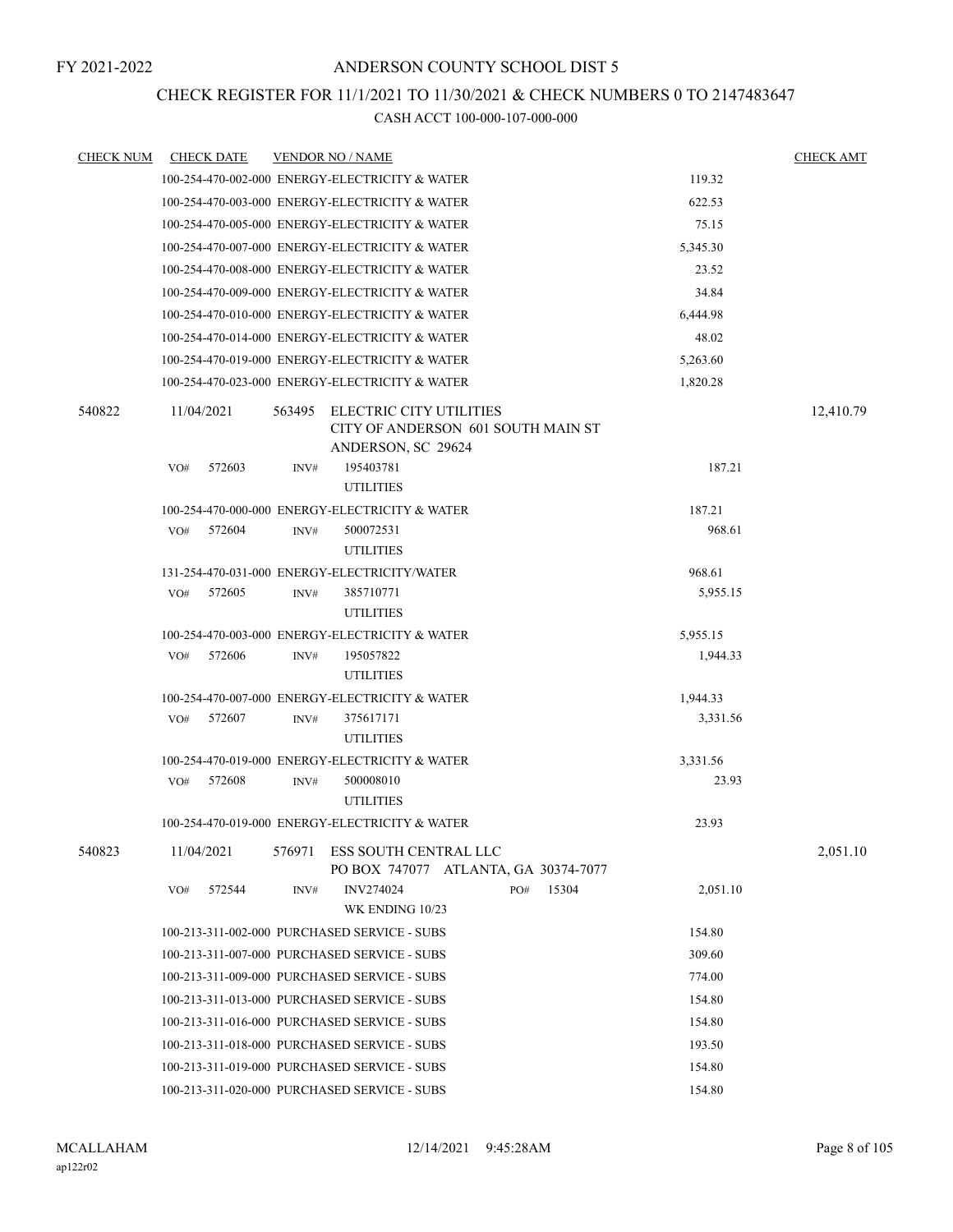## CHECK REGISTER FOR 11/1/2021 TO 11/30/2021 & CHECK NUMBERS 0 TO 2147483647

| <b>CHECK NUM</b> | <b>CHECK DATE</b> | <b>VENDOR NO / NAME</b>                                                                       | <b>CHECK AMT</b> |
|------------------|-------------------|-----------------------------------------------------------------------------------------------|------------------|
|                  |                   | 100-254-470-002-000 ENERGY-ELECTRICITY & WATER<br>119.32                                      |                  |
|                  |                   | 100-254-470-003-000 ENERGY-ELECTRICITY & WATER<br>622.53                                      |                  |
|                  |                   | 100-254-470-005-000 ENERGY-ELECTRICITY & WATER<br>75.15                                       |                  |
|                  |                   | 100-254-470-007-000 ENERGY-ELECTRICITY & WATER<br>5,345.30                                    |                  |
|                  |                   | 100-254-470-008-000 ENERGY-ELECTRICITY & WATER<br>23.52                                       |                  |
|                  |                   | 100-254-470-009-000 ENERGY-ELECTRICITY & WATER<br>34.84                                       |                  |
|                  |                   | 100-254-470-010-000 ENERGY-ELECTRICITY & WATER<br>6,444.98                                    |                  |
|                  |                   | 100-254-470-014-000 ENERGY-ELECTRICITY & WATER<br>48.02                                       |                  |
|                  |                   | 100-254-470-019-000 ENERGY-ELECTRICITY & WATER<br>5,263.60                                    |                  |
|                  |                   | 100-254-470-023-000 ENERGY-ELECTRICITY & WATER<br>1,820.28                                    |                  |
| 540822           | 11/04/2021        | 563495<br>ELECTRIC CITY UTILITIES<br>CITY OF ANDERSON 601 SOUTH MAIN ST<br>ANDERSON, SC 29624 | 12,410.79        |
|                  | VO#<br>572603     | 195403781<br>INV#                                                                             | 187.21           |
|                  |                   | <b>UTILITIES</b>                                                                              |                  |
|                  |                   | 100-254-470-000-000 ENERGY-ELECTRICITY & WATER<br>187.21                                      |                  |
|                  | 572604<br>VO#     | 500072531<br>INV#                                                                             | 968.61           |
|                  |                   | <b>UTILITIES</b>                                                                              |                  |
|                  |                   | 131-254-470-031-000 ENERGY-ELECTRICITY/WATER<br>968.61                                        |                  |
|                  | VO#<br>572605     | 385710771<br>INV#<br><b>UTILITIES</b>                                                         | 5,955.15         |
|                  |                   | 100-254-470-003-000 ENERGY-ELECTRICITY & WATER<br>5,955.15                                    |                  |
|                  | 572606<br>VO#     | 195057822<br>INV#                                                                             | 1,944.33         |
|                  |                   | <b>UTILITIES</b>                                                                              |                  |
|                  |                   | 100-254-470-007-000 ENERGY-ELECTRICITY & WATER<br>1,944.33                                    |                  |
|                  | VO#<br>572607     | 375617171<br>INV#                                                                             | 3,331.56         |
|                  |                   | <b>UTILITIES</b>                                                                              |                  |
|                  |                   | 100-254-470-019-000 ENERGY-ELECTRICITY & WATER<br>3,331.56                                    |                  |
|                  | 572608<br>VO#     | 500008010<br>INV#                                                                             | 23.93            |
|                  |                   | <b>UTILITIES</b>                                                                              |                  |
|                  |                   | 100-254-470-019-000 ENERGY-ELECTRICITY & WATER<br>23.93                                       |                  |
| 540823           | 11/04/2021        | ESS SOUTH CENTRAL LLC<br>576971<br>PO BOX 747077 ATLANTA, GA 30374-7077                       | 2,051.10         |
|                  | 572544<br>VO#     | <b>INV274024</b><br>15304<br>INV#<br>PO#<br>WK ENDING 10/23                                   | 2,051.10         |
|                  |                   | 154.80<br>100-213-311-002-000 PURCHASED SERVICE - SUBS                                        |                  |
|                  |                   | 100-213-311-007-000 PURCHASED SERVICE - SUBS<br>309.60                                        |                  |
|                  |                   | 100-213-311-009-000 PURCHASED SERVICE - SUBS<br>774.00                                        |                  |
|                  |                   | 100-213-311-013-000 PURCHASED SERVICE - SUBS<br>154.80                                        |                  |
|                  |                   | 100-213-311-016-000 PURCHASED SERVICE - SUBS<br>154.80                                        |                  |
|                  |                   | 100-213-311-018-000 PURCHASED SERVICE - SUBS<br>193.50                                        |                  |
|                  |                   | 100-213-311-019-000 PURCHASED SERVICE - SUBS<br>154.80                                        |                  |
|                  |                   | 100-213-311-020-000 PURCHASED SERVICE - SUBS<br>154.80                                        |                  |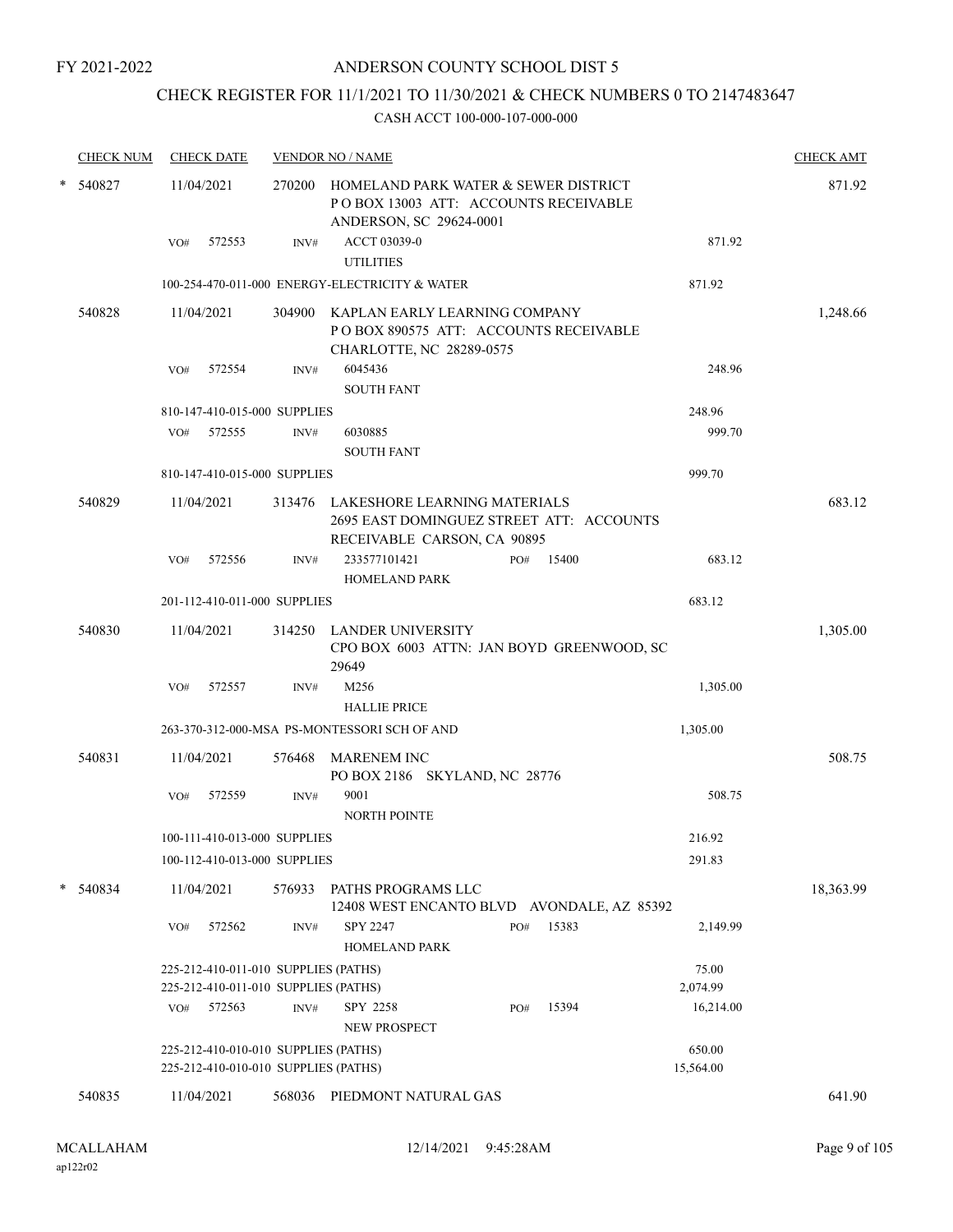## CHECK REGISTER FOR 11/1/2021 TO 11/30/2021 & CHECK NUMBERS 0 TO 2147483647

| <b>CHECK NUM</b> |                                                          | <b>CHECK DATE</b>                                                            |        | <b>VENDOR NO / NAME</b>                                                                                         |        |     |       |  |                     | <b>CHECK AMT</b> |
|------------------|----------------------------------------------------------|------------------------------------------------------------------------------|--------|-----------------------------------------------------------------------------------------------------------------|--------|-----|-------|--|---------------------|------------------|
| $*$ 540827       |                                                          | 11/04/2021                                                                   |        | 270200 HOMELAND PARK WATER & SEWER DISTRICT<br>PO BOX 13003 ATT: ACCOUNTS RECEIVABLE<br>ANDERSON, SC 29624-0001 |        |     |       |  |                     | 871.92           |
|                  | VO#                                                      | 572553                                                                       | INV#   | ACCT 03039-0<br><b>UTILITIES</b>                                                                                | 871.92 |     |       |  |                     |                  |
|                  | 100-254-470-011-000 ENERGY-ELECTRICITY & WATER<br>871.92 |                                                                              |        |                                                                                                                 |        |     |       |  |                     |                  |
| 540828           |                                                          | 11/04/2021                                                                   |        | 304900 KAPLAN EARLY LEARNING COMPANY<br>POBOX 890575 ATT: ACCOUNTS RECEIVABLE<br>CHARLOTTE, NC 28289-0575       |        |     |       |  |                     | 1,248.66         |
|                  | VO#                                                      | 572554                                                                       | INV#   | 6045436<br><b>SOUTH FANT</b>                                                                                    |        |     |       |  | 248.96              |                  |
|                  |                                                          | 810-147-410-015-000 SUPPLIES                                                 |        |                                                                                                                 |        |     |       |  | 248.96              |                  |
|                  | VO#                                                      | 572555                                                                       | INV#   | 6030885<br><b>SOUTH FANT</b>                                                                                    |        |     |       |  | 999.70              |                  |
|                  |                                                          | 810-147-410-015-000 SUPPLIES                                                 |        |                                                                                                                 |        |     |       |  | 999.70              |                  |
| 540829           |                                                          | 11/04/2021                                                                   |        | 313476 LAKESHORE LEARNING MATERIALS<br>2695 EAST DOMINGUEZ STREET ATT: ACCOUNTS<br>RECEIVABLE CARSON, CA 90895  |        |     |       |  |                     | 683.12           |
|                  | VO#                                                      | 572556                                                                       | INV#   | 233577101421<br>HOMELAND PARK                                                                                   |        | PO# | 15400 |  | 683.12              |                  |
|                  |                                                          | 201-112-410-011-000 SUPPLIES                                                 |        |                                                                                                                 |        |     |       |  | 683.12              |                  |
| 540830           |                                                          | 11/04/2021                                                                   |        | 314250 LANDER UNIVERSITY<br>CPO BOX 6003 ATTN: JAN BOYD GREENWOOD, SC<br>29649                                  |        |     |       |  |                     | 1,305.00         |
|                  | VO#                                                      | 572557                                                                       | INV#   | M256<br><b>HALLIE PRICE</b>                                                                                     |        |     |       |  | 1,305.00            |                  |
|                  |                                                          |                                                                              |        | 263-370-312-000-MSA PS-MONTESSORI SCH OF AND                                                                    |        |     |       |  | 1,305.00            |                  |
| 540831           |                                                          | 11/04/2021                                                                   | 576468 | <b>MARENEM INC</b><br>PO BOX 2186 SKYLAND, NC 28776                                                             |        |     |       |  |                     | 508.75           |
|                  | VO#                                                      | 572559                                                                       | INV#   | 9001<br><b>NORTH POINTE</b>                                                                                     |        |     |       |  | 508.75              |                  |
|                  |                                                          | 100-111-410-013-000 SUPPLIES                                                 |        |                                                                                                                 |        |     |       |  | 216.92              |                  |
|                  |                                                          | 100-112-410-013-000 SUPPLIES                                                 |        |                                                                                                                 |        |     |       |  | 291.83              |                  |
| * 540834         |                                                          | 11/04/2021                                                                   | 576933 | PATHS PROGRAMS LLC<br>12408 WEST ENCANTO BLVD AVONDALE, AZ 85392                                                |        |     |       |  |                     | 18,363.99        |
|                  | VO#                                                      | 572562                                                                       | INV#   | SPY 2247<br><b>HOMELAND PARK</b>                                                                                |        | PO# | 15383 |  | 2,149.99            |                  |
|                  |                                                          | 225-212-410-011-010 SUPPLIES (PATHS)<br>225-212-410-011-010 SUPPLIES (PATHS) |        |                                                                                                                 |        |     |       |  | 75.00<br>2,074.99   |                  |
|                  | VO#                                                      | 572563                                                                       | INV#   | SPY 2258<br><b>NEW PROSPECT</b>                                                                                 |        | PO# | 15394 |  | 16,214.00           |                  |
|                  |                                                          | 225-212-410-010-010 SUPPLIES (PATHS)<br>225-212-410-010-010 SUPPLIES (PATHS) |        |                                                                                                                 |        |     |       |  | 650.00<br>15,564.00 |                  |
| 540835           |                                                          | 11/04/2021                                                                   | 568036 | PIEDMONT NATURAL GAS                                                                                            |        |     |       |  |                     | 641.90           |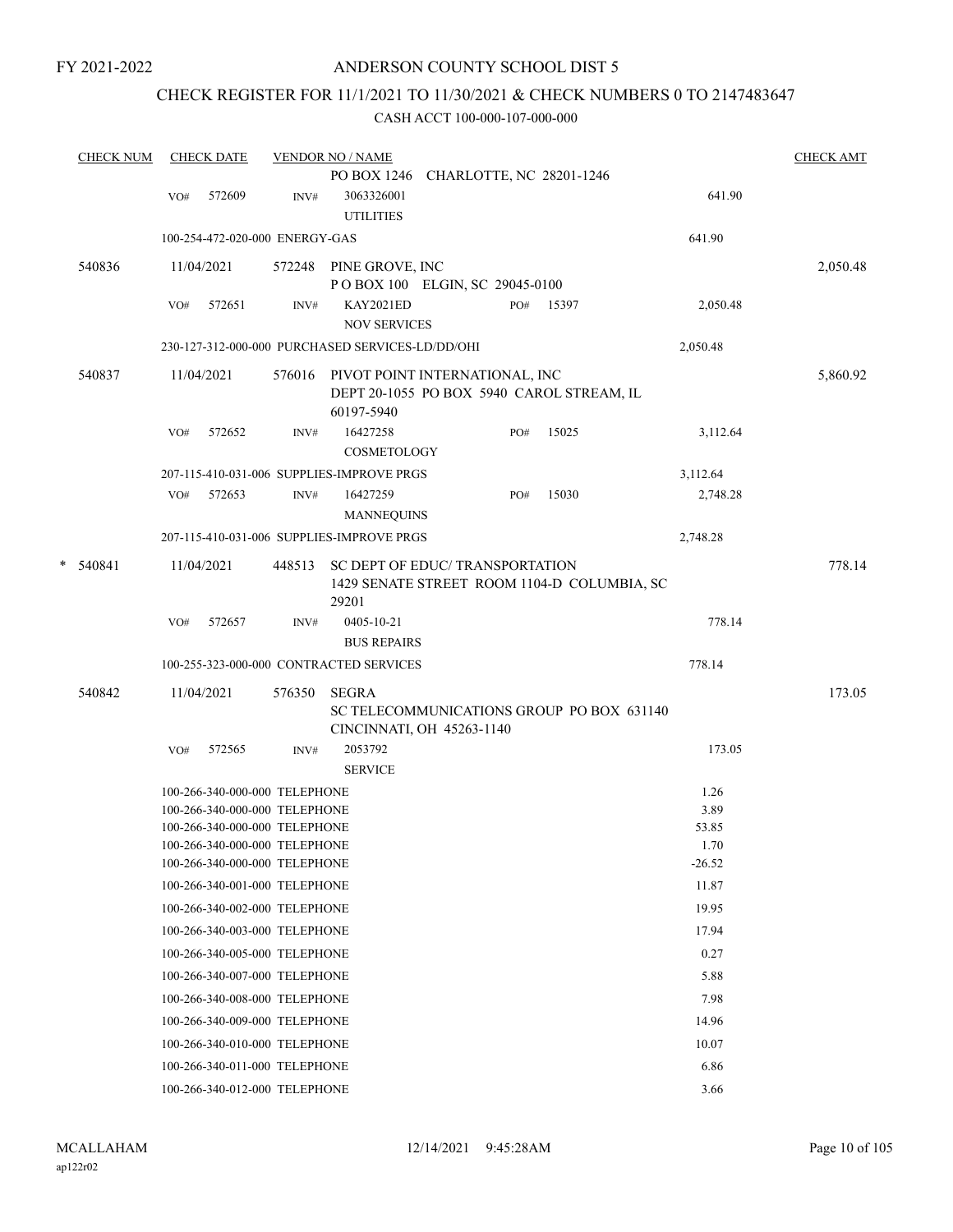## ANDERSON COUNTY SCHOOL DIST 5

# CHECK REGISTER FOR 11/1/2021 TO 11/30/2021 & CHECK NUMBERS 0 TO 2147483647

|   | <b>CHECK NUM</b> |     | <b>CHECK DATE</b>                                              |        | <b>VENDOR NO / NAME</b>                                                                   |     |       |               | <b>CHECK AMT</b> |
|---|------------------|-----|----------------------------------------------------------------|--------|-------------------------------------------------------------------------------------------|-----|-------|---------------|------------------|
|   |                  | VO# | 572609                                                         | INV#   | PO BOX 1246 CHARLOTTE, NC 28201-1246<br>3063326001                                        |     |       | 641.90        |                  |
|   |                  |     |                                                                |        | <b>UTILITIES</b>                                                                          |     |       |               |                  |
|   |                  |     | 100-254-472-020-000 ENERGY-GAS                                 |        |                                                                                           |     |       | 641.90        |                  |
|   | 540836           |     | 11/04/2021                                                     |        | 572248 PINE GROVE, INC                                                                    |     |       |               | 2,050.48         |
|   |                  | VO# | 572651                                                         | INV#   | POBOX 100 ELGIN, SC 29045-0100<br>KAY2021ED                                               | PO# | 15397 | 2,050.48      |                  |
|   |                  |     |                                                                |        | <b>NOV SERVICES</b>                                                                       |     |       |               |                  |
|   |                  |     |                                                                |        | 230-127-312-000-000 PURCHASED SERVICES-LD/DD/OHI                                          |     |       | 2,050.48      |                  |
|   | 540837           |     | 11/04/2021                                                     | 576016 | PIVOT POINT INTERNATIONAL, INC<br>DEPT 20-1055 PO BOX 5940 CAROL STREAM, IL<br>60197-5940 |     |       |               | 5,860.92         |
|   |                  | VO# | 572652                                                         | INV#   | 16427258<br>COSMETOLOGY                                                                   | PO# | 15025 | 3,112.64      |                  |
|   |                  |     |                                                                |        | 207-115-410-031-006 SUPPLIES-IMPROVE PRGS                                                 |     |       | 3,112.64      |                  |
|   |                  |     | VO# 572653                                                     | INV#   | 16427259<br><b>MANNEQUINS</b>                                                             | PO# | 15030 | 2,748.28      |                  |
|   |                  |     |                                                                |        | 207-115-410-031-006 SUPPLIES-IMPROVE PRGS                                                 |     |       | 2,748.28      |                  |
| * | 540841           |     | 11/04/2021                                                     | 448513 | SC DEPT OF EDUC/ TRANSPORTATION<br>1429 SENATE STREET ROOM 1104-D COLUMBIA, SC<br>29201   |     |       |               | 778.14           |
|   |                  | VO# | 572657                                                         | INV#   | 0405-10-21                                                                                |     |       | 778.14        |                  |
|   |                  |     |                                                                |        | <b>BUS REPAIRS</b>                                                                        |     |       |               |                  |
|   |                  |     |                                                                |        | 100-255-323-000-000 CONTRACTED SERVICES                                                   |     |       | 778.14        |                  |
|   | 540842           |     | 11/04/2021                                                     | 576350 | <b>SEGRA</b><br>SC TELECOMMUNICATIONS GROUP PO BOX 631140<br>CINCINNATI, OH 45263-1140    |     |       |               | 173.05           |
|   |                  | VO# | 572565                                                         | INV#   | 2053792<br><b>SERVICE</b>                                                                 |     |       | 173.05        |                  |
|   |                  |     | 100-266-340-000-000 TELEPHONE                                  |        |                                                                                           |     |       | 1.26          |                  |
|   |                  |     | 100-266-340-000-000 TELEPHONE                                  |        |                                                                                           |     |       | 3.89          |                  |
|   |                  |     | 100-266-340-000-000 TELEPHONE                                  |        |                                                                                           |     |       | 53.85         |                  |
|   |                  |     | 100-266-340-000-000 TELEPHONE                                  |        |                                                                                           |     |       | 1.70          |                  |
|   |                  |     | 100-266-340-000-000 TELEPHONE                                  |        |                                                                                           |     |       | $-26.52$      |                  |
|   |                  |     | 100-266-340-001-000 TELEPHONE                                  |        |                                                                                           |     |       | 11.87         |                  |
|   |                  |     | 100-266-340-002-000 TELEPHONE                                  |        |                                                                                           |     |       | 19.95         |                  |
|   |                  |     | 100-266-340-003-000 TELEPHONE                                  |        |                                                                                           |     |       | 17.94         |                  |
|   |                  |     | 100-266-340-005-000 TELEPHONE                                  |        |                                                                                           |     |       | 0.27          |                  |
|   |                  |     | 100-266-340-007-000 TELEPHONE                                  |        |                                                                                           |     |       | 5.88          |                  |
|   |                  |     | 100-266-340-008-000 TELEPHONE<br>100-266-340-009-000 TELEPHONE |        |                                                                                           |     |       | 7.98<br>14.96 |                  |
|   |                  |     |                                                                |        |                                                                                           |     |       | 10.07         |                  |
|   |                  |     | 100-266-340-010-000 TELEPHONE                                  |        |                                                                                           |     |       |               |                  |
|   |                  |     | 100-266-340-011-000 TELEPHONE                                  |        |                                                                                           |     |       | 6.86<br>3.66  |                  |
|   |                  |     | 100-266-340-012-000 TELEPHONE                                  |        |                                                                                           |     |       |               |                  |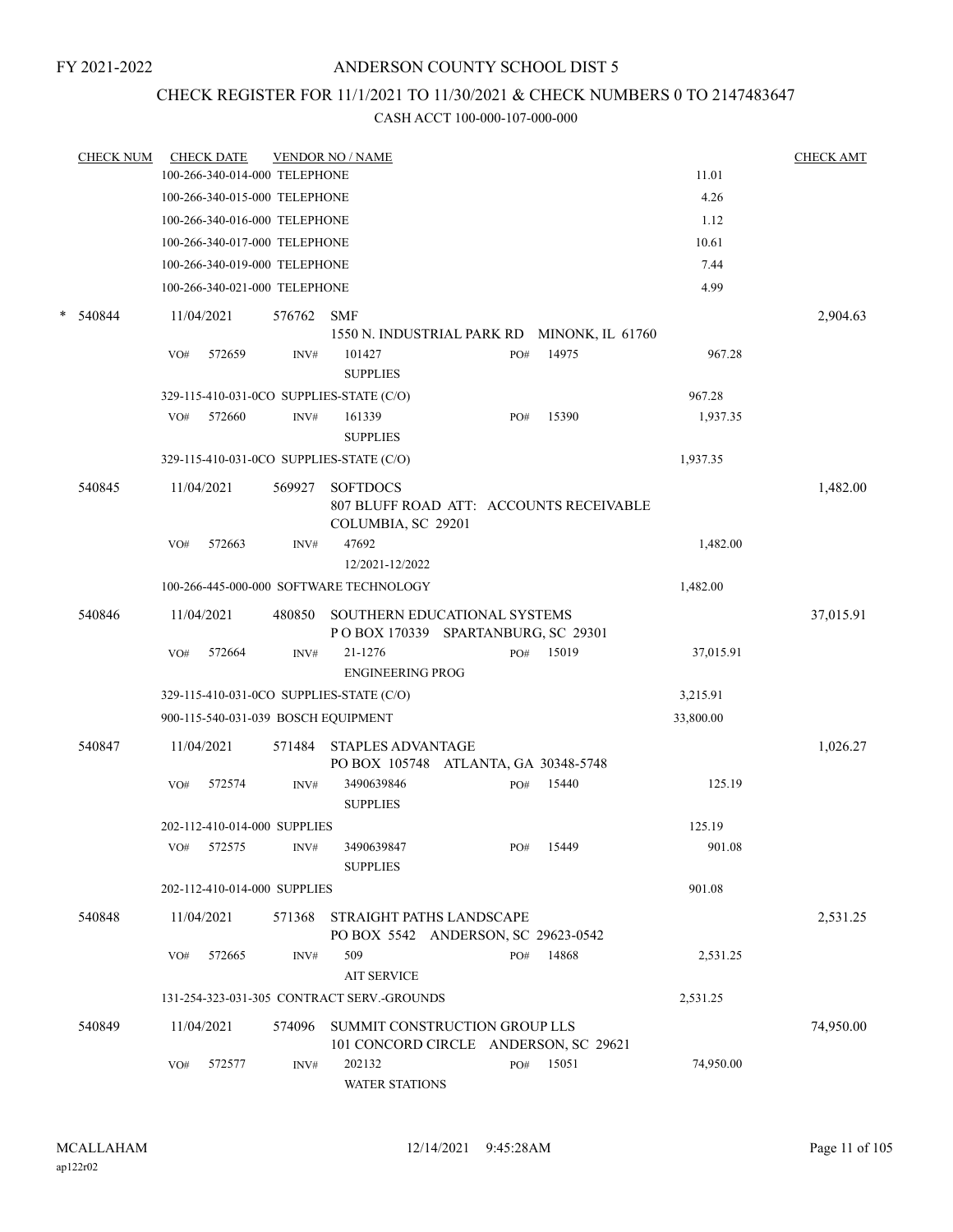## CHECK REGISTER FOR 11/1/2021 TO 11/30/2021 & CHECK NUMBERS 0 TO 2147483647

|   | <b>CHECK NUM</b> |     | <b>CHECK DATE</b>             |        | <b>VENDOR NO / NAME</b>                                                          |     |           |           | <b>CHECK AMT</b> |
|---|------------------|-----|-------------------------------|--------|----------------------------------------------------------------------------------|-----|-----------|-----------|------------------|
|   |                  |     | 100-266-340-014-000 TELEPHONE |        |                                                                                  |     |           | 11.01     |                  |
|   |                  |     | 100-266-340-015-000 TELEPHONE |        |                                                                                  |     |           | 4.26      |                  |
|   |                  |     | 100-266-340-016-000 TELEPHONE |        |                                                                                  |     |           | 1.12      |                  |
|   |                  |     | 100-266-340-017-000 TELEPHONE |        |                                                                                  |     |           | 10.61     |                  |
|   |                  |     | 100-266-340-019-000 TELEPHONE |        |                                                                                  |     |           | 7.44      |                  |
|   |                  |     | 100-266-340-021-000 TELEPHONE |        |                                                                                  |     |           | 4.99      |                  |
| * | 540844           |     | 11/04/2021                    | 576762 | <b>SMF</b><br>1550 N. INDUSTRIAL PARK RD MINONK, IL 61760                        |     |           |           | 2,904.63         |
|   |                  | VO# | 572659                        | INV#   | 101427<br><b>SUPPLIES</b>                                                        | PO# | 14975     | 967.28    |                  |
|   |                  |     |                               |        | 329-115-410-031-0CO SUPPLIES-STATE (C/O)                                         |     |           | 967.28    |                  |
|   |                  | VO# | 572660                        | INV#   | 161339<br><b>SUPPLIES</b>                                                        | PO# | 15390     | 1,937.35  |                  |
|   |                  |     |                               |        | 329-115-410-031-0CO SUPPLIES-STATE (C/O)                                         |     |           | 1,937.35  |                  |
|   | 540845           |     | 11/04/2021                    | 569927 | <b>SOFTDOCS</b><br>807 BLUFF ROAD ATT: ACCOUNTS RECEIVABLE<br>COLUMBIA, SC 29201 |     |           |           | 1,482.00         |
|   |                  | VO# | 572663                        | INV#   | 47692<br>12/2021-12/2022                                                         |     |           | 1,482.00  |                  |
|   |                  |     |                               |        | 100-266-445-000-000 SOFTWARE TECHNOLOGY                                          |     |           | 1,482.00  |                  |
|   | 540846           |     | 11/04/2021                    | 480850 | <b>SOUTHERN EDUCATIONAL SYSTEMS</b><br>POBOX 170339 SPARTANBURG, SC 29301        |     |           |           | 37,015.91        |
|   |                  | VO# | 572664                        | INV#   | 21-1276<br><b>ENGINEERING PROG</b>                                               | PO# | 15019     | 37,015.91 |                  |
|   |                  |     |                               |        | 329-115-410-031-0CO SUPPLIES-STATE (C/O)                                         |     |           | 3,215.91  |                  |
|   |                  |     |                               |        | 900-115-540-031-039 BOSCH EQUIPMENT                                              |     |           | 33,800.00 |                  |
|   | 540847           |     | 11/04/2021                    | 571484 | <b>STAPLES ADVANTAGE</b><br>PO BOX 105748 ATLANTA, GA 30348-5748                 |     |           |           | 1,026.27         |
|   |                  | VO# | 572574                        | INV#   | 3490639846<br><b>SUPPLIES</b>                                                    | PO# | 15440     | 125.19    |                  |
|   |                  |     | 202-112-410-014-000 SUPPLIES  |        |                                                                                  |     |           | 125.19    |                  |
|   |                  |     | VO# 572575                    | INV#   | 3490639847<br><b>SUPPLIES</b>                                                    |     | PO# 15449 | 901.08    |                  |
|   |                  |     | 202-112-410-014-000 SUPPLIES  |        |                                                                                  |     |           | 901.08    |                  |
|   | 540848           |     | 11/04/2021                    | 571368 | STRAIGHT PATHS LANDSCAPE<br>PO BOX 5542 ANDERSON, SC 29623-0542                  |     |           |           | 2,531.25         |
|   |                  | VO# | 572665                        | INV#   | 509<br><b>AIT SERVICE</b>                                                        | PO# | 14868     | 2,531.25  |                  |
|   |                  |     |                               |        | 131-254-323-031-305 CONTRACT SERV.-GROUNDS                                       |     |           | 2,531.25  |                  |
|   | 540849           |     | 11/04/2021                    | 574096 | SUMMIT CONSTRUCTION GROUP LLS<br>101 CONCORD CIRCLE ANDERSON, SC 29621           |     |           |           | 74,950.00        |
|   |                  | VO# | 572577                        | INV#   | 202132<br><b>WATER STATIONS</b>                                                  | PO# | 15051     | 74,950.00 |                  |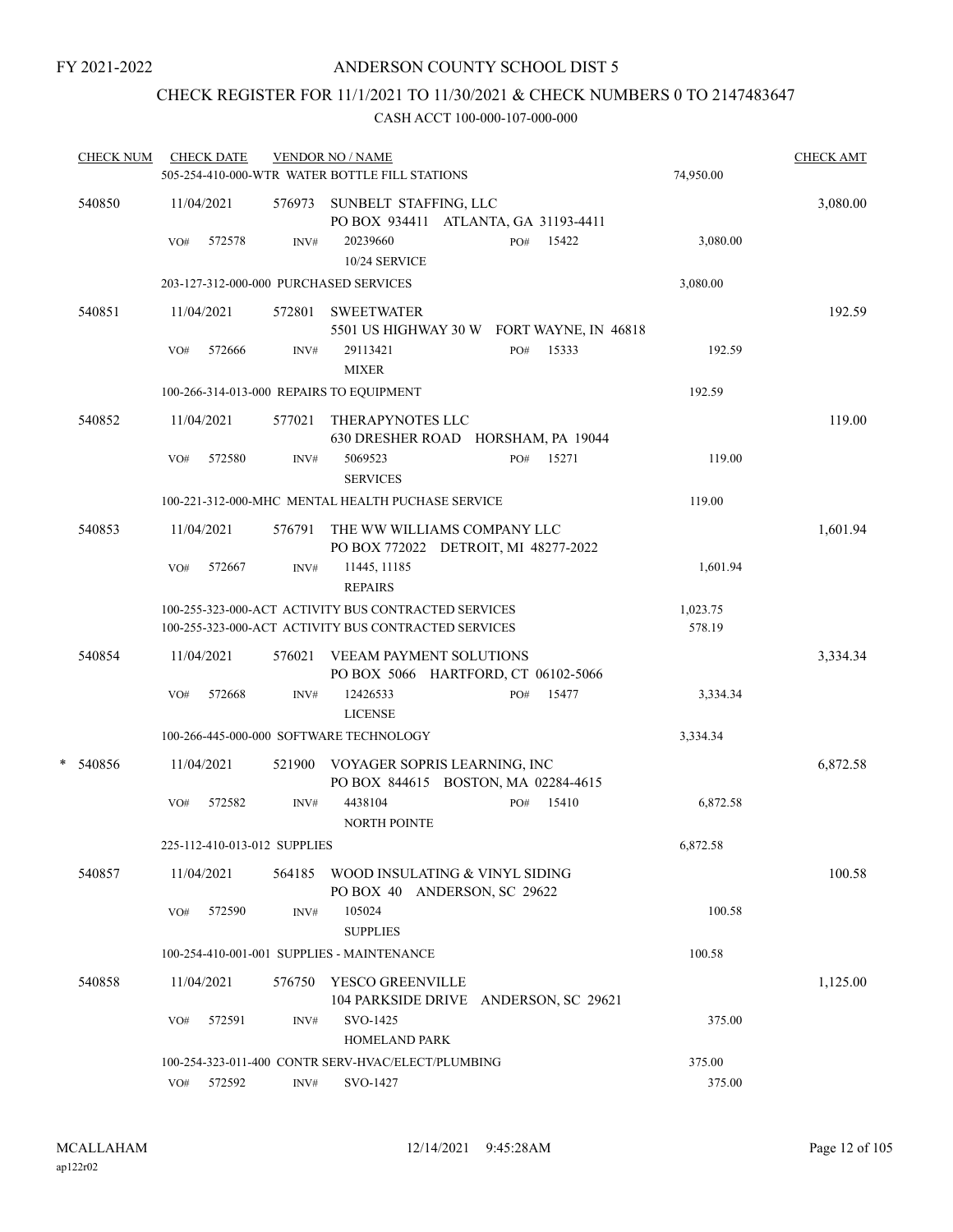## CHECK REGISTER FOR 11/1/2021 TO 11/30/2021 & CHECK NUMBERS 0 TO 2147483647

|   | <b>CHECK NUM</b> |     | <b>CHECK DATE</b> |                              | <b>VENDOR NO / NAME</b><br>505-254-410-000-WTR WATER BOTTLE FILL STATIONS                                    |     |       | 74,950.00          | <b>CHECK AMT</b> |
|---|------------------|-----|-------------------|------------------------------|--------------------------------------------------------------------------------------------------------------|-----|-------|--------------------|------------------|
|   | 540850           |     | 11/04/2021        |                              | 576973 SUNBELT STAFFING, LLC<br>PO BOX 934411 ATLANTA, GA 31193-4411                                         |     |       |                    | 3,080.00         |
|   |                  | VO# | 572578            | INV#                         | 20239660<br>10/24 SERVICE                                                                                    | PO# | 15422 | 3,080.00           |                  |
|   |                  |     |                   |                              | 203-127-312-000-000 PURCHASED SERVICES                                                                       |     |       | 3,080.00           |                  |
|   | 540851           |     | 11/04/2021        | 572801                       | <b>SWEETWATER</b><br>5501 US HIGHWAY 30 W FORT WAYNE, IN 46818                                               |     |       |                    | 192.59           |
|   |                  | VO# | 572666            | INV#                         | 29113421<br><b>MIXER</b>                                                                                     | PO# | 15333 | 192.59             |                  |
|   |                  |     |                   |                              | 100-266-314-013-000 REPAIRS TO EQUIPMENT                                                                     |     |       | 192.59             |                  |
|   | 540852           |     | 11/04/2021        | 577021                       | THERAPYNOTES LLC<br>630 DRESHER ROAD HORSHAM, PA 19044                                                       |     |       |                    | 119.00           |
|   |                  | VO# | 572580            | INV#                         | 5069523<br><b>SERVICES</b>                                                                                   | PO# | 15271 | 119.00             |                  |
|   |                  |     |                   |                              | 100-221-312-000-MHC MENTAL HEALTH PUCHASE SERVICE                                                            |     |       | 119.00             |                  |
|   | 540853           |     | 11/04/2021        | 576791                       | THE WW WILLIAMS COMPANY LLC<br>PO BOX 772022 DETROIT, MI 48277-2022                                          |     |       |                    | 1,601.94         |
|   |                  | VO# | 572667            | INV#                         | 11445, 11185<br><b>REPAIRS</b>                                                                               |     |       | 1,601.94           |                  |
|   |                  |     |                   |                              | 100-255-323-000-ACT ACTIVITY BUS CONTRACTED SERVICES<br>100-255-323-000-ACT ACTIVITY BUS CONTRACTED SERVICES |     |       | 1,023.75<br>578.19 |                  |
|   | 540854           |     | 11/04/2021        | 576021                       | VEEAM PAYMENT SOLUTIONS<br>PO BOX 5066 HARTFORD, CT 06102-5066                                               |     |       |                    | 3,334.34         |
|   |                  | VO# | 572668            | INV#                         | 12426533<br><b>LICENSE</b>                                                                                   | PO# | 15477 | 3,334.34           |                  |
|   |                  |     |                   |                              | 100-266-445-000-000 SOFTWARE TECHNOLOGY                                                                      |     |       | 3,334.34           |                  |
| * | 540856           |     | 11/04/2021        |                              | 521900 VOYAGER SOPRIS LEARNING, INC<br>PO BOX 844615 BOSTON, MA 02284-4615                                   |     |       |                    | 6,872.58         |
|   |                  | VO# | 572582            | INV#                         | 4438104<br><b>NORTH POINTE</b>                                                                               | PO# | 15410 | 6,872.58           |                  |
|   |                  |     |                   | 225-112-410-013-012 SUPPLIES |                                                                                                              |     |       | 6,872.58           |                  |
|   | 540857           |     | 11/04/2021        | 564185                       | WOOD INSULATING & VINYL SIDING<br>PO BOX 40 ANDERSON, SC 29622                                               |     |       |                    | 100.58           |
|   |                  | VO# | 572590            | INV#                         | 105024<br><b>SUPPLIES</b>                                                                                    |     |       | 100.58             |                  |
|   |                  |     |                   |                              | 100-254-410-001-001 SUPPLIES - MAINTENANCE                                                                   |     |       | 100.58             |                  |
|   | 540858           |     | 11/04/2021        | 576750                       | YESCO GREENVILLE<br>104 PARKSIDE DRIVE ANDERSON, SC 29621                                                    |     |       |                    | 1,125.00         |
|   |                  | VO# | 572591            | INV#                         | SVO-1425<br>HOMELAND PARK                                                                                    |     |       | 375.00             |                  |
|   |                  |     |                   |                              | 100-254-323-011-400 CONTR SERV-HVAC/ELECT/PLUMBING                                                           |     |       | 375.00             |                  |
|   |                  | VO# | 572592            | INV#                         | SVO-1427                                                                                                     |     |       | 375.00             |                  |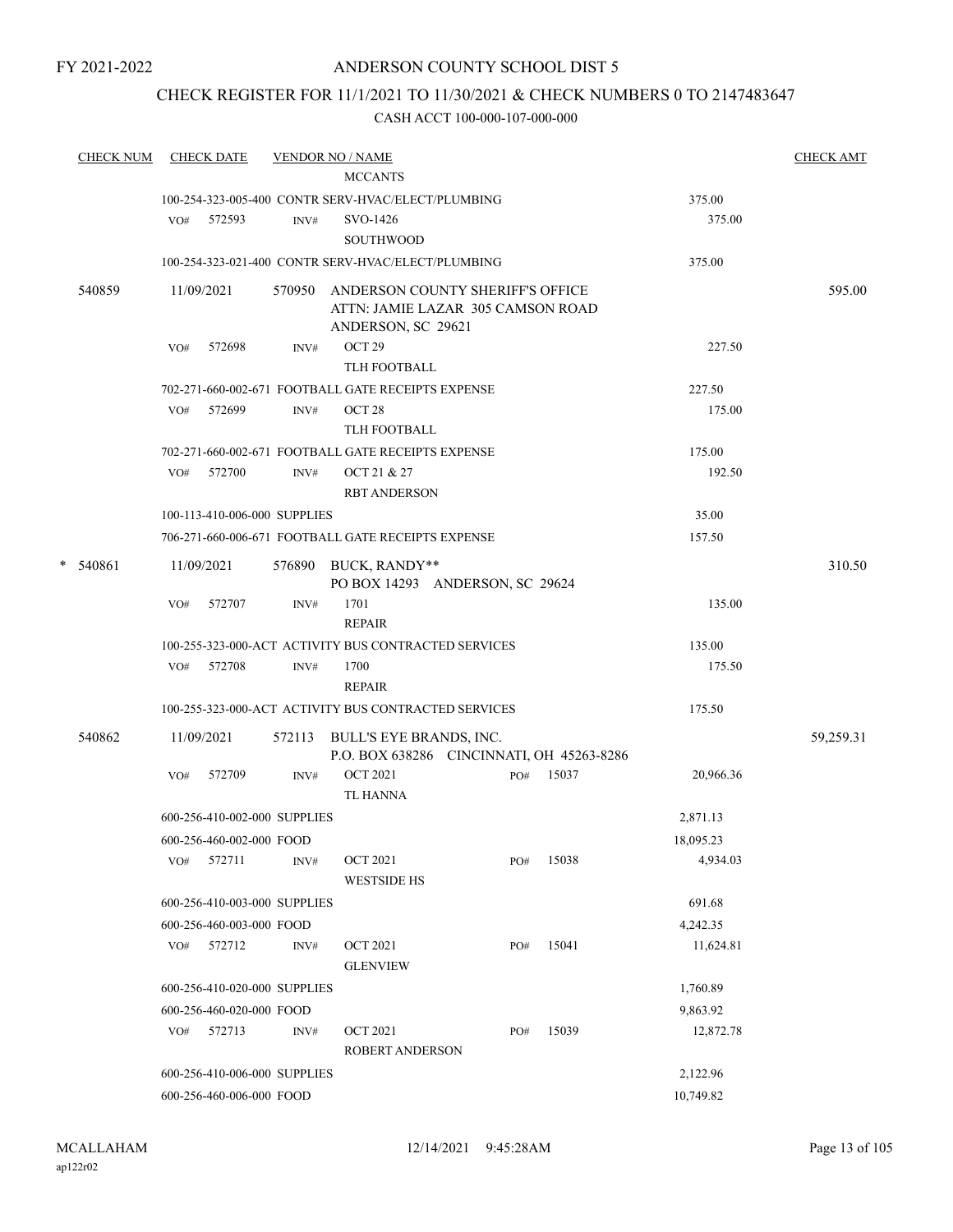## ANDERSON COUNTY SCHOOL DIST 5

## CHECK REGISTER FOR 11/1/2021 TO 11/30/2021 & CHECK NUMBERS 0 TO 2147483647

|        | <b>CHECK NUM</b> |     | <b>CHECK DATE</b>            |      | <b>VENDOR NO / NAME</b><br><b>MCCANTS</b>               |     |       |           | <b>CHECK AMT</b> |
|--------|------------------|-----|------------------------------|------|---------------------------------------------------------|-----|-------|-----------|------------------|
|        |                  |     |                              |      |                                                         |     |       |           |                  |
|        |                  |     |                              |      | 100-254-323-005-400 CONTR SERV-HVAC/ELECT/PLUMBING      |     |       | 375.00    |                  |
|        |                  |     | VO# 572593                   | INV# | SVO-1426                                                |     |       | 375.00    |                  |
|        |                  |     |                              |      | <b>SOUTHWOOD</b>                                        |     |       |           |                  |
|        |                  |     |                              |      | 100-254-323-021-400 CONTR SERV-HVAC/ELECT/PLUMBING      |     |       | 375.00    |                  |
| 540859 |                  |     | 11/09/2021                   |      | 570950 ANDERSON COUNTY SHERIFF'S OFFICE                 |     |       |           | 595.00           |
|        |                  |     |                              |      | ATTN: JAMIE LAZAR 305 CAMSON ROAD                       |     |       |           |                  |
|        |                  |     |                              |      | ANDERSON, SC 29621<br>OCT <sub>29</sub>                 |     |       | 227.50    |                  |
|        |                  | VO# | 572698                       | INV# | TLH FOOTBALL                                            |     |       |           |                  |
|        |                  |     |                              |      | 702-271-660-002-671 FOOTBALL GATE RECEIPTS EXPENSE      |     |       | 227.50    |                  |
|        |                  | VO# | 572699                       | INV# | OCT <sub>28</sub>                                       |     |       | 175.00    |                  |
|        |                  |     |                              |      | TLH FOOTBALL                                            |     |       |           |                  |
|        |                  |     |                              |      | 702-271-660-002-671 FOOTBALL GATE RECEIPTS EXPENSE      |     |       | 175.00    |                  |
|        |                  |     | $VO#$ 572700                 | INV# | OCT 21 & 27                                             |     |       | 192.50    |                  |
|        |                  |     |                              |      | <b>RBT ANDERSON</b>                                     |     |       |           |                  |
|        |                  |     | 100-113-410-006-000 SUPPLIES |      |                                                         |     |       | 35.00     |                  |
|        |                  |     |                              |      | 706-271-660-006-671 FOOTBALL GATE RECEIPTS EXPENSE      |     |       | 157.50    |                  |
|        |                  |     |                              |      |                                                         |     |       |           |                  |
| *      | 540861           |     | 11/09/2021                   |      | 576890 BUCK, RANDY**<br>PO BOX 14293 ANDERSON, SC 29624 |     |       |           | 310.50           |
|        |                  | VO# | 572707                       | INV# | 1701                                                    |     |       | 135.00    |                  |
|        |                  |     |                              |      | <b>REPAIR</b>                                           |     |       |           |                  |
|        |                  |     |                              |      | 100-255-323-000-ACT ACTIVITY BUS CONTRACTED SERVICES    |     |       | 135.00    |                  |
|        |                  |     | VO# 572708                   | INV# | 1700                                                    |     |       | 175.50    |                  |
|        |                  |     |                              |      | <b>REPAIR</b>                                           |     |       |           |                  |
|        |                  |     |                              |      | 100-255-323-000-ACT ACTIVITY BUS CONTRACTED SERVICES    |     |       | 175.50    |                  |
|        | 540862           |     | 11/09/2021                   |      | 572113 BULL'S EYE BRANDS, INC.                          |     |       |           | 59,259.31        |
|        |                  |     |                              |      | P.O. BOX 638286 CINCINNATI, OH 45263-8286               |     |       |           |                  |
|        |                  | VO# | 572709                       | INV# | <b>OCT 2021</b>                                         | PO# | 15037 | 20,966.36 |                  |
|        |                  |     |                              |      | <b>TL HANNA</b>                                         |     |       |           |                  |
|        |                  |     | 600-256-410-002-000 SUPPLIES |      |                                                         |     |       | 2,871.13  |                  |
|        |                  |     | 600-256-460-002-000 FOOD     |      |                                                         |     |       | 18,095.23 |                  |
|        |                  | VO# | 572711                       | INV# | <b>OCT 2021</b>                                         | PO# | 15038 | 4,934.03  |                  |
|        |                  |     |                              |      | <b>WESTSIDE HS</b>                                      |     |       |           |                  |
|        |                  |     | 600-256-410-003-000 SUPPLIES |      |                                                         |     |       | 691.68    |                  |
|        |                  |     | 600-256-460-003-000 FOOD     |      |                                                         |     |       | 4,242.35  |                  |
|        |                  |     | VO# 572712                   | INV# | <b>OCT 2021</b>                                         | PO# | 15041 | 11,624.81 |                  |
|        |                  |     |                              |      | <b>GLENVIEW</b>                                         |     |       |           |                  |
|        |                  |     | 600-256-410-020-000 SUPPLIES |      |                                                         |     |       | 1,760.89  |                  |
|        |                  |     | 600-256-460-020-000 FOOD     |      |                                                         |     |       | 9,863.92  |                  |
|        |                  | VO# | 572713                       | INV# | <b>OCT 2021</b>                                         | PO# | 15039 | 12,872.78 |                  |
|        |                  |     |                              |      | ROBERT ANDERSON                                         |     |       |           |                  |
|        |                  |     | 600-256-410-006-000 SUPPLIES |      |                                                         |     |       | 2,122.96  |                  |
|        |                  |     | 600-256-460-006-000 FOOD     |      |                                                         |     |       | 10,749.82 |                  |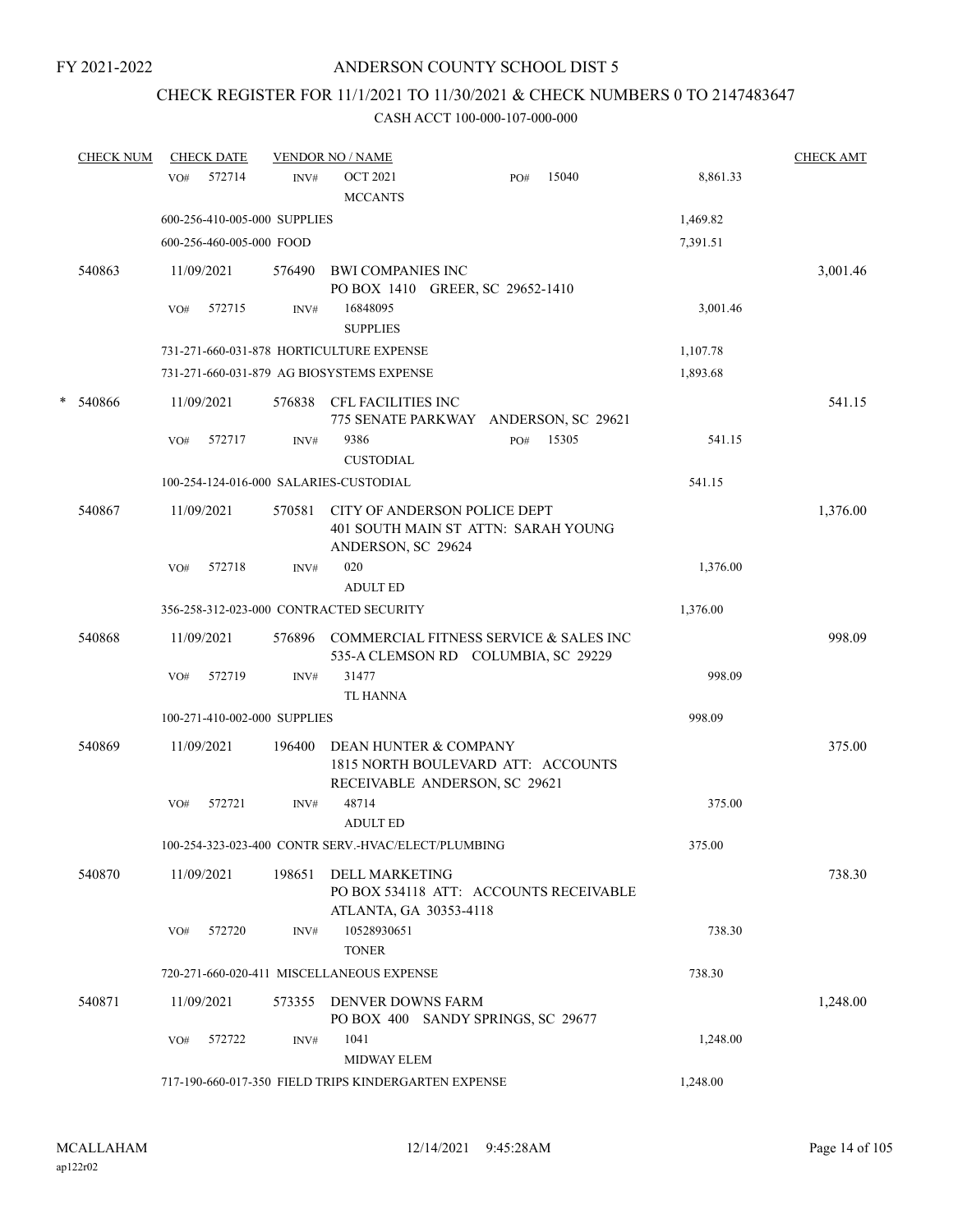# CHECK REGISTER FOR 11/1/2021 TO 11/30/2021 & CHECK NUMBERS 0 TO 2147483647

|   | <b>CHECK NUM</b> | <b>CHECK DATE</b>                                    |        | <b>VENDOR NO / NAME</b>                                      |                                                                               |       |          | <b>CHECK AMT</b> |
|---|------------------|------------------------------------------------------|--------|--------------------------------------------------------------|-------------------------------------------------------------------------------|-------|----------|------------------|
|   |                  | 572714<br>VO#                                        | INV#   | <b>OCT 2021</b><br><b>MCCANTS</b>                            | PO#                                                                           | 15040 | 8,861.33 |                  |
|   |                  | 600-256-410-005-000 SUPPLIES                         |        |                                                              |                                                                               |       | 1,469.82 |                  |
|   |                  | 600-256-460-005-000 FOOD                             |        |                                                              |                                                                               |       | 7,391.51 |                  |
|   | 540863           | 11/09/2021                                           | 576490 | <b>BWI COMPANIES INC</b><br>PO BOX 1410 GREER, SC 29652-1410 |                                                                               |       |          | 3,001.46         |
|   |                  | 572715<br>VO#                                        | INV#   | 16848095<br><b>SUPPLIES</b>                                  |                                                                               |       | 3,001.46 |                  |
|   |                  | 731-271-660-031-878 HORTICULTURE EXPENSE             |        |                                                              |                                                                               |       | 1,107.78 |                  |
|   |                  | 731-271-660-031-879 AG BIOSYSTEMS EXPENSE            |        |                                                              |                                                                               |       | 1,893.68 |                  |
| * | 540866           | 11/09/2021                                           | 576838 | CFL FACILITIES INC                                           | 775 SENATE PARKWAY ANDERSON, SC 29621                                         |       |          | 541.15           |
|   |                  | 572717<br>VO#                                        | INV#   | 9386<br><b>CUSTODIAL</b>                                     | PO#                                                                           | 15305 | 541.15   |                  |
|   |                  | 100-254-124-016-000 SALARIES-CUSTODIAL               |        |                                                              |                                                                               |       | 541.15   |                  |
|   | 540867           | 11/09/2021                                           | 570581 | ANDERSON, SC 29624                                           | CITY OF ANDERSON POLICE DEPT<br>401 SOUTH MAIN ST ATTN: SARAH YOUNG           |       |          | 1,376.00         |
|   |                  | 572718<br>VO#                                        | INV#   | 020<br><b>ADULT ED</b>                                       |                                                                               |       | 1,376.00 |                  |
|   |                  | 356-258-312-023-000 CONTRACTED SECURITY              |        |                                                              |                                                                               |       | 1,376.00 |                  |
|   | 540868           | 11/09/2021                                           | 576896 |                                                              | COMMERCIAL FITNESS SERVICE & SALES INC<br>535-A CLEMSON RD COLUMBIA, SC 29229 |       |          | 998.09           |
|   |                  | 572719<br>VO#                                        | INV#   | 31477<br><b>TL HANNA</b>                                     |                                                                               |       | 998.09   |                  |
|   |                  | 100-271-410-002-000 SUPPLIES                         |        |                                                              |                                                                               |       | 998.09   |                  |
|   | 540869           | 11/09/2021                                           | 196400 |                                                              | DEAN HUNTER & COMPANY<br>1815 NORTH BOULEVARD ATT: ACCOUNTS                   |       |          | 375.00           |
|   |                  | 572721<br>VO#                                        | INV#   | 48714                                                        | RECEIVABLE ANDERSON, SC 29621                                                 |       | 375.00   |                  |
|   |                  |                                                      |        | <b>ADULT ED</b>                                              |                                                                               |       |          |                  |
|   |                  | 100-254-323-023-400 CONTR SERV.-HVAC/ELECT/PLUMBING  |        |                                                              |                                                                               |       | 375.00   |                  |
|   | 540870           | 11/09/2021                                           | 198651 | <b>DELL MARKETING</b><br>ATLANTA, GA 30353-4118              | PO BOX 534118 ATT: ACCOUNTS RECEIVABLE                                        |       |          | 738.30           |
|   |                  | 572720<br>VO#                                        | INV#   | 10528930651<br><b>TONER</b>                                  |                                                                               |       | 738.30   |                  |
|   |                  | 720-271-660-020-411 MISCELLANEOUS EXPENSE            |        |                                                              |                                                                               |       | 738.30   |                  |
|   | 540871           | 11/09/2021                                           | 573355 | DENVER DOWNS FARM                                            | PO BOX 400 SANDY SPRINGS, SC 29677                                            |       |          | 1,248.00         |
|   |                  | 572722<br>VO#                                        | INV#   | 1041<br>MIDWAY ELEM                                          |                                                                               |       | 1,248.00 |                  |
|   |                  | 717-190-660-017-350 FIELD TRIPS KINDERGARTEN EXPENSE |        |                                                              |                                                                               |       | 1,248.00 |                  |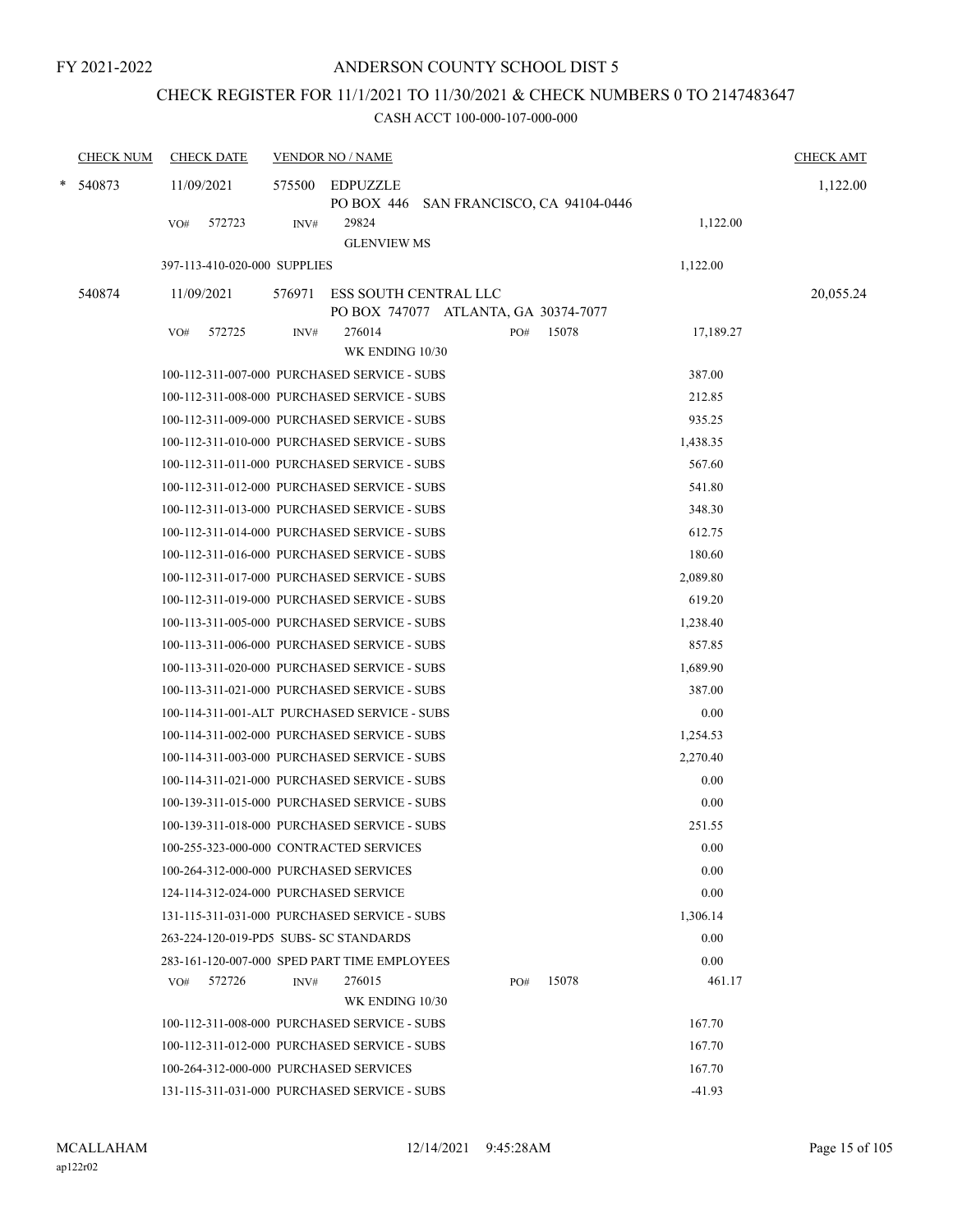# CHECK REGISTER FOR 11/1/2021 TO 11/30/2021 & CHECK NUMBERS 0 TO 2147483647

| <b>CHECK NUM</b> | <b>CHECK DATE</b>                            |        | <b>VENDOR NO / NAME</b>                                           |     |                                         |           | <b>CHECK AMT</b> |
|------------------|----------------------------------------------|--------|-------------------------------------------------------------------|-----|-----------------------------------------|-----------|------------------|
| $*$ 540873       | 11/09/2021                                   | 575500 | EDPUZZLE                                                          |     | PO BOX 446 SAN FRANCISCO, CA 94104-0446 |           | 1,122.00         |
|                  | 572723<br>VO#                                | INV#   | 29824<br><b>GLENVIEW MS</b>                                       |     |                                         | 1,122.00  |                  |
|                  | 397-113-410-020-000 SUPPLIES                 |        |                                                                   |     |                                         | 1,122.00  |                  |
| 540874           | 11/09/2021                                   | 576971 | ESS SOUTH CENTRAL LLC                                             |     |                                         |           | 20,055.24        |
|                  | 572725<br>VO#                                | INV#   | PO BOX 747077 ATLANTA, GA 30374-7077<br>276014<br>WK ENDING 10/30 | PO# | 15078                                   | 17,189.27 |                  |
|                  | 100-112-311-007-000 PURCHASED SERVICE - SUBS |        |                                                                   |     |                                         | 387.00    |                  |
|                  | 100-112-311-008-000 PURCHASED SERVICE - SUBS |        |                                                                   |     |                                         | 212.85    |                  |
|                  | 100-112-311-009-000 PURCHASED SERVICE - SUBS |        |                                                                   |     |                                         | 935.25    |                  |
|                  | 100-112-311-010-000 PURCHASED SERVICE - SUBS |        |                                                                   |     |                                         | 1,438.35  |                  |
|                  | 100-112-311-011-000 PURCHASED SERVICE - SUBS |        |                                                                   |     |                                         | 567.60    |                  |
|                  | 100-112-311-012-000 PURCHASED SERVICE - SUBS |        |                                                                   |     |                                         | 541.80    |                  |
|                  | 100-112-311-013-000 PURCHASED SERVICE - SUBS |        |                                                                   |     |                                         | 348.30    |                  |
|                  | 100-112-311-014-000 PURCHASED SERVICE - SUBS |        |                                                                   |     |                                         | 612.75    |                  |
|                  | 100-112-311-016-000 PURCHASED SERVICE - SUBS |        |                                                                   |     |                                         | 180.60    |                  |
|                  | 100-112-311-017-000 PURCHASED SERVICE - SUBS |        |                                                                   |     |                                         | 2,089.80  |                  |
|                  | 100-112-311-019-000 PURCHASED SERVICE - SUBS |        |                                                                   |     |                                         | 619.20    |                  |
|                  | 100-113-311-005-000 PURCHASED SERVICE - SUBS |        |                                                                   |     |                                         | 1,238.40  |                  |
|                  | 100-113-311-006-000 PURCHASED SERVICE - SUBS |        |                                                                   |     |                                         | 857.85    |                  |
|                  | 100-113-311-020-000 PURCHASED SERVICE - SUBS |        |                                                                   |     |                                         | 1,689.90  |                  |
|                  | 100-113-311-021-000 PURCHASED SERVICE - SUBS |        |                                                                   |     |                                         | 387.00    |                  |
|                  | 100-114-311-001-ALT PURCHASED SERVICE - SUBS |        |                                                                   |     |                                         | 0.00      |                  |
|                  | 100-114-311-002-000 PURCHASED SERVICE - SUBS |        |                                                                   |     |                                         | 1,254.53  |                  |
|                  | 100-114-311-003-000 PURCHASED SERVICE - SUBS |        |                                                                   |     |                                         | 2,270.40  |                  |
|                  | 100-114-311-021-000 PURCHASED SERVICE - SUBS |        |                                                                   |     |                                         | 0.00      |                  |
|                  | 100-139-311-015-000 PURCHASED SERVICE - SUBS |        |                                                                   |     |                                         | 0.00      |                  |
|                  | 100-139-311-018-000 PURCHASED SERVICE - SUBS |        |                                                                   |     |                                         | 251.55    |                  |
|                  | 100-255-323-000-000 CONTRACTED SERVICES      |        |                                                                   |     |                                         | 0.00      |                  |
|                  | 100-264-312-000-000 PURCHASED SERVICES       |        |                                                                   |     |                                         | 0.00      |                  |
|                  | 124-114-312-024-000 PURCHASED SERVICE        |        |                                                                   |     |                                         | 0.00      |                  |
|                  | 131-115-311-031-000 PURCHASED SERVICE - SUBS |        |                                                                   |     |                                         | 1,306.14  |                  |
|                  | 263-224-120-019-PD5 SUBS- SC STANDARDS       |        |                                                                   |     |                                         | 0.00      |                  |
|                  | 283-161-120-007-000 SPED PART TIME EMPLOYEES |        |                                                                   |     |                                         | 0.00      |                  |
|                  | 572726<br>VO#                                | INV#   | 276015                                                            | PO# | 15078                                   | 461.17    |                  |
|                  |                                              |        | WK ENDING 10/30                                                   |     |                                         |           |                  |
|                  | 100-112-311-008-000 PURCHASED SERVICE - SUBS |        |                                                                   |     |                                         | 167.70    |                  |
|                  | 100-112-311-012-000 PURCHASED SERVICE - SUBS |        |                                                                   |     |                                         | 167.70    |                  |
|                  | 100-264-312-000-000 PURCHASED SERVICES       |        |                                                                   |     |                                         | 167.70    |                  |
|                  | 131-115-311-031-000 PURCHASED SERVICE - SUBS |        |                                                                   |     |                                         | $-41.93$  |                  |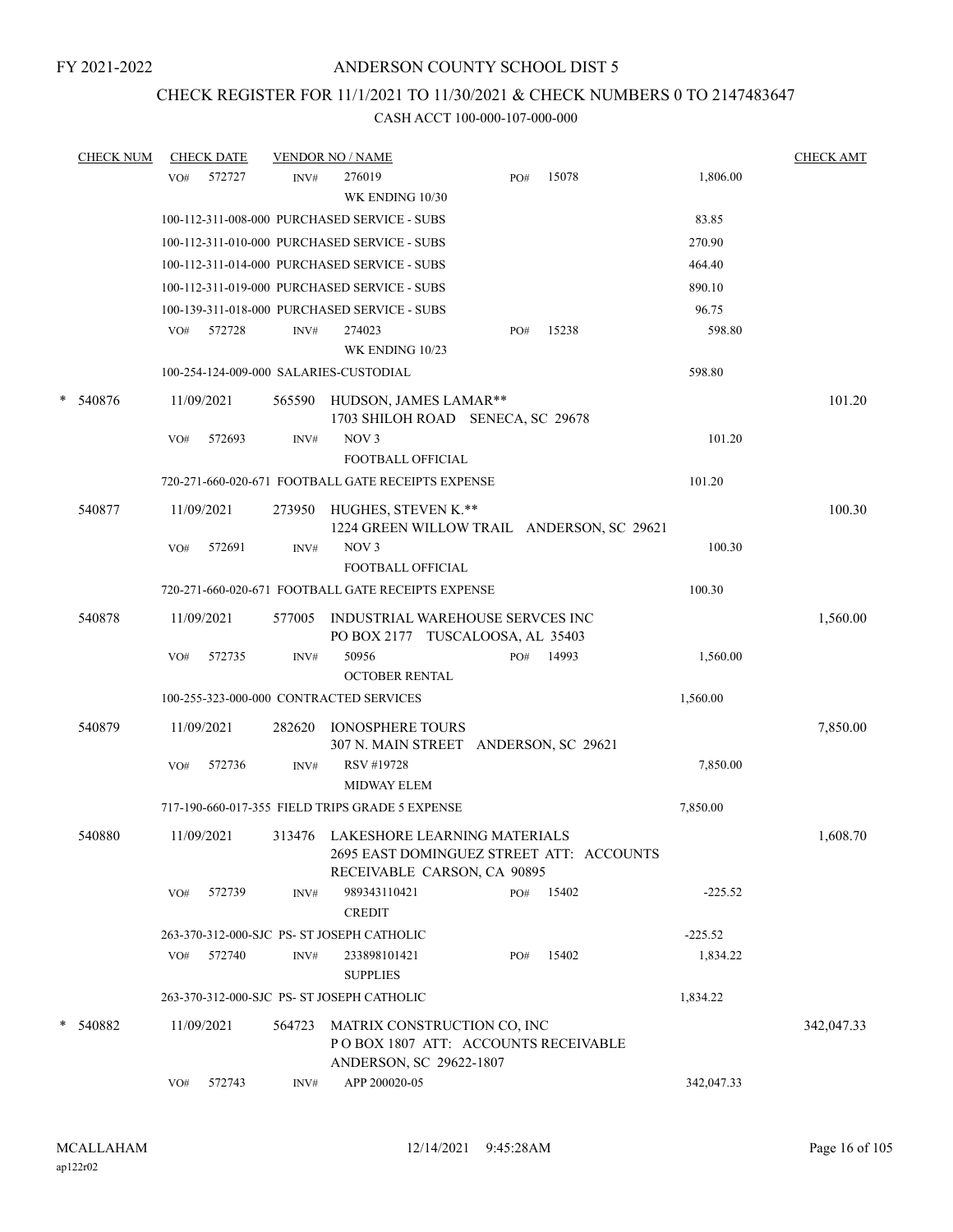## CHECK REGISTER FOR 11/1/2021 TO 11/30/2021 & CHECK NUMBERS 0 TO 2147483647

|   | <b>CHECK NUM</b> | <b>CHECK DATE</b> |        |        | <b>VENDOR NO / NAME</b>                                                                                        |     |       |            | <b>CHECK AMT</b> |
|---|------------------|-------------------|--------|--------|----------------------------------------------------------------------------------------------------------------|-----|-------|------------|------------------|
|   |                  | VO#               | 572727 | INV#   | 276019<br>WK ENDING 10/30                                                                                      | PO# | 15078 | 1,806.00   |                  |
|   |                  |                   |        |        | 100-112-311-008-000 PURCHASED SERVICE - SUBS                                                                   |     |       | 83.85      |                  |
|   |                  |                   |        |        | 100-112-311-010-000 PURCHASED SERVICE - SUBS                                                                   |     |       | 270.90     |                  |
|   |                  |                   |        |        | 100-112-311-014-000 PURCHASED SERVICE - SUBS                                                                   |     |       | 464.40     |                  |
|   |                  |                   |        |        | 100-112-311-019-000 PURCHASED SERVICE - SUBS                                                                   |     |       | 890.10     |                  |
|   |                  |                   |        |        | 100-139-311-018-000 PURCHASED SERVICE - SUBS                                                                   |     |       | 96.75      |                  |
|   |                  | VO#               | 572728 | INV#   | 274023<br>WK ENDING 10/23                                                                                      | PO# | 15238 | 598.80     |                  |
|   |                  |                   |        |        | 100-254-124-009-000 SALARIES-CUSTODIAL                                                                         |     |       | 598.80     |                  |
| * | 540876           | 11/09/2021        |        | 565590 | HUDSON, JAMES LAMAR**<br>1703 SHILOH ROAD SENECA, SC 29678                                                     |     |       |            | 101.20           |
|   |                  | VO#               | 572693 | INV#   | NOV <sub>3</sub><br><b>FOOTBALL OFFICIAL</b>                                                                   |     |       | 101.20     |                  |
|   |                  |                   |        |        | 720-271-660-020-671 FOOTBALL GATE RECEIPTS EXPENSE                                                             |     |       | 101.20     |                  |
|   | 540877           | 11/09/2021        |        | 273950 | HUGHES, STEVEN K.**<br>1224 GREEN WILLOW TRAIL ANDERSON, SC 29621                                              |     |       |            | 100.30           |
|   |                  | VO#               | 572691 | INV#   | NOV <sub>3</sub><br>FOOTBALL OFFICIAL                                                                          |     |       | 100.30     |                  |
|   |                  |                   |        |        | 720-271-660-020-671 FOOTBALL GATE RECEIPTS EXPENSE                                                             |     |       | 100.30     |                  |
|   | 540878           | 11/09/2021        |        | 577005 | INDUSTRIAL WAREHOUSE SERVCES INC<br>PO BOX 2177 TUSCALOOSA, AL 35403                                           |     |       |            | 1,560.00         |
|   |                  | VO#               | 572735 | INV#   | 50956<br><b>OCTOBER RENTAL</b>                                                                                 | PO# | 14993 | 1,560.00   |                  |
|   |                  |                   |        |        | 100-255-323-000-000 CONTRACTED SERVICES                                                                        |     |       | 1,560.00   |                  |
|   | 540879           | 11/09/2021        |        | 282620 | <b>IONOSPHERE TOURS</b><br>307 N. MAIN STREET ANDERSON, SC 29621                                               |     |       |            | 7,850.00         |
|   |                  | VO#               | 572736 | INV#   | RSV #19728<br><b>MIDWAY ELEM</b>                                                                               |     |       | 7,850.00   |                  |
|   |                  |                   |        |        | 717-190-660-017-355 FIELD TRIPS GRADE 5 EXPENSE                                                                |     |       | 7,850.00   |                  |
|   | 540880           | 11/09/2021        |        |        | 313476 LAKESHORE LEARNING MATERIALS<br>2695 EAST DOMINGUEZ STREET ATT: ACCOUNTS<br>RECEIVABLE CARSON, CA 90895 |     |       |            | 1,608.70         |
|   |                  | VO#               | 572739 | INV#   | 989343110421<br><b>CREDIT</b>                                                                                  | PO# | 15402 | $-225.52$  |                  |
|   |                  |                   |        |        | 263-370-312-000-SJC PS- ST JOSEPH CATHOLIC                                                                     |     |       | $-225.52$  |                  |
|   |                  | VO#               | 572740 | INV#   | 233898101421<br><b>SUPPLIES</b>                                                                                | PO# | 15402 | 1,834.22   |                  |
|   |                  |                   |        |        | 263-370-312-000-SJC PS- ST JOSEPH CATHOLIC                                                                     |     |       | 1,834.22   |                  |
|   | * 540882         | 11/09/2021        |        | 564723 | MATRIX CONSTRUCTION CO, INC<br>POBOX 1807 ATT: ACCOUNTS RECEIVABLE<br>ANDERSON, SC 29622-1807                  |     |       |            | 342,047.33       |
|   |                  | VO#               | 572743 | INV#   | APP 200020-05                                                                                                  |     |       | 342,047.33 |                  |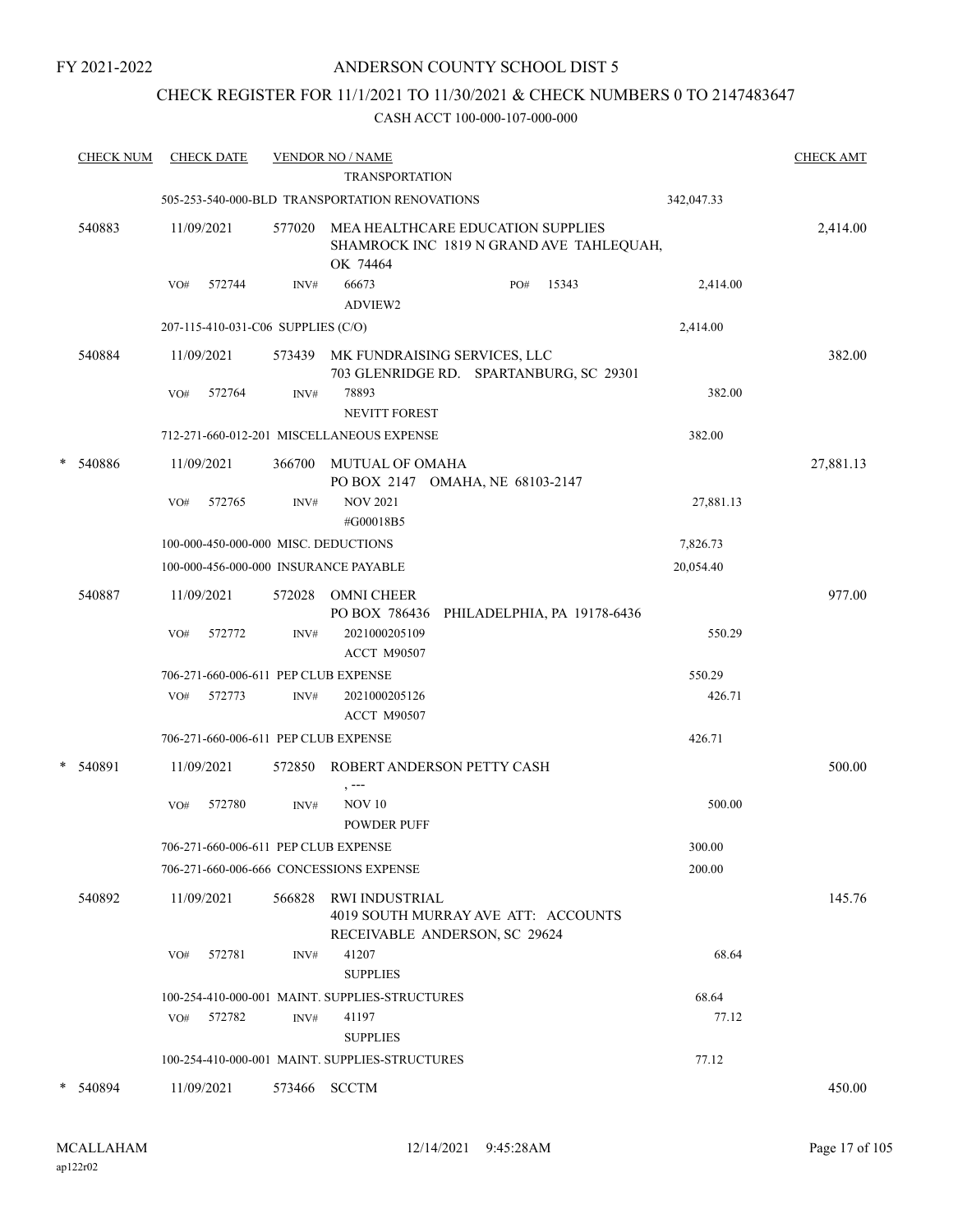## CHECK REGISTER FOR 11/1/2021 TO 11/30/2021 & CHECK NUMBERS 0 TO 2147483647

|   | <b>CHECK NUM</b> |     | <b>CHECK DATE</b>                  |        | <b>VENDOR NO / NAME</b><br><b>TRANSPORTATION</b>                                          |     |       |            | <b>CHECK AMT</b> |
|---|------------------|-----|------------------------------------|--------|-------------------------------------------------------------------------------------------|-----|-------|------------|------------------|
|   |                  |     |                                    |        | 505-253-540-000-BLD TRANSPORTATION RENOVATIONS                                            |     |       | 342,047.33 |                  |
|   | 540883           |     | 11/09/2021                         | 577020 | MEA HEALTHCARE EDUCATION SUPPLIES<br>SHAMROCK INC 1819 N GRAND AVE TAHLEQUAH,<br>OK 74464 |     |       |            | 2,414.00         |
|   |                  | VO# | 572744                             | INV#   | 66673<br>ADVIEW2                                                                          | PO# | 15343 | 2,414.00   |                  |
|   |                  |     | 207-115-410-031-C06 SUPPLIES (C/O) |        |                                                                                           |     |       | 2,414.00   |                  |
|   | 540884           |     | 11/09/2021                         |        | 573439 MK FUNDRAISING SERVICES, LLC<br>703 GLENRIDGE RD. SPARTANBURG, SC 29301            |     |       |            | 382.00           |
|   |                  | VO# | 572764                             | INV#   | 78893<br><b>NEVITT FOREST</b>                                                             |     |       | 382.00     |                  |
|   |                  |     |                                    |        | 712-271-660-012-201 MISCELLANEOUS EXPENSE                                                 |     |       | 382.00     |                  |
| * | 540886           |     | 11/09/2021                         | 366700 | MUTUAL OF OMAHA<br>PO BOX 2147 OMAHA, NE 68103-2147                                       |     |       |            | 27,881.13        |
|   |                  | VO# | 572765                             | INV#   | <b>NOV 2021</b><br>#G00018B5                                                              |     |       | 27,881.13  |                  |
|   |                  |     |                                    |        | 100-000-450-000-000 MISC. DEDUCTIONS                                                      |     |       | 7,826.73   |                  |
|   |                  |     |                                    |        | 100-000-456-000-000 INSURANCE PAYABLE                                                     |     |       | 20,054.40  |                  |
|   | 540887           |     | 11/09/2021                         | 572028 | OMNI CHEER<br>PO BOX 786436 PHILADELPHIA, PA 19178-6436                                   |     |       |            | 977.00           |
|   |                  | VO# | 572772                             | INV#   | 2021000205109<br><b>ACCT M90507</b>                                                       |     |       | 550.29     |                  |
|   |                  |     |                                    |        | 706-271-660-006-611 PEP CLUB EXPENSE                                                      |     |       | 550.29     |                  |
|   |                  | VO# | 572773                             | INV#   | 2021000205126<br><b>ACCT M90507</b>                                                       |     |       | 426.71     |                  |
|   |                  |     |                                    |        | 706-271-660-006-611 PEP CLUB EXPENSE                                                      |     |       | 426.71     |                  |
| * | 540891           |     | 11/09/2021                         | 572850 | ROBERT ANDERSON PETTY CASH<br>, ---                                                       |     |       |            | 500.00           |
|   |                  | VO# | 572780                             | INV#   | <b>NOV 10</b><br><b>POWDER PUFF</b>                                                       |     |       | 500.00     |                  |
|   |                  |     |                                    |        | 706-271-660-006-611 PEP CLUB EXPENSE                                                      |     |       | 300.00     |                  |
|   |                  |     |                                    |        | 706-271-660-006-666 CONCESSIONS EXPENSE                                                   |     |       | 200.00     |                  |
|   | 540892           |     | 11/09/2021                         | 566828 | RWI INDUSTRIAL<br>4019 SOUTH MURRAY AVE ATT: ACCOUNTS<br>RECEIVABLE ANDERSON, SC 29624    |     |       |            | 145.76           |
|   |                  | VO# | 572781                             | INV#   | 41207<br><b>SUPPLIES</b>                                                                  |     |       | 68.64      |                  |
|   |                  |     |                                    |        | 100-254-410-000-001 MAINT. SUPPLIES-STRUCTURES                                            |     |       | 68.64      |                  |
|   |                  | VO# | 572782                             | INV#   | 41197<br><b>SUPPLIES</b>                                                                  |     |       | 77.12      |                  |
|   |                  |     |                                    |        | 100-254-410-000-001 MAINT. SUPPLIES-STRUCTURES                                            |     |       | 77.12      |                  |
|   | * 540894         |     | 11/09/2021                         |        | 573466 SCCTM                                                                              |     |       |            | 450.00           |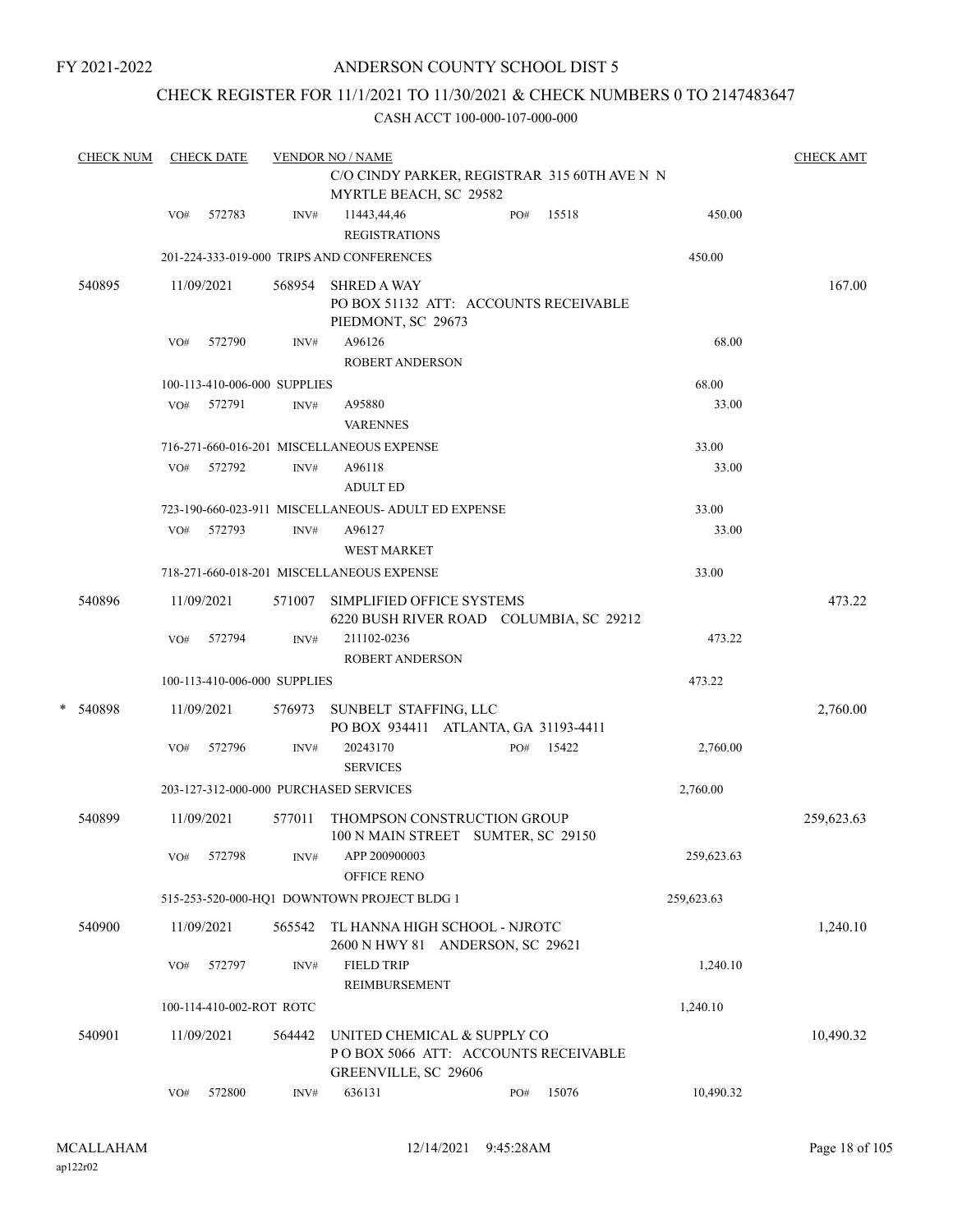## ANDERSON COUNTY SCHOOL DIST 5

## CHECK REGISTER FOR 11/1/2021 TO 11/30/2021 & CHECK NUMBERS 0 TO 2147483647

|   | <b>CHECK NUM</b> | <b>CHECK DATE</b> |                              |        | <b>VENDOR NO / NAME</b>                                                                    |     |       |            |            |  |
|---|------------------|-------------------|------------------------------|--------|--------------------------------------------------------------------------------------------|-----|-------|------------|------------|--|
|   |                  |                   |                              |        | C/O CINDY PARKER, REGISTRAR 315 60TH AVE N N<br>MYRTLE BEACH, SC 29582                     |     |       |            |            |  |
|   |                  | VO#               | 572783                       | INV#   | 11443,44,46<br><b>REGISTRATIONS</b>                                                        | PO# | 15518 | 450.00     |            |  |
|   |                  |                   |                              |        | 201-224-333-019-000 TRIPS AND CONFERENCES                                                  |     |       | 450.00     |            |  |
|   | 540895           |                   | 11/09/2021                   | 568954 | <b>SHRED A WAY</b><br>PO BOX 51132 ATT: ACCOUNTS RECEIVABLE<br>PIEDMONT, SC 29673          |     |       |            | 167.00     |  |
|   |                  | VO#               | 572790                       | INV#   | A96126<br><b>ROBERT ANDERSON</b>                                                           |     |       | 68.00      |            |  |
|   |                  |                   | 100-113-410-006-000 SUPPLIES |        |                                                                                            |     |       | 68.00      |            |  |
|   |                  | VO#               | 572791                       | INV#   | A95880<br><b>VARENNES</b>                                                                  |     |       | 33.00      |            |  |
|   |                  |                   |                              |        | 716-271-660-016-201 MISCELLANEOUS EXPENSE                                                  |     |       | 33.00      |            |  |
|   |                  | VO#               | 572792                       | INV#   | A96118<br><b>ADULT ED</b>                                                                  |     |       | 33.00      |            |  |
|   |                  |                   |                              |        | 723-190-660-023-911 MISCELLANEOUS- ADULT ED EXPENSE                                        |     |       | 33.00      |            |  |
|   |                  | VO#               | 572793                       | INV#   | A96127<br><b>WEST MARKET</b>                                                               |     |       | 33.00      |            |  |
|   |                  |                   |                              |        | 718-271-660-018-201 MISCELLANEOUS EXPENSE                                                  |     |       | 33.00      |            |  |
|   | 540896           |                   | 11/09/2021                   | 571007 | SIMPLIFIED OFFICE SYSTEMS<br>6220 BUSH RIVER ROAD COLUMBIA, SC 29212                       |     |       |            | 473.22     |  |
|   |                  | VO#               | 572794                       | INV#   | 211102-0236<br><b>ROBERT ANDERSON</b>                                                      |     |       | 473.22     |            |  |
|   |                  |                   | 100-113-410-006-000 SUPPLIES |        |                                                                                            |     |       | 473.22     |            |  |
| * | 540898           |                   | 11/09/2021                   | 576973 | SUNBELT STAFFING, LLC<br>PO BOX 934411 ATLANTA, GA 31193-4411                              |     |       |            | 2,760.00   |  |
|   |                  | VO#               | 572796                       | INV#   | 20243170<br><b>SERVICES</b>                                                                | PO# | 15422 | 2,760.00   |            |  |
|   |                  |                   |                              |        | 203-127-312-000-000 PURCHASED SERVICES                                                     |     |       | 2,760.00   |            |  |
|   | 540899           |                   | 11/09/2021                   | 577011 | THOMPSON CONSTRUCTION GROUP<br>100 N MAIN STREET SUMTER, SC 29150                          |     |       |            | 259,623.63 |  |
|   |                  | VO#               | 572798                       | INV#   | APP 200900003<br><b>OFFICE RENO</b>                                                        |     |       | 259,623.63 |            |  |
|   |                  |                   |                              |        | 515-253-520-000-HQ1 DOWNTOWN PROJECT BLDG 1                                                |     |       | 259,623.63 |            |  |
|   | 540900           |                   | 11/09/2021                   | 565542 | TL HANNA HIGH SCHOOL - NJROTC<br>2600 N HWY 81 ANDERSON, SC 29621                          |     |       |            | 1,240.10   |  |
|   |                  | VO#               | 572797                       | INV#   | <b>FIELD TRIP</b><br>REIMBURSEMENT                                                         |     |       | 1,240.10   |            |  |
|   |                  |                   | 100-114-410-002-ROT ROTC     |        |                                                                                            |     |       | 1,240.10   |            |  |
|   | 540901           |                   | 11/09/2021                   | 564442 | UNITED CHEMICAL & SUPPLY CO<br>POBOX 5066 ATT: ACCOUNTS RECEIVABLE<br>GREENVILLE, SC 29606 |     |       |            | 10,490.32  |  |
|   |                  | VO#               | 572800                       | INV#   | 636131                                                                                     | PO# | 15076 | 10,490.32  |            |  |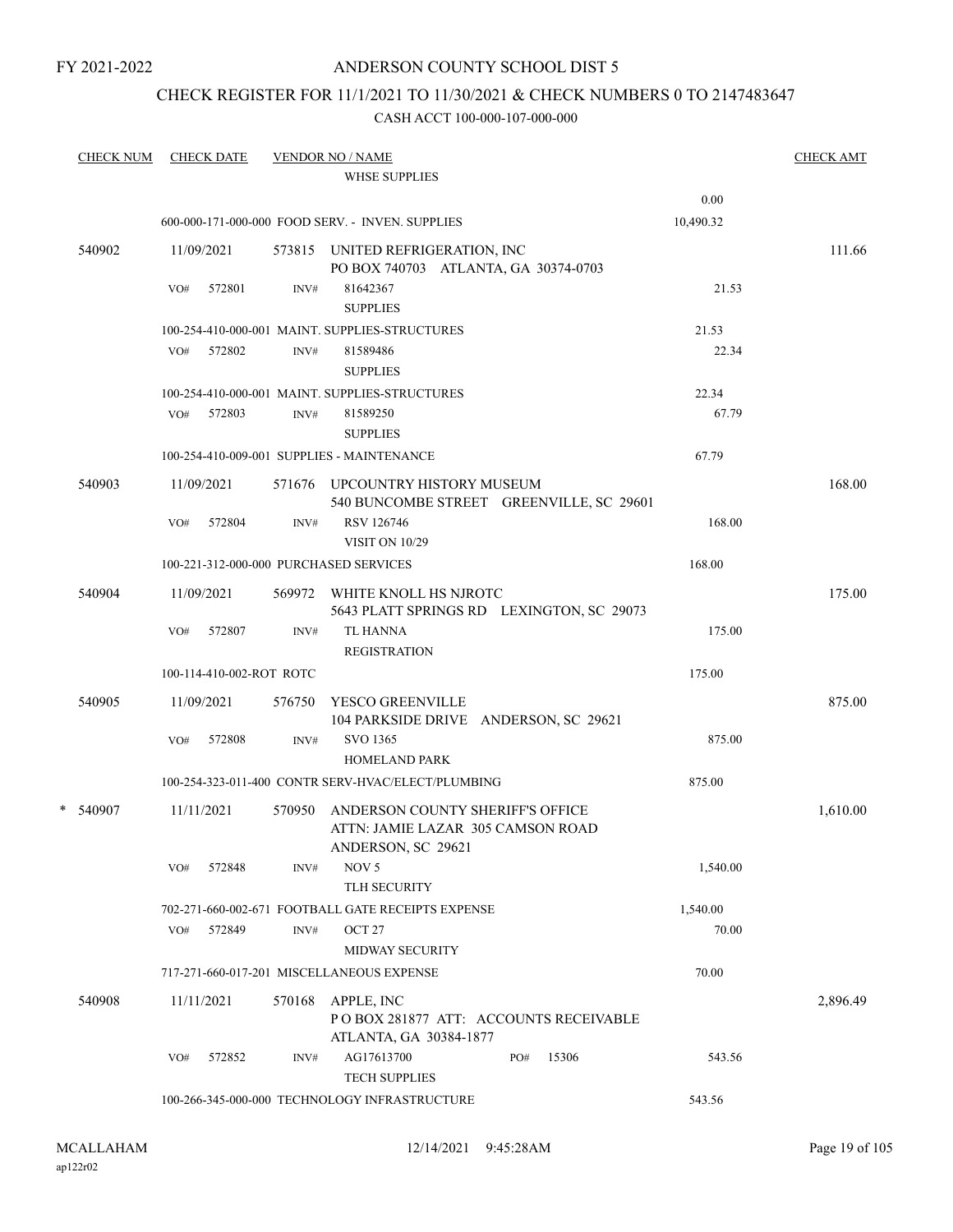## ANDERSON COUNTY SCHOOL DIST 5

## CHECK REGISTER FOR 11/1/2021 TO 11/30/2021 & CHECK NUMBERS 0 TO 2147483647

| <b>CHECK NUM</b> |     | <b>CHECK DATE</b>        |        | <b>VENDOR NO / NAME</b><br><b>WHSE SUPPLIES</b>                                             |     |       |           | <b>CHECK AMT</b> |
|------------------|-----|--------------------------|--------|---------------------------------------------------------------------------------------------|-----|-------|-----------|------------------|
|                  |     |                          |        |                                                                                             |     |       | 0.00      |                  |
|                  |     |                          |        | 600-000-171-000-000 FOOD SERV. - INVEN. SUPPLIES                                            |     |       | 10,490.32 |                  |
| 540902           |     | 11/09/2021               |        | 573815 UNITED REFRIGERATION, INC<br>PO BOX 740703 ATLANTA, GA 30374-0703                    |     |       |           | 111.66           |
|                  | VO# | 572801                   | INV#   | 81642367<br><b>SUPPLIES</b>                                                                 |     |       | 21.53     |                  |
|                  |     |                          |        | 100-254-410-000-001 MAINT. SUPPLIES-STRUCTURES                                              |     |       | 21.53     |                  |
|                  |     | VO# 572802               | INV#   | 81589486<br><b>SUPPLIES</b>                                                                 |     |       | 22.34     |                  |
|                  |     |                          |        | 100-254-410-000-001 MAINT. SUPPLIES-STRUCTURES                                              |     |       | 22.34     |                  |
|                  |     | VO# 572803               | INV#   | 81589250<br><b>SUPPLIES</b>                                                                 |     |       | 67.79     |                  |
|                  |     |                          |        | 100-254-410-009-001 SUPPLIES - MAINTENANCE                                                  |     |       | 67.79     |                  |
| 540903           |     | 11/09/2021               |        | 571676 UPCOUNTRY HISTORY MUSEUM<br>540 BUNCOMBE STREET GREENVILLE, SC 29601                 |     |       |           | 168.00           |
|                  | VO# | 572804                   | INV#   | RSV 126746<br><b>VISIT ON 10/29</b>                                                         |     |       | 168.00    |                  |
|                  |     |                          |        | 100-221-312-000-000 PURCHASED SERVICES                                                      |     |       | 168.00    |                  |
| 540904           |     | 11/09/2021               |        | 569972 WHITE KNOLL HS NJROTC<br>5643 PLATT SPRINGS RD LEXINGTON, SC 29073                   |     |       |           | 175.00           |
|                  | VO# | 572807                   | INV#   | <b>TL HANNA</b><br><b>REGISTRATION</b>                                                      |     |       | 175.00    |                  |
|                  |     | 100-114-410-002-ROT ROTC |        |                                                                                             |     |       | 175.00    |                  |
| 540905           |     | 11/09/2021               | 576750 | YESCO GREENVILLE<br>104 PARKSIDE DRIVE ANDERSON, SC 29621                                   |     |       |           | 875.00           |
|                  | VO# | 572808                   | INV#   | SVO 1365<br><b>HOMELAND PARK</b>                                                            |     |       | 875.00    |                  |
|                  |     |                          |        | 100-254-323-011-400 CONTR SERV-HVAC/ELECT/PLUMBING                                          |     |       | 875.00    |                  |
| $*$ 540907       |     | 11/11/2021               | 570950 | ANDERSON COUNTY SHERIFF'S OFFICE<br>ATTN: JAMIE LAZAR 305 CAMSON ROAD<br>ANDERSON, SC 29621 |     |       |           | 1,610.00         |
|                  | VO# | 572848                   | INV#   | NOV <sub>5</sub><br>TLH SECURITY                                                            |     |       | 1,540.00  |                  |
|                  |     |                          |        | 702-271-660-002-671 FOOTBALL GATE RECEIPTS EXPENSE                                          |     |       | 1,540.00  |                  |
|                  | VO# | 572849                   | INV#   | OCT 27<br><b>MIDWAY SECURITY</b>                                                            |     |       | 70.00     |                  |
|                  |     |                          |        | 717-271-660-017-201 MISCELLANEOUS EXPENSE                                                   |     |       | 70.00     |                  |
| 540908           |     | 11/11/2021               | 570168 | APPLE, INC<br>PO BOX 281877 ATT: ACCOUNTS RECEIVABLE<br>ATLANTA, GA 30384-1877              |     |       |           | 2,896.49         |
|                  | VO# | 572852                   | INV#   | AG17613700<br><b>TECH SUPPLIES</b>                                                          | PO# | 15306 | 543.56    |                  |
|                  |     |                          |        | 100-266-345-000-000 TECHNOLOGY INFRASTRUCTURE                                               |     |       | 543.56    |                  |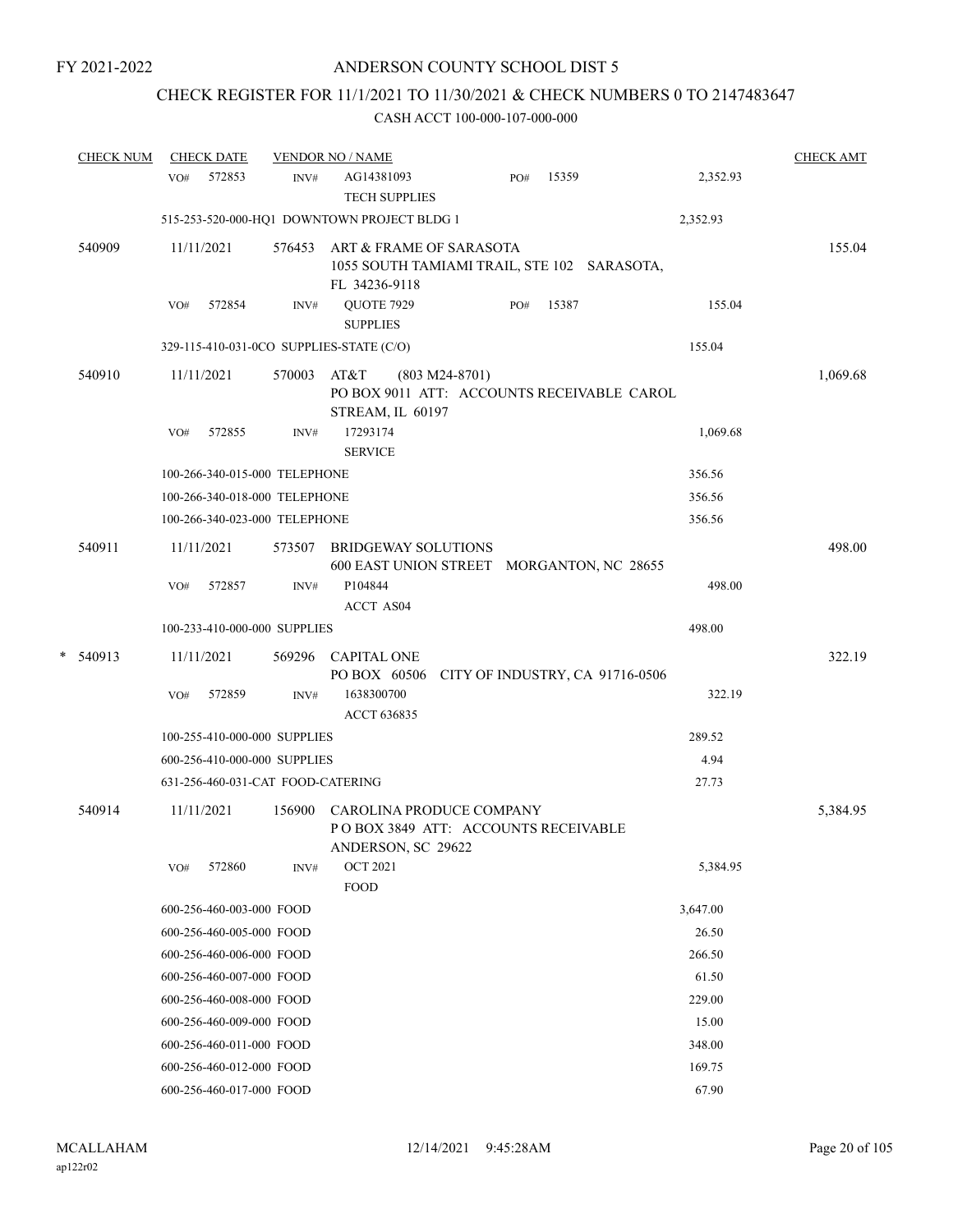# CHECK REGISTER FOR 11/1/2021 TO 11/30/2021 & CHECK NUMBERS 0 TO 2147483647

|   | <b>CHECK NUM</b> | <b>CHECK DATE</b>                        |        | <b>VENDOR NO / NAME</b>                                                                    |     |       |          | <b>CHECK AMT</b> |
|---|------------------|------------------------------------------|--------|--------------------------------------------------------------------------------------------|-----|-------|----------|------------------|
|   |                  | 572853<br>VO#                            | INV#   | AG14381093<br><b>TECH SUPPLIES</b>                                                         | PO# | 15359 | 2,352.93 |                  |
|   |                  |                                          |        | 515-253-520-000-HQ1 DOWNTOWN PROJECT BLDG 1                                                |     |       | 2,352.93 |                  |
|   | 540909           | 11/11/2021                               | 576453 | ART & FRAME OF SARASOTA<br>1055 SOUTH TAMIAMI TRAIL, STE 102 SARASOTA,<br>FL 34236-9118    |     |       |          | 155.04           |
|   |                  | 572854<br>VO#                            | INV#   | QUOTE 7929<br><b>SUPPLIES</b>                                                              | PO# | 15387 | 155.04   |                  |
|   |                  | 329-115-410-031-0CO SUPPLIES-STATE (C/O) |        |                                                                                            |     |       | 155.04   |                  |
|   | 540910           | 11/11/2021                               | 570003 | AT&T<br>$(803 M24-8701)$<br>PO BOX 9011 ATT: ACCOUNTS RECEIVABLE CAROL<br>STREAM, IL 60197 |     |       |          | 1,069.68         |
|   |                  | 572855<br>VO#                            | INV#   | 17293174<br><b>SERVICE</b>                                                                 |     |       | 1,069.68 |                  |
|   |                  | 100-266-340-015-000 TELEPHONE            |        |                                                                                            |     |       | 356.56   |                  |
|   |                  | 100-266-340-018-000 TELEPHONE            |        |                                                                                            |     |       | 356.56   |                  |
|   |                  | 100-266-340-023-000 TELEPHONE            |        |                                                                                            |     |       | 356.56   |                  |
|   | 540911           | 11/11/2021                               | 573507 | <b>BRIDGEWAY SOLUTIONS</b><br>600 EAST UNION STREET MORGANTON, NC 28655                    |     |       |          | 498.00           |
|   |                  | 572857<br>VO#                            | INV#   | P104844<br>ACCT AS04                                                                       |     |       | 498.00   |                  |
|   |                  | 100-233-410-000-000 SUPPLIES             |        |                                                                                            |     |       | 498.00   |                  |
| * | 540913           | 11/11/2021                               |        | 569296 CAPITAL ONE                                                                         |     |       |          | 322.19           |
|   |                  |                                          |        | PO BOX 60506 CITY OF INDUSTRY, CA 91716-0506                                               |     |       |          |                  |
|   |                  | 572859<br>VO#                            | INV#   | 1638300700<br>ACCT 636835                                                                  |     |       | 322.19   |                  |
|   |                  | 100-255-410-000-000 SUPPLIES             |        |                                                                                            |     |       | 289.52   |                  |
|   |                  | 600-256-410-000-000 SUPPLIES             |        |                                                                                            |     |       | 4.94     |                  |
|   |                  | 631-256-460-031-CAT FOOD-CATERING        |        |                                                                                            |     |       | 27.73    |                  |
|   | 540914           | 11/11/2021                               | 156900 | CAROLINA PRODUCE COMPANY<br>POBOX 3849 ATT: ACCOUNTS RECEIVABLE<br>ANDERSON, SC 29622      |     |       |          | 5,384.95         |
|   |                  | 572860<br>VO#                            | INV#   | <b>OCT 2021</b><br><b>FOOD</b>                                                             |     |       | 5,384.95 |                  |
|   |                  | 600-256-460-003-000 FOOD                 |        |                                                                                            |     |       | 3,647.00 |                  |
|   |                  | 600-256-460-005-000 FOOD                 |        |                                                                                            |     |       | 26.50    |                  |
|   |                  | 600-256-460-006-000 FOOD                 |        |                                                                                            |     |       | 266.50   |                  |
|   |                  | 600-256-460-007-000 FOOD                 |        |                                                                                            |     |       | 61.50    |                  |
|   |                  | 600-256-460-008-000 FOOD                 |        |                                                                                            |     |       | 229.00   |                  |
|   |                  | 600-256-460-009-000 FOOD                 |        |                                                                                            |     |       | 15.00    |                  |
|   |                  | 600-256-460-011-000 FOOD                 |        |                                                                                            |     |       | 348.00   |                  |
|   |                  | 600-256-460-012-000 FOOD                 |        |                                                                                            |     |       | 169.75   |                  |
|   |                  | 600-256-460-017-000 FOOD                 |        |                                                                                            |     |       | 67.90    |                  |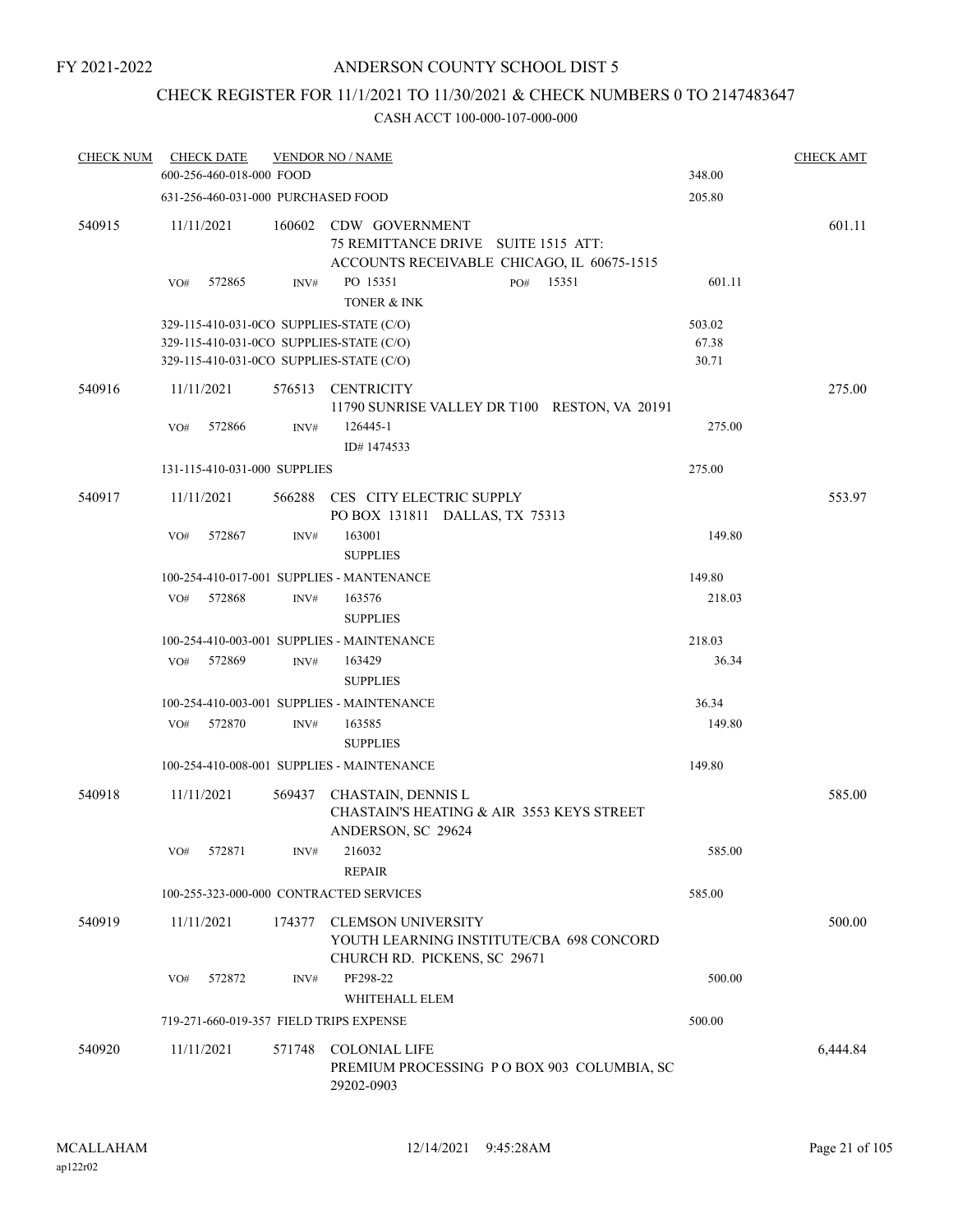## CHECK REGISTER FOR 11/1/2021 TO 11/30/2021 & CHECK NUMBERS 0 TO 2147483647

| <b>CHECK NUM</b> | <b>CHECK DATE</b><br>600-256-460-018-000 FOOD                                                                                    |                | <b>VENDOR NO / NAME</b>                                                                                                                        | 348.00                   | <b>CHECK AMT</b> |
|------------------|----------------------------------------------------------------------------------------------------------------------------------|----------------|------------------------------------------------------------------------------------------------------------------------------------------------|--------------------------|------------------|
|                  | 631-256-460-031-000 PURCHASED FOOD                                                                                               |                |                                                                                                                                                | 205.80                   |                  |
| 540915           | 11/11/2021<br>572865<br>VO#                                                                                                      | 160602<br>INV# | CDW GOVERNMENT<br>75 REMITTANCE DRIVE SUITE 1515 ATT:<br>ACCOUNTS RECEIVABLE CHICAGO, IL 60675-1515<br>PO 15351<br>15351<br>PO#<br>TONER & INK | 601.11                   | 601.11           |
|                  | 329-115-410-031-0CO SUPPLIES-STATE (C/O)<br>329-115-410-031-0CO SUPPLIES-STATE (C/O)<br>329-115-410-031-0CO SUPPLIES-STATE (C/O) |                |                                                                                                                                                | 503.02<br>67.38<br>30.71 |                  |
| 540916           | 11/11/2021<br>572866<br>VO#<br>131-115-410-031-000 SUPPLIES                                                                      | 576513<br>INV# | <b>CENTRICITY</b><br>11790 SUNRISE VALLEY DR T100 RESTON, VA 20191<br>126445-1<br>ID#1474533                                                   | 275.00<br>275.00         | 275.00           |
| 540917           | 11/11/2021<br>572867<br>VO#                                                                                                      | 566288<br>INV# | CES CITY ELECTRIC SUPPLY<br>PO BOX 131811 DALLAS, TX 75313<br>163001                                                                           | 149.80                   | 553.97           |
|                  | 572868<br>VO#                                                                                                                    | INV#           | <b>SUPPLIES</b><br>100-254-410-017-001 SUPPLIES - MANTENANCE<br>163576<br><b>SUPPLIES</b>                                                      | 149.80<br>218.03         |                  |
|                  | 572869<br>VO#                                                                                                                    | INV#           | 100-254-410-003-001 SUPPLIES - MAINTENANCE<br>163429<br><b>SUPPLIES</b>                                                                        | 218.03<br>36.34          |                  |
|                  | 572870<br>VO#                                                                                                                    | INV#           | 100-254-410-003-001 SUPPLIES - MAINTENANCE<br>163585<br><b>SUPPLIES</b>                                                                        | 36.34<br>149.80          |                  |
|                  |                                                                                                                                  |                | 100-254-410-008-001 SUPPLIES - MAINTENANCE                                                                                                     | 149.80                   |                  |
| 540918           | 11/11/2021                                                                                                                       |                | 569437 CHASTAIN, DENNIS L<br><b>CHASTAIN'S HEATING &amp; AIR 3553 KEYS STREET</b><br>ANDERSON, SC 29624                                        |                          | 585.00           |
|                  | 572871<br>VO#                                                                                                                    | INV#           | 216032<br><b>REPAIR</b>                                                                                                                        | 585.00                   |                  |
|                  | 100-255-323-000-000 CONTRACTED SERVICES                                                                                          |                |                                                                                                                                                | 585.00                   |                  |
| 540919           | 11/11/2021                                                                                                                       | 174377         | <b>CLEMSON UNIVERSITY</b><br>YOUTH LEARNING INSTITUTE/CBA 698 CONCORD<br>CHURCH RD. PICKENS, SC 29671                                          |                          | 500.00           |
|                  | 572872<br>VO#                                                                                                                    | INV#           | PF298-22                                                                                                                                       | 500.00                   |                  |
|                  | 719-271-660-019-357 FIELD TRIPS EXPENSE                                                                                          |                | WHITEHALL ELEM                                                                                                                                 | 500.00                   |                  |
| 540920           | 11/11/2021                                                                                                                       | 571748         | <b>COLONIAL LIFE</b><br>PREMIUM PROCESSING PO BOX 903 COLUMBIA, SC<br>29202-0903                                                               |                          | 6,444.84         |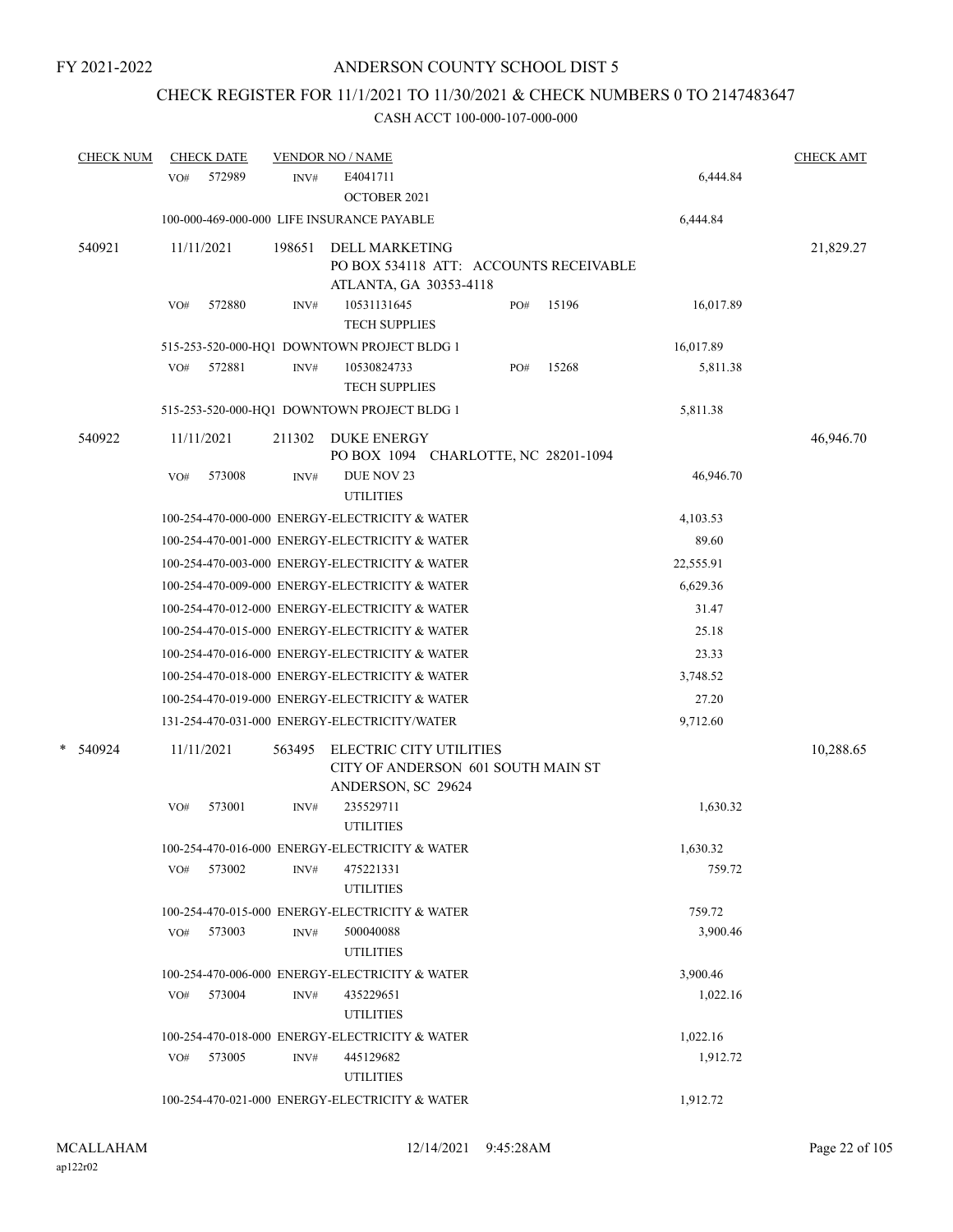## CHECK REGISTER FOR 11/1/2021 TO 11/30/2021 & CHECK NUMBERS 0 TO 2147483647

| <b>CHECK NUM</b> | <b>CHECK DATE</b> |        | <b>VENDOR NO / NAME</b>                                                                   |              |           | <b>CHECK AMT</b> |
|------------------|-------------------|--------|-------------------------------------------------------------------------------------------|--------------|-----------|------------------|
|                  | 572989<br>VO#     | INV#   | E4041711<br><b>OCTOBER 2021</b>                                                           |              | 6,444.84  |                  |
|                  |                   |        | 100-000-469-000-000 LIFE INSURANCE PAYABLE                                                |              | 6,444.84  |                  |
| 540921           | 11/11/2021        | 198651 | <b>DELL MARKETING</b><br>PO BOX 534118 ATT: ACCOUNTS RECEIVABLE<br>ATLANTA, GA 30353-4118 |              |           | 21,829.27        |
|                  | 572880<br>VO#     | INV#   | 10531131645<br><b>TECH SUPPLIES</b>                                                       | 15196<br>PO# | 16,017.89 |                  |
|                  |                   |        | 515-253-520-000-HQ1 DOWNTOWN PROJECT BLDG 1                                               |              | 16,017.89 |                  |
|                  | VO#<br>572881     | INV#   | 10530824733<br><b>TECH SUPPLIES</b>                                                       | PO#<br>15268 | 5,811.38  |                  |
|                  |                   |        | 515-253-520-000-HQ1 DOWNTOWN PROJECT BLDG 1                                               |              | 5,811.38  |                  |
| 540922           | 11/11/2021        | 211302 | <b>DUKE ENERGY</b><br>PO BOX 1094 CHARLOTTE, NC 28201-1094                                |              |           | 46,946.70        |
|                  | 573008<br>VO#     | INV#   | DUE NOV 23<br><b>UTILITIES</b>                                                            |              | 46,946.70 |                  |
|                  |                   |        | 100-254-470-000-000 ENERGY-ELECTRICITY & WATER                                            |              | 4,103.53  |                  |
|                  |                   |        | 100-254-470-001-000 ENERGY-ELECTRICITY & WATER                                            |              | 89.60     |                  |
|                  |                   |        | 100-254-470-003-000 ENERGY-ELECTRICITY & WATER                                            |              | 22,555.91 |                  |
|                  |                   |        | 100-254-470-009-000 ENERGY-ELECTRICITY & WATER                                            |              | 6,629.36  |                  |
|                  |                   |        | 100-254-470-012-000 ENERGY-ELECTRICITY & WATER                                            |              | 31.47     |                  |
|                  |                   |        | 100-254-470-015-000 ENERGY-ELECTRICITY & WATER                                            |              | 25.18     |                  |
|                  |                   |        | 100-254-470-016-000 ENERGY-ELECTRICITY & WATER                                            |              | 23.33     |                  |
|                  |                   |        | 100-254-470-018-000 ENERGY-ELECTRICITY & WATER                                            |              | 3,748.52  |                  |
|                  |                   |        | 100-254-470-019-000 ENERGY-ELECTRICITY & WATER                                            |              | 27.20     |                  |
|                  |                   |        | 131-254-470-031-000 ENERGY-ELECTRICITY/WATER                                              |              | 9,712.60  |                  |
| *<br>540924      | 11/11/2021        | 563495 | ELECTRIC CITY UTILITIES<br>CITY OF ANDERSON 601 SOUTH MAIN ST<br>ANDERSON, SC 29624       |              |           | 10,288.65        |
|                  | 573001<br>VO#     | INV#   | 235529711<br><b>UTILITIES</b>                                                             |              | 1,630.32  |                  |
|                  |                   |        | 100-254-470-016-000 ENERGY-ELECTRICITY & WATER                                            |              | 1,630.32  |                  |
|                  | 573002<br>VO#     | INV#   | 475221331<br><b>UTILITIES</b>                                                             |              | 759.72    |                  |
|                  |                   |        | 100-254-470-015-000 ENERGY-ELECTRICITY & WATER                                            |              | 759.72    |                  |
|                  | VO# 573003        | INV#   | 500040088<br><b>UTILITIES</b>                                                             |              | 3,900.46  |                  |
|                  |                   |        | 100-254-470-006-000 ENERGY-ELECTRICITY & WATER                                            |              | 3,900.46  |                  |
|                  | 573004<br>VO#     | INV#   | 435229651<br><b>UTILITIES</b>                                                             |              | 1,022.16  |                  |
|                  |                   |        | 100-254-470-018-000 ENERGY-ELECTRICITY & WATER                                            |              | 1,022.16  |                  |
|                  | 573005<br>VO#     | INV#   | 445129682<br><b>UTILITIES</b>                                                             |              | 1,912.72  |                  |
|                  |                   |        | 100-254-470-021-000 ENERGY-ELECTRICITY & WATER                                            |              | 1,912.72  |                  |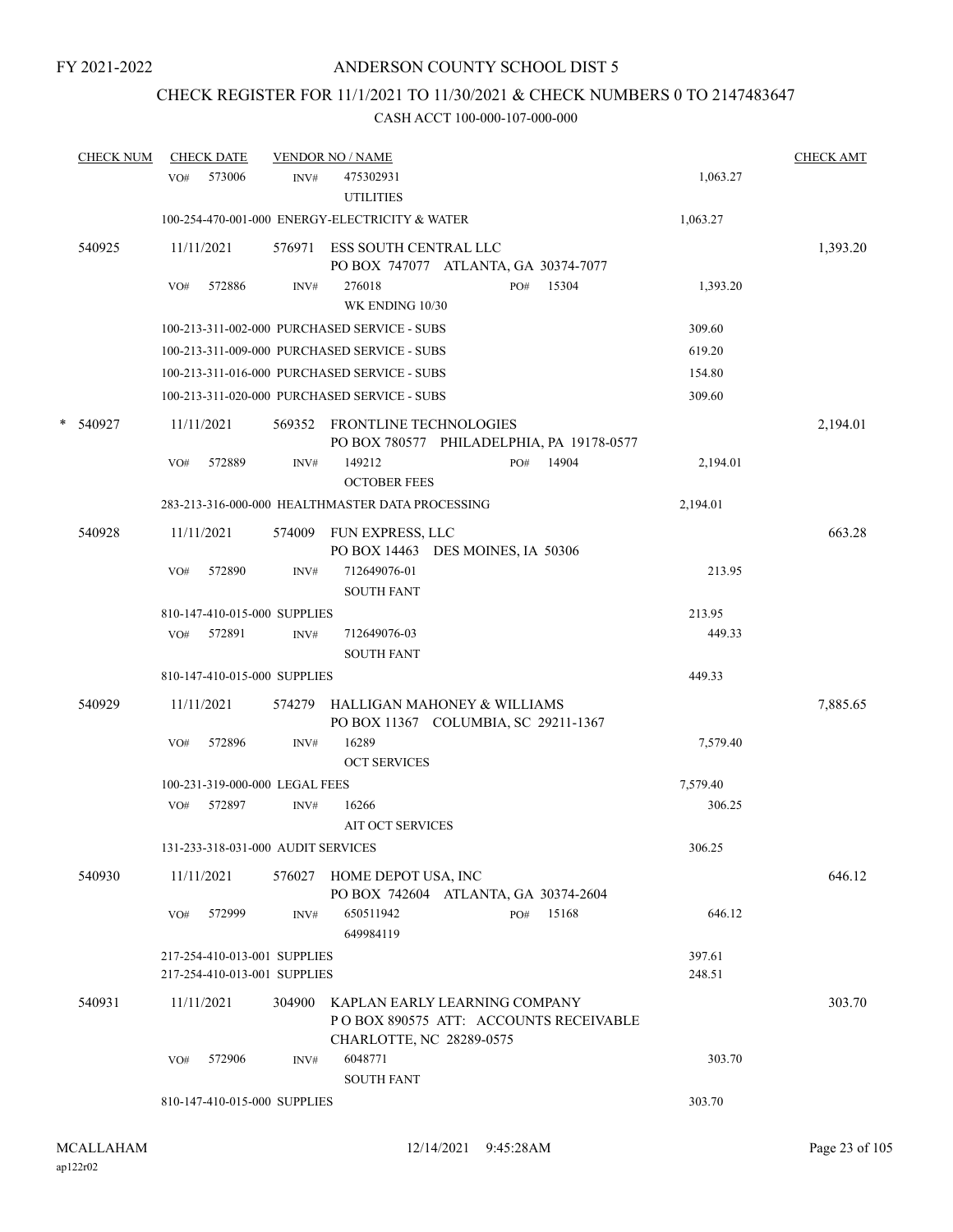## CHECK REGISTER FOR 11/1/2021 TO 11/30/2021 & CHECK NUMBERS 0 TO 2147483647

| <b>CHECK NUM</b> |     | <b>CHECK DATE</b> |                                                              | <b>VENDOR NO / NAME</b>                          |                                                                            |                  | <b>CHECK AMT</b> |
|------------------|-----|-------------------|--------------------------------------------------------------|--------------------------------------------------|----------------------------------------------------------------------------|------------------|------------------|
|                  | VO# | 573006            | INV#                                                         | 475302931<br><b>UTILITIES</b>                    |                                                                            | 1,063.27         |                  |
|                  |     |                   |                                                              | 100-254-470-001-000 ENERGY-ELECTRICITY & WATER   |                                                                            | 1,063.27         |                  |
| 540925           |     | 11/11/2021        |                                                              | 576971 ESS SOUTH CENTRAL LLC                     | PO BOX 747077 ATLANTA, GA 30374-7077                                       |                  | 1,393.20         |
|                  | VO# | 572886            | INV#                                                         | 276018<br>WK ENDING 10/30                        | 15304<br>PO#                                                               | 1,393.20         |                  |
|                  |     |                   |                                                              | 100-213-311-002-000 PURCHASED SERVICE - SUBS     |                                                                            | 309.60           |                  |
|                  |     |                   |                                                              | 100-213-311-009-000 PURCHASED SERVICE - SUBS     |                                                                            | 619.20           |                  |
|                  |     |                   |                                                              | 100-213-311-016-000 PURCHASED SERVICE - SUBS     |                                                                            | 154.80           |                  |
|                  |     |                   |                                                              | 100-213-311-020-000 PURCHASED SERVICE - SUBS     |                                                                            | 309.60           |                  |
| * 540927         |     | 11/11/2021        |                                                              | 569352 FRONTLINE TECHNOLOGIES                    | PO BOX 780577 PHILADELPHIA, PA 19178-0577                                  |                  | 2,194.01         |
|                  | VO# | 572889            | INV#                                                         | 149212<br><b>OCTOBER FEES</b>                    | 14904<br>PO#                                                               | 2,194.01         |                  |
|                  |     |                   |                                                              | 283-213-316-000-000 HEALTHMASTER DATA PROCESSING |                                                                            | 2,194.01         |                  |
| 540928           |     | 11/11/2021        |                                                              | 574009 FUN EXPRESS, LLC                          | PO BOX 14463 DES MOINES, IA 50306                                          |                  | 663.28           |
|                  | VO# | 572890            | INV#                                                         | 712649076-01<br><b>SOUTH FANT</b>                |                                                                            | 213.95           |                  |
|                  |     |                   | 810-147-410-015-000 SUPPLIES                                 |                                                  |                                                                            | 213.95           |                  |
|                  |     | VO# 572891        | INV#                                                         | 712649076-03<br><b>SOUTH FANT</b>                |                                                                            | 449.33           |                  |
|                  |     |                   | 810-147-410-015-000 SUPPLIES                                 |                                                  |                                                                            | 449.33           |                  |
| 540929           |     | 11/11/2021        |                                                              |                                                  | 574279 HALLIGAN MAHONEY & WILLIAMS<br>PO BOX 11367 COLUMBIA, SC 29211-1367 |                  | 7,885.65         |
|                  | VO# | 572896            | INV#                                                         | 16289<br><b>OCT SERVICES</b>                     |                                                                            | 7,579.40         |                  |
|                  |     |                   | 100-231-319-000-000 LEGAL FEES                               |                                                  |                                                                            | 7,579.40         |                  |
|                  | VO# | 572897            | INV#                                                         | 16266<br><b>AIT OCT SERVICES</b>                 |                                                                            | 306.25           |                  |
|                  |     |                   | 131-233-318-031-000 AUDIT SERVICES                           |                                                  |                                                                            | 306.25           |                  |
| 540930           |     | 11/11/2021        |                                                              | 576027 HOME DEPOT USA, INC                       | PO BOX 742604 ATLANTA, GA 30374-2604                                       |                  | 646.12           |
|                  | VO# | 572999            | INV#                                                         | 650511942<br>649984119                           | 15168<br>PO#                                                               | 646.12           |                  |
|                  |     |                   | 217-254-410-013-001 SUPPLIES<br>217-254-410-013-001 SUPPLIES |                                                  |                                                                            | 397.61<br>248.51 |                  |
| 540931           |     | 11/11/2021        | 304900                                                       | CHARLOTTE, NC 28289-0575                         | KAPLAN EARLY LEARNING COMPANY<br>PO BOX 890575 ATT: ACCOUNTS RECEIVABLE    |                  | 303.70           |
|                  | VO# | 572906            | INV#                                                         | 6048771<br><b>SOUTH FANT</b>                     |                                                                            | 303.70           |                  |
|                  |     |                   | 810-147-410-015-000 SUPPLIES                                 |                                                  |                                                                            | 303.70           |                  |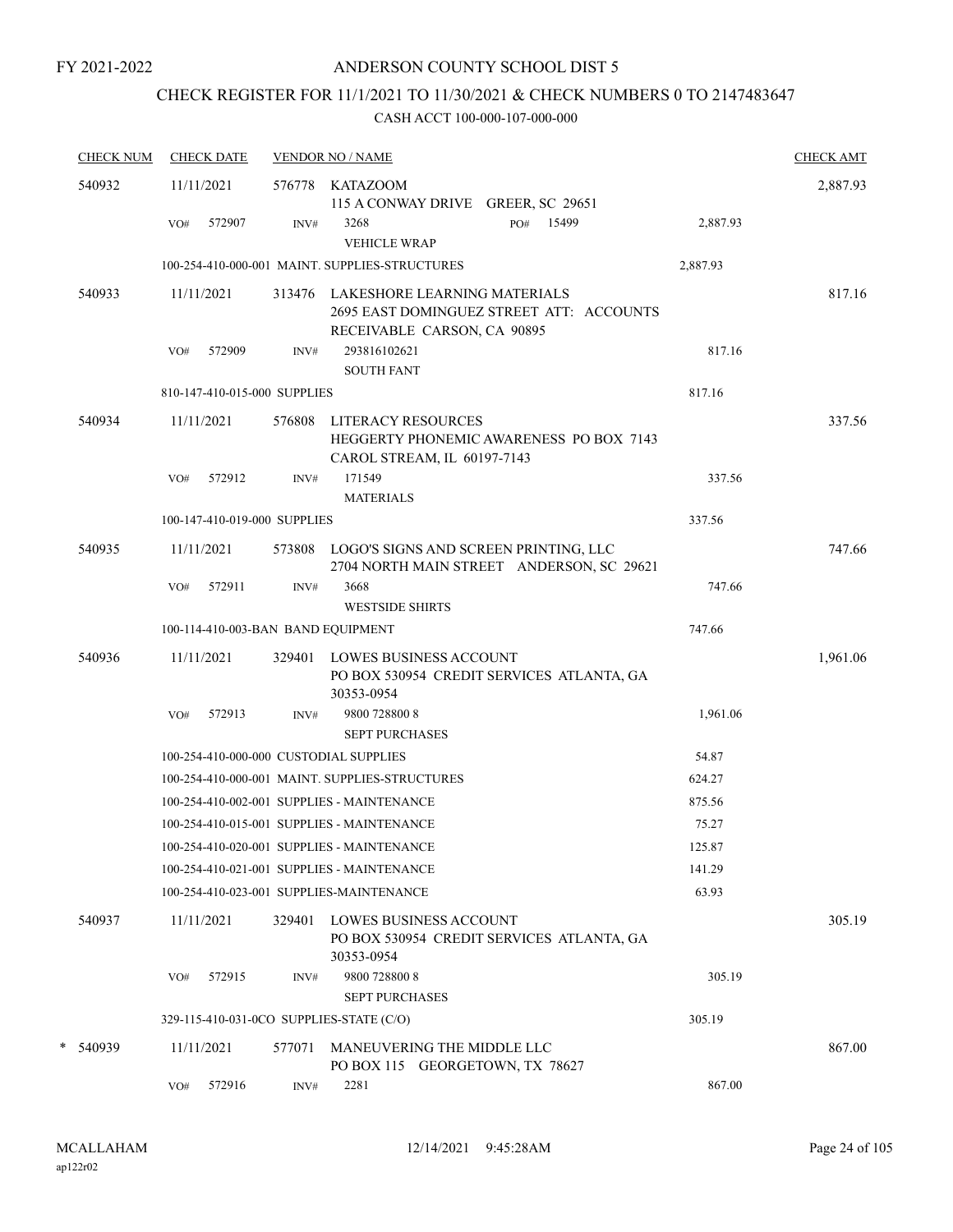## CHECK REGISTER FOR 11/1/2021 TO 11/30/2021 & CHECK NUMBERS 0 TO 2147483647

| <b>CHECK NUM</b> | <b>CHECK DATE</b>                        |        | <b>VENDOR NO / NAME</b>                                                                                        |          | <b>CHECK AMT</b> |
|------------------|------------------------------------------|--------|----------------------------------------------------------------------------------------------------------------|----------|------------------|
| 540932           | 11/11/2021                               |        | 576778 KATAZOOM<br>115 A CONWAY DRIVE GREER, SC 29651                                                          |          | 2,887.93         |
|                  | 572907<br>VO#                            | INV#   | 15499<br>3268<br>PO#<br><b>VEHICLE WRAP</b>                                                                    | 2,887.93 |                  |
|                  |                                          |        | 100-254-410-000-001 MAINT. SUPPLIES-STRUCTURES                                                                 | 2,887.93 |                  |
| 540933           | 11/11/2021                               |        | 313476 LAKESHORE LEARNING MATERIALS<br>2695 EAST DOMINGUEZ STREET ATT: ACCOUNTS<br>RECEIVABLE CARSON, CA 90895 |          | 817.16           |
|                  | 572909<br>VO#                            | INV#   | 293816102621<br><b>SOUTH FANT</b>                                                                              | 817.16   |                  |
|                  | 810-147-410-015-000 SUPPLIES             |        |                                                                                                                | 817.16   |                  |
| 540934           | 11/11/2021                               | 576808 | LITERACY RESOURCES<br>HEGGERTY PHONEMIC AWARENESS PO BOX 7143<br>CAROL STREAM, IL 60197-7143                   |          | 337.56           |
|                  | 572912<br>VO#                            | INV#   | 171549<br><b>MATERIALS</b>                                                                                     | 337.56   |                  |
|                  | 100-147-410-019-000 SUPPLIES             |        |                                                                                                                | 337.56   |                  |
| 540935           | 11/11/2021                               |        | 573808 LOGO'S SIGNS AND SCREEN PRINTING, LLC<br>2704 NORTH MAIN STREET ANDERSON, SC 29621                      |          | 747.66           |
|                  | 572911<br>VO#                            | INV#   | 3668<br><b>WESTSIDE SHIRTS</b>                                                                                 | 747.66   |                  |
|                  | 100-114-410-003-BAN BAND EQUIPMENT       |        |                                                                                                                | 747.66   |                  |
| 540936           | 11/11/2021                               |        | 329401 LOWES BUSINESS ACCOUNT<br>PO BOX 530954 CREDIT SERVICES ATLANTA, GA<br>30353-0954                       |          | 1,961.06         |
|                  | 572913<br>VO#                            | INV#   | 9800 728800 8<br><b>SEPT PURCHASES</b>                                                                         | 1,961.06 |                  |
|                  | 100-254-410-000-000 CUSTODIAL SUPPLIES   |        |                                                                                                                | 54.87    |                  |
|                  |                                          |        | 100-254-410-000-001 MAINT. SUPPLIES-STRUCTURES                                                                 | 624.27   |                  |
|                  |                                          |        | 100-254-410-002-001 SUPPLIES - MAINTENANCE                                                                     | 875.56   |                  |
|                  |                                          |        | 100-254-410-015-001 SUPPLIES - MAINTENANCE                                                                     | 75.27    |                  |
|                  |                                          |        | 100-254-410-020-001 SUPPLIES - MAINTENANCE                                                                     | 125.87   |                  |
|                  |                                          |        | 100-254-410-021-001 SUPPLIES - MAINTENANCE                                                                     | 141.29   |                  |
|                  |                                          |        | 100-254-410-023-001 SUPPLIES-MAINTENANCE                                                                       | 63.93    |                  |
| 540937           | 11/11/2021                               | 329401 | <b>LOWES BUSINESS ACCOUNT</b><br>PO BOX 530954 CREDIT SERVICES ATLANTA, GA<br>30353-0954                       |          | 305.19           |
|                  | 572915<br>VO#                            | INV#   | 9800 728800 8<br><b>SEPT PURCHASES</b>                                                                         | 305.19   |                  |
|                  | 329-115-410-031-0CO SUPPLIES-STATE (C/O) |        |                                                                                                                | 305.19   |                  |
| * 540939         | 11/11/2021                               | 577071 | MANEUVERING THE MIDDLE LLC<br>PO BOX 115 GEORGETOWN, TX 78627                                                  |          | 867.00           |
|                  | 572916<br>VO#                            | INV#   | 2281                                                                                                           | 867.00   |                  |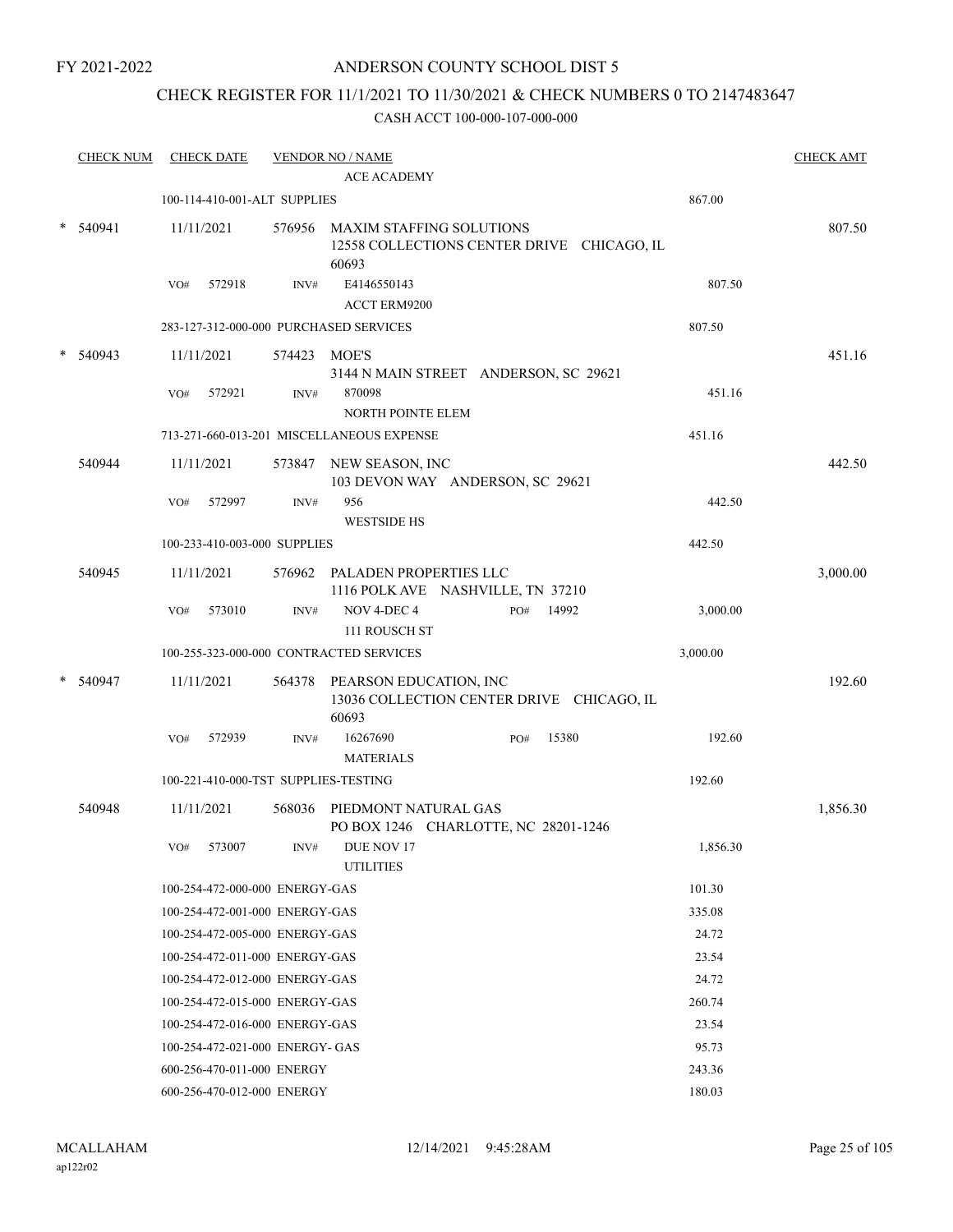## ANDERSON COUNTY SCHOOL DIST 5

## CHECK REGISTER FOR 11/1/2021 TO 11/30/2021 & CHECK NUMBERS 0 TO 2147483647

|        | <b>CHECK NUM</b> |     | <b>CHECK DATE</b> |                                 | <b>VENDOR NO / NAME</b>                                                                |              |          | <b>CHECK AMT</b> |
|--------|------------------|-----|-------------------|---------------------------------|----------------------------------------------------------------------------------------|--------------|----------|------------------|
|        |                  |     |                   |                                 | <b>ACE ACADEMY</b>                                                                     |              |          |                  |
|        |                  |     |                   | 100-114-410-001-ALT SUPPLIES    |                                                                                        |              | 867.00   |                  |
| $\ast$ | 540941           |     | 11/11/2021        |                                 | 576956 MAXIM STAFFING SOLUTIONS<br>12558 COLLECTIONS CENTER DRIVE CHICAGO, IL<br>60693 |              |          | 807.50           |
|        |                  | VO# | 572918            | INV#                            | E4146550143                                                                            |              | 807.50   |                  |
|        |                  |     |                   |                                 | ACCT ERM9200                                                                           |              |          |                  |
|        |                  |     |                   |                                 | 283-127-312-000-000 PURCHASED SERVICES                                                 |              | 807.50   |                  |
|        | 540943           |     | 11/11/2021        | 574423 MOE'S                    |                                                                                        |              |          | 451.16           |
|        |                  | VO# | 572921            | INV#                            | 3144 N MAIN STREET ANDERSON, SC 29621<br>870098<br>NORTH POINTE ELEM                   |              | 451.16   |                  |
|        |                  |     |                   |                                 | 713-271-660-013-201 MISCELLANEOUS EXPENSE                                              |              | 451.16   |                  |
|        | 540944           |     | 11/11/2021        |                                 | 573847 NEW SEASON, INC<br>103 DEVON WAY ANDERSON, SC 29621                             |              |          | 442.50           |
|        |                  | VO# | 572997            | INV#                            | 956<br><b>WESTSIDE HS</b>                                                              |              | 442.50   |                  |
|        |                  |     |                   | 100-233-410-003-000 SUPPLIES    |                                                                                        |              | 442.50   |                  |
|        | 540945           |     | 11/11/2021        |                                 | 576962 PALADEN PROPERTIES LLC<br>1116 POLK AVE NASHVILLE, TN 37210                     |              |          | 3,000.00         |
|        |                  | VO# | 573010            | INV#                            | NOV 4-DEC 4<br>111 ROUSCH ST                                                           | 14992<br>PO# | 3,000.00 |                  |
|        |                  |     |                   |                                 | 100-255-323-000-000 CONTRACTED SERVICES                                                |              | 3,000.00 |                  |
|        | 540947           |     | 11/11/2021        |                                 | 564378 PEARSON EDUCATION, INC<br>13036 COLLECTION CENTER DRIVE CHICAGO, IL<br>60693    |              |          | 192.60           |
|        |                  | VO# | 572939            | INV#                            | 16267690<br><b>MATERIALS</b>                                                           | 15380<br>PO# | 192.60   |                  |
|        |                  |     |                   |                                 | 100-221-410-000-TST SUPPLIES-TESTING                                                   |              | 192.60   |                  |
|        | 540948           |     | 11/11/2021        |                                 | 568036 PIEDMONT NATURAL GAS<br>PO BOX 1246 CHARLOTTE, NC 28201-1246                    |              |          | 1,856.30         |
|        |                  |     | VO# 573007        |                                 | INV# DUE NOV 17<br><b>UTILITIES</b>                                                    |              | 1,856.30 |                  |
|        |                  |     |                   | 100-254-472-000-000 ENERGY-GAS  |                                                                                        |              | 101.30   |                  |
|        |                  |     |                   | 100-254-472-001-000 ENERGY-GAS  |                                                                                        |              | 335.08   |                  |
|        |                  |     |                   | 100-254-472-005-000 ENERGY-GAS  |                                                                                        |              | 24.72    |                  |
|        |                  |     |                   | 100-254-472-011-000 ENERGY-GAS  |                                                                                        |              | 23.54    |                  |
|        |                  |     |                   | 100-254-472-012-000 ENERGY-GAS  |                                                                                        |              | 24.72    |                  |
|        |                  |     |                   | 100-254-472-015-000 ENERGY-GAS  |                                                                                        |              | 260.74   |                  |
|        |                  |     |                   | 100-254-472-016-000 ENERGY-GAS  |                                                                                        |              | 23.54    |                  |
|        |                  |     |                   | 100-254-472-021-000 ENERGY- GAS |                                                                                        |              | 95.73    |                  |
|        |                  |     |                   | 600-256-470-011-000 ENERGY      |                                                                                        |              | 243.36   |                  |
|        |                  |     |                   | 600-256-470-012-000 ENERGY      |                                                                                        |              | 180.03   |                  |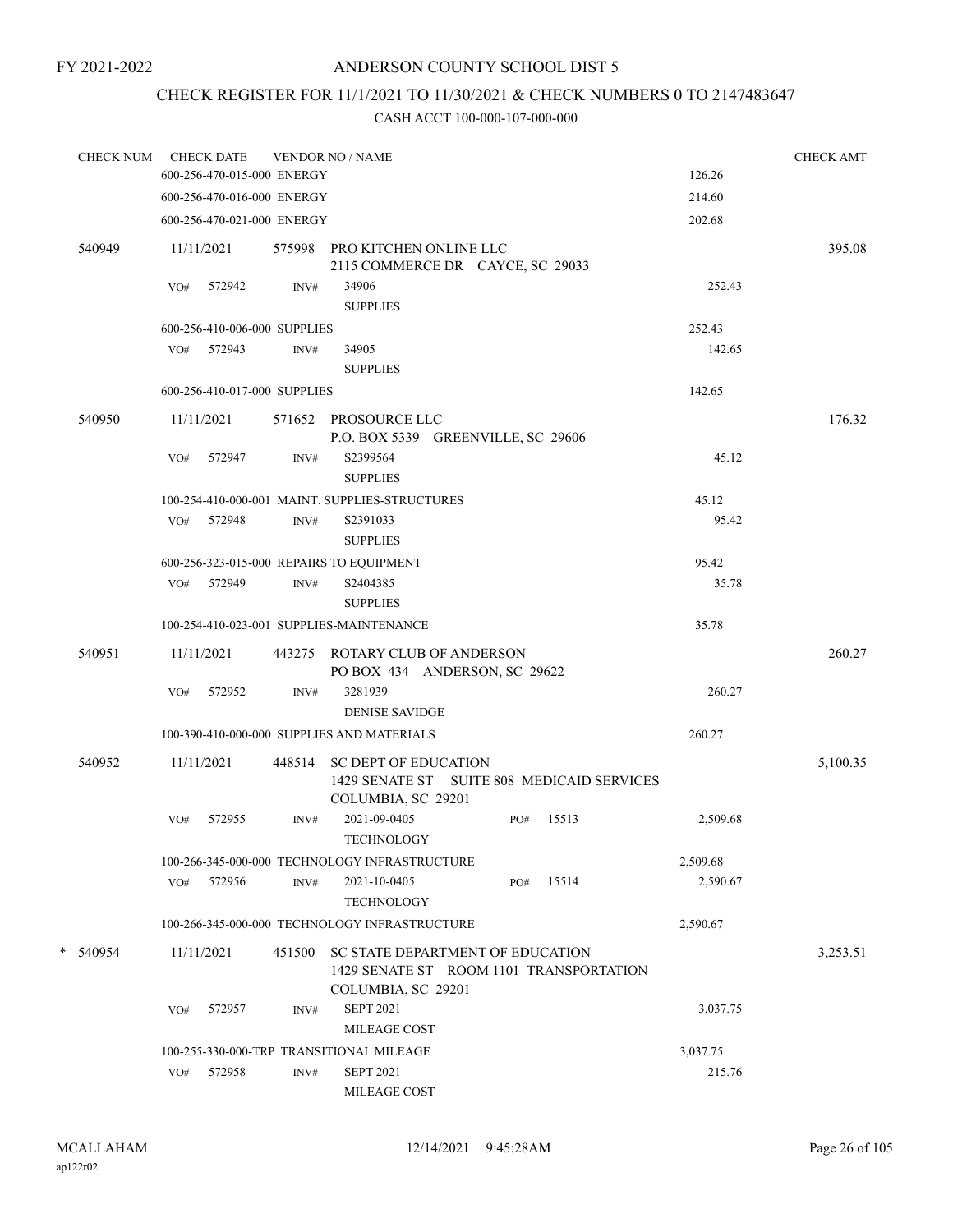## CHECK REGISTER FOR 11/1/2021 TO 11/30/2021 & CHECK NUMBERS 0 TO 2147483647

| <b>CHECK NUM</b> |            | <b>CHECK DATE</b>            |        | <b>VENDOR NO / NAME</b>                                                                                  |     |       |          | <b>CHECK AMT</b> |
|------------------|------------|------------------------------|--------|----------------------------------------------------------------------------------------------------------|-----|-------|----------|------------------|
|                  |            | 600-256-470-015-000 ENERGY   |        |                                                                                                          |     |       | 126.26   |                  |
|                  |            | 600-256-470-016-000 ENERGY   |        |                                                                                                          |     |       | 214.60   |                  |
|                  |            | 600-256-470-021-000 ENERGY   |        |                                                                                                          |     |       | 202.68   |                  |
| 540949           | 11/11/2021 |                              |        | 575998 PRO KITCHEN ONLINE LLC<br>2115 COMMERCE DR CAYCE, SC 29033                                        |     |       |          | 395.08           |
|                  | VO#        | 572942                       | INV#   | 34906                                                                                                    |     |       | 252.43   |                  |
|                  |            |                              |        | <b>SUPPLIES</b>                                                                                          |     |       |          |                  |
|                  |            | 600-256-410-006-000 SUPPLIES |        |                                                                                                          |     |       | 252.43   |                  |
|                  |            | VO# 572943                   | INV#   | 34905                                                                                                    |     |       | 142.65   |                  |
|                  |            |                              |        | <b>SUPPLIES</b>                                                                                          |     |       |          |                  |
|                  |            | 600-256-410-017-000 SUPPLIES |        |                                                                                                          |     |       | 142.65   |                  |
| 540950           | 11/11/2021 |                              |        | 571652 PROSOURCE LLC<br>P.O. BOX 5339 GREENVILLE, SC 29606                                               |     |       |          | 176.32           |
|                  | VO#        | 572947                       | INV#   | S2399564<br><b>SUPPLIES</b>                                                                              |     |       | 45.12    |                  |
|                  |            |                              |        | 100-254-410-000-001 MAINT. SUPPLIES-STRUCTURES                                                           |     |       | 45.12    |                  |
|                  |            | VO# 572948                   | INV#   | S2391033                                                                                                 |     |       | 95.42    |                  |
|                  |            |                              |        | <b>SUPPLIES</b>                                                                                          |     |       |          |                  |
|                  |            |                              |        | 600-256-323-015-000 REPAIRS TO EQUIPMENT                                                                 |     |       | 95.42    |                  |
|                  |            | VO# 572949                   | INV#   | S2404385<br><b>SUPPLIES</b>                                                                              |     |       | 35.78    |                  |
|                  |            |                              |        | 100-254-410-023-001 SUPPLIES-MAINTENANCE                                                                 |     |       | 35.78    |                  |
| 540951           | 11/11/2021 |                              |        | 443275 ROTARY CLUB OF ANDERSON                                                                           |     |       |          | 260.27           |
|                  | VO#        | 572952                       | INV#   | PO BOX 434 ANDERSON, SC 29622<br>3281939                                                                 |     |       | 260.27   |                  |
|                  |            |                              |        | <b>DENISE SAVIDGE</b>                                                                                    |     |       |          |                  |
|                  |            |                              |        | 100-390-410-000-000 SUPPLIES AND MATERIALS                                                               |     |       | 260.27   |                  |
|                  |            |                              |        |                                                                                                          |     |       |          |                  |
| 540952           | 11/11/2021 |                              |        | 448514 SC DEPT OF EDUCATION<br>1429 SENATE ST SUITE 808 MEDICAID SERVICES<br>COLUMBIA, SC 29201          |     |       |          | 5,100.35         |
|                  | VO#        | 572955                       | INV#   | 2021-09-0405<br><b>TECHNOLOGY</b>                                                                        | PO# | 15513 | 2,509.68 |                  |
|                  |            |                              |        | 100-266-345-000-000 TECHNOLOGY INFRASTRUCTURE                                                            |     |       | 2,509.68 |                  |
|                  | VO#        | 572956                       | INV#   | 2021-10-0405                                                                                             | PO# | 15514 | 2,590.67 |                  |
|                  |            |                              |        | <b>TECHNOLOGY</b>                                                                                        |     |       |          |                  |
|                  |            |                              |        | 100-266-345-000-000 TECHNOLOGY INFRASTRUCTURE                                                            |     |       | 2,590.67 |                  |
| * 540954         | 11/11/2021 |                              | 451500 | <b>SC STATE DEPARTMENT OF EDUCATION</b><br>1429 SENATE ST ROOM 1101 TRANSPORTATION<br>COLUMBIA, SC 29201 |     |       |          | 3,253.51         |
|                  | VO#        | 572957                       | INV#   | <b>SEPT 2021</b>                                                                                         |     |       | 3,037.75 |                  |
|                  |            |                              |        | MILEAGE COST                                                                                             |     |       |          |                  |
|                  |            |                              |        | 100-255-330-000-TRP TRANSITIONAL MILEAGE                                                                 |     |       | 3,037.75 |                  |
|                  | VO#        | 572958                       | INV#   | <b>SEPT 2021</b>                                                                                         |     |       | 215.76   |                  |
|                  |            |                              |        | MILEAGE COST                                                                                             |     |       |          |                  |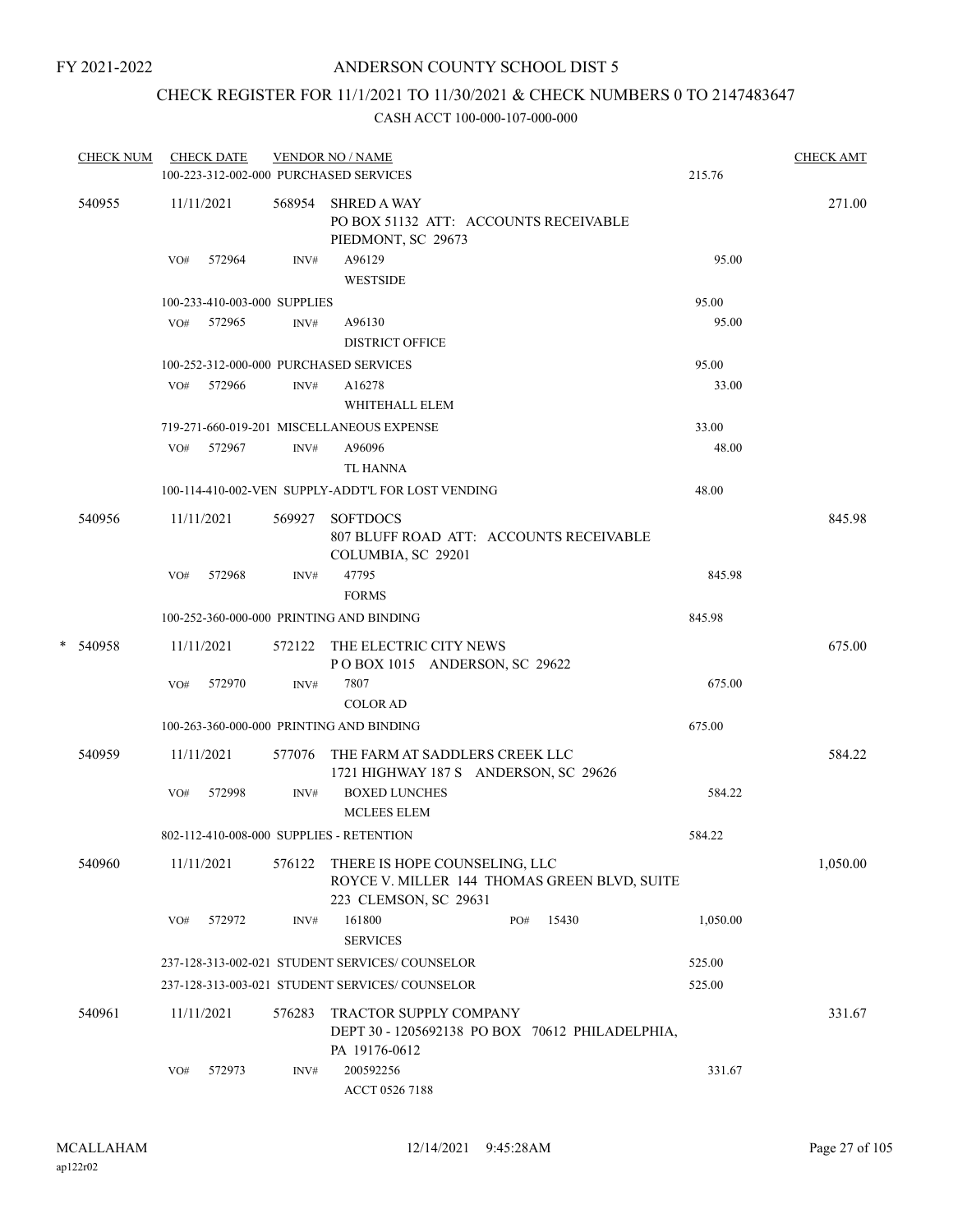## CHECK REGISTER FOR 11/1/2021 TO 11/30/2021 & CHECK NUMBERS 0 TO 2147483647

| <b>CHECK NUM</b> |     | <b>CHECK DATE</b>            |        | <b>VENDOR NO / NAME</b><br>100-223-312-002-000 PURCHASED SERVICES                                      | 215.76   | <b>CHECK AMT</b> |
|------------------|-----|------------------------------|--------|--------------------------------------------------------------------------------------------------------|----------|------------------|
| 540955           |     | 11/11/2021                   | 568954 | <b>SHRED A WAY</b><br>PO BOX 51132 ATT: ACCOUNTS RECEIVABLE<br>PIEDMONT, SC 29673                      |          | 271.00           |
|                  |     | VO# 572964                   | INV#   | A96129<br><b>WESTSIDE</b>                                                                              | 95.00    |                  |
|                  |     | 100-233-410-003-000 SUPPLIES |        |                                                                                                        | 95.00    |                  |
|                  |     | VO# 572965                   | INV#   | A96130                                                                                                 | 95.00    |                  |
|                  |     |                              |        | <b>DISTRICT OFFICE</b>                                                                                 |          |                  |
|                  |     |                              |        | 100-252-312-000-000 PURCHASED SERVICES                                                                 | 95.00    |                  |
|                  |     | VO# 572966                   | INV#   | A16278                                                                                                 | 33.00    |                  |
|                  |     |                              |        | WHITEHALL ELEM                                                                                         |          |                  |
|                  |     |                              |        | 719-271-660-019-201 MISCELLANEOUS EXPENSE                                                              | 33.00    |                  |
|                  |     | VO# 572967                   | INV#   | A96096                                                                                                 | 48.00    |                  |
|                  |     |                              |        | <b>TL HANNA</b>                                                                                        |          |                  |
|                  |     |                              |        | 100-114-410-002-VEN SUPPLY-ADDT'L FOR LOST VENDING                                                     | 48.00    |                  |
| 540956           |     | 11/11/2021                   | 569927 | <b>SOFTDOCS</b><br>807 BLUFF ROAD ATT: ACCOUNTS RECEIVABLE<br>COLUMBIA, SC 29201                       |          | 845.98           |
|                  | VO# | 572968                       | INV#   | 47795<br><b>FORMS</b>                                                                                  | 845.98   |                  |
|                  |     |                              |        | 100-252-360-000-000 PRINTING AND BINDING                                                               | 845.98   |                  |
| * 540958         |     | 11/11/2021                   | 572122 | THE ELECTRIC CITY NEWS                                                                                 |          | 675.00           |
|                  |     |                              |        | POBOX 1015 ANDERSON, SC 29622                                                                          |          |                  |
|                  | VO# | 572970                       | INV#   | 7807                                                                                                   | 675.00   |                  |
|                  |     |                              |        | <b>COLOR AD</b>                                                                                        |          |                  |
|                  |     |                              |        | 100-263-360-000-000 PRINTING AND BINDING                                                               | 675.00   |                  |
| 540959           |     | 11/11/2021                   |        | 577076 THE FARM AT SADDLERS CREEK LLC<br>1721 HIGHWAY 187 S ANDERSON, SC 29626                         |          | 584.22           |
|                  | VO# | 572998                       | INV#   | <b>BOXED LUNCHES</b><br><b>MCLEES ELEM</b>                                                             | 584.22   |                  |
|                  |     |                              |        | 802-112-410-008-000 SUPPLIES - RETENTION                                                               | 584.22   |                  |
| 540960           |     | 11/11/2021                   | 576122 | THERE IS HOPE COUNSELING, LLC<br>ROYCE V. MILLER 144 THOMAS GREEN BLVD, SUITE<br>223 CLEMSON, SC 29631 |          | 1,050.00         |
|                  | VO# | 572972                       | INV#   | 161800<br>15430<br>PO#<br><b>SERVICES</b>                                                              | 1,050.00 |                  |
|                  |     |                              |        | 237-128-313-002-021 STUDENT SERVICES/COUNSELOR                                                         | 525.00   |                  |
|                  |     |                              |        | 237-128-313-003-021 STUDENT SERVICES/ COUNSELOR                                                        | 525.00   |                  |
| 540961           |     | 11/11/2021                   | 576283 | <b>TRACTOR SUPPLY COMPANY</b><br>DEPT 30 - 1205692138 PO BOX 70612 PHILADELPHIA,<br>PA 19176-0612      |          | 331.67           |
|                  | VO# | 572973                       | INV#   | 200592256<br>ACCT 0526 7188                                                                            | 331.67   |                  |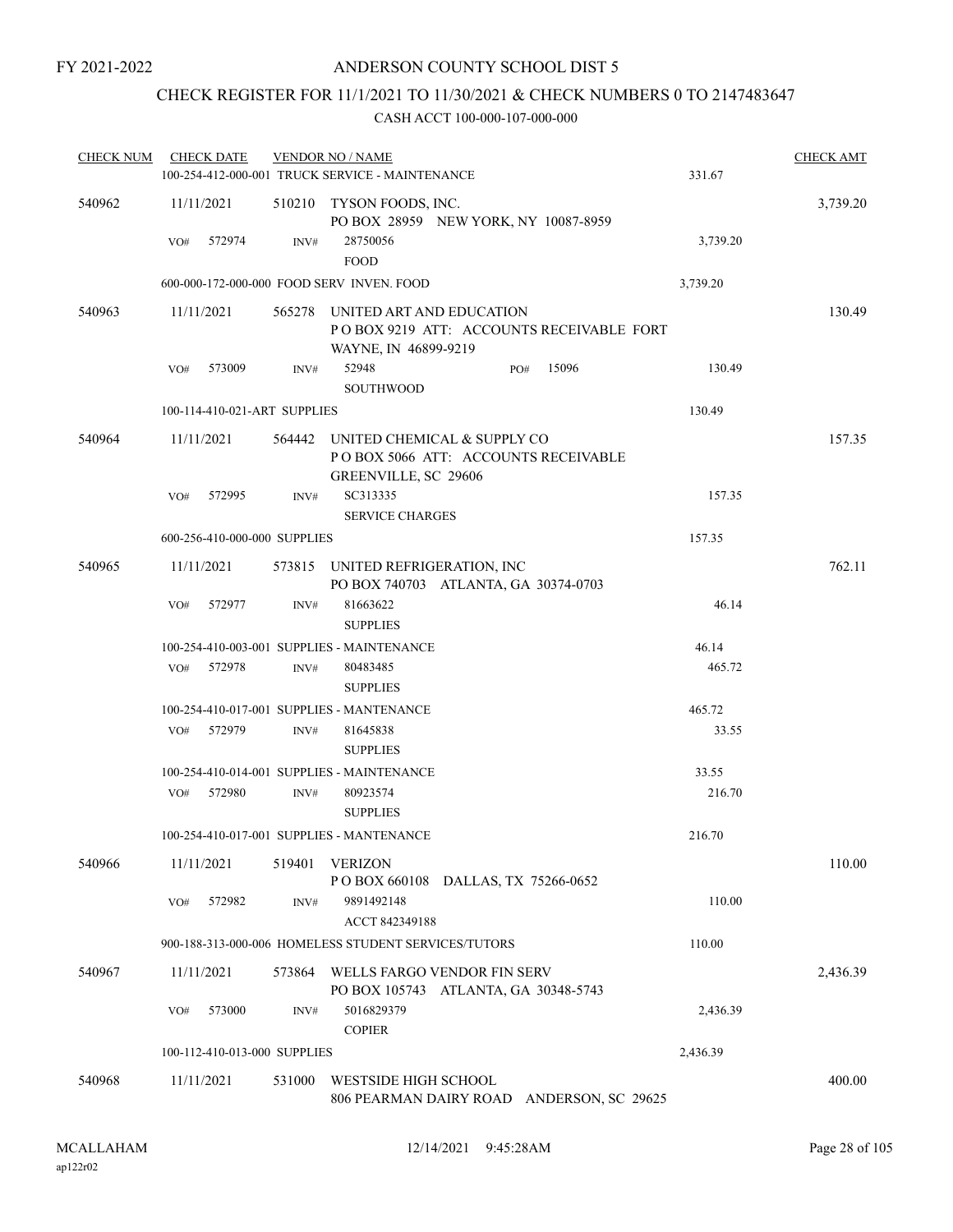## CHECK REGISTER FOR 11/1/2021 TO 11/30/2021 & CHECK NUMBERS 0 TO 2147483647

| <b>CHECK NUM</b> | <b>CHECK DATE</b>            |        | <b>VENDOR NO / NAME</b>                                                                      |          | <b>CHECK AMT</b> |
|------------------|------------------------------|--------|----------------------------------------------------------------------------------------------|----------|------------------|
|                  |                              |        | 100-254-412-000-001 TRUCK SERVICE - MAINTENANCE                                              | 331.67   |                  |
| 540962           | 11/11/2021                   |        | 510210 TYSON FOODS, INC.<br>PO BOX 28959 NEW YORK, NY 10087-8959                             |          | 3,739.20         |
|                  | VO#<br>572974                | INV#   | 28750056<br>${\tt FOOD}$                                                                     | 3,739.20 |                  |
|                  |                              |        | 600-000-172-000-000 FOOD SERV INVEN. FOOD                                                    | 3,739.20 |                  |
| 540963           | 11/11/2021                   | 565278 | UNITED ART AND EDUCATION<br>POBOX 9219 ATT: ACCOUNTS RECEIVABLE FORT<br>WAYNE, IN 46899-9219 |          | 130.49           |
|                  | 573009<br>VO#                | INV#   | 52948<br>15096<br>PO#                                                                        | 130.49   |                  |
|                  |                              |        | <b>SOUTHWOOD</b>                                                                             |          |                  |
|                  | 100-114-410-021-ART SUPPLIES |        |                                                                                              | 130.49   |                  |
| 540964           | 11/11/2021                   | 564442 | UNITED CHEMICAL & SUPPLY CO<br>POBOX 5066 ATT: ACCOUNTS RECEIVABLE<br>GREENVILLE, SC 29606   |          | 157.35           |
|                  | 572995<br>VO#                | INV#   | SC313335<br><b>SERVICE CHARGES</b>                                                           | 157.35   |                  |
|                  | 600-256-410-000-000 SUPPLIES |        |                                                                                              | 157.35   |                  |
| 540965           | 11/11/2021                   |        | 573815 UNITED REFRIGERATION, INC<br>PO BOX 740703 ATLANTA, GA 30374-0703                     |          | 762.11           |
|                  | VO#<br>572977                | INV#   | 81663622                                                                                     | 46.14    |                  |
|                  |                              |        | <b>SUPPLIES</b>                                                                              |          |                  |
|                  |                              |        | 100-254-410-003-001 SUPPLIES - MAINTENANCE                                                   | 46.14    |                  |
|                  | 572978<br>VO#                | INV#   | 80483485                                                                                     | 465.72   |                  |
|                  |                              |        | <b>SUPPLIES</b>                                                                              |          |                  |
|                  |                              |        | 100-254-410-017-001 SUPPLIES - MANTENANCE                                                    | 465.72   |                  |
|                  | 572979<br>VO#                | INV#   | 81645838<br><b>SUPPLIES</b>                                                                  | 33.55    |                  |
|                  |                              |        | 100-254-410-014-001 SUPPLIES - MAINTENANCE                                                   | 33.55    |                  |
|                  | 572980<br>VO#                | INV#   | 80923574<br><b>SUPPLIES</b>                                                                  | 216.70   |                  |
|                  |                              |        | 100-254-410-017-001 SUPPLIES - MANTENANCE                                                    | 216.70   |                  |
| 540966           | 11/11/2021                   | 519401 | <b>VERIZON</b><br>POBOX 660108 DALLAS, TX 75266-0652                                         |          | 110.00           |
|                  | VO#<br>572982                | INV#   | 9891492148<br>ACCT 842349188                                                                 | 110.00   |                  |
|                  |                              |        | 900-188-313-000-006 HOMELESS STUDENT SERVICES/TUTORS                                         | 110.00   |                  |
| 540967           | 11/11/2021                   | 573864 | WELLS FARGO VENDOR FIN SERV                                                                  |          | 2,436.39         |
|                  | 573000<br>VO#                | INV#   | PO BOX 105743 ATLANTA, GA 30348-5743<br>5016829379                                           | 2,436.39 |                  |
|                  | 100-112-410-013-000 SUPPLIES |        | <b>COPIER</b>                                                                                | 2,436.39 |                  |
|                  |                              |        |                                                                                              |          |                  |
| 540968           | 11/11/2021                   | 531000 | WESTSIDE HIGH SCHOOL<br>806 PEARMAN DAIRY ROAD ANDERSON, SC 29625                            |          | 400.00           |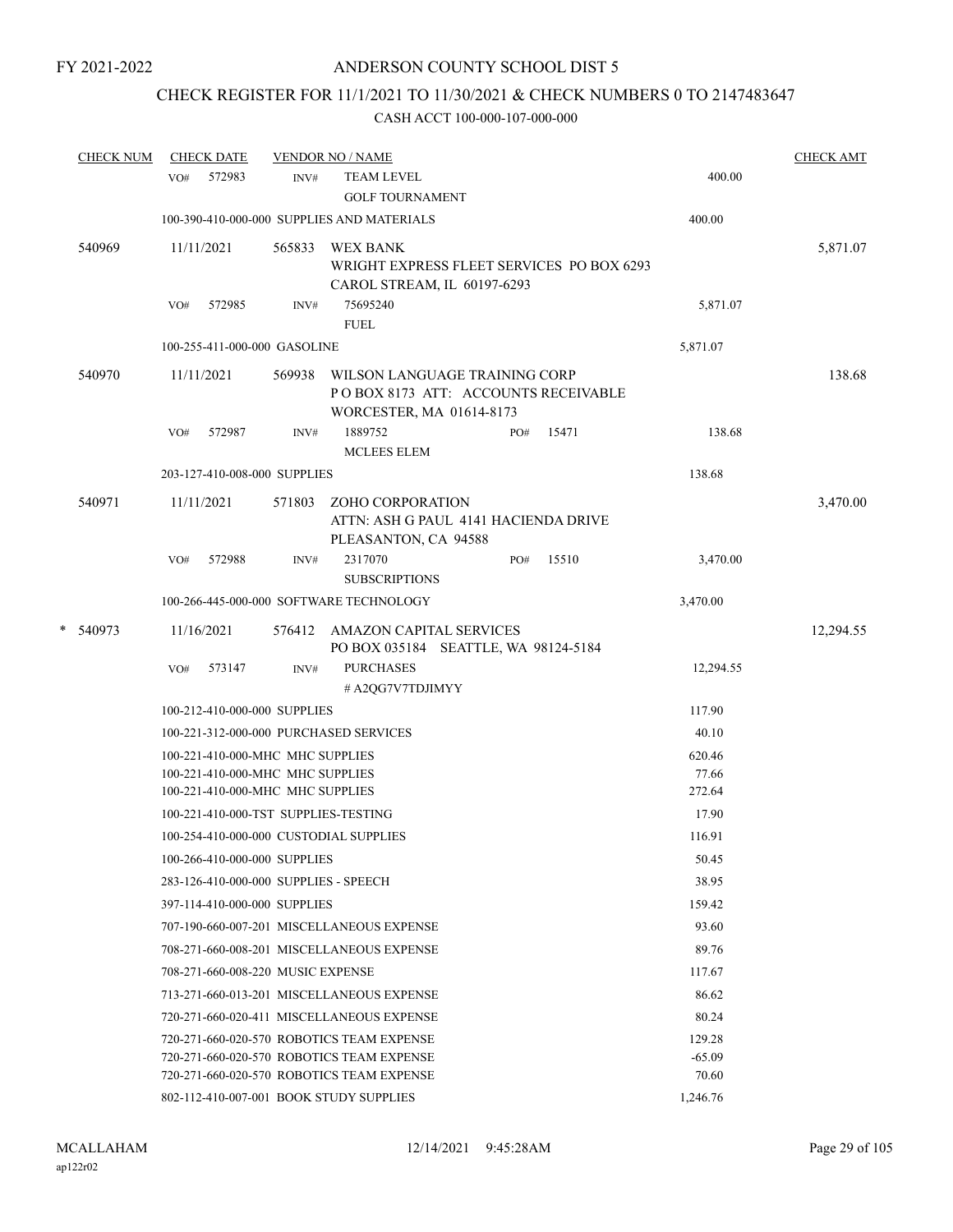## CHECK REGISTER FOR 11/1/2021 TO 11/30/2021 & CHECK NUMBERS 0 TO 2147483647

|   | <b>CHECK NUM</b> |     | <b>CHECK DATE</b> |                                       | <b>VENDOR NO / NAME</b>                                                                          |     |       |                    | <b>CHECK AMT</b> |
|---|------------------|-----|-------------------|---------------------------------------|--------------------------------------------------------------------------------------------------|-----|-------|--------------------|------------------|
|   |                  | VO# | 572983            | INV#                                  | <b>TEAM LEVEL</b><br><b>GOLF TOURNAMENT</b>                                                      |     |       | 400.00             |                  |
|   |                  |     |                   |                                       | 100-390-410-000-000 SUPPLIES AND MATERIALS                                                       |     |       | 400.00             |                  |
|   | 540969           |     | 11/11/2021        | 565833                                | <b>WEX BANK</b><br>WRIGHT EXPRESS FLEET SERVICES PO BOX 6293<br>CAROL STREAM, IL 60197-6293      |     |       |                    | 5,871.07         |
|   |                  | VO# | 572985            | INV#                                  | 75695240<br><b>FUEL</b>                                                                          |     |       | 5,871.07           |                  |
|   |                  |     |                   | 100-255-411-000-000 GASOLINE          |                                                                                                  |     |       | 5,871.07           |                  |
|   | 540970           |     | 11/11/2021        | 569938                                | WILSON LANGUAGE TRAINING CORP<br>POBOX 8173 ATT: ACCOUNTS RECEIVABLE<br>WORCESTER, MA 01614-8173 |     |       |                    | 138.68           |
|   |                  | VO# | 572987            | INV#                                  | 1889752<br><b>MCLEES ELEM</b>                                                                    | PO# | 15471 | 138.68             |                  |
|   |                  |     |                   | 203-127-410-008-000 SUPPLIES          |                                                                                                  |     |       | 138.68             |                  |
|   | 540971           |     | 11/11/2021        | 571803                                | ZOHO CORPORATION<br>ATTN: ASH G PAUL 4141 HACIENDA DRIVE<br>PLEASANTON, CA 94588                 |     |       |                    | 3,470.00         |
|   |                  | VO# | 572988            | INV#                                  | 2317070<br><b>SUBSCRIPTIONS</b>                                                                  | PO# | 15510 | 3,470.00           |                  |
|   |                  |     |                   |                                       | 100-266-445-000-000 SOFTWARE TECHNOLOGY                                                          |     |       | 3,470.00           |                  |
| * | 540973           |     | 11/16/2021        |                                       | 576412 AMAZON CAPITAL SERVICES<br>PO BOX 035184 SEATTLE, WA 98124-5184                           |     |       |                    | 12,294.55        |
|   |                  | VO# | 573147            | INV#                                  | <b>PURCHASES</b><br># A2QG7V7TDJIMYY                                                             |     |       | 12,294.55          |                  |
|   |                  |     |                   | 100-212-410-000-000 SUPPLIES          |                                                                                                  |     |       | 117.90             |                  |
|   |                  |     |                   |                                       | 100-221-312-000-000 PURCHASED SERVICES                                                           |     |       | 40.10              |                  |
|   |                  |     |                   | 100-221-410-000-MHC MHC SUPPLIES      |                                                                                                  |     |       | 620.46             |                  |
|   |                  |     |                   | 100-221-410-000-MHC MHC SUPPLIES      |                                                                                                  |     |       | 77.66              |                  |
|   |                  |     |                   | 100-221-410-000-MHC MHC SUPPLIES      |                                                                                                  |     |       | 272.64             |                  |
|   |                  |     |                   | 100-221-410-000-TST SUPPLIES-TESTING  |                                                                                                  |     |       | 17.90              |                  |
|   |                  |     |                   |                                       | 100-254-410-000-000 CUSTODIAL SUPPLIES                                                           |     |       | 116.91             |                  |
|   |                  |     |                   | 100-266-410-000-000 SUPPLIES          |                                                                                                  |     |       | 50.45              |                  |
|   |                  |     |                   | 283-126-410-000-000 SUPPLIES - SPEECH |                                                                                                  |     |       | 38.95              |                  |
|   |                  |     |                   | 397-114-410-000-000 SUPPLIES          |                                                                                                  |     |       | 159.42             |                  |
|   |                  |     |                   |                                       | 707-190-660-007-201 MISCELLANEOUS EXPENSE                                                        |     |       | 93.60              |                  |
|   |                  |     |                   |                                       | 708-271-660-008-201 MISCELLANEOUS EXPENSE                                                        |     |       | 89.76              |                  |
|   |                  |     |                   | 708-271-660-008-220 MUSIC EXPENSE     |                                                                                                  |     |       | 117.67             |                  |
|   |                  |     |                   |                                       | 713-271-660-013-201 MISCELLANEOUS EXPENSE                                                        |     |       | 86.62              |                  |
|   |                  |     |                   |                                       | 720-271-660-020-411 MISCELLANEOUS EXPENSE                                                        |     |       | 80.24              |                  |
|   |                  |     |                   |                                       | 720-271-660-020-570 ROBOTICS TEAM EXPENSE<br>720-271-660-020-570 ROBOTICS TEAM EXPENSE           |     |       | 129.28<br>$-65.09$ |                  |
|   |                  |     |                   |                                       | 720-271-660-020-570 ROBOTICS TEAM EXPENSE                                                        |     |       | 70.60              |                  |
|   |                  |     |                   |                                       | 802-112-410-007-001 BOOK STUDY SUPPLIES                                                          |     |       | 1,246.76           |                  |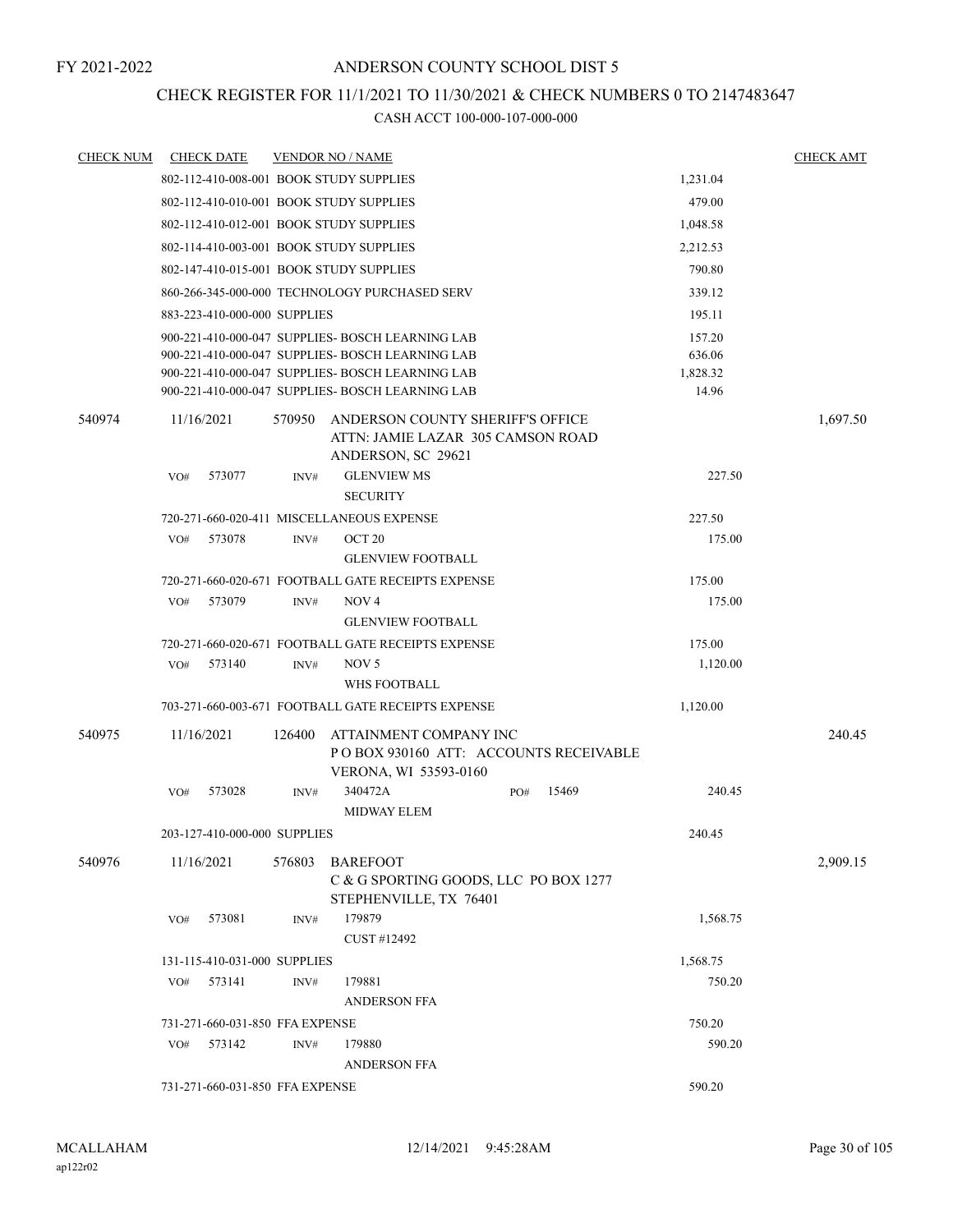## CHECK REGISTER FOR 11/1/2021 TO 11/30/2021 & CHECK NUMBERS 0 TO 2147483647

| <b>CHECK NUM</b> | <b>CHECK DATE</b>               |        | <b>VENDOR NO / NAME</b>                                                                  |     |       |          | <b>CHECK AMT</b> |
|------------------|---------------------------------|--------|------------------------------------------------------------------------------------------|-----|-------|----------|------------------|
|                  |                                 |        | 802-112-410-008-001 BOOK STUDY SUPPLIES                                                  |     |       | 1,231.04 |                  |
|                  |                                 |        | 802-112-410-010-001 BOOK STUDY SUPPLIES                                                  |     |       | 479.00   |                  |
|                  |                                 |        | 802-112-410-012-001 BOOK STUDY SUPPLIES                                                  |     |       | 1,048.58 |                  |
|                  |                                 |        | 802-114-410-003-001 BOOK STUDY SUPPLIES                                                  |     |       | 2,212.53 |                  |
|                  |                                 |        | 802-147-410-015-001 BOOK STUDY SUPPLIES                                                  |     |       | 790.80   |                  |
|                  |                                 |        | 860-266-345-000-000 TECHNOLOGY PURCHASED SERV                                            |     |       | 339.12   |                  |
|                  | 883-223-410-000-000 SUPPLIES    |        |                                                                                          |     |       | 195.11   |                  |
|                  |                                 |        | 900-221-410-000-047 SUPPLIES- BOSCH LEARNING LAB                                         |     |       | 157.20   |                  |
|                  |                                 |        | 900-221-410-000-047 SUPPLIES- BOSCH LEARNING LAB                                         |     |       | 636.06   |                  |
|                  |                                 |        | 900-221-410-000-047 SUPPLIES- BOSCH LEARNING LAB                                         |     |       | 1,828.32 |                  |
|                  |                                 |        | 900-221-410-000-047 SUPPLIES- BOSCH LEARNING LAB                                         |     |       | 14.96    |                  |
| 540974           | 11/16/2021                      | 570950 | ANDERSON COUNTY SHERIFF'S OFFICE<br>ATTN: JAMIE LAZAR 305 CAMSON ROAD                    |     |       |          | 1,697.50         |
|                  |                                 |        | ANDERSON, SC 29621                                                                       |     |       |          |                  |
|                  | 573077<br>VO#                   | INV#   | <b>GLENVIEW MS</b>                                                                       |     |       | 227.50   |                  |
|                  |                                 |        | <b>SECURITY</b>                                                                          |     |       |          |                  |
|                  |                                 |        | 720-271-660-020-411 MISCELLANEOUS EXPENSE                                                |     |       | 227.50   |                  |
|                  | VO#<br>573078                   | INV#   | OCT <sub>20</sub>                                                                        |     |       | 175.00   |                  |
|                  |                                 |        | <b>GLENVIEW FOOTBALL</b>                                                                 |     |       |          |                  |
|                  |                                 |        | 720-271-660-020-671 FOOTBALL GATE RECEIPTS EXPENSE                                       |     |       | 175.00   |                  |
|                  | 573079<br>VO#                   | INV#   | NOV <sub>4</sub>                                                                         |     |       | 175.00   |                  |
|                  |                                 |        | <b>GLENVIEW FOOTBALL</b>                                                                 |     |       |          |                  |
|                  |                                 |        | 720-271-660-020-671 FOOTBALL GATE RECEIPTS EXPENSE                                       |     |       | 175.00   |                  |
|                  | 573140<br>VO#                   | INV#   | NOV 5                                                                                    |     |       | 1,120.00 |                  |
|                  |                                 |        | WHS FOOTBALL                                                                             |     |       |          |                  |
|                  |                                 |        | 703-271-660-003-671 FOOTBALL GATE RECEIPTS EXPENSE                                       |     |       | 1,120.00 |                  |
| 540975           | 11/16/2021                      | 126400 | ATTAINMENT COMPANY INC<br>POBOX 930160 ATT: ACCOUNTS RECEIVABLE<br>VERONA, WI 53593-0160 |     |       |          | 240.45           |
|                  | 573028<br>VO#                   | INV#   | 340472A<br><b>MIDWAY ELEM</b>                                                            | PO# | 15469 | 240.45   |                  |
|                  | 203-127-410-000-000 SUPPLIES    |        |                                                                                          |     |       | 240.45   |                  |
| 540976           | 11/16/2021                      | 576803 | <b>BAREFOOT</b>                                                                          |     |       |          | 2,909.15         |
|                  |                                 |        | C & G SPORTING GOODS, LLC PO BOX 1277<br>STEPHENVILLE, TX 76401                          |     |       |          |                  |
|                  | 573081<br>VO#                   | INV#   | 179879                                                                                   |     |       | 1,568.75 |                  |
|                  |                                 |        | CUST #12492                                                                              |     |       |          |                  |
|                  | 131-115-410-031-000 SUPPLIES    |        |                                                                                          |     |       | 1,568.75 |                  |
|                  | 573141<br>VO#                   | INV#   | 179881                                                                                   |     |       | 750.20   |                  |
|                  |                                 |        | <b>ANDERSON FFA</b>                                                                      |     |       |          |                  |
|                  | 731-271-660-031-850 FFA EXPENSE |        |                                                                                          |     |       | 750.20   |                  |
|                  | 573142<br>VO#                   | INV#   | 179880                                                                                   |     |       | 590.20   |                  |
|                  |                                 |        | ANDERSON FFA                                                                             |     |       |          |                  |
|                  | 731-271-660-031-850 FFA EXPENSE |        |                                                                                          |     |       | 590.20   |                  |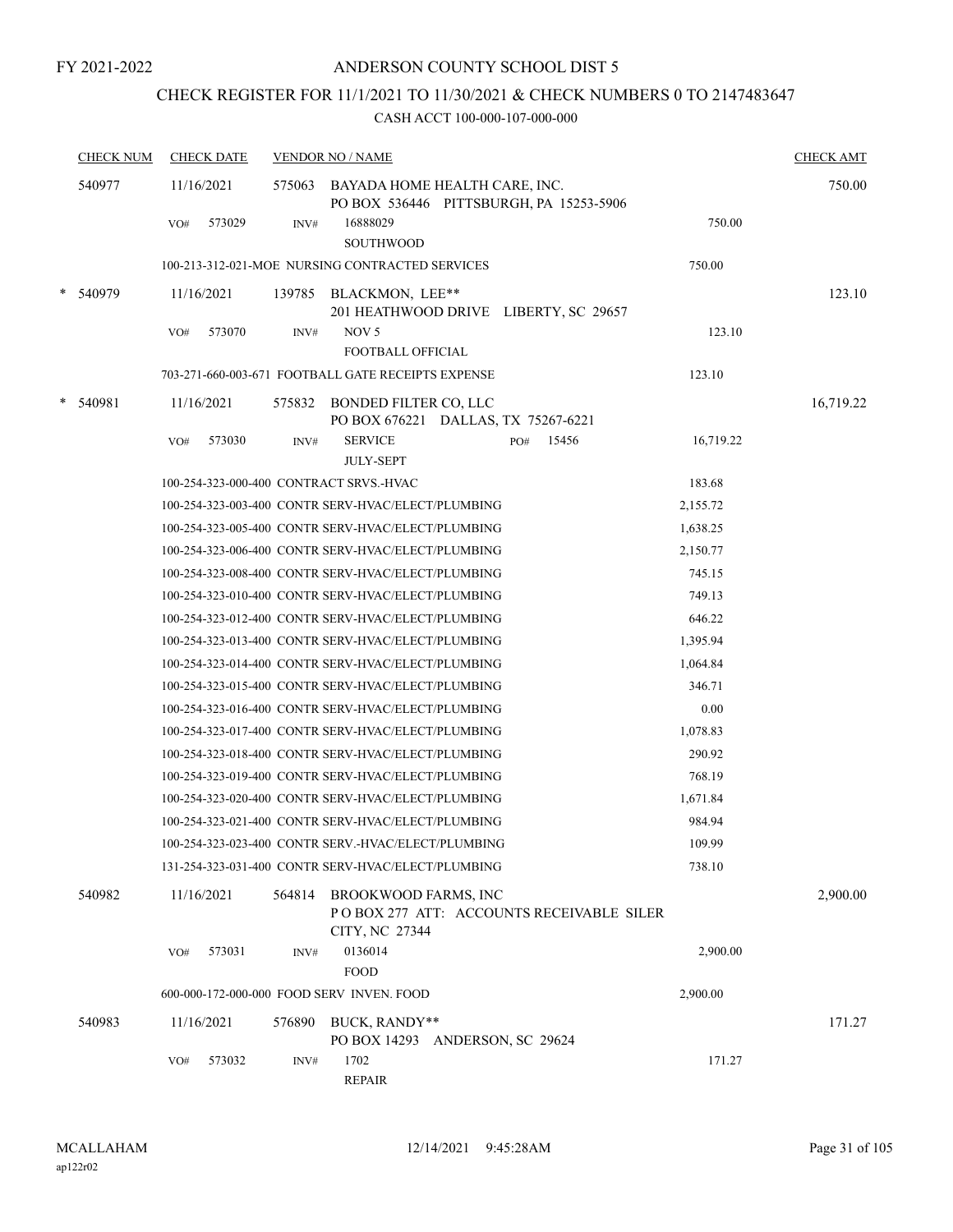## CHECK REGISTER FOR 11/1/2021 TO 11/30/2021 & CHECK NUMBERS 0 TO 2147483647

| <b>CHECK NUM</b> |     | <b>CHECK DATE</b> |        | <b>VENDOR NO / NAME</b>                                                                   |                    | <b>CHECK AMT</b> |
|------------------|-----|-------------------|--------|-------------------------------------------------------------------------------------------|--------------------|------------------|
| 540977           |     | 11/16/2021        |        | 575063 BAYADA HOME HEALTH CARE, INC.<br>PO BOX 536446 PITTSBURGH, PA 15253-5906           |                    | 750.00           |
|                  | VO# | 573029            | INV#   | 16888029<br><b>SOUTHWOOD</b>                                                              | 750.00             |                  |
|                  |     |                   |        | 100-213-312-021-MOE NURSING CONTRACTED SERVICES                                           | 750.00             |                  |
| 540979           |     | 11/16/2021        |        | 139785 BLACKMON, LEE**<br>201 HEATHWOOD DRIVE LIBERTY, SC 29657                           |                    | 123.10           |
|                  | VO# | 573070            | INV#   | NOV <sub>5</sub><br><b>FOOTBALL OFFICIAL</b>                                              | 123.10             |                  |
|                  |     |                   |        | 703-271-660-003-671 FOOTBALL GATE RECEIPTS EXPENSE                                        | 123.10             |                  |
| 540981           |     | 11/16/2021        |        | 575832 BONDED FILTER CO, LLC<br>PO BOX 676221 DALLAS, TX 75267-6221                       |                    | 16,719.22        |
|                  | VO# | 573030            | INV#   | <b>SERVICE</b><br>PO#<br>JULY-SEPT                                                        | 15456<br>16,719.22 |                  |
|                  |     |                   |        | 100-254-323-000-400 CONTRACT SRVS.-HVAC                                                   | 183.68             |                  |
|                  |     |                   |        | 100-254-323-003-400 CONTR SERV-HVAC/ELECT/PLUMBING                                        | 2,155.72           |                  |
|                  |     |                   |        | 100-254-323-005-400 CONTR SERV-HVAC/ELECT/PLUMBING                                        | 1,638.25           |                  |
|                  |     |                   |        | 100-254-323-006-400 CONTR SERV-HVAC/ELECT/PLUMBING                                        | 2,150.77           |                  |
|                  |     |                   |        | 100-254-323-008-400 CONTR SERV-HVAC/ELECT/PLUMBING                                        | 745.15             |                  |
|                  |     |                   |        | 100-254-323-010-400 CONTR SERV-HVAC/ELECT/PLUMBING                                        | 749.13             |                  |
|                  |     |                   |        | 100-254-323-012-400 CONTR SERV-HVAC/ELECT/PLUMBING                                        | 646.22             |                  |
|                  |     |                   |        | 100-254-323-013-400 CONTR SERV-HVAC/ELECT/PLUMBING                                        | 1,395.94           |                  |
|                  |     |                   |        | 100-254-323-014-400 CONTR SERV-HVAC/ELECT/PLUMBING                                        | 1,064.84           |                  |
|                  |     |                   |        | 100-254-323-015-400 CONTR SERV-HVAC/ELECT/PLUMBING                                        | 346.71             |                  |
|                  |     |                   |        | 100-254-323-016-400 CONTR SERV-HVAC/ELECT/PLUMBING                                        | 0.00               |                  |
|                  |     |                   |        | 100-254-323-017-400 CONTR SERV-HVAC/ELECT/PLUMBING                                        | 1,078.83           |                  |
|                  |     |                   |        | 100-254-323-018-400 CONTR SERV-HVAC/ELECT/PLUMBING                                        | 290.92             |                  |
|                  |     |                   |        | 100-254-323-019-400 CONTR SERV-HVAC/ELECT/PLUMBING                                        | 768.19             |                  |
|                  |     |                   |        | 100-254-323-020-400 CONTR SERV-HVAC/ELECT/PLUMBING                                        | 1,671.84           |                  |
|                  |     |                   |        | 100-254-323-021-400 CONTR SERV-HVAC/ELECT/PLUMBING                                        | 984.94             |                  |
|                  |     |                   |        | 100-254-323-023-400 CONTR SERV.-HVAC/ELECT/PLUMBING                                       | 109.99             |                  |
|                  |     |                   |        | 131-254-323-031-400 CONTR SERV-HVAC/ELECT/PLUMBING                                        | 738.10             |                  |
| 540982           |     | 11/16/2021        |        | 564814 BROOKWOOD FARMS, INC<br>POBOX 277 ATT: ACCOUNTS RECEIVABLE SILER<br>CITY, NC 27344 |                    | 2,900.00         |
|                  | VO# | 573031            | INV#   | 0136014<br><b>FOOD</b>                                                                    | 2,900.00           |                  |
|                  |     |                   |        | 600-000-172-000-000 FOOD SERV INVEN. FOOD                                                 | 2,900.00           |                  |
| 540983           |     | 11/16/2021        | 576890 | BUCK, RANDY**<br>PO BOX 14293 ANDERSON, SC 29624                                          |                    | 171.27           |
|                  | VO# | 573032            | INV#   | 1702<br><b>REPAIR</b>                                                                     | 171.27             |                  |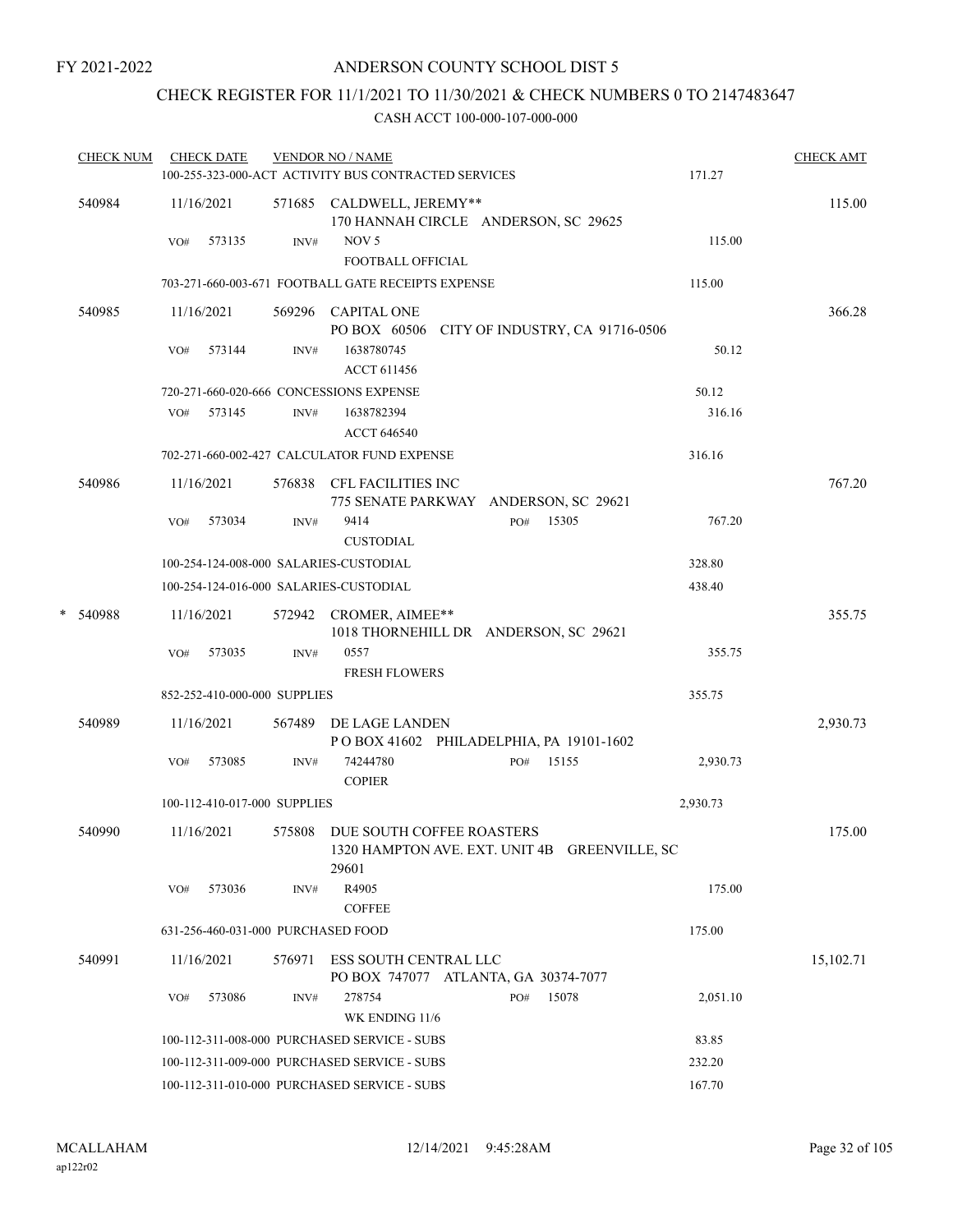## CHECK REGISTER FOR 11/1/2021 TO 11/30/2021 & CHECK NUMBERS 0 TO 2147483647

|   | <b>CHECK NUM</b> | <b>CHECK DATE</b> |                                    | <b>VENDOR NO / NAME</b>                                                                    |              |          | <b>CHECK AMT</b> |
|---|------------------|-------------------|------------------------------------|--------------------------------------------------------------------------------------------|--------------|----------|------------------|
|   |                  |                   |                                    | 100-255-323-000-ACT ACTIVITY BUS CONTRACTED SERVICES                                       |              | 171.27   |                  |
|   | 540984           | 11/16/2021        |                                    | 571685 CALDWELL, JEREMY**<br>170 HANNAH CIRCLE ANDERSON, SC 29625                          |              |          | 115.00           |
|   |                  | VO#               | $\text{INV}\#$<br>573135           | NOV <sub>5</sub>                                                                           |              | 115.00   |                  |
|   |                  |                   |                                    | FOOTBALL OFFICIAL                                                                          |              |          |                  |
|   |                  |                   |                                    | 703-271-660-003-671 FOOTBALL GATE RECEIPTS EXPENSE                                         |              | 115.00   |                  |
|   | 540985           | 11/16/2021        |                                    | 569296 CAPITAL ONE<br>PO BOX 60506 CITY OF INDUSTRY, CA 91716-0506                         |              |          | 366.28           |
|   |                  | VO#               | 573144<br>INV#                     | 1638780745<br>ACCT 611456                                                                  |              | 50.12    |                  |
|   |                  |                   |                                    | 720-271-660-020-666 CONCESSIONS EXPENSE                                                    |              | 50.12    |                  |
|   |                  | VO#               | 573145<br>INV#                     | 1638782394<br><b>ACCT 646540</b>                                                           |              | 316.16   |                  |
|   |                  |                   |                                    | 702-271-660-002-427 CALCULATOR FUND EXPENSE                                                |              | 316.16   |                  |
|   | 540986           | 11/16/2021        |                                    | 576838 CFL FACILITIES INC<br>775 SENATE PARKWAY ANDERSON, SC 29621                         |              |          | 767.20           |
|   |                  | VO#               | 573034<br>INV#                     | 9414<br><b>CUSTODIAL</b>                                                                   | 15305<br>PO# | 767.20   |                  |
|   |                  |                   |                                    | 100-254-124-008-000 SALARIES-CUSTODIAL                                                     |              | 328.80   |                  |
|   |                  |                   |                                    | 100-254-124-016-000 SALARIES-CUSTODIAL                                                     |              | 438.40   |                  |
| * | 540988           | 11/16/2021        |                                    | 572942 CROMER, AIMEE**                                                                     |              |          | 355.75           |
|   |                  | VO#               | 573035<br>INV#                     | 1018 THORNEHILL DR ANDERSON, SC 29621<br>0557<br><b>FRESH FLOWERS</b>                      |              | 355.75   |                  |
|   |                  |                   | 852-252-410-000-000 SUPPLIES       |                                                                                            |              | 355.75   |                  |
|   | 540989           | 11/16/2021        |                                    | 567489 DE LAGE LANDEN<br>POBOX 41602 PHILADELPHIA, PA 19101-1602                           |              |          | 2,930.73         |
|   |                  | VO#               | 573085<br>INV#                     | 74244780<br><b>COPIER</b>                                                                  | PO# 15155    | 2,930.73 |                  |
|   |                  |                   | 100-112-410-017-000 SUPPLIES       |                                                                                            |              | 2,930.73 |                  |
|   | 540990           | 11/16/2021        |                                    | 575808 DUE SOUTH COFFEE ROASTERS<br>1320 HAMPTON AVE. EXT. UNIT 4B GREENVILLE, SC<br>29601 |              |          | 175.00           |
|   |                  | VO#               | 573036<br>INV#                     | R4905<br><b>COFFEE</b>                                                                     |              | 175.00   |                  |
|   |                  |                   | 631-256-460-031-000 PURCHASED FOOD |                                                                                            |              | 175.00   |                  |
|   | 540991           | 11/16/2021        | 576971                             | ESS SOUTH CENTRAL LLC                                                                      |              |          | 15,102.71        |
|   |                  |                   |                                    | PO BOX 747077 ATLANTA, GA 30374-7077                                                       |              |          |                  |
|   |                  | VO#               | 573086<br>INV#                     | 278754<br>PO#<br>WK ENDING 11/6                                                            | 15078        | 2,051.10 |                  |
|   |                  |                   |                                    | 100-112-311-008-000 PURCHASED SERVICE - SUBS                                               |              | 83.85    |                  |
|   |                  |                   |                                    | 100-112-311-009-000 PURCHASED SERVICE - SUBS                                               |              | 232.20   |                  |
|   |                  |                   |                                    | 100-112-311-010-000 PURCHASED SERVICE - SUBS                                               |              | 167.70   |                  |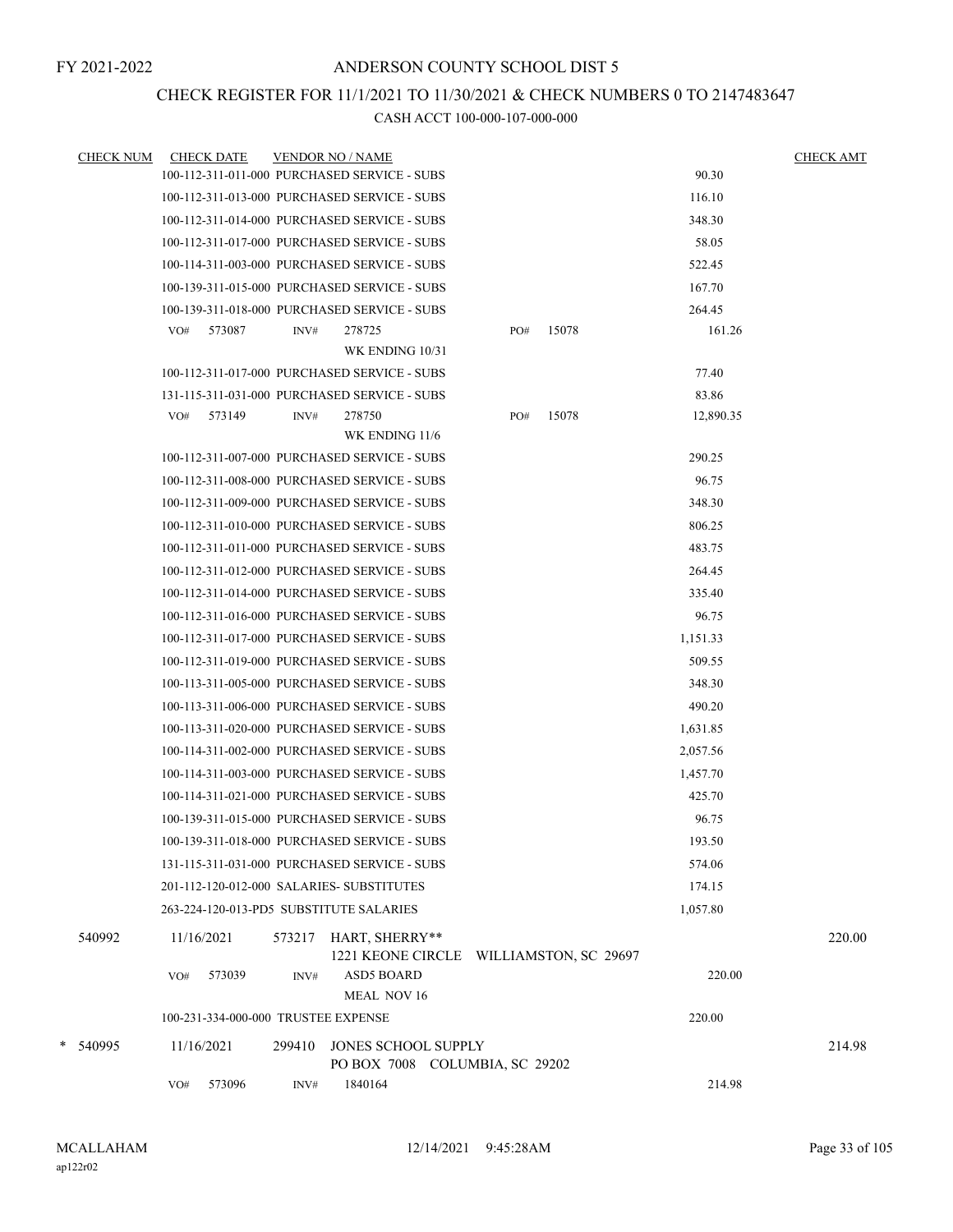#### CHECK REGISTER FOR 11/1/2021 TO 11/30/2021 & CHECK NUMBERS 0 TO 2147483647

|   | <b>CHECK NUM</b> | <b>CHECK DATE</b>                         |        | <b>VENDOR NO / NAME</b>                                   |     |       |           | <b>CHECK AMT</b> |
|---|------------------|-------------------------------------------|--------|-----------------------------------------------------------|-----|-------|-----------|------------------|
|   |                  |                                           |        | 100-112-311-011-000 PURCHASED SERVICE - SUBS              |     |       | 90.30     |                  |
|   |                  |                                           |        | 100-112-311-013-000 PURCHASED SERVICE - SUBS              |     |       | 116.10    |                  |
|   |                  |                                           |        | 100-112-311-014-000 PURCHASED SERVICE - SUBS              |     |       | 348.30    |                  |
|   |                  |                                           |        | 100-112-311-017-000 PURCHASED SERVICE - SUBS              |     |       | 58.05     |                  |
|   |                  |                                           |        | 100-114-311-003-000 PURCHASED SERVICE - SUBS              |     |       | 522.45    |                  |
|   |                  |                                           |        | 100-139-311-015-000 PURCHASED SERVICE - SUBS              |     |       | 167.70    |                  |
|   |                  |                                           |        | 100-139-311-018-000 PURCHASED SERVICE - SUBS              |     |       | 264.45    |                  |
|   |                  | 573087<br>VO#                             | INV#   | 278725                                                    | PO# | 15078 | 161.26    |                  |
|   |                  |                                           |        | WK ENDING 10/31                                           |     |       |           |                  |
|   |                  |                                           |        | 100-112-311-017-000 PURCHASED SERVICE - SUBS              |     |       | 77.40     |                  |
|   |                  |                                           |        | 131-115-311-031-000 PURCHASED SERVICE - SUBS              |     |       | 83.86     |                  |
|   |                  | VO#<br>573149                             | INV#   | 278750                                                    | PO# | 15078 | 12,890.35 |                  |
|   |                  |                                           |        | WK ENDING 11/6                                            |     |       |           |                  |
|   |                  |                                           |        | 100-112-311-007-000 PURCHASED SERVICE - SUBS              |     |       | 290.25    |                  |
|   |                  |                                           |        | 100-112-311-008-000 PURCHASED SERVICE - SUBS              |     |       | 96.75     |                  |
|   |                  |                                           |        | 100-112-311-009-000 PURCHASED SERVICE - SUBS              |     |       | 348.30    |                  |
|   |                  |                                           |        | 100-112-311-010-000 PURCHASED SERVICE - SUBS              |     |       | 806.25    |                  |
|   |                  |                                           |        | 100-112-311-011-000 PURCHASED SERVICE - SUBS              |     |       | 483.75    |                  |
|   |                  |                                           |        | 100-112-311-012-000 PURCHASED SERVICE - SUBS              |     |       | 264.45    |                  |
|   |                  |                                           |        | 100-112-311-014-000 PURCHASED SERVICE - SUBS              |     |       | 335.40    |                  |
|   |                  |                                           |        | 100-112-311-016-000 PURCHASED SERVICE - SUBS              |     |       | 96.75     |                  |
|   |                  |                                           |        | 100-112-311-017-000 PURCHASED SERVICE - SUBS              |     |       | 1,151.33  |                  |
|   |                  |                                           |        | 100-112-311-019-000 PURCHASED SERVICE - SUBS              |     |       | 509.55    |                  |
|   |                  |                                           |        | 100-113-311-005-000 PURCHASED SERVICE - SUBS              |     |       | 348.30    |                  |
|   |                  |                                           |        | 100-113-311-006-000 PURCHASED SERVICE - SUBS              |     |       | 490.20    |                  |
|   |                  |                                           |        | 100-113-311-020-000 PURCHASED SERVICE - SUBS              |     |       | 1,631.85  |                  |
|   |                  |                                           |        | 100-114-311-002-000 PURCHASED SERVICE - SUBS              |     |       | 2,057.56  |                  |
|   |                  |                                           |        | 100-114-311-003-000 PURCHASED SERVICE - SUBS              |     |       | 1,457.70  |                  |
|   |                  |                                           |        | 100-114-311-021-000 PURCHASED SERVICE - SUBS              |     |       | 425.70    |                  |
|   |                  |                                           |        | 100-139-311-015-000 PURCHASED SERVICE - SUBS              |     |       | 96.75     |                  |
|   |                  |                                           |        | 100-139-311-018-000 PURCHASED SERVICE - SUBS              |     |       | 193.50    |                  |
|   |                  |                                           |        | 131-115-311-031-000 PURCHASED SERVICE - SUBS              |     |       | 574.06    |                  |
|   |                  | 201-112-120-012-000 SALARIES- SUBSTITUTES |        |                                                           |     |       | 174.15    |                  |
|   |                  | 263-224-120-013-PD5 SUBSTITUTE SALARIES   |        |                                                           |     |       | 1,057.80  |                  |
|   | 540992           | 11/16/2021                                | 573217 | HART, SHERRY**<br>1221 KEONE CIRCLE WILLIAMSTON, SC 29697 |     |       |           | 220.00           |
|   |                  | VO#<br>573039                             | INV#   | <b>ASD5 BOARD</b><br>MEAL NOV 16                          |     |       | 220.00    |                  |
|   |                  | 100-231-334-000-000 TRUSTEE EXPENSE       |        |                                                           |     |       | 220.00    |                  |
| * | 540995           | 11/16/2021                                | 299410 | JONES SCHOOL SUPPLY<br>PO BOX 7008 COLUMBIA, SC 29202     |     |       |           | 214.98           |
|   |                  | 573096<br>VO#                             | INV#   | 1840164                                                   |     |       | 214.98    |                  |
|   |                  |                                           |        |                                                           |     |       |           |                  |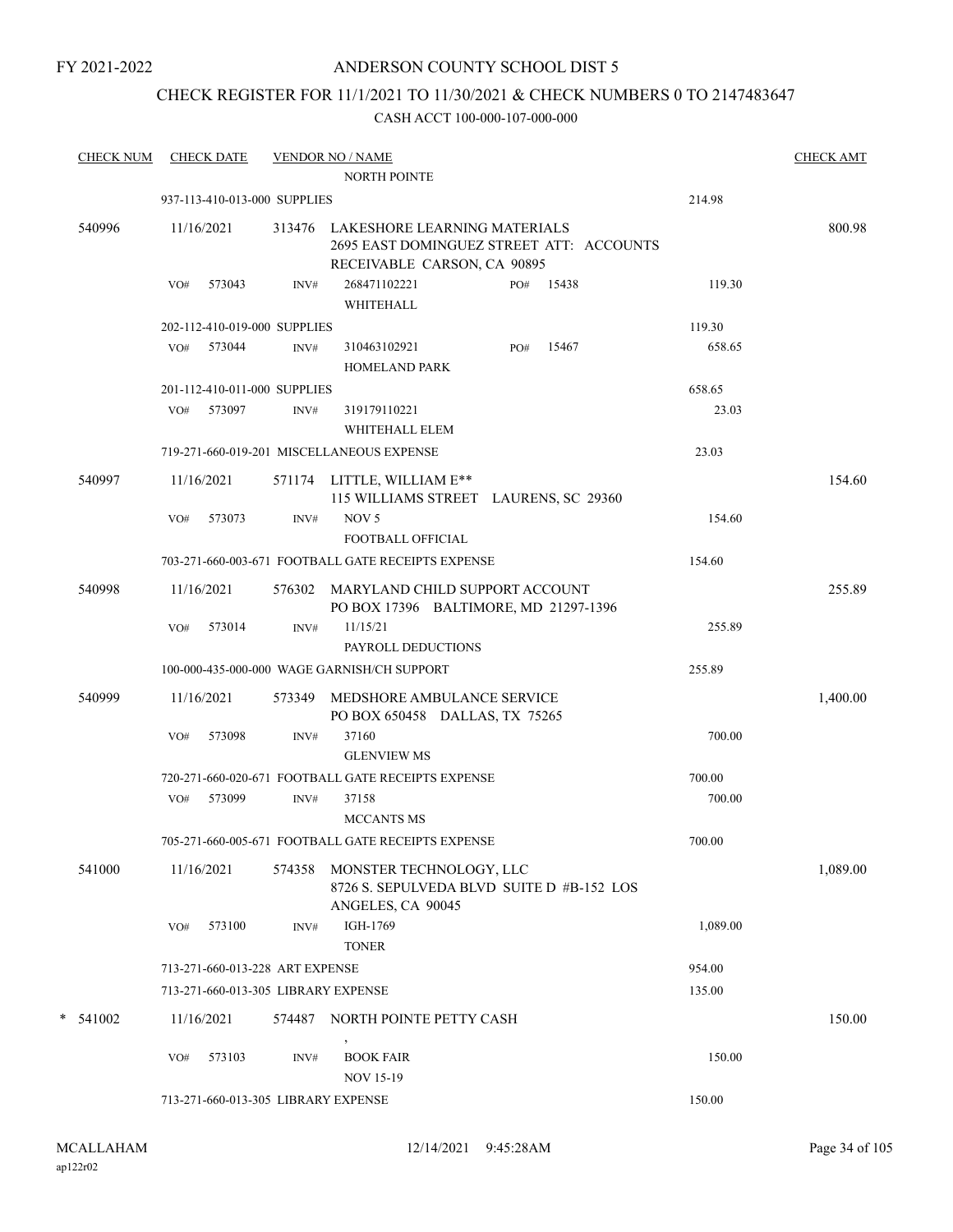## ANDERSON COUNTY SCHOOL DIST 5

## CHECK REGISTER FOR 11/1/2021 TO 11/30/2021 & CHECK NUMBERS 0 TO 2147483647

| <b>CHECK NUM</b> |     | <b>CHECK DATE</b>               |        | <b>VENDOR NO / NAME</b><br><b>NORTH POINTE</b>                                                                 |     |       |          | <b>CHECK AMT</b> |
|------------------|-----|---------------------------------|--------|----------------------------------------------------------------------------------------------------------------|-----|-------|----------|------------------|
|                  |     | 937-113-410-013-000 SUPPLIES    |        |                                                                                                                |     |       | 214.98   |                  |
| 540996           |     | 11/16/2021                      |        | 313476 LAKESHORE LEARNING MATERIALS<br>2695 EAST DOMINGUEZ STREET ATT: ACCOUNTS<br>RECEIVABLE CARSON, CA 90895 |     |       |          | 800.98           |
|                  | VO# | 573043                          | INV#   | 268471102221<br>WHITEHALL                                                                                      | PO# | 15438 | 119.30   |                  |
|                  |     | 202-112-410-019-000 SUPPLIES    |        |                                                                                                                |     |       | 119.30   |                  |
|                  |     | VO# 573044                      | INV#   | 310463102921<br><b>HOMELAND PARK</b>                                                                           | PO# | 15467 | 658.65   |                  |
|                  |     | 201-112-410-011-000 SUPPLIES    |        |                                                                                                                |     |       | 658.65   |                  |
|                  |     | VO# 573097                      | INV#   | 319179110221<br>WHITEHALL ELEM                                                                                 |     |       | 23.03    |                  |
|                  |     |                                 |        | 719-271-660-019-201 MISCELLANEOUS EXPENSE                                                                      |     |       | 23.03    |                  |
| 540997           |     | 11/16/2021                      |        | 571174 LITTLE, WILLIAM E**<br>115 WILLIAMS STREET LAURENS, SC 29360                                            |     |       |          | 154.60           |
|                  | VO# | 573073                          | INV#   | NOV <sub>5</sub><br><b>FOOTBALL OFFICIAL</b>                                                                   |     |       | 154.60   |                  |
|                  |     |                                 |        | 703-271-660-003-671 FOOTBALL GATE RECEIPTS EXPENSE                                                             |     |       | 154.60   |                  |
| 540998           |     | 11/16/2021                      |        | 576302 MARYLAND CHILD SUPPORT ACCOUNT<br>PO BOX 17396 BALTIMORE, MD 21297-1396                                 |     |       |          | 255.89           |
|                  | VO# | 573014                          | INV#   | 11/15/21<br>PAYROLL DEDUCTIONS                                                                                 |     |       | 255.89   |                  |
|                  |     |                                 |        | 100-000-435-000-000 WAGE GARNISH/CH SUPPORT                                                                    |     |       | 255.89   |                  |
| 540999           |     | 11/16/2021                      | 573349 | MEDSHORE AMBULANCE SERVICE<br>PO BOX 650458 DALLAS, TX 75265                                                   |     |       |          | 1,400.00         |
|                  | VO# | 573098                          | INV#   | 37160<br><b>GLENVIEW MS</b>                                                                                    |     |       | 700.00   |                  |
|                  |     |                                 |        | 720-271-660-020-671 FOOTBALL GATE RECEIPTS EXPENSE                                                             |     |       | 700.00   |                  |
|                  |     | VO# 573099                      | INV#   | 37158<br><b>MCCANTS MS</b>                                                                                     |     |       | 700.00   |                  |
|                  |     |                                 |        | 705-271-660-005-671 FOOTBALL GATE RECEIPTS EXPENSE                                                             |     |       | 700.00   |                  |
| 541000           |     | 11/16/2021                      |        | 574358 MONSTER TECHNOLOGY, LLC<br>8726 S. SEPULVEDA BLVD SUITE D #B-152 LOS<br>ANGELES, CA 90045               |     |       |          | 1,089.00         |
|                  | VO# | 573100                          | INV#   | IGH-1769<br><b>TONER</b>                                                                                       |     |       | 1,089.00 |                  |
|                  |     | 713-271-660-013-228 ART EXPENSE |        |                                                                                                                |     |       | 954.00   |                  |
|                  |     |                                 |        | 713-271-660-013-305 LIBRARY EXPENSE                                                                            |     |       | 135.00   |                  |
| $*$ 541002       |     | 11/16/2021                      | 574487 | NORTH POINTE PETTY CASH<br>$\,$                                                                                |     |       |          | 150.00           |
|                  | VO# | 573103                          | INV#   | <b>BOOK FAIR</b><br><b>NOV 15-19</b>                                                                           |     |       | 150.00   |                  |
|                  |     |                                 |        | 713-271-660-013-305 LIBRARY EXPENSE                                                                            |     |       | 150.00   |                  |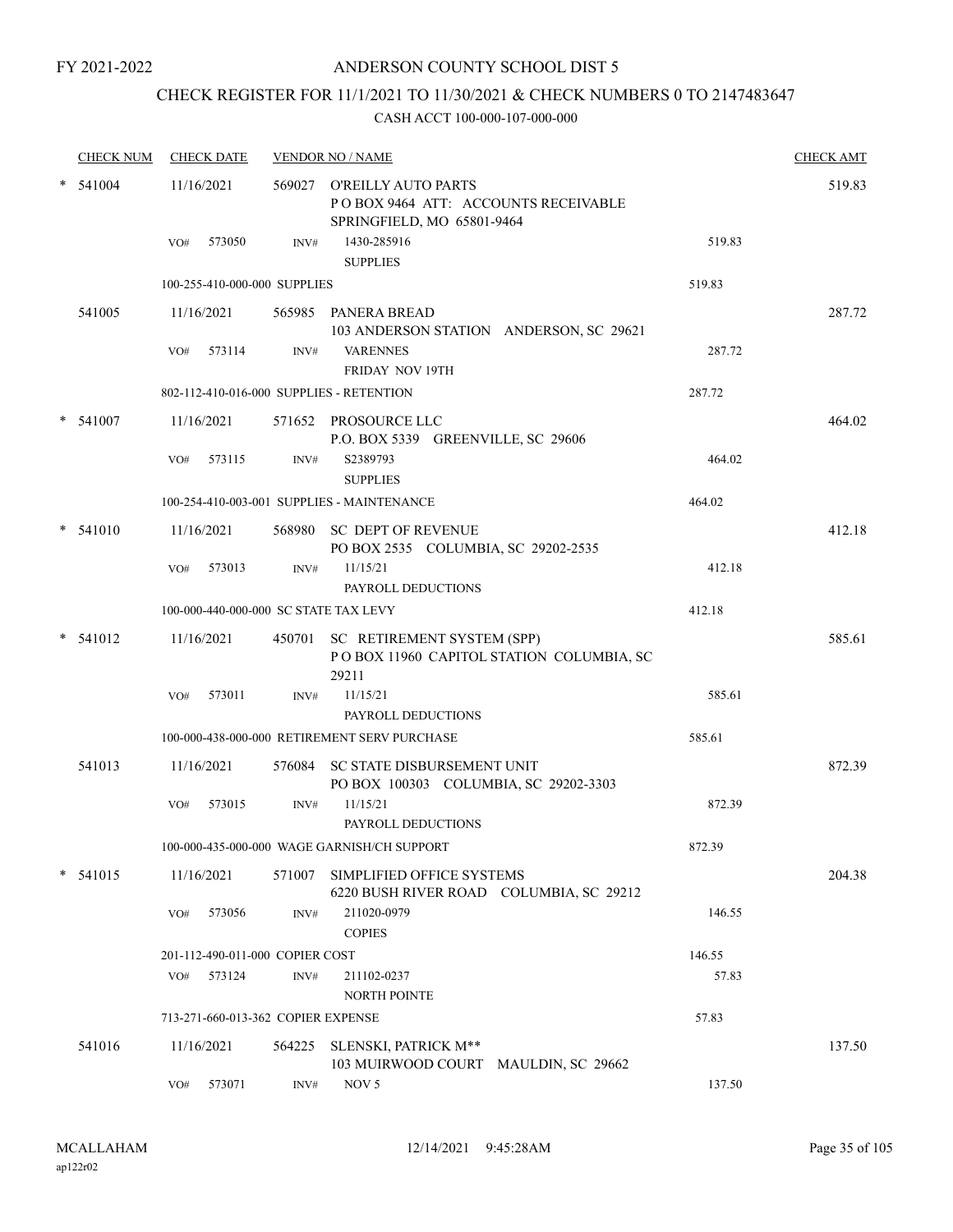## CHECK REGISTER FOR 11/1/2021 TO 11/30/2021 & CHECK NUMBERS 0 TO 2147483647

|   | <b>CHECK NUM</b> |     | <b>CHECK DATE</b>                  |                | <b>VENDOR NO / NAME</b>                                                                                        |        | <b>CHECK AMT</b> |
|---|------------------|-----|------------------------------------|----------------|----------------------------------------------------------------------------------------------------------------|--------|------------------|
|   | 541004           | VO# | 11/16/2021<br>573050               | INV#           | 569027 O'REILLY AUTO PARTS<br>POBOX 9464 ATT: ACCOUNTS RECEIVABLE<br>SPRINGFIELD, MO 65801-9464<br>1430-285916 | 519.83 | 519.83           |
|   |                  |     |                                    |                | <b>SUPPLIES</b>                                                                                                |        |                  |
|   |                  |     | 100-255-410-000-000 SUPPLIES       |                |                                                                                                                | 519.83 |                  |
|   | 541005           |     | 11/16/2021                         |                | 565985 PANERA BREAD<br>103 ANDERSON STATION ANDERSON, SC 29621                                                 |        | 287.72           |
|   |                  | VO# | 573114                             | INV#           | <b>VARENNES</b><br><b>FRIDAY NOV 19TH</b>                                                                      | 287.72 |                  |
|   |                  |     |                                    |                | 802-112-410-016-000 SUPPLIES - RETENTION                                                                       | 287.72 |                  |
|   | 541007           |     | 11/16/2021                         |                | 571652 PROSOURCE LLC<br>P.O. BOX 5339 GREENVILLE, SC 29606                                                     |        | 464.02           |
|   |                  | VO# | 573115                             | INV#           | S2389793<br><b>SUPPLIES</b>                                                                                    | 464.02 |                  |
|   |                  |     |                                    |                | 100-254-410-003-001 SUPPLIES - MAINTENANCE                                                                     | 464.02 |                  |
|   | 541010           |     | 11/16/2021                         |                | 568980 SC DEPT OF REVENUE<br>PO BOX 2535 COLUMBIA, SC 29202-2535                                               |        | 412.18           |
|   |                  | VO# | 573013                             | INV#           | 11/15/21<br>PAYROLL DEDUCTIONS                                                                                 | 412.18 |                  |
|   |                  |     |                                    |                | 100-000-440-000-000 SC STATE TAX LEVY                                                                          | 412.18 |                  |
|   | 541012           |     | 11/16/2021                         |                | 450701 SC RETIREMENT SYSTEM (SPP)<br>POBOX 11960 CAPITOL STATION COLUMBIA, SC<br>29211                         |        | 585.61           |
|   |                  | VO# | 573011                             | INV#           | 11/15/21<br>PAYROLL DEDUCTIONS                                                                                 | 585.61 |                  |
|   |                  |     |                                    |                | 100-000-438-000-000 RETIREMENT SERV PURCHASE                                                                   | 585.61 |                  |
|   | 541013           |     | 11/16/2021                         | 576084         | SC STATE DISBURSEMENT UNIT<br>PO BOX 100303 COLUMBIA, SC 29202-3303                                            |        | 872.39           |
|   |                  | VO# | 573015                             | INV#           | 11/15/21<br>PAYROLL DEDUCTIONS                                                                                 | 872.39 |                  |
|   |                  |     |                                    |                | 100-000-435-000-000 WAGE GARNISH/CH SUPPORT                                                                    | 872.39 |                  |
| * | 541015           |     | 11/16/2021                         | 571007         | SIMPLIFIED OFFICE SYSTEMS<br>6220 BUSH RIVER ROAD COLUMBIA, SC 29212                                           |        | 204.38           |
|   |                  | VO# | 573056                             | INV#           | 211020-0979<br><b>COPIES</b>                                                                                   | 146.55 |                  |
|   |                  |     | 201-112-490-011-000 COPIER COST    |                |                                                                                                                | 146.55 |                  |
|   |                  | VO# | 573124                             | $\text{INV}\#$ | 211102-0237<br><b>NORTH POINTE</b>                                                                             | 57.83  |                  |
|   |                  |     | 713-271-660-013-362 COPIER EXPENSE |                |                                                                                                                | 57.83  |                  |
|   | 541016           |     | 11/16/2021                         | 564225         | SLENSKI, PATRICK M**<br>103 MUIRWOOD COURT MAULDIN, SC 29662                                                   |        | 137.50           |
|   |                  | VO# | 573071                             | INV#           | NOV <sub>5</sub>                                                                                               | 137.50 |                  |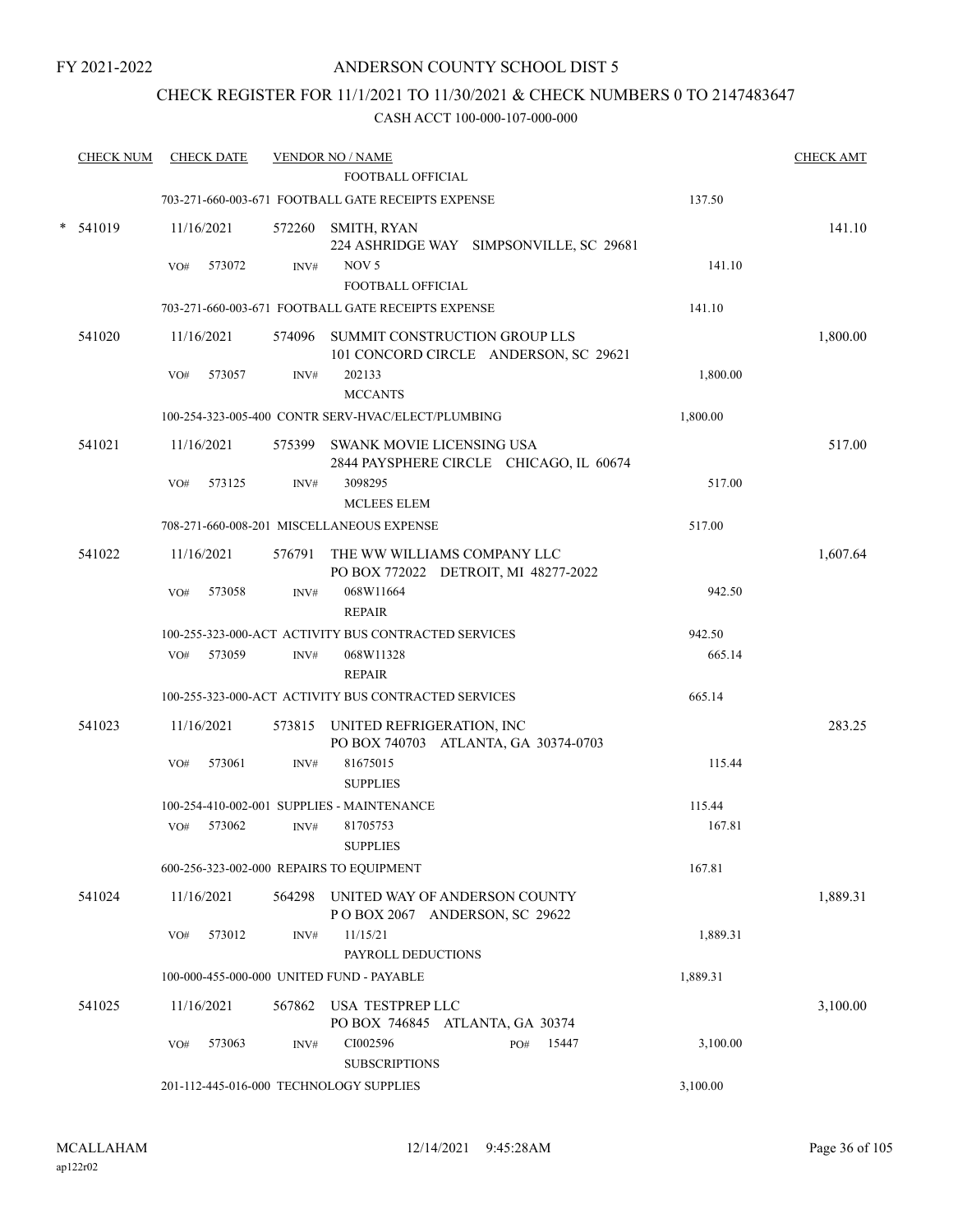## ANDERSON COUNTY SCHOOL DIST 5

## CHECK REGISTER FOR 11/1/2021 TO 11/30/2021 & CHECK NUMBERS 0 TO 2147483647

| <b>CHECK NUM</b> |     | <b>CHECK DATE</b> |        | <b>VENDOR NO / NAME</b><br>FOOTBALL OFFICIAL                                  |          | <b>CHECK AMT</b> |
|------------------|-----|-------------------|--------|-------------------------------------------------------------------------------|----------|------------------|
|                  |     |                   |        | 703-271-660-003-671 FOOTBALL GATE RECEIPTS EXPENSE                            | 137.50   |                  |
| $*$ 541019       |     | 11/16/2021        |        | 572260 SMITH, RYAN<br>224 ASHRIDGE WAY SIMPSONVILLE, SC 29681                 |          | 141.10           |
|                  | VO# | 573072            | INV#   | NOV <sub>5</sub><br>FOOTBALL OFFICIAL                                         | 141.10   |                  |
|                  |     |                   |        | 703-271-660-003-671 FOOTBALL GATE RECEIPTS EXPENSE                            | 141.10   |                  |
| 541020           |     | 11/16/2021        |        | 574096 SUMMIT CONSTRUCTION GROUP LLS<br>101 CONCORD CIRCLE ANDERSON, SC 29621 |          | 1,800.00         |
|                  | VO# | 573057            | INV#   | 202133<br><b>MCCANTS</b>                                                      | 1,800.00 |                  |
|                  |     |                   |        | 100-254-323-005-400 CONTR SERV-HVAC/ELECT/PLUMBING                            | 1,800.00 |                  |
| 541021           |     | 11/16/2021        |        | 575399 SWANK MOVIE LICENSING USA<br>2844 PAYSPHERE CIRCLE CHICAGO, IL 60674   |          | 517.00           |
|                  | VO# | 573125            | INV#   | 3098295<br><b>MCLEES ELEM</b>                                                 | 517.00   |                  |
|                  |     |                   |        | 708-271-660-008-201 MISCELLANEOUS EXPENSE                                     | 517.00   |                  |
| 541022           |     | 11/16/2021        |        | 576791 THE WW WILLIAMS COMPANY LLC<br>PO BOX 772022 DETROIT, MI 48277-2022    |          | 1,607.64         |
|                  | VO# | 573058            | INV#   | 068W11664<br><b>REPAIR</b>                                                    | 942.50   |                  |
|                  |     |                   |        | 100-255-323-000-ACT ACTIVITY BUS CONTRACTED SERVICES                          | 942.50   |                  |
|                  | VO# | 573059            | INV#   | 068W11328                                                                     | 665.14   |                  |
|                  |     |                   |        | <b>REPAIR</b>                                                                 |          |                  |
|                  |     |                   |        | 100-255-323-000-ACT ACTIVITY BUS CONTRACTED SERVICES                          | 665.14   |                  |
| 541023           |     | 11/16/2021        |        | 573815 UNITED REFRIGERATION, INC<br>PO BOX 740703 ATLANTA, GA 30374-0703      |          | 283.25           |
|                  | VO# | 573061            | INV#   | 81675015<br><b>SUPPLIES</b>                                                   | 115.44   |                  |
|                  |     |                   |        | 100-254-410-002-001 SUPPLIES - MAINTENANCE                                    | 115.44   |                  |
|                  | VO# | 573062            | INV#   | 81705753<br><b>SUPPLIES</b>                                                   | 167.81   |                  |
|                  |     |                   |        | 600-256-323-002-000 REPAIRS TO EQUIPMENT                                      | 167.81   |                  |
| 541024           |     | 11/16/2021        | 564298 | UNITED WAY OF ANDERSON COUNTY<br>POBOX 2067 ANDERSON, SC 29622                |          | 1,889.31         |
|                  | VO# | 573012            | INV#   | 11/15/21<br>PAYROLL DEDUCTIONS                                                | 1,889.31 |                  |
|                  |     |                   |        | 100-000-455-000-000 UNITED FUND - PAYABLE                                     | 1,889.31 |                  |
| 541025           |     | 11/16/2021        | 567862 | USA TESTPREP LLC<br>PO BOX 746845 ATLANTA, GA 30374                           |          | 3,100.00         |
|                  | VO# | 573063            | INV#   | CI002596<br>15447<br>PO#<br><b>SUBSCRIPTIONS</b>                              | 3,100.00 |                  |
|                  |     |                   |        | 201-112-445-016-000 TECHNOLOGY SUPPLIES                                       | 3,100.00 |                  |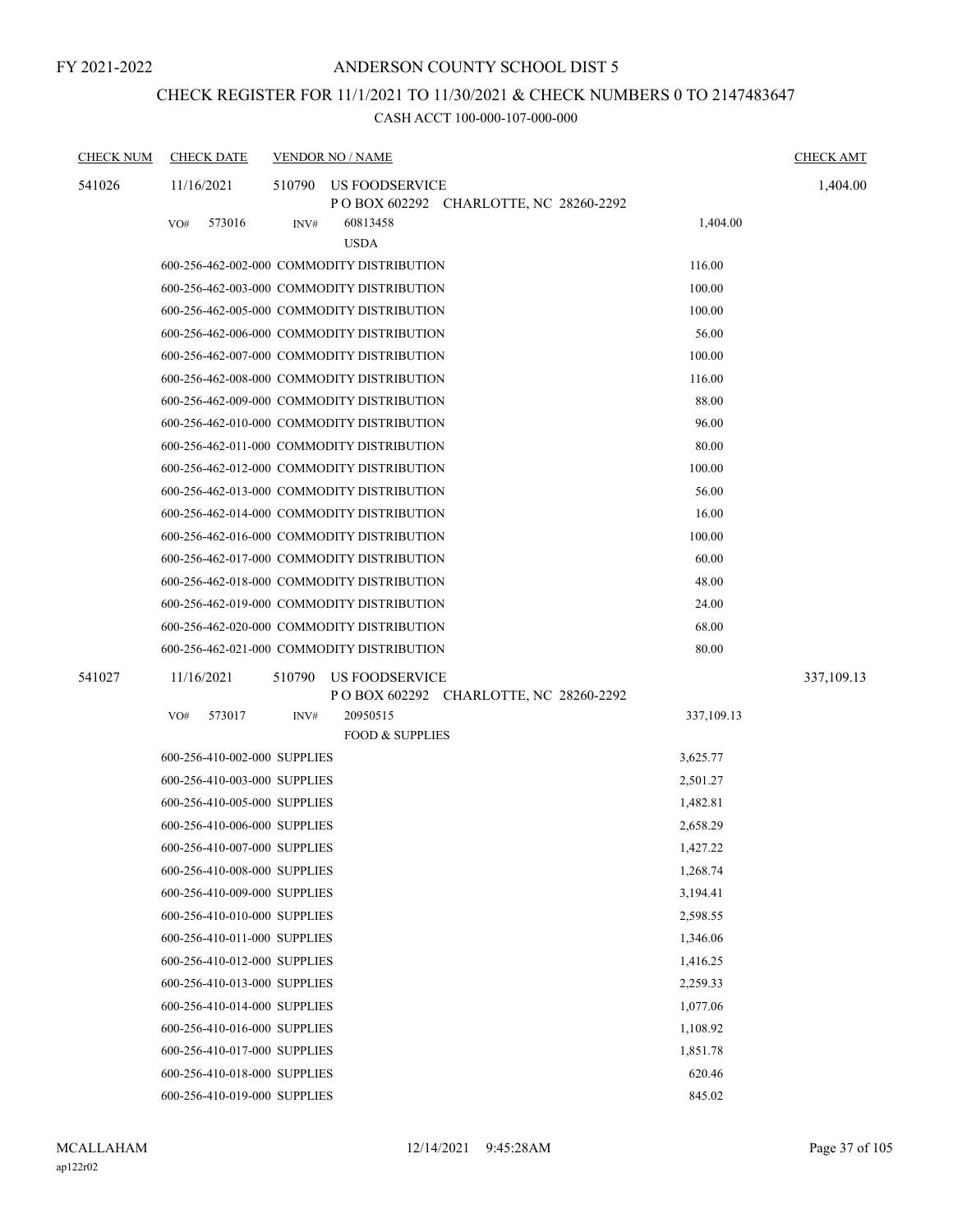# CHECK REGISTER FOR 11/1/2021 TO 11/30/2021 & CHECK NUMBERS 0 TO 2147483647

| <b>CHECK NUM</b> | <b>CHECK DATE</b>            |        | <b>VENDOR NO / NAME</b>                    |                                         |            | <b>CHECK AMT</b> |
|------------------|------------------------------|--------|--------------------------------------------|-----------------------------------------|------------|------------------|
| 541026           | 11/16/2021                   | 510790 | US FOODSERVICE                             | POBOX 602292 CHARLOTTE, NC 28260-2292   |            | 1,404.00         |
|                  | 573016<br>VO#                | INV#   | 60813458<br><b>USDA</b>                    |                                         | 1,404.00   |                  |
|                  |                              |        | 600-256-462-002-000 COMMODITY DISTRIBUTION |                                         | 116.00     |                  |
|                  |                              |        | 600-256-462-003-000 COMMODITY DISTRIBUTION |                                         | 100.00     |                  |
|                  |                              |        | 600-256-462-005-000 COMMODITY DISTRIBUTION |                                         | 100.00     |                  |
|                  |                              |        | 600-256-462-006-000 COMMODITY DISTRIBUTION |                                         | 56.00      |                  |
|                  |                              |        | 600-256-462-007-000 COMMODITY DISTRIBUTION |                                         | 100.00     |                  |
|                  |                              |        | 600-256-462-008-000 COMMODITY DISTRIBUTION |                                         | 116.00     |                  |
|                  |                              |        | 600-256-462-009-000 COMMODITY DISTRIBUTION |                                         | 88.00      |                  |
|                  |                              |        | 600-256-462-010-000 COMMODITY DISTRIBUTION |                                         | 96.00      |                  |
|                  |                              |        | 600-256-462-011-000 COMMODITY DISTRIBUTION |                                         | 80.00      |                  |
|                  |                              |        | 600-256-462-012-000 COMMODITY DISTRIBUTION |                                         | 100.00     |                  |
|                  |                              |        | 600-256-462-013-000 COMMODITY DISTRIBUTION |                                         | 56.00      |                  |
|                  |                              |        | 600-256-462-014-000 COMMODITY DISTRIBUTION |                                         | 16.00      |                  |
|                  |                              |        | 600-256-462-016-000 COMMODITY DISTRIBUTION |                                         | 100.00     |                  |
|                  |                              |        | 600-256-462-017-000 COMMODITY DISTRIBUTION |                                         | 60.00      |                  |
|                  |                              |        | 600-256-462-018-000 COMMODITY DISTRIBUTION |                                         | 48.00      |                  |
|                  |                              |        | 600-256-462-019-000 COMMODITY DISTRIBUTION |                                         | 24.00      |                  |
|                  |                              |        | 600-256-462-020-000 COMMODITY DISTRIBUTION |                                         | 68.00      |                  |
|                  |                              |        | 600-256-462-021-000 COMMODITY DISTRIBUTION |                                         | 80.00      |                  |
| 541027           | 11/16/2021                   | 510790 | US FOODSERVICE                             | P O BOX 602292 CHARLOTTE, NC 28260-2292 |            | 337,109.13       |
|                  | 573017<br>VO#                | INV#   | 20950515<br><b>FOOD &amp; SUPPLIES</b>     |                                         | 337,109.13 |                  |
|                  | 600-256-410-002-000 SUPPLIES |        |                                            |                                         | 3,625.77   |                  |
|                  | 600-256-410-003-000 SUPPLIES |        |                                            |                                         | 2,501.27   |                  |
|                  | 600-256-410-005-000 SUPPLIES |        |                                            |                                         | 1,482.81   |                  |
|                  | 600-256-410-006-000 SUPPLIES |        |                                            |                                         | 2,658.29   |                  |
|                  | 600-256-410-007-000 SUPPLIES |        |                                            |                                         | 1,427.22   |                  |
|                  | 600-256-410-008-000 SUPPLIES |        |                                            |                                         | 1,268.74   |                  |
|                  | 600-256-410-009-000 SUPPLIES |        |                                            |                                         | 3,194.41   |                  |
|                  | 600-256-410-010-000 SUPPLIES |        |                                            |                                         | 2,598.55   |                  |
|                  | 600-256-410-011-000 SUPPLIES |        |                                            |                                         | 1,346.06   |                  |
|                  | 600-256-410-012-000 SUPPLIES |        |                                            |                                         | 1,416.25   |                  |
|                  | 600-256-410-013-000 SUPPLIES |        |                                            |                                         | 2,259.33   |                  |
|                  | 600-256-410-014-000 SUPPLIES |        |                                            |                                         | 1,077.06   |                  |
|                  | 600-256-410-016-000 SUPPLIES |        |                                            |                                         | 1,108.92   |                  |
|                  | 600-256-410-017-000 SUPPLIES |        |                                            |                                         | 1,851.78   |                  |
|                  | 600-256-410-018-000 SUPPLIES |        |                                            |                                         | 620.46     |                  |
|                  | 600-256-410-019-000 SUPPLIES |        |                                            |                                         | 845.02     |                  |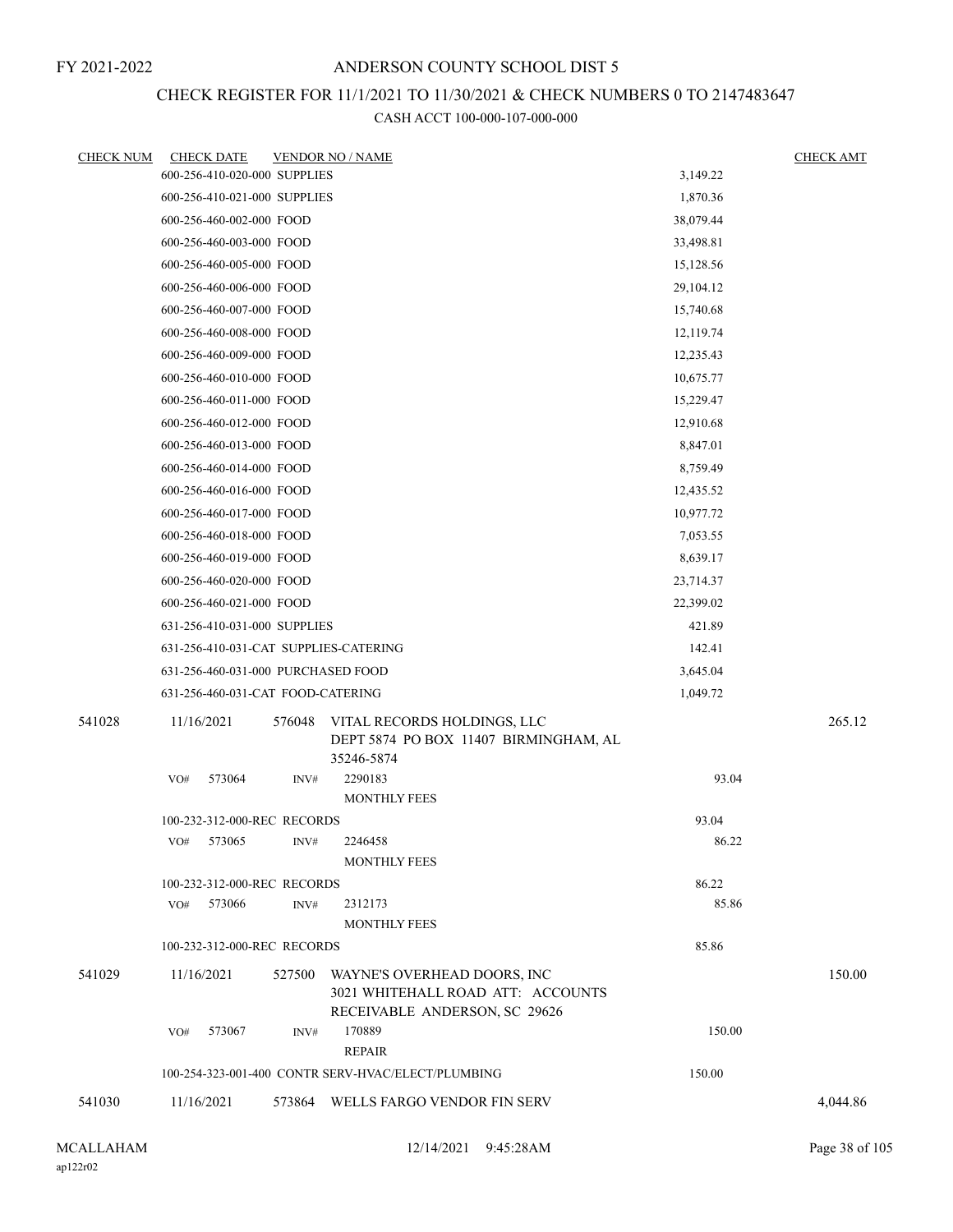## CHECK REGISTER FOR 11/1/2021 TO 11/30/2021 & CHECK NUMBERS 0 TO 2147483647

| <b>CHECK NUM</b> | <b>CHECK DATE</b>                            |        | <b>VENDOR NO / NAME</b>                                            |                | <b>CHECK AMT</b> |
|------------------|----------------------------------------------|--------|--------------------------------------------------------------------|----------------|------------------|
|                  | 600-256-410-020-000 SUPPLIES                 |        |                                                                    | 3,149.22       |                  |
|                  | 600-256-410-021-000 SUPPLIES                 |        |                                                                    | 1,870.36       |                  |
|                  | 600-256-460-002-000 FOOD                     |        |                                                                    | 38,079.44      |                  |
|                  | 600-256-460-003-000 FOOD                     |        |                                                                    | 33,498.81      |                  |
|                  | 600-256-460-005-000 FOOD                     |        |                                                                    | 15,128.56      |                  |
|                  | 600-256-460-006-000 FOOD                     |        |                                                                    | 29,104.12      |                  |
|                  | 600-256-460-007-000 FOOD                     |        |                                                                    | 15,740.68      |                  |
|                  | 600-256-460-008-000 FOOD                     |        |                                                                    | 12,119.74      |                  |
|                  | 600-256-460-009-000 FOOD                     |        |                                                                    | 12,235.43      |                  |
|                  | 600-256-460-010-000 FOOD                     |        |                                                                    | 10,675.77      |                  |
|                  | 600-256-460-011-000 FOOD                     |        |                                                                    | 15,229.47      |                  |
|                  | 600-256-460-012-000 FOOD                     |        |                                                                    | 12,910.68      |                  |
|                  | 600-256-460-013-000 FOOD                     |        |                                                                    | 8,847.01       |                  |
|                  | 600-256-460-014-000 FOOD                     |        |                                                                    | 8,759.49       |                  |
|                  | 600-256-460-016-000 FOOD                     |        |                                                                    | 12,435.52      |                  |
|                  | 600-256-460-017-000 FOOD                     |        |                                                                    | 10,977.72      |                  |
|                  | 600-256-460-018-000 FOOD                     |        |                                                                    | 7,053.55       |                  |
|                  | 600-256-460-019-000 FOOD                     |        |                                                                    | 8,639.17       |                  |
|                  | 600-256-460-020-000 FOOD                     |        | 23,714.37                                                          |                |                  |
|                  | 600-256-460-021-000 FOOD                     |        | 22,399.02                                                          |                |                  |
|                  | 631-256-410-031-000 SUPPLIES                 |        |                                                                    | 421.89         |                  |
|                  | 631-256-410-031-CAT SUPPLIES-CATERING        |        |                                                                    | 142.41         |                  |
|                  | 631-256-460-031-000 PURCHASED FOOD           |        |                                                                    | 3,645.04       |                  |
|                  | 631-256-460-031-CAT FOOD-CATERING            |        |                                                                    | 1,049.72       |                  |
| 541028           | 11/16/2021                                   | 576048 | VITAL RECORDS HOLDINGS, LLC                                        |                | 265.12           |
|                  |                                              |        | DEPT 5874 PO BOX 11407 BIRMINGHAM, AL<br>35246-5874                |                |                  |
|                  | 573064<br>VO#                                | INV#   | 2290183                                                            | 93.04          |                  |
|                  |                                              |        | <b>MONTHLY FEES</b>                                                |                |                  |
|                  | 100-232-312-000-REC RECORDS                  |        |                                                                    | 93.04          |                  |
|                  | VO# 573065                                   | INV#   | 2246458                                                            | 86.22          |                  |
|                  |                                              |        | <b>MONTHLY FEES</b>                                                |                |                  |
|                  | 100-232-312-000-REC RECORDS<br>VO#<br>573066 | INV#   | 2312173                                                            | 86.22<br>85.86 |                  |
|                  |                                              |        | <b>MONTHLY FEES</b>                                                |                |                  |
|                  | 100-232-312-000-REC RECORDS                  |        |                                                                    | 85.86          |                  |
| 541029           | 11/16/2021                                   | 527500 | WAYNE'S OVERHEAD DOORS, INC                                        |                | 150.00           |
|                  |                                              |        | 3021 WHITEHALL ROAD ATT: ACCOUNTS<br>RECEIVABLE ANDERSON, SC 29626 |                |                  |
|                  | 573067<br>VO#                                | INV#   | 170889<br><b>REPAIR</b>                                            | 150.00         |                  |
|                  |                                              |        | 100-254-323-001-400 CONTR SERV-HVAC/ELECT/PLUMBING                 | 150.00         |                  |
| 541030           | 11/16/2021                                   |        | 573864 WELLS FARGO VENDOR FIN SERV                                 |                | 4,044.86         |
|                  |                                              |        |                                                                    |                |                  |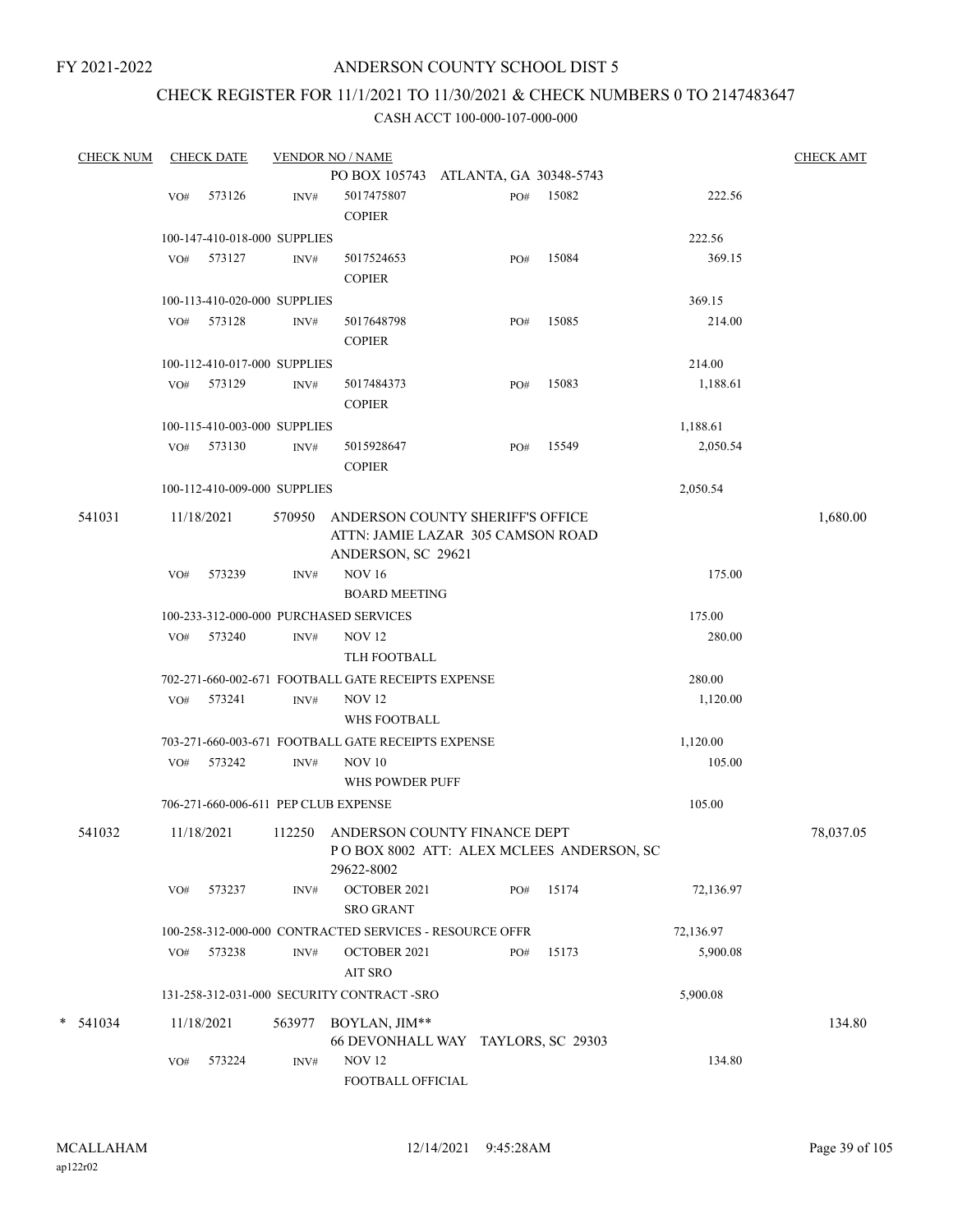### ANDERSON COUNTY SCHOOL DIST 5

# CHECK REGISTER FOR 11/1/2021 TO 11/30/2021 & CHECK NUMBERS 0 TO 2147483647

| <b>CHECK NUM</b> |     | <b>CHECK DATE</b>                    |        | <b>VENDOR NO / NAME</b>                                                                       |     |       |           | <b>CHECK AMT</b> |
|------------------|-----|--------------------------------------|--------|-----------------------------------------------------------------------------------------------|-----|-------|-----------|------------------|
|                  |     |                                      |        | PO BOX 105743 ATLANTA, GA 30348-5743                                                          |     |       |           |                  |
|                  | VO# | 573126                               | INV#   | 5017475807<br><b>COPIER</b>                                                                   | PO# | 15082 | 222.56    |                  |
|                  |     | 100-147-410-018-000 SUPPLIES         |        |                                                                                               |     |       | 222.56    |                  |
|                  |     | VO# 573127                           | INV#   | 5017524653<br><b>COPIER</b>                                                                   | PO# | 15084 | 369.15    |                  |
|                  |     | 100-113-410-020-000 SUPPLIES         |        |                                                                                               |     |       | 369.15    |                  |
|                  |     | VO# 573128                           | INV#   | 5017648798<br><b>COPIER</b>                                                                   | PO# | 15085 | 214.00    |                  |
|                  |     | 100-112-410-017-000 SUPPLIES         |        |                                                                                               |     |       | 214.00    |                  |
|                  |     | VO# 573129                           | INV#   | 5017484373<br><b>COPIER</b>                                                                   | PO# | 15083 | 1,188.61  |                  |
|                  |     | 100-115-410-003-000 SUPPLIES         |        |                                                                                               |     |       | 1,188.61  |                  |
|                  |     | VO# 573130                           | INV#   | 5015928647<br><b>COPIER</b>                                                                   | PO# | 15549 | 2,050.54  |                  |
|                  |     | 100-112-410-009-000 SUPPLIES         |        |                                                                                               |     |       | 2,050.54  |                  |
| 541031           |     | 11/18/2021                           | 570950 | ANDERSON COUNTY SHERIFF'S OFFICE<br>ATTN: JAMIE LAZAR 305 CAMSON ROAD<br>ANDERSON, SC 29621   |     |       |           | 1,680.00         |
|                  | VO# | 573239                               | INV#   | <b>NOV 16</b><br><b>BOARD MEETING</b>                                                         |     |       | 175.00    |                  |
|                  |     |                                      |        | 100-233-312-000-000 PURCHASED SERVICES                                                        |     |       | 175.00    |                  |
|                  |     | VO# 573240                           | INV#   | <b>NOV 12</b><br>TLH FOOTBALL                                                                 |     |       | 280.00    |                  |
|                  |     |                                      |        | 702-271-660-002-671 FOOTBALL GATE RECEIPTS EXPENSE                                            |     |       | 280.00    |                  |
|                  |     | VO# 573241                           | INV#   | <b>NOV 12</b><br>WHS FOOTBALL                                                                 |     |       | 1,120.00  |                  |
|                  |     |                                      |        | 703-271-660-003-671 FOOTBALL GATE RECEIPTS EXPENSE                                            |     |       | 1,120.00  |                  |
|                  |     | VO# 573242                           | INV#   | <b>NOV 10</b><br>WHS POWDER PUFF                                                              |     |       | 105.00    |                  |
|                  |     | 706-271-660-006-611 PEP CLUB EXPENSE |        |                                                                                               |     |       | 105.00    |                  |
| 541032           |     | 11/18/2021                           |        | 112250 ANDERSON COUNTY FINANCE DEPT<br>POBOX 8002 ATT: ALEX MCLEES ANDERSON, SC<br>29622-8002 |     |       |           | 78,037.05        |
|                  | VO# | 573237                               | INV#   | OCTOBER 2021<br><b>SRO GRANT</b>                                                              | PO# | 15174 | 72,136.97 |                  |
|                  |     |                                      |        | 100-258-312-000-000 CONTRACTED SERVICES - RESOURCE OFFR                                       |     |       | 72,136.97 |                  |
|                  |     | VO# 573238                           | INV#   | OCTOBER 2021<br>AIT SRO                                                                       | PO# | 15173 | 5,900.08  |                  |
|                  |     |                                      |        | 131-258-312-031-000 SECURITY CONTRACT -SRO                                                    |     |       | 5,900.08  |                  |
| $* 541034$       |     | 11/18/2021                           | 563977 | BOYLAN, JIM**<br>66 DEVONHALL WAY TAYLORS, SC 29303                                           |     |       |           | 134.80           |
|                  | VO# | 573224                               | INV#   | <b>NOV 12</b><br>FOOTBALL OFFICIAL                                                            |     |       | 134.80    |                  |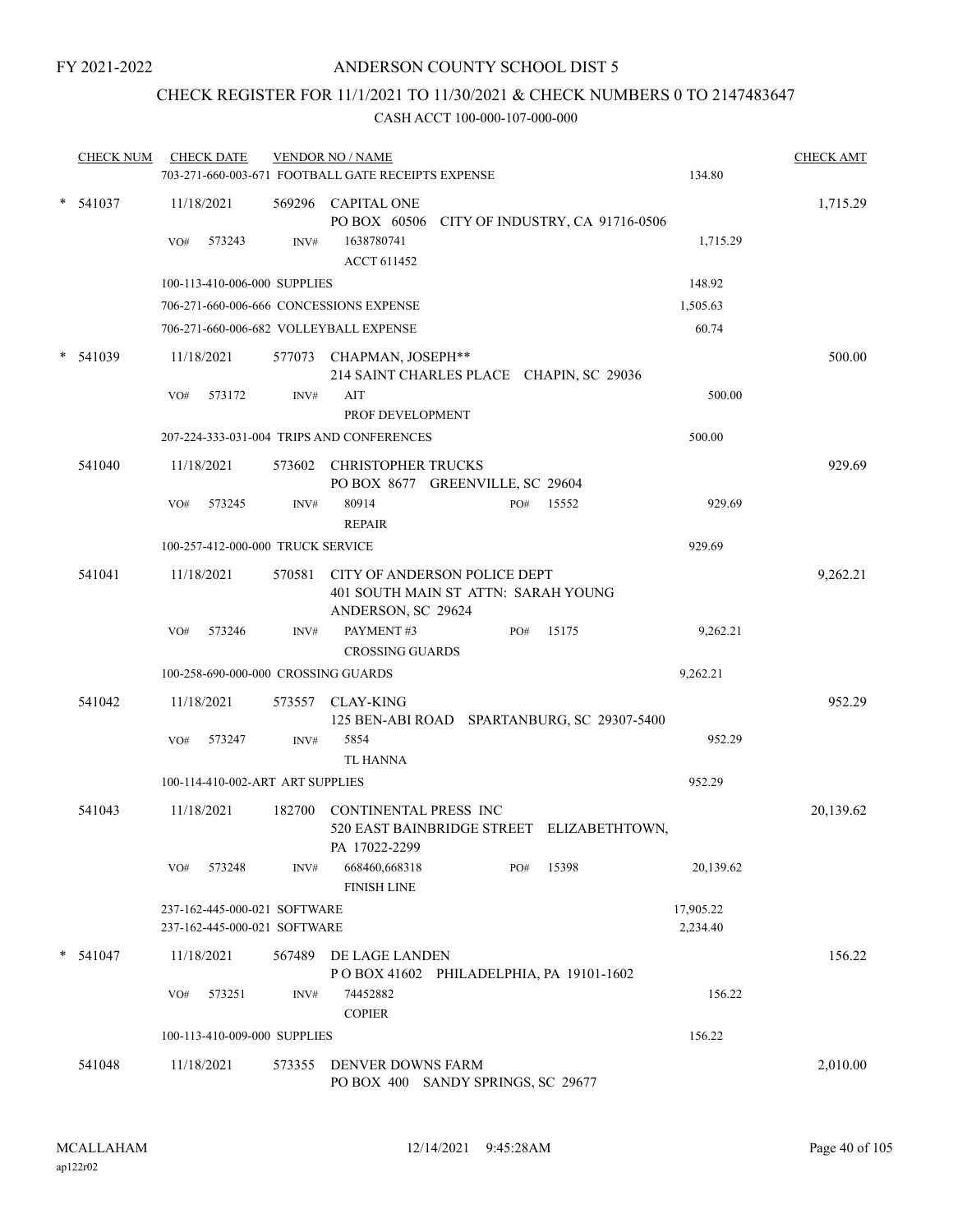## CHECK REGISTER FOR 11/1/2021 TO 11/30/2021 & CHECK NUMBERS 0 TO 2147483647

| <b>CHECK NUM</b> | <b>CHECK DATE</b>                                            |        | <b>VENDOR NO / NAME</b>                                                                   |     |       |                       | <b>CHECK AMT</b> |
|------------------|--------------------------------------------------------------|--------|-------------------------------------------------------------------------------------------|-----|-------|-----------------------|------------------|
|                  |                                                              |        | 703-271-660-003-671 FOOTBALL GATE RECEIPTS EXPENSE                                        |     |       | 134.80                |                  |
| $*$ 541037       | 11/18/2021                                                   |        | 569296 CAPITAL ONE<br>PO BOX 60506 CITY OF INDUSTRY, CA 91716-0506                        |     |       |                       | 1,715.29         |
|                  | 573243<br>VO#                                                | INV#   | 1638780741<br>ACCT 611452                                                                 |     |       | 1,715.29              |                  |
|                  | 100-113-410-006-000 SUPPLIES                                 |        |                                                                                           |     |       | 148.92                |                  |
|                  |                                                              |        | 706-271-660-006-666 CONCESSIONS EXPENSE                                                   |     |       | 1,505.63              |                  |
|                  |                                                              |        | 706-271-660-006-682 VOLLEYBALL EXPENSE                                                    |     |       | 60.74                 |                  |
| $*$ 541039       | 11/18/2021                                                   |        | 577073 CHAPMAN, JOSEPH**<br>214 SAINT CHARLES PLACE CHAPIN, SC 29036                      |     |       |                       | 500.00           |
|                  | 573172<br>VO#                                                | INV#   | AIT<br>PROF DEVELOPMENT                                                                   |     |       | 500.00                |                  |
|                  |                                                              |        | 207-224-333-031-004 TRIPS AND CONFERENCES                                                 |     |       | 500.00                |                  |
| 541040           | 11/18/2021                                                   |        | 573602 CHRISTOPHER TRUCKS<br>PO BOX 8677 GREENVILLE, SC 29604                             |     |       |                       | 929.69           |
|                  | 573245<br>VO#                                                | INV#   | 80914<br><b>REPAIR</b>                                                                    | PO# | 15552 | 929.69                |                  |
|                  | 100-257-412-000-000 TRUCK SERVICE                            |        |                                                                                           |     |       | 929.69                |                  |
| 541041           | 11/18/2021                                                   | 570581 | CITY OF ANDERSON POLICE DEPT<br>401 SOUTH MAIN ST ATTN: SARAH YOUNG<br>ANDERSON, SC 29624 |     |       |                       | 9,262.21         |
|                  | 573246<br>VO#                                                | INV#   | PAYMENT#3<br><b>CROSSING GUARDS</b>                                                       | PO# | 15175 | 9,262.21              |                  |
|                  | 100-258-690-000-000 CROSSING GUARDS                          |        |                                                                                           |     |       | 9,262.21              |                  |
| 541042           | 11/18/2021                                                   | 573557 | <b>CLAY-KING</b><br>125 BEN-ABI ROAD SPARTANBURG, SC 29307-5400                           |     |       |                       | 952.29           |
|                  | 573247<br>VO#                                                | INV#   | 5854<br><b>TL HANNA</b>                                                                   |     |       | 952.29                |                  |
|                  | 100-114-410-002-ART ART SUPPLIES                             |        |                                                                                           |     |       | 952.29                |                  |
| 541043           | 11/18/2021                                                   | 182700 | CONTINENTAL PRESS INC<br>520 EAST BAINBRIDGE STREET ELIZABETHTOWN,<br>PA 17022-2299       |     |       |                       | 20,139.62        |
|                  | 573248<br>VO#                                                | INV#   | 668460,668318<br><b>FINISH LINE</b>                                                       | PO# | 15398 | 20,139.62             |                  |
|                  | 237-162-445-000-021 SOFTWARE<br>237-162-445-000-021 SOFTWARE |        |                                                                                           |     |       | 17,905.22<br>2,234.40 |                  |
| $* 541047$       | 11/18/2021                                                   |        | 567489 DE LAGE LANDEN<br>POBOX 41602 PHILADELPHIA, PA 19101-1602                          |     |       |                       | 156.22           |
|                  | VO#<br>573251                                                | INV#   | 74452882<br><b>COPIER</b>                                                                 |     |       | 156.22                |                  |
|                  | 100-113-410-009-000 SUPPLIES                                 |        |                                                                                           |     |       | 156.22                |                  |
| 541048           | 11/18/2021                                                   |        | 573355 DENVER DOWNS FARM<br>PO BOX 400 SANDY SPRINGS, SC 29677                            |     |       |                       | 2,010.00         |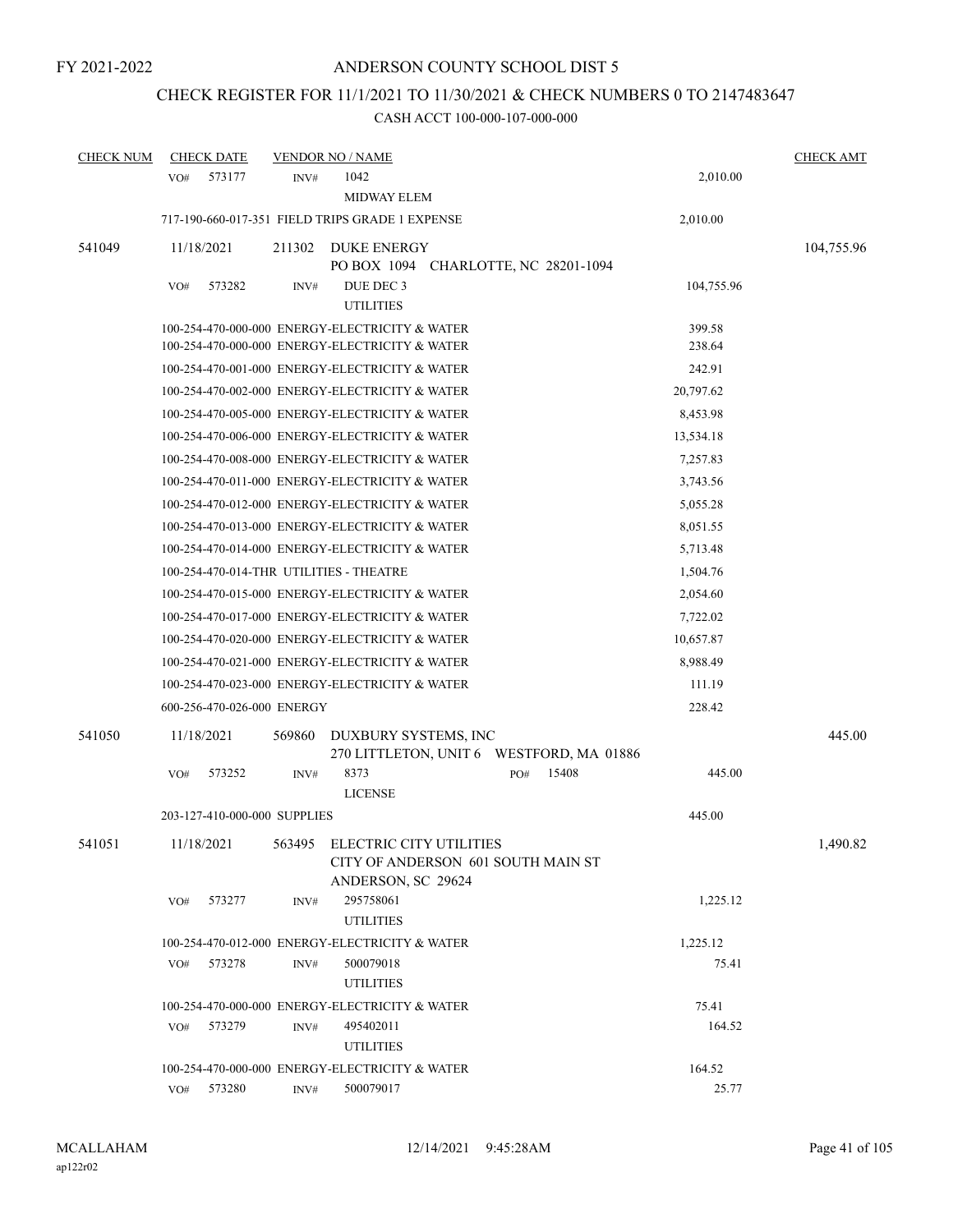# CHECK REGISTER FOR 11/1/2021 TO 11/30/2021 & CHECK NUMBERS 0 TO 2147483647

| <b>CHECK NUM</b> | <b>CHECK DATE</b>                       |        | <b>VENDOR NO / NAME</b>                                                                          |     |                                          |                  | <b>CHECK AMT</b> |
|------------------|-----------------------------------------|--------|--------------------------------------------------------------------------------------------------|-----|------------------------------------------|------------------|------------------|
|                  | 573177<br>VO#                           | INV#   | 1042<br><b>MIDWAY ELEM</b>                                                                       |     |                                          | 2,010.00         |                  |
|                  |                                         |        | 717-190-660-017-351 FIELD TRIPS GRADE 1 EXPENSE                                                  |     |                                          | 2,010.00         |                  |
| 541049           | 11/18/2021                              | 211302 | DUKE ENERGY<br>PO BOX 1094 CHARLOTTE, NC 28201-1094                                              |     |                                          |                  | 104,755.96       |
|                  | 573282<br>VO#                           | INV#   | DUE DEC 3<br><b>UTILITIES</b>                                                                    |     |                                          | 104,755.96       |                  |
|                  |                                         |        | 100-254-470-000-000 ENERGY-ELECTRICITY & WATER<br>100-254-470-000-000 ENERGY-ELECTRICITY & WATER |     |                                          | 399.58<br>238.64 |                  |
|                  |                                         |        | 100-254-470-001-000 ENERGY-ELECTRICITY & WATER                                                   |     |                                          | 242.91           |                  |
|                  |                                         |        | 100-254-470-002-000 ENERGY-ELECTRICITY & WATER                                                   |     |                                          | 20,797.62        |                  |
|                  |                                         |        | 100-254-470-005-000 ENERGY-ELECTRICITY & WATER                                                   |     |                                          | 8,453.98         |                  |
|                  |                                         |        | 100-254-470-006-000 ENERGY-ELECTRICITY & WATER                                                   |     |                                          | 13,534.18        |                  |
|                  |                                         |        | 100-254-470-008-000 ENERGY-ELECTRICITY & WATER                                                   |     |                                          | 7,257.83         |                  |
|                  |                                         |        | 100-254-470-011-000 ENERGY-ELECTRICITY & WATER                                                   |     |                                          | 3,743.56         |                  |
|                  |                                         |        | 100-254-470-012-000 ENERGY-ELECTRICITY & WATER                                                   |     |                                          | 5,055.28         |                  |
|                  |                                         |        | 100-254-470-013-000 ENERGY-ELECTRICITY & WATER                                                   |     |                                          | 8,051.55         |                  |
|                  |                                         |        | 100-254-470-014-000 ENERGY-ELECTRICITY & WATER                                                   |     |                                          | 5,713.48         |                  |
|                  | 100-254-470-014-THR UTILITIES - THEATRE |        |                                                                                                  |     |                                          | 1,504.76         |                  |
|                  |                                         |        | 100-254-470-015-000 ENERGY-ELECTRICITY & WATER                                                   |     |                                          | 2,054.60         |                  |
|                  |                                         |        | 100-254-470-017-000 ENERGY-ELECTRICITY & WATER                                                   |     |                                          | 7,722.02         |                  |
|                  |                                         |        | 100-254-470-020-000 ENERGY-ELECTRICITY & WATER                                                   |     |                                          | 10,657.87        |                  |
|                  |                                         |        | 100-254-470-021-000 ENERGY-ELECTRICITY & WATER                                                   |     |                                          | 8,988.49         |                  |
|                  |                                         |        | 100-254-470-023-000 ENERGY-ELECTRICITY & WATER                                                   |     |                                          | 111.19           |                  |
|                  | 600-256-470-026-000 ENERGY              |        |                                                                                                  |     |                                          | 228.42           |                  |
| 541050           | 11/18/2021                              | 569860 | DUXBURY SYSTEMS, INC                                                                             |     | 270 LITTLETON, UNIT 6 WESTFORD, MA 01886 |                  | 445.00           |
|                  | 573252<br>VO#                           | INV#   | 8373<br><b>LICENSE</b>                                                                           | PO# | 15408                                    | 445.00           |                  |
|                  | 203-127-410-000-000 SUPPLIES            |        |                                                                                                  |     |                                          | 445.00           |                  |
| 541051           | 11/18/2021                              |        | 563495 ELECTRIC CITY UTILITIES<br>CITY OF ANDERSON 601 SOUTH MAIN ST<br>ANDERSON, SC 29624       |     |                                          |                  | 1,490.82         |
|                  | VO#<br>573277                           | INV#   | 295758061<br><b>UTILITIES</b>                                                                    |     |                                          | 1,225.12         |                  |
|                  |                                         |        | 100-254-470-012-000 ENERGY-ELECTRICITY & WATER                                                   |     |                                          | 1,225.12         |                  |
|                  | 573278<br>VO#                           | INV#   | 500079018<br><b>UTILITIES</b>                                                                    |     |                                          | 75.41            |                  |
|                  |                                         |        | 100-254-470-000-000 ENERGY-ELECTRICITY & WATER                                                   |     |                                          | 75.41            |                  |
|                  | 573279<br>VO#                           | INV#   | 495402011<br><b>UTILITIES</b>                                                                    |     |                                          | 164.52           |                  |
|                  |                                         |        | 100-254-470-000-000 ENERGY-ELECTRICITY & WATER                                                   |     |                                          | 164.52           |                  |
|                  | 573280<br>VO#                           | INV#   | 500079017                                                                                        |     |                                          | 25.77            |                  |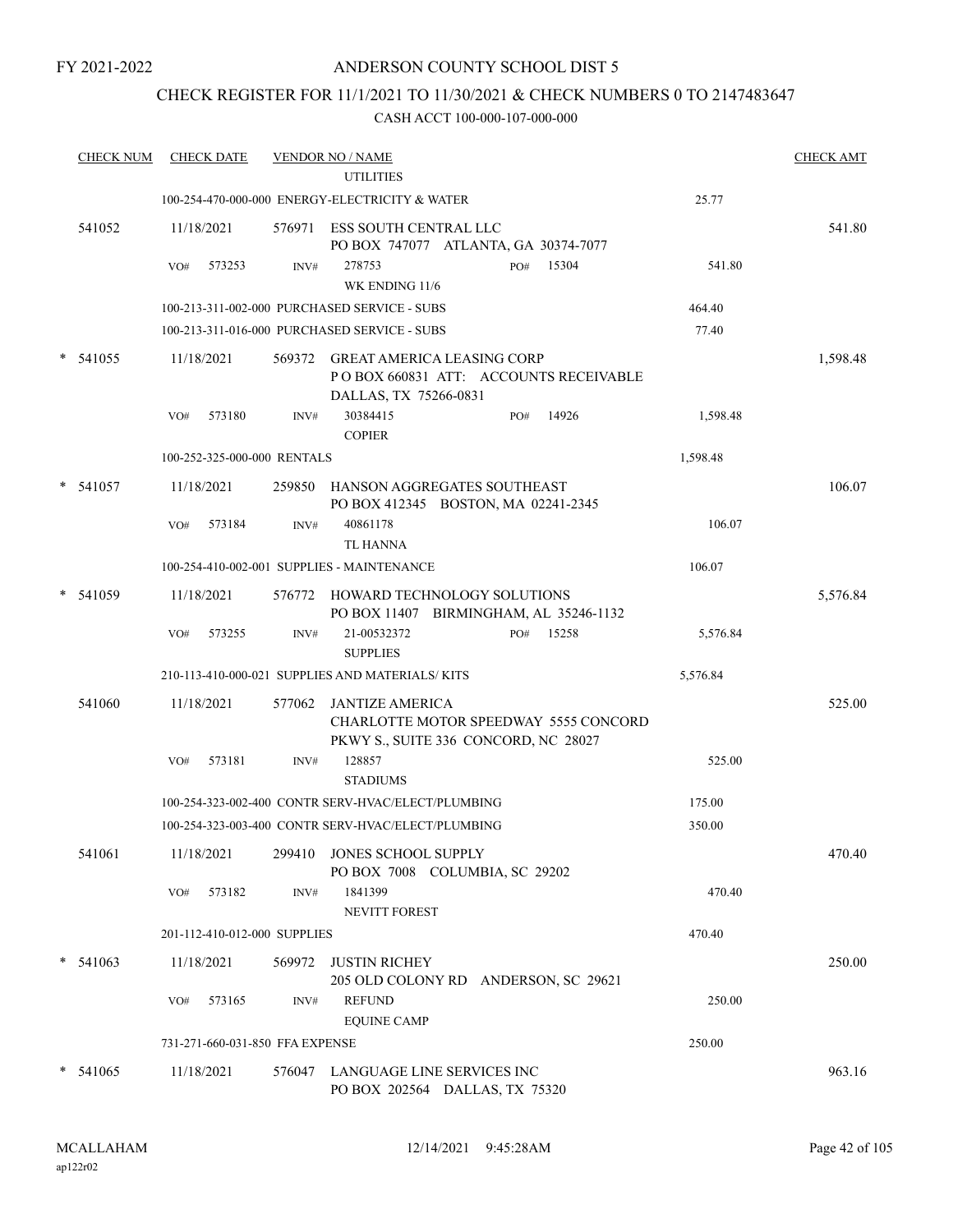#### ANDERSON COUNTY SCHOOL DIST 5

### CHECK REGISTER FOR 11/1/2021 TO 11/30/2021 & CHECK NUMBERS 0 TO 2147483647

|        | <b>CHECK NUM</b> | <b>CHECK DATE</b>               |                | <b>VENDOR NO / NAME</b><br><b>UTILITIES</b>                                                          |          | <b>CHECK AMT</b> |
|--------|------------------|---------------------------------|----------------|------------------------------------------------------------------------------------------------------|----------|------------------|
|        |                  |                                 |                | 100-254-470-000-000 ENERGY-ELECTRICITY & WATER                                                       | 25.77    |                  |
|        | 541052           | 11/18/2021                      |                | 576971 ESS SOUTH CENTRAL LLC<br>PO BOX 747077 ATLANTA, GA 30374-7077                                 |          | 541.80           |
|        |                  | 573253<br>VO#                   | INV#           | 15304<br>278753<br>PO#<br>WK ENDING 11/6                                                             | 541.80   |                  |
|        |                  |                                 |                | 100-213-311-002-000 PURCHASED SERVICE - SUBS                                                         | 464.40   |                  |
|        |                  |                                 |                | 100-213-311-016-000 PURCHASED SERVICE - SUBS                                                         | 77.40    |                  |
| $\ast$ | 541055           | 11/18/2021                      |                | 569372 GREAT AMERICA LEASING CORP<br>PO BOX 660831 ATT: ACCOUNTS RECEIVABLE<br>DALLAS, TX 75266-0831 |          | 1,598.48         |
|        |                  | 573180<br>VO#                   | INV#           | 30384415<br>14926<br>PO#<br><b>COPIER</b>                                                            | 1,598.48 |                  |
|        |                  | 100-252-325-000-000 RENTALS     |                |                                                                                                      | 1,598.48 |                  |
|        | $*$ 541057       | 11/18/2021                      |                | 259850 HANSON AGGREGATES SOUTHEAST<br>PO BOX 412345 BOSTON, MA 02241-2345                            |          | 106.07           |
|        |                  | 573184<br>VO#                   | INV#           | 40861178<br><b>TL HANNA</b>                                                                          | 106.07   |                  |
|        |                  |                                 |                | 100-254-410-002-001 SUPPLIES - MAINTENANCE                                                           | 106.07   |                  |
| $\ast$ | 541059           | 11/18/2021                      |                | 576772 HOWARD TECHNOLOGY SOLUTIONS<br>PO BOX 11407 BIRMINGHAM, AL 35246-1132                         |          | 5,576.84         |
|        |                  | VO#<br>573255                   | INV#           | 21-00532372<br>15258<br>PO#<br><b>SUPPLIES</b>                                                       | 5,576.84 |                  |
|        |                  |                                 |                | 210-113-410-000-021 SUPPLIES AND MATERIALS/KITS                                                      | 5,576.84 |                  |
|        | 541060           | 11/18/2021                      | 577062         | JANTIZE AMERICA<br>CHARLOTTE MOTOR SPEEDWAY 5555 CONCORD<br>PKWY S., SUITE 336 CONCORD, NC 28027     |          | 525.00           |
|        |                  | 573181<br>VO#                   | INV#           | 128857<br><b>STADIUMS</b>                                                                            | 525.00   |                  |
|        |                  |                                 |                | 100-254-323-002-400 CONTR SERV-HVAC/ELECT/PLUMBING                                                   | 175.00   |                  |
|        |                  |                                 |                | 100-254-323-003-400 CONTR SERV-HVAC/ELECT/PLUMBING                                                   | 350.00   |                  |
|        | 541061           | 11/18/2021                      |                | 299410 JONES SCHOOL SUPPLY<br>PO BOX 7008 COLUMBIA, SC 29202                                         |          | 470.40           |
|        |                  | 573182<br>VO#                   | $\text{INV}\#$ | 1841399<br>NEVITT FOREST                                                                             | 470.40   |                  |
|        |                  | 201-112-410-012-000 SUPPLIES    |                |                                                                                                      | 470.40   |                  |
|        | $*$ 541063       | 11/18/2021                      | 569972         | <b>JUSTIN RICHEY</b><br>205 OLD COLONY RD ANDERSON, SC 29621                                         |          | 250.00           |
|        |                  | 573165<br>VO#                   | INV#           | <b>REFUND</b><br><b>EQUINE CAMP</b>                                                                  | 250.00   |                  |
|        |                  | 731-271-660-031-850 FFA EXPENSE |                |                                                                                                      | 250.00   |                  |
|        | $*$ 541065       | 11/18/2021                      |                | 576047 LANGUAGE LINE SERVICES INC<br>PO BOX 202564 DALLAS, TX 75320                                  |          | 963.16           |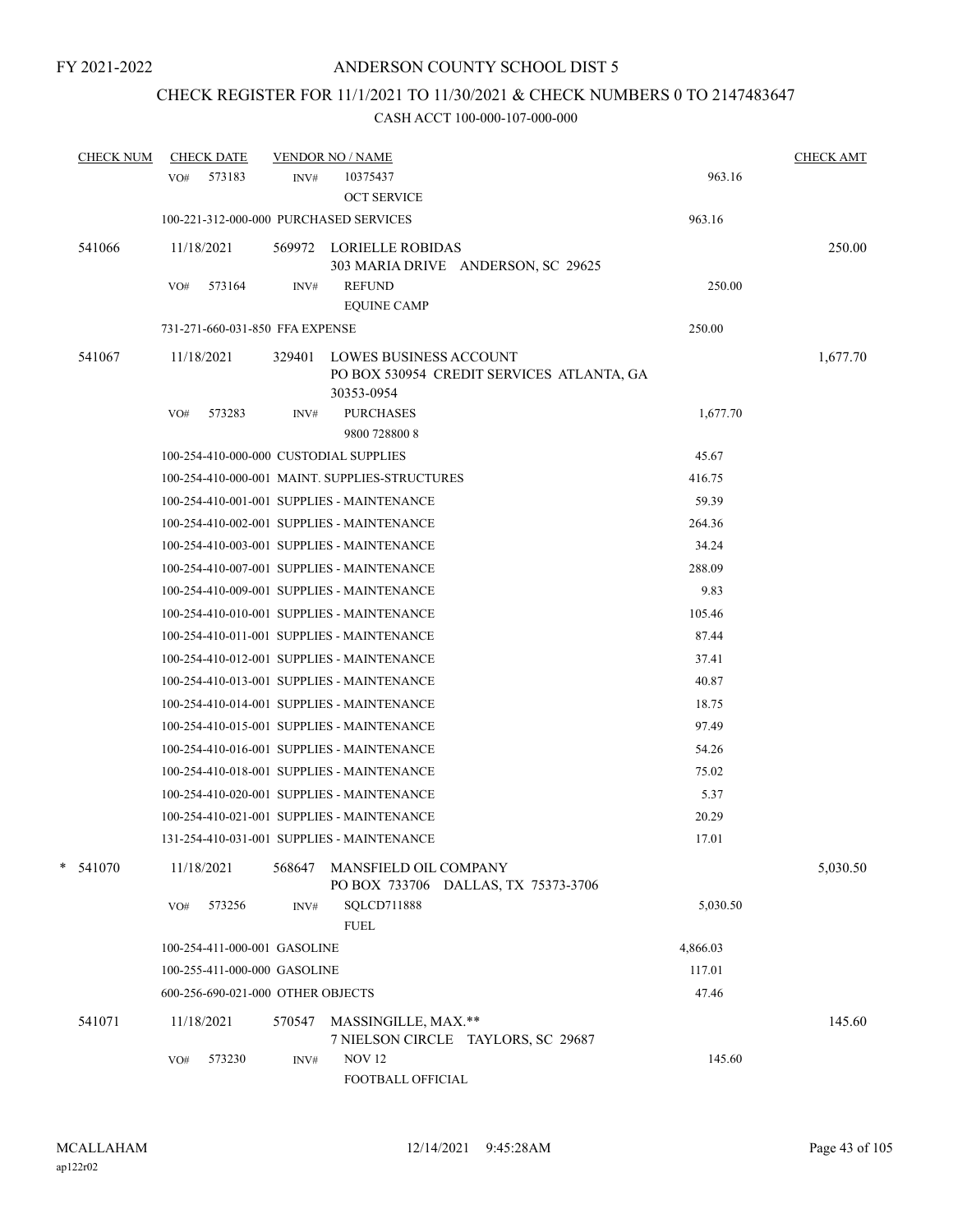# CHECK REGISTER FOR 11/1/2021 TO 11/30/2021 & CHECK NUMBERS 0 TO 2147483647

| <b>CHECK NUM</b> | <b>CHECK DATE</b>                      |        | <b>VENDOR NO / NAME</b>                                                                  |          | <b>CHECK AMT</b> |
|------------------|----------------------------------------|--------|------------------------------------------------------------------------------------------|----------|------------------|
|                  | 573183<br>VO#                          | INV#   | 10375437                                                                                 | 963.16   |                  |
|                  |                                        |        | <b>OCT SERVICE</b>                                                                       |          |                  |
|                  | 100-221-312-000-000 PURCHASED SERVICES |        |                                                                                          | 963.16   |                  |
| 541066           | 11/18/2021                             |        | 569972 LORIELLE ROBIDAS<br>303 MARIA DRIVE ANDERSON, SC 29625                            |          | 250.00           |
|                  | 573164<br>VO#                          | INV#   | <b>REFUND</b>                                                                            | 250.00   |                  |
|                  |                                        |        | <b>EQUINE CAMP</b>                                                                       |          |                  |
|                  | 731-271-660-031-850 FFA EXPENSE        |        |                                                                                          | 250.00   |                  |
| 541067           | 11/18/2021                             | 329401 | <b>LOWES BUSINESS ACCOUNT</b><br>PO BOX 530954 CREDIT SERVICES ATLANTA, GA<br>30353-0954 |          | 1,677.70         |
|                  | 573283<br>VO#                          | INV#   | <b>PURCHASES</b><br>9800 728800 8                                                        | 1,677.70 |                  |
|                  | 100-254-410-000-000 CUSTODIAL SUPPLIES |        |                                                                                          | 45.67    |                  |
|                  |                                        |        | 100-254-410-000-001 MAINT, SUPPLIES-STRUCTURES                                           | 416.75   |                  |
|                  |                                        |        | 100-254-410-001-001 SUPPLIES - MAINTENANCE                                               | 59.39    |                  |
|                  |                                        |        | 100-254-410-002-001 SUPPLIES - MAINTENANCE                                               | 264.36   |                  |
|                  |                                        |        | 100-254-410-003-001 SUPPLIES - MAINTENANCE                                               | 34.24    |                  |
|                  |                                        |        | 100-254-410-007-001 SUPPLIES - MAINTENANCE                                               | 288.09   |                  |
|                  |                                        |        | 100-254-410-009-001 SUPPLIES - MAINTENANCE                                               | 9.83     |                  |
|                  |                                        |        | 100-254-410-010-001 SUPPLIES - MAINTENANCE                                               | 105.46   |                  |
|                  |                                        |        | 100-254-410-011-001 SUPPLIES - MAINTENANCE                                               | 87.44    |                  |
|                  |                                        |        | 100-254-410-012-001 SUPPLIES - MAINTENANCE                                               | 37.41    |                  |
|                  |                                        |        | 100-254-410-013-001 SUPPLIES - MAINTENANCE                                               | 40.87    |                  |
|                  |                                        |        | 100-254-410-014-001 SUPPLIES - MAINTENANCE                                               | 18.75    |                  |
|                  |                                        |        | 100-254-410-015-001 SUPPLIES - MAINTENANCE                                               | 97.49    |                  |
|                  |                                        |        | 100-254-410-016-001 SUPPLIES - MAINTENANCE                                               | 54.26    |                  |
|                  |                                        |        | 100-254-410-018-001 SUPPLIES - MAINTENANCE                                               | 75.02    |                  |
|                  |                                        |        | 100-254-410-020-001 SUPPLIES - MAINTENANCE                                               | 5.37     |                  |
|                  |                                        |        | 100-254-410-021-001 SUPPLIES - MAINTENANCE                                               | 20.29    |                  |
|                  |                                        |        | 131-254-410-031-001 SUPPLIES - MAINTENANCE                                               | 17.01    |                  |
| $*$ 541070       | 11/18/2021                             | 568647 | MANSFIELD OIL COMPANY<br>PO BOX 733706 DALLAS, TX 75373-3706                             |          | 5,030.50         |
|                  | 573256<br>VO#                          | INV#   | SQLCD711888<br><b>FUEL</b>                                                               | 5,030.50 |                  |
|                  | 100-254-411-000-001 GASOLINE           |        |                                                                                          | 4,866.03 |                  |
|                  | 100-255-411-000-000 GASOLINE           |        |                                                                                          | 117.01   |                  |
|                  | 600-256-690-021-000 OTHER OBJECTS      |        |                                                                                          | 47.46    |                  |
| 541071           | 11/18/2021                             | 570547 | MASSINGILLE, MAX.**<br>7 NIELSON CIRCLE TAYLORS, SC 29687                                |          | 145.60           |
|                  | 573230<br>VO#                          | INV#   | <b>NOV 12</b><br>FOOTBALL OFFICIAL                                                       | 145.60   |                  |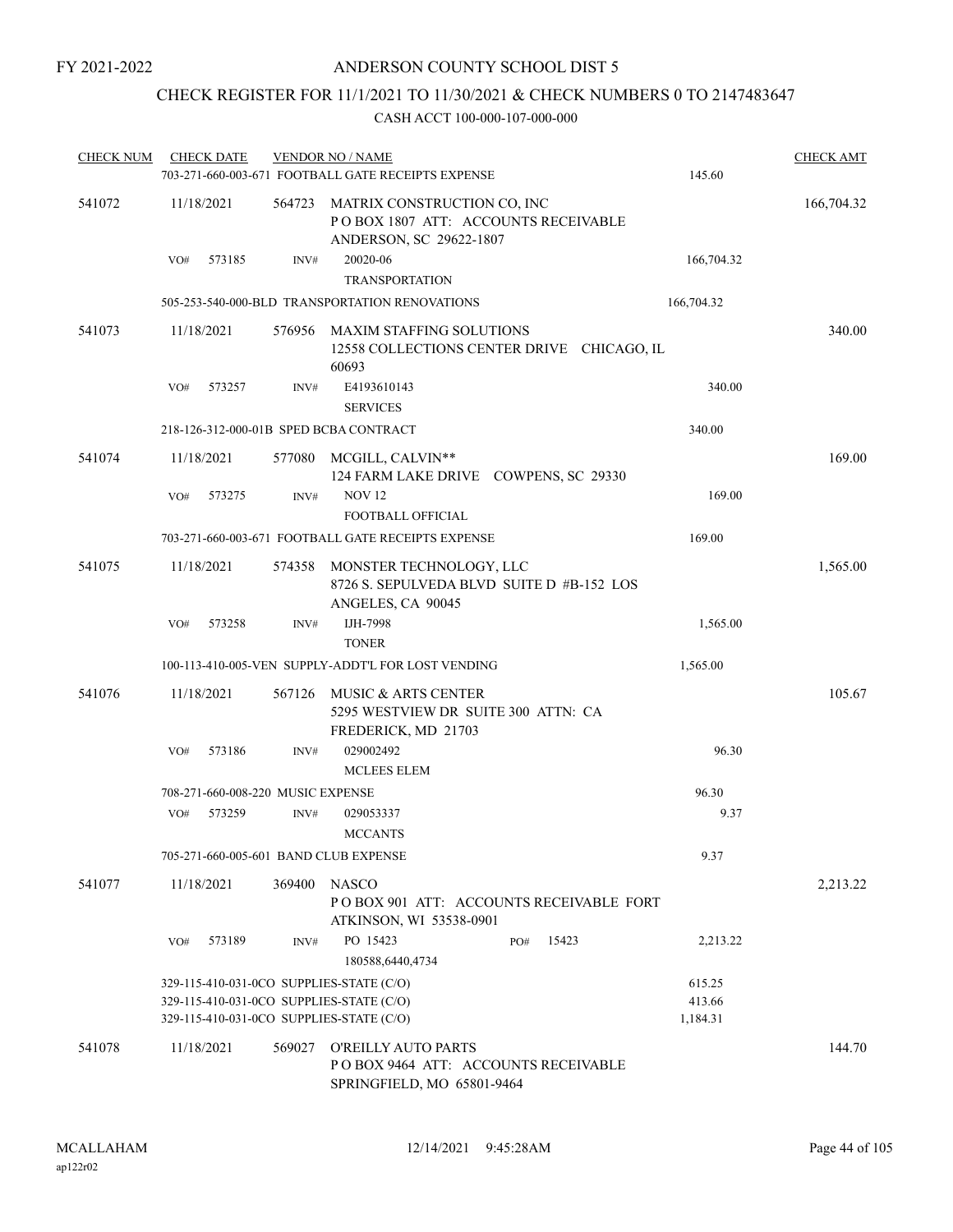## CHECK REGISTER FOR 11/1/2021 TO 11/30/2021 & CHECK NUMBERS 0 TO 2147483647

| <b>CHECK NUM</b> | <b>CHECK DATE</b>                 |        |        | <b>VENDOR NO / NAME</b><br>703-271-660-003-671 FOOTBALL GATE RECEIPTS EXPENSE                   | 145.60             | <b>CHECK AMT</b> |
|------------------|-----------------------------------|--------|--------|-------------------------------------------------------------------------------------------------|--------------------|------------------|
| 541072           | 11/18/2021                        |        | 564723 | MATRIX CONSTRUCTION CO, INC<br>POBOX 1807 ATT: ACCOUNTS RECEIVABLE<br>ANDERSON, SC 29622-1807   |                    | 166,704.32       |
|                  | VO#                               | 573185 | INV#   | 20020-06<br><b>TRANSPORTATION</b>                                                               | 166,704.32         |                  |
|                  |                                   |        |        | 505-253-540-000-BLD TRANSPORTATION RENOVATIONS                                                  | 166,704.32         |                  |
| 541073           | 11/18/2021                        |        | 576956 | MAXIM STAFFING SOLUTIONS<br>12558 COLLECTIONS CENTER DRIVE CHICAGO, IL<br>60693                 |                    | 340.00           |
|                  | VO#                               | 573257 | INV#   | E4193610143<br><b>SERVICES</b>                                                                  | 340.00             |                  |
|                  |                                   |        |        | 218-126-312-000-01B SPED BCBA CONTRACT                                                          | 340.00             |                  |
| 541074           | 11/18/2021                        |        | 577080 | MCGILL, CALVIN**<br>124 FARM LAKE DRIVE COWPENS, SC 29330                                       |                    | 169.00           |
|                  | VO#                               | 573275 | INV#   | <b>NOV 12</b><br>FOOTBALL OFFICIAL                                                              | 169.00             |                  |
|                  |                                   |        |        | 703-271-660-003-671 FOOTBALL GATE RECEIPTS EXPENSE                                              | 169.00             |                  |
| 541075           | 11/18/2021                        |        | 574358 | MONSTER TECHNOLOGY, LLC<br>8726 S. SEPULVEDA BLVD SUITE D #B-152 LOS<br>ANGELES, CA 90045       |                    | 1,565.00         |
|                  | VO#                               | 573258 | INV#   | IJH-7998<br><b>TONER</b>                                                                        | 1,565.00           |                  |
|                  |                                   |        |        | 100-113-410-005-VEN SUPPLY-ADDT'L FOR LOST VENDING                                              | 1,565.00           |                  |
| 541076           | 11/18/2021                        |        | 567126 | MUSIC & ARTS CENTER<br>5295 WESTVIEW DR SUITE 300 ATTN: CA<br>FREDERICK, MD 21703               |                    | 105.67           |
|                  | VO#                               | 573186 | INV#   | 029002492<br><b>MCLEES ELEM</b>                                                                 | 96.30              |                  |
|                  | 708-271-660-008-220 MUSIC EXPENSE |        |        |                                                                                                 | 96.30              |                  |
|                  | VO#                               | 573259 | INV#   | 029053337<br><b>MCCANTS</b>                                                                     | 9.37               |                  |
|                  |                                   |        |        | 705-271-660-005-601 BAND CLUB EXPENSE                                                           | 9.37               |                  |
| 541077           | 11/18/2021                        |        | 369400 | <b>NASCO</b><br>POBOX 901 ATT: ACCOUNTS RECEIVABLE FORT<br>ATKINSON, WI 53538-0901              |                    | 2,213.22         |
|                  | VO#                               | 573189 | INV#   | PO 15423<br>15423<br>PO#<br>180588,6440,4734                                                    | 2,213.22           |                  |
|                  |                                   |        |        | 329-115-410-031-0CO SUPPLIES-STATE (C/O)                                                        | 615.25             |                  |
|                  |                                   |        |        | 329-115-410-031-0CO SUPPLIES-STATE (C/O)<br>329-115-410-031-0CO SUPPLIES-STATE (C/O)            | 413.66<br>1,184.31 |                  |
| 541078           | 11/18/2021                        |        | 569027 | <b>O'REILLY AUTO PARTS</b><br>POBOX 9464 ATT: ACCOUNTS RECEIVABLE<br>SPRINGFIELD, MO 65801-9464 |                    | 144.70           |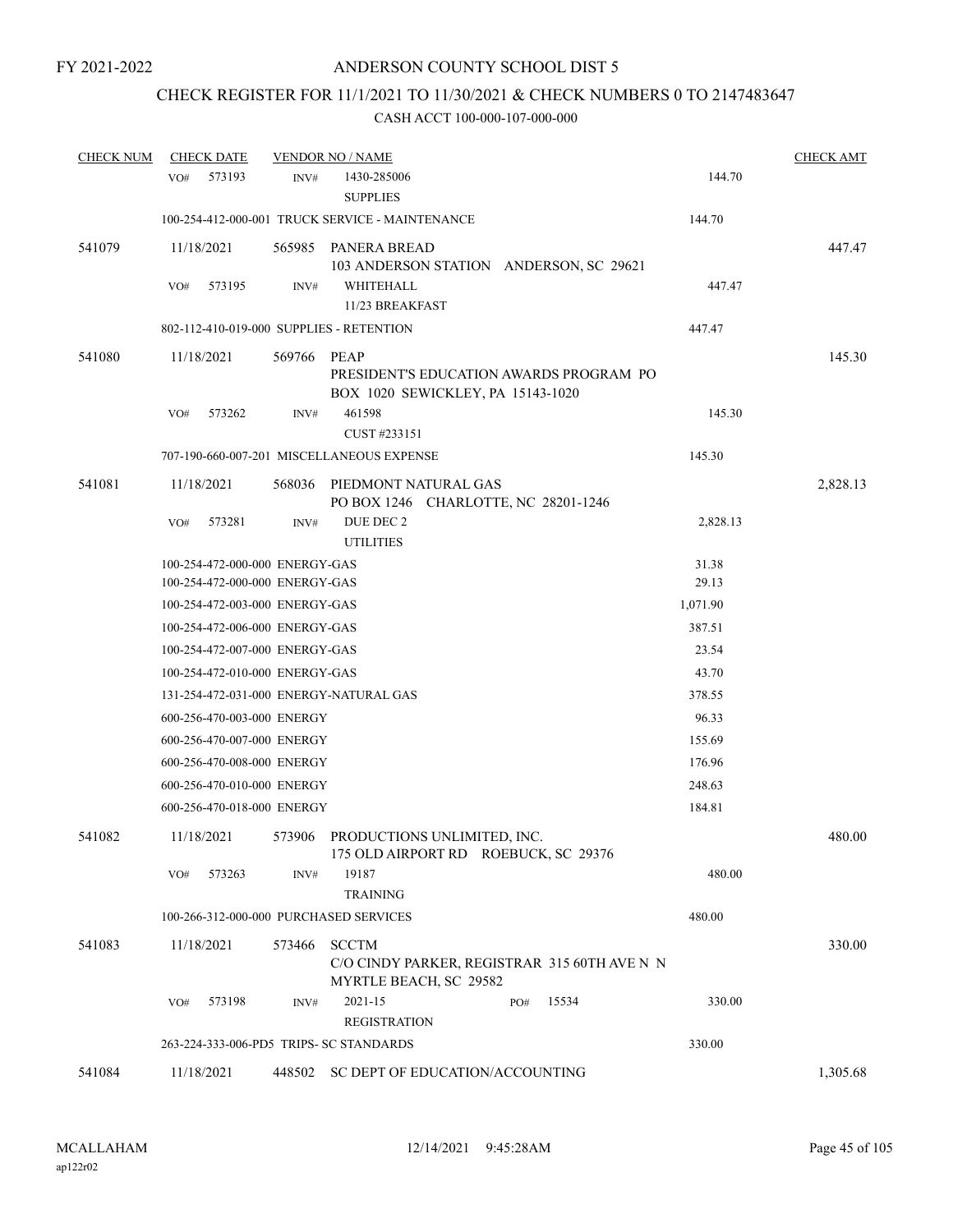# CHECK REGISTER FOR 11/1/2021 TO 11/30/2021 & CHECK NUMBERS 0 TO 2147483647

| <b>CHECK NUM</b> | <b>CHECK DATE</b>                        |        | <b>VENDOR NO / NAME</b>                                                                |          | <b>CHECK AMT</b> |
|------------------|------------------------------------------|--------|----------------------------------------------------------------------------------------|----------|------------------|
|                  | 573193<br>VO <sub>#</sub>                | INV#   | 1430-285006<br><b>SUPPLIES</b>                                                         | 144.70   |                  |
|                  |                                          |        | 100-254-412-000-001 TRUCK SERVICE - MAINTENANCE                                        | 144.70   |                  |
| 541079           | 11/18/2021                               |        | 565985 PANERA BREAD<br>103 ANDERSON STATION ANDERSON, SC 29621                         |          | 447.47           |
|                  | 573195<br>VO#                            | INV#   | WHITEHALL<br>11/23 BREAKFAST                                                           | 447.47   |                  |
|                  | 802-112-410-019-000 SUPPLIES - RETENTION |        |                                                                                        | 447.47   |                  |
| 541080           | 11/18/2021                               | 569766 | PEAP<br>PRESIDENT'S EDUCATION AWARDS PROGRAM PO<br>BOX 1020 SEWICKLEY, PA 15143-1020   |          | 145.30           |
|                  | 573262<br>VO#                            | INV#   | 461598<br>CUST #233151                                                                 | 145.30   |                  |
|                  |                                          |        | 707-190-660-007-201 MISCELLANEOUS EXPENSE                                              | 145.30   |                  |
| 541081           | 11/18/2021                               | 568036 | PIEDMONT NATURAL GAS<br>PO BOX 1246 CHARLOTTE, NC 28201-1246                           |          | 2,828.13         |
|                  | 573281<br>VO#                            | INV#   | DUE DEC 2<br><b>UTILITIES</b>                                                          | 2,828.13 |                  |
|                  | 100-254-472-000-000 ENERGY-GAS           |        |                                                                                        | 31.38    |                  |
|                  | 100-254-472-000-000 ENERGY-GAS           |        |                                                                                        | 29.13    |                  |
|                  | 100-254-472-003-000 ENERGY-GAS           |        |                                                                                        | 1,071.90 |                  |
|                  | 100-254-472-006-000 ENERGY-GAS           |        |                                                                                        | 387.51   |                  |
|                  | 100-254-472-007-000 ENERGY-GAS           |        |                                                                                        | 23.54    |                  |
|                  | 100-254-472-010-000 ENERGY-GAS           |        |                                                                                        | 43.70    |                  |
|                  | 131-254-472-031-000 ENERGY-NATURAL GAS   |        |                                                                                        | 378.55   |                  |
|                  | 600-256-470-003-000 ENERGY               |        |                                                                                        | 96.33    |                  |
|                  | 600-256-470-007-000 ENERGY               |        |                                                                                        | 155.69   |                  |
|                  | 600-256-470-008-000 ENERGY               |        |                                                                                        | 176.96   |                  |
|                  | 600-256-470-010-000 ENERGY               |        |                                                                                        | 248.63   |                  |
|                  | 600-256-470-018-000 ENERGY               |        |                                                                                        | 184.81   |                  |
| 541082           | 11/18/2021                               |        | 573906 PRODUCTIONS UNLIMITED, INC.<br>175 OLD AIRPORT RD ROEBUCK, SC 29376             |          | 480.00           |
|                  | 573263<br>VO#                            | INV#   | 19187<br><b>TRAINING</b>                                                               | 480.00   |                  |
|                  | 100-266-312-000-000 PURCHASED SERVICES   |        |                                                                                        | 480.00   |                  |
| 541083           | 11/18/2021                               | 573466 | <b>SCCTM</b><br>C/O CINDY PARKER, REGISTRAR 315 60TH AVE N N<br>MYRTLE BEACH, SC 29582 |          | 330.00           |
|                  | 573198<br>VO#                            | INV#   | 2021-15<br>15534<br>PO#<br><b>REGISTRATION</b>                                         | 330.00   |                  |
|                  | 263-224-333-006-PD5 TRIPS- SC STANDARDS  |        |                                                                                        | 330.00   |                  |
| 541084           | 11/18/2021                               |        | 448502 SC DEPT OF EDUCATION/ACCOUNTING                                                 |          | 1,305.68         |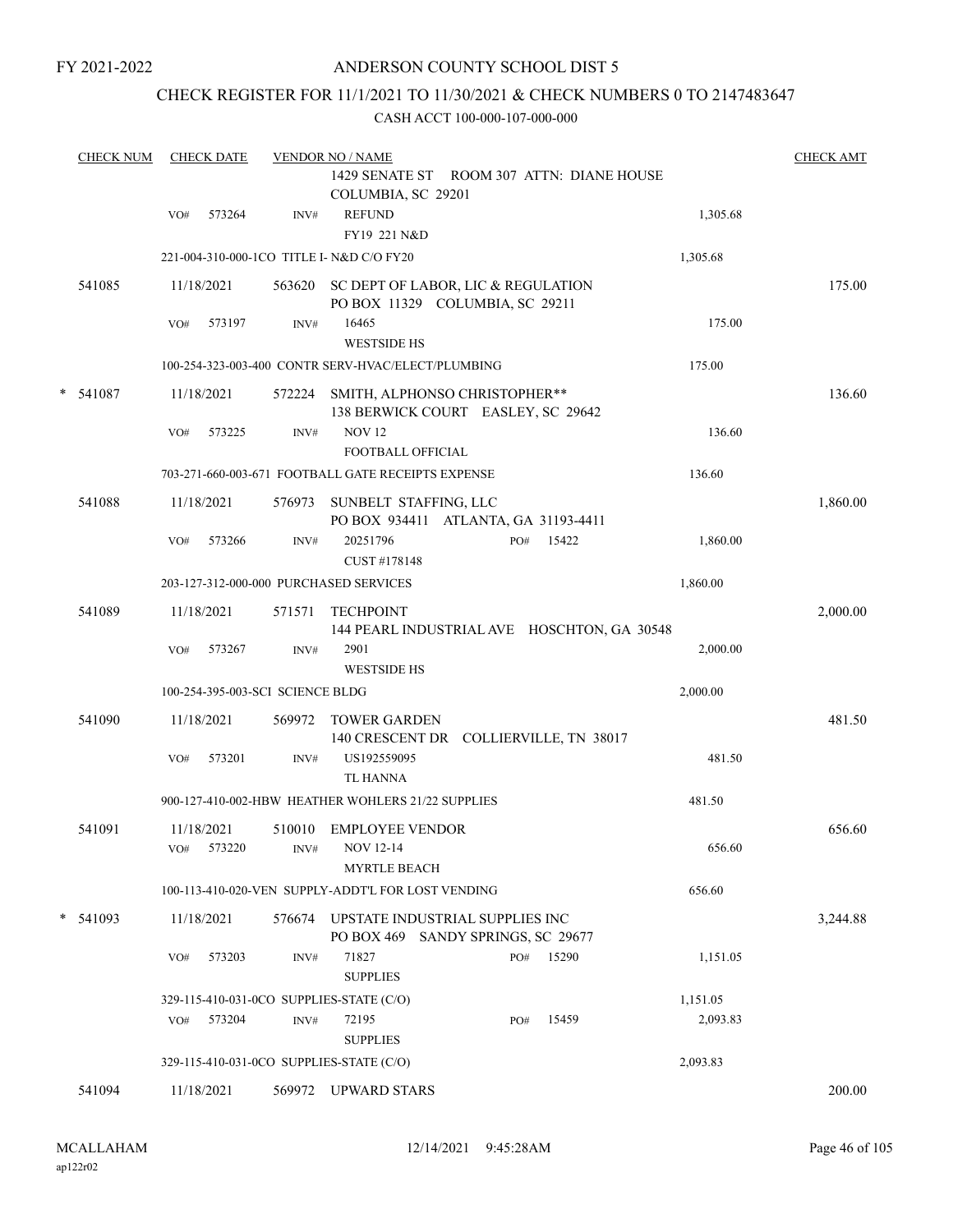### ANDERSON COUNTY SCHOOL DIST 5

### CHECK REGISTER FOR 11/1/2021 TO 11/30/2021 & CHECK NUMBERS 0 TO 2147483647

|   | <b>CHECK NUM</b> |     | <b>CHECK DATE</b>                |        | <b>VENDOR NO / NAME</b><br>1429 SENATE ST ROOM 307 ATTN: DIANE HOUSE         |              |          | <b>CHECK AMT</b> |
|---|------------------|-----|----------------------------------|--------|------------------------------------------------------------------------------|--------------|----------|------------------|
|   |                  | VO# | 573264                           | INV#   | COLUMBIA, SC 29201<br><b>REFUND</b><br>FY19 221 N&D                          |              | 1,305.68 |                  |
|   |                  |     |                                  |        | 221-004-310-000-1CO TITLE I- N&D C/O FY20                                    |              | 1,305.68 |                  |
|   | 541085           |     | 11/18/2021                       |        | 563620 SC DEPT OF LABOR, LIC & REGULATION<br>PO BOX 11329 COLUMBIA, SC 29211 |              |          | 175.00           |
|   |                  | VO# | 573197                           | INV#   | 16465<br><b>WESTSIDE HS</b>                                                  |              | 175.00   |                  |
|   |                  |     |                                  |        | 100-254-323-003-400 CONTR SERV-HVAC/ELECT/PLUMBING                           |              | 175.00   |                  |
| * | 541087           |     | 11/18/2021                       | 572224 | SMITH, ALPHONSO CHRISTOPHER**<br>138 BERWICK COURT EASLEY, SC 29642          |              |          | 136.60           |
|   |                  | VO# | 573225                           | INV#   | <b>NOV 12</b><br>FOOTBALL OFFICIAL                                           |              | 136.60   |                  |
|   |                  |     |                                  |        | 703-271-660-003-671 FOOTBALL GATE RECEIPTS EXPENSE                           |              | 136.60   |                  |
|   | 541088           |     | 11/18/2021                       | 576973 | SUNBELT STAFFING, LLC<br>PO BOX 934411 ATLANTA, GA 31193-4411                |              |          | 1,860.00         |
|   |                  | VO# | 573266                           | INV#   | 20251796<br>CUST #178148                                                     | 15422<br>PO# | 1,860.00 |                  |
|   |                  |     |                                  |        | 203-127-312-000-000 PURCHASED SERVICES                                       |              | 1,860.00 |                  |
|   | 541089           |     | 11/18/2021                       | 571571 | <b>TECHPOINT</b><br>144 PEARL INDUSTRIAL AVE HOSCHTON, GA 30548              |              |          | 2,000.00         |
|   |                  | VO# | 573267                           | INV#   | 2901<br><b>WESTSIDE HS</b>                                                   |              | 2,000.00 |                  |
|   |                  |     | 100-254-395-003-SCI SCIENCE BLDG |        |                                                                              |              | 2,000.00 |                  |
|   | 541090           |     | 11/18/2021                       | 569972 | <b>TOWER GARDEN</b><br>140 CRESCENT DR COLLIERVILLE, TN 38017                |              |          | 481.50           |
|   |                  | VO# | 573201                           | INV#   | US192559095<br><b>TL HANNA</b>                                               |              | 481.50   |                  |
|   |                  |     |                                  |        | 900-127-410-002-HBW HEATHER WOHLERS 21/22 SUPPLIES                           |              | 481.50   |                  |
|   | 541091           |     | 11/18/2021<br>VO# 573220         |        | 510010 EMPLOYEE VENDOR<br>INV# NOV 12-14<br><b>MYRTLE BEACH</b>              |              | 656.60   | 656.60           |
|   |                  |     |                                  |        | 100-113-410-020-VEN SUPPLY-ADDT'L FOR LOST VENDING                           |              | 656.60   |                  |
|   | $* 541093$       |     | 11/18/2021                       | 576674 | UPSTATE INDUSTRIAL SUPPLIES INC<br>PO BOX 469 SANDY SPRINGS, SC 29677        |              |          | 3,244.88         |
|   |                  | VO# | 573203                           | INV#   | 71827<br><b>SUPPLIES</b>                                                     | PO# 15290    | 1,151.05 |                  |
|   |                  |     |                                  |        | 329-115-410-031-0CO SUPPLIES-STATE (C/O)                                     |              | 1,151.05 |                  |
|   |                  | VO# | 573204                           | INV#   | 72195<br><b>SUPPLIES</b>                                                     | 15459<br>PO# | 2,093.83 |                  |
|   |                  |     |                                  |        | 329-115-410-031-0CO SUPPLIES-STATE (C/O)                                     |              | 2,093.83 |                  |
|   | 541094           |     | 11/18/2021                       |        | 569972 UPWARD STARS                                                          |              |          | 200.00           |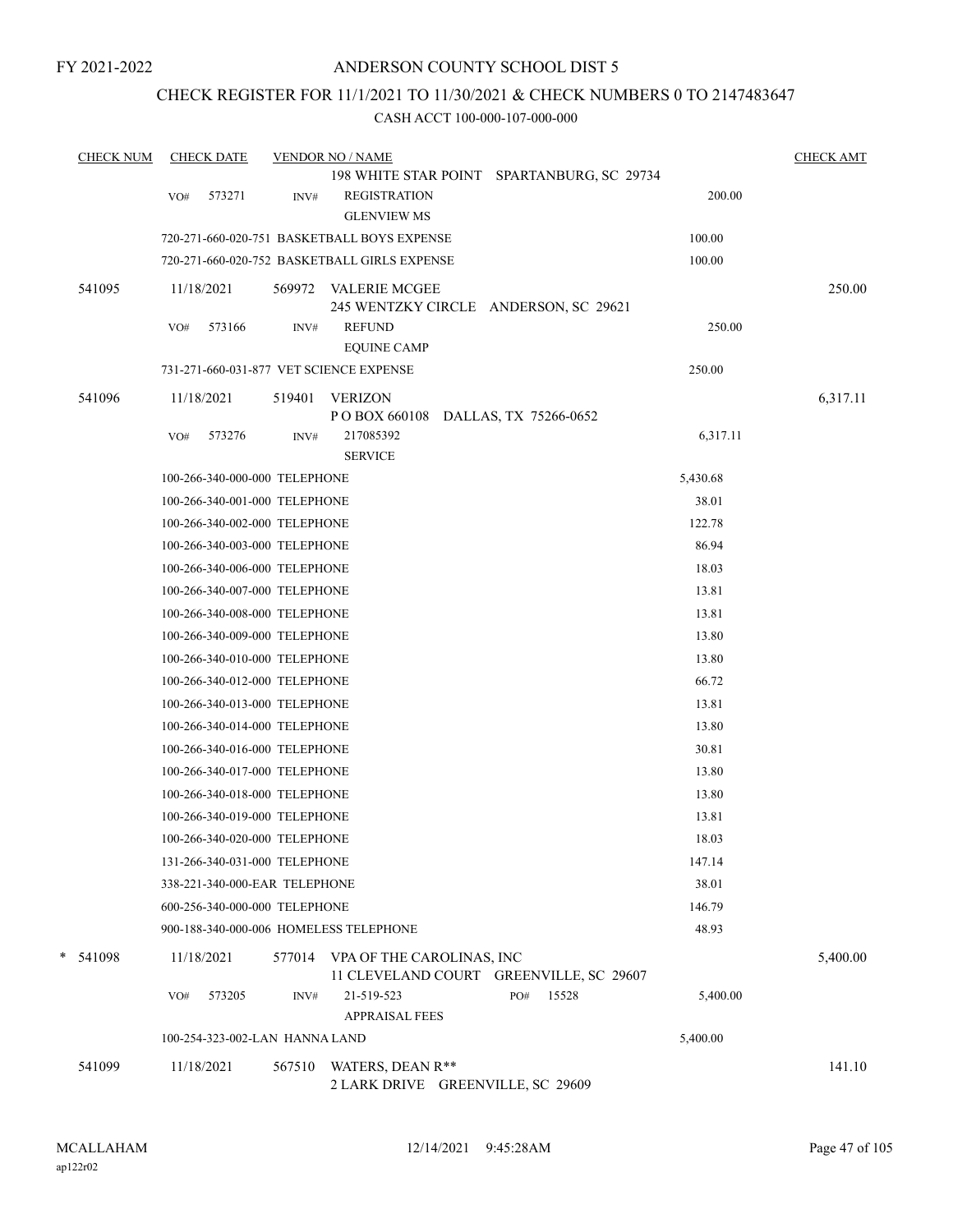### CHECK REGISTER FOR 11/1/2021 TO 11/30/2021 & CHECK NUMBERS 0 TO 2147483647

| <b>CHECK NUM</b> | <b>CHECK DATE</b>                       |        | <b>VENDOR NO / NAME</b>                                                     |                                            |          | <b>CHECK AMT</b> |
|------------------|-----------------------------------------|--------|-----------------------------------------------------------------------------|--------------------------------------------|----------|------------------|
|                  |                                         |        |                                                                             | 198 WHITE STAR POINT SPARTANBURG, SC 29734 |          |                  |
|                  | 573271<br>VO#                           | INV#   | <b>REGISTRATION</b><br><b>GLENVIEW MS</b>                                   |                                            | 200.00   |                  |
|                  |                                         |        | 720-271-660-020-751 BASKETBALL BOYS EXPENSE                                 |                                            | 100.00   |                  |
|                  |                                         |        | 720-271-660-020-752 BASKETBALL GIRLS EXPENSE                                |                                            | 100.00   |                  |
| 541095           | 11/18/2021                              |        | 569972 VALERIE MCGEE<br>245 WENTZKY CIRCLE ANDERSON, SC 29621               |                                            |          | 250.00           |
|                  | 573166<br>VO#                           | INV#   | <b>REFUND</b><br><b>EQUINE CAMP</b>                                         |                                            | 250.00   |                  |
|                  | 731-271-660-031-877 VET SCIENCE EXPENSE |        |                                                                             |                                            | 250.00   |                  |
| 541096           | 11/18/2021                              | 519401 | <b>VERIZON</b>                                                              |                                            |          | 6,317.11         |
|                  |                                         |        | POBOX 660108 DALLAS, TX 75266-0652                                          |                                            |          |                  |
|                  | VO#<br>573276                           | INV#   | 217085392<br><b>SERVICE</b>                                                 |                                            | 6,317.11 |                  |
|                  | 100-266-340-000-000 TELEPHONE           |        |                                                                             |                                            | 5,430.68 |                  |
|                  | 100-266-340-001-000 TELEPHONE           |        |                                                                             |                                            | 38.01    |                  |
|                  | 100-266-340-002-000 TELEPHONE           |        |                                                                             |                                            | 122.78   |                  |
|                  | 100-266-340-003-000 TELEPHONE           |        |                                                                             |                                            | 86.94    |                  |
|                  | 100-266-340-006-000 TELEPHONE           |        |                                                                             |                                            | 18.03    |                  |
|                  | 100-266-340-007-000 TELEPHONE           |        |                                                                             |                                            | 13.81    |                  |
|                  | 100-266-340-008-000 TELEPHONE           |        |                                                                             |                                            | 13.81    |                  |
|                  | 100-266-340-009-000 TELEPHONE           |        |                                                                             |                                            | 13.80    |                  |
|                  | 100-266-340-010-000 TELEPHONE           |        |                                                                             |                                            | 13.80    |                  |
|                  | 100-266-340-012-000 TELEPHONE           |        |                                                                             |                                            | 66.72    |                  |
|                  | 100-266-340-013-000 TELEPHONE           |        |                                                                             |                                            | 13.81    |                  |
|                  | 100-266-340-014-000 TELEPHONE           |        |                                                                             |                                            | 13.80    |                  |
|                  | 100-266-340-016-000 TELEPHONE           |        |                                                                             |                                            | 30.81    |                  |
|                  | 100-266-340-017-000 TELEPHONE           |        |                                                                             |                                            | 13.80    |                  |
|                  | 100-266-340-018-000 TELEPHONE           |        |                                                                             |                                            | 13.80    |                  |
|                  | 100-266-340-019-000 TELEPHONE           |        |                                                                             |                                            | 13.81    |                  |
|                  | 100-266-340-020-000 TELEPHONE           |        |                                                                             |                                            | 18.03    |                  |
|                  | 131-266-340-031-000 TELEPHONE           |        |                                                                             |                                            | 147.14   |                  |
|                  | 338-221-340-000-EAR TELEPHONE           |        |                                                                             |                                            | 38.01    |                  |
|                  | 600-256-340-000-000 TELEPHONE           |        |                                                                             |                                            | 146.79   |                  |
|                  | 900-188-340-000-006 HOMELESS TELEPHONE  |        |                                                                             |                                            | 48.93    |                  |
| * 541098         | 11/18/2021                              |        | 577014 VPA OF THE CAROLINAS, INC<br>11 CLEVELAND COURT GREENVILLE, SC 29607 |                                            |          | 5,400.00         |
|                  | 573205<br>VO#                           | INV#   | 21-519-523                                                                  | 15528<br>PO#                               | 5,400.00 |                  |
|                  |                                         |        | <b>APPRAISAL FEES</b>                                                       |                                            |          |                  |
|                  | 100-254-323-002-LAN HANNA LAND          |        |                                                                             |                                            | 5,400.00 |                  |
| 541099           | 11/18/2021                              | 567510 | WATERS, DEAN R**<br>2 LARK DRIVE GREENVILLE, SC 29609                       |                                            |          | 141.10           |
|                  |                                         |        |                                                                             |                                            |          |                  |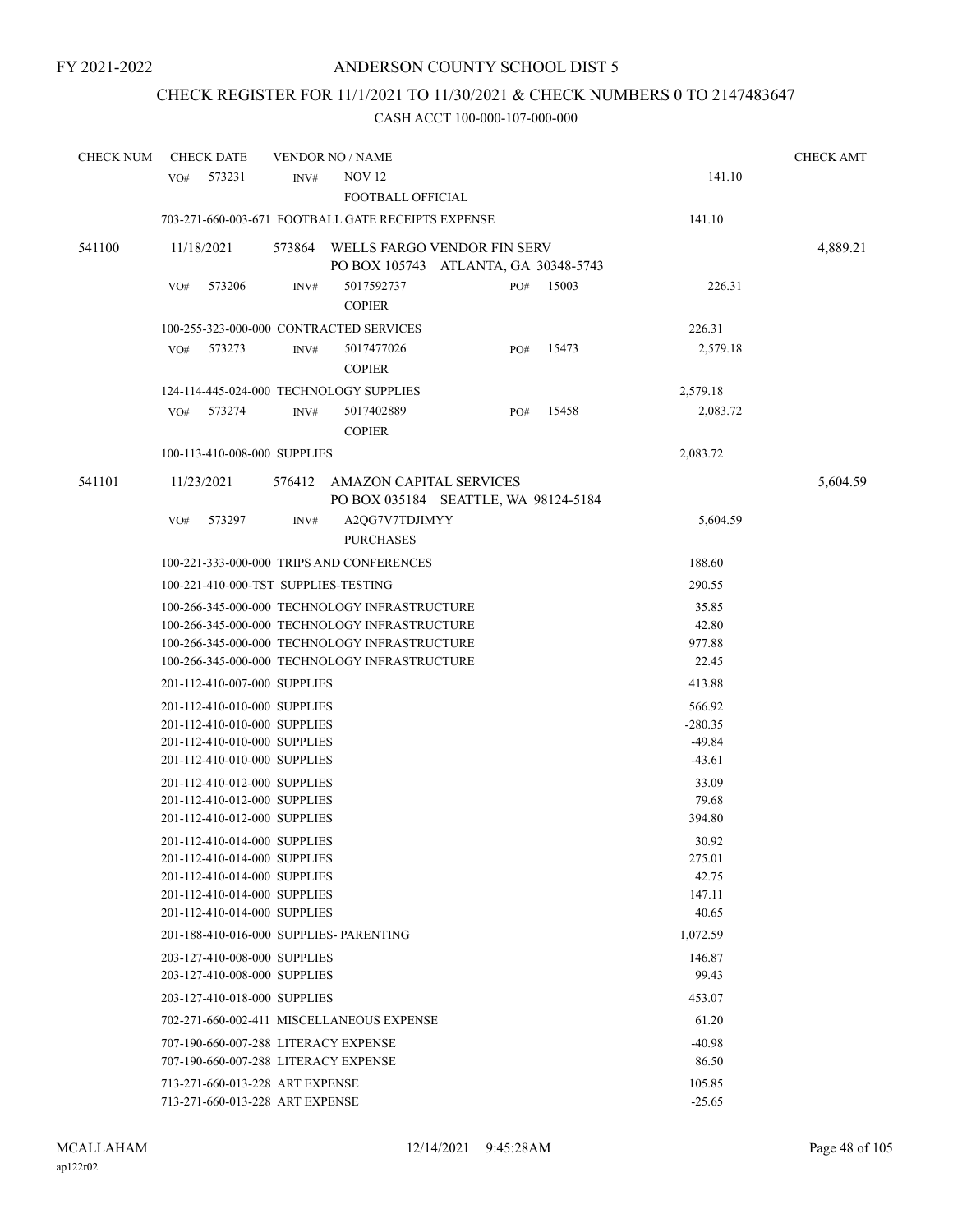# CHECK REGISTER FOR 11/1/2021 TO 11/30/2021 & CHECK NUMBERS 0 TO 2147483647

| <b>CHECK NUM</b> | <b>CHECK DATE</b> |                                                              | <b>VENDOR NO / NAME</b>                            |                                                                     |       |                      | <b>CHECK AMT</b> |
|------------------|-------------------|--------------------------------------------------------------|----------------------------------------------------|---------------------------------------------------------------------|-------|----------------------|------------------|
|                  | 573231<br>VO#     | INV#                                                         | <b>NOV 12</b><br>FOOTBALL OFFICIAL                 |                                                                     |       | 141.10               |                  |
|                  |                   |                                                              | 703-271-660-003-671 FOOTBALL GATE RECEIPTS EXPENSE |                                                                     |       | 141.10               |                  |
| 541100           | 11/18/2021        | 573864                                                       |                                                    | WELLS FARGO VENDOR FIN SERV<br>PO BOX 105743 ATLANTA, GA 30348-5743 |       |                      | 4,889.21         |
|                  | 573206<br>VO#     | INV#                                                         | 5017592737<br><b>COPIER</b>                        | PO#                                                                 | 15003 | 226.31               |                  |
|                  |                   |                                                              | 100-255-323-000-000 CONTRACTED SERVICES            |                                                                     |       | 226.31               |                  |
|                  | VO#<br>573273     | INV#                                                         | 5017477026<br><b>COPIER</b>                        | PO#                                                                 | 15473 | 2,579.18             |                  |
|                  |                   |                                                              | 124-114-445-024-000 TECHNOLOGY SUPPLIES            |                                                                     |       | 2,579.18             |                  |
|                  | 573274<br>VO#     | INV#                                                         | 5017402889<br><b>COPIER</b>                        | PO#                                                                 | 15458 | 2,083.72             |                  |
|                  |                   | 100-113-410-008-000 SUPPLIES                                 |                                                    |                                                                     |       | 2,083.72             |                  |
| 541101           | 11/23/2021        |                                                              | 576412 AMAZON CAPITAL SERVICES                     | PO BOX 035184 SEATTLE, WA 98124-5184                                |       |                      | 5,604.59         |
|                  | VO#<br>573297     | INV#                                                         | A2OG7V7TDJIMYY<br><b>PURCHASES</b>                 |                                                                     |       | 5,604.59             |                  |
|                  |                   |                                                              | 100-221-333-000-000 TRIPS AND CONFERENCES          |                                                                     |       | 188.60               |                  |
|                  |                   | 100-221-410-000-TST SUPPLIES-TESTING                         |                                                    |                                                                     |       | 290.55               |                  |
|                  |                   |                                                              | 100-266-345-000-000 TECHNOLOGY INFRASTRUCTURE      |                                                                     |       | 35.85                |                  |
|                  |                   |                                                              | 100-266-345-000-000 TECHNOLOGY INFRASTRUCTURE      |                                                                     |       | 42.80                |                  |
|                  |                   |                                                              | 100-266-345-000-000 TECHNOLOGY INFRASTRUCTURE      |                                                                     |       | 977.88               |                  |
|                  |                   |                                                              | 100-266-345-000-000 TECHNOLOGY INFRASTRUCTURE      |                                                                     |       | 22.45                |                  |
|                  |                   | 201-112-410-007-000 SUPPLIES                                 |                                                    |                                                                     |       | 413.88               |                  |
|                  |                   | 201-112-410-010-000 SUPPLIES                                 |                                                    |                                                                     |       | 566.92               |                  |
|                  |                   | 201-112-410-010-000 SUPPLIES                                 |                                                    |                                                                     |       | $-280.35$            |                  |
|                  |                   | 201-112-410-010-000 SUPPLIES<br>201-112-410-010-000 SUPPLIES |                                                    |                                                                     |       | $-49.84$<br>$-43.61$ |                  |
|                  |                   | 201-112-410-012-000 SUPPLIES                                 |                                                    |                                                                     |       | 33.09                |                  |
|                  |                   | 201-112-410-012-000 SUPPLIES                                 |                                                    |                                                                     |       | 79.68                |                  |
|                  |                   | 201-112-410-012-000 SUPPLIES                                 |                                                    |                                                                     |       | 394.80               |                  |
|                  |                   | 201-112-410-014-000 SUPPLIES                                 |                                                    |                                                                     |       | 30.92                |                  |
|                  |                   | 201-112-410-014-000 SUPPLIES                                 |                                                    |                                                                     |       | 275.01               |                  |
|                  |                   | 201-112-410-014-000 SUPPLIES                                 |                                                    |                                                                     |       | 42.75                |                  |
|                  |                   | 201-112-410-014-000 SUPPLIES                                 |                                                    |                                                                     |       | 147.11               |                  |
|                  |                   | 201-112-410-014-000 SUPPLIES                                 |                                                    |                                                                     |       | 40.65                |                  |
|                  |                   | 201-188-410-016-000 SUPPLIES- PARENTING                      |                                                    |                                                                     |       | 1,072.59             |                  |
|                  |                   | 203-127-410-008-000 SUPPLIES                                 |                                                    |                                                                     |       | 146.87               |                  |
|                  |                   | 203-127-410-008-000 SUPPLIES                                 |                                                    |                                                                     |       | 99.43                |                  |
|                  |                   | 203-127-410-018-000 SUPPLIES                                 |                                                    |                                                                     |       | 453.07               |                  |
|                  |                   |                                                              | 702-271-660-002-411 MISCELLANEOUS EXPENSE          |                                                                     |       | 61.20                |                  |
|                  |                   | 707-190-660-007-288 LITERACY EXPENSE                         |                                                    |                                                                     |       | $-40.98$             |                  |
|                  |                   | 707-190-660-007-288 LITERACY EXPENSE                         |                                                    |                                                                     |       | 86.50                |                  |
|                  |                   | 713-271-660-013-228 ART EXPENSE                              |                                                    |                                                                     |       | 105.85               |                  |
|                  |                   | 713-271-660-013-228 ART EXPENSE                              |                                                    |                                                                     |       | $-25.65$             |                  |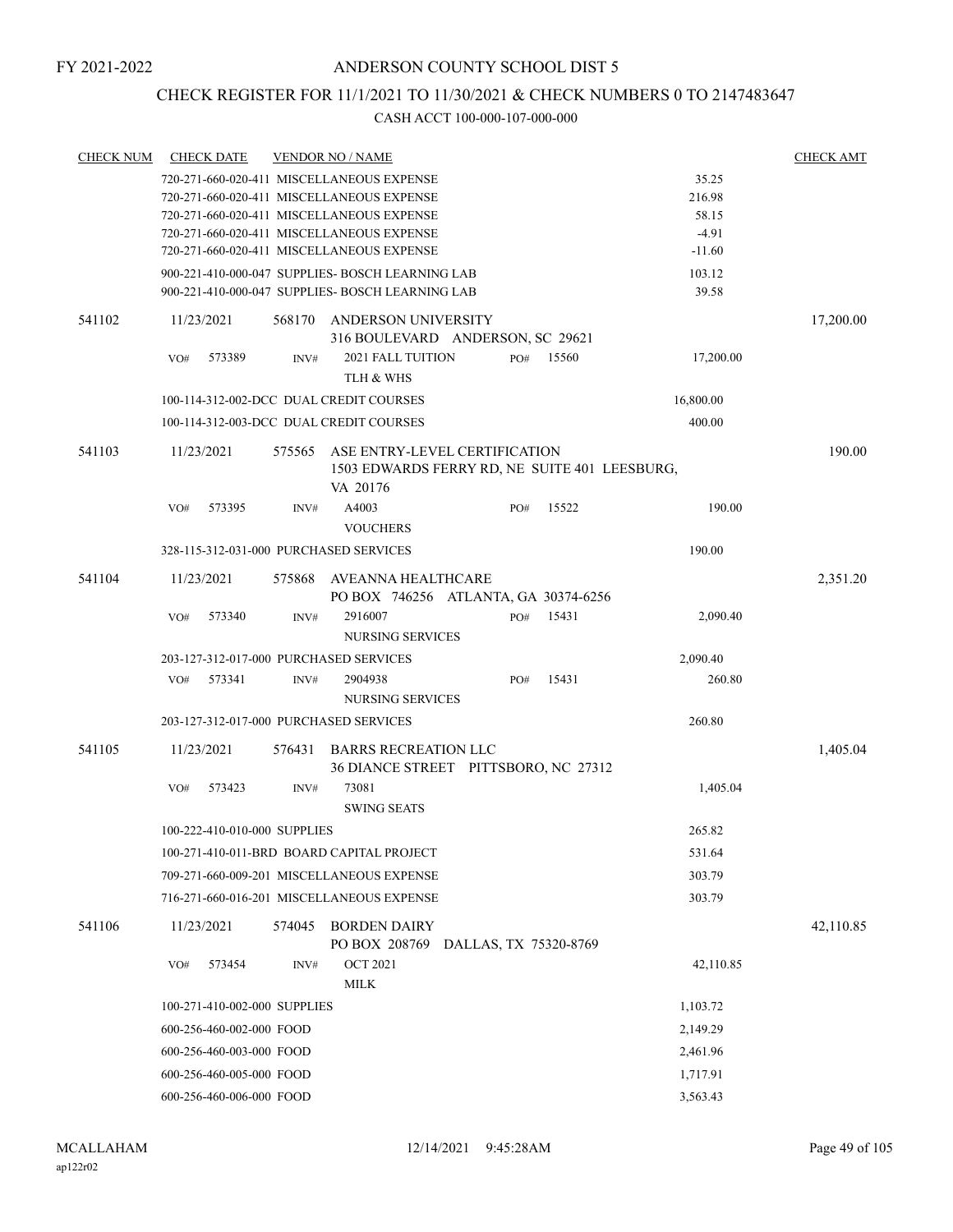### CHECK REGISTER FOR 11/1/2021 TO 11/30/2021 & CHECK NUMBERS 0 TO 2147483647

| <b>CHECK NUM</b> | <b>CHECK DATE</b>                      |        | <b>VENDOR NO / NAME</b>                                                                    |     |                       |           | <b>CHECK AMT</b> |
|------------------|----------------------------------------|--------|--------------------------------------------------------------------------------------------|-----|-----------------------|-----------|------------------|
|                  |                                        |        | 720-271-660-020-411 MISCELLANEOUS EXPENSE                                                  |     |                       | 35.25     |                  |
|                  |                                        |        | 720-271-660-020-411 MISCELLANEOUS EXPENSE                                                  |     |                       | 216.98    |                  |
|                  |                                        |        | 720-271-660-020-411 MISCELLANEOUS EXPENSE                                                  |     |                       | 58.15     |                  |
|                  |                                        |        | 720-271-660-020-411 MISCELLANEOUS EXPENSE                                                  |     |                       | $-4.91$   |                  |
|                  |                                        |        | 720-271-660-020-411 MISCELLANEOUS EXPENSE                                                  |     |                       | $-11.60$  |                  |
|                  |                                        |        | 900-221-410-000-047 SUPPLIES- BOSCH LEARNING LAB                                           |     |                       | 103.12    |                  |
|                  |                                        |        | 900-221-410-000-047 SUPPLIES- BOSCH LEARNING LAB                                           |     |                       | 39.58     |                  |
| 541102           | 11/23/2021                             | 568170 | ANDERSON UNIVERSITY<br>316 BOULEVARD ANDERSON, SC 29621                                    |     |                       |           | 17,200.00        |
|                  | VO#<br>573389                          | INV#   | 2021 FALL TUITION<br>TLH & WHS                                                             | PO# | 15560                 | 17,200.00 |                  |
|                  |                                        |        | 100-114-312-002-DCC DUAL CREDIT COURSES                                                    |     |                       | 16,800.00 |                  |
|                  |                                        |        | 100-114-312-003-DCC DUAL CREDIT COURSES                                                    |     |                       | 400.00    |                  |
|                  |                                        |        |                                                                                            |     |                       |           |                  |
| 541103           | 11/23/2021                             | 575565 | ASE ENTRY-LEVEL CERTIFICATION<br>1503 EDWARDS FERRY RD, NE SUITE 401 LEESBURG,<br>VA 20176 |     |                       |           | 190.00           |
|                  | VO#<br>573395                          | INV#   | A4003<br><b>VOUCHERS</b>                                                                   | PO# | 15522                 | 190.00    |                  |
|                  |                                        |        |                                                                                            |     |                       | 190.00    |                  |
|                  | 328-115-312-031-000 PURCHASED SERVICES |        |                                                                                            |     |                       |           |                  |
| 541104           | 11/23/2021                             | 575868 | AVEANNA HEALTHCARE<br>PO BOX 746256 ATLANTA, GA 30374-6256                                 |     |                       |           | 2,351.20         |
|                  | 573340<br>VO#                          | INV#   | 2916007<br>NURSING SERVICES                                                                | PO# | 15431                 | 2,090.40  |                  |
|                  | 203-127-312-017-000 PURCHASED SERVICES |        |                                                                                            |     |                       | 2,090.40  |                  |
|                  | VO#<br>573341                          | INV#   | 2904938<br>NURSING SERVICES                                                                | PO# | 15431                 | 260.80    |                  |
|                  | 203-127-312-017-000 PURCHASED SERVICES |        |                                                                                            |     |                       | 260.80    |                  |
|                  |                                        |        |                                                                                            |     |                       |           |                  |
| 541105           | 11/23/2021                             | 576431 | <b>BARRS RECREATION LLC</b><br>36 DIANCE STREET PITTSBORO, NC 27312                        |     |                       |           | 1,405.04         |
|                  | 573423<br>VO#                          | INV#   | 73081<br><b>SWING SEATS</b>                                                                |     |                       | 1,405.04  |                  |
|                  | 100-222-410-010-000 SUPPLIES           |        |                                                                                            |     |                       | 265.82    |                  |
|                  |                                        |        | 100-271-410-011-BRD BOARD CAPITAL PROJECT                                                  |     |                       | 531.64    |                  |
|                  |                                        |        | 709-271-660-009-201 MISCELLANEOUS EXPENSE                                                  |     |                       | 303.79    |                  |
|                  |                                        |        | 716-271-660-016-201 MISCELLANEOUS EXPENSE                                                  |     |                       | 303.79    |                  |
| 541106           | 11/23/2021                             | 574045 | <b>BORDEN DAIRY</b>                                                                        |     |                       |           | 42,110.85        |
|                  | 573454<br>VO#                          | INV#   | PO BOX 208769<br><b>OCT 2021</b><br>MILK                                                   |     | DALLAS, TX 75320-8769 | 42,110.85 |                  |
|                  | 100-271-410-002-000 SUPPLIES           |        |                                                                                            |     |                       | 1,103.72  |                  |
|                  | 600-256-460-002-000 FOOD               |        |                                                                                            |     |                       | 2,149.29  |                  |
|                  | 600-256-460-003-000 FOOD               |        |                                                                                            |     |                       | 2,461.96  |                  |
|                  | 600-256-460-005-000 FOOD               |        |                                                                                            |     |                       | 1,717.91  |                  |
|                  | 600-256-460-006-000 FOOD               |        |                                                                                            |     |                       | 3,563.43  |                  |
|                  |                                        |        |                                                                                            |     |                       |           |                  |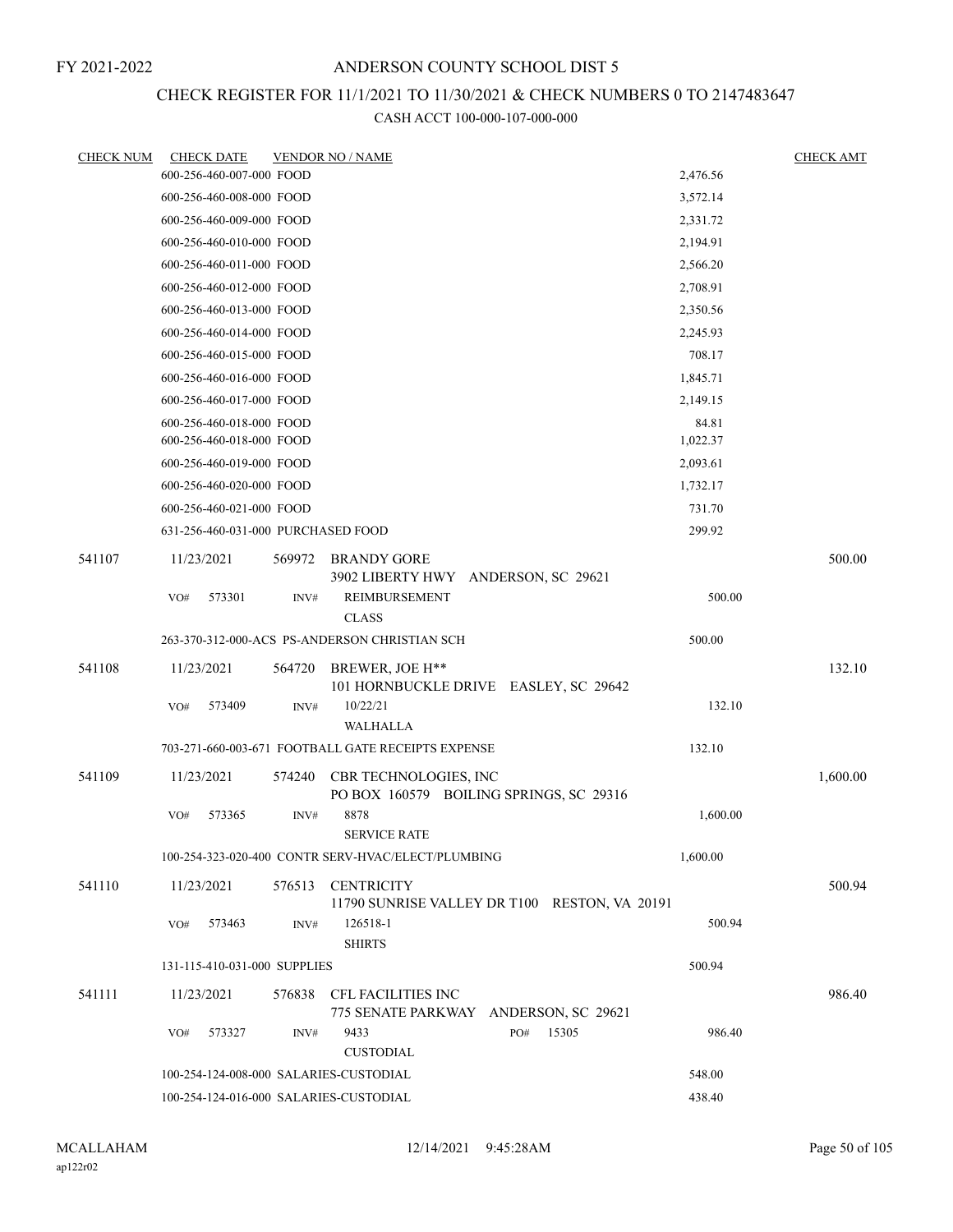# CHECK REGISTER FOR 11/1/2021 TO 11/30/2021 & CHECK NUMBERS 0 TO 2147483647

| <b>CHECK NUM</b> | <b>CHECK DATE</b>                      |        | <b>VENDOR NO / NAME</b>                                          |          | <b>CHECK AMT</b> |
|------------------|----------------------------------------|--------|------------------------------------------------------------------|----------|------------------|
|                  | 600-256-460-007-000 FOOD               |        |                                                                  | 2,476.56 |                  |
|                  | 600-256-460-008-000 FOOD               |        |                                                                  | 3,572.14 |                  |
|                  | 600-256-460-009-000 FOOD               |        |                                                                  | 2,331.72 |                  |
|                  | 600-256-460-010-000 FOOD               |        |                                                                  | 2,194.91 |                  |
|                  | 600-256-460-011-000 FOOD               |        |                                                                  | 2,566.20 |                  |
|                  | 600-256-460-012-000 FOOD               |        |                                                                  | 2,708.91 |                  |
|                  | 600-256-460-013-000 FOOD               |        |                                                                  | 2,350.56 |                  |
|                  | 600-256-460-014-000 FOOD               |        |                                                                  | 2,245.93 |                  |
|                  | 600-256-460-015-000 FOOD               |        |                                                                  | 708.17   |                  |
|                  | 600-256-460-016-000 FOOD               |        |                                                                  | 1,845.71 |                  |
|                  | 600-256-460-017-000 FOOD               |        |                                                                  | 2,149.15 |                  |
|                  | 600-256-460-018-000 FOOD               |        |                                                                  | 84.81    |                  |
|                  | 600-256-460-018-000 FOOD               |        |                                                                  | 1,022.37 |                  |
|                  | 600-256-460-019-000 FOOD               |        |                                                                  | 2,093.61 |                  |
|                  | 600-256-460-020-000 FOOD               |        |                                                                  | 1,732.17 |                  |
|                  | 600-256-460-021-000 FOOD               |        |                                                                  | 731.70   |                  |
|                  | 631-256-460-031-000 PURCHASED FOOD     |        |                                                                  | 299.92   |                  |
| 541107           | 11/23/2021                             | 569972 | <b>BRANDY GORE</b><br>3902 LIBERTY HWY ANDERSON, SC 29621        |          | 500.00           |
|                  | 573301<br>VO#                          | INV#   | REIMBURSEMENT                                                    | 500.00   |                  |
|                  |                                        |        | <b>CLASS</b>                                                     |          |                  |
|                  |                                        |        | 263-370-312-000-ACS PS-ANDERSON CHRISTIAN SCH                    | 500.00   |                  |
| 541108           | 11/23/2021                             | 564720 | BREWER, JOE H**<br>101 HORNBUCKLE DRIVE EASLEY, SC 29642         |          | 132.10           |
|                  | VO#<br>573409                          | INV#   | 10/22/21<br>WALHALLA                                             | 132.10   |                  |
|                  |                                        |        | 703-271-660-003-671 FOOTBALL GATE RECEIPTS EXPENSE               | 132.10   |                  |
| 541109           | 11/23/2021                             | 574240 | CBR TECHNOLOGIES, INC<br>PO BOX 160579 BOILING SPRINGS, SC 29316 |          | 1,600.00         |
|                  | 573365<br>VO#                          | INV#   | 8878<br><b>SERVICE RATE</b>                                      | 1,600.00 |                  |
|                  |                                        |        | 100-254-323-020-400 CONTR SERV-HVAC/ELECT/PLUMBING               | 1,600.00 |                  |
| 541110           | 11/23/2021                             | 576513 | <b>CENTRICITY</b>                                                |          | 500.94           |
|                  | VO#<br>573463                          | INV#   | 11790 SUNRISE VALLEY DR T100 RESTON, VA 20191<br>126518-1        | 500.94   |                  |
|                  |                                        |        | <b>SHIRTS</b>                                                    |          |                  |
|                  | 131-115-410-031-000 SUPPLIES           |        |                                                                  | 500.94   |                  |
| 541111           | 11/23/2021                             | 576838 | CFL FACILITIES INC<br>775 SENATE PARKWAY ANDERSON, SC 29621      |          | 986.40           |
|                  | 573327<br>VO#                          | INV#   | 15305<br>9433<br>PO#<br><b>CUSTODIAL</b>                         | 986.40   |                  |
|                  | 100-254-124-008-000 SALARIES-CUSTODIAL |        |                                                                  | 548.00   |                  |
|                  | 100-254-124-016-000 SALARIES-CUSTODIAL |        |                                                                  | 438.40   |                  |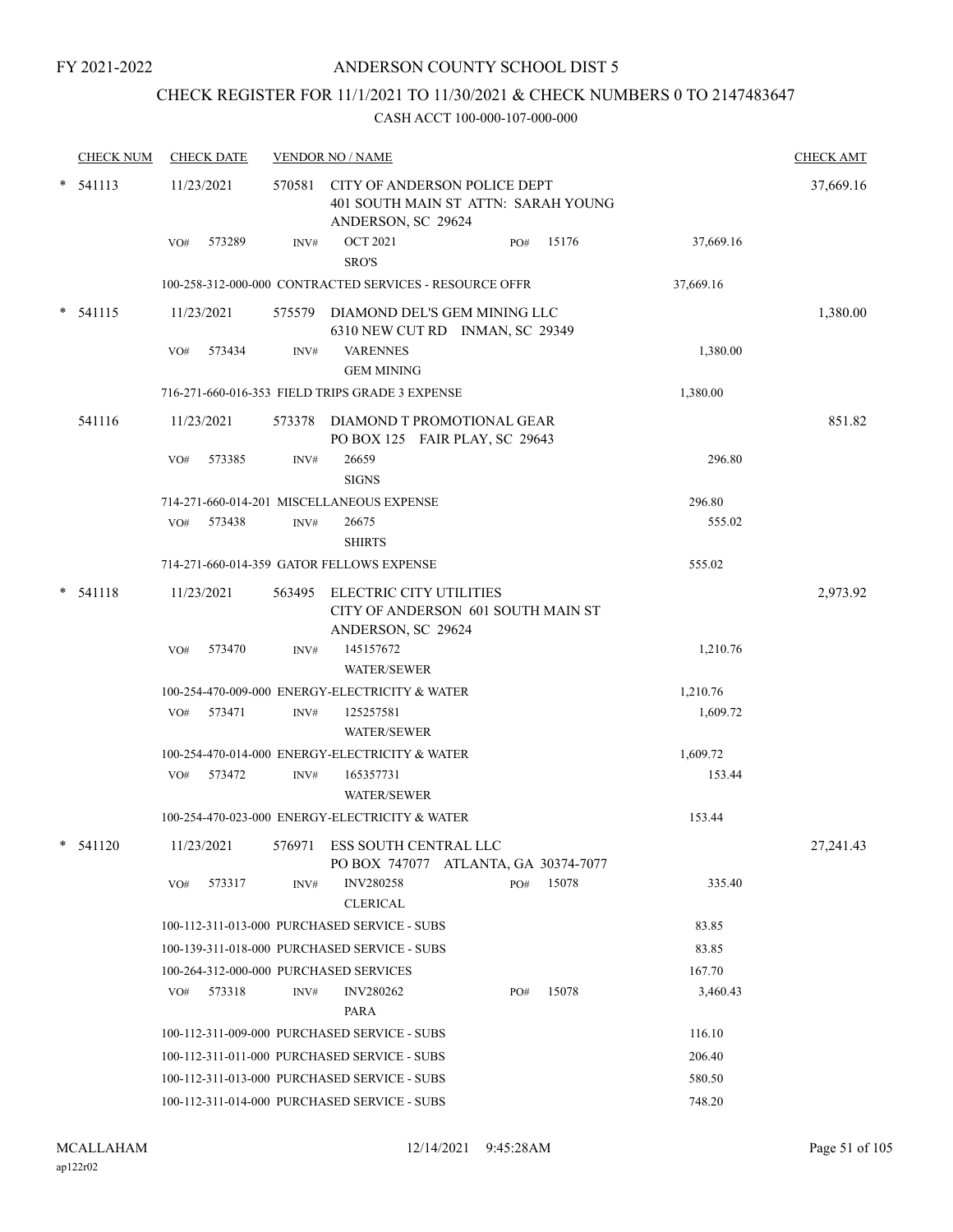# CHECK REGISTER FOR 11/1/2021 TO 11/30/2021 & CHECK NUMBERS 0 TO 2147483647

| <b>CHECK NUM</b> |     | <b>CHECK DATE</b> |        | <b>VENDOR NO / NAME</b>                                   |                                      |     |       |           | <b>CHECK AMT</b> |
|------------------|-----|-------------------|--------|-----------------------------------------------------------|--------------------------------------|-----|-------|-----------|------------------|
| $*$ 541113       |     | 11/23/2021        |        | 570581 CITY OF ANDERSON POLICE DEPT<br>ANDERSON, SC 29624 | 401 SOUTH MAIN ST ATTN: SARAH YOUNG  |     |       |           | 37,669.16        |
|                  | VO# | 573289            | INV#   | <b>OCT 2021</b><br>SRO'S                                  |                                      | PO# | 15176 | 37,669.16 |                  |
|                  |     |                   |        | 100-258-312-000-000 CONTRACTED SERVICES - RESOURCE OFFR   |                                      |     |       | 37,669.16 |                  |
| $*$ 541115       |     | 11/23/2021        |        | 575579 DIAMOND DEL'S GEM MINING LLC                       | 6310 NEW CUT RD INMAN, SC 29349      |     |       |           | 1,380.00         |
|                  | VO# | 573434            | INV#   | <b>VARENNES</b><br><b>GEM MINING</b>                      |                                      |     |       | 1,380.00  |                  |
|                  |     |                   |        | 716-271-660-016-353 FIELD TRIPS GRADE 3 EXPENSE           |                                      |     |       | 1,380.00  |                  |
| 541116           |     | 11/23/2021        | 573378 | DIAMOND T PROMOTIONAL GEAR                                | PO BOX 125 FAIR PLAY, SC 29643       |     |       |           | 851.82           |
|                  | VO# | 573385            | INV#   | 26659<br><b>SIGNS</b>                                     |                                      |     |       | 296.80    |                  |
|                  |     |                   |        | 714-271-660-014-201 MISCELLANEOUS EXPENSE                 |                                      |     |       | 296.80    |                  |
|                  | VO# | 573438            | INV#   | 26675<br><b>SHIRTS</b>                                    |                                      |     |       | 555.02    |                  |
|                  |     |                   |        | 714-271-660-014-359 GATOR FELLOWS EXPENSE                 |                                      |     |       | 555.02    |                  |
| $* 541118$       |     | 11/23/2021        |        | 563495 ELECTRIC CITY UTILITIES<br>ANDERSON, SC 29624      | CITY OF ANDERSON 601 SOUTH MAIN ST   |     |       |           | 2,973.92         |
|                  | VO# | 573470            | INV#   | 145157672<br><b>WATER/SEWER</b>                           |                                      |     |       | 1,210.76  |                  |
|                  |     |                   |        | 100-254-470-009-000 ENERGY-ELECTRICITY & WATER            |                                      |     |       | 1,210.76  |                  |
|                  |     | VO# 573471        | INV#   | 125257581<br><b>WATER/SEWER</b>                           |                                      |     |       | 1,609.72  |                  |
|                  |     |                   |        | 100-254-470-014-000 ENERGY-ELECTRICITY & WATER            |                                      |     |       | 1,609.72  |                  |
|                  |     | VO# 573472        | INV#   | 165357731<br><b>WATER/SEWER</b>                           |                                      |     |       | 153.44    |                  |
|                  |     |                   |        | 100-254-470-023-000 ENERGY-ELECTRICITY & WATER            |                                      |     |       | 153.44    |                  |
| $*$ 541120       |     | 11/23/2021        |        | 576971 ESS SOUTH CENTRAL LLC                              | PO BOX 747077 ATLANTA, GA 30374-7077 |     |       |           | 27,241.43        |
|                  | VO# | 573317            | INV#   | <b>INV280258</b><br><b>CLERICAL</b>                       |                                      | PO# | 15078 | 335.40    |                  |
|                  |     |                   |        | 100-112-311-013-000 PURCHASED SERVICE - SUBS              |                                      |     |       | 83.85     |                  |
|                  |     |                   |        | 100-139-311-018-000 PURCHASED SERVICE - SUBS              |                                      |     |       | 83.85     |                  |
|                  |     |                   |        | 100-264-312-000-000 PURCHASED SERVICES                    |                                      |     |       | 167.70    |                  |
|                  | VO# | 573318            | INV#   | <b>INV280262</b><br>PARA                                  |                                      | PO# | 15078 | 3,460.43  |                  |
|                  |     |                   |        | 100-112-311-009-000 PURCHASED SERVICE - SUBS              |                                      |     |       | 116.10    |                  |
|                  |     |                   |        | 100-112-311-011-000 PURCHASED SERVICE - SUBS              |                                      |     |       | 206.40    |                  |
|                  |     |                   |        | 100-112-311-013-000 PURCHASED SERVICE - SUBS              |                                      |     |       | 580.50    |                  |
|                  |     |                   |        | 100-112-311-014-000 PURCHASED SERVICE - SUBS              |                                      |     |       | 748.20    |                  |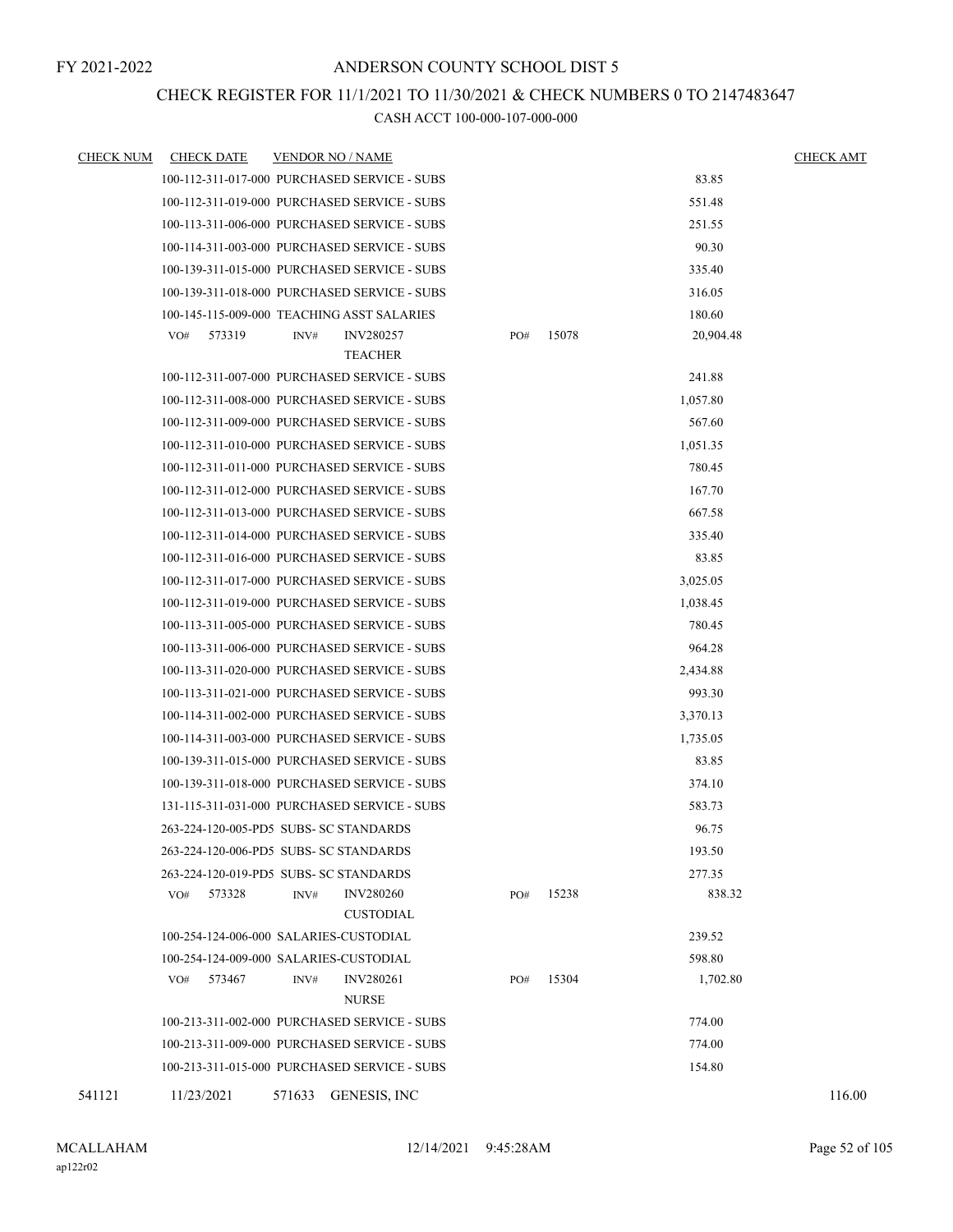### CHECK REGISTER FOR 11/1/2021 TO 11/30/2021 & CHECK NUMBERS 0 TO 2147483647

| <b>CHECK NUM</b> | <b>CHECK DATE</b> | <b>VENDOR NO / NAME</b>                      |     |       |           | <b>CHECK AMT</b> |
|------------------|-------------------|----------------------------------------------|-----|-------|-----------|------------------|
|                  |                   | 100-112-311-017-000 PURCHASED SERVICE - SUBS |     |       | 83.85     |                  |
|                  |                   | 100-112-311-019-000 PURCHASED SERVICE - SUBS |     |       | 551.48    |                  |
|                  |                   | 100-113-311-006-000 PURCHASED SERVICE - SUBS |     |       | 251.55    |                  |
|                  |                   | 100-114-311-003-000 PURCHASED SERVICE - SUBS |     |       | 90.30     |                  |
|                  |                   | 100-139-311-015-000 PURCHASED SERVICE - SUBS |     |       | 335.40    |                  |
|                  |                   | 100-139-311-018-000 PURCHASED SERVICE - SUBS |     |       | 316.05    |                  |
|                  |                   | 100-145-115-009-000 TEACHING ASST SALARIES   |     |       | 180.60    |                  |
|                  | VO#<br>573319     | INV#<br><b>INV280257</b><br><b>TEACHER</b>   | PO# | 15078 | 20,904.48 |                  |
|                  |                   | 100-112-311-007-000 PURCHASED SERVICE - SUBS |     |       | 241.88    |                  |
|                  |                   | 100-112-311-008-000 PURCHASED SERVICE - SUBS |     |       | 1,057.80  |                  |
|                  |                   | 100-112-311-009-000 PURCHASED SERVICE - SUBS |     |       | 567.60    |                  |
|                  |                   | 100-112-311-010-000 PURCHASED SERVICE - SUBS |     |       | 1,051.35  |                  |
|                  |                   | 100-112-311-011-000 PURCHASED SERVICE - SUBS |     |       | 780.45    |                  |
|                  |                   | 100-112-311-012-000 PURCHASED SERVICE - SUBS |     |       | 167.70    |                  |
|                  |                   | 100-112-311-013-000 PURCHASED SERVICE - SUBS |     |       | 667.58    |                  |
|                  |                   | 100-112-311-014-000 PURCHASED SERVICE - SUBS |     |       | 335.40    |                  |
|                  |                   | 100-112-311-016-000 PURCHASED SERVICE - SUBS |     |       | 83.85     |                  |
|                  |                   | 100-112-311-017-000 PURCHASED SERVICE - SUBS |     |       | 3,025.05  |                  |
|                  |                   | 100-112-311-019-000 PURCHASED SERVICE - SUBS |     |       | 1,038.45  |                  |
|                  |                   | 100-113-311-005-000 PURCHASED SERVICE - SUBS |     |       | 780.45    |                  |
|                  |                   | 100-113-311-006-000 PURCHASED SERVICE - SUBS |     |       | 964.28    |                  |
|                  |                   | 100-113-311-020-000 PURCHASED SERVICE - SUBS |     |       | 2,434.88  |                  |
|                  |                   | 100-113-311-021-000 PURCHASED SERVICE - SUBS |     |       | 993.30    |                  |
|                  |                   | 100-114-311-002-000 PURCHASED SERVICE - SUBS |     |       | 3,370.13  |                  |
|                  |                   | 100-114-311-003-000 PURCHASED SERVICE - SUBS |     |       | 1,735.05  |                  |
|                  |                   | 100-139-311-015-000 PURCHASED SERVICE - SUBS |     |       | 83.85     |                  |
|                  |                   | 100-139-311-018-000 PURCHASED SERVICE - SUBS |     |       | 374.10    |                  |
|                  |                   | 131-115-311-031-000 PURCHASED SERVICE - SUBS |     |       | 583.73    |                  |
|                  |                   | 263-224-120-005-PD5 SUBS- SC STANDARDS       |     |       | 96.75     |                  |
|                  |                   | 263-224-120-006-PD5 SUBS- SC STANDARDS       |     |       | 193.50    |                  |
|                  |                   | 263-224-120-019-PD5 SUBS- SC STANDARDS       |     |       | 277.35    |                  |
|                  | 573328<br>VO#     | <b>INV280260</b><br>INV#<br><b>CUSTODIAL</b> | PO# | 15238 | 838.32    |                  |
|                  |                   | 100-254-124-006-000 SALARIES-CUSTODIAL       |     |       | 239.52    |                  |
|                  |                   | 100-254-124-009-000 SALARIES-CUSTODIAL       |     |       | 598.80    |                  |
|                  | 573467<br>VO#     | <b>INV280261</b><br>INV#<br><b>NURSE</b>     | PO# | 15304 | 1,702.80  |                  |
|                  |                   | 100-213-311-002-000 PURCHASED SERVICE - SUBS |     |       | 774.00    |                  |
|                  |                   | 100-213-311-009-000 PURCHASED SERVICE - SUBS |     |       | 774.00    |                  |
|                  |                   | 100-213-311-015-000 PURCHASED SERVICE - SUBS |     |       | 154.80    |                  |
| 541121           | 11/23/2021        | 571633<br>GENESIS, INC                       |     |       |           | 116.00           |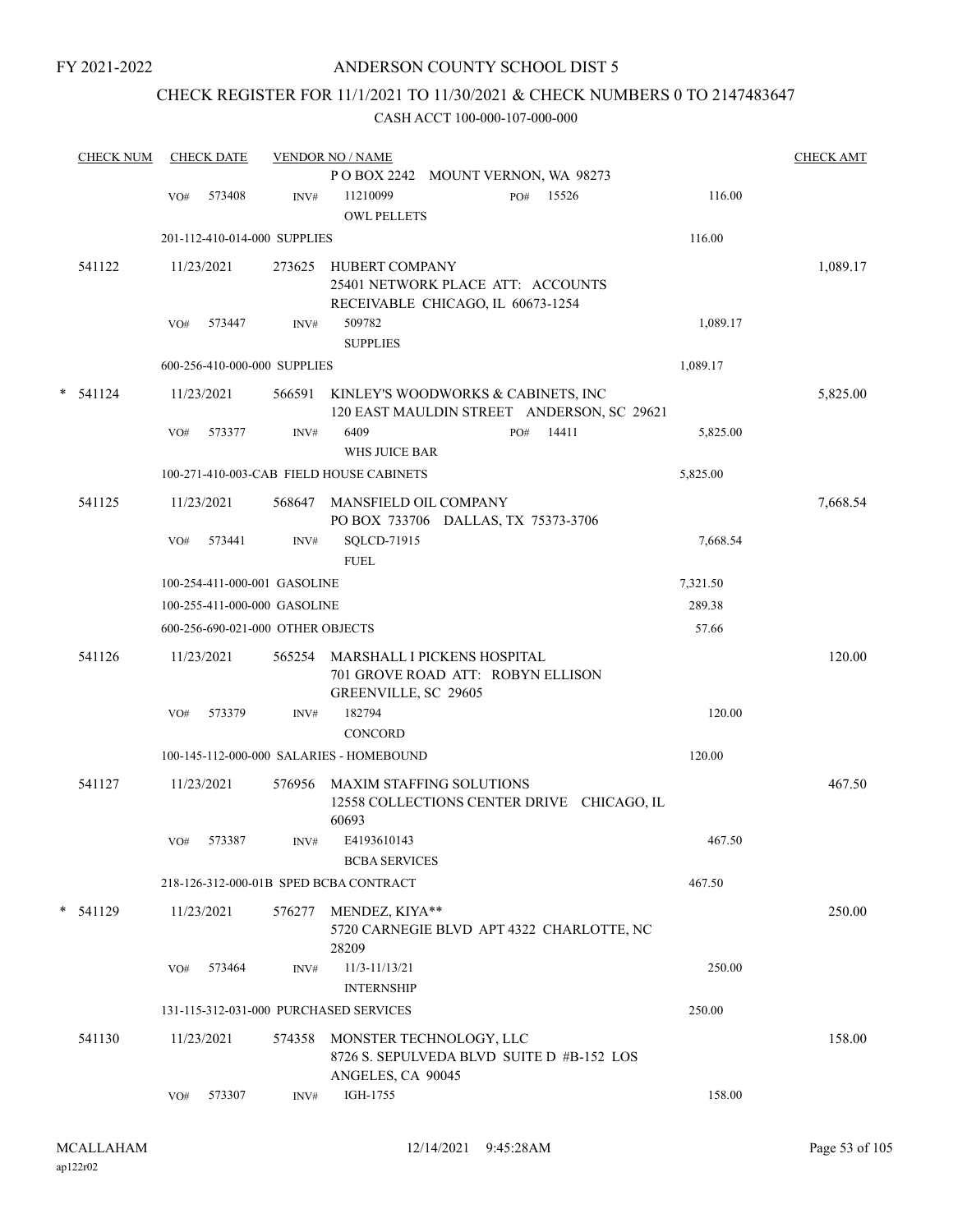### ANDERSON COUNTY SCHOOL DIST 5

# CHECK REGISTER FOR 11/1/2021 TO 11/30/2021 & CHECK NUMBERS 0 TO 2147483647

|   | <b>CHECK NUM</b> |     | <b>CHECK DATE</b>                 |        | <b>VENDOR NO / NAME</b>                                                                         |     |       |          | <b>CHECK AMT</b> |
|---|------------------|-----|-----------------------------------|--------|-------------------------------------------------------------------------------------------------|-----|-------|----------|------------------|
|   |                  |     |                                   |        | POBOX 2242 MOUNT VERNON, WA 98273                                                               |     |       |          |                  |
|   |                  | VO# | 573408                            | INV#   | 11210099<br><b>OWL PELLETS</b>                                                                  | PO# | 15526 | 116.00   |                  |
|   |                  |     | 201-112-410-014-000 SUPPLIES      |        |                                                                                                 |     |       | 116.00   |                  |
|   | 541122           |     | 11/23/2021                        | 273625 | <b>HUBERT COMPANY</b><br>25401 NETWORK PLACE ATT: ACCOUNTS<br>RECEIVABLE CHICAGO, IL 60673-1254 |     |       |          | 1,089.17         |
|   |                  | VO# | 573447                            | INV#   | 509782<br><b>SUPPLIES</b>                                                                       |     |       | 1,089.17 |                  |
|   |                  |     | 600-256-410-000-000 SUPPLIES      |        |                                                                                                 |     |       | 1,089.17 |                  |
| * | 541124           |     | 11/23/2021                        | 566591 | KINLEY'S WOODWORKS & CABINETS, INC<br>120 EAST MAULDIN STREET ANDERSON, SC 29621                |     |       |          | 5,825.00         |
|   |                  | VO# | 573377                            | INV#   | 6409<br>WHS JUICE BAR                                                                           | PO# | 14411 | 5,825.00 |                  |
|   |                  |     |                                   |        | 100-271-410-003-CAB FIELD HOUSE CABINETS                                                        |     |       | 5,825.00 |                  |
|   | 541125           |     | 11/23/2021                        | 568647 | MANSFIELD OIL COMPANY<br>PO BOX 733706 DALLAS, TX 75373-3706                                    |     |       |          | 7,668.54         |
|   |                  | VO# | 573441                            | INV#   | SQLCD-71915<br><b>FUEL</b>                                                                      |     |       | 7,668.54 |                  |
|   |                  |     | 100-254-411-000-001 GASOLINE      |        |                                                                                                 |     |       | 7,321.50 |                  |
|   |                  |     | 100-255-411-000-000 GASOLINE      |        |                                                                                                 |     |       | 289.38   |                  |
|   |                  |     | 600-256-690-021-000 OTHER OBJECTS |        |                                                                                                 |     |       | 57.66    |                  |
|   | 541126           |     | 11/23/2021                        | 565254 | MARSHALL I PICKENS HOSPITAL<br>701 GROVE ROAD ATT: ROBYN ELLISON<br>GREENVILLE, SC 29605        |     |       |          | 120.00           |
|   |                  | VO# | 573379                            | INV#   | 182794<br><b>CONCORD</b>                                                                        |     |       | 120.00   |                  |
|   |                  |     |                                   |        | 100-145-112-000-000 SALARIES - HOMEBOUND                                                        |     |       | 120.00   |                  |
|   | 541127           |     | 11/23/2021                        | 576956 | <b>MAXIM STAFFING SOLUTIONS</b><br>12558 COLLECTIONS CENTER DRIVE CHICAGO, IL<br>60693          |     |       |          | 467.50           |
|   |                  | VO# | 573387                            | INV#   | E4193610143<br><b>BCBA SERVICES</b>                                                             |     |       | 467.50   |                  |
|   |                  |     |                                   |        | 218-126-312-000-01B SPED BCBA CONTRACT                                                          |     |       | 467.50   |                  |
| * | 541129           |     | 11/23/2021                        | 576277 | MENDEZ, KIYA**<br>5720 CARNEGIE BLVD APT 4322 CHARLOTTE, NC<br>28209                            |     |       |          | 250.00           |
|   |                  | VO# | 573464                            | INV#   | 11/3-11/13/21<br><b>INTERNSHIP</b>                                                              |     |       | 250.00   |                  |
|   |                  |     |                                   |        | 131-115-312-031-000 PURCHASED SERVICES                                                          |     |       | 250.00   |                  |
|   | 541130           |     | 11/23/2021                        | 574358 | MONSTER TECHNOLOGY, LLC<br>8726 S. SEPULVEDA BLVD SUITE D #B-152 LOS<br>ANGELES, CA 90045       |     |       |          | 158.00           |
|   |                  | VO# | 573307                            | INV#   | IGH-1755                                                                                        |     |       | 158.00   |                  |
|   |                  |     |                                   |        |                                                                                                 |     |       |          |                  |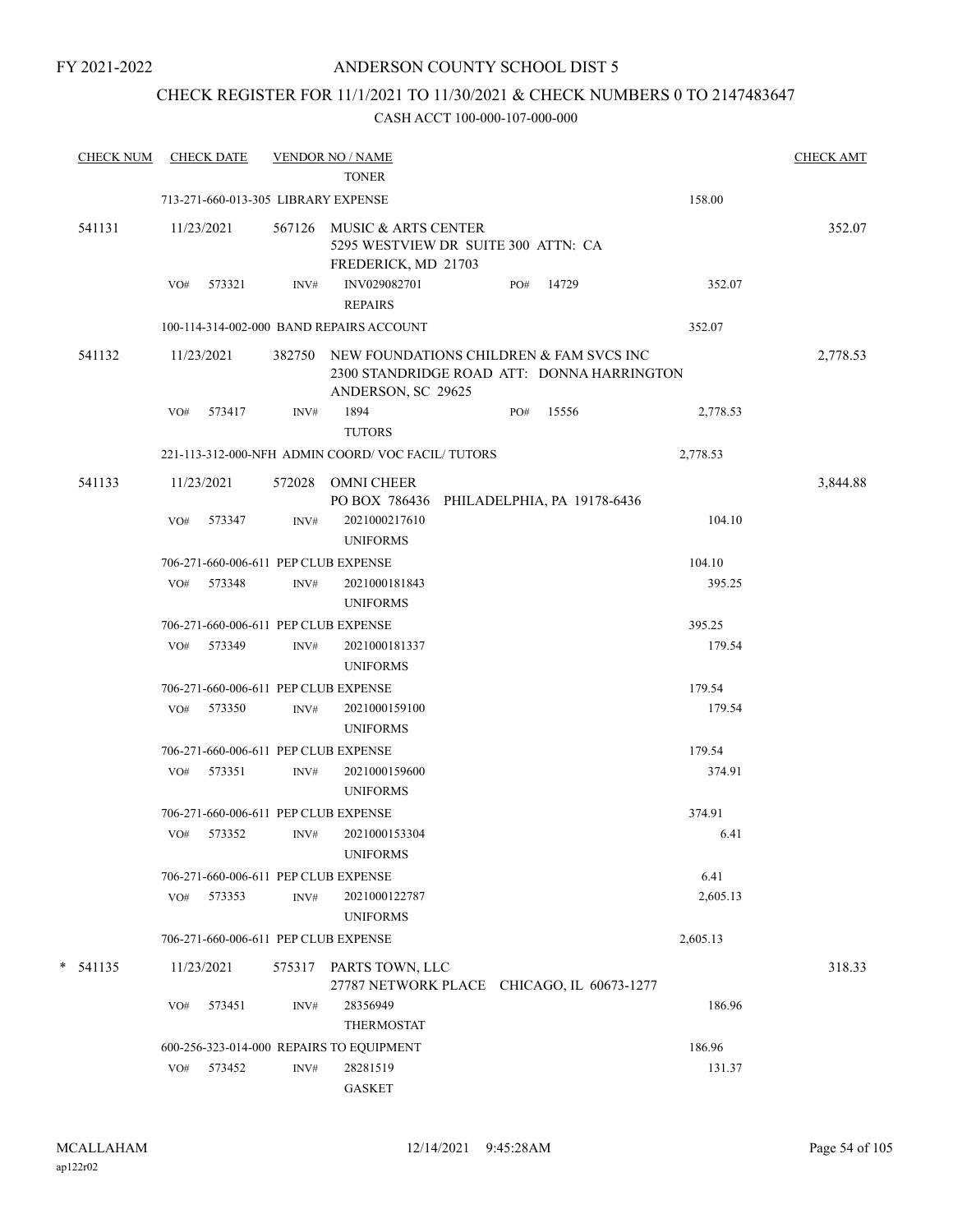### CHECK REGISTER FOR 11/1/2021 TO 11/30/2021 & CHECK NUMBERS 0 TO 2147483647

| <b>CHECK NUM</b> |     | <b>CHECK DATE</b>                   |        | <b>VENDOR NO / NAME</b><br><b>TONER</b>                                                                     |     |       |          | <b>CHECK AMT</b> |
|------------------|-----|-------------------------------------|--------|-------------------------------------------------------------------------------------------------------------|-----|-------|----------|------------------|
|                  |     | 713-271-660-013-305 LIBRARY EXPENSE |        |                                                                                                             |     |       | 158.00   |                  |
| 541131           |     | 11/23/2021                          | 567126 | MUSIC & ARTS CENTER<br>5295 WESTVIEW DR SUITE 300 ATTN: CA<br>FREDERICK, MD 21703                           |     |       |          | 352.07           |
|                  | VO# | 573321                              | INV#   | INV029082701<br><b>REPAIRS</b>                                                                              | PO# | 14729 | 352.07   |                  |
|                  |     |                                     |        | 100-114-314-002-000 BAND REPAIRS ACCOUNT                                                                    |     |       | 352.07   |                  |
| 541132           |     | 11/23/2021                          | 382750 | NEW FOUNDATIONS CHILDREN & FAM SVCS INC<br>2300 STANDRIDGE ROAD ATT: DONNA HARRINGTON<br>ANDERSON, SC 29625 |     |       |          | 2,778.53         |
|                  | VO# | 573417                              | INV#   | 1894<br><b>TUTORS</b>                                                                                       | PO# | 15556 | 2,778.53 |                  |
|                  |     |                                     |        | 221-113-312-000-NFH ADMIN COORD/VOC FACIL/TUTORS                                                            |     |       | 2,778.53 |                  |
| 541133           |     | 11/23/2021                          |        | 572028 OMNI CHEER<br>PO BOX 786436 PHILADELPHIA, PA 19178-6436                                              |     |       |          | 3,844.88         |
|                  | VO# | 573347                              | INV#   | 2021000217610<br><b>UNIFORMS</b>                                                                            |     |       | 104.10   |                  |
|                  |     |                                     |        | 706-271-660-006-611 PEP CLUB EXPENSE                                                                        |     |       | 104.10   |                  |
|                  | VO# | 573348                              | INV#   | 2021000181843<br><b>UNIFORMS</b>                                                                            |     |       | 395.25   |                  |
|                  |     |                                     |        | 706-271-660-006-611 PEP CLUB EXPENSE                                                                        |     |       | 395.25   |                  |
|                  | VO# | 573349                              | INV#   | 2021000181337<br><b>UNIFORMS</b>                                                                            |     |       | 179.54   |                  |
|                  |     |                                     |        | 706-271-660-006-611 PEP CLUB EXPENSE                                                                        |     |       | 179.54   |                  |
|                  | VO# | 573350                              | INV#   | 2021000159100<br><b>UNIFORMS</b>                                                                            |     |       | 179.54   |                  |
|                  |     |                                     |        | 706-271-660-006-611 PEP CLUB EXPENSE                                                                        |     |       | 179.54   |                  |
|                  | VO# | 573351                              | INV#   | 2021000159600<br><b>UNIFORMS</b>                                                                            |     |       | 374.91   |                  |
|                  |     |                                     |        | 706-271-660-006-611 PEP CLUB EXPENSE                                                                        |     |       | 374.91   |                  |
|                  | VO# | 573352                              | INV#   | 2021000153304<br><b>UNIFORMS</b>                                                                            |     |       | 6.41     |                  |
|                  |     |                                     |        | 706-271-660-006-611 PEP CLUB EXPENSE                                                                        |     |       | 6.41     |                  |
|                  | VO# | 573353                              | INV#   | 2021000122787<br><b>UNIFORMS</b>                                                                            |     |       | 2,605.13 |                  |
|                  |     |                                     |        | 706-271-660-006-611 PEP CLUB EXPENSE                                                                        |     |       | 2,605.13 |                  |
| $*$ 541135       |     | 11/23/2021                          |        | 575317 PARTS TOWN, LLC<br>27787 NETWORK PLACE CHICAGO, IL 60673-1277                                        |     |       |          | 318.33           |
|                  | VO# | 573451                              | INV#   | 28356949<br>THERMOSTAT                                                                                      |     |       | 186.96   |                  |
|                  |     |                                     |        | 600-256-323-014-000 REPAIRS TO EQUIPMENT                                                                    |     |       | 186.96   |                  |
|                  | VO# | 573452                              | INV#   | 28281519<br><b>GASKET</b>                                                                                   |     |       | 131.37   |                  |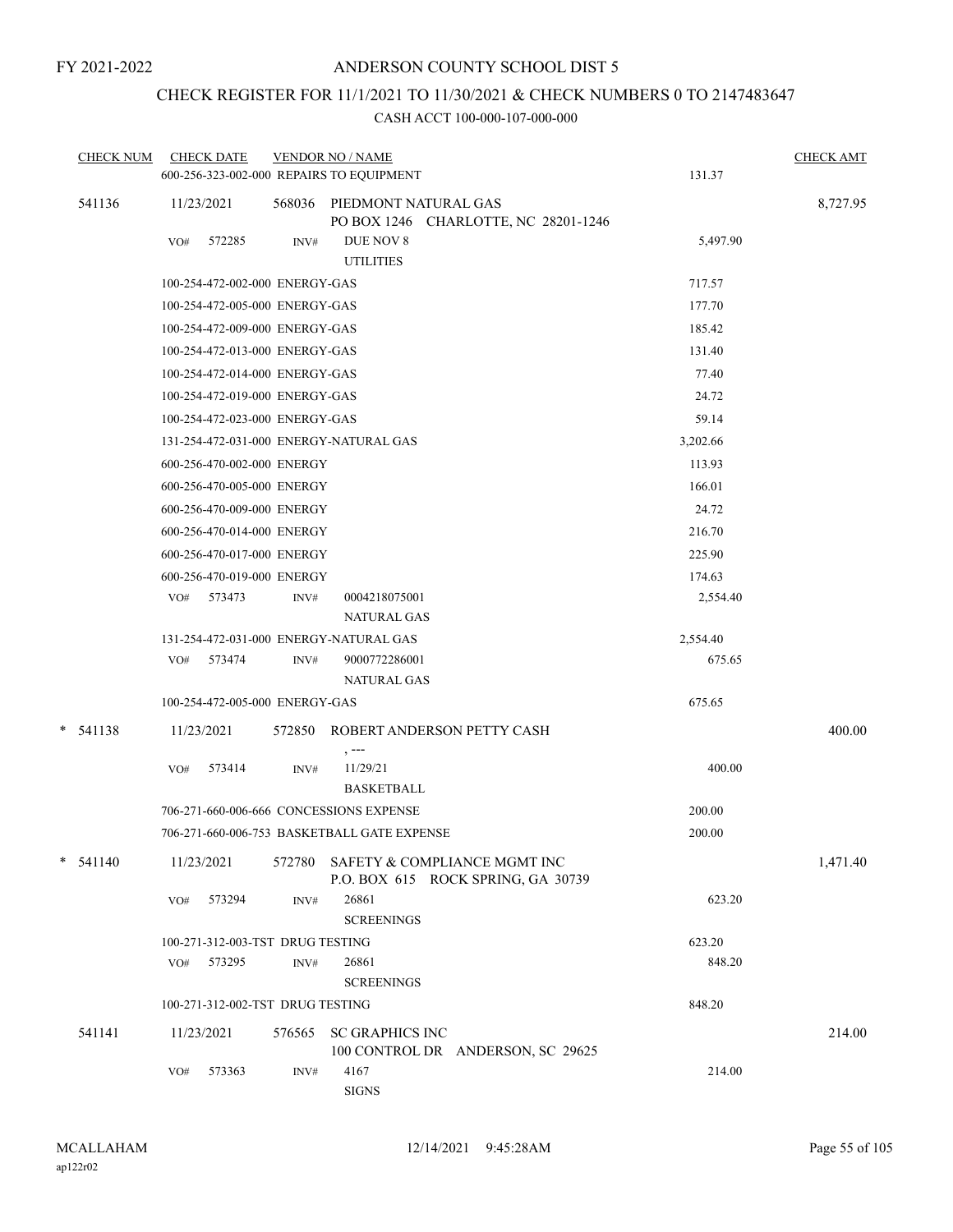# CHECK REGISTER FOR 11/1/2021 TO 11/30/2021 & CHECK NUMBERS 0 TO 2147483647

| <b>CHECK NUM</b> | <b>CHECK DATE</b><br>600-256-323-002-000 REPAIRS TO EQUIPMENT |        | <b>VENDOR NO / NAME</b>                                             | 131.37   | <b>CHECK AMT</b> |
|------------------|---------------------------------------------------------------|--------|---------------------------------------------------------------------|----------|------------------|
| 541136           | 11/23/2021                                                    |        | 568036 PIEDMONT NATURAL GAS<br>PO BOX 1246 CHARLOTTE, NC 28201-1246 |          | 8,727.95         |
|                  | 572285<br>VO#                                                 | INV#   | DUE NOV 8<br><b>UTILITIES</b>                                       | 5,497.90 |                  |
|                  | 100-254-472-002-000 ENERGY-GAS                                |        |                                                                     | 717.57   |                  |
|                  | 100-254-472-005-000 ENERGY-GAS                                |        |                                                                     | 177.70   |                  |
|                  | 100-254-472-009-000 ENERGY-GAS                                |        |                                                                     | 185.42   |                  |
|                  | 100-254-472-013-000 ENERGY-GAS                                |        |                                                                     | 131.40   |                  |
|                  | 100-254-472-014-000 ENERGY-GAS                                |        |                                                                     | 77.40    |                  |
|                  | 100-254-472-019-000 ENERGY-GAS                                |        |                                                                     | 24.72    |                  |
|                  | 100-254-472-023-000 ENERGY-GAS                                |        |                                                                     | 59.14    |                  |
|                  | 131-254-472-031-000 ENERGY-NATURAL GAS                        |        |                                                                     | 3,202.66 |                  |
|                  | 600-256-470-002-000 ENERGY                                    |        |                                                                     | 113.93   |                  |
|                  | 600-256-470-005-000 ENERGY                                    |        |                                                                     | 166.01   |                  |
|                  | 600-256-470-009-000 ENERGY                                    |        |                                                                     | 24.72    |                  |
|                  | 600-256-470-014-000 ENERGY                                    |        |                                                                     | 216.70   |                  |
|                  | 600-256-470-017-000 ENERGY                                    |        |                                                                     | 225.90   |                  |
|                  | 600-256-470-019-000 ENERGY                                    |        |                                                                     | 174.63   |                  |
|                  | VO# 573473                                                    | INV#   | 0004218075001<br><b>NATURAL GAS</b>                                 | 2,554.40 |                  |
|                  | 131-254-472-031-000 ENERGY-NATURAL GAS                        |        |                                                                     | 2,554.40 |                  |
|                  | 573474<br>VO#                                                 | INV#   | 9000772286001                                                       | 675.65   |                  |
|                  |                                                               |        | <b>NATURAL GAS</b>                                                  |          |                  |
|                  | 100-254-472-005-000 ENERGY-GAS                                |        |                                                                     | 675.65   |                  |
| $* 541138$       | 11/23/2021                                                    |        | 572850 ROBERT ANDERSON PETTY CASH<br>, ---                          |          | 400.00           |
|                  | 573414<br>VO#                                                 | INV#   | 11/29/21<br><b>BASKETBALL</b>                                       | 400.00   |                  |
|                  | 706-271-660-006-666 CONCESSIONS EXPENSE                       |        |                                                                     | 200.00   |                  |
|                  |                                                               |        | 706-271-660-006-753 BASKETBALL GATE EXPENSE                         | 200.00   |                  |
| $*$ 541140       | 11/23/2021                                                    | 572780 | SAFETY & COMPLIANCE MGMT INC<br>P.O. BOX 615 ROCK SPRING, GA 30739  |          | 1,471.40         |
|                  | 573294<br>VO#                                                 | INV#   | 26861<br><b>SCREENINGS</b>                                          | 623.20   |                  |
|                  | 100-271-312-003-TST DRUG TESTING                              |        |                                                                     | 623.20   |                  |
|                  | 573295<br>VO#                                                 | INV#   | 26861<br><b>SCREENINGS</b>                                          | 848.20   |                  |
|                  | 100-271-312-002-TST DRUG TESTING                              |        |                                                                     | 848.20   |                  |
| 541141           | 11/23/2021                                                    | 576565 | <b>SC GRAPHICS INC</b><br>100 CONTROL DR ANDERSON, SC 29625         |          | 214.00           |
|                  | VO#<br>573363                                                 | INV#   | 4167<br><b>SIGNS</b>                                                | 214.00   |                  |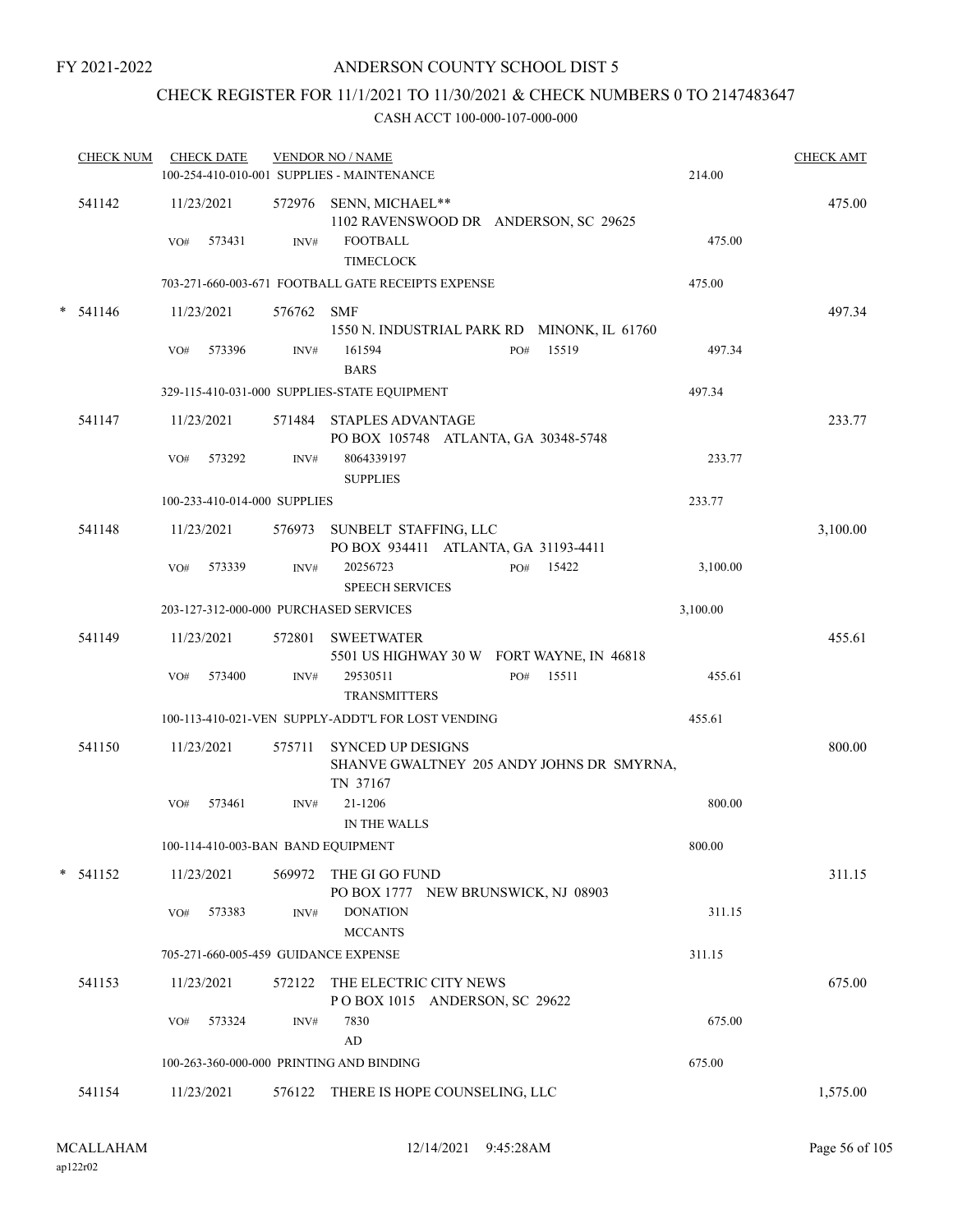### ANDERSON COUNTY SCHOOL DIST 5

# CHECK REGISTER FOR 11/1/2021 TO 11/30/2021 & CHECK NUMBERS 0 TO 2147483647

| <b>CHECK NUM</b> | <b>CHECK DATE</b>                        |            | <b>VENDOR NO / NAME</b><br>100-254-410-010-001 SUPPLIES - MAINTENANCE                                  | 214.00   | <b>CHECK AMT</b> |
|------------------|------------------------------------------|------------|--------------------------------------------------------------------------------------------------------|----------|------------------|
| 541142           | 11/23/2021<br>573431<br>VO#              | INV#       | 572976 SENN, MICHAEL**<br>1102 RAVENSWOOD DR ANDERSON, SC 29625<br><b>FOOTBALL</b><br><b>TIMECLOCK</b> | 475.00   | 475.00           |
|                  |                                          |            | 703-271-660-003-671 FOOTBALL GATE RECEIPTS EXPENSE                                                     | 475.00   |                  |
| $*$ 541146       | 11/23/2021                               | 576762 SMF | 1550 N. INDUSTRIAL PARK RD MINONK, IL 61760                                                            |          | 497.34           |
|                  | 573396<br>VO#                            | INV#       | 15519<br>161594<br>PO#<br><b>BARS</b>                                                                  | 497.34   |                  |
|                  |                                          |            | 329-115-410-031-000 SUPPLIES-STATE EQUIPMENT                                                           | 497.34   |                  |
| 541147           | 11/23/2021                               |            | 571484 STAPLES ADVANTAGE<br>PO BOX 105748 ATLANTA, GA 30348-5748                                       |          | 233.77           |
|                  | 573292<br>VO#                            | INV#       | 8064339197<br><b>SUPPLIES</b>                                                                          | 233.77   |                  |
|                  | 100-233-410-014-000 SUPPLIES             |            |                                                                                                        | 233.77   |                  |
| 541148           | 11/23/2021                               |            | 576973 SUNBELT STAFFING, LLC<br>PO BOX 934411 ATLANTA, GA 31193-4411                                   |          | 3,100.00         |
|                  | VO#<br>573339                            | INV#       | 20256723<br>PO# 15422<br><b>SPEECH SERVICES</b>                                                        | 3,100.00 |                  |
|                  | 203-127-312-000-000 PURCHASED SERVICES   |            |                                                                                                        | 3,100.00 |                  |
| 541149           | 11/23/2021                               |            | 572801 SWEETWATER<br>5501 US HIGHWAY 30 W FORT WAYNE, IN 46818                                         |          | 455.61           |
|                  | 573400<br>VO#                            | INV#       | 29530511<br>15511<br>PO#<br><b>TRANSMITTERS</b>                                                        | 455.61   |                  |
|                  |                                          |            | 100-113-410-021-VEN SUPPLY-ADDT'L FOR LOST VENDING                                                     | 455.61   |                  |
| 541150           | 11/23/2021                               | 575711     | <b>SYNCED UP DESIGNS</b><br>SHANVE GWALTNEY 205 ANDY JOHNS DR SMYRNA,<br>TN 37167                      |          | 800.00           |
|                  | 573461<br>VO#                            | INV#       | 21-1206<br>IN THE WALLS                                                                                | 800.00   |                  |
|                  | 100-114-410-003-BAN BAND EQUIPMENT       |            |                                                                                                        | 800.00   |                  |
| $* 541152$       | 11/23/2021                               |            | 569972 THE GI GO FUND<br>PO BOX 1777 NEW BRUNSWICK, NJ 08903                                           |          | 311.15           |
|                  | 573383<br>VO#                            | INV#       | <b>DONATION</b><br><b>MCCANTS</b>                                                                      | 311.15   |                  |
|                  | 705-271-660-005-459 GUIDANCE EXPENSE     |            |                                                                                                        | 311.15   |                  |
| 541153           | 11/23/2021                               |            | 572122 THE ELECTRIC CITY NEWS<br>POBOX 1015 ANDERSON, SC 29622                                         |          | 675.00           |
|                  | 573324<br>VO#                            | INV#       | 7830                                                                                                   | 675.00   |                  |
|                  | 100-263-360-000-000 PRINTING AND BINDING |            | $\rm{AD}$                                                                                              | 675.00   |                  |
| 541154           | 11/23/2021                               |            | 576122 THERE IS HOPE COUNSELING, LLC                                                                   |          | 1,575.00         |
|                  |                                          |            |                                                                                                        |          |                  |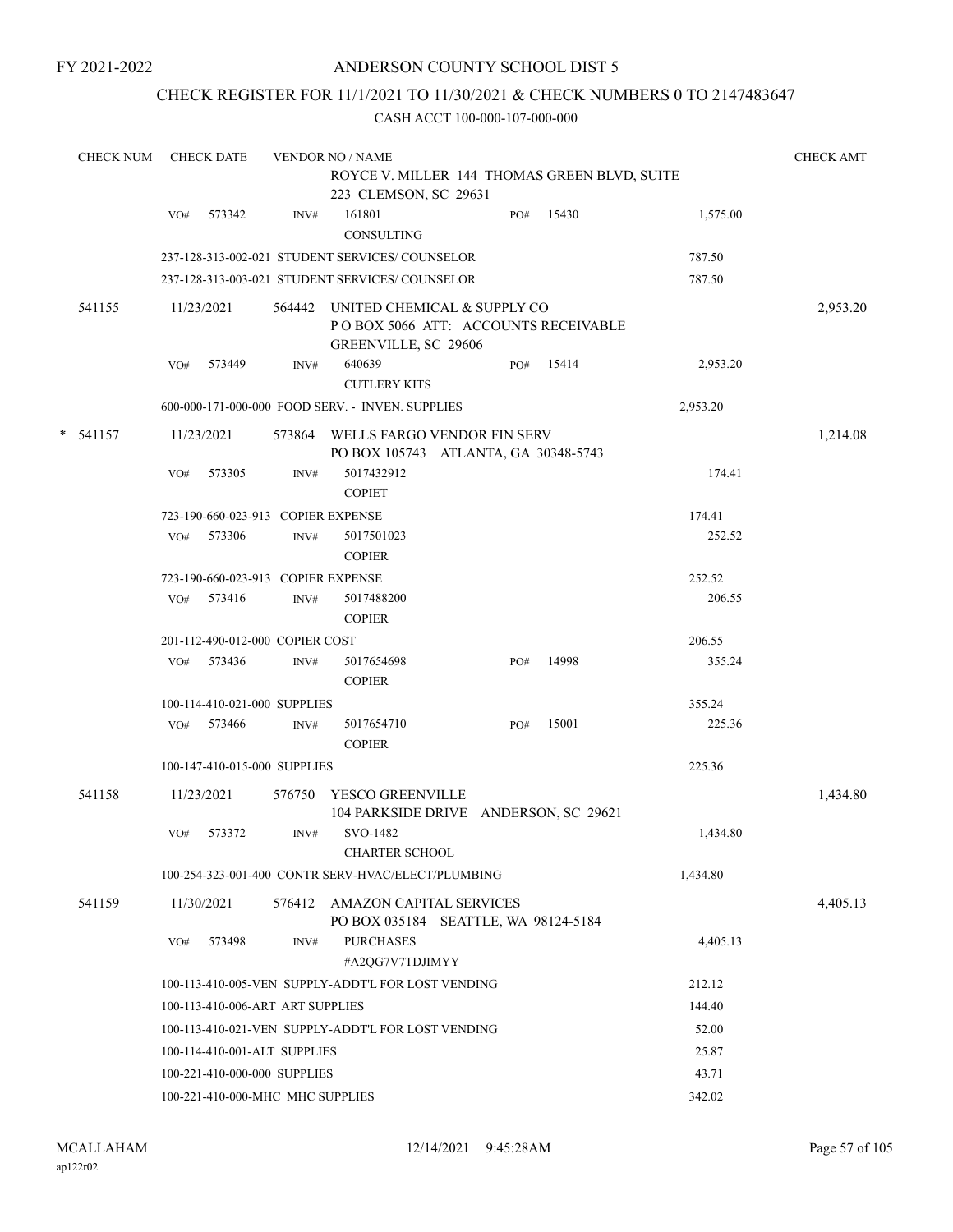### ANDERSON COUNTY SCHOOL DIST 5

### CHECK REGISTER FOR 11/1/2021 TO 11/30/2021 & CHECK NUMBERS 0 TO 2147483647

|   | <b>CHECK NUM</b> |                                                             | <b>CHECK DATE</b>                  |        | <b>VENDOR NO / NAME</b>                                                                           |     |       |          | <b>CHECK AMT</b> |
|---|------------------|-------------------------------------------------------------|------------------------------------|--------|---------------------------------------------------------------------------------------------------|-----|-------|----------|------------------|
|   |                  |                                                             |                                    |        | ROYCE V. MILLER 144 THOMAS GREEN BLVD, SUITE<br>223 CLEMSON, SC 29631                             |     |       |          |                  |
|   |                  | VO#                                                         | 573342                             | INV#   | 161801<br>CONSULTING                                                                              | PO# | 15430 | 1,575.00 |                  |
|   |                  |                                                             |                                    |        | 237-128-313-002-021 STUDENT SERVICES/COUNSELOR                                                    |     |       | 787.50   |                  |
|   |                  |                                                             |                                    |        | 237-128-313-003-021 STUDENT SERVICES/ COUNSELOR                                                   |     |       | 787.50   |                  |
|   | 541155           |                                                             | 11/23/2021                         |        | 564442 UNITED CHEMICAL & SUPPLY CO<br>POBOX 5066 ATT: ACCOUNTS RECEIVABLE<br>GREENVILLE, SC 29606 |     |       |          | 2,953.20         |
|   |                  | VO#                                                         | 573449                             | INV#   | 640639                                                                                            | PO# | 15414 | 2,953.20 |                  |
|   |                  |                                                             |                                    |        | <b>CUTLERY KITS</b>                                                                               |     |       |          |                  |
|   |                  |                                                             |                                    |        | 600-000-171-000-000 FOOD SERV. - INVEN. SUPPLIES                                                  |     |       | 2,953.20 |                  |
| * | 541157           |                                                             | 11/23/2021                         |        | 573864 WELLS FARGO VENDOR FIN SERV<br>PO BOX 105743 ATLANTA, GA 30348-5743                        |     |       |          | 1,214.08         |
|   |                  | VO#                                                         | 573305                             | INV#   | 5017432912<br><b>COPIET</b>                                                                       |     |       | 174.41   |                  |
|   |                  |                                                             | 723-190-660-023-913 COPIER EXPENSE |        |                                                                                                   |     |       | 174.41   |                  |
|   |                  | VO#                                                         | 573306                             | INV#   | 5017501023<br><b>COPIER</b>                                                                       |     |       | 252.52   |                  |
|   |                  |                                                             | 723-190-660-023-913 COPIER EXPENSE |        |                                                                                                   |     |       | 252.52   |                  |
|   |                  | VO#                                                         | 573416                             | INV#   | 5017488200<br><b>COPIER</b>                                                                       |     |       | 206.55   |                  |
|   |                  |                                                             | 201-112-490-012-000 COPIER COST    |        |                                                                                                   |     |       | 206.55   |                  |
|   |                  | VO#                                                         | 573436                             | INV#   | 5017654698<br><b>COPIER</b>                                                                       | PO# | 14998 | 355.24   |                  |
|   |                  |                                                             | 100-114-410-021-000 SUPPLIES       |        |                                                                                                   |     |       | 355.24   |                  |
|   |                  | VO#                                                         | 573466                             | INV#   | 5017654710<br><b>COPIER</b>                                                                       | PO# | 15001 | 225.36   |                  |
|   |                  |                                                             | 100-147-410-015-000 SUPPLIES       |        |                                                                                                   |     |       | 225.36   |                  |
|   | 541158           |                                                             | 11/23/2021                         | 576750 | YESCO GREENVILLE<br>104 PARKSIDE DRIVE ANDERSON, SC 29621                                         |     |       |          | 1,434.80         |
|   |                  | VO#                                                         | 573372                             | INV#   | SVO-1482<br><b>CHARTER SCHOOL</b>                                                                 |     |       | 1,434.80 |                  |
|   |                  |                                                             |                                    |        | 100-254-323-001-400 CONTR SERV-HVAC/ELECT/PLUMBING                                                |     |       | 1,434.80 |                  |
|   | 541159           |                                                             | 11/30/2021                         |        | 576412 AMAZON CAPITAL SERVICES<br>PO BOX 035184 SEATTLE, WA 98124-5184                            |     |       |          | 4,405.13         |
|   |                  | VO#                                                         | 573498                             | INV#   | <b>PURCHASES</b><br>#A2QG7V7TDJIMYY                                                               |     |       | 4,405.13 |                  |
|   |                  |                                                             |                                    |        | 100-113-410-005-VEN SUPPLY-ADDT'L FOR LOST VENDING                                                |     |       | 212.12   |                  |
|   |                  |                                                             | 100-113-410-006-ART ART SUPPLIES   |        |                                                                                                   |     |       | 144.40   |                  |
|   |                  | 100-113-410-021-VEN SUPPLY-ADDT'L FOR LOST VENDING<br>52.00 |                                    |        |                                                                                                   |     |       |          |                  |
|   |                  | 25.87<br>100-114-410-001-ALT SUPPLIES                       |                                    |        |                                                                                                   |     |       |          |                  |
|   |                  |                                                             | 100-221-410-000-000 SUPPLIES       |        |                                                                                                   |     |       | 43.71    |                  |
|   |                  |                                                             | 100-221-410-000-MHC MHC SUPPLIES   |        |                                                                                                   |     |       | 342.02   |                  |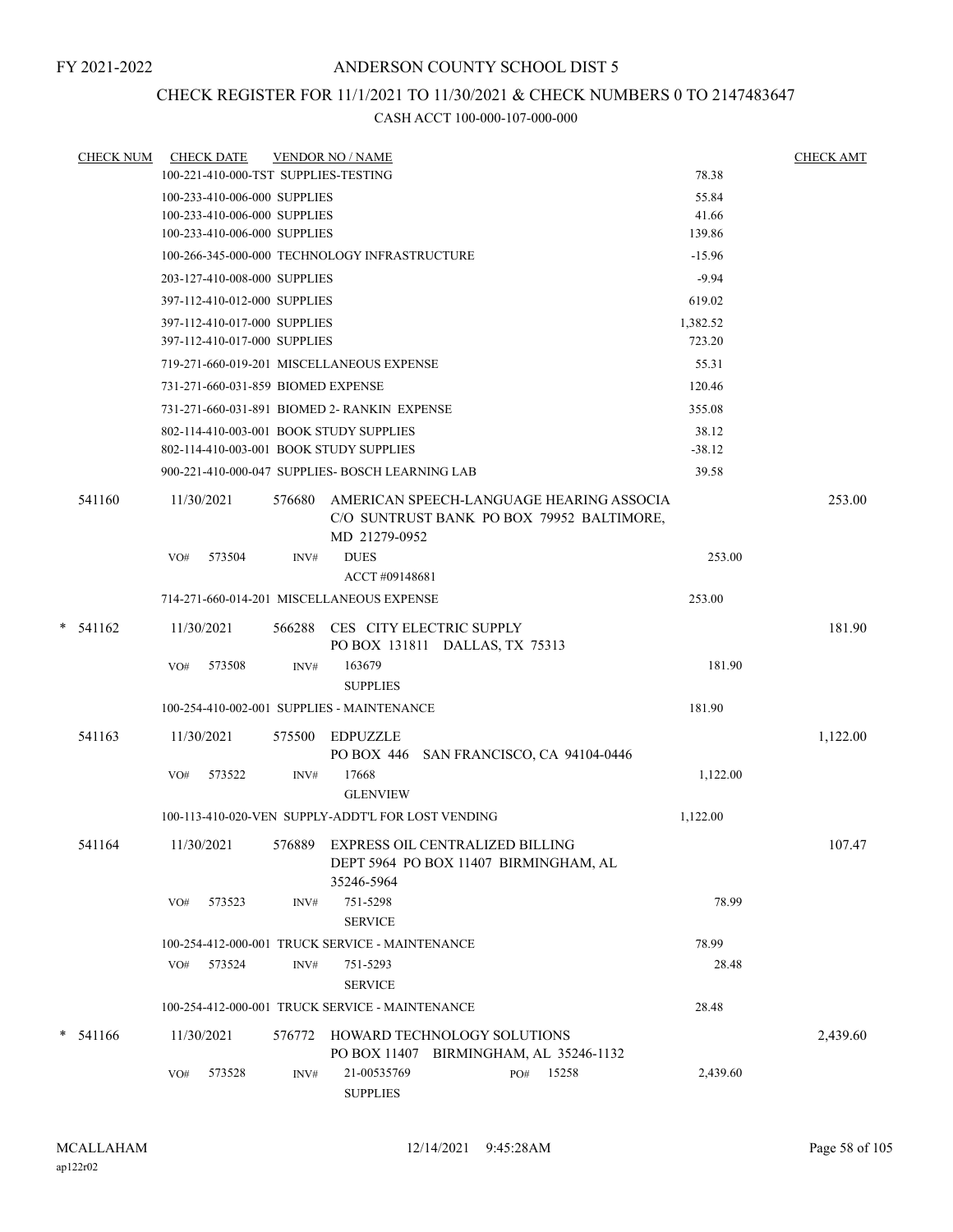### CHECK REGISTER FOR 11/1/2021 TO 11/30/2021 & CHECK NUMBERS 0 TO 2147483647

| <b>CHECK NUM</b> |     | <b>CHECK DATE</b>                                            |      | <b>VENDOR NO / NAME</b>                                                                       |     |                                                                                              |                    | <b>CHECK AMT</b> |
|------------------|-----|--------------------------------------------------------------|------|-----------------------------------------------------------------------------------------------|-----|----------------------------------------------------------------------------------------------|--------------------|------------------|
|                  |     | 100-221-410-000-TST SUPPLIES-TESTING                         |      |                                                                                               |     |                                                                                              | 78.38              |                  |
|                  |     | 100-233-410-006-000 SUPPLIES                                 |      |                                                                                               |     |                                                                                              | 55.84              |                  |
|                  |     | 100-233-410-006-000 SUPPLIES<br>100-233-410-006-000 SUPPLIES |      |                                                                                               |     |                                                                                              | 41.66<br>139.86    |                  |
|                  |     |                                                              |      |                                                                                               |     |                                                                                              |                    |                  |
|                  |     |                                                              |      | 100-266-345-000-000 TECHNOLOGY INFRASTRUCTURE                                                 |     |                                                                                              | $-15.96$           |                  |
|                  |     | 203-127-410-008-000 SUPPLIES                                 |      |                                                                                               |     |                                                                                              | $-9.94$            |                  |
|                  |     | 397-112-410-012-000 SUPPLIES                                 |      |                                                                                               |     |                                                                                              | 619.02             |                  |
|                  |     | 397-112-410-017-000 SUPPLIES<br>397-112-410-017-000 SUPPLIES |      |                                                                                               |     |                                                                                              | 1,382.52<br>723.20 |                  |
|                  |     |                                                              |      |                                                                                               |     |                                                                                              |                    |                  |
|                  |     |                                                              |      | 719-271-660-019-201 MISCELLANEOUS EXPENSE                                                     |     |                                                                                              | 55.31              |                  |
|                  |     | 731-271-660-031-859 BIOMED EXPENSE                           |      |                                                                                               |     |                                                                                              | 120.46             |                  |
|                  |     |                                                              |      | 731-271-660-031-891 BIOMED 2- RANKIN EXPENSE                                                  |     |                                                                                              | 355.08             |                  |
|                  |     |                                                              |      | 802-114-410-003-001 BOOK STUDY SUPPLIES                                                       |     |                                                                                              | 38.12              |                  |
|                  |     |                                                              |      | 802-114-410-003-001 BOOK STUDY SUPPLIES                                                       |     |                                                                                              | $-38.12$           |                  |
|                  |     |                                                              |      | 900-221-410-000-047 SUPPLIES- BOSCH LEARNING LAB                                              |     |                                                                                              | 39.58              |                  |
| 541160           |     | 11/30/2021                                                   |      | MD 21279-0952                                                                                 |     | 576680 AMERICAN SPEECH-LANGUAGE HEARING ASSOCIA<br>C/O SUNTRUST BANK PO BOX 79952 BALTIMORE, |                    | 253.00           |
|                  | VO# | 573504                                                       | INV# | <b>DUES</b>                                                                                   |     |                                                                                              | 253.00             |                  |
|                  |     |                                                              |      | ACCT#09148681                                                                                 |     |                                                                                              |                    |                  |
|                  |     |                                                              |      | 714-271-660-014-201 MISCELLANEOUS EXPENSE                                                     |     |                                                                                              | 253.00             |                  |
| $*$ 541162       |     | 11/30/2021                                                   |      | 566288 CES CITY ELECTRIC SUPPLY<br>PO BOX 131811 DALLAS, TX 75313                             |     |                                                                                              |                    | 181.90           |
|                  |     | VO# 573508                                                   | INV# | 163679                                                                                        |     |                                                                                              | 181.90             |                  |
|                  |     |                                                              |      | <b>SUPPLIES</b>                                                                               |     |                                                                                              |                    |                  |
|                  |     |                                                              |      | 100-254-410-002-001 SUPPLIES - MAINTENANCE                                                    |     |                                                                                              | 181.90             |                  |
| 541163           |     | 11/30/2021                                                   |      | 575500 EDPUZZLE<br>PO BOX 446 SAN FRANCISCO, CA 94104-0446                                    |     |                                                                                              |                    | 1,122.00         |
|                  | VO# | 573522                                                       | INV# | 17668<br><b>GLENVIEW</b>                                                                      |     |                                                                                              | 1,122.00           |                  |
|                  |     |                                                              |      | 100-113-410-020-VEN SUPPLY-ADDT'L FOR LOST VENDING                                            |     |                                                                                              | 1,122.00           |                  |
| 541164           |     | 11/30/2021                                                   |      | 576889 EXPRESS OIL CENTRALIZED BILLING<br>DEPT 5964 PO BOX 11407 BIRMINGHAM, AL<br>35246-5964 |     |                                                                                              |                    | 107.47           |
|                  | VO# | 573523                                                       | INV# | 751-5298<br><b>SERVICE</b>                                                                    |     |                                                                                              | 78.99              |                  |
|                  |     |                                                              |      | 100-254-412-000-001 TRUCK SERVICE - MAINTENANCE                                               |     |                                                                                              | 78.99              |                  |
|                  |     | VO# 573524                                                   | INV# | 751-5293                                                                                      |     |                                                                                              | 28.48              |                  |
|                  |     |                                                              |      | <b>SERVICE</b>                                                                                |     |                                                                                              |                    |                  |
|                  |     |                                                              |      | 100-254-412-000-001 TRUCK SERVICE - MAINTENANCE                                               |     |                                                                                              | 28.48              |                  |
| $* 541166$       |     | 11/30/2021                                                   |      | 576772 HOWARD TECHNOLOGY SOLUTIONS<br>PO BOX 11407 BIRMINGHAM, AL 35246-1132                  |     |                                                                                              |                    | 2,439.60         |
|                  | VO# | 573528                                                       | INV# | 21-00535769<br><b>SUPPLIES</b>                                                                | PO# | 15258                                                                                        | 2,439.60           |                  |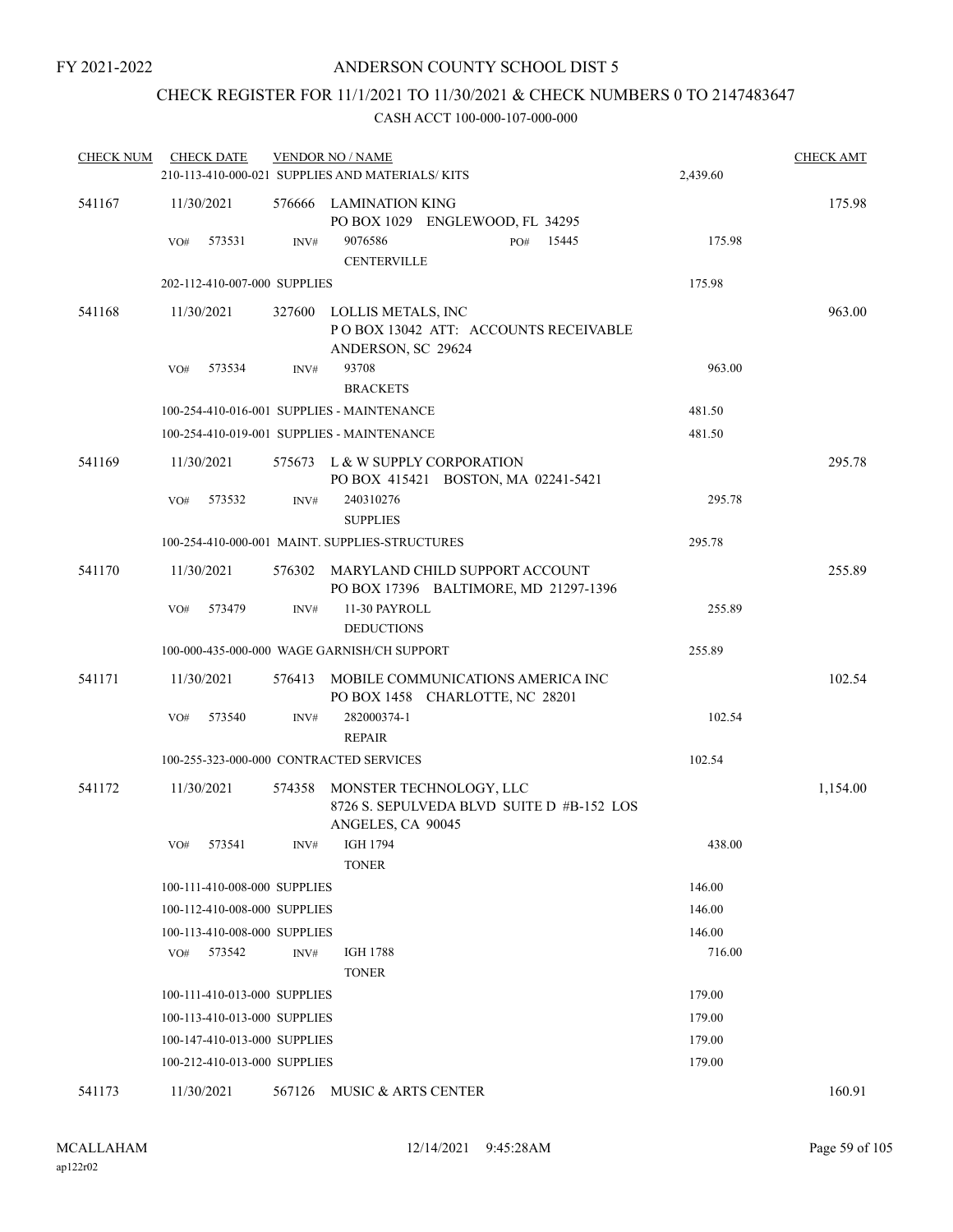### CHECK REGISTER FOR 11/1/2021 TO 11/30/2021 & CHECK NUMBERS 0 TO 2147483647

| <b>CHECK NUM</b> | <b>CHECK DATE</b> |                              | <b>VENDOR NO / NAME</b>                                                                   |          | <b>CHECK AMT</b> |
|------------------|-------------------|------------------------------|-------------------------------------------------------------------------------------------|----------|------------------|
|                  |                   |                              | 210-113-410-000-021 SUPPLIES AND MATERIALS/KITS                                           | 2,439.60 |                  |
| 541167           | 11/30/2021        |                              | 576666 LAMINATION KING<br>PO BOX 1029 ENGLEWOOD, FL 34295                                 |          | 175.98           |
|                  | 573531<br>VO#     | INV#                         | 9076586<br>15445<br>PO#<br><b>CENTERVILLE</b>                                             | 175.98   |                  |
|                  |                   | 202-112-410-007-000 SUPPLIES |                                                                                           | 175.98   |                  |
| 541168           | 11/30/2021        | 327600                       | LOLLIS METALS, INC<br>PO BOX 13042 ATT: ACCOUNTS RECEIVABLE<br>ANDERSON, SC 29624         |          | 963.00           |
|                  | 573534<br>VO#     | INV#                         | 93708<br><b>BRACKETS</b>                                                                  | 963.00   |                  |
|                  |                   |                              | 100-254-410-016-001 SUPPLIES - MAINTENANCE                                                | 481.50   |                  |
|                  |                   |                              | 100-254-410-019-001 SUPPLIES - MAINTENANCE                                                | 481.50   |                  |
| 541169           | 11/30/2021        |                              | 575673 L & W SUPPLY CORPORATION<br>PO BOX 415421 BOSTON, MA 02241-5421                    |          | 295.78           |
|                  | 573532<br>VO#     | INV#                         | 240310276<br><b>SUPPLIES</b>                                                              | 295.78   |                  |
|                  |                   |                              | 100-254-410-000-001 MAINT. SUPPLIES-STRUCTURES                                            | 295.78   |                  |
| 541170           | 11/30/2021        |                              | 576302 MARYLAND CHILD SUPPORT ACCOUNT<br>PO BOX 17396 BALTIMORE, MD 21297-1396            |          | 255.89           |
|                  | VO#<br>573479     | INV#                         | 11-30 PAYROLL<br><b>DEDUCTIONS</b>                                                        | 255.89   |                  |
|                  |                   |                              | 100-000-435-000-000 WAGE GARNISH/CH SUPPORT                                               | 255.89   |                  |
| 541171           | 11/30/2021        | 576413                       | MOBILE COMMUNICATIONS AMERICA INC<br>PO BOX 1458 CHARLOTTE, NC 28201                      |          | 102.54           |
|                  | 573540<br>VO#     | INV#                         | 282000374-1<br><b>REPAIR</b>                                                              | 102.54   |                  |
|                  |                   |                              | 100-255-323-000-000 CONTRACTED SERVICES                                                   | 102.54   |                  |
| 541172           | 11/30/2021        | 574358                       | MONSTER TECHNOLOGY, LLC<br>8726 S. SEPULVEDA BLVD SUITE D #B-152 LOS<br>ANGELES, CA 90045 |          | 1,154.00         |
|                  | VO# 573541        |                              | INV# IGH 1794<br><b>TONER</b>                                                             | 438.00   |                  |
|                  |                   | 100-111-410-008-000 SUPPLIES |                                                                                           | 146.00   |                  |
|                  |                   | 100-112-410-008-000 SUPPLIES |                                                                                           | 146.00   |                  |
|                  |                   | 100-113-410-008-000 SUPPLIES |                                                                                           | 146.00   |                  |
|                  | 573542<br>VO#     | INV#                         | <b>IGH 1788</b><br><b>TONER</b>                                                           | 716.00   |                  |
|                  |                   | 100-111-410-013-000 SUPPLIES |                                                                                           | 179.00   |                  |
|                  |                   | 100-113-410-013-000 SUPPLIES |                                                                                           | 179.00   |                  |
|                  |                   | 100-147-410-013-000 SUPPLIES |                                                                                           | 179.00   |                  |
|                  |                   | 100-212-410-013-000 SUPPLIES |                                                                                           | 179.00   |                  |
| 541173           | 11/30/2021        |                              | 567126 MUSIC & ARTS CENTER                                                                |          | 160.91           |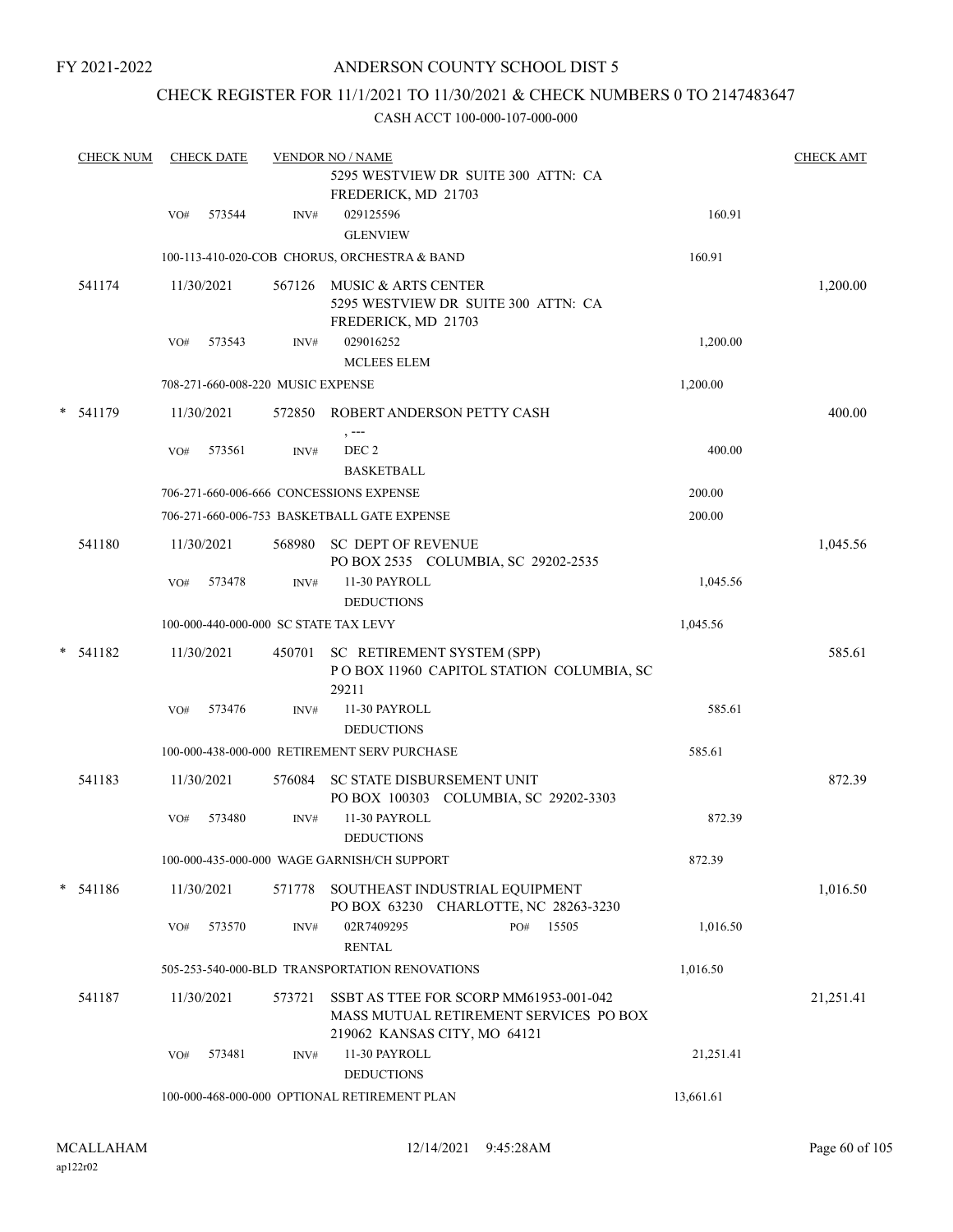### ANDERSON COUNTY SCHOOL DIST 5

### CHECK REGISTER FOR 11/1/2021 TO 11/30/2021 & CHECK NUMBERS 0 TO 2147483647

| <b>CHECK NUM</b> |     | <b>CHECK DATE</b> |                                   | <b>VENDOR NO / NAME</b><br>5295 WESTVIEW DR SUITE 300 ATTN: CA<br>FREDERICK, MD 21703                            |           | <b>CHECK AMT</b> |
|------------------|-----|-------------------|-----------------------------------|------------------------------------------------------------------------------------------------------------------|-----------|------------------|
|                  | VO# | 573544            | INV#                              | 029125596<br><b>GLENVIEW</b>                                                                                     | 160.91    |                  |
|                  |     |                   |                                   | 100-113-410-020-COB CHORUS, ORCHESTRA & BAND                                                                     | 160.91    |                  |
| 541174           |     | 11/30/2021        |                                   | 567126 MUSIC & ARTS CENTER<br>5295 WESTVIEW DR SUITE 300 ATTN: CA<br>FREDERICK, MD 21703                         |           | 1,200.00         |
|                  | VO# | 573543            | INV#                              | 029016252<br><b>MCLEES ELEM</b>                                                                                  | 1,200.00  |                  |
|                  |     |                   | 708-271-660-008-220 MUSIC EXPENSE |                                                                                                                  | 1,200.00  |                  |
| * 541179         |     | 11/30/2021        |                                   | 572850 ROBERT ANDERSON PETTY CASH<br>, ---                                                                       |           | 400.00           |
|                  | VO# | 573561            | INV#                              | DEC <sub>2</sub><br><b>BASKETBALL</b>                                                                            | 400.00    |                  |
|                  |     |                   |                                   | 706-271-660-006-666 CONCESSIONS EXPENSE                                                                          | 200.00    |                  |
|                  |     |                   |                                   | 706-271-660-006-753 BASKETBALL GATE EXPENSE                                                                      | 200.00    |                  |
| 541180           |     | 11/30/2021        | 568980                            | <b>SC DEPT OF REVENUE</b><br>PO BOX 2535 COLUMBIA, SC 29202-2535                                                 |           | 1,045.56         |
|                  | VO# | 573478            | INV#                              | 11-30 PAYROLL<br><b>DEDUCTIONS</b>                                                                               | 1,045.56  |                  |
|                  |     |                   |                                   | 100-000-440-000-000 SC STATE TAX LEVY                                                                            | 1,045.56  |                  |
| $*$ 541182       |     | 11/30/2021        |                                   | 450701 SC RETIREMENT SYSTEM (SPP)<br>POBOX 11960 CAPITOL STATION COLUMBIA, SC<br>29211                           |           | 585.61           |
|                  | VO# | 573476            | INV#                              | 11-30 PAYROLL<br><b>DEDUCTIONS</b>                                                                               | 585.61    |                  |
|                  |     |                   |                                   | 100-000-438-000-000 RETIREMENT SERV PURCHASE                                                                     | 585.61    |                  |
| 541183           |     | 11/30/2021        | 576084                            | SC STATE DISBURSEMENT UNIT<br>PO BOX 100303 COLUMBIA, SC 29202-3303                                              |           | 872.39           |
|                  | VO# | 573480            | INV#                              | 11-30 PAYROLL<br><b>DEDUCTIONS</b>                                                                               | 872.39    |                  |
|                  |     |                   |                                   | 100-000-435-000-000 WAGE GARNISH/CH SUPPORT                                                                      | 872.39    |                  |
| $* 541186$       |     | 11/30/2021        | 571778                            | SOUTHEAST INDUSTRIAL EQUIPMENT<br>PO BOX 63230 CHARLOTTE, NC 28263-3230                                          |           | 1,016.50         |
|                  | VO# | 573570            | INV#                              | 02R7409295<br>15505<br>PO#<br><b>RENTAL</b>                                                                      | 1,016.50  |                  |
|                  |     |                   |                                   | 505-253-540-000-BLD TRANSPORTATION RENOVATIONS                                                                   | 1,016.50  |                  |
| 541187           |     | 11/30/2021        | 573721                            | SSBT AS TTEE FOR SCORP MM61953-001-042<br>MASS MUTUAL RETIREMENT SERVICES PO BOX<br>219062 KANSAS CITY, MO 64121 |           | 21,251.41        |
|                  | VO# | 573481            | INV#                              | 11-30 PAYROLL<br><b>DEDUCTIONS</b>                                                                               | 21,251.41 |                  |
|                  |     |                   |                                   | 100-000-468-000-000 OPTIONAL RETIREMENT PLAN                                                                     | 13,661.61 |                  |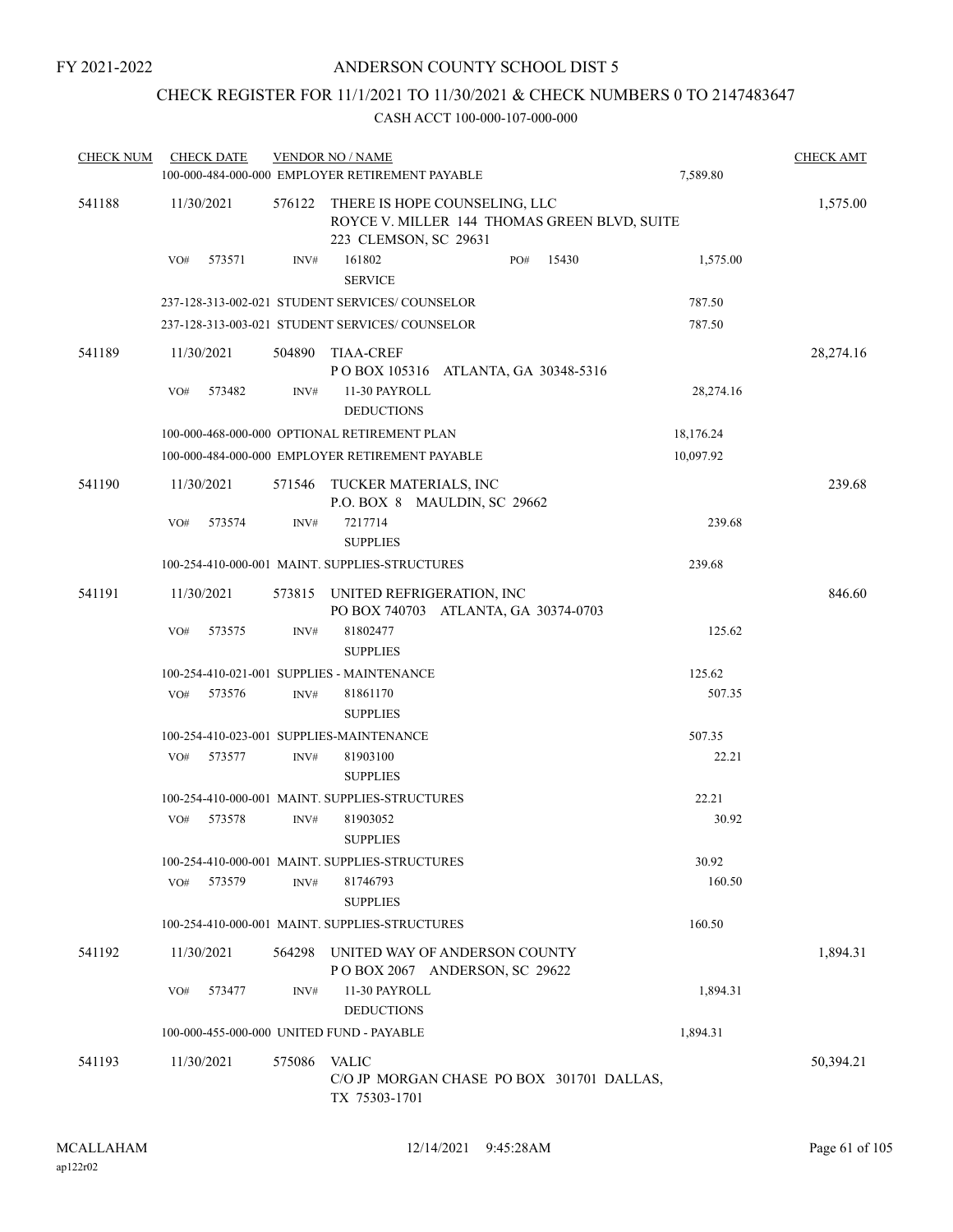### CHECK REGISTER FOR 11/1/2021 TO 11/30/2021 & CHECK NUMBERS 0 TO 2147483647

| <b>CHECK NUM</b> | <b>CHECK DATE</b>                         |        | <b>VENDOR NO / NAME</b>                                                                                |           | <b>CHECK AMT</b> |
|------------------|-------------------------------------------|--------|--------------------------------------------------------------------------------------------------------|-----------|------------------|
|                  |                                           |        | 100-000-484-000-000 EMPLOYER RETIREMENT PAYABLE                                                        | 7,589.80  |                  |
| 541188           | 11/30/2021                                | 576122 | THERE IS HOPE COUNSELING, LLC<br>ROYCE V. MILLER 144 THOMAS GREEN BLVD, SUITE<br>223 CLEMSON, SC 29631 |           | 1,575.00         |
|                  | 573571<br>VO#                             | INV#   | 161802<br>15430<br>PO#<br><b>SERVICE</b>                                                               | 1,575.00  |                  |
|                  |                                           |        | 237-128-313-002-021 STUDENT SERVICES/COUNSELOR                                                         | 787.50    |                  |
|                  |                                           |        | 237-128-313-003-021 STUDENT SERVICES/COUNSELOR                                                         | 787.50    |                  |
| 541189           | 11/30/2021                                | 504890 | TIAA-CREF<br>POBOX 105316 ATLANTA, GA 30348-5316                                                       |           | 28,274.16        |
|                  | VO#<br>573482                             | INV#   | 11-30 PAYROLL<br><b>DEDUCTIONS</b>                                                                     | 28,274.16 |                  |
|                  |                                           |        | 100-000-468-000-000 OPTIONAL RETIREMENT PLAN                                                           | 18,176.24 |                  |
|                  |                                           |        | 100-000-484-000-000 EMPLOYER RETIREMENT PAYABLE                                                        | 10,097.92 |                  |
| 541190           | 11/30/2021                                | 571546 | TUCKER MATERIALS, INC<br>P.O. BOX 8 MAULDIN, SC 29662                                                  |           | 239.68           |
|                  | VO#<br>573574                             | INV#   | 7217714<br><b>SUPPLIES</b>                                                                             | 239.68    |                  |
|                  |                                           |        | 100-254-410-000-001 MAINT. SUPPLIES-STRUCTURES                                                         | 239.68    |                  |
| 541191           | 11/30/2021                                | 573815 | UNITED REFRIGERATION, INC<br>PO BOX 740703 ATLANTA, GA 30374-0703                                      |           | 846.60           |
|                  | 573575<br>VO#                             | INV#   | 81802477<br><b>SUPPLIES</b>                                                                            | 125.62    |                  |
|                  |                                           |        | 100-254-410-021-001 SUPPLIES - MAINTENANCE                                                             | 125.62    |                  |
|                  | 573576<br>VO#                             | INV#   | 81861170<br><b>SUPPLIES</b>                                                                            | 507.35    |                  |
|                  |                                           |        | 100-254-410-023-001 SUPPLIES-MAINTENANCE                                                               | 507.35    |                  |
|                  | 573577<br>VO#                             | INV#   | 81903100<br><b>SUPPLIES</b>                                                                            | 22.21     |                  |
|                  |                                           |        | 100-254-410-000-001 MAINT. SUPPLIES-STRUCTURES                                                         | 22.21     |                  |
|                  | VO#<br>573578                             | INV#   | 81903052<br><b>SUPPLIES</b>                                                                            | 30.92     |                  |
|                  |                                           |        | 100-254-410-000-001 MAINT. SUPPLIES-STRUCTURES                                                         | 30.92     |                  |
|                  | 573579<br>VO#                             | INV#   | 81746793<br><b>SUPPLIES</b>                                                                            | 160.50    |                  |
|                  |                                           |        | 100-254-410-000-001 MAINT, SUPPLIES-STRUCTURES                                                         | 160.50    |                  |
| 541192           | 11/30/2021                                | 564298 | UNITED WAY OF ANDERSON COUNTY<br>POBOX 2067 ANDERSON, SC 29622                                         |           | 1,894.31         |
|                  | 573477<br>VO#                             | INV#   | 11-30 PAYROLL<br><b>DEDUCTIONS</b>                                                                     | 1,894.31  |                  |
|                  | 100-000-455-000-000 UNITED FUND - PAYABLE |        |                                                                                                        | 1,894.31  |                  |
| 541193           | 11/30/2021                                | 575086 | <b>VALIC</b><br>C/O JP MORGAN CHASE PO BOX 301701 DALLAS,<br>TX 75303-1701                             |           | 50,394.21        |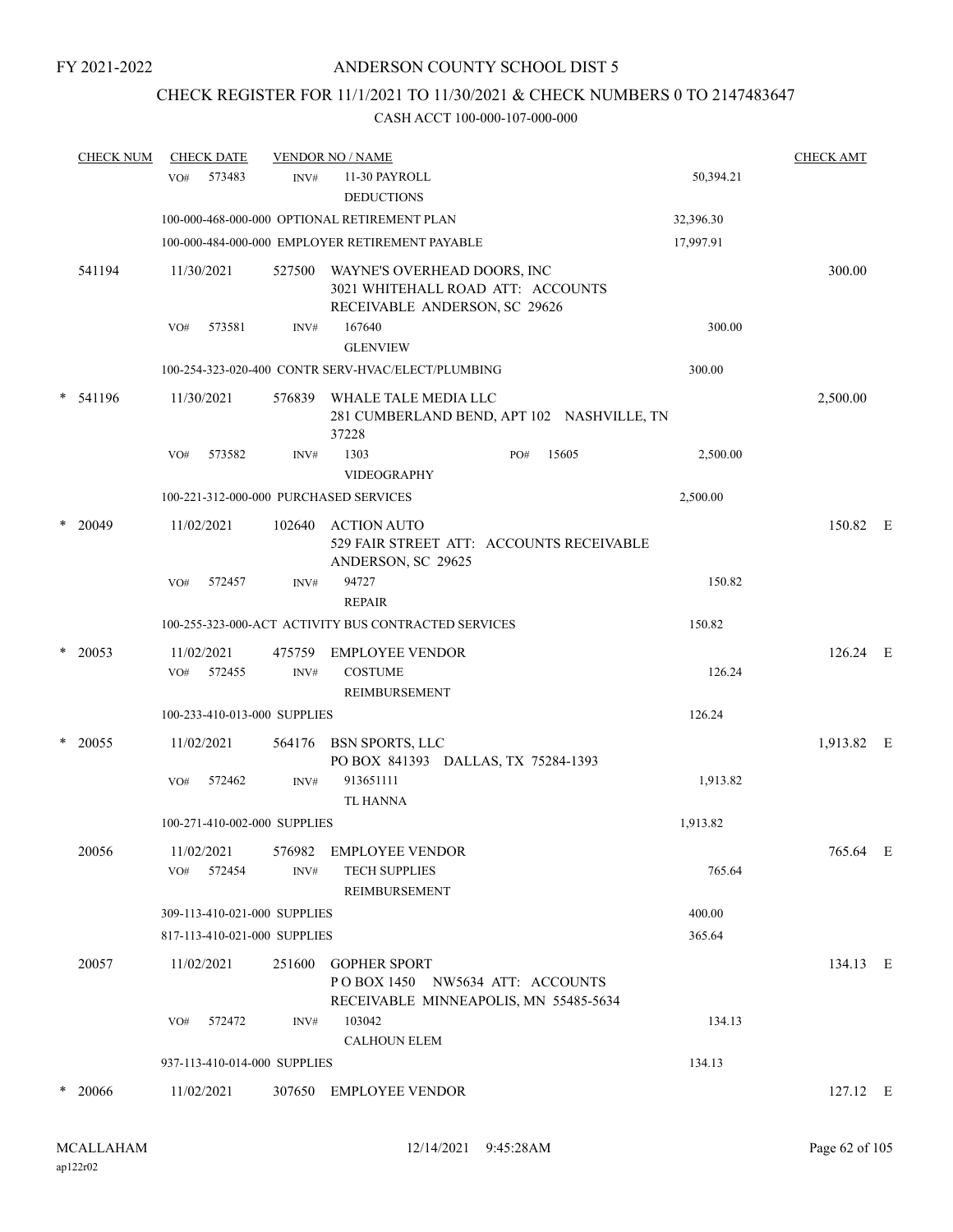# CHECK REGISTER FOR 11/1/2021 TO 11/30/2021 & CHECK NUMBERS 0 TO 2147483647

|        | <b>CHECK NUM</b> | <b>CHECK DATE</b>                      |                          | <b>VENDOR NO / NAME</b>                                                                           |     | <b>CHECK AMT</b> |           |            |  |
|--------|------------------|----------------------------------------|--------------------------|---------------------------------------------------------------------------------------------------|-----|------------------|-----------|------------|--|
|        |                  | 573483<br>VO#                          | INV#                     | 11-30 PAYROLL<br><b>DEDUCTIONS</b>                                                                |     |                  | 50,394.21 |            |  |
|        |                  |                                        |                          | 100-000-468-000-000 OPTIONAL RETIREMENT PLAN                                                      |     |                  | 32,396.30 |            |  |
|        |                  |                                        |                          | 100-000-484-000-000 EMPLOYER RETIREMENT PAYABLE                                                   |     |                  | 17,997.91 |            |  |
|        | 541194           | 11/30/2021                             | 527500                   | WAYNE'S OVERHEAD DOORS, INC<br>3021 WHITEHALL ROAD ATT: ACCOUNTS<br>RECEIVABLE ANDERSON, SC 29626 |     |                  |           | 300.00     |  |
|        |                  | 573581<br>VO#                          | $\text{INV}\#$           | 167640                                                                                            |     |                  | 300.00    |            |  |
|        |                  |                                        |                          | <b>GLENVIEW</b>                                                                                   |     |                  |           |            |  |
|        |                  |                                        |                          | 100-254-323-020-400 CONTR SERV-HVAC/ELECT/PLUMBING                                                |     |                  | 300.00    |            |  |
|        | * 541196         | 11/30/2021                             |                          | 576839 WHALE TALE MEDIA LLC<br>281 CUMBERLAND BEND, APT 102 NASHVILLE, TN<br>37228                |     |                  |           | 2,500.00   |  |
|        |                  | VO#<br>573582                          | INV#                     | 1303<br>VIDEOGRAPHY                                                                               | PO# | 15605            | 2,500.00  |            |  |
|        |                  | 100-221-312-000-000 PURCHASED SERVICES |                          |                                                                                                   |     |                  | 2,500.00  |            |  |
|        | $*$ 20049        | 11/02/2021                             | 102640                   | <b>ACTION AUTO</b><br>529 FAIR STREET ATT: ACCOUNTS RECEIVABLE<br>ANDERSON, SC 29625              |     |                  |           | 150.82 E   |  |
|        |                  | 572457<br>VO#                          | INV#                     | 94727<br><b>REPAIR</b>                                                                            |     |                  | 150.82    |            |  |
|        |                  |                                        |                          | 100-255-323-000-ACT ACTIVITY BUS CONTRACTED SERVICES                                              |     |                  | 150.82    |            |  |
| $\ast$ | 20053            | 11/02/2021<br>572455<br>VO#            | 475759<br>INV#           | <b>EMPLOYEE VENDOR</b><br><b>COSTUME</b><br>REIMBURSEMENT                                         |     |                  | 126.24    | 126.24 E   |  |
|        |                  | 100-233-410-013-000 SUPPLIES           |                          |                                                                                                   |     |                  | 126.24    |            |  |
| *      | 20055            | 11/02/2021                             |                          | 564176 BSN SPORTS, LLC<br>PO BOX 841393 DALLAS, TX 75284-1393                                     |     |                  |           | 1,913.82 E |  |
|        |                  | 572462<br>VO#                          | INV#                     | 913651111<br><b>TL HANNA</b>                                                                      |     |                  | 1,913.82  |            |  |
|        |                  | 100-271-410-002-000 SUPPLIES           |                          |                                                                                                   |     |                  | 1,913.82  |            |  |
|        | 20056            | 11/02/2021<br>572454<br>VO#            | 576982<br>$\text{INV}\#$ | <b>EMPLOYEE VENDOR</b><br><b>TECH SUPPLIES</b><br>REIMBURSEMENT                                   |     |                  | 765.64    | 765.64 E   |  |
|        |                  | 309-113-410-021-000 SUPPLIES           |                          |                                                                                                   |     |                  | 400.00    |            |  |
|        |                  | 817-113-410-021-000 SUPPLIES           |                          |                                                                                                   |     |                  | 365.64    |            |  |
|        | 20057            | 11/02/2021                             | 251600                   | <b>GOPHER SPORT</b><br>POBOX 1450 NW5634 ATT: ACCOUNTS<br>RECEIVABLE MINNEAPOLIS, MN 55485-5634   |     |                  |           | 134.13 E   |  |
|        |                  | 572472<br>VO#                          | INV#                     | 103042<br><b>CALHOUN ELEM</b>                                                                     |     |                  | 134.13    |            |  |
|        |                  | 937-113-410-014-000 SUPPLIES           |                          |                                                                                                   |     |                  | 134.13    |            |  |
| *      | - 20066          | 11/02/2021                             | 307650                   | <b>EMPLOYEE VENDOR</b>                                                                            |     |                  |           | 127.12 E   |  |
|        |                  |                                        |                          |                                                                                                   |     |                  |           |            |  |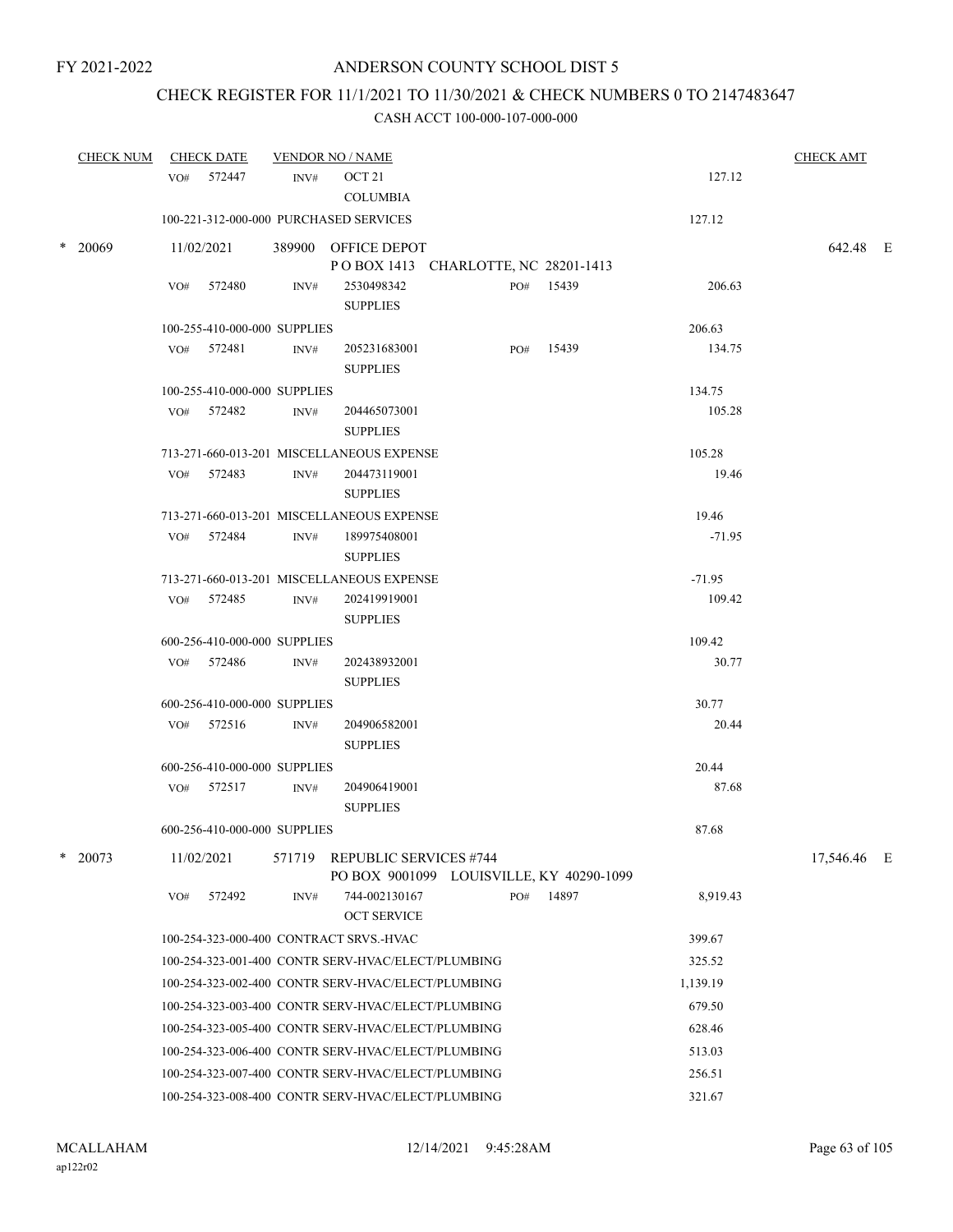# CHECK REGISTER FOR 11/1/2021 TO 11/30/2021 & CHECK NUMBERS 0 TO 2147483647

|   | <b>CHECK NUM</b> |     | <b>CHECK DATE</b>            |      | <b>VENDOR NO / NAME</b>                                                   |     |           |          | <b>CHECK AMT</b> |  |
|---|------------------|-----|------------------------------|------|---------------------------------------------------------------------------|-----|-----------|----------|------------------|--|
|   |                  |     | VO# 572447                   | INV# | OCT 21<br><b>COLUMBIA</b>                                                 |     |           | 127.12   |                  |  |
|   |                  |     |                              |      | 100-221-312-000-000 PURCHASED SERVICES                                    |     |           | 127.12   |                  |  |
|   | $*$ 20069        |     | 11/02/2021                   |      | 389900 OFFICE DEPOT<br>PO BOX 1413 CHARLOTTE, NC 28201-1413               |     |           |          | 642.48 E         |  |
|   |                  |     | VO# 572480                   | INV# | 2530498342<br><b>SUPPLIES</b>                                             |     | PO# 15439 | 206.63   |                  |  |
|   |                  |     | 100-255-410-000-000 SUPPLIES |      |                                                                           |     |           | 206.63   |                  |  |
|   |                  |     | VO# 572481                   | INV# | 205231683001<br><b>SUPPLIES</b>                                           |     | PO# 15439 | 134.75   |                  |  |
|   |                  |     | 100-255-410-000-000 SUPPLIES |      |                                                                           |     |           | 134.75   |                  |  |
|   |                  |     | VO# 572482                   | INV# | 204465073001<br><b>SUPPLIES</b>                                           |     |           | 105.28   |                  |  |
|   |                  |     |                              |      | 713-271-660-013-201 MISCELLANEOUS EXPENSE                                 |     |           | 105.28   |                  |  |
|   |                  |     | VO# 572483                   | INV# | 204473119001<br><b>SUPPLIES</b>                                           |     |           | 19.46    |                  |  |
|   |                  |     |                              |      | 713-271-660-013-201 MISCELLANEOUS EXPENSE                                 |     |           | 19.46    |                  |  |
|   |                  |     | VO# 572484                   | INV# | 189975408001<br><b>SUPPLIES</b>                                           |     |           | $-71.95$ |                  |  |
|   |                  |     |                              |      | 713-271-660-013-201 MISCELLANEOUS EXPENSE                                 |     |           | $-71.95$ |                  |  |
|   |                  |     | VO# 572485                   | INV# | 202419919001<br><b>SUPPLIES</b>                                           |     |           | 109.42   |                  |  |
|   |                  |     | 600-256-410-000-000 SUPPLIES |      |                                                                           |     |           | 109.42   |                  |  |
|   |                  |     | VO# 572486                   | INV# | 202438932001<br><b>SUPPLIES</b>                                           |     |           | 30.77    |                  |  |
|   |                  |     | 600-256-410-000-000 SUPPLIES |      |                                                                           |     |           | 30.77    |                  |  |
|   |                  |     | VO# 572516                   | INV# | 204906582001<br><b>SUPPLIES</b>                                           |     |           | 20.44    |                  |  |
|   |                  |     | 600-256-410-000-000 SUPPLIES |      |                                                                           |     |           | 20.44    |                  |  |
|   |                  |     | VO# 572517                   | INV# | 204906419001<br><b>SUPPLIES</b>                                           |     |           | 87.68    |                  |  |
|   |                  |     | 600-256-410-000-000 SUPPLIES |      |                                                                           |     |           | 87.68    |                  |  |
| * | 20073            |     | 11/02/2021                   |      | 571719 REPUBLIC SERVICES #744<br>PO BOX 9001099 LOUISVILLE, KY 40290-1099 |     |           |          | 17,546.46 E      |  |
|   |                  | VO# | 572492                       | INV# | 744-002130167<br><b>OCT SERVICE</b>                                       | PO# | 14897     | 8,919.43 |                  |  |
|   |                  |     |                              |      | 100-254-323-000-400 CONTRACT SRVS.-HVAC                                   |     |           | 399.67   |                  |  |
|   |                  |     |                              |      | 100-254-323-001-400 CONTR SERV-HVAC/ELECT/PLUMBING                        |     |           | 325.52   |                  |  |
|   |                  |     |                              |      | 100-254-323-002-400 CONTR SERV-HVAC/ELECT/PLUMBING                        |     |           | 1,139.19 |                  |  |
|   |                  |     |                              |      | 100-254-323-003-400 CONTR SERV-HVAC/ELECT/PLUMBING                        |     |           | 679.50   |                  |  |
|   |                  |     |                              |      | 100-254-323-005-400 CONTR SERV-HVAC/ELECT/PLUMBING                        |     |           | 628.46   |                  |  |
|   |                  |     |                              |      | 100-254-323-006-400 CONTR SERV-HVAC/ELECT/PLUMBING                        |     |           | 513.03   |                  |  |
|   |                  |     |                              |      | 100-254-323-007-400 CONTR SERV-HVAC/ELECT/PLUMBING                        |     |           | 256.51   |                  |  |
|   |                  |     |                              |      | 100-254-323-008-400 CONTR SERV-HVAC/ELECT/PLUMBING                        |     |           | 321.67   |                  |  |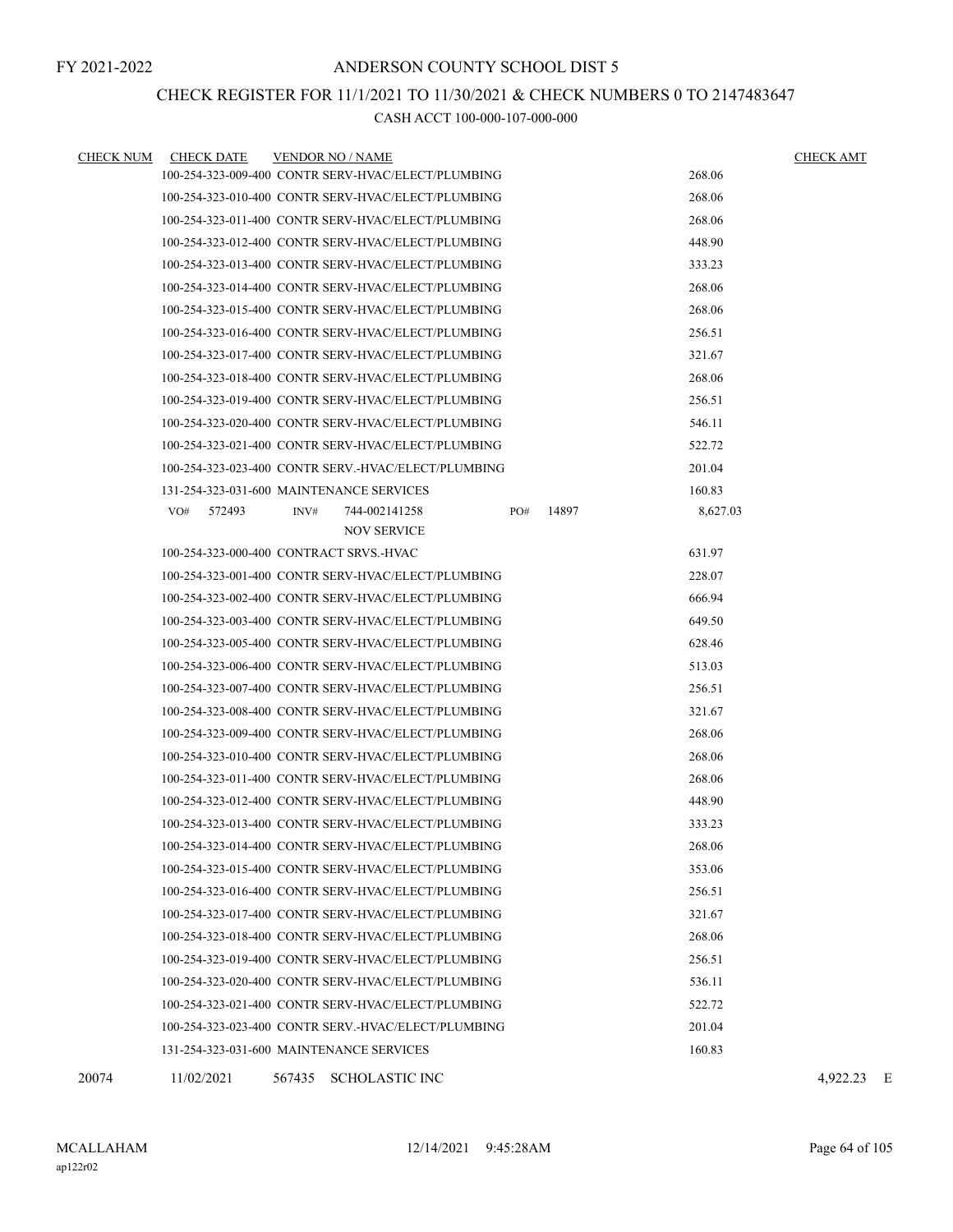### CHECK REGISTER FOR 11/1/2021 TO 11/30/2021 & CHECK NUMBERS 0 TO 2147483647

| <b>CHECK NUM</b> | <b>CHECK DATE</b>                        |      | <b>VENDOR NO / NAME</b>                             |     |       |          | <b>CHECK AMT</b> |
|------------------|------------------------------------------|------|-----------------------------------------------------|-----|-------|----------|------------------|
|                  |                                          |      | 100-254-323-009-400 CONTR SERV-HVAC/ELECT/PLUMBING  |     |       | 268.06   |                  |
|                  |                                          |      | 100-254-323-010-400 CONTR SERV-HVAC/ELECT/PLUMBING  |     |       | 268.06   |                  |
|                  |                                          |      | 100-254-323-011-400 CONTR SERV-HVAC/ELECT/PLUMBING  |     |       | 268.06   |                  |
|                  |                                          |      | 100-254-323-012-400 CONTR SERV-HVAC/ELECT/PLUMBING  |     |       | 448.90   |                  |
|                  |                                          |      | 100-254-323-013-400 CONTR SERV-HVAC/ELECT/PLUMBING  |     |       | 333.23   |                  |
|                  |                                          |      | 100-254-323-014-400 CONTR SERV-HVAC/ELECT/PLUMBING  |     |       | 268.06   |                  |
|                  |                                          |      | 100-254-323-015-400 CONTR SERV-HVAC/ELECT/PLUMBING  |     |       | 268.06   |                  |
|                  |                                          |      | 100-254-323-016-400 CONTR SERV-HVAC/ELECT/PLUMBING  |     |       | 256.51   |                  |
|                  |                                          |      | 100-254-323-017-400 CONTR SERV-HVAC/ELECT/PLUMBING  |     |       | 321.67   |                  |
|                  |                                          |      | 100-254-323-018-400 CONTR SERV-HVAC/ELECT/PLUMBING  |     |       | 268.06   |                  |
|                  |                                          |      | 100-254-323-019-400 CONTR SERV-HVAC/ELECT/PLUMBING  |     |       | 256.51   |                  |
|                  |                                          |      | 100-254-323-020-400 CONTR SERV-HVAC/ELECT/PLUMBING  |     |       | 546.11   |                  |
|                  |                                          |      | 100-254-323-021-400 CONTR SERV-HVAC/ELECT/PLUMBING  |     |       | 522.72   |                  |
|                  |                                          |      | 100-254-323-023-400 CONTR SERV.-HVAC/ELECT/PLUMBING |     |       | 201.04   |                  |
|                  | 131-254-323-031-600 MAINTENANCE SERVICES |      |                                                     |     |       | 160.83   |                  |
|                  | $VO#$ 572493                             | INV# | 744-002141258<br><b>NOV SERVICE</b>                 | PO# | 14897 | 8,627.03 |                  |
|                  | 100-254-323-000-400 CONTRACT SRVS.-HVAC  |      |                                                     |     |       | 631.97   |                  |
|                  |                                          |      | 100-254-323-001-400 CONTR SERV-HVAC/ELECT/PLUMBING  |     |       | 228.07   |                  |
|                  |                                          |      | 100-254-323-002-400 CONTR SERV-HVAC/ELECT/PLUMBING  |     |       | 666.94   |                  |
|                  |                                          |      | 100-254-323-003-400 CONTR SERV-HVAC/ELECT/PLUMBING  |     |       | 649.50   |                  |
|                  |                                          |      | 100-254-323-005-400 CONTR SERV-HVAC/ELECT/PLUMBING  |     |       | 628.46   |                  |
|                  |                                          |      | 100-254-323-006-400 CONTR SERV-HVAC/ELECT/PLUMBING  |     |       | 513.03   |                  |
|                  |                                          |      | 100-254-323-007-400 CONTR SERV-HVAC/ELECT/PLUMBING  |     |       | 256.51   |                  |
|                  |                                          |      | 100-254-323-008-400 CONTR SERV-HVAC/ELECT/PLUMBING  |     |       | 321.67   |                  |
|                  |                                          |      | 100-254-323-009-400 CONTR SERV-HVAC/ELECT/PLUMBING  |     |       | 268.06   |                  |
|                  |                                          |      | 100-254-323-010-400 CONTR SERV-HVAC/ELECT/PLUMBING  |     |       | 268.06   |                  |
|                  |                                          |      | 100-254-323-011-400 CONTR SERV-HVAC/ELECT/PLUMBING  |     |       | 268.06   |                  |
|                  |                                          |      | 100-254-323-012-400 CONTR SERV-HVAC/ELECT/PLUMBING  |     |       | 448.90   |                  |
|                  |                                          |      | 100-254-323-013-400 CONTR SERV-HVAC/ELECT/PLUMBING  |     |       | 333.23   |                  |
|                  |                                          |      | 100-254-323-014-400 CONTR SERV-HVAC/ELECT/PLUMBING  |     |       | 268.06   |                  |
|                  |                                          |      | 100-254-323-015-400 CONTR SERV-HVAC/ELECT/PLUMBING  |     |       | 353.06   |                  |
|                  |                                          |      | 100-254-323-016-400 CONTR SERV-HVAC/ELECT/PLUMBING  |     |       | 256.51   |                  |
|                  |                                          |      | 100-254-323-017-400 CONTR SERV-HVAC/ELECT/PLUMBING  |     |       | 321.67   |                  |
|                  |                                          |      | 100-254-323-018-400 CONTR SERV-HVAC/ELECT/PLUMBING  |     |       | 268.06   |                  |
|                  |                                          |      | 100-254-323-019-400 CONTR SERV-HVAC/ELECT/PLUMBING  |     |       | 256.51   |                  |
|                  |                                          |      | 100-254-323-020-400 CONTR SERV-HVAC/ELECT/PLUMBING  |     |       | 536.11   |                  |
|                  |                                          |      | 100-254-323-021-400 CONTR SERV-HVAC/ELECT/PLUMBING  |     |       | 522.72   |                  |
|                  |                                          |      | 100-254-323-023-400 CONTR SERV.-HVAC/ELECT/PLUMBING |     |       | 201.04   |                  |
|                  | 131-254-323-031-600 MAINTENANCE SERVICES |      |                                                     |     |       | 160.83   |                  |
| 20074            | 11/02/2021                               |      | 567435 SCHOLASTIC INC                               |     |       |          | 4.922.23 E       |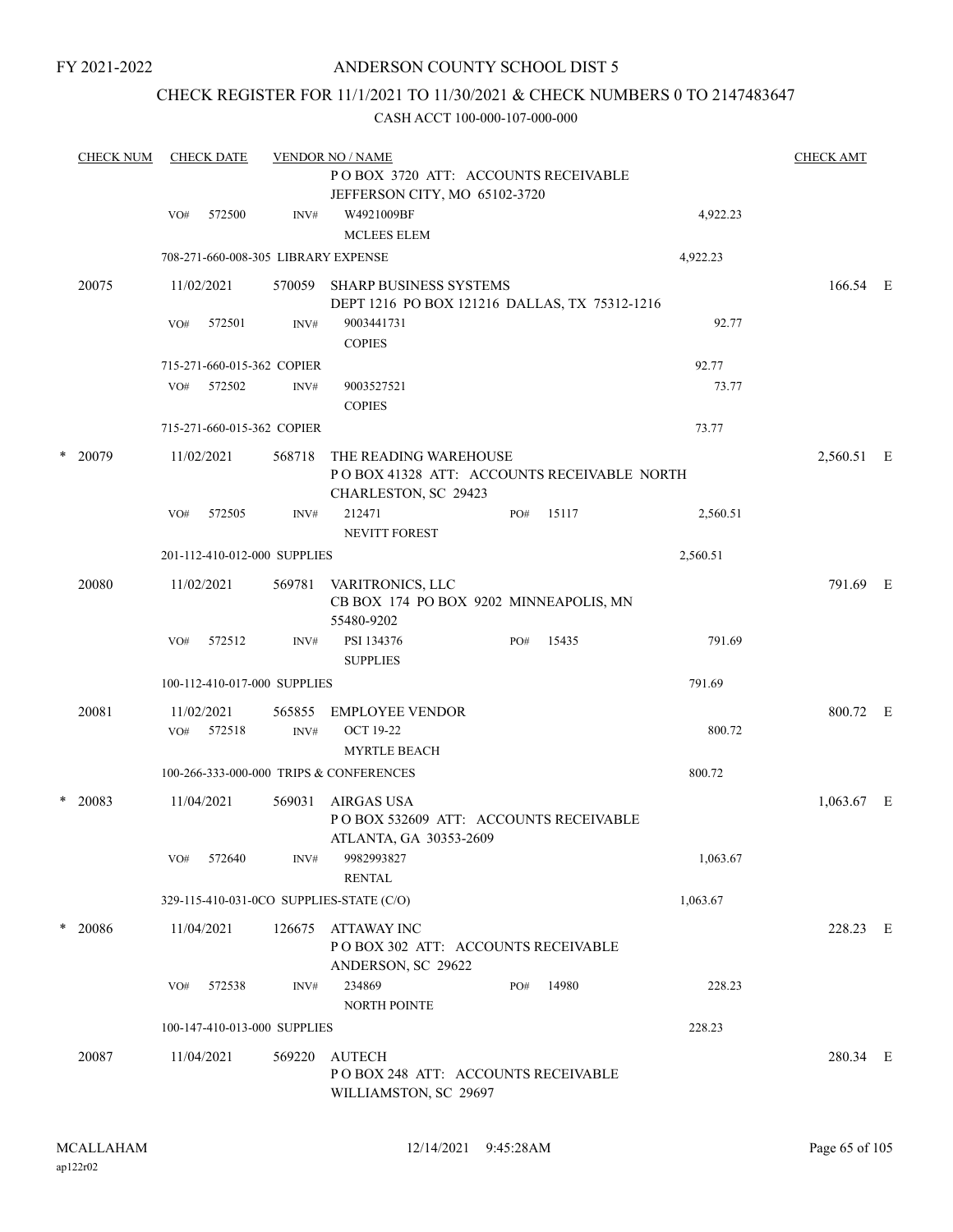### ANDERSON COUNTY SCHOOL DIST 5

## CHECK REGISTER FOR 11/1/2021 TO 11/30/2021 & CHECK NUMBERS 0 TO 2147483647

|   | <b>CHECK NUM</b> |     | <b>CHECK DATE</b> |                              | <b>VENDOR NO / NAME</b>                                                        |     |       |          | <b>CHECK AMT</b> |  |
|---|------------------|-----|-------------------|------------------------------|--------------------------------------------------------------------------------|-----|-------|----------|------------------|--|
|   |                  |     |                   |                              | POBOX 3720 ATT: ACCOUNTS RECEIVABLE<br>JEFFERSON CITY, MO 65102-3720           |     |       |          |                  |  |
|   |                  | VO# | 572500            | INV#                         | W4921009BF                                                                     |     |       | 4,922.23 |                  |  |
|   |                  |     |                   |                              | <b>MCLEES ELEM</b>                                                             |     |       |          |                  |  |
|   |                  |     |                   |                              | 708-271-660-008-305 LIBRARY EXPENSE                                            |     |       | 4,922.23 |                  |  |
|   | 20075            |     | 11/02/2021        |                              | 570059 SHARP BUSINESS SYSTEMS<br>DEPT 1216 PO BOX 121216 DALLAS, TX 75312-1216 |     |       |          | 166.54 E         |  |
|   |                  | VO# | 572501            | INV#                         | 9003441731<br><b>COPIES</b>                                                    |     |       | 92.77    |                  |  |
|   |                  |     |                   | 715-271-660-015-362 COPIER   |                                                                                |     |       | 92.77    |                  |  |
|   |                  | VO# | 572502            | INV#                         | 9003527521<br><b>COPIES</b>                                                    |     |       | 73.77    |                  |  |
|   |                  |     |                   | 715-271-660-015-362 COPIER   |                                                                                |     |       | 73.77    |                  |  |
|   | $*$ 20079        |     | 11/02/2021        | 568718                       | THE READING WAREHOUSE                                                          |     |       |          | 2,560.51 E       |  |
|   |                  |     |                   |                              | POBOX 41328 ATT: ACCOUNTS RECEIVABLE NORTH<br>CHARLESTON, SC 29423             |     |       |          |                  |  |
|   |                  | VO# | 572505            | INV#                         | 212471<br><b>NEVITT FOREST</b>                                                 | PO# | 15117 | 2,560.51 |                  |  |
|   |                  |     |                   | 201-112-410-012-000 SUPPLIES |                                                                                |     |       | 2,560.51 |                  |  |
|   | 20080            |     | 11/02/2021        | 569781                       | VARITRONICS, LLC<br>CB BOX 174 PO BOX 9202 MINNEAPOLIS, MN<br>55480-9202       |     |       |          | 791.69 E         |  |
|   |                  | VO# | 572512            | INV#                         | PSI 134376<br><b>SUPPLIES</b>                                                  | PO# | 15435 | 791.69   |                  |  |
|   |                  |     |                   | 100-112-410-017-000 SUPPLIES |                                                                                |     |       | 791.69   |                  |  |
|   | 20081            |     | 11/02/2021        | 565855                       | EMPLOYEE VENDOR                                                                |     |       |          | 800.72 E         |  |
|   |                  | VO# | 572518            | INV#                         | <b>OCT 19-22</b><br><b>MYRTLE BEACH</b>                                        |     |       | 800.72   |                  |  |
|   |                  |     |                   |                              | 100-266-333-000-000 TRIPS & CONFERENCES                                        |     |       | 800.72   |                  |  |
| * | 20083            |     | 11/04/2021        | 569031                       | AIRGAS USA<br>POBOX 532609 ATT: ACCOUNTS RECEIVABLE                            |     |       |          | $1,063.67$ E     |  |
|   |                  |     |                   |                              | ATLANTA, GA 30353-2609                                                         |     |       |          |                  |  |
|   |                  | VO# | 572640            | INV#                         | 9982993827<br><b>RENTAL</b>                                                    |     |       | 1,063.67 |                  |  |
|   |                  |     |                   |                              | 329-115-410-031-0CO SUPPLIES-STATE (C/O)                                       |     |       | 1,063.67 |                  |  |
|   | $*$ 20086        |     | 11/04/2021        | 126675                       | <b>ATTAWAY INC</b><br>POBOX 302 ATT: ACCOUNTS RECEIVABLE<br>ANDERSON, SC 29622 |     |       |          | 228.23 E         |  |
|   |                  | VO# | 572538            | INV#                         | 234869<br><b>NORTH POINTE</b>                                                  | PO# | 14980 | 228.23   |                  |  |
|   |                  |     |                   | 100-147-410-013-000 SUPPLIES |                                                                                |     |       | 228.23   |                  |  |
|   | 20087            |     | 11/04/2021        | 569220                       | <b>AUTECH</b>                                                                  |     |       |          | 280.34 E         |  |
|   |                  |     |                   |                              | PO BOX 248 ATT: ACCOUNTS RECEIVABLE<br>WILLIAMSTON, SC 29697                   |     |       |          |                  |  |
|   |                  |     |                   |                              |                                                                                |     |       |          |                  |  |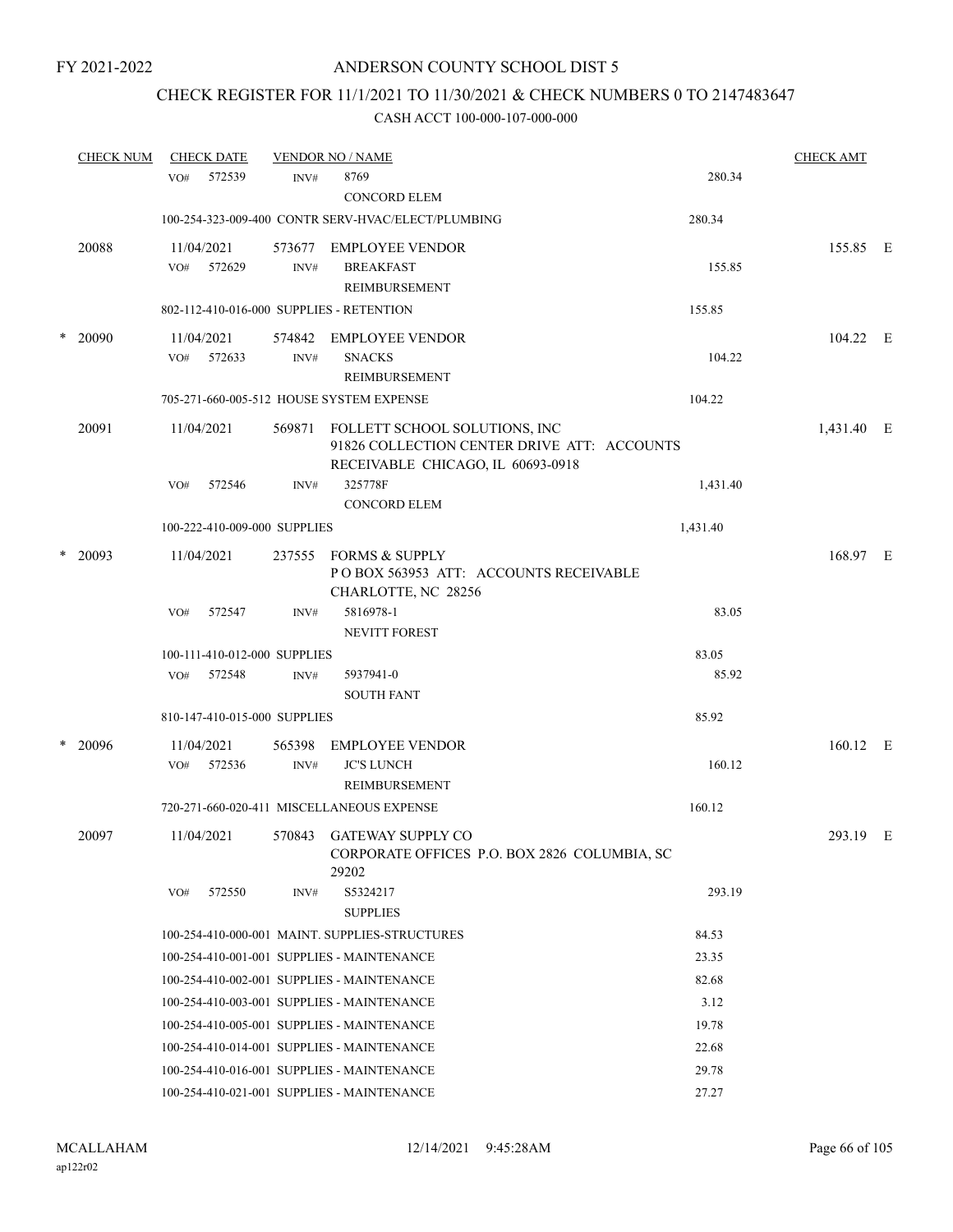# CHECK REGISTER FOR 11/1/2021 TO 11/30/2021 & CHECK NUMBERS 0 TO 2147483647

| <b>CHECK NUM</b> |         | <b>CHECK DATE</b> | <b>VENDOR NO / NAME</b>      |                |                                                                                            |                                              | <b>CHECK AMT</b> |            |  |
|------------------|---------|-------------------|------------------------------|----------------|--------------------------------------------------------------------------------------------|----------------------------------------------|------------------|------------|--|
|                  |         | VO <sub>#</sub>   | 572539                       | INV#           | 8769<br><b>CONCORD ELEM</b>                                                                |                                              | 280.34           |            |  |
|                  |         |                   |                              |                | 100-254-323-009-400 CONTR SERV-HVAC/ELECT/PLUMBING                                         | 280.34                                       |                  |            |  |
|                  | 20088   | VO#               | 11/04/2021<br>572629         | 573677<br>INV# | <b>EMPLOYEE VENDOR</b><br><b>BREAKFAST</b><br>REIMBURSEMENT                                |                                              | 155.85           | 155.85 E   |  |
|                  |         |                   |                              |                | 802-112-410-016-000 SUPPLIES - RETENTION                                                   | 155.85                                       |                  |            |  |
|                  | * 20090 | VO#               | 11/04/2021<br>572633         | 574842<br>INV# | <b>EMPLOYEE VENDOR</b><br><b>SNACKS</b><br>REIMBURSEMENT                                   |                                              | 104.22           | 104.22 E   |  |
|                  |         |                   |                              |                | 705-271-660-005-512 HOUSE SYSTEM EXPENSE                                                   | 104.22                                       |                  |            |  |
|                  | 20091   |                   | 11/04/2021                   | 569871         | FOLLETT SCHOOL SOLUTIONS, INC<br>RECEIVABLE CHICAGO, IL 60693-0918                         | 91826 COLLECTION CENTER DRIVE ATT: ACCOUNTS  |                  | 1,431.40 E |  |
|                  |         | VO#               | 572546                       | INV#           | 325778F<br><b>CONCORD ELEM</b>                                                             |                                              | 1,431.40         |            |  |
|                  |         |                   | 100-222-410-009-000 SUPPLIES |                |                                                                                            | 1,431.40                                     |                  |            |  |
| *                | 20093   |                   | 11/04/2021                   | 237555         | <b>FORMS &amp; SUPPLY</b><br>PO BOX 563953 ATT: ACCOUNTS RECEIVABLE<br>CHARLOTTE, NC 28256 |                                              |                  | 168.97 E   |  |
|                  |         | VO#               | 572547                       | INV#           | 5816978-1<br><b>NEVITT FOREST</b>                                                          |                                              | 83.05            |            |  |
|                  |         |                   | 100-111-410-012-000 SUPPLIES |                |                                                                                            |                                              | 83.05            |            |  |
|                  |         | VO#               | 572548                       | INV#           | 5937941-0<br><b>SOUTH FANT</b>                                                             |                                              | 85.92            |            |  |
|                  |         |                   | 810-147-410-015-000 SUPPLIES |                |                                                                                            |                                              | 85.92            |            |  |
| $\ast$           | 20096   |                   | 11/04/2021                   | 565398         | <b>EMPLOYEE VENDOR</b>                                                                     |                                              |                  | 160.12 E   |  |
|                  |         | VO#               | 572536                       | INV#           | <b>JC'S LUNCH</b><br>REIMBURSEMENT                                                         |                                              | 160.12           |            |  |
|                  |         |                   |                              |                | 720-271-660-020-411 MISCELLANEOUS EXPENSE                                                  | 160.12                                       |                  |            |  |
|                  | 20097   |                   | 11/04/2021                   |                | 570843 GATEWAY SUPPLY CO<br>29202                                                          | CORPORATE OFFICES P.O. BOX 2826 COLUMBIA, SC |                  | 293.19 E   |  |
|                  |         | VO#               | 572550                       | INV#           | S5324217<br><b>SUPPLIES</b>                                                                |                                              | 293.19           |            |  |
|                  |         |                   |                              |                | 100-254-410-000-001 MAINT. SUPPLIES-STRUCTURES                                             |                                              | 84.53            |            |  |
|                  |         |                   |                              |                | 100-254-410-001-001 SUPPLIES - MAINTENANCE                                                 |                                              | 23.35            |            |  |
|                  |         |                   |                              |                | 100-254-410-002-001 SUPPLIES - MAINTENANCE                                                 |                                              | 82.68            |            |  |
|                  |         |                   |                              |                | 100-254-410-003-001 SUPPLIES - MAINTENANCE                                                 |                                              | 3.12             |            |  |
|                  |         |                   |                              |                | 100-254-410-005-001 SUPPLIES - MAINTENANCE                                                 |                                              | 19.78            |            |  |
|                  |         |                   |                              |                | 100-254-410-014-001 SUPPLIES - MAINTENANCE                                                 |                                              | 22.68            |            |  |
|                  |         |                   |                              |                | 100-254-410-016-001 SUPPLIES - MAINTENANCE                                                 |                                              | 29.78            |            |  |
|                  |         |                   |                              |                | 100-254-410-021-001 SUPPLIES - MAINTENANCE                                                 |                                              | 27.27            |            |  |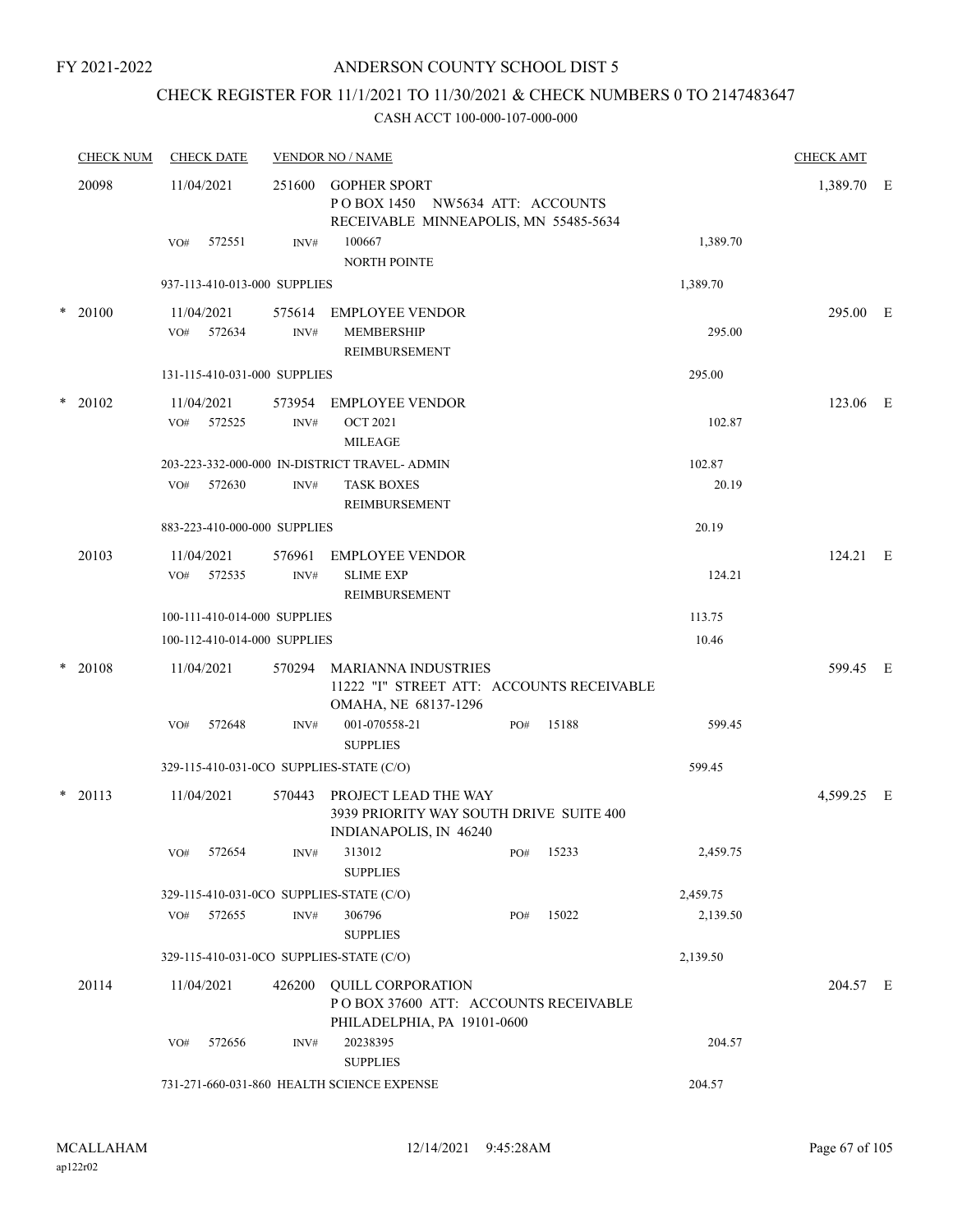### ANDERSON COUNTY SCHOOL DIST 5

# CHECK REGISTER FOR 11/1/2021 TO 11/30/2021 & CHECK NUMBERS 0 TO 2147483647

|       | <b>CHECK NUM</b> | <b>CHECK DATE</b>                        |                | <b>VENDOR NO / NAME</b>                                                                          |     |       |                 | <b>CHECK AMT</b> |  |
|-------|------------------|------------------------------------------|----------------|--------------------------------------------------------------------------------------------------|-----|-------|-----------------|------------------|--|
| 20098 |                  | 11/04/2021                               | 251600         | <b>GOPHER SPORT</b><br>POBOX 1450 NW5634 ATT: ACCOUNTS<br>RECEIVABLE MINNEAPOLIS, MN 55485-5634  |     |       |                 | 1,389.70 E       |  |
|       |                  | 572551<br>VO#                            | INV#           | 100667<br><b>NORTH POINTE</b>                                                                    |     |       | 1,389.70        |                  |  |
|       |                  | 937-113-410-013-000 SUPPLIES             |                |                                                                                                  |     |       | 1,389.70        |                  |  |
|       | $*$ 20100        | 11/04/2021<br>VO# 572634                 | INV#           | 575614 EMPLOYEE VENDOR<br><b>MEMBERSHIP</b><br><b>REIMBURSEMENT</b>                              |     |       | 295.00          | 295.00 E         |  |
|       |                  | 131-115-410-031-000 SUPPLIES             |                |                                                                                                  |     |       | 295.00          |                  |  |
|       | $*$ 20102        | 11/04/2021<br>VO# 572525                 | INV#           | 573954 EMPLOYEE VENDOR<br><b>OCT 2021</b><br><b>MILEAGE</b>                                      |     |       | 102.87          | 123.06 E         |  |
|       |                  | VO# 572630                               | INV#           | 203-223-332-000-000 IN-DISTRICT TRAVEL- ADMIN<br><b>TASK BOXES</b>                               |     |       | 102.87<br>20.19 |                  |  |
|       |                  | 883-223-410-000-000 SUPPLIES             |                | <b>REIMBURSEMENT</b>                                                                             |     |       | 20.19           |                  |  |
|       | 20103            |                                          |                |                                                                                                  |     |       |                 | 124.21 E         |  |
|       |                  | 11/04/2021<br>572535<br>VO#              | 576961<br>INV# | <b>EMPLOYEE VENDOR</b><br><b>SLIME EXP</b><br>REIMBURSEMENT                                      |     |       | 124.21          |                  |  |
|       |                  | 100-111-410-014-000 SUPPLIES             |                |                                                                                                  |     |       | 113.75          |                  |  |
|       |                  | 100-112-410-014-000 SUPPLIES             |                |                                                                                                  |     |       | 10.46           |                  |  |
|       | * 20108          | 11/04/2021                               | 570294         | <b>MARIANNA INDUSTRIES</b><br>11222 "I" STREET ATT: ACCOUNTS RECEIVABLE<br>OMAHA, NE 68137-1296  |     |       |                 | 599.45 E         |  |
|       |                  | VO#<br>572648                            | INV#           | 001-070558-21<br><b>SUPPLIES</b>                                                                 | PO# | 15188 | 599.45          |                  |  |
|       |                  | 329-115-410-031-0CO SUPPLIES-STATE (C/O) |                |                                                                                                  |     |       | 599.45          |                  |  |
|       | $*$ 20113        | 11/04/2021                               |                | 570443 PROJECT LEAD THE WAY<br>3939 PRIORITY WAY SOUTH DRIVE SUITE 400<br>INDIANAPOLIS, IN 46240 |     |       |                 | 4,599.25 E       |  |
|       |                  | 572654<br>VO#                            | INV#           | 313012<br><b>SUPPLIES</b>                                                                        | PO# | 15233 | 2,459.75        |                  |  |
|       |                  | 329-115-410-031-0CO SUPPLIES-STATE (C/O) |                |                                                                                                  |     |       | 2,459.75        |                  |  |
|       |                  | VO# 572655                               | INV#           | 306796<br><b>SUPPLIES</b>                                                                        | PO# | 15022 | 2,139.50        |                  |  |
|       |                  | 329-115-410-031-0CO SUPPLIES-STATE (C/O) |                |                                                                                                  |     |       | 2,139.50        |                  |  |
|       | 20114            | 11/04/2021                               | 426200         | <b>QUILL CORPORATION</b><br>POBOX 37600 ATT: ACCOUNTS RECEIVABLE<br>PHILADELPHIA, PA 19101-0600  |     |       |                 | 204.57 E         |  |
|       |                  | 572656<br>VO#                            | INV#           | 20238395<br><b>SUPPLIES</b>                                                                      |     |       | 204.57          |                  |  |
|       |                  |                                          |                | 731-271-660-031-860 HEALTH SCIENCE EXPENSE                                                       |     |       | 204.57          |                  |  |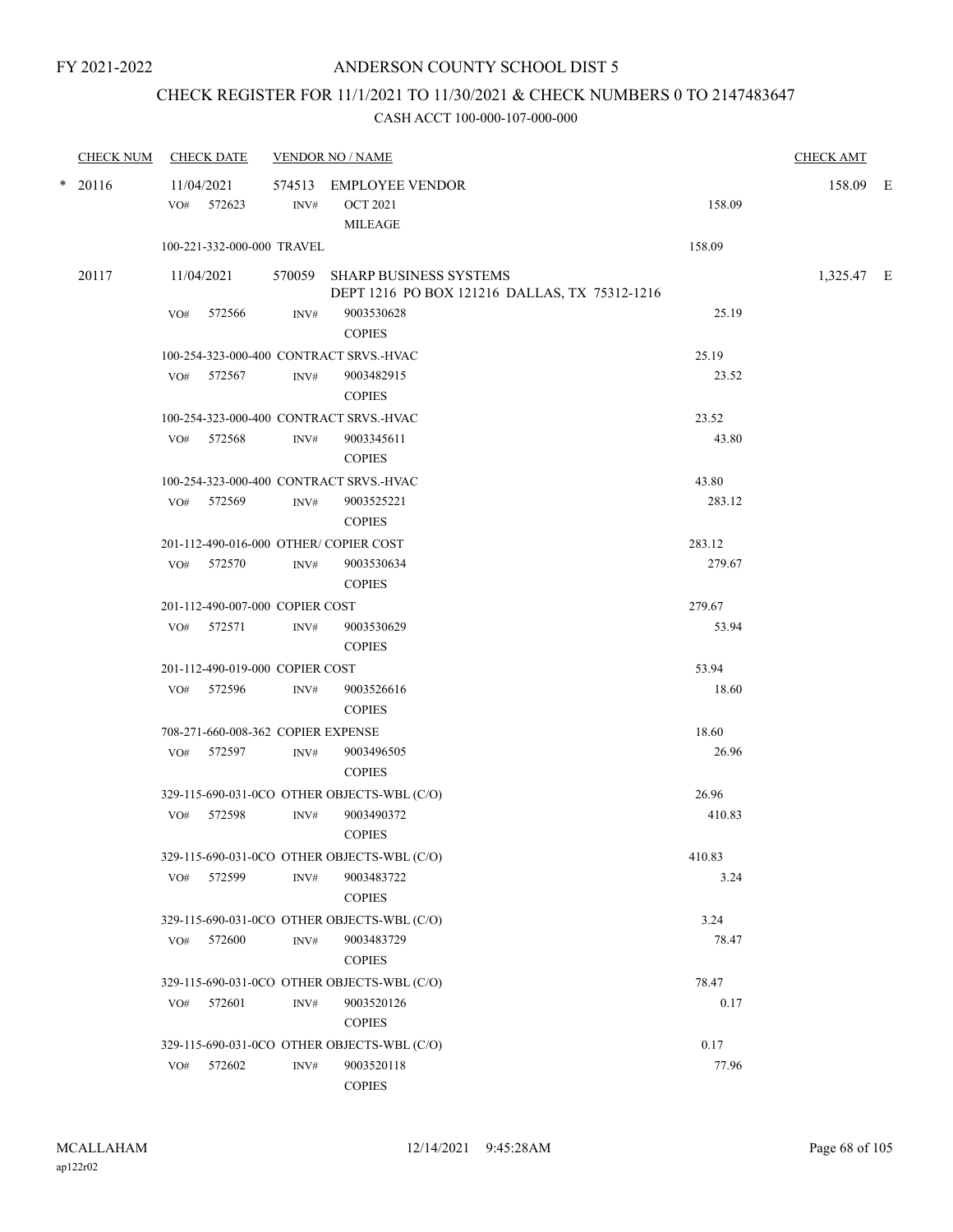# CHECK REGISTER FOR 11/1/2021 TO 11/30/2021 & CHECK NUMBERS 0 TO 2147483647

| <b>CHECK NUM</b> |     | <b>CHECK DATE</b>                  |                | <b>VENDOR NO / NAME</b>                                                        |        | <b>CHECK AMT</b> |  |
|------------------|-----|------------------------------------|----------------|--------------------------------------------------------------------------------|--------|------------------|--|
| $*$ 20116        |     | 11/04/2021<br>VO# 572623           | INV#           | 574513 EMPLOYEE VENDOR<br><b>OCT 2021</b><br><b>MILEAGE</b>                    | 158.09 | 158.09 E         |  |
|                  |     | 100-221-332-000-000 TRAVEL         |                |                                                                                | 158.09 |                  |  |
| 20117            |     | 11/04/2021                         |                | 570059 SHARP BUSINESS SYSTEMS<br>DEPT 1216 PO BOX 121216 DALLAS, TX 75312-1216 |        | 1,325.47 E       |  |
|                  | VO# | 572566                             | INV#           | 9003530628<br><b>COPIES</b>                                                    | 25.19  |                  |  |
|                  |     |                                    |                | 100-254-323-000-400 CONTRACT SRVS.-HVAC                                        | 25.19  |                  |  |
|                  |     | VO# 572567                         | INV#           | 9003482915<br><b>COPIES</b>                                                    | 23.52  |                  |  |
|                  |     |                                    |                | 100-254-323-000-400 CONTRACT SRVS.-HVAC                                        | 23.52  |                  |  |
|                  |     | VO# 572568                         | INV#           | 9003345611<br><b>COPIES</b>                                                    | 43.80  |                  |  |
|                  |     |                                    |                | 100-254-323-000-400 CONTRACT SRVS.-HVAC                                        | 43.80  |                  |  |
|                  |     | VO# 572569                         | INV#           | 9003525221<br><b>COPIES</b>                                                    | 283.12 |                  |  |
|                  |     |                                    |                | 201-112-490-016-000 OTHER/COPIER COST                                          | 283.12 |                  |  |
|                  | VO# | 572570                             | INV#           | 9003530634<br><b>COPIES</b>                                                    | 279.67 |                  |  |
|                  |     | 201-112-490-007-000 COPIER COST    |                |                                                                                | 279.67 |                  |  |
|                  |     | VO# 572571                         | INV#           | 9003530629<br><b>COPIES</b>                                                    | 53.94  |                  |  |
|                  |     | 201-112-490-019-000 COPIER COST    |                |                                                                                | 53.94  |                  |  |
|                  |     | VO# 572596                         | INV#           | 9003526616<br><b>COPIES</b>                                                    | 18.60  |                  |  |
|                  |     | 708-271-660-008-362 COPIER EXPENSE |                |                                                                                | 18.60  |                  |  |
|                  | VO# | 572597                             | INV#           | 9003496505<br><b>COPIES</b>                                                    | 26.96  |                  |  |
|                  |     |                                    |                | 329-115-690-031-0CO OTHER OBJECTS-WBL (C/O)                                    | 26.96  |                  |  |
|                  | VO# | 572598                             | INV#           | 9003490372<br><b>COPIES</b>                                                    | 410.83 |                  |  |
|                  |     |                                    |                | 329-115-690-031-0CO OTHER OBJECTS-WBL (C/O)                                    | 410.83 |                  |  |
|                  | VO# | 572599                             | INV#           | 9003483722<br><b>COPIES</b>                                                    | 3.24   |                  |  |
|                  |     |                                    |                | 329-115-690-031-0CO OTHER OBJECTS-WBL (C/O)                                    | 3.24   |                  |  |
|                  | VO# | 572600                             | $\text{INV}\#$ | 9003483729<br><b>COPIES</b>                                                    | 78.47  |                  |  |
|                  |     |                                    |                | 329-115-690-031-0CO OTHER OBJECTS-WBL (C/O)                                    | 78.47  |                  |  |
|                  | VO# | 572601                             | INV#           | 9003520126<br><b>COPIES</b>                                                    | 0.17   |                  |  |
|                  |     |                                    |                | 329-115-690-031-0CO OTHER OBJECTS-WBL (C/O)                                    | 0.17   |                  |  |
|                  | VO# | 572602                             | INV#           | 9003520118<br><b>COPIES</b>                                                    | 77.96  |                  |  |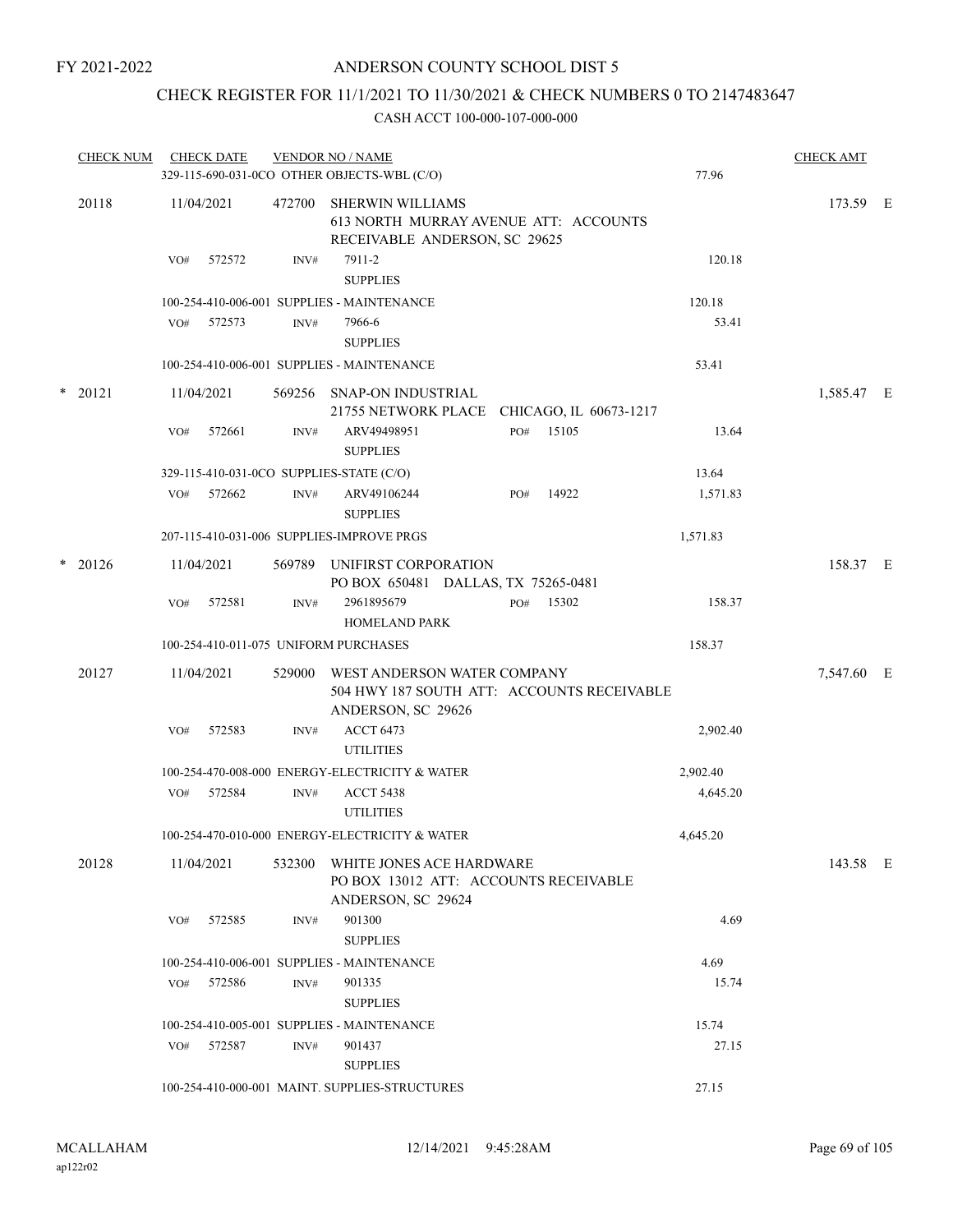## CHECK REGISTER FOR 11/1/2021 TO 11/30/2021 & CHECK NUMBERS 0 TO 2147483647

|   | <b>CHECK NUM</b> |     | <b>CHECK DATE</b> |        | <b>VENDOR NO / NAME</b><br>329-115-690-031-0CO OTHER OBJECTS-WBL (C/O)                            |     |       | 77.96    | <b>CHECK AMT</b> |  |
|---|------------------|-----|-------------------|--------|---------------------------------------------------------------------------------------------------|-----|-------|----------|------------------|--|
|   | 20118            |     | 11/04/2021        | 472700 | <b>SHERWIN WILLIAMS</b><br>613 NORTH MURRAY AVENUE ATT: ACCOUNTS<br>RECEIVABLE ANDERSON, SC 29625 |     |       |          | 173.59 E         |  |
|   |                  | VO# | 572572            | INV#   | 7911-2<br><b>SUPPLIES</b>                                                                         |     |       | 120.18   |                  |  |
|   |                  |     |                   |        | 100-254-410-006-001 SUPPLIES - MAINTENANCE                                                        |     |       | 120.18   |                  |  |
|   |                  | VO# | 572573            | INV#   | 7966-6<br><b>SUPPLIES</b>                                                                         |     |       | 53.41    |                  |  |
|   |                  |     |                   |        | 100-254-410-006-001 SUPPLIES - MAINTENANCE                                                        |     |       | 53.41    |                  |  |
|   | $*$ 20121        |     | 11/04/2021        | 569256 | SNAP-ON INDUSTRIAL<br>21755 NETWORK PLACE CHICAGO, IL 60673-1217                                  |     |       |          | 1,585.47 E       |  |
|   |                  | VO# | 572661            | INV#   | ARV49498951<br><b>SUPPLIES</b>                                                                    | PO# | 15105 | 13.64    |                  |  |
|   |                  |     |                   |        | 329-115-410-031-0CO SUPPLIES-STATE (C/O)                                                          |     |       | 13.64    |                  |  |
|   |                  | VO# | 572662            | INV#   | ARV49106244<br><b>SUPPLIES</b>                                                                    | PO# | 14922 | 1,571.83 |                  |  |
|   |                  |     |                   |        | 207-115-410-031-006 SUPPLIES-IMPROVE PRGS                                                         |     |       | 1,571.83 |                  |  |
| * | 20126            |     | 11/04/2021        | 569789 | UNIFIRST CORPORATION<br>PO BOX 650481 DALLAS, TX 75265-0481                                       |     |       |          | 158.37 E         |  |
|   |                  | VO# | 572581            | INV#   | 2961895679<br><b>HOMELAND PARK</b>                                                                | PO# | 15302 | 158.37   |                  |  |
|   |                  |     |                   |        | 100-254-410-011-075 UNIFORM PURCHASES                                                             |     |       | 158.37   |                  |  |
|   | 20127            |     | 11/04/2021        | 529000 | WEST ANDERSON WATER COMPANY<br>504 HWY 187 SOUTH ATT: ACCOUNTS RECEIVABLE<br>ANDERSON, SC 29626   |     |       |          | 7,547.60 E       |  |
|   |                  | VO# | 572583            | INV#   | <b>ACCT 6473</b><br><b>UTILITIES</b>                                                              |     |       | 2,902.40 |                  |  |
|   |                  |     |                   |        | 100-254-470-008-000 ENERGY-ELECTRICITY & WATER                                                    |     |       | 2,902.40 |                  |  |
|   |                  |     | VO# 572584        | INV#   | <b>ACCT 5438</b><br><b>UTILITIES</b>                                                              |     |       | 4,645.20 |                  |  |
|   |                  |     |                   |        | 100-254-470-010-000 ENERGY-ELECTRICITY & WATER                                                    |     |       | 4,645.20 |                  |  |
|   | 20128            |     | 11/04/2021        | 532300 | WHITE JONES ACE HARDWARE<br>PO BOX 13012 ATT: ACCOUNTS RECEIVABLE<br>ANDERSON, SC 29624           |     |       |          | 143.58 E         |  |
|   |                  | VO# | 572585            | INV#   | 901300<br><b>SUPPLIES</b>                                                                         |     |       | 4.69     |                  |  |
|   |                  |     |                   |        | 100-254-410-006-001 SUPPLIES - MAINTENANCE                                                        |     |       | 4.69     |                  |  |
|   |                  | VO# | 572586            | INV#   | 901335<br><b>SUPPLIES</b>                                                                         |     |       | 15.74    |                  |  |
|   |                  |     |                   |        | 100-254-410-005-001 SUPPLIES - MAINTENANCE                                                        |     |       | 15.74    |                  |  |
|   |                  |     | VO# 572587        | INV#   | 901437<br><b>SUPPLIES</b>                                                                         |     |       | 27.15    |                  |  |
|   |                  |     |                   |        | 100-254-410-000-001 MAINT. SUPPLIES-STRUCTURES                                                    |     |       | 27.15    |                  |  |
|   |                  |     |                   |        |                                                                                                   |     |       |          |                  |  |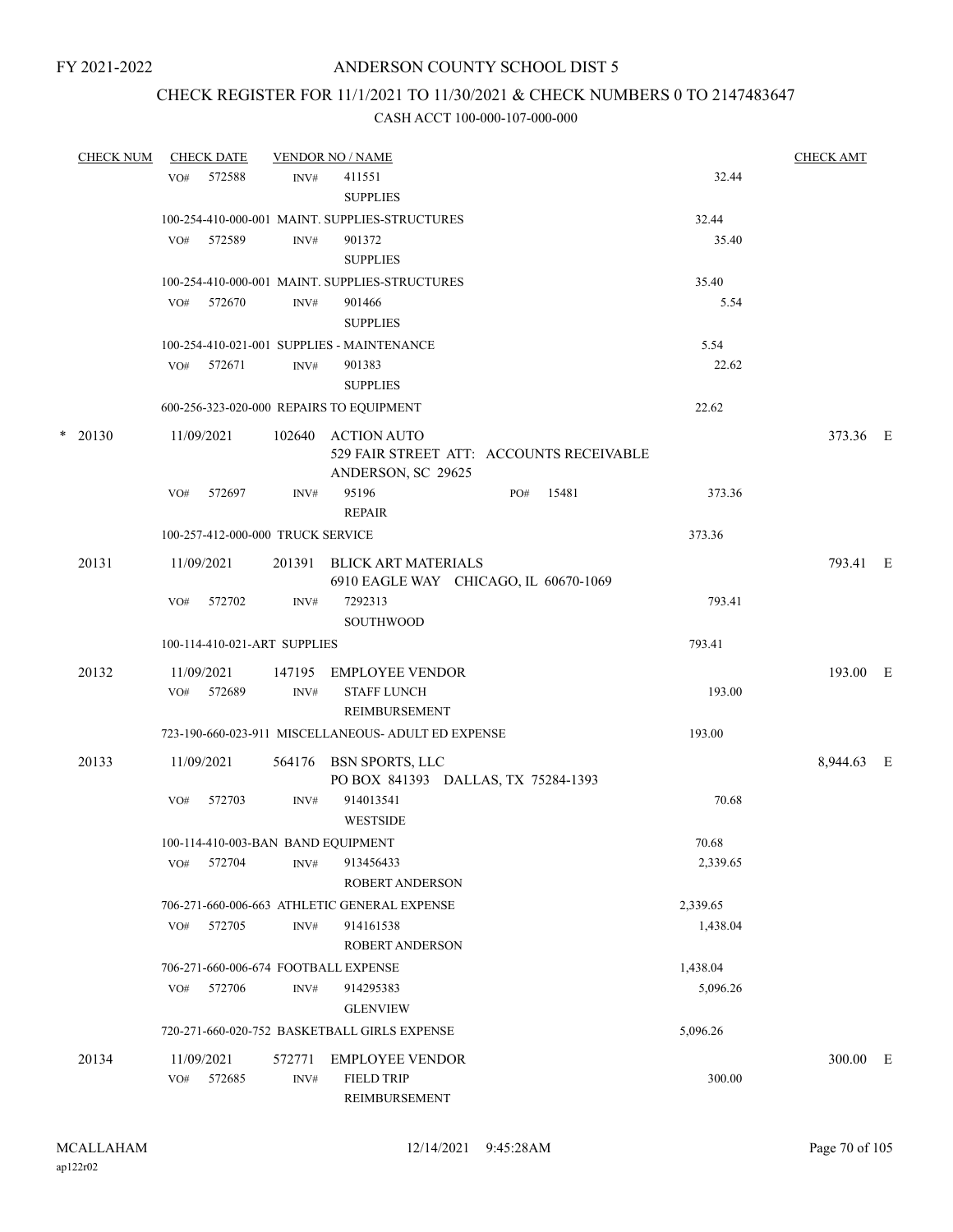# CHECK REGISTER FOR 11/1/2021 TO 11/30/2021 & CHECK NUMBERS 0 TO 2147483647

| <b>CHECK NUM</b> |            | <b>CHECK DATE</b>                 |        | <b>VENDOR NO / NAME</b>                                                              |     |       |          | <b>CHECK AMT</b> |  |
|------------------|------------|-----------------------------------|--------|--------------------------------------------------------------------------------------|-----|-------|----------|------------------|--|
|                  | VO#        | 572588                            | INV#   | 411551<br><b>SUPPLIES</b>                                                            |     |       | 32.44    |                  |  |
|                  |            |                                   |        | 100-254-410-000-001 MAINT. SUPPLIES-STRUCTURES                                       |     |       | 32.44    |                  |  |
|                  | VO#        | 572589                            | INV#   | 901372<br><b>SUPPLIES</b>                                                            |     |       | 35.40    |                  |  |
|                  |            |                                   |        | 100-254-410-000-001 MAINT. SUPPLIES-STRUCTURES                                       |     |       | 35.40    |                  |  |
|                  | VO#        | 572670                            | INV#   | 901466<br><b>SUPPLIES</b>                                                            |     |       | 5.54     |                  |  |
|                  |            |                                   |        | 100-254-410-021-001 SUPPLIES - MAINTENANCE                                           |     |       | 5.54     |                  |  |
|                  | VO# 572671 |                                   | INV#   | 901383<br><b>SUPPLIES</b>                                                            |     |       | 22.62    |                  |  |
|                  |            |                                   |        | 600-256-323-020-000 REPAIRS TO EQUIPMENT                                             |     |       | 22.62    |                  |  |
| $*$ 20130        | 11/09/2021 |                                   |        | 102640 ACTION AUTO<br>529 FAIR STREET ATT: ACCOUNTS RECEIVABLE<br>ANDERSON, SC 29625 |     |       |          | 373.36 E         |  |
|                  | VO#        | 572697                            | INV#   | 95196<br><b>REPAIR</b>                                                               | PO# | 15481 | 373.36   |                  |  |
|                  |            | 100-257-412-000-000 TRUCK SERVICE |        |                                                                                      |     |       | 373.36   |                  |  |
| 20131            | 11/09/2021 |                                   | 201391 | BLICK ART MATERIALS<br>6910 EAGLE WAY CHICAGO, IL 60670-1069                         |     |       |          | 793.41 E         |  |
|                  | VO#        | 572702                            | INV#   | 7292313<br><b>SOUTHWOOD</b>                                                          |     |       | 793.41   |                  |  |
|                  |            | 100-114-410-021-ART SUPPLIES      |        |                                                                                      |     |       | 793.41   |                  |  |
| 20132            | 11/09/2021 |                                   | 147195 | EMPLOYEE VENDOR                                                                      |     |       |          | 193.00 E         |  |
|                  | VO#        | 572689                            | INV#   | <b>STAFF LUNCH</b><br>REIMBURSEMENT                                                  |     |       | 193.00   |                  |  |
|                  |            |                                   |        | 723-190-660-023-911 MISCELLANEOUS- ADULT ED EXPENSE                                  |     |       | 193.00   |                  |  |
| 20133            | 11/09/2021 |                                   |        | 564176 BSN SPORTS, LLC<br>PO BOX 841393 DALLAS, TX 75284-1393                        |     |       |          | 8,944.63 E       |  |
|                  | VO#        | 572703                            | INV#   | 914013541<br><b>WESTSIDE</b>                                                         |     |       | 70.68    |                  |  |
|                  |            |                                   |        | 100-114-410-003-BAN BAND EQUIPMENT                                                   |     |       | 70.68    |                  |  |
|                  | VO#        | 572704                            | INV#   | 913456433<br><b>ROBERT ANDERSON</b>                                                  |     |       | 2,339.65 |                  |  |
|                  |            |                                   |        | 706-271-660-006-663 ATHLETIC GENERAL EXPENSE                                         |     |       | 2,339.65 |                  |  |
|                  | VO#        | 572705                            | INV#   | 914161538<br>ROBERT ANDERSON                                                         |     |       | 1,438.04 |                  |  |
|                  |            |                                   |        | 706-271-660-006-674 FOOTBALL EXPENSE                                                 |     |       | 1,438.04 |                  |  |
|                  | VO#        | 572706                            | INV#   | 914295383<br><b>GLENVIEW</b>                                                         |     |       | 5,096.26 |                  |  |
|                  |            |                                   |        | 720-271-660-020-752 BASKETBALL GIRLS EXPENSE                                         |     |       | 5,096.26 |                  |  |
| 20134            | 11/09/2021 | 572685                            | 572771 | <b>EMPLOYEE VENDOR</b><br><b>FIELD TRIP</b>                                          |     |       | 300.00   | 300.00 E         |  |
|                  | VO#        |                                   | INV#   | REIMBURSEMENT                                                                        |     |       |          |                  |  |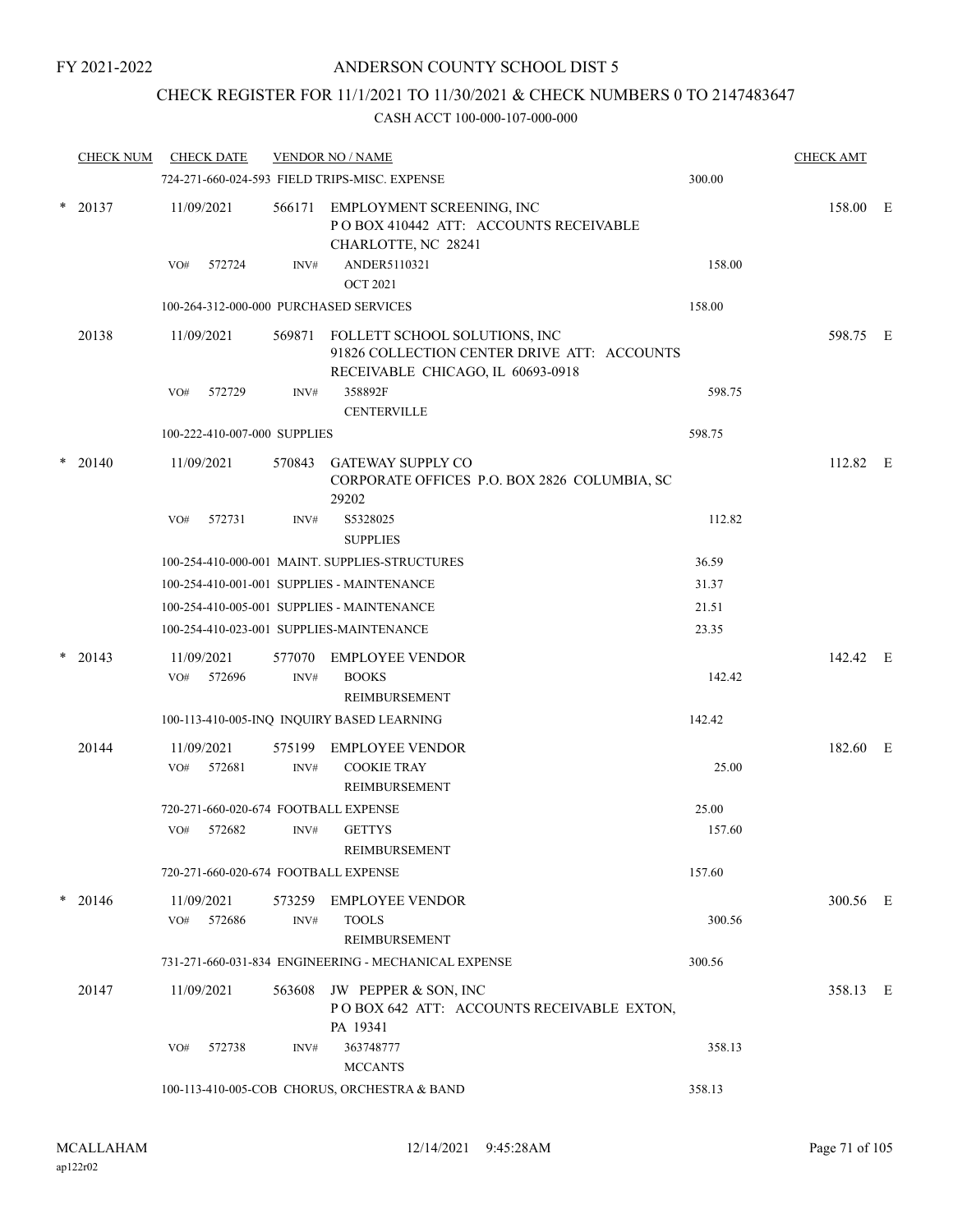### CHECK REGISTER FOR 11/1/2021 TO 11/30/2021 & CHECK NUMBERS 0 TO 2147483647

|        | <b>CHECK NUM</b> |                              | <b>CHECK DATE</b>                      |                | <b>VENDOR NO / NAME</b>                                                                                                  |        | <b>CHECK AMT</b> |  |
|--------|------------------|------------------------------|----------------------------------------|----------------|--------------------------------------------------------------------------------------------------------------------------|--------|------------------|--|
|        |                  |                              |                                        |                | 724-271-660-024-593 FIELD TRIPS-MISC. EXPENSE                                                                            | 300.00 |                  |  |
| $\ast$ | 20137            |                              | 11/09/2021                             | 566171         | EMPLOYMENT SCREENING, INC<br>POBOX 410442 ATT: ACCOUNTS RECEIVABLE<br>CHARLOTTE, NC 28241                                |        | 158.00 E         |  |
|        |                  | VO#                          | 572724                                 | INV#           | ANDER5110321<br><b>OCT 2021</b>                                                                                          | 158.00 |                  |  |
|        |                  |                              | 100-264-312-000-000 PURCHASED SERVICES |                | 158.00                                                                                                                   |        |                  |  |
|        | 20138            |                              | 11/09/2021                             |                | 569871 FOLLETT SCHOOL SOLUTIONS, INC<br>91826 COLLECTION CENTER DRIVE ATT: ACCOUNTS<br>RECEIVABLE CHICAGO, IL 60693-0918 |        | 598.75 E         |  |
|        |                  | VO#                          | 572729                                 | INV#           | 358892F<br><b>CENTERVILLE</b>                                                                                            | 598.75 |                  |  |
|        |                  | 100-222-410-007-000 SUPPLIES |                                        |                | 598.75                                                                                                                   |        |                  |  |
| *      | 20140            |                              | 11/09/2021                             | 570843         | <b>GATEWAY SUPPLY CO</b><br>CORPORATE OFFICES P.O. BOX 2826 COLUMBIA, SC<br>29202                                        |        | 112.82 E         |  |
|        |                  | VO#                          | 572731                                 | INV#           | S5328025<br><b>SUPPLIES</b>                                                                                              | 112.82 |                  |  |
|        |                  |                              |                                        |                | 100-254-410-000-001 MAINT. SUPPLIES-STRUCTURES                                                                           | 36.59  |                  |  |
|        |                  |                              |                                        |                | 100-254-410-001-001 SUPPLIES - MAINTENANCE                                                                               | 31.37  |                  |  |
|        |                  |                              |                                        |                | 100-254-410-005-001 SUPPLIES - MAINTENANCE                                                                               | 21.51  |                  |  |
|        |                  |                              |                                        |                | 100-254-410-023-001 SUPPLIES-MAINTENANCE                                                                                 | 23.35  |                  |  |
| $\ast$ | 20143            |                              | 11/09/2021                             | 577070         | <b>EMPLOYEE VENDOR</b>                                                                                                   |        | 142.42 E         |  |
|        |                  | VO#                          | 572696                                 | INV#           | <b>BOOKS</b><br>REIMBURSEMENT                                                                                            | 142.42 |                  |  |
|        |                  |                              |                                        |                | 100-113-410-005-INQ INQUIRY BASED LEARNING                                                                               | 142.42 |                  |  |
|        | 20144            | VO#                          | 11/09/2021<br>572681                   | 575199<br>INV# | <b>EMPLOYEE VENDOR</b><br><b>COOKIE TRAY</b><br><b>REIMBURSEMENT</b>                                                     | 25.00  | 182.60 E         |  |
|        |                  |                              |                                        |                | 720-271-660-020-674 FOOTBALL EXPENSE                                                                                     | 25.00  |                  |  |
|        |                  | VO#                          | 572682                                 | INV#           | <b>GETTYS</b><br>REIMBURSEMENT                                                                                           | 157.60 |                  |  |
|        |                  |                              |                                        |                | 720-271-660-020-674 FOOTBALL EXPENSE                                                                                     | 157.60 |                  |  |
| *      | 20146            | VO#                          | 11/09/2021<br>572686                   | INV#           | 573259 EMPLOYEE VENDOR<br><b>TOOLS</b><br>REIMBURSEMENT                                                                  | 300.56 | 300.56 E         |  |
|        |                  |                              |                                        |                | 731-271-660-031-834 ENGINEERING - MECHANICAL EXPENSE                                                                     | 300.56 |                  |  |
|        | 20147            |                              | 11/09/2021                             |                | 563608 JW PEPPER & SON, INC<br>POBOX 642 ATT: ACCOUNTS RECEIVABLE EXTON,<br>PA 19341                                     |        | 358.13 E         |  |
|        |                  | VO#                          | 572738                                 | INV#           | 363748777<br><b>MCCANTS</b>                                                                                              | 358.13 |                  |  |
|        |                  |                              |                                        |                | 100-113-410-005-COB CHORUS, ORCHESTRA & BAND                                                                             | 358.13 |                  |  |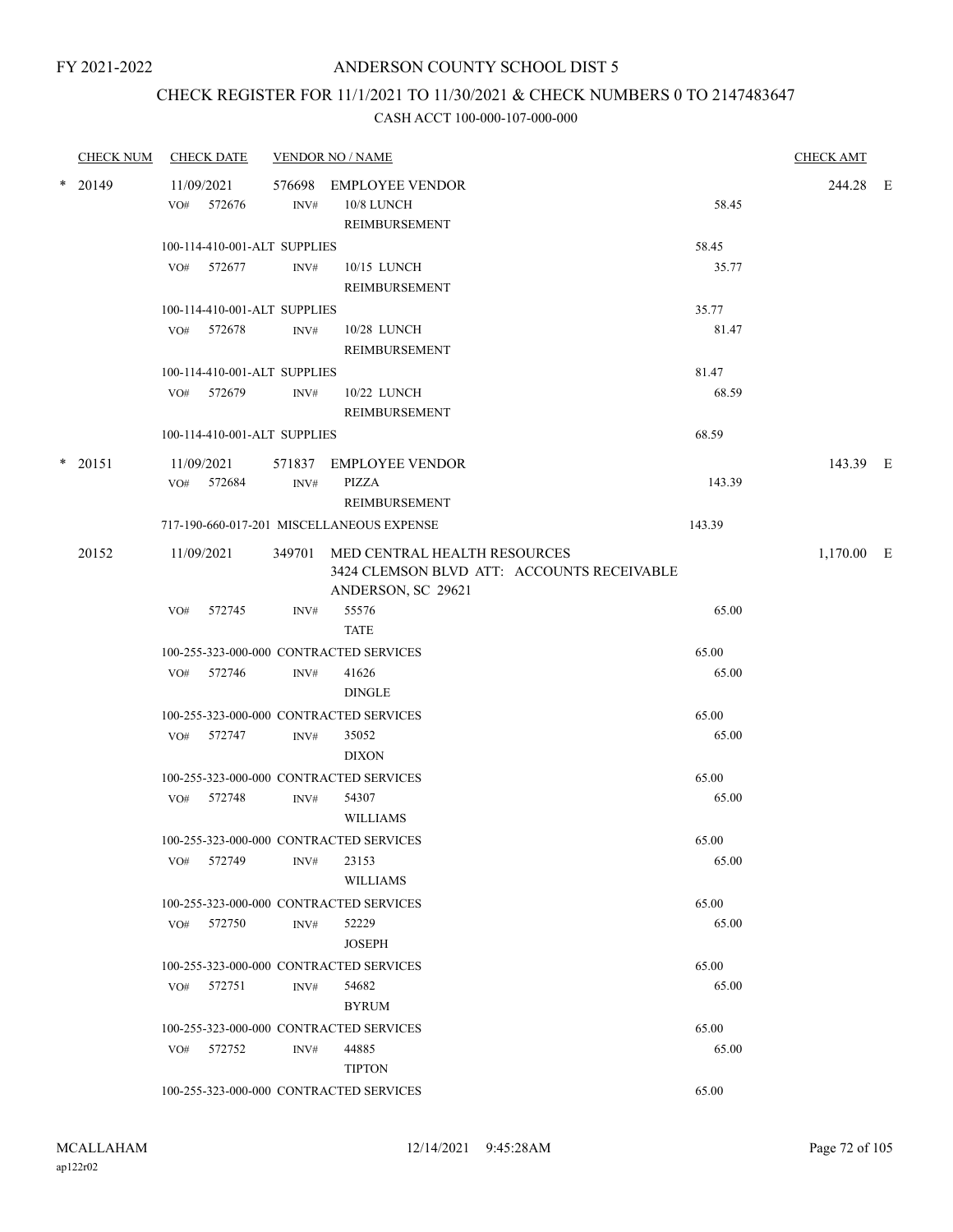# CHECK REGISTER FOR 11/1/2021 TO 11/30/2021 & CHECK NUMBERS 0 TO 2147483647

|        | <b>CHECK NUM</b> |     | <b>CHECK DATE</b> |                              | <b>VENDOR NO / NAME</b>                                                           |        | <b>CHECK AMT</b> |  |
|--------|------------------|-----|-------------------|------------------------------|-----------------------------------------------------------------------------------|--------|------------------|--|
|        | * 20149          |     | 11/09/2021        |                              | 576698 EMPLOYEE VENDOR                                                            |        | 244.28 E         |  |
|        |                  |     | VO# 572676        | INV#                         | 10/8 LUNCH                                                                        | 58.45  |                  |  |
|        |                  |     |                   |                              | REIMBURSEMENT                                                                     |        |                  |  |
|        |                  |     |                   | 100-114-410-001-ALT SUPPLIES |                                                                                   | 58.45  |                  |  |
|        |                  |     | VO# 572677        | INV#                         | 10/15 LUNCH                                                                       | 35.77  |                  |  |
|        |                  |     |                   |                              | REIMBURSEMENT                                                                     |        |                  |  |
|        |                  |     |                   | 100-114-410-001-ALT SUPPLIES |                                                                                   | 35.77  |                  |  |
|        |                  |     | VO# 572678        | INV#                         | 10/28 LUNCH                                                                       | 81.47  |                  |  |
|        |                  |     |                   |                              | REIMBURSEMENT                                                                     |        |                  |  |
|        |                  |     |                   | 100-114-410-001-ALT SUPPLIES |                                                                                   | 81.47  |                  |  |
|        |                  | VO# | 572679            | INV#                         | 10/22 LUNCH                                                                       | 68.59  |                  |  |
|        |                  |     |                   |                              | REIMBURSEMENT                                                                     |        |                  |  |
|        |                  |     |                   | 100-114-410-001-ALT SUPPLIES |                                                                                   | 68.59  |                  |  |
| $\ast$ | 20151            |     | 11/09/2021        |                              | 571837 EMPLOYEE VENDOR                                                            |        | 143.39 E         |  |
|        |                  |     | VO# 572684        | INV#                         | PIZZA                                                                             | 143.39 |                  |  |
|        |                  |     |                   |                              | REIMBURSEMENT                                                                     |        |                  |  |
|        |                  |     |                   |                              | 717-190-660-017-201 MISCELLANEOUS EXPENSE                                         | 143.39 |                  |  |
|        |                  |     |                   |                              |                                                                                   |        |                  |  |
|        | 20152            |     | 11/09/2021        |                              | 349701 MED CENTRAL HEALTH RESOURCES<br>3424 CLEMSON BLVD ATT: ACCOUNTS RECEIVABLE |        | $1,170.00$ E     |  |
|        |                  |     |                   |                              | ANDERSON, SC 29621                                                                |        |                  |  |
|        |                  | VO# | 572745            | INV#                         | 55576                                                                             | 65.00  |                  |  |
|        |                  |     |                   |                              | <b>TATE</b>                                                                       |        |                  |  |
|        |                  |     |                   |                              | 100-255-323-000-000 CONTRACTED SERVICES                                           | 65.00  |                  |  |
|        |                  |     | VO# 572746        | INV#                         | 41626                                                                             | 65.00  |                  |  |
|        |                  |     |                   |                              | <b>DINGLE</b>                                                                     |        |                  |  |
|        |                  |     |                   |                              | 100-255-323-000-000 CONTRACTED SERVICES                                           | 65.00  |                  |  |
|        |                  |     | VO# 572747        | INV#                         | 35052                                                                             | 65.00  |                  |  |
|        |                  |     |                   |                              | <b>DIXON</b>                                                                      |        |                  |  |
|        |                  |     |                   |                              | 100-255-323-000-000 CONTRACTED SERVICES                                           | 65.00  |                  |  |
|        |                  |     | VO# 572748        | INV#                         | 54307                                                                             | 65.00  |                  |  |
|        |                  |     |                   |                              | <b>WILLIAMS</b>                                                                   |        |                  |  |
|        |                  |     |                   |                              | 100-255-323-000-000 CONTRACTED SERVICES                                           | 65.00  |                  |  |
|        |                  | VO# | 572749            | INV#                         | 23153                                                                             | 65.00  |                  |  |
|        |                  |     |                   |                              | <b>WILLIAMS</b>                                                                   |        |                  |  |
|        |                  |     |                   |                              | 100-255-323-000-000 CONTRACTED SERVICES                                           | 65.00  |                  |  |
|        |                  |     | VO# 572750        | INV#                         | 52229                                                                             | 65.00  |                  |  |
|        |                  |     |                   |                              | <b>JOSEPH</b>                                                                     |        |                  |  |
|        |                  |     |                   |                              | 100-255-323-000-000 CONTRACTED SERVICES                                           | 65.00  |                  |  |
|        |                  |     | VO# 572751        | INV#                         | 54682                                                                             | 65.00  |                  |  |
|        |                  |     |                   |                              | <b>BYRUM</b>                                                                      |        |                  |  |
|        |                  |     |                   |                              | 100-255-323-000-000 CONTRACTED SERVICES                                           | 65.00  |                  |  |
|        |                  | VO# | 572752            | INV#                         | 44885                                                                             | 65.00  |                  |  |
|        |                  |     |                   |                              | <b>TIPTON</b>                                                                     |        |                  |  |
|        |                  |     |                   |                              | 100-255-323-000-000 CONTRACTED SERVICES                                           | 65.00  |                  |  |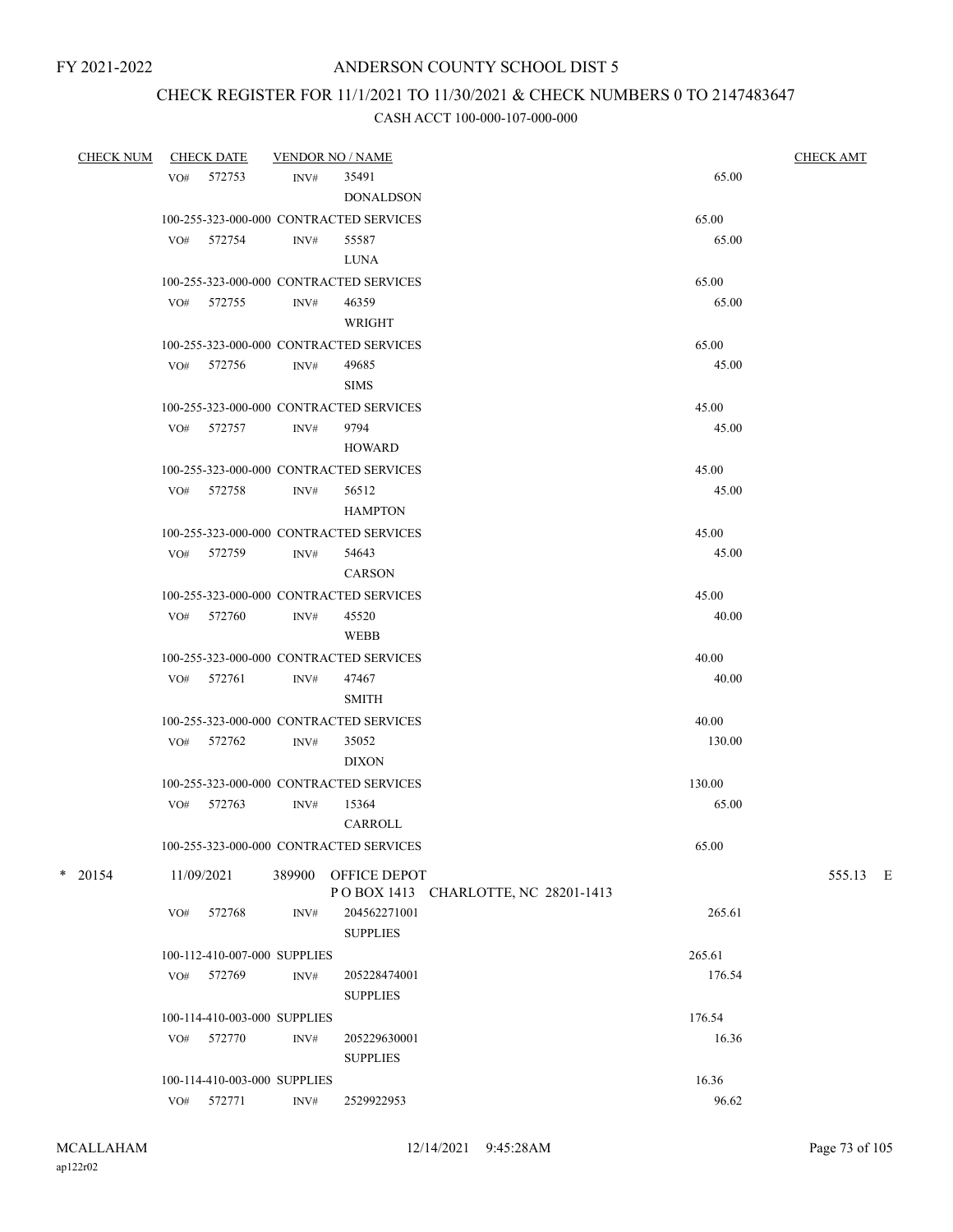## CHECK REGISTER FOR 11/1/2021 TO 11/30/2021 & CHECK NUMBERS 0 TO 2147483647

| <b>CHECK NUM</b> |     | <b>CHECK DATE</b>            |      | <b>VENDOR NO / NAME</b>                 |        | <b>CHECK AMT</b> |
|------------------|-----|------------------------------|------|-----------------------------------------|--------|------------------|
|                  |     | VO# 572753                   | INV# | 35491                                   | 65.00  |                  |
|                  |     |                              |      | <b>DONALDSON</b>                        |        |                  |
|                  |     |                              |      | 100-255-323-000-000 CONTRACTED SERVICES | 65.00  |                  |
|                  |     | VO# 572754                   | INV# | 55587                                   | 65.00  |                  |
|                  |     |                              |      | LUNA                                    |        |                  |
|                  |     |                              |      | 100-255-323-000-000 CONTRACTED SERVICES | 65.00  |                  |
|                  |     | VO# 572755                   | INV# | 46359                                   | 65.00  |                  |
|                  |     |                              |      | WRIGHT                                  |        |                  |
|                  |     |                              |      | 100-255-323-000-000 CONTRACTED SERVICES | 65.00  |                  |
|                  |     | VO# 572756                   | INV# | 49685                                   | 45.00  |                  |
|                  |     |                              |      | <b>SIMS</b>                             |        |                  |
|                  |     |                              |      | 100-255-323-000-000 CONTRACTED SERVICES | 45.00  |                  |
|                  |     | VO# 572757                   | INV# | 9794                                    | 45.00  |                  |
|                  |     |                              |      | HOWARD                                  |        |                  |
|                  |     |                              |      | 100-255-323-000-000 CONTRACTED SERVICES | 45.00  |                  |
|                  |     | VO# 572758                   | INV# | 56512                                   | 45.00  |                  |
|                  |     |                              |      | <b>HAMPTON</b>                          |        |                  |
|                  |     |                              |      | 100-255-323-000-000 CONTRACTED SERVICES | 45.00  |                  |
|                  |     | VO# 572759                   | INV# | 54643                                   | 45.00  |                  |
|                  |     |                              |      | <b>CARSON</b>                           |        |                  |
|                  |     |                              |      | 100-255-323-000-000 CONTRACTED SERVICES | 45.00  |                  |
|                  |     | VO# 572760                   | INV# | 45520                                   | 40.00  |                  |
|                  |     |                              |      | WEBB                                    |        |                  |
|                  |     |                              |      | 100-255-323-000-000 CONTRACTED SERVICES | 40.00  |                  |
|                  |     | VO# 572761                   | INV# | 47467                                   | 40.00  |                  |
|                  |     |                              |      | <b>SMITH</b>                            |        |                  |
|                  |     |                              |      | 100-255-323-000-000 CONTRACTED SERVICES | 40.00  |                  |
|                  |     | VO# 572762                   | INV# | 35052                                   | 130.00 |                  |
|                  |     |                              |      | <b>DIXON</b>                            |        |                  |
|                  |     |                              |      | 100-255-323-000-000 CONTRACTED SERVICES | 130.00 |                  |
|                  |     | VO# 572763                   | INV# | 15364                                   | 65.00  |                  |
|                  |     |                              |      | CARROLL                                 |        |                  |
|                  |     |                              |      | 100-255-323-000-000 CONTRACTED SERVICES | 65.00  |                  |
| $*$ 20154        |     | 11/09/2021                   |      | 389900 OFFICE DEPOT                     |        | 555.13 E         |
|                  |     |                              |      | POBOX 1413 CHARLOTTE, NC 28201-1413     |        |                  |
|                  | VO# | 572768                       | INV# | 204562271001                            | 265.61 |                  |
|                  |     |                              |      | <b>SUPPLIES</b>                         |        |                  |
|                  |     | 100-112-410-007-000 SUPPLIES |      |                                         | 265.61 |                  |
|                  | VO# | 572769                       | INV# | 205228474001                            | 176.54 |                  |
|                  |     |                              |      | <b>SUPPLIES</b>                         |        |                  |
|                  |     | 100-114-410-003-000 SUPPLIES |      |                                         | 176.54 |                  |
|                  | VO# | 572770                       | INV# | 205229630001                            | 16.36  |                  |
|                  |     |                              |      | <b>SUPPLIES</b>                         |        |                  |
|                  |     | 100-114-410-003-000 SUPPLIES |      |                                         | 16.36  |                  |
|                  | VO# | 572771                       | INV# | 2529922953                              | 96.62  |                  |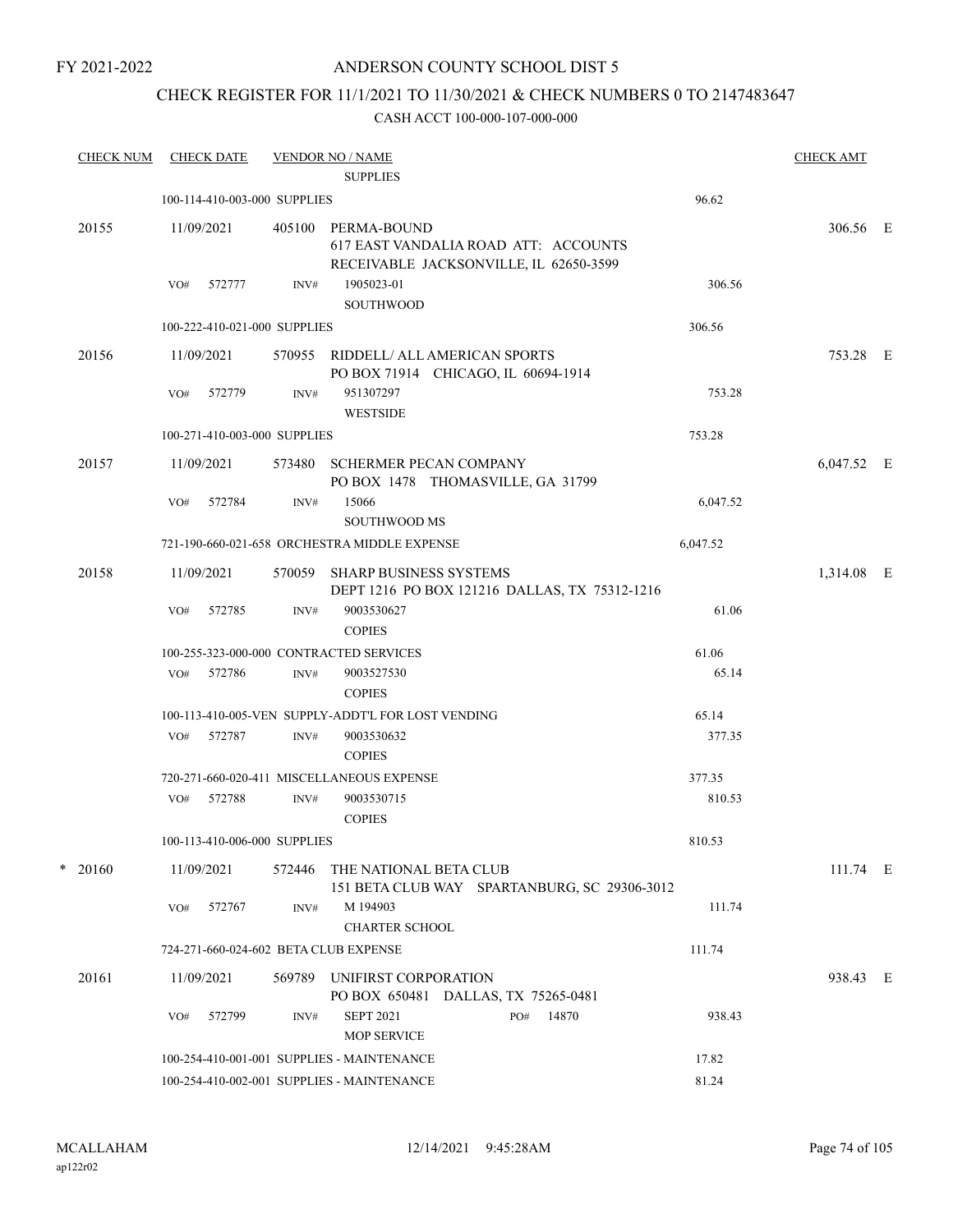## ANDERSON COUNTY SCHOOL DIST 5

## CHECK REGISTER FOR 11/1/2021 TO 11/30/2021 & CHECK NUMBERS 0 TO 2147483647

| <b>CHECK NUM</b> |     | <b>CHECK DATE</b>            |        | <b>VENDOR NO / NAME</b>                                                                       |     |       |          | <b>CHECK AMT</b> |  |
|------------------|-----|------------------------------|--------|-----------------------------------------------------------------------------------------------|-----|-------|----------|------------------|--|
|                  |     |                              |        | <b>SUPPLIES</b>                                                                               |     |       |          |                  |  |
|                  |     | 100-114-410-003-000 SUPPLIES |        |                                                                                               |     |       | 96.62    |                  |  |
| 20155            |     | 11/09/2021                   | 405100 | PERMA-BOUND<br>617 EAST VANDALIA ROAD ATT: ACCOUNTS<br>RECEIVABLE JACKSONVILLE, IL 62650-3599 |     |       |          | 306.56 E         |  |
|                  | VO# | 572777                       | INV#   | 1905023-01                                                                                    |     |       | 306.56   |                  |  |
|                  |     |                              |        | <b>SOUTHWOOD</b>                                                                              |     |       |          |                  |  |
|                  |     | 100-222-410-021-000 SUPPLIES |        |                                                                                               |     |       | 306.56   |                  |  |
| 20156            |     | 11/09/2021                   |        | 570955 RIDDELL/ ALL AMERICAN SPORTS<br>PO BOX 71914 CHICAGO, IL 60694-1914                    |     |       |          | 753.28 E         |  |
|                  | VO# | 572779                       | INV#   | 951307297<br><b>WESTSIDE</b>                                                                  |     |       | 753.28   |                  |  |
|                  |     | 100-271-410-003-000 SUPPLIES |        |                                                                                               |     |       | 753.28   |                  |  |
| 20157            |     | 11/09/2021                   | 573480 | <b>SCHERMER PECAN COMPANY</b><br>PO BOX 1478 THOMASVILLE, GA 31799                            |     |       |          | 6,047.52 E       |  |
|                  | VO# | 572784                       | INV#   | 15066<br><b>SOUTHWOOD MS</b>                                                                  |     |       | 6,047.52 |                  |  |
|                  |     |                              |        | 721-190-660-021-658 ORCHESTRA MIDDLE EXPENSE                                                  |     |       | 6,047.52 |                  |  |
| 20158            |     | 11/09/2021                   |        | 570059 SHARP BUSINESS SYSTEMS<br>DEPT 1216 PO BOX 121216 DALLAS, TX 75312-1216                |     |       |          | 1,314.08 E       |  |
|                  | VO# | 572785                       | INV#   | 9003530627<br><b>COPIES</b>                                                                   |     |       | 61.06    |                  |  |
|                  |     |                              |        | 100-255-323-000-000 CONTRACTED SERVICES                                                       |     |       | 61.06    |                  |  |
|                  | VO# | 572786                       | INV#   | 9003527530<br><b>COPIES</b>                                                                   |     |       | 65.14    |                  |  |
|                  |     |                              |        | 100-113-410-005-VEN SUPPLY-ADDT'L FOR LOST VENDING                                            |     |       | 65.14    |                  |  |
|                  |     | VO# 572787                   | INV#   | 9003530632<br><b>COPIES</b>                                                                   |     |       | 377.35   |                  |  |
|                  |     |                              |        | 720-271-660-020-411 MISCELLANEOUS EXPENSE                                                     |     |       | 377.35   |                  |  |
|                  | VO# | 572788                       | INV#   | 9003530715<br><b>COPIES</b>                                                                   |     |       | 810.53   |                  |  |
|                  |     | 100-113-410-006-000 SUPPLIES |        |                                                                                               |     |       | 810.53   |                  |  |
| $*$ 20160        |     | 11/09/2021                   | 572446 | THE NATIONAL BETA CLUB<br>151 BETA CLUB WAY SPARTANBURG, SC 29306-3012                        |     |       |          | 111.74 E         |  |
|                  | VO# | 572767                       | INV#   | M 194903<br><b>CHARTER SCHOOL</b>                                                             |     |       | 111.74   |                  |  |
|                  |     |                              |        | 724-271-660-024-602 BETA CLUB EXPENSE                                                         |     |       | 111.74   |                  |  |
| 20161            |     | 11/09/2021                   | 569789 | UNIFIRST CORPORATION<br>PO BOX 650481 DALLAS, TX 75265-0481                                   |     |       |          | 938.43 E         |  |
|                  | VO# | 572799                       | INV#   | <b>SEPT 2021</b><br><b>MOP SERVICE</b>                                                        | PO# | 14870 | 938.43   |                  |  |
|                  |     |                              |        | 100-254-410-001-001 SUPPLIES - MAINTENANCE                                                    |     |       | 17.82    |                  |  |
|                  |     |                              |        | 100-254-410-002-001 SUPPLIES - MAINTENANCE                                                    |     |       | 81.24    |                  |  |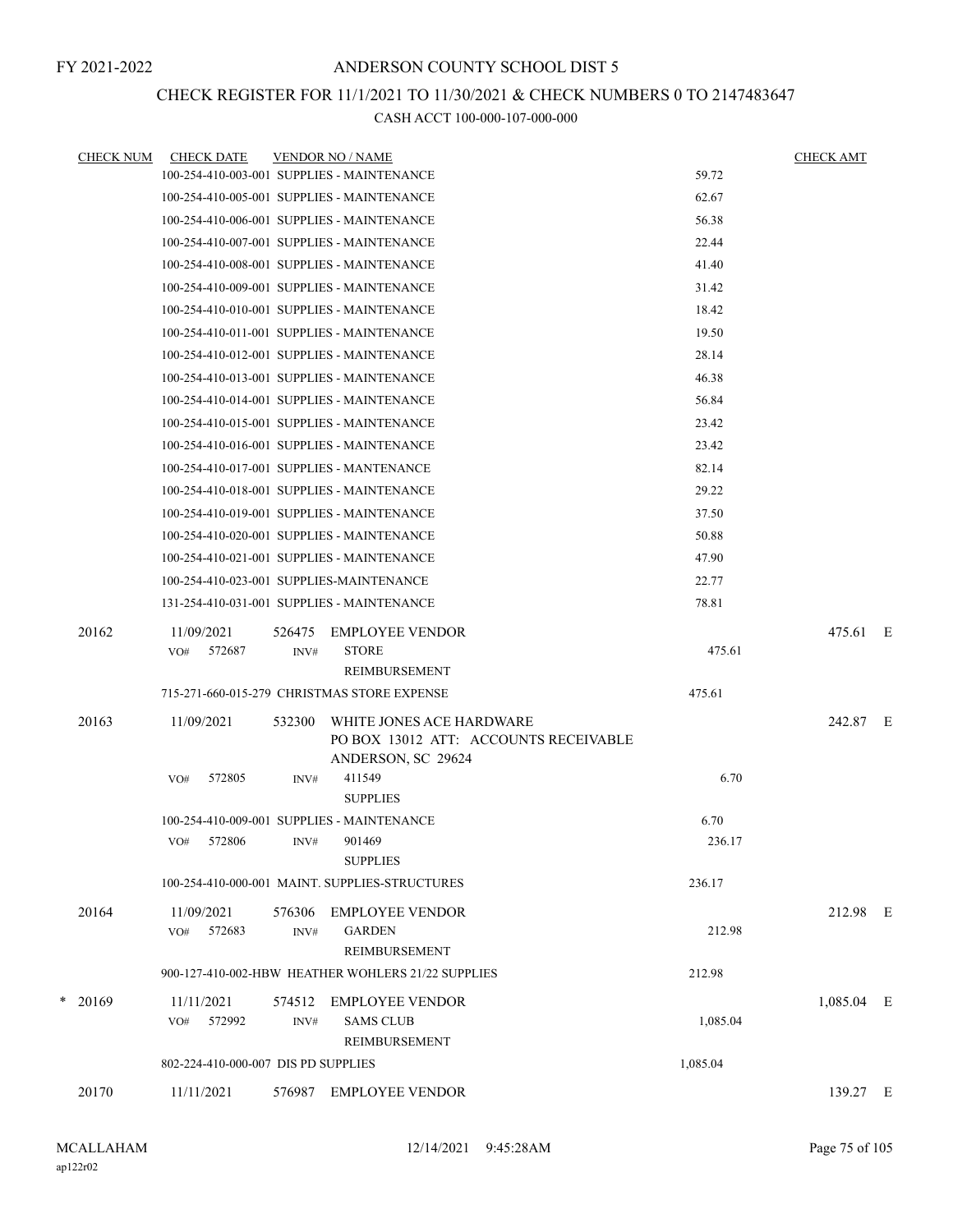# CHECK REGISTER FOR 11/1/2021 TO 11/30/2021 & CHECK NUMBERS 0 TO 2147483647

| <b>CHECK NUM</b> | <b>CHECK DATE</b>                         |        | <b>VENDOR NO / NAME</b>                            |          | <b>CHECK AMT</b> |  |
|------------------|-------------------------------------------|--------|----------------------------------------------------|----------|------------------|--|
|                  |                                           |        | 100-254-410-003-001 SUPPLIES - MAINTENANCE         | 59.72    |                  |  |
|                  |                                           |        | 100-254-410-005-001 SUPPLIES - MAINTENANCE         | 62.67    |                  |  |
|                  |                                           |        | 100-254-410-006-001 SUPPLIES - MAINTENANCE         | 56.38    |                  |  |
|                  |                                           |        | 100-254-410-007-001 SUPPLIES - MAINTENANCE         | 22.44    |                  |  |
|                  |                                           |        | 100-254-410-008-001 SUPPLIES - MAINTENANCE         | 41.40    |                  |  |
|                  |                                           |        | 100-254-410-009-001 SUPPLIES - MAINTENANCE         | 31.42    |                  |  |
|                  |                                           |        | 100-254-410-010-001 SUPPLIES - MAINTENANCE         | 18.42    |                  |  |
|                  |                                           |        | 100-254-410-011-001 SUPPLIES - MAINTENANCE         | 19.50    |                  |  |
|                  |                                           |        | 100-254-410-012-001 SUPPLIES - MAINTENANCE         | 28.14    |                  |  |
|                  |                                           |        | 100-254-410-013-001 SUPPLIES - MAINTENANCE         | 46.38    |                  |  |
|                  |                                           |        | 100-254-410-014-001 SUPPLIES - MAINTENANCE         | 56.84    |                  |  |
|                  |                                           |        | 100-254-410-015-001 SUPPLIES - MAINTENANCE         | 23.42    |                  |  |
|                  |                                           |        | 100-254-410-016-001 SUPPLIES - MAINTENANCE         | 23.42    |                  |  |
|                  | 100-254-410-017-001 SUPPLIES - MANTENANCE |        |                                                    | 82.14    |                  |  |
|                  |                                           |        | 100-254-410-018-001 SUPPLIES - MAINTENANCE         | 29.22    |                  |  |
|                  |                                           |        | 100-254-410-019-001 SUPPLIES - MAINTENANCE         | 37.50    |                  |  |
|                  |                                           |        | 100-254-410-020-001 SUPPLIES - MAINTENANCE         | 50.88    |                  |  |
|                  |                                           |        | 100-254-410-021-001 SUPPLIES - MAINTENANCE         | 47.90    |                  |  |
|                  | 100-254-410-023-001 SUPPLIES-MAINTENANCE  |        |                                                    | 22.77    |                  |  |
|                  |                                           |        | 131-254-410-031-001 SUPPLIES - MAINTENANCE         | 78.81    |                  |  |
| 20162            | 11/09/2021                                | 526475 | <b>EMPLOYEE VENDOR</b>                             |          | 475.61 E         |  |
|                  | 572687<br>VO#                             | INV#   | <b>STORE</b>                                       | 475.61   |                  |  |
|                  |                                           |        | REIMBURSEMENT                                      |          |                  |  |
|                  |                                           |        | 715-271-660-015-279 CHRISTMAS STORE EXPENSE        | 475.61   |                  |  |
| 20163            | 11/09/2021                                | 532300 | WHITE JONES ACE HARDWARE                           |          | 242.87 E         |  |
|                  |                                           |        | PO BOX 13012 ATT: ACCOUNTS RECEIVABLE              |          |                  |  |
|                  | 572805<br>VO#                             | INV#   | ANDERSON, SC 29624<br>411549                       | 6.70     |                  |  |
|                  |                                           |        | <b>SUPPLIES</b>                                    |          |                  |  |
|                  |                                           |        | 100-254-410-009-001 SUPPLIES - MAINTENANCE         | 6.70     |                  |  |
|                  | 572806<br>VO#                             | INV#   | 901469                                             | 236.17   |                  |  |
|                  |                                           |        | <b>SUPPLIES</b>                                    |          |                  |  |
|                  |                                           |        | 100-254-410-000-001 MAINT. SUPPLIES-STRUCTURES     | 236.17   |                  |  |
| 20164            | 11/09/2021                                | 576306 | <b>EMPLOYEE VENDOR</b>                             |          | 212.98 E         |  |
|                  | 572683<br>VO#                             | INV#   | <b>GARDEN</b>                                      | 212.98   |                  |  |
|                  |                                           |        | REIMBURSEMENT                                      |          |                  |  |
|                  |                                           |        | 900-127-410-002-HBW HEATHER WOHLERS 21/22 SUPPLIES | 212.98   |                  |  |
| $*$ 20169        | 11/11/2021                                | 574512 | EMPLOYEE VENDOR                                    |          | $1,085.04$ E     |  |
|                  | 572992<br>VO#                             | INV#   | <b>SAMS CLUB</b>                                   | 1,085.04 |                  |  |
|                  |                                           |        | REIMBURSEMENT                                      |          |                  |  |
|                  | 802-224-410-000-007 DIS PD SUPPLIES       |        |                                                    | 1,085.04 |                  |  |
| 20170            | 11/11/2021                                | 576987 | <b>EMPLOYEE VENDOR</b>                             |          | 139.27 E         |  |
|                  |                                           |        |                                                    |          |                  |  |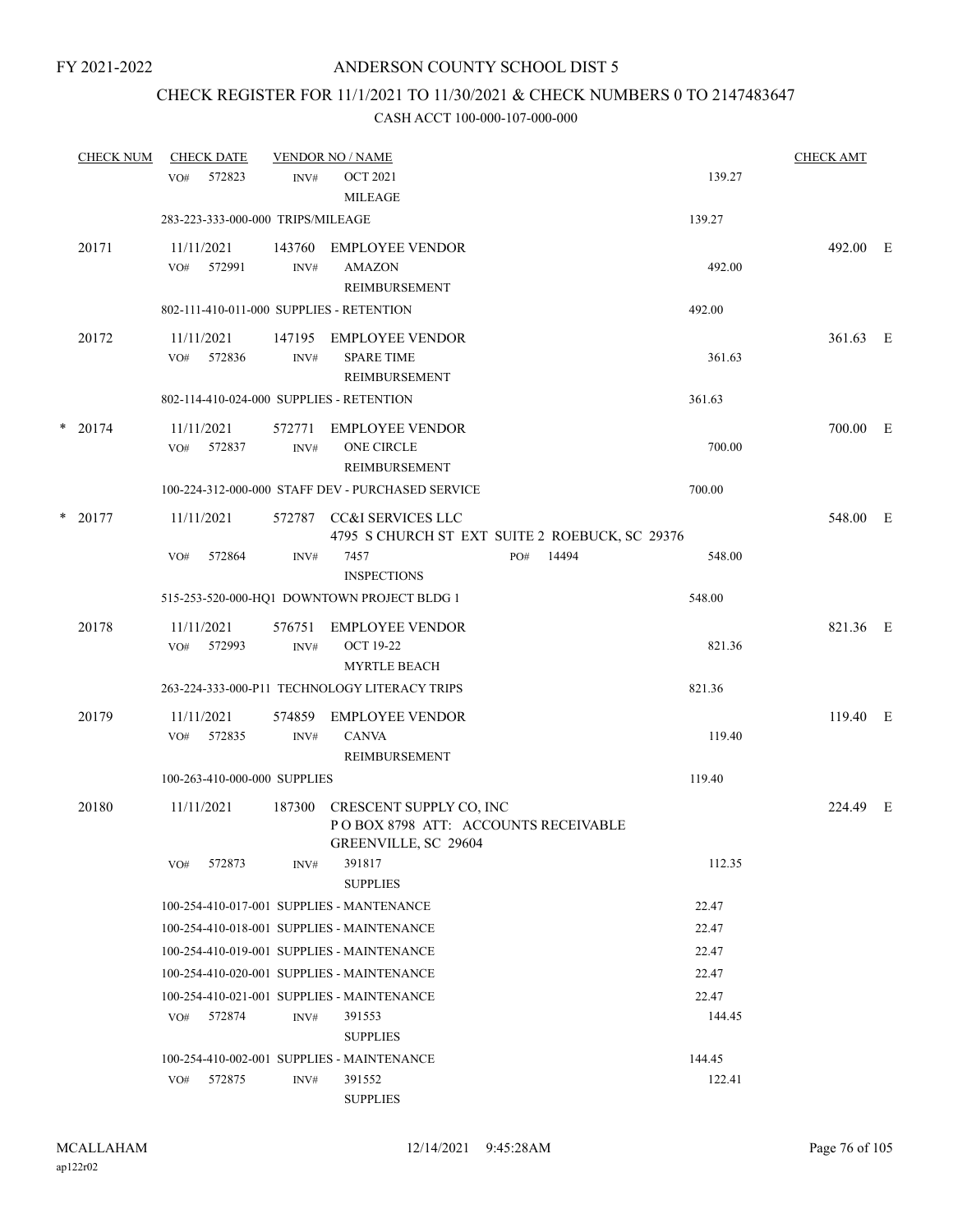## CHECK REGISTER FOR 11/1/2021 TO 11/30/2021 & CHECK NUMBERS 0 TO 2147483647

| <b>CHECK NUM</b> |     | <b>CHECK DATE</b>                 |                | <b>VENDOR NO / NAME</b>                                                                       |              |                 | <b>CHECK AMT</b> |     |
|------------------|-----|-----------------------------------|----------------|-----------------------------------------------------------------------------------------------|--------------|-----------------|------------------|-----|
|                  | VO# | 572823                            | INV#           | <b>OCT 2021</b><br><b>MILEAGE</b>                                                             |              | 139.27          |                  |     |
|                  |     | 283-223-333-000-000 TRIPS/MILEAGE |                |                                                                                               |              | 139.27          |                  |     |
| 20171            | VO# | 11/11/2021<br>572991              | 143760<br>INV# | <b>EMPLOYEE VENDOR</b><br><b>AMAZON</b><br><b>REIMBURSEMENT</b>                               |              | 492.00          | 492.00 E         |     |
|                  |     |                                   |                | 802-111-410-011-000 SUPPLIES - RETENTION                                                      |              | 492.00          |                  |     |
| 20172            | VO# | 11/11/2021<br>572836              | 147195<br>INV# | EMPLOYEE VENDOR<br><b>SPARE TIME</b><br>REIMBURSEMENT                                         |              | 361.63          | 361.63 E         |     |
|                  |     |                                   |                | 802-114-410-024-000 SUPPLIES - RETENTION                                                      |              | 361.63          |                  |     |
| $*$ 20174        | VO# | 11/11/2021<br>572837              | 572771<br>INV# | EMPLOYEE VENDOR<br>ONE CIRCLE<br>REIMBURSEMENT                                                |              | 700.00          | 700.00           | – E |
|                  |     |                                   |                | 100-224-312-000-000 STAFF DEV - PURCHASED SERVICE                                             |              | 700.00          |                  |     |
| $*$ 20177        |     | 11/11/2021                        |                | 572787 CC&I SERVICES LLC<br>4795 S CHURCH ST EXT SUITE 2 ROEBUCK, SC 29376                    |              |                 | 548.00 E         |     |
|                  | VO# | 572864                            | INV#           | 7457<br><b>INSPECTIONS</b>                                                                    | 14494<br>PO# | 548.00          |                  |     |
|                  |     |                                   |                | 515-253-520-000-HQ1 DOWNTOWN PROJECT BLDG 1                                                   |              | 548.00          |                  |     |
| 20178            | VO# | 11/11/2021<br>572993              | 576751<br>INV# | <b>EMPLOYEE VENDOR</b><br><b>OCT 19-22</b><br><b>MYRTLE BEACH</b>                             |              | 821.36          | 821.36 E         |     |
|                  |     |                                   |                | 263-224-333-000-P11 TECHNOLOGY LITERACY TRIPS                                                 |              | 821.36          |                  |     |
| 20179            |     | 11/11/2021                        | 574859         | <b>EMPLOYEE VENDOR</b>                                                                        |              |                 | 119.40 E         |     |
|                  |     | VO# 572835                        | INV#           | <b>CANVA</b><br><b>REIMBURSEMENT</b>                                                          |              | 119.40          |                  |     |
|                  |     | 100-263-410-000-000 SUPPLIES      |                |                                                                                               |              | 119.40          |                  |     |
| 20180            |     | 11/11/2021                        |                | 187300 CRESCENT SUPPLY CO, INC<br>POBOX 8798 ATT: ACCOUNTS RECEIVABLE<br>GREENVILLE, SC 29604 |              |                 | 224.49 E         |     |
|                  | VO# | 572873                            | INV#           | 391817<br><b>SUPPLIES</b>                                                                     |              | 112.35          |                  |     |
|                  |     |                                   |                | 100-254-410-017-001 SUPPLIES - MANTENANCE                                                     |              | 22.47           |                  |     |
|                  |     |                                   |                | 100-254-410-018-001 SUPPLIES - MAINTENANCE                                                    |              | 22.47           |                  |     |
|                  |     |                                   |                | 100-254-410-019-001 SUPPLIES - MAINTENANCE                                                    |              | 22.47           |                  |     |
|                  |     |                                   |                | 100-254-410-020-001 SUPPLIES - MAINTENANCE                                                    |              | 22.47           |                  |     |
|                  | VO# | 572874                            | INV#           | 100-254-410-021-001 SUPPLIES - MAINTENANCE<br>391553<br><b>SUPPLIES</b>                       |              | 22.47<br>144.45 |                  |     |
|                  |     |                                   |                | 100-254-410-002-001 SUPPLIES - MAINTENANCE                                                    |              | 144.45          |                  |     |
|                  | VO# | 572875                            | INV#           | 391552<br><b>SUPPLIES</b>                                                                     |              | 122.41          |                  |     |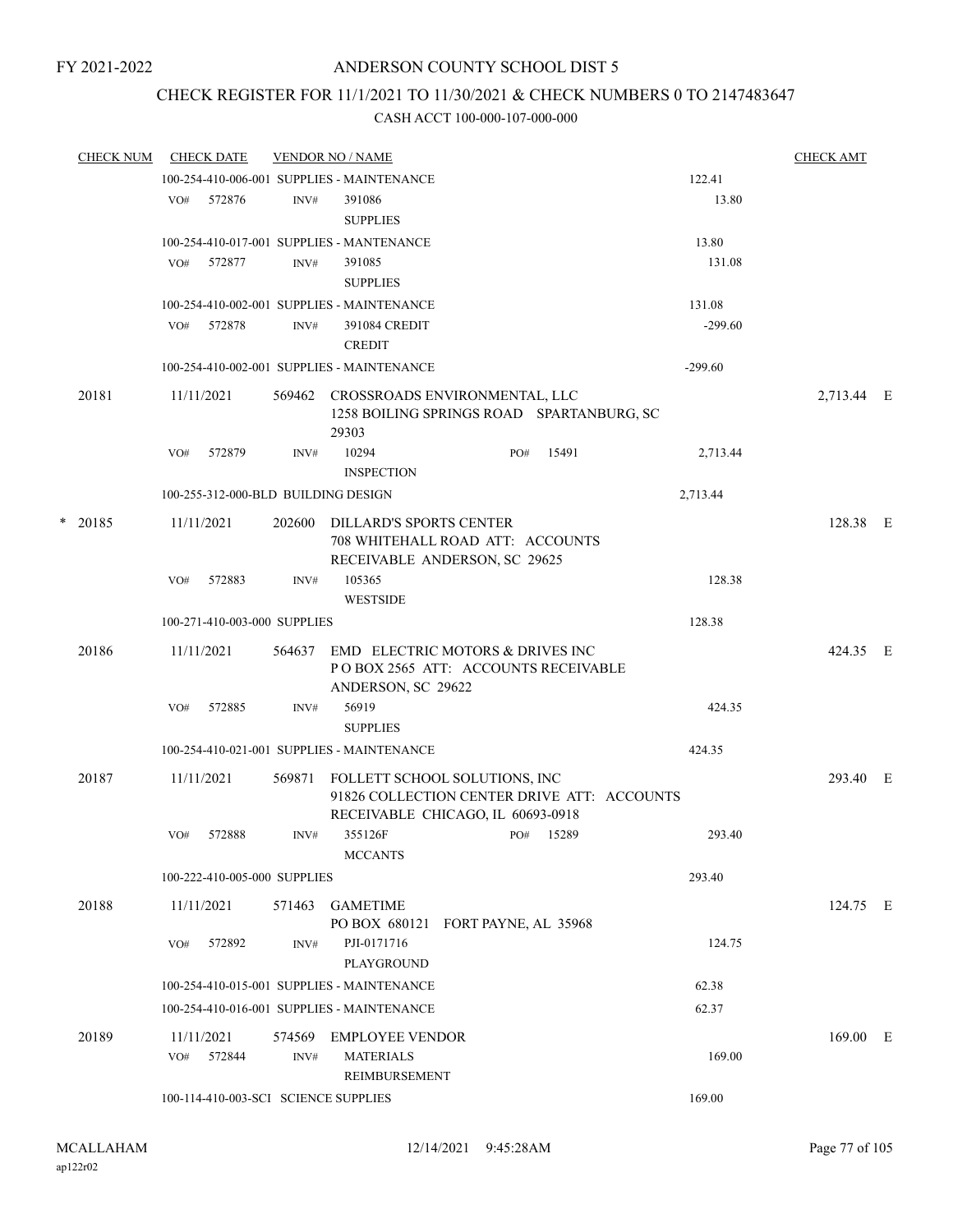### CHECK REGISTER FOR 11/1/2021 TO 11/30/2021 & CHECK NUMBERS 0 TO 2147483647

|   | <b>CHECK NUM</b> |                   | <b>CHECK DATE</b>                    |                | <b>VENDOR NO / NAME</b>                                                                                           |     |       |           | <b>CHECK AMT</b> |  |
|---|------------------|-------------------|--------------------------------------|----------------|-------------------------------------------------------------------------------------------------------------------|-----|-------|-----------|------------------|--|
|   |                  |                   |                                      |                | 100-254-410-006-001 SUPPLIES - MAINTENANCE                                                                        |     |       | 122.41    |                  |  |
|   |                  | VO#               | 572876                               | INV#           | 391086<br><b>SUPPLIES</b>                                                                                         |     |       | 13.80     |                  |  |
|   |                  |                   |                                      |                | 100-254-410-017-001 SUPPLIES - MANTENANCE                                                                         |     |       | 13.80     |                  |  |
|   |                  | VO#               | 572877                               | INV#           | 391085<br><b>SUPPLIES</b>                                                                                         |     |       | 131.08    |                  |  |
|   |                  |                   |                                      |                | 100-254-410-002-001 SUPPLIES - MAINTENANCE                                                                        |     |       | 131.08    |                  |  |
|   |                  | VO#               | 572878                               | INV#           | 391084 CREDIT<br><b>CREDIT</b>                                                                                    |     |       | $-299.60$ |                  |  |
|   |                  |                   |                                      |                | 100-254-410-002-001 SUPPLIES - MAINTENANCE                                                                        |     |       | $-299.60$ |                  |  |
|   | 20181            | 11/11/2021        |                                      | 569462         | CROSSROADS ENVIRONMENTAL, LLC<br>1258 BOILING SPRINGS ROAD SPARTANBURG, SC<br>29303                               |     |       |           | 2,713.44 E       |  |
|   |                  | VO#               | 572879                               | INV#           | 10294<br><b>INSPECTION</b>                                                                                        | PO# | 15491 | 2,713.44  |                  |  |
|   |                  |                   | 100-255-312-000-BLD BUILDING DESIGN  |                |                                                                                                                   |     |       | 2,713.44  |                  |  |
| * | 20185            | 11/11/2021        |                                      | 202600         | DILLARD'S SPORTS CENTER<br>708 WHITEHALL ROAD ATT: ACCOUNTS<br>RECEIVABLE ANDERSON, SC 29625                      |     |       |           | 128.38 E         |  |
|   |                  | VO#               | 572883                               | INV#           | 105365<br><b>WESTSIDE</b>                                                                                         |     |       | 128.38    |                  |  |
|   |                  |                   | 100-271-410-003-000 SUPPLIES         |                |                                                                                                                   |     |       | 128.38    |                  |  |
|   | 20186            | 11/11/2021        |                                      | 564637         | EMD ELECTRIC MOTORS & DRIVES INC<br>POBOX 2565 ATT: ACCOUNTS RECEIVABLE<br>ANDERSON, SC 29622                     |     |       |           | 424.35 E         |  |
|   |                  | VO#               | 572885                               | INV#           | 56919<br><b>SUPPLIES</b>                                                                                          |     |       | 424.35    |                  |  |
|   |                  |                   |                                      |                | 100-254-410-021-001 SUPPLIES - MAINTENANCE                                                                        |     |       | 424.35    |                  |  |
|   | 20187            | 11/11/2021        |                                      | 569871         | FOLLETT SCHOOL SOLUTIONS, INC<br>91826 COLLECTION CENTER DRIVE ATT: ACCOUNTS<br>RECEIVABLE CHICAGO, IL 60693-0918 |     |       |           | 293.40 E         |  |
|   |                  | VO#               | 572888                               | INV#           | 355126F<br><b>MCCANTS</b>                                                                                         | PO# | 15289 | 293.40    |                  |  |
|   |                  |                   | 100-222-410-005-000 SUPPLIES         |                |                                                                                                                   |     |       | 293.40    |                  |  |
|   | 20188            | 11/11/2021        |                                      | 571463         | <b>GAMETIME</b><br>PO BOX 680121 FORT PAYNE, AL 35968                                                             |     |       |           | 124.75 E         |  |
|   |                  | VO#               | 572892                               | INV#           | PJI-0171716<br>PLAYGROUND                                                                                         |     |       | 124.75    |                  |  |
|   |                  |                   |                                      |                | 100-254-410-015-001 SUPPLIES - MAINTENANCE                                                                        |     |       | 62.38     |                  |  |
|   |                  |                   |                                      |                | 100-254-410-016-001 SUPPLIES - MAINTENANCE                                                                        |     |       | 62.37     |                  |  |
|   | 20189            | 11/11/2021<br>VO# | 572844                               | 574569<br>INV# | <b>EMPLOYEE VENDOR</b><br><b>MATERIALS</b>                                                                        |     |       | 169.00    | $169.00$ E       |  |
|   |                  |                   | 100-114-410-003-SCI SCIENCE SUPPLIES |                | REIMBURSEMENT                                                                                                     |     |       | 169.00    |                  |  |
|   |                  |                   |                                      |                |                                                                                                                   |     |       |           |                  |  |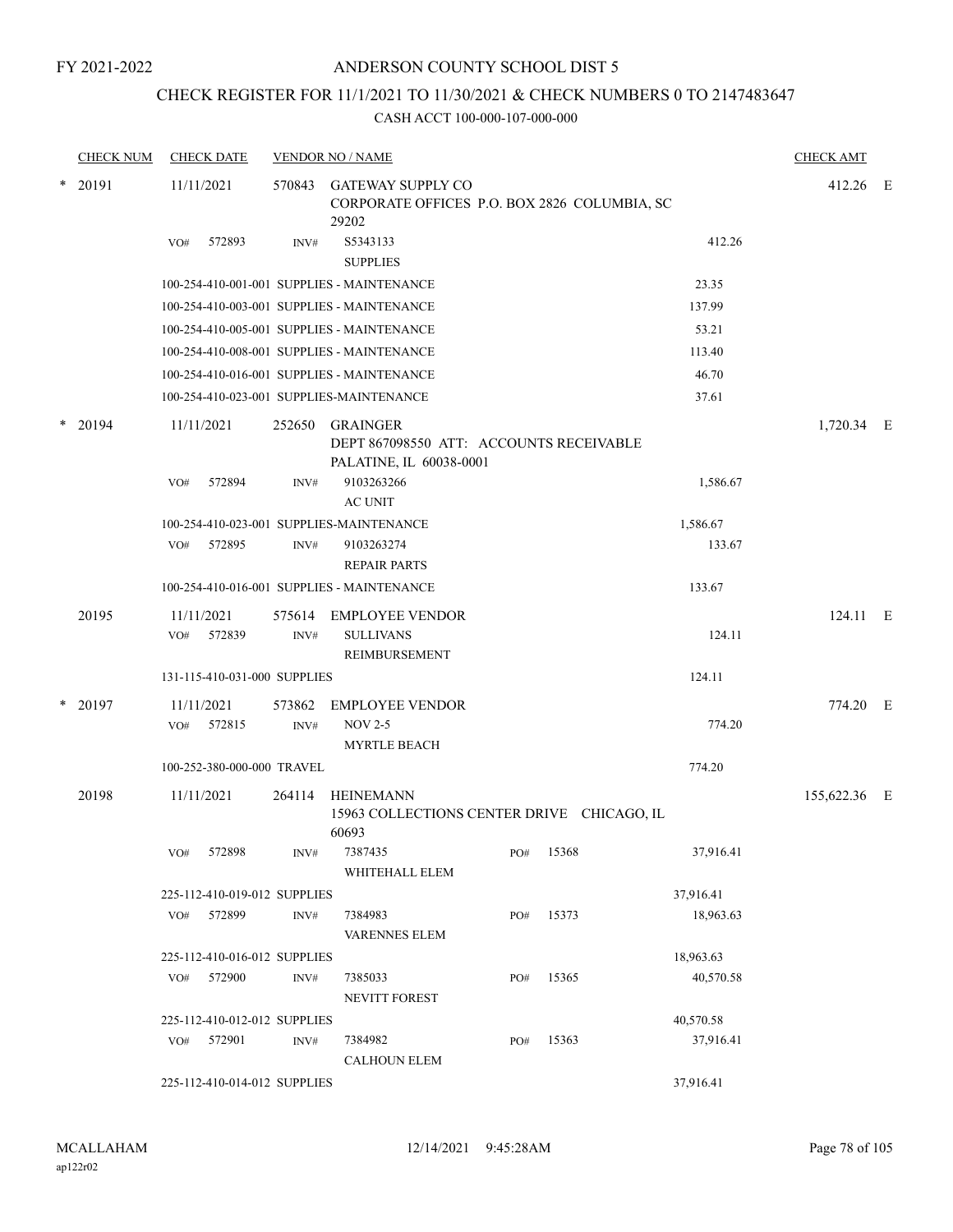## ANDERSON COUNTY SCHOOL DIST 5

## CHECK REGISTER FOR 11/1/2021 TO 11/30/2021 & CHECK NUMBERS 0 TO 2147483647

|        | <b>CHECK NUM</b> | <b>CHECK DATE</b>            |                | <b>VENDOR NO / NAME</b>                                                               |     |       |           | <b>CHECK AMT</b> |  |
|--------|------------------|------------------------------|----------------|---------------------------------------------------------------------------------------|-----|-------|-----------|------------------|--|
|        | $*$ 20191        | 11/11/2021                   | 570843         | <b>GATEWAY SUPPLY CO</b><br>CORPORATE OFFICES P.O. BOX 2826 COLUMBIA, SC<br>29202     |     |       |           | 412.26 E         |  |
|        |                  | 572893<br>VO#                | INV#           | S5343133<br><b>SUPPLIES</b>                                                           |     |       | 412.26    |                  |  |
|        |                  |                              |                | 100-254-410-001-001 SUPPLIES - MAINTENANCE                                            |     |       | 23.35     |                  |  |
|        |                  |                              |                | 100-254-410-003-001 SUPPLIES - MAINTENANCE                                            |     |       | 137.99    |                  |  |
|        |                  |                              |                | 100-254-410-005-001 SUPPLIES - MAINTENANCE                                            |     |       | 53.21     |                  |  |
|        |                  |                              |                | 100-254-410-008-001 SUPPLIES - MAINTENANCE                                            |     |       | 113.40    |                  |  |
|        |                  |                              |                | 100-254-410-016-001 SUPPLIES - MAINTENANCE                                            |     |       | 46.70     |                  |  |
|        |                  |                              |                | 100-254-410-023-001 SUPPLIES-MAINTENANCE                                              |     |       | 37.61     |                  |  |
| *      | 20194            | 11/11/2021                   | 252650         | <b>GRAINGER</b><br>DEPT 867098550 ATT: ACCOUNTS RECEIVABLE<br>PALATINE, IL 60038-0001 |     |       |           | 1,720.34 E       |  |
|        |                  | 572894<br>VO#                | INV#           | 9103263266<br><b>AC UNIT</b>                                                          |     |       | 1,586.67  |                  |  |
|        |                  |                              |                | 100-254-410-023-001 SUPPLIES-MAINTENANCE                                              |     |       | 1,586.67  |                  |  |
|        |                  | 572895<br>VO#                | INV#           | 9103263274<br><b>REPAIR PARTS</b>                                                     |     |       | 133.67    |                  |  |
|        |                  |                              |                | 100-254-410-016-001 SUPPLIES - MAINTENANCE                                            |     |       | 133.67    |                  |  |
|        | 20195            | 11/11/2021<br>572839<br>VO#  | 575614<br>INV# | <b>EMPLOYEE VENDOR</b><br><b>SULLIVANS</b><br>REIMBURSEMENT                           |     |       | 124.11    | 124.11 E         |  |
|        |                  | 131-115-410-031-000 SUPPLIES |                |                                                                                       |     |       | 124.11    |                  |  |
|        |                  |                              |                |                                                                                       |     |       |           |                  |  |
| $\ast$ | 20197            | 11/11/2021<br>572815<br>VO#  | 573862<br>INV# | <b>EMPLOYEE VENDOR</b><br><b>NOV 2-5</b><br><b>MYRTLE BEACH</b>                       |     |       | 774.20    | 774.20 E         |  |
|        |                  | 100-252-380-000-000 TRAVEL   |                |                                                                                       |     |       | 774.20    |                  |  |
|        | 20198            | 11/11/2021                   | 264114         | <b>HEINEMANN</b><br>15963 COLLECTIONS CENTER DRIVE CHICAGO, IL<br>60693               |     |       |           | 155,622.36 E     |  |
|        |                  | $\rm VO\#$ 572898            | INV#           | 7387435<br>WHITEHALL ELEM                                                             | PO# | 15368 | 37,916.41 |                  |  |
|        |                  | 225-112-410-019-012 SUPPLIES |                |                                                                                       |     |       | 37,916.41 |                  |  |
|        |                  | VO# 572899                   | INV#           | 7384983<br><b>VARENNES ELEM</b>                                                       | PO# | 15373 | 18,963.63 |                  |  |
|        |                  | 225-112-410-016-012 SUPPLIES |                |                                                                                       |     |       | 18,963.63 |                  |  |
|        |                  | 572900<br>VO#                | INV#           | 7385033<br><b>NEVITT FOREST</b>                                                       | PO# | 15365 | 40,570.58 |                  |  |
|        |                  | 225-112-410-012-012 SUPPLIES |                |                                                                                       |     |       | 40,570.58 |                  |  |
|        |                  | VO# 572901                   | INV#           | 7384982<br><b>CALHOUN ELEM</b>                                                        | PO# | 15363 | 37,916.41 |                  |  |
|        |                  | 225-112-410-014-012 SUPPLIES |                |                                                                                       |     |       | 37,916.41 |                  |  |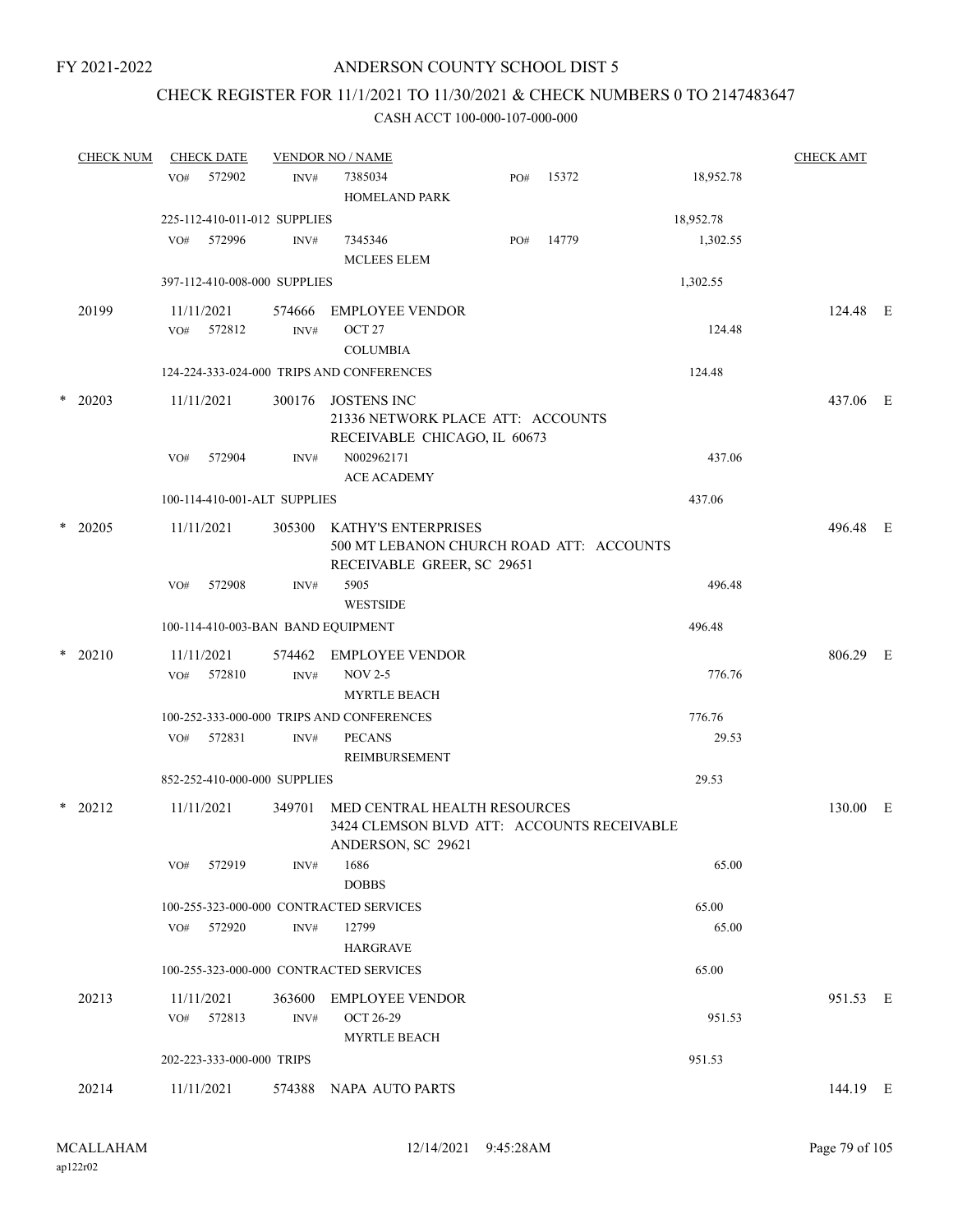### CHECK REGISTER FOR 11/1/2021 TO 11/30/2021 & CHECK NUMBERS 0 TO 2147483647

|        | <b>CHECK NUM</b> |     | <b>CHECK DATE</b>         |                              | <b>VENDOR NO / NAME</b>                                                                              |     |       |           | <b>CHECK AMT</b> |  |
|--------|------------------|-----|---------------------------|------------------------------|------------------------------------------------------------------------------------------------------|-----|-------|-----------|------------------|--|
|        |                  | VO# | 572902                    | INV#                         | 7385034<br>HOMELAND PARK                                                                             | PO# | 15372 | 18,952.78 |                  |  |
|        |                  |     |                           | 225-112-410-011-012 SUPPLIES |                                                                                                      |     |       | 18,952.78 |                  |  |
|        |                  | VO# | 572996                    | INV#                         | 7345346<br><b>MCLEES ELEM</b>                                                                        | PO# | 14779 | 1,302.55  |                  |  |
|        |                  |     |                           | 397-112-410-008-000 SUPPLIES |                                                                                                      |     |       | 1,302.55  |                  |  |
|        | 20199            |     | 11/11/2021<br>VO# 572812  | 574666<br>INV#               | <b>EMPLOYEE VENDOR</b><br>OCT <sub>27</sub><br><b>COLUMBIA</b>                                       |     |       | 124.48    | 124.48 E         |  |
|        |                  |     |                           |                              | 124-224-333-024-000 TRIPS AND CONFERENCES                                                            |     |       | 124.48    |                  |  |
|        | $*$ 20203        |     | 11/11/2021                | 300176                       | JOSTENS INC<br>21336 NETWORK PLACE ATT: ACCOUNTS<br>RECEIVABLE CHICAGO, IL 60673                     |     |       |           | 437.06 E         |  |
|        |                  | VO# | 572904                    | INV#                         | N002962171<br><b>ACE ACADEMY</b>                                                                     |     |       | 437.06    |                  |  |
|        |                  |     |                           | 100-114-410-001-ALT SUPPLIES |                                                                                                      |     |       | 437.06    |                  |  |
| $\ast$ | 20205            |     | 11/11/2021                | 305300                       | <b>KATHY'S ENTERPRISES</b><br>500 MT LEBANON CHURCH ROAD ATT: ACCOUNTS<br>RECEIVABLE GREER, SC 29651 |     |       |           | 496.48 E         |  |
|        |                  | VO# | 572908                    | INV#                         | 5905<br><b>WESTSIDE</b>                                                                              |     |       | 496.48    |                  |  |
|        |                  |     |                           |                              | 100-114-410-003-BAN BAND EQUIPMENT                                                                   |     |       | 496.48    |                  |  |
|        | $*$ 20210        | VO# | 11/11/2021<br>572810      | INV#                         | 574462 EMPLOYEE VENDOR<br><b>NOV 2-5</b><br><b>MYRTLE BEACH</b>                                      |     |       | 776.76    | 806.29 E         |  |
|        |                  |     |                           |                              | 100-252-333-000-000 TRIPS AND CONFERENCES                                                            |     |       | 776.76    |                  |  |
|        |                  | VO# | 572831                    | INV#                         | <b>PECANS</b><br>REIMBURSEMENT                                                                       |     |       | 29.53     |                  |  |
|        |                  |     |                           | 852-252-410-000-000 SUPPLIES |                                                                                                      |     |       | 29.53     |                  |  |
|        | * 20212          |     | 11/11/2021                | 349701                       | MED CENTRAL HEALTH RESOURCES<br>3424 CLEMSON BLVD ATT: ACCOUNTS RECEIVABLE<br>ANDERSON, SC 29621     |     |       |           | 130.00 E         |  |
|        |                  | VO# | 572919                    | INV#                         | 1686<br><b>DOBBS</b>                                                                                 |     |       | 65.00     |                  |  |
|        |                  |     |                           |                              | 100-255-323-000-000 CONTRACTED SERVICES                                                              |     |       | 65.00     |                  |  |
|        |                  |     | VO# 572920                | INV#                         | 12799<br><b>HARGRAVE</b>                                                                             |     |       | 65.00     |                  |  |
|        |                  |     |                           |                              | 100-255-323-000-000 CONTRACTED SERVICES                                                              |     |       | 65.00     |                  |  |
|        | 20213            | VO# | 11/11/2021<br>572813      | 363600<br>INV#               | <b>EMPLOYEE VENDOR</b><br><b>OCT 26-29</b><br><b>MYRTLE BEACH</b>                                    |     |       | 951.53    | 951.53 E         |  |
|        |                  |     | 202-223-333-000-000 TRIPS |                              |                                                                                                      |     |       | 951.53    |                  |  |
|        | 20214            |     | 11/11/2021                | 574388                       | NAPA AUTO PARTS                                                                                      |     |       |           | 144.19 E         |  |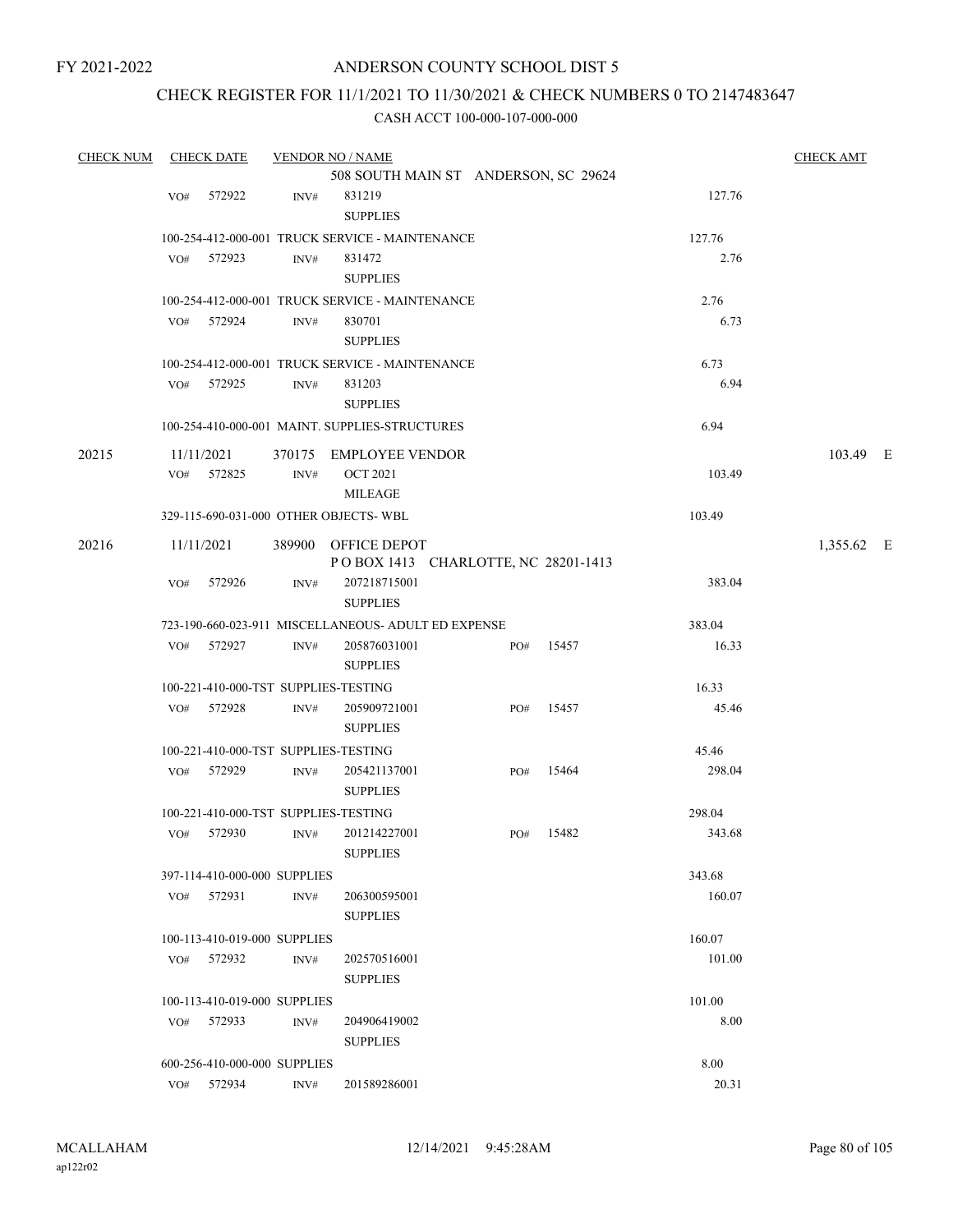## ANDERSON COUNTY SCHOOL DIST 5

## CHECK REGISTER FOR 11/1/2021 TO 11/30/2021 & CHECK NUMBERS 0 TO 2147483647

| <b>CHECK NUM</b> |     | <b>CHECK DATE</b>            |                | <b>VENDOR NO / NAME</b>                             |     |       |        | <b>CHECK AMT</b> |  |
|------------------|-----|------------------------------|----------------|-----------------------------------------------------|-----|-------|--------|------------------|--|
|                  |     |                              |                | 508 SOUTH MAIN ST ANDERSON, SC 29624                |     |       |        |                  |  |
|                  | VO# | 572922                       | INV#           | 831219                                              |     |       | 127.76 |                  |  |
|                  |     |                              |                | <b>SUPPLIES</b>                                     |     |       |        |                  |  |
|                  |     |                              |                | 100-254-412-000-001 TRUCK SERVICE - MAINTENANCE     |     |       | 127.76 |                  |  |
|                  | VO# | 572923                       | $\text{INV}\#$ | 831472                                              |     |       | 2.76   |                  |  |
|                  |     |                              |                | <b>SUPPLIES</b>                                     |     |       |        |                  |  |
|                  |     |                              |                | 100-254-412-000-001 TRUCK SERVICE - MAINTENANCE     |     |       | 2.76   |                  |  |
|                  | VO# | 572924                       | INV#           | 830701                                              |     |       | 6.73   |                  |  |
|                  |     |                              |                | <b>SUPPLIES</b>                                     |     |       |        |                  |  |
|                  |     |                              |                | 100-254-412-000-001 TRUCK SERVICE - MAINTENANCE     |     |       | 6.73   |                  |  |
|                  | VO# | 572925                       | INV#           | 831203                                              |     |       | 6.94   |                  |  |
|                  |     |                              |                | <b>SUPPLIES</b>                                     |     |       |        |                  |  |
|                  |     |                              |                | 100-254-410-000-001 MAINT. SUPPLIES-STRUCTURES      |     |       | 6.94   |                  |  |
| 20215            |     | 11/11/2021                   |                | 370175 EMPLOYEE VENDOR                              |     |       |        | 103.49 E         |  |
|                  | VO# | 572825                       | INV#           | <b>OCT 2021</b>                                     |     |       | 103.49 |                  |  |
|                  |     |                              |                | <b>MILEAGE</b>                                      |     |       |        |                  |  |
|                  |     |                              |                | 329-115-690-031-000 OTHER OBJECTS- WBL              |     |       | 103.49 |                  |  |
| 20216            |     | 11/11/2021                   |                | 389900 OFFICE DEPOT                                 |     |       |        | 1,355.62 E       |  |
|                  |     |                              |                | POBOX 1413 CHARLOTTE, NC 28201-1413                 |     |       |        |                  |  |
|                  | VO# | 572926                       | INV#           | 207218715001                                        |     |       | 383.04 |                  |  |
|                  |     |                              |                | <b>SUPPLIES</b>                                     |     |       |        |                  |  |
|                  |     |                              |                | 723-190-660-023-911 MISCELLANEOUS- ADULT ED EXPENSE |     |       | 383.04 |                  |  |
|                  | VO# | 572927                       | INV#           | 205876031001                                        | PO# | 15457 | 16.33  |                  |  |
|                  |     |                              |                | <b>SUPPLIES</b>                                     |     |       |        |                  |  |
|                  |     |                              |                | 100-221-410-000-TST SUPPLIES-TESTING                |     |       | 16.33  |                  |  |
|                  | VO# | 572928                       | INV#           | 205909721001                                        | PO# | 15457 | 45.46  |                  |  |
|                  |     |                              |                | <b>SUPPLIES</b>                                     |     |       |        |                  |  |
|                  |     |                              |                | 100-221-410-000-TST SUPPLIES-TESTING                |     |       | 45.46  |                  |  |
|                  | VO# | 572929                       | INV#           | 205421137001                                        | PO# | 15464 | 298.04 |                  |  |
|                  |     |                              |                | <b>SUPPLIES</b>                                     |     |       |        |                  |  |
|                  |     |                              |                | 100-221-410-000-TST SUPPLIES-TESTING                |     |       | 298.04 |                  |  |
|                  | VO# | 572930                       | INV#           | 201214227001                                        | PO# | 15482 | 343.68 |                  |  |
|                  |     |                              |                | <b>SUPPLIES</b>                                     |     |       |        |                  |  |
|                  |     | 397-114-410-000-000 SUPPLIES |                |                                                     |     |       | 343.68 |                  |  |
|                  |     | VO# 572931                   | INV#           | 206300595001                                        |     |       | 160.07 |                  |  |
|                  |     |                              |                | <b>SUPPLIES</b>                                     |     |       |        |                  |  |
|                  |     | 100-113-410-019-000 SUPPLIES |                |                                                     |     |       | 160.07 |                  |  |
|                  | VO# | 572932                       | INV#           | 202570516001                                        |     |       | 101.00 |                  |  |
|                  |     |                              |                | <b>SUPPLIES</b>                                     |     |       |        |                  |  |
|                  |     | 100-113-410-019-000 SUPPLIES |                |                                                     |     |       | 101.00 |                  |  |
|                  | VO# | 572933                       | INV#           | 204906419002                                        |     |       | 8.00   |                  |  |
|                  |     |                              |                | <b>SUPPLIES</b>                                     |     |       |        |                  |  |
|                  |     | 600-256-410-000-000 SUPPLIES |                |                                                     |     |       | 8.00   |                  |  |
|                  |     | $VO#$ 572934                 | INV#           | 201589286001                                        |     |       | 20.31  |                  |  |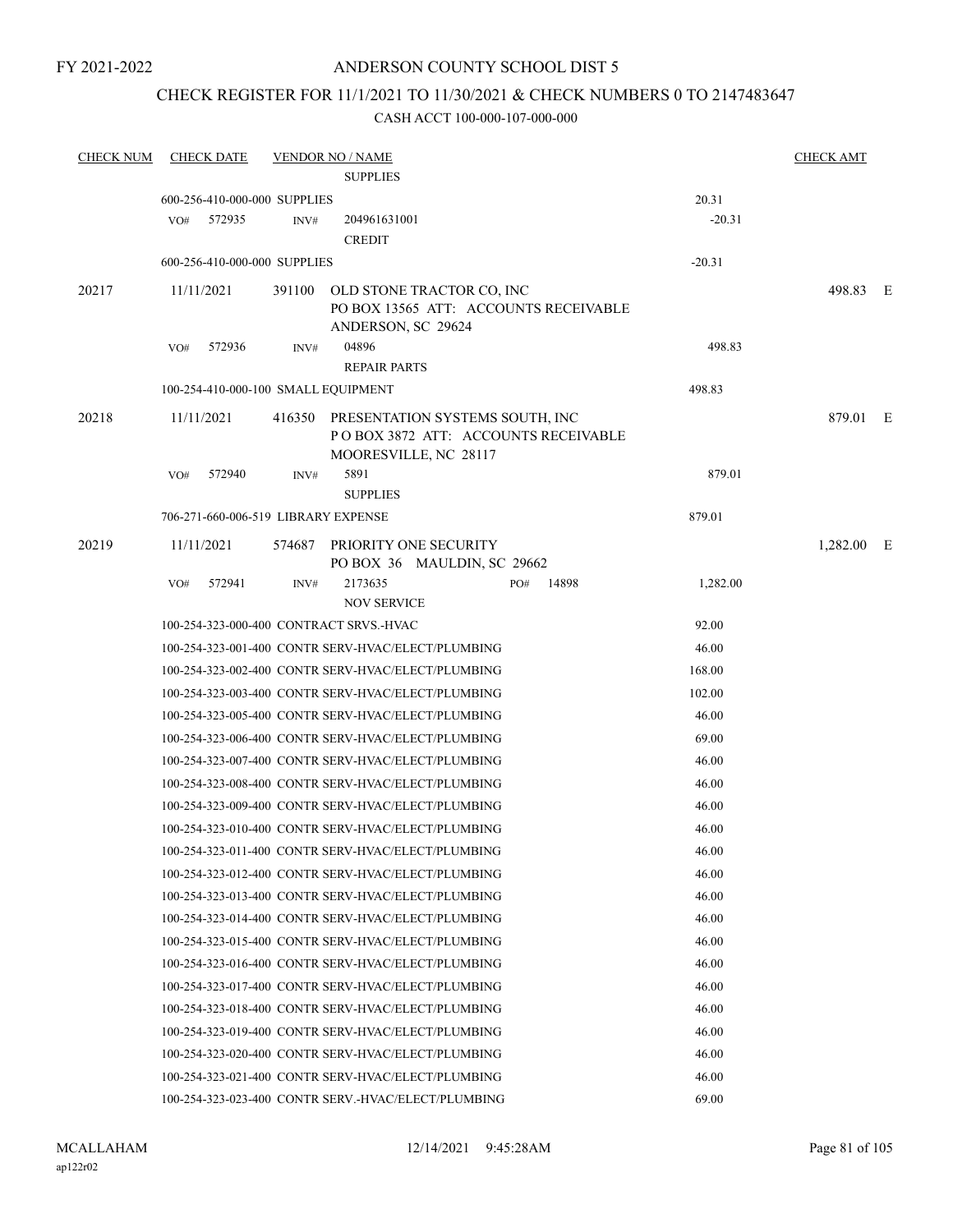## ANDERSON COUNTY SCHOOL DIST 5

## CHECK REGISTER FOR 11/1/2021 TO 11/30/2021 & CHECK NUMBERS 0 TO 2147483647

| <b>CHECK NUM</b> | <b>CHECK DATE</b>                       |        | <b>VENDOR NO / NAME</b>                                                                                |                   | <b>CHECK AMT</b> |  |
|------------------|-----------------------------------------|--------|--------------------------------------------------------------------------------------------------------|-------------------|------------------|--|
|                  |                                         |        | <b>SUPPLIES</b>                                                                                        |                   |                  |  |
|                  | 600-256-410-000-000 SUPPLIES            |        |                                                                                                        | 20.31             |                  |  |
|                  | VO# 572935                              | INV#   | 204961631001                                                                                           | $-20.31$          |                  |  |
|                  |                                         |        | <b>CREDIT</b>                                                                                          |                   |                  |  |
|                  | 600-256-410-000-000 SUPPLIES            |        |                                                                                                        | $-20.31$          |                  |  |
| 20217            | 11/11/2021                              | 391100 | OLD STONE TRACTOR CO, INC                                                                              |                   | 498.83 E         |  |
|                  |                                         |        | PO BOX 13565 ATT: ACCOUNTS RECEIVABLE                                                                  |                   |                  |  |
|                  |                                         |        | ANDERSON, SC 29624                                                                                     |                   |                  |  |
|                  | 572936<br>VO#                           | INV#   | 04896<br><b>REPAIR PARTS</b>                                                                           | 498.83            |                  |  |
|                  | 100-254-410-000-100 SMALL EQUIPMENT     |        |                                                                                                        | 498.83            |                  |  |
|                  |                                         |        |                                                                                                        |                   |                  |  |
| 20218            | 11/11/2021                              |        | 416350 PRESENTATION SYSTEMS SOUTH, INC<br>POBOX 3872 ATT: ACCOUNTS RECEIVABLE<br>MOORESVILLE, NC 28117 |                   | 879.01 E         |  |
|                  | VO#<br>572940                           | INV#   | 5891                                                                                                   | 879.01            |                  |  |
|                  |                                         |        | <b>SUPPLIES</b>                                                                                        |                   |                  |  |
|                  | 706-271-660-006-519 LIBRARY EXPENSE     |        |                                                                                                        | 879.01            |                  |  |
| 20219            | 11/11/2021                              |        | 574687 PRIORITY ONE SECURITY<br>PO BOX 36 MAULDIN, SC 29662                                            |                   | 1,282.00 E       |  |
|                  | 572941<br>VO#                           | INV#   | 2173635<br>PO#<br><b>NOV SERVICE</b>                                                                   | 14898<br>1,282.00 |                  |  |
|                  | 100-254-323-000-400 CONTRACT SRVS.-HVAC |        |                                                                                                        | 92.00             |                  |  |
|                  |                                         |        | 100-254-323-001-400 CONTR SERV-HVAC/ELECT/PLUMBING                                                     | 46.00             |                  |  |
|                  |                                         |        | 100-254-323-002-400 CONTR SERV-HVAC/ELECT/PLUMBING                                                     | 168.00            |                  |  |
|                  |                                         |        | 100-254-323-003-400 CONTR SERV-HVAC/ELECT/PLUMBING                                                     | 102.00            |                  |  |
|                  |                                         |        | 100-254-323-005-400 CONTR SERV-HVAC/ELECT/PLUMBING                                                     | 46.00             |                  |  |
|                  |                                         |        | 100-254-323-006-400 CONTR SERV-HVAC/ELECT/PLUMBING                                                     | 69.00             |                  |  |
|                  |                                         |        | 100-254-323-007-400 CONTR SERV-HVAC/ELECT/PLUMBING                                                     | 46.00             |                  |  |
|                  |                                         |        | 100-254-323-008-400 CONTR SERV-HVAC/ELECT/PLUMBING                                                     | 46.00             |                  |  |
|                  |                                         |        | 100-254-323-009-400 CONTR SERV-HVAC/ELECT/PLUMBING                                                     | 46.00             |                  |  |
|                  |                                         |        | 100-254-323-010-400 CONTR SERV-HVAC/ELECT/PLUMBING                                                     | 46.00             |                  |  |
|                  |                                         |        | 100-254-323-011-400 CONTR SERV-HVAC/ELECT/PLUMBING                                                     | 46.00             |                  |  |
|                  |                                         |        | 100-254-323-012-400 CONTR SERV-HVAC/ELECT/PLUMBING                                                     | 46.00             |                  |  |
|                  |                                         |        | 100-254-323-013-400 CONTR SERV-HVAC/ELECT/PLUMBING                                                     | 46.00             |                  |  |
|                  |                                         |        | 100-254-323-014-400 CONTR SERV-HVAC/ELECT/PLUMBING                                                     | 46.00             |                  |  |
|                  |                                         |        | 100-254-323-015-400 CONTR SERV-HVAC/ELECT/PLUMBING                                                     | 46.00             |                  |  |
|                  |                                         |        | 100-254-323-016-400 CONTR SERV-HVAC/ELECT/PLUMBING                                                     | 46.00             |                  |  |
|                  |                                         |        | 100-254-323-017-400 CONTR SERV-HVAC/ELECT/PLUMBING                                                     | 46.00             |                  |  |
|                  |                                         |        | 100-254-323-018-400 CONTR SERV-HVAC/ELECT/PLUMBING                                                     | 46.00             |                  |  |
|                  |                                         |        | 100-254-323-019-400 CONTR SERV-HVAC/ELECT/PLUMBING                                                     | 46.00             |                  |  |
|                  |                                         |        | 100-254-323-020-400 CONTR SERV-HVAC/ELECT/PLUMBING                                                     | 46.00             |                  |  |
|                  |                                         |        | 100-254-323-021-400 CONTR SERV-HVAC/ELECT/PLUMBING                                                     | 46.00             |                  |  |
|                  |                                         |        | 100-254-323-023-400 CONTR SERV.-HVAC/ELECT/PLUMBING                                                    | 69.00             |                  |  |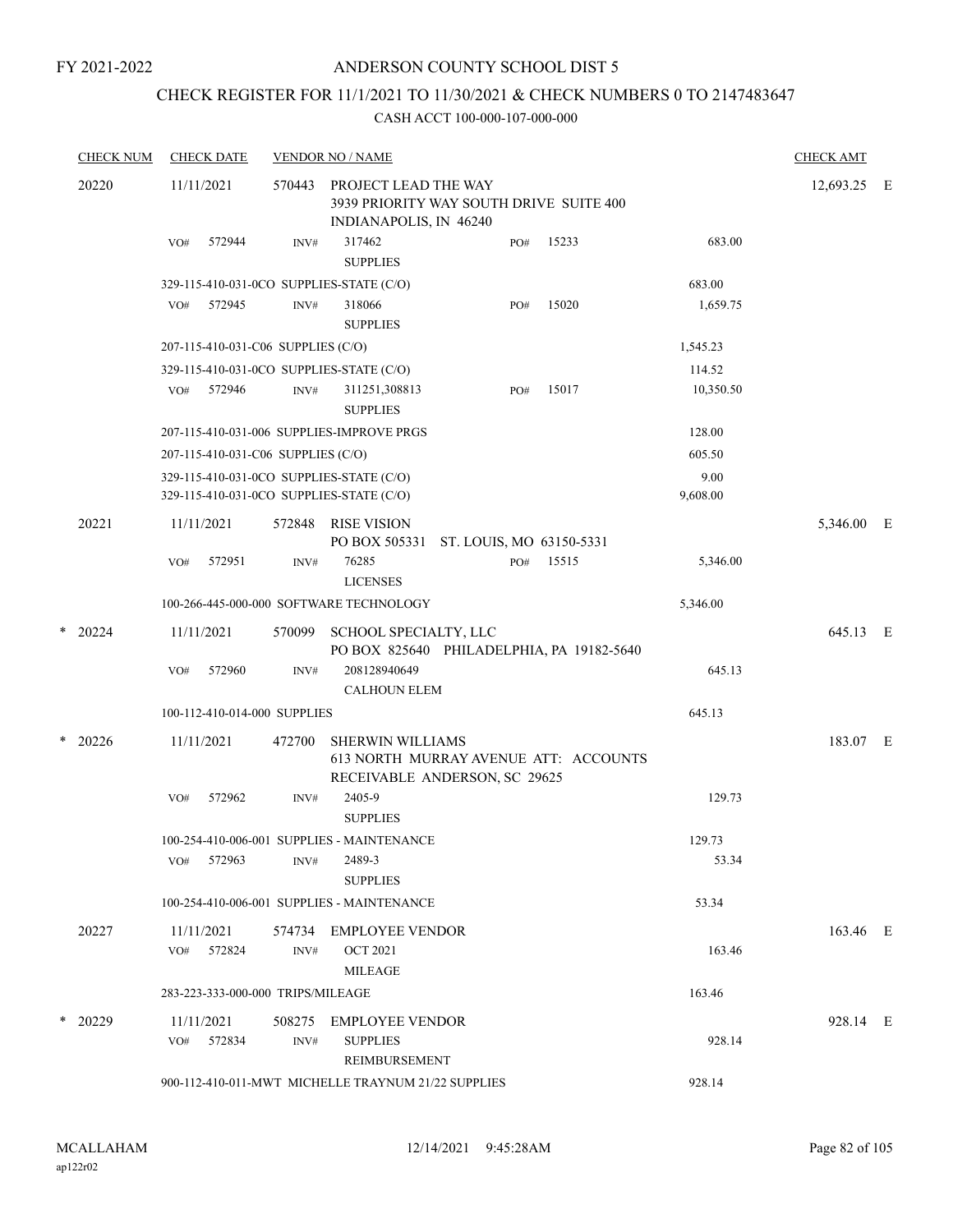## CHECK REGISTER FOR 11/1/2021 TO 11/30/2021 & CHECK NUMBERS 0 TO 2147483647

|   | <b>CHECK NUM</b> | <b>CHECK DATE</b>                                                                    |        | <b>VENDOR NO / NAME</b>                                                                   |     |                                       |                  | <b>CHECK AMT</b> |  |
|---|------------------|--------------------------------------------------------------------------------------|--------|-------------------------------------------------------------------------------------------|-----|---------------------------------------|------------------|------------------|--|
|   | 20220            | 11/11/2021                                                                           | 570443 | PROJECT LEAD THE WAY<br>3939 PRIORITY WAY SOUTH DRIVE SUITE 400<br>INDIANAPOLIS, IN 46240 |     |                                       |                  | 12,693.25 E      |  |
|   |                  | 572944<br>VO#                                                                        | INV#   | 317462<br><b>SUPPLIES</b>                                                                 | PO# | 15233                                 | 683.00           |                  |  |
|   |                  | 329-115-410-031-0CO SUPPLIES-STATE (C/O)                                             |        |                                                                                           |     |                                       | 683.00           |                  |  |
|   |                  | 572945<br>VO#                                                                        | INV#   | 318066<br><b>SUPPLIES</b>                                                                 | PO# | 15020                                 | 1,659.75         |                  |  |
|   |                  | 207-115-410-031-C06 SUPPLIES (C/O)                                                   |        |                                                                                           |     |                                       | 1,545.23         |                  |  |
|   |                  | 329-115-410-031-0CO SUPPLIES-STATE (C/O)                                             |        |                                                                                           |     |                                       | 114.52           |                  |  |
|   |                  | 572946<br>VO#                                                                        | INV#   | 311251,308813<br><b>SUPPLIES</b>                                                          | PO# | 15017                                 | 10,350.50        |                  |  |
|   |                  |                                                                                      |        | 207-115-410-031-006 SUPPLIES-IMPROVE PRGS                                                 |     |                                       | 128.00           |                  |  |
|   |                  | 207-115-410-031-C06 SUPPLIES (C/O)                                                   |        |                                                                                           |     |                                       | 605.50           |                  |  |
|   |                  | 329-115-410-031-0CO SUPPLIES-STATE (C/O)<br>329-115-410-031-0CO SUPPLIES-STATE (C/O) |        |                                                                                           |     |                                       | 9.00<br>9,608.00 |                  |  |
|   | 20221            | 11/11/2021                                                                           | 572848 | RISE VISION<br>PO BOX 505331 ST. LOUIS, MO 63150-5331                                     |     |                                       |                  | 5,346.00 E       |  |
|   |                  | 572951<br>VO#                                                                        | INV#   | 76285<br><b>LICENSES</b>                                                                  | PO# | 15515                                 | 5,346.00         |                  |  |
|   |                  |                                                                                      |        | 100-266-445-000-000 SOFTWARE TECHNOLOGY                                                   |     |                                       | 5,346.00         |                  |  |
|   | $*$ 20224        | 11/11/2021                                                                           | 570099 | SCHOOL SPECIALTY, LLC<br>PO BOX 825640 PHILADELPHIA, PA 19182-5640                        |     |                                       |                  | 645.13 E         |  |
|   |                  | 572960<br>VO#                                                                        | INV#   | 208128940649<br><b>CALHOUN ELEM</b>                                                       |     |                                       | 645.13           |                  |  |
|   |                  | 100-112-410-014-000 SUPPLIES                                                         |        |                                                                                           |     |                                       | 645.13           |                  |  |
|   | $*$ 20226        | 11/11/2021                                                                           | 472700 | <b>SHERWIN WILLIAMS</b><br>RECEIVABLE ANDERSON, SC 29625                                  |     | 613 NORTH MURRAY AVENUE ATT: ACCOUNTS |                  | 183.07 E         |  |
|   |                  | VO#<br>572962                                                                        | INV#   | 2405-9<br><b>SUPPLIES</b>                                                                 |     |                                       | 129.73           |                  |  |
|   |                  |                                                                                      |        | 100-254-410-006-001 SUPPLIES - MAINTENANCE                                                |     |                                       | 129.73           |                  |  |
|   |                  | 572963<br>VO#                                                                        | INV#   | 2489-3<br><b>SUPPLIES</b>                                                                 |     |                                       | 53.34            |                  |  |
|   |                  |                                                                                      |        | 100-254-410-006-001 SUPPLIES - MAINTENANCE                                                |     |                                       | 53.34            |                  |  |
|   | 20227            | 11/11/2021                                                                           | 574734 | <b>EMPLOYEE VENDOR</b>                                                                    |     |                                       |                  | 163.46 E         |  |
|   |                  | VO# 572824                                                                           | INV#   | <b>OCT 2021</b><br><b>MILEAGE</b>                                                         |     |                                       | 163.46           |                  |  |
|   |                  | 283-223-333-000-000 TRIPS/MILEAGE                                                    |        |                                                                                           |     |                                       | 163.46           |                  |  |
| * | 20229            | 11/11/2021                                                                           | 508275 | EMPLOYEE VENDOR                                                                           |     |                                       |                  | 928.14 E         |  |
|   |                  | 572834<br>VO#                                                                        | INV#   | <b>SUPPLIES</b><br>REIMBURSEMENT                                                          |     |                                       | 928.14           |                  |  |
|   |                  |                                                                                      |        | 900-112-410-011-MWT MICHELLE TRAYNUM 21/22 SUPPLIES                                       |     |                                       | 928.14           |                  |  |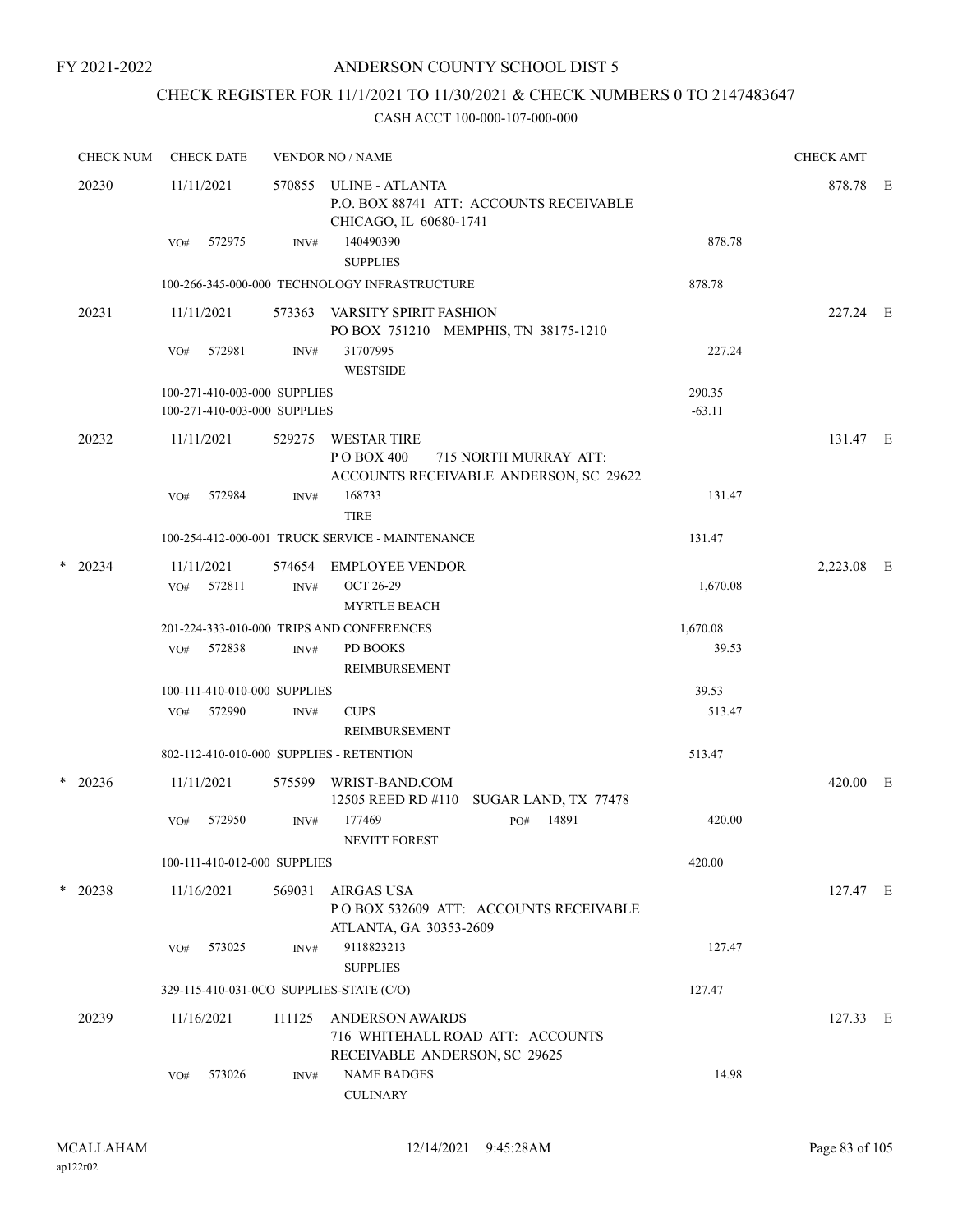## CHECK REGISTER FOR 11/1/2021 TO 11/30/2021 & CHECK NUMBERS 0 TO 2147483647

|   | <b>CHECK NUM</b> | <b>CHECK DATE</b>                                            |                | <b>VENDOR NO / NAME</b>                                                                      |                    | <b>CHECK AMT</b> |  |
|---|------------------|--------------------------------------------------------------|----------------|----------------------------------------------------------------------------------------------|--------------------|------------------|--|
|   | 20230            | 11/11/2021                                                   | 570855         | ULINE - ATLANTA<br>P.O. BOX 88741 ATT: ACCOUNTS RECEIVABLE<br>CHICAGO, IL 60680-1741         |                    | 878.78 E         |  |
|   |                  | 572975<br>VO#                                                | INV#           | 140490390<br><b>SUPPLIES</b>                                                                 | 878.78             |                  |  |
|   |                  |                                                              |                | 100-266-345-000-000 TECHNOLOGY INFRASTRUCTURE                                                | 878.78             |                  |  |
|   | 20231            | 11/11/2021                                                   | 573363         | VARSITY SPIRIT FASHION<br>PO BOX 751210 MEMPHIS, TN 38175-1210                               |                    | 227.24 E         |  |
|   |                  | 572981<br>VO#                                                | INV#           | 31707995<br><b>WESTSIDE</b>                                                                  | 227.24             |                  |  |
|   |                  | 100-271-410-003-000 SUPPLIES<br>100-271-410-003-000 SUPPLIES |                |                                                                                              | 290.35<br>$-63.11$ |                  |  |
|   | 20232            | 11/11/2021                                                   | 529275         | WESTAR TIRE<br>PO BOX 400<br>715 NORTH MURRAY ATT:<br>ACCOUNTS RECEIVABLE ANDERSON, SC 29622 |                    | 131.47 E         |  |
|   |                  | 572984<br>VO#                                                | INV#           | 168733<br><b>TIRE</b>                                                                        | 131.47             |                  |  |
|   |                  |                                                              |                | 100-254-412-000-001 TRUCK SERVICE - MAINTENANCE                                              | 131.47             |                  |  |
| * | 20234            | 11/11/2021<br>VO# 572811                                     | 574654<br>INV# | <b>EMPLOYEE VENDOR</b><br><b>OCT 26-29</b><br><b>MYRTLE BEACH</b>                            | 1,670.08           | 2,223.08 E       |  |
|   |                  |                                                              |                | 201-224-333-010-000 TRIPS AND CONFERENCES                                                    | 1,670.08           |                  |  |
|   |                  | 572838<br>VO#                                                | INV#           | PD BOOKS<br><b>REIMBURSEMENT</b>                                                             | 39.53              |                  |  |
|   |                  | 100-111-410-010-000 SUPPLIES                                 |                |                                                                                              | 39.53              |                  |  |
|   |                  | 572990<br>VO#                                                | INV#           | <b>CUPS</b><br><b>REIMBURSEMENT</b>                                                          | 513.47             |                  |  |
|   |                  | 802-112-410-010-000 SUPPLIES - RETENTION                     |                |                                                                                              | 513.47             |                  |  |
|   | $*$ 20236        | 11/11/2021                                                   | 575599         | WRIST-BAND.COM<br>12505 REED RD #110 SUGAR LAND, TX 77478                                    |                    | 420.00 E         |  |
|   |                  | 572950<br>VO#                                                | INV#           | 177469<br>14891<br>PO#<br>NEVITT FOREST                                                      | 420.00             |                  |  |
|   |                  | 100-111-410-012-000 SUPPLIES                                 |                |                                                                                              | 420.00             |                  |  |
|   | $*$ 20238        | 11/16/2021                                                   | 569031         | AIRGAS USA<br>POBOX 532609 ATT: ACCOUNTS RECEIVABLE<br>ATLANTA, GA 30353-2609                |                    | 127.47 E         |  |
|   |                  | 573025<br>VO#                                                | INV#           | 9118823213<br><b>SUPPLIES</b>                                                                | 127.47             |                  |  |
|   |                  | 329-115-410-031-0CO SUPPLIES-STATE (C/O)                     |                |                                                                                              | 127.47             |                  |  |
|   | 20239            | 11/16/2021                                                   | 111125         | <b>ANDERSON AWARDS</b><br>716 WHITEHALL ROAD ATT: ACCOUNTS<br>RECEIVABLE ANDERSON, SC 29625  |                    | 127.33 E         |  |
|   |                  | 573026<br>VO#                                                | INV#           | <b>NAME BADGES</b><br><b>CULINARY</b>                                                        | 14.98              |                  |  |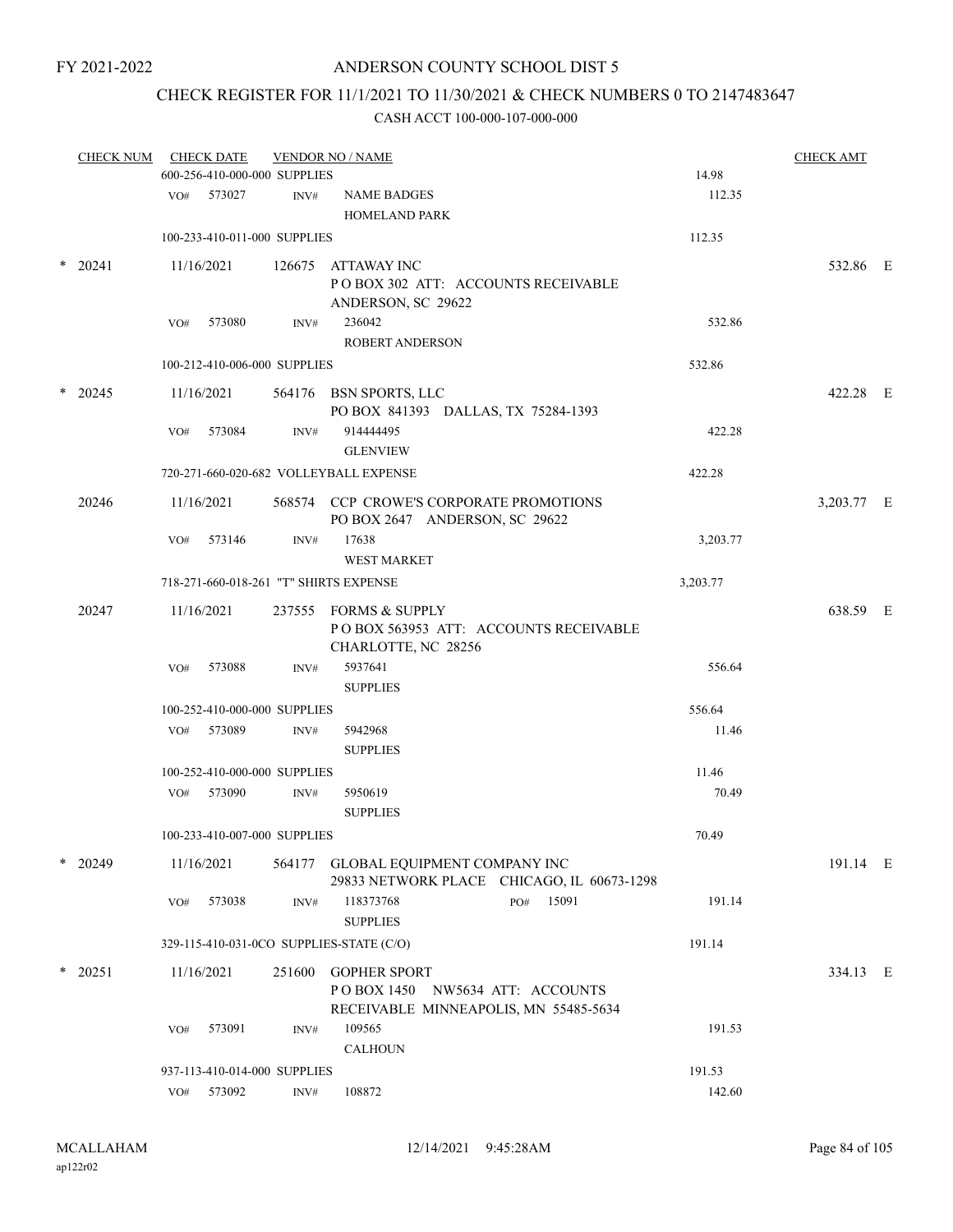## CHECK REGISTER FOR 11/1/2021 TO 11/30/2021 & CHECK NUMBERS 0 TO 2147483647

|   | <b>CHECK NUM</b> |     | <b>CHECK DATE</b><br>600-256-410-000-000 SUPPLIES |                | <b>VENDOR NO / NAME</b>                                                                         |     |       | 14.98    |        | <b>CHECK AMT</b> |  |
|---|------------------|-----|---------------------------------------------------|----------------|-------------------------------------------------------------------------------------------------|-----|-------|----------|--------|------------------|--|
|   |                  |     | VO# 573027                                        | INV#           | <b>NAME BADGES</b>                                                                              |     |       |          | 112.35 |                  |  |
|   |                  |     |                                                   |                | <b>HOMELAND PARK</b>                                                                            |     |       |          |        |                  |  |
|   |                  |     | 100-233-410-011-000 SUPPLIES                      |                |                                                                                                 |     |       | 112.35   |        |                  |  |
| * | 20241            |     | 11/16/2021                                        |                | 126675 ATTAWAY INC<br>POBOX 302 ATT: ACCOUNTS RECEIVABLE<br>ANDERSON, SC 29622                  |     |       |          |        | 532.86 E         |  |
|   |                  | VO# | 573080                                            | INV#           | 236042<br>ROBERT ANDERSON                                                                       |     |       |          | 532.86 |                  |  |
|   |                  |     | 100-212-410-006-000 SUPPLIES                      |                |                                                                                                 |     |       | 532.86   |        |                  |  |
| * | 20245            |     | 11/16/2021                                        |                | 564176 BSN SPORTS, LLC<br>PO BOX 841393 DALLAS, TX 75284-1393                                   |     |       |          |        | 422.28 E         |  |
|   |                  | VO# | 573084                                            | INV#           | 914444495<br><b>GLENVIEW</b>                                                                    |     |       |          | 422.28 |                  |  |
|   |                  |     |                                                   |                | 720-271-660-020-682 VOLLEYBALL EXPENSE                                                          |     |       | 422.28   |        |                  |  |
|   | 20246            |     | 11/16/2021                                        |                | 568574 CCP CROWE'S CORPORATE PROMOTIONS<br>PO BOX 2647 ANDERSON, SC 29622                       |     |       |          |        | 3,203.77 E       |  |
|   |                  | VO# | 573146                                            | INV#           | 17638<br><b>WEST MARKET</b>                                                                     |     |       | 3,203.77 |        |                  |  |
|   |                  |     |                                                   |                | 718-271-660-018-261 "T" SHIRTS EXPENSE                                                          |     |       | 3,203.77 |        |                  |  |
|   | 20247            |     | 11/16/2021                                        |                | 237555 FORMS & SUPPLY<br>POBOX 563953 ATT: ACCOUNTS RECEIVABLE<br>CHARLOTTE, NC 28256           |     |       |          |        | 638.59 E         |  |
|   |                  | VO# | 573088                                            | INV#           | 5937641<br><b>SUPPLIES</b>                                                                      |     |       |          | 556.64 |                  |  |
|   |                  |     | 100-252-410-000-000 SUPPLIES                      |                |                                                                                                 |     |       | 556.64   |        |                  |  |
|   |                  |     | VO# 573089                                        | INV#           | 5942968<br><b>SUPPLIES</b>                                                                      |     |       |          | 11.46  |                  |  |
|   |                  |     | 100-252-410-000-000 SUPPLIES                      |                |                                                                                                 |     |       | 11.46    |        |                  |  |
|   |                  |     | VO# 573090                                        | INV#           | 5950619<br><b>SUPPLIES</b>                                                                      |     |       |          | 70.49  |                  |  |
|   |                  |     | 100-233-410-007-000 SUPPLIES                      |                |                                                                                                 |     |       | 70.49    |        |                  |  |
|   | $*$ 20249        |     | 11/16/2021                                        |                | 564177 GLOBAL EQUIPMENT COMPANY INC<br>29833 NETWORK PLACE CHICAGO, IL 60673-1298               |     |       |          |        | 191.14 E         |  |
|   |                  | VO# | 573038                                            | INV#           | 118373768<br><b>SUPPLIES</b>                                                                    | PO# | 15091 |          | 191.14 |                  |  |
|   |                  |     |                                                   |                | 329-115-410-031-0CO SUPPLIES-STATE (C/O)                                                        |     |       | 191.14   |        |                  |  |
|   | $*$ 20251        |     | 11/16/2021                                        | 251600         | <b>GOPHER SPORT</b><br>POBOX 1450 NW5634 ATT: ACCOUNTS<br>RECEIVABLE MINNEAPOLIS, MN 55485-5634 |     |       |          |        | 334.13 E         |  |
|   |                  | VO# | 573091                                            | INV#           | 109565<br><b>CALHOUN</b>                                                                        |     |       |          | 191.53 |                  |  |
|   |                  |     | 937-113-410-014-000 SUPPLIES                      |                |                                                                                                 |     |       | 191.53   |        |                  |  |
|   |                  |     | VO# 573092                                        | $\text{INV}\#$ | 108872                                                                                          |     |       |          | 142.60 |                  |  |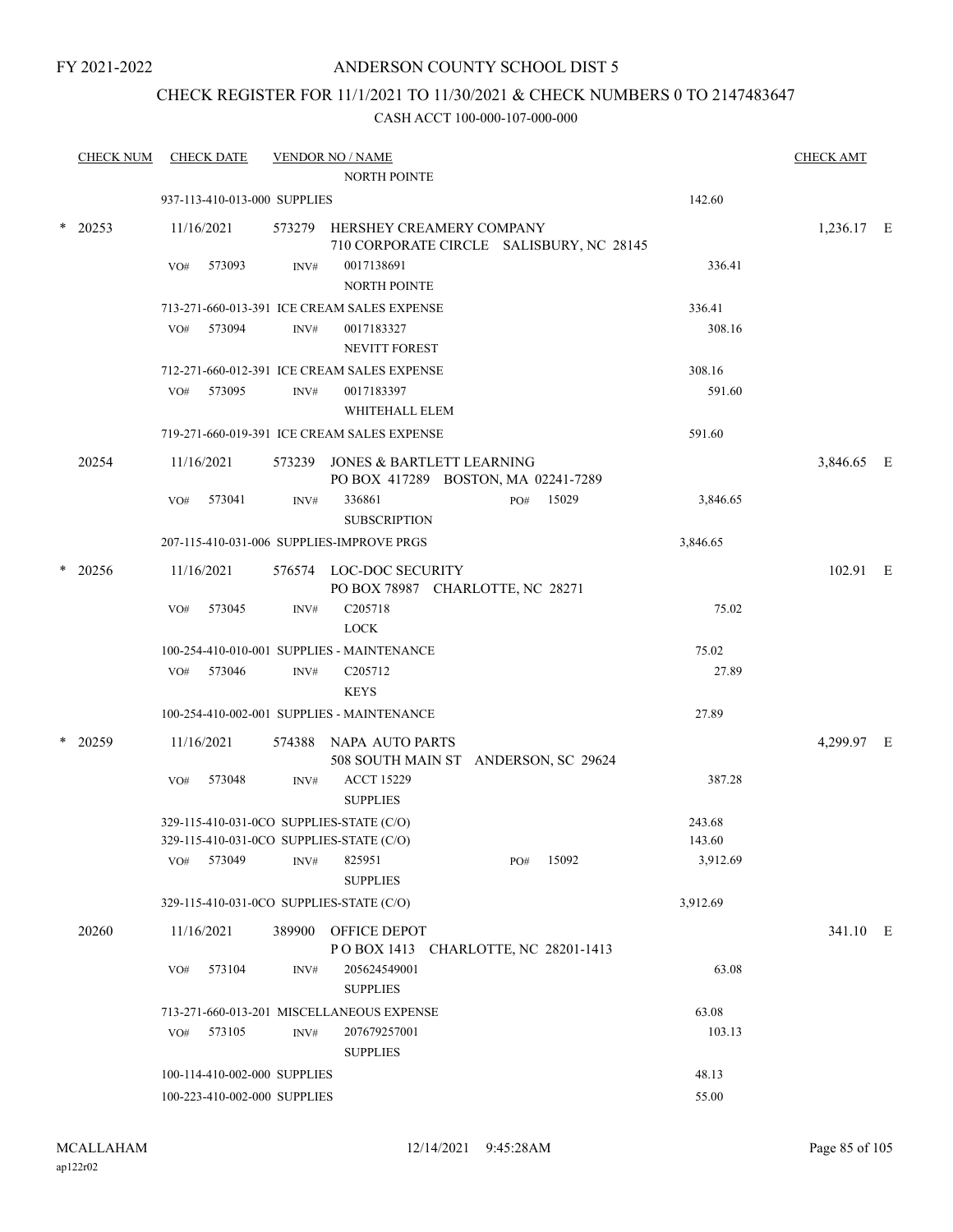## ANDERSON COUNTY SCHOOL DIST 5

## CHECK REGISTER FOR 11/1/2021 TO 11/30/2021 & CHECK NUMBERS 0 TO 2147483647

| <b>CHECK NUM</b> |            | <b>CHECK DATE</b>            |        | <b>VENDOR NO / NAME</b><br><b>NORTH POINTE</b>                                       |     |       |                  | <b>CHECK AMT</b> |  |
|------------------|------------|------------------------------|--------|--------------------------------------------------------------------------------------|-----|-------|------------------|------------------|--|
|                  |            | 937-113-410-013-000 SUPPLIES |        |                                                                                      |     |       | 142.60           |                  |  |
| $*$ 20253        | 11/16/2021 |                              |        | 573279 HERSHEY CREAMERY COMPANY<br>710 CORPORATE CIRCLE SALISBURY, NC 28145          |     |       |                  | 1,236.17 E       |  |
|                  | VO#        | 573093                       | INV#   | 0017138691<br><b>NORTH POINTE</b>                                                    |     |       | 336.41           |                  |  |
|                  |            |                              |        | 713-271-660-013-391 ICE CREAM SALES EXPENSE                                          |     |       | 336.41           |                  |  |
|                  |            | VO# 573094                   | INV#   | 0017183327<br><b>NEVITT FOREST</b>                                                   |     |       | 308.16           |                  |  |
|                  |            |                              |        | 712-271-660-012-391 ICE CREAM SALES EXPENSE                                          |     |       | 308.16           |                  |  |
|                  |            | VO# 573095                   | INV#   | 0017183397<br>WHITEHALL ELEM                                                         |     |       | 591.60           |                  |  |
|                  |            |                              |        | 719-271-660-019-391 ICE CREAM SALES EXPENSE                                          |     |       | 591.60           |                  |  |
| 20254            | 11/16/2021 |                              |        | 573239 JONES & BARTLETT LEARNING<br>PO BOX 417289 BOSTON, MA 02241-7289              |     |       |                  | 3,846.65 E       |  |
|                  | VO#        | 573041                       | INV#   | 336861<br><b>SUBSCRIPTION</b>                                                        | PO# | 15029 | 3,846.65         |                  |  |
|                  |            |                              |        | 207-115-410-031-006 SUPPLIES-IMPROVE PRGS                                            |     |       | 3,846.65         |                  |  |
| 20256            | 11/16/2021 |                              |        | 576574 LOC-DOC SECURITY<br>PO BOX 78987 CHARLOTTE, NC 28271                          |     |       |                  | 102.91 E         |  |
|                  | VO#        | 573045                       | INV#   | C <sub>205718</sub><br><b>LOCK</b>                                                   |     |       | 75.02            |                  |  |
|                  |            |                              |        | 100-254-410-010-001 SUPPLIES - MAINTENANCE                                           |     |       | 75.02            |                  |  |
|                  |            | VO# 573046                   | INV#   | C <sub>205712</sub><br><b>KEYS</b>                                                   |     |       | 27.89            |                  |  |
|                  |            |                              |        | 100-254-410-002-001 SUPPLIES - MAINTENANCE                                           |     |       | 27.89            |                  |  |
| $*$ 20259        | 11/16/2021 |                              |        | 574388 NAPA AUTO PARTS<br>508 SOUTH MAIN ST ANDERSON, SC 29624                       |     |       |                  | 4,299.97 E       |  |
|                  | VO#        | 573048                       | INV#   | <b>ACCT 15229</b><br><b>SUPPLIES</b>                                                 |     |       | 387.28           |                  |  |
|                  |            |                              |        | 329-115-410-031-0CO SUPPLIES-STATE (C/O)<br>329-115-410-031-0CO SUPPLIES-STATE (C/O) |     |       | 243.68<br>143.60 |                  |  |
|                  | VO#        | 573049                       | INV#   | 825951<br><b>SUPPLIES</b>                                                            | PO# | 15092 | 3,912.69         |                  |  |
|                  |            |                              |        | 329-115-410-031-0CO SUPPLIES-STATE (C/O)                                             |     |       | 3,912.69         |                  |  |
| 20260            | 11/16/2021 |                              | 389900 | OFFICE DEPOT<br>POBOX 1413 CHARLOTTE, NC 28201-1413                                  |     |       |                  | 341.10 E         |  |
|                  | VO#        | 573104                       | INV#   | 205624549001<br><b>SUPPLIES</b>                                                      |     |       | 63.08            |                  |  |
|                  |            |                              |        | 713-271-660-013-201 MISCELLANEOUS EXPENSE                                            |     |       | 63.08            |                  |  |
|                  | VO#        | 573105                       | INV#   | 207679257001<br><b>SUPPLIES</b>                                                      |     |       | 103.13           |                  |  |
|                  |            | 100-114-410-002-000 SUPPLIES |        |                                                                                      |     |       | 48.13            |                  |  |
|                  |            | 100-223-410-002-000 SUPPLIES |        |                                                                                      |     |       | 55.00            |                  |  |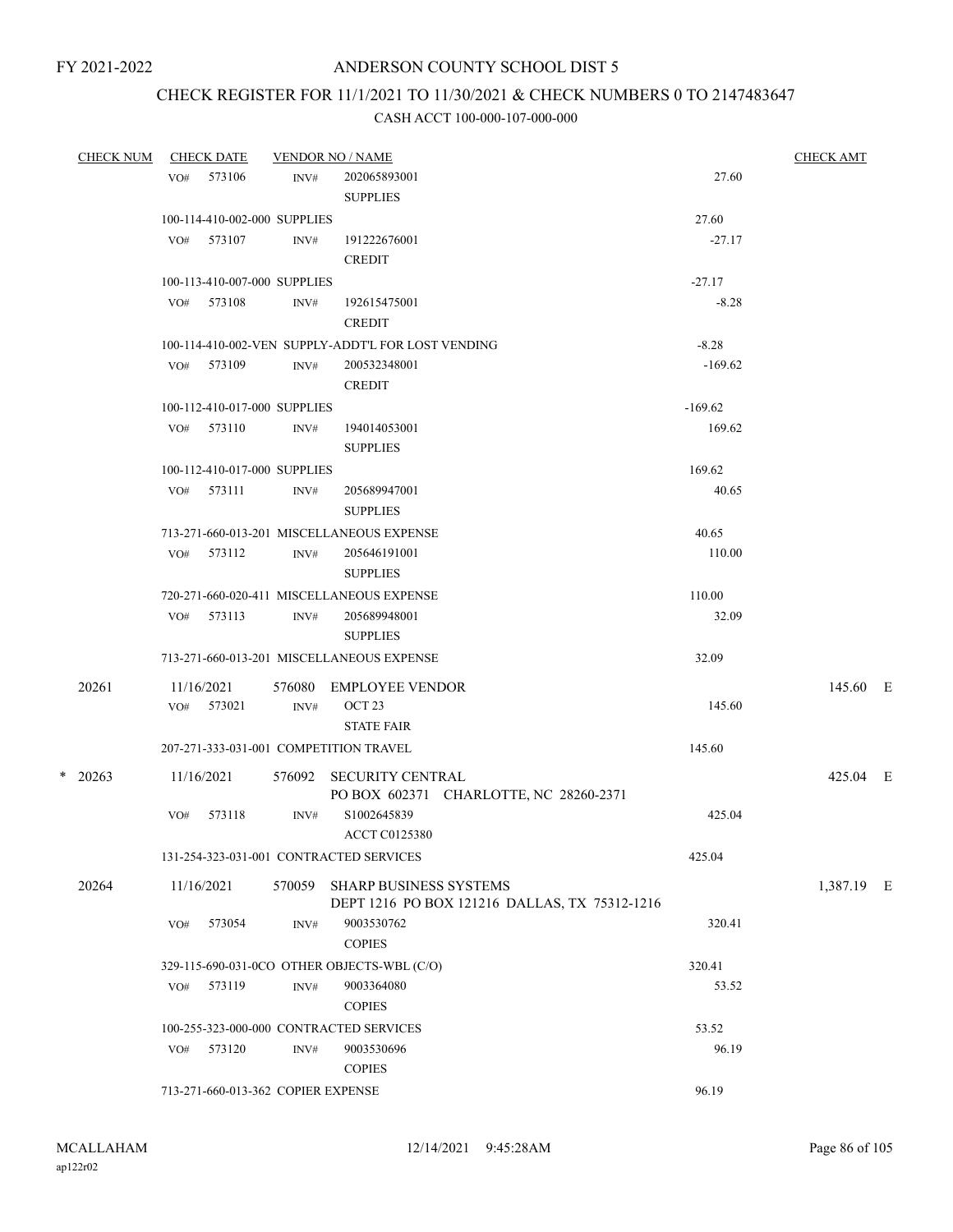## CHECK REGISTER FOR 11/1/2021 TO 11/30/2021 & CHECK NUMBERS 0 TO 2147483647

| <b>CHECK NUM</b> |     | <b>CHECK DATE</b>                  |        | <b>VENDOR NO / NAME</b>                            |           | <b>CHECK AMT</b> |  |
|------------------|-----|------------------------------------|--------|----------------------------------------------------|-----------|------------------|--|
|                  |     | VO# 573106                         | INV#   | 202065893001                                       | 27.60     |                  |  |
|                  |     |                                    |        | <b>SUPPLIES</b>                                    |           |                  |  |
|                  |     | 100-114-410-002-000 SUPPLIES       |        |                                                    | 27.60     |                  |  |
|                  |     | VO# 573107                         | INV#   | 191222676001                                       | $-27.17$  |                  |  |
|                  |     |                                    |        | <b>CREDIT</b>                                      |           |                  |  |
|                  |     | 100-113-410-007-000 SUPPLIES       |        |                                                    | $-27.17$  |                  |  |
|                  |     | VO# 573108                         | INV#   | 192615475001                                       | $-8.28$   |                  |  |
|                  |     |                                    |        | <b>CREDIT</b>                                      |           |                  |  |
|                  |     |                                    |        | 100-114-410-002-VEN SUPPLY-ADDT'L FOR LOST VENDING | $-8.28$   |                  |  |
|                  |     | VO# 573109                         | INV#   | 200532348001<br><b>CREDIT</b>                      | $-169.62$ |                  |  |
|                  |     | 100-112-410-017-000 SUPPLIES       |        |                                                    | $-169.62$ |                  |  |
|                  |     | VO# 573110                         | INV#   | 194014053001                                       | 169.62    |                  |  |
|                  |     |                                    |        | <b>SUPPLIES</b>                                    |           |                  |  |
|                  |     | 100-112-410-017-000 SUPPLIES       |        |                                                    | 169.62    |                  |  |
|                  |     | VO# 573111                         | INV#   | 205689947001                                       | 40.65     |                  |  |
|                  |     |                                    |        | <b>SUPPLIES</b>                                    |           |                  |  |
|                  |     |                                    |        | 713-271-660-013-201 MISCELLANEOUS EXPENSE          | 40.65     |                  |  |
|                  | VO# | 573112                             | INV#   | 205646191001                                       | 110.00    |                  |  |
|                  |     |                                    |        | <b>SUPPLIES</b>                                    |           |                  |  |
|                  |     |                                    |        | 720-271-660-020-411 MISCELLANEOUS EXPENSE          | 110.00    |                  |  |
|                  |     | VO# 573113                         | INV#   | 205689948001                                       | 32.09     |                  |  |
|                  |     |                                    |        | <b>SUPPLIES</b>                                    |           |                  |  |
|                  |     |                                    |        | 713-271-660-013-201 MISCELLANEOUS EXPENSE          | 32.09     |                  |  |
| 20261            |     | 11/16/2021                         | 576080 | EMPLOYEE VENDOR                                    |           | 145.60 E         |  |
|                  |     | VO# 573021                         | INV#   | OCT <sub>23</sub>                                  | 145.60    |                  |  |
|                  |     |                                    |        | <b>STATE FAIR</b>                                  |           |                  |  |
|                  |     |                                    |        | 207-271-333-031-001 COMPETITION TRAVEL             | 145.60    |                  |  |
| $*$ 20263        |     | 11/16/2021                         |        | 576092 SECURITY CENTRAL                            |           | 425.04 E         |  |
|                  |     |                                    |        | PO BOX 602371 CHARLOTTE, NC 28260-2371             |           |                  |  |
|                  | VO# | 573118                             | INV#   | S1002645839<br><b>ACCT C0125380</b>                | 425.04    |                  |  |
|                  |     |                                    |        | 131-254-323-031-001 CONTRACTED SERVICES            | 425.04    |                  |  |
| 20264            |     | 11/16/2021                         |        | 570059 SHARP BUSINESS SYSTEMS                      |           | 1,387.19 E       |  |
|                  |     |                                    |        | DEPT 1216 PO BOX 121216 DALLAS, TX 75312-1216      |           |                  |  |
|                  | VO# | 573054                             | INV#   | 9003530762                                         | 320.41    |                  |  |
|                  |     |                                    |        | <b>COPIES</b>                                      |           |                  |  |
|                  |     |                                    |        | 329-115-690-031-0CO OTHER OBJECTS-WBL (C/O)        | 320.41    |                  |  |
|                  | VO# | 573119                             | INV#   | 9003364080                                         | 53.52     |                  |  |
|                  |     |                                    |        | <b>COPIES</b>                                      |           |                  |  |
|                  |     |                                    |        | 100-255-323-000-000 CONTRACTED SERVICES            | 53.52     |                  |  |
|                  | VO# | 573120                             | INV#   | 9003530696                                         | 96.19     |                  |  |
|                  |     |                                    |        | <b>COPIES</b>                                      |           |                  |  |
|                  |     | 713-271-660-013-362 COPIER EXPENSE |        |                                                    | 96.19     |                  |  |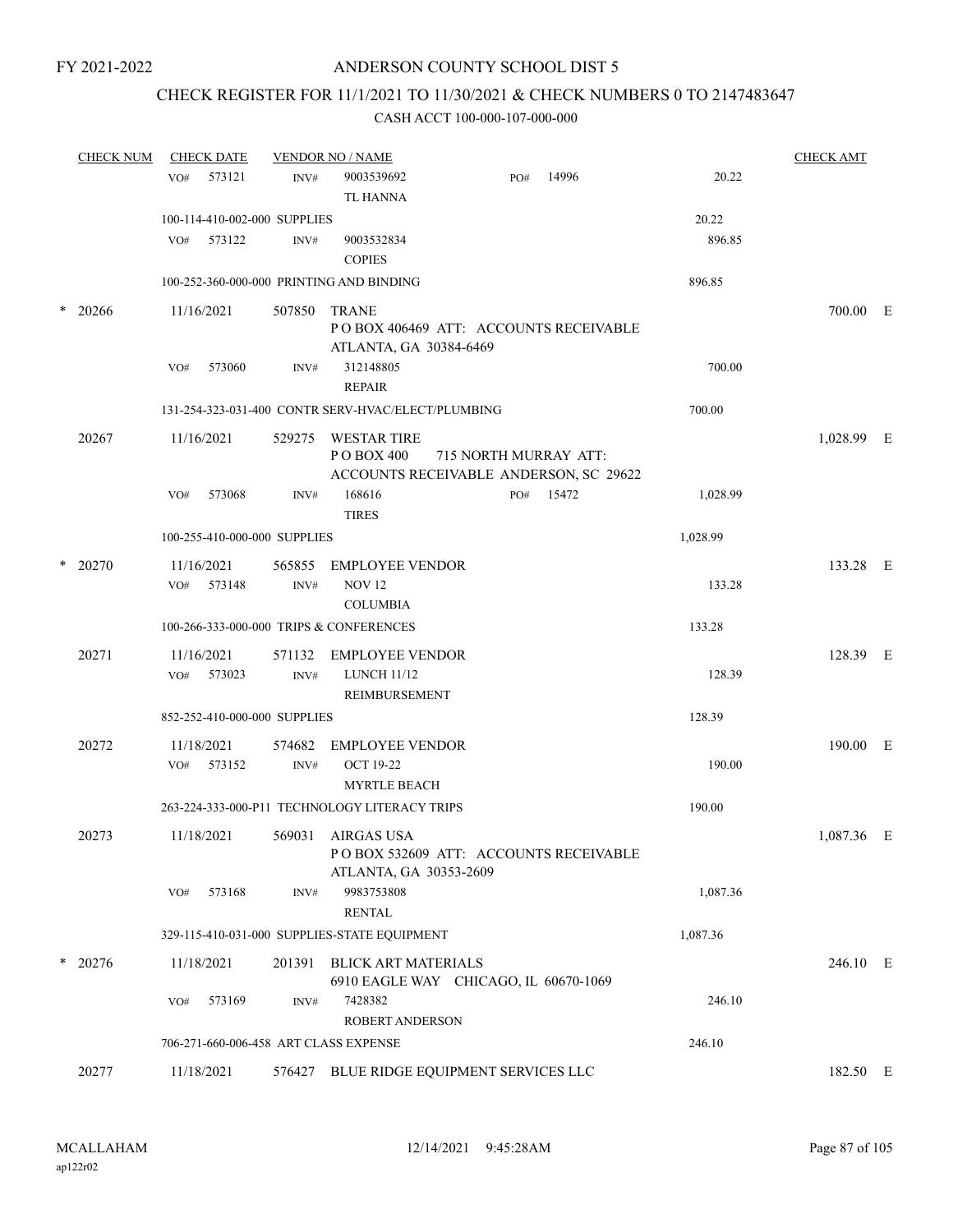## CHECK REGISTER FOR 11/1/2021 TO 11/30/2021 & CHECK NUMBERS 0 TO 2147483647

| <b>CHECK NUM</b> | <b>CHECK DATE</b>                        |                | <b>VENDOR NO / NAME</b>                            |     |           |          | <b>CHECK AMT</b> |  |
|------------------|------------------------------------------|----------------|----------------------------------------------------|-----|-----------|----------|------------------|--|
|                  | 573121<br>VO#                            | INV#           | 9003539692                                         | PO# | 14996     | 20.22    |                  |  |
|                  |                                          |                | <b>TL HANNA</b>                                    |     |           |          |                  |  |
|                  | 100-114-410-002-000 SUPPLIES             |                |                                                    |     |           | 20.22    |                  |  |
|                  | 573122<br>VO#                            | INV#           | 9003532834                                         |     |           | 896.85   |                  |  |
|                  |                                          |                | <b>COPIES</b>                                      |     |           |          |                  |  |
|                  | 100-252-360-000-000 PRINTING AND BINDING |                |                                                    |     |           | 896.85   |                  |  |
| $*$ 20266        | 11/16/2021                               | 507850         | <b>TRANE</b>                                       |     |           |          | 700.00 E         |  |
|                  |                                          |                | POBOX 406469 ATT: ACCOUNTS RECEIVABLE              |     |           |          |                  |  |
|                  |                                          |                | ATLANTA, GA 30384-6469                             |     |           |          |                  |  |
|                  | 573060<br>VO#                            | INV#           | 312148805                                          |     |           | 700.00   |                  |  |
|                  |                                          |                | <b>REPAIR</b>                                      |     |           |          |                  |  |
|                  |                                          |                | 131-254-323-031-400 CONTR SERV-HVAC/ELECT/PLUMBING |     |           | 700.00   |                  |  |
| 20267            | 11/16/2021                               |                | 529275 WESTAR TIRE                                 |     |           |          | 1,028.99 E       |  |
|                  |                                          |                | PO BOX 400<br>715 NORTH MURRAY ATT:                |     |           |          |                  |  |
|                  |                                          |                | ACCOUNTS RECEIVABLE ANDERSON, SC 29622             |     |           |          |                  |  |
|                  | 573068<br>VO#                            | INV#           | 168616<br><b>TIRES</b>                             |     | PO# 15472 | 1,028.99 |                  |  |
|                  |                                          |                |                                                    |     |           |          |                  |  |
|                  | 100-255-410-000-000 SUPPLIES             |                |                                                    |     |           | 1,028.99 |                  |  |
| $*$ 20270        | 11/16/2021                               | 565855         | <b>EMPLOYEE VENDOR</b>                             |     |           |          | 133.28 E         |  |
|                  | 573148<br>VO#                            | INV#           | <b>NOV 12</b>                                      |     |           | 133.28   |                  |  |
|                  |                                          |                | <b>COLUMBIA</b>                                    |     |           |          |                  |  |
|                  | 100-266-333-000-000 TRIPS & CONFERENCES  |                |                                                    |     |           | 133.28   |                  |  |
| 20271            | 11/16/2021                               | 571132         | <b>EMPLOYEE VENDOR</b>                             |     |           |          | 128.39 E         |  |
|                  | 573023<br>VO#                            | $\text{INV}\#$ | <b>LUNCH 11/12</b>                                 |     |           | 128.39   |                  |  |
|                  |                                          |                | <b>REIMBURSEMENT</b>                               |     |           |          |                  |  |
|                  | 852-252-410-000-000 SUPPLIES             |                |                                                    |     |           | 128.39   |                  |  |
| 20272            | 11/18/2021                               | 574682         | <b>EMPLOYEE VENDOR</b>                             |     |           |          | 190.00 E         |  |
|                  | 573152<br>VO#                            | INV#           | <b>OCT 19-22</b>                                   |     |           | 190.00   |                  |  |
|                  |                                          |                | <b>MYRTLE BEACH</b>                                |     |           |          |                  |  |
|                  |                                          |                | 263-224-333-000-P11 TECHNOLOGY LITERACY TRIPS      |     |           | 190.00   |                  |  |
| 20273            | 11/18/2021                               |                | 569031 AIRGAS USA                                  |     |           |          | 1,087.36 E       |  |
|                  |                                          |                | PO BOX 532609 ATT: ACCOUNTS RECEIVABLE             |     |           |          |                  |  |
|                  |                                          |                | ATLANTA, GA 30353-2609                             |     |           |          |                  |  |
|                  | 573168<br>VO#                            | INV#           | 9983753808                                         |     |           | 1,087.36 |                  |  |
|                  |                                          |                | <b>RENTAL</b>                                      |     |           |          |                  |  |
|                  |                                          |                | 329-115-410-031-000 SUPPLIES-STATE EQUIPMENT       |     |           | 1,087.36 |                  |  |
| $*$ 20276        | 11/18/2021                               | 201391         | <b>BLICK ART MATERIALS</b>                         |     |           |          | 246.10 E         |  |
|                  |                                          |                | 6910 EAGLE WAY CHICAGO, IL 60670-1069              |     |           |          |                  |  |
|                  | 573169<br>VO#                            | INV#           | 7428382                                            |     |           | 246.10   |                  |  |
|                  |                                          |                | ROBERT ANDERSON                                    |     |           |          |                  |  |
|                  | 706-271-660-006-458 ART CLASS EXPENSE    |                |                                                    |     |           | 246.10   |                  |  |
| 20277            | 11/18/2021                               |                | 576427 BLUE RIDGE EQUIPMENT SERVICES LLC           |     |           |          | 182.50 E         |  |
|                  |                                          |                |                                                    |     |           |          |                  |  |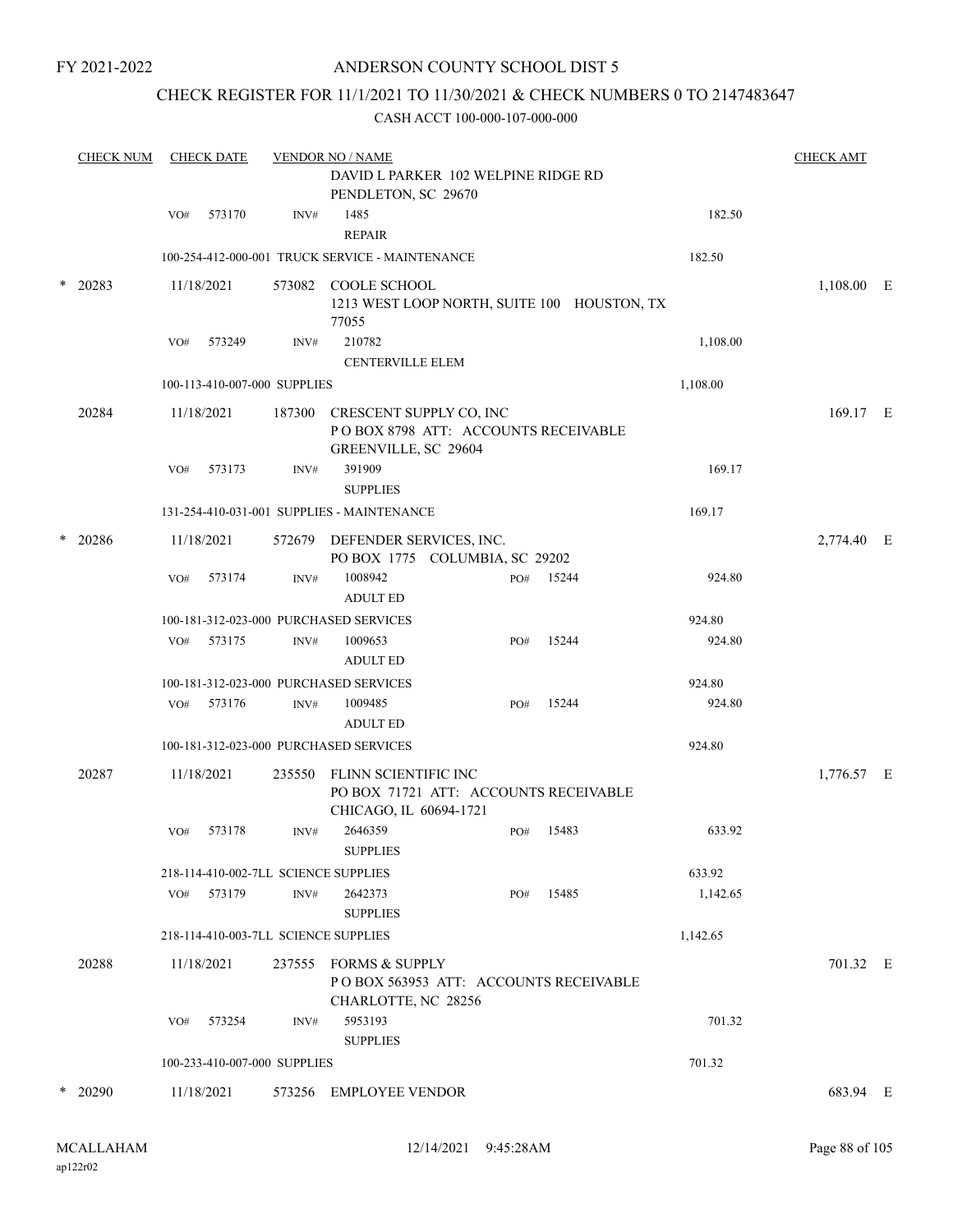## ANDERSON COUNTY SCHOOL DIST 5

## CHECK REGISTER FOR 11/1/2021 TO 11/30/2021 & CHECK NUMBERS 0 TO 2147483647

|        | <b>CHECK NUM</b> |     | <b>CHECK DATE</b> |                              | <b>VENDOR NO / NAME</b>                                                                 |     |                                             |          | <b>CHECK AMT</b> |  |
|--------|------------------|-----|-------------------|------------------------------|-----------------------------------------------------------------------------------------|-----|---------------------------------------------|----------|------------------|--|
|        |                  |     |                   |                              | DAVID L PARKER 102 WELPINE RIDGE RD<br>PENDLETON, SC 29670                              |     |                                             |          |                  |  |
|        |                  | VO# | 573170            | INV#                         | 1485<br><b>REPAIR</b>                                                                   |     |                                             | 182.50   |                  |  |
|        |                  |     |                   |                              | 100-254-412-000-001 TRUCK SERVICE - MAINTENANCE                                         |     |                                             | 182.50   |                  |  |
| $\ast$ | 20283            |     | 11/18/2021        |                              | 573082 COOLE SCHOOL<br>77055                                                            |     | 1213 WEST LOOP NORTH, SUITE 100 HOUSTON, TX |          | $1,108.00$ E     |  |
|        |                  | VO# | 573249            | INV#                         | 210782<br><b>CENTERVILLE ELEM</b>                                                       |     |                                             | 1,108.00 |                  |  |
|        |                  |     |                   | 100-113-410-007-000 SUPPLIES |                                                                                         |     |                                             | 1,108.00 |                  |  |
|        | 20284            |     | 11/18/2021        | 187300                       | CRESCENT SUPPLY CO, INC<br>POBOX 8798 ATT: ACCOUNTS RECEIVABLE<br>GREENVILLE, SC 29604  |     |                                             |          | 169.17 E         |  |
|        |                  | VO# | 573173            | INV#                         | 391909<br><b>SUPPLIES</b>                                                               |     |                                             | 169.17   |                  |  |
|        |                  |     |                   |                              | 131-254-410-031-001 SUPPLIES - MAINTENANCE                                              |     |                                             | 169.17   |                  |  |
| $\ast$ | 20286            |     | 11/18/2021        |                              | 572679 DEFENDER SERVICES, INC.<br>PO BOX 1775 COLUMBIA, SC 29202                        |     |                                             |          | 2,774.40 E       |  |
|        |                  | VO# | 573174            | INV#                         | 1008942<br><b>ADULT ED</b>                                                              | PO# | 15244                                       | 924.80   |                  |  |
|        |                  |     |                   |                              | 100-181-312-023-000 PURCHASED SERVICES                                                  |     |                                             | 924.80   |                  |  |
|        |                  | VO# | 573175            | INV#                         | 1009653<br><b>ADULT ED</b>                                                              | PO# | 15244                                       | 924.80   |                  |  |
|        |                  |     |                   |                              | 100-181-312-023-000 PURCHASED SERVICES                                                  |     |                                             | 924.80   |                  |  |
|        |                  | VO# | 573176            | $\text{INV}\#$               | 1009485<br><b>ADULT ED</b>                                                              | PO# | 15244                                       | 924.80   |                  |  |
|        |                  |     |                   |                              | 100-181-312-023-000 PURCHASED SERVICES                                                  |     |                                             | 924.80   |                  |  |
|        | 20287            |     | 11/18/2021        | 235550                       | FLINN SCIENTIFIC INC<br>PO BOX 71721 ATT: ACCOUNTS RECEIVABLE<br>CHICAGO, IL 60694-1721 |     |                                             |          | 1,776.57 E       |  |
|        |                  | VO# | 573178            | INV#                         | 2646359<br><b>SUPPLIES</b>                                                              | PO# | 15483                                       | 633.92   |                  |  |
|        |                  |     |                   |                              | 218-114-410-002-7LL SCIENCE SUPPLIES                                                    |     |                                             | 633.92   |                  |  |
|        |                  | VO# | 573179            | INV#                         | 2642373<br><b>SUPPLIES</b>                                                              | PO# | 15485                                       | 1,142.65 |                  |  |
|        |                  |     |                   |                              | 218-114-410-003-7LL SCIENCE SUPPLIES                                                    |     |                                             | 1,142.65 |                  |  |
|        | 20288            |     | 11/18/2021        |                              | 237555 FORMS & SUPPLY<br>CHARLOTTE, NC 28256                                            |     | POBOX 563953 ATT: ACCOUNTS RECEIVABLE       |          | 701.32 E         |  |
|        |                  | VO# | 573254            | INV#                         | 5953193<br><b>SUPPLIES</b>                                                              |     |                                             | 701.32   |                  |  |
|        |                  |     |                   | 100-233-410-007-000 SUPPLIES |                                                                                         |     |                                             | 701.32   |                  |  |
|        | $*$ 20290        |     | 11/18/2021        | 573256                       | <b>EMPLOYEE VENDOR</b>                                                                  |     |                                             |          | 683.94 E         |  |
|        |                  |     |                   |                              |                                                                                         |     |                                             |          |                  |  |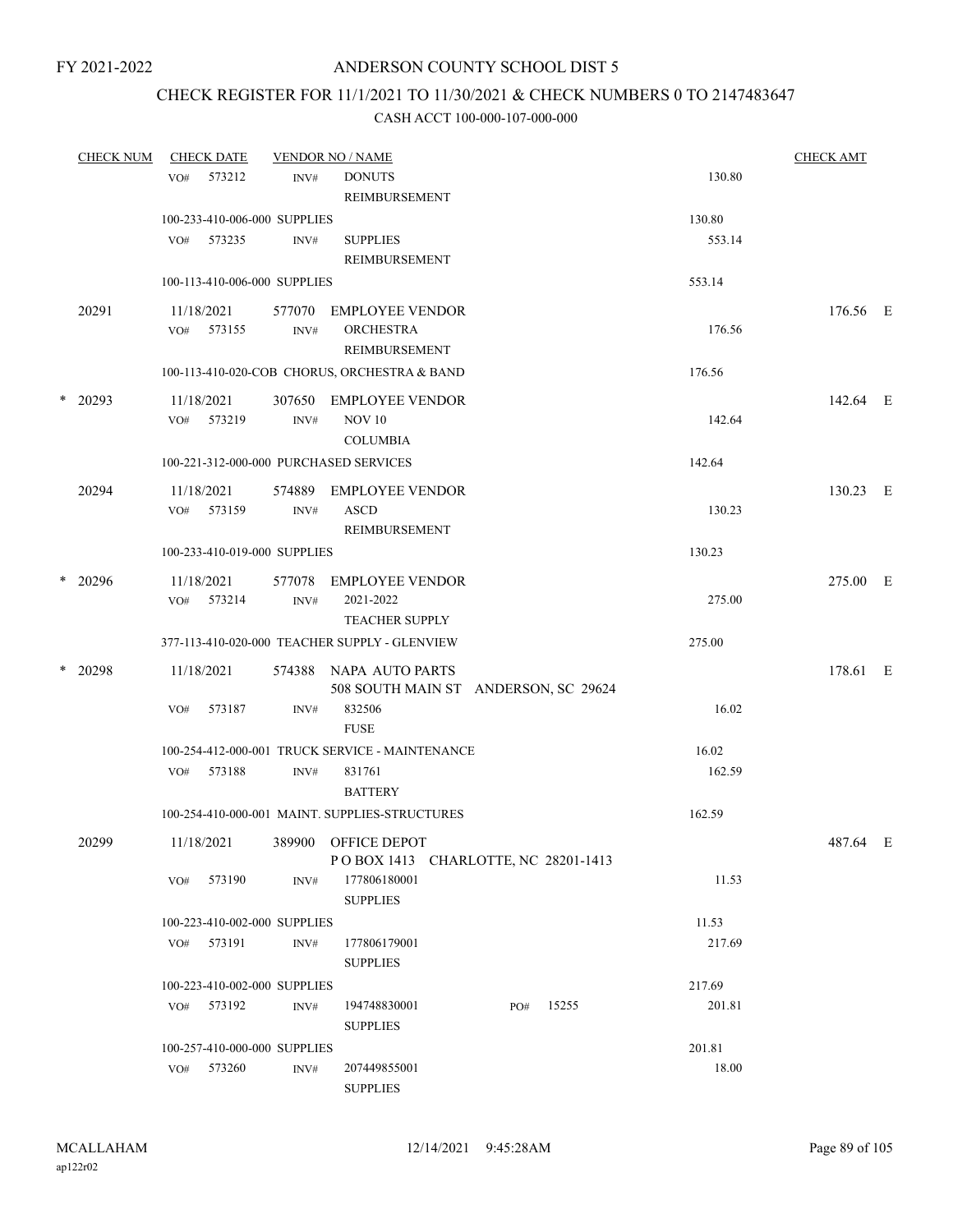## CHECK REGISTER FOR 11/1/2021 TO 11/30/2021 & CHECK NUMBERS 0 TO 2147483647

|   | <b>CHECK NUM</b> |     | <b>CHECK DATE</b> |                                      | <b>VENDOR NO / NAME</b>                         |     |       |                 | <b>CHECK AMT</b> |  |
|---|------------------|-----|-------------------|--------------------------------------|-------------------------------------------------|-----|-------|-----------------|------------------|--|
|   |                  | VO# | 573212            | INV#                                 | <b>DONUTS</b>                                   |     |       | 130.80          |                  |  |
|   |                  |     |                   |                                      | REIMBURSEMENT                                   |     |       |                 |                  |  |
|   |                  |     |                   | 100-233-410-006-000 SUPPLIES         |                                                 |     |       | 130.80          |                  |  |
|   |                  |     | VO# 573235        | INV#                                 | <b>SUPPLIES</b>                                 |     |       | 553.14          |                  |  |
|   |                  |     |                   |                                      | REIMBURSEMENT                                   |     |       |                 |                  |  |
|   |                  |     |                   | 100-113-410-006-000 SUPPLIES         |                                                 |     |       | 553.14          |                  |  |
|   | 20291            |     | 11/18/2021        |                                      | 577070 EMPLOYEE VENDOR                          |     |       |                 | 176.56 E         |  |
|   |                  |     | VO# 573155        | INV#                                 | <b>ORCHESTRA</b>                                |     |       | 176.56          |                  |  |
|   |                  |     |                   |                                      | <b>REIMBURSEMENT</b>                            |     |       |                 |                  |  |
|   |                  |     |                   |                                      | 100-113-410-020-COB CHORUS, ORCHESTRA & BAND    |     |       | 176.56          |                  |  |
| * | 20293            |     | 11/18/2021        |                                      | 307650 EMPLOYEE VENDOR                          |     |       |                 | 142.64 E         |  |
|   |                  |     | VO# 573219        | INV#                                 | <b>NOV 10</b>                                   |     |       | 142.64          |                  |  |
|   |                  |     |                   |                                      | <b>COLUMBIA</b>                                 |     |       |                 |                  |  |
|   |                  |     |                   |                                      | 100-221-312-000-000 PURCHASED SERVICES          |     |       | 142.64          |                  |  |
|   | 20294            |     | 11/18/2021        | 574889                               | EMPLOYEE VENDOR                                 |     |       |                 | 130.23 E         |  |
|   |                  | VO# | 573159            | INV#                                 | <b>ASCD</b>                                     |     |       | 130.23          |                  |  |
|   |                  |     |                   |                                      | REIMBURSEMENT                                   |     |       |                 |                  |  |
|   |                  |     |                   | 100-233-410-019-000 SUPPLIES         |                                                 |     |       | 130.23          |                  |  |
|   | $*$ 20296        |     | 11/18/2021        | 577078                               | EMPLOYEE VENDOR                                 |     |       |                 | 275.00 E         |  |
|   |                  |     | VO# 573214        | INV#                                 | 2021-2022                                       |     |       | 275.00          |                  |  |
|   |                  |     |                   |                                      | <b>TEACHER SUPPLY</b>                           |     |       |                 |                  |  |
|   |                  |     |                   |                                      | 377-113-410-020-000 TEACHER SUPPLY - GLENVIEW   |     |       | 275.00          |                  |  |
|   | $*$ 20298        |     | 11/18/2021        |                                      | 574388 NAPA AUTO PARTS                          |     |       |                 | 178.61 E         |  |
|   |                  |     |                   |                                      | 508 SOUTH MAIN ST ANDERSON, SC 29624            |     |       |                 |                  |  |
|   |                  | VO# | 573187            | INV#                                 | 832506                                          |     |       | 16.02           |                  |  |
|   |                  |     |                   |                                      | <b>FUSE</b>                                     |     |       |                 |                  |  |
|   |                  |     |                   |                                      | 100-254-412-000-001 TRUCK SERVICE - MAINTENANCE |     |       | 16.02           |                  |  |
|   |                  |     | VO# 573188        | INV#                                 | 831761                                          |     |       | 162.59          |                  |  |
|   |                  |     |                   |                                      | <b>BATTERY</b>                                  |     |       |                 |                  |  |
|   |                  |     |                   |                                      | 100-254-410-000-001 MAINT. SUPPLIES-STRUCTURES  |     |       | 162.59          |                  |  |
|   | 20299            |     | 11/18/2021        |                                      | 389900 OFFICE DEPOT                             |     |       |                 | 487.64 E         |  |
|   |                  |     |                   |                                      | POBOX 1413 CHARLOTTE, NC 28201-1413             |     |       |                 |                  |  |
|   |                  | VO# | 573190            | INV#                                 | 177806180001                                    |     |       | 11.53           |                  |  |
|   |                  |     |                   |                                      | <b>SUPPLIES</b>                                 |     |       |                 |                  |  |
|   |                  |     |                   | 100-223-410-002-000 SUPPLIES         |                                                 |     |       | 11.53           |                  |  |
|   |                  |     | VO# 573191        | INV#                                 | 177806179001                                    |     |       | 217.69          |                  |  |
|   |                  |     |                   |                                      | <b>SUPPLIES</b>                                 |     |       |                 |                  |  |
|   |                  |     |                   | 100-223-410-002-000 SUPPLIES         |                                                 |     |       | 217.69          |                  |  |
|   |                  |     | VO# 573192        | INV#                                 | 194748830001                                    | PO# | 15255 | 201.81          |                  |  |
|   |                  |     |                   |                                      | <b>SUPPLIES</b>                                 |     |       |                 |                  |  |
|   |                  |     | VO# 573260        | 100-257-410-000-000 SUPPLIES<br>INV# | 207449855001                                    |     |       | 201.81<br>18.00 |                  |  |
|   |                  |     |                   |                                      | <b>SUPPLIES</b>                                 |     |       |                 |                  |  |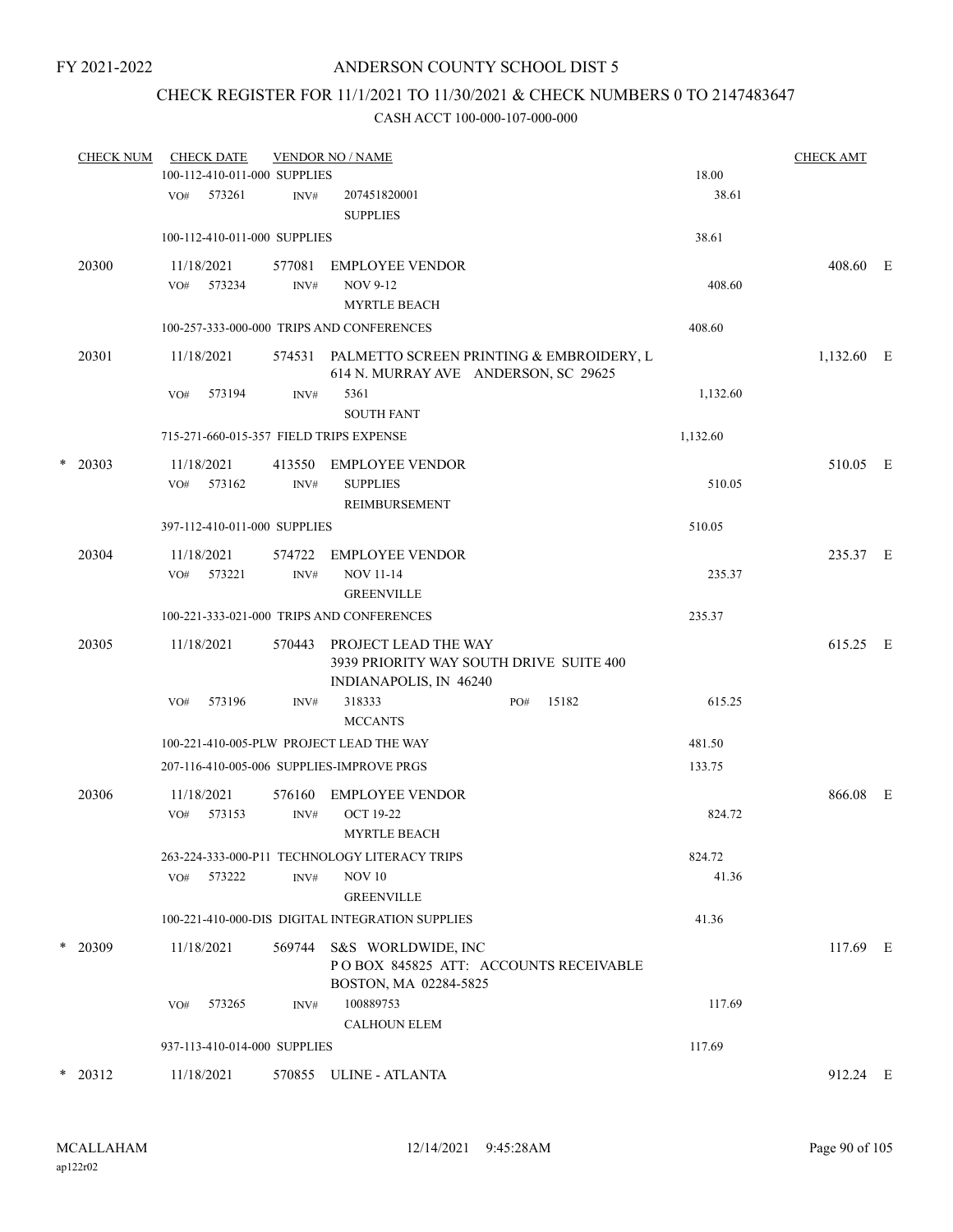## CHECK REGISTER FOR 11/1/2021 TO 11/30/2021 & CHECK NUMBERS 0 TO 2147483647

|   | <b>CHECK NUM</b> | <b>CHECK DATE</b><br>100-112-410-011-000 SUPPLIES |                | <b>VENDOR NO / NAME</b>                                                                   |     |       | 18.00    | <b>CHECK AMT</b> |  |
|---|------------------|---------------------------------------------------|----------------|-------------------------------------------------------------------------------------------|-----|-------|----------|------------------|--|
|   |                  | VO#<br>573261                                     | INV#           | 207451820001<br><b>SUPPLIES</b>                                                           |     |       | 38.61    |                  |  |
|   |                  | 100-112-410-011-000 SUPPLIES                      |                |                                                                                           |     |       | 38.61    |                  |  |
|   | 20300            | 11/18/2021<br>VO# 573234                          | 577081<br>INV# | <b>EMPLOYEE VENDOR</b><br>NOV 9-12<br><b>MYRTLE BEACH</b>                                 |     |       | 408.60   | 408.60 E         |  |
|   |                  |                                                   |                | 100-257-333-000-000 TRIPS AND CONFERENCES                                                 |     |       | 408.60   |                  |  |
|   | 20301            | 11/18/2021                                        |                | 574531 PALMETTO SCREEN PRINTING & EMBROIDERY, L<br>614 N. MURRAY AVE ANDERSON, SC 29625   |     |       |          | 1,132.60 E       |  |
|   |                  | 573194<br>VO#                                     | INV#           | 5361<br><b>SOUTH FANT</b>                                                                 |     |       | 1,132.60 |                  |  |
|   |                  | 715-271-660-015-357 FIELD TRIPS EXPENSE           |                |                                                                                           |     |       | 1,132.60 |                  |  |
| * | 20303            | 11/18/2021<br>573162<br>VO#                       | 413550<br>INV# | EMPLOYEE VENDOR<br><b>SUPPLIES</b><br>REIMBURSEMENT                                       |     |       | 510.05   | 510.05 E         |  |
|   |                  | 397-112-410-011-000 SUPPLIES                      |                |                                                                                           |     |       | 510.05   |                  |  |
|   | 20304            | 11/18/2021<br>573221<br>VO#                       | 574722<br>INV# | EMPLOYEE VENDOR<br><b>NOV 11-14</b><br><b>GREENVILLE</b>                                  |     |       | 235.37   | 235.37 E         |  |
|   |                  |                                                   |                | 100-221-333-021-000 TRIPS AND CONFERENCES                                                 |     |       | 235.37   |                  |  |
|   | 20305            | 11/18/2021                                        | 570443         | PROJECT LEAD THE WAY<br>3939 PRIORITY WAY SOUTH DRIVE SUITE 400<br>INDIANAPOLIS, IN 46240 |     |       |          | 615.25 E         |  |
|   |                  | 573196<br>VO#                                     | INV#           | 318333<br><b>MCCANTS</b>                                                                  | PO# | 15182 | 615.25   |                  |  |
|   |                  |                                                   |                | 100-221-410-005-PLW PROJECT LEAD THE WAY                                                  |     |       | 481.50   |                  |  |
|   |                  | 207-116-410-005-006 SUPPLIES-IMPROVE PRGS         |                |                                                                                           |     |       | 133.75   |                  |  |
|   | 20306            | 11/18/2021<br>573153<br>VO#                       | 576160<br>INV# | EMPLOYEE VENDOR<br><b>OCT 19-22</b><br><b>MYRTLE BEACH</b>                                |     |       | 824.72   | 866.08 E         |  |
|   |                  |                                                   |                | 263-224-333-000-P11 TECHNOLOGY LITERACY TRIPS                                             |     |       | 824.72   |                  |  |
|   |                  | 573222<br>VO#                                     | INV#           | <b>NOV 10</b><br><b>GREENVILLE</b>                                                        |     |       | 41.36    |                  |  |
|   |                  |                                                   |                | 100-221-410-000-DIS DIGITAL INTEGRATION SUPPLIES                                          |     |       | 41.36    |                  |  |
|   | $*$ 20309        | 11/18/2021                                        | 569744         | S&S WORLDWIDE, INC<br>POBOX 845825 ATT: ACCOUNTS RECEIVABLE<br>BOSTON, MA 02284-5825      |     |       |          | 117.69 E         |  |
|   |                  | VO#<br>573265                                     | INV#           | 100889753<br><b>CALHOUN ELEM</b>                                                          |     |       | 117.69   |                  |  |
|   |                  | 937-113-410-014-000 SUPPLIES                      |                |                                                                                           |     |       | 117.69   |                  |  |
| * | 20312            | 11/18/2021                                        |                | 570855 ULINE - ATLANTA                                                                    |     |       |          | 912.24 E         |  |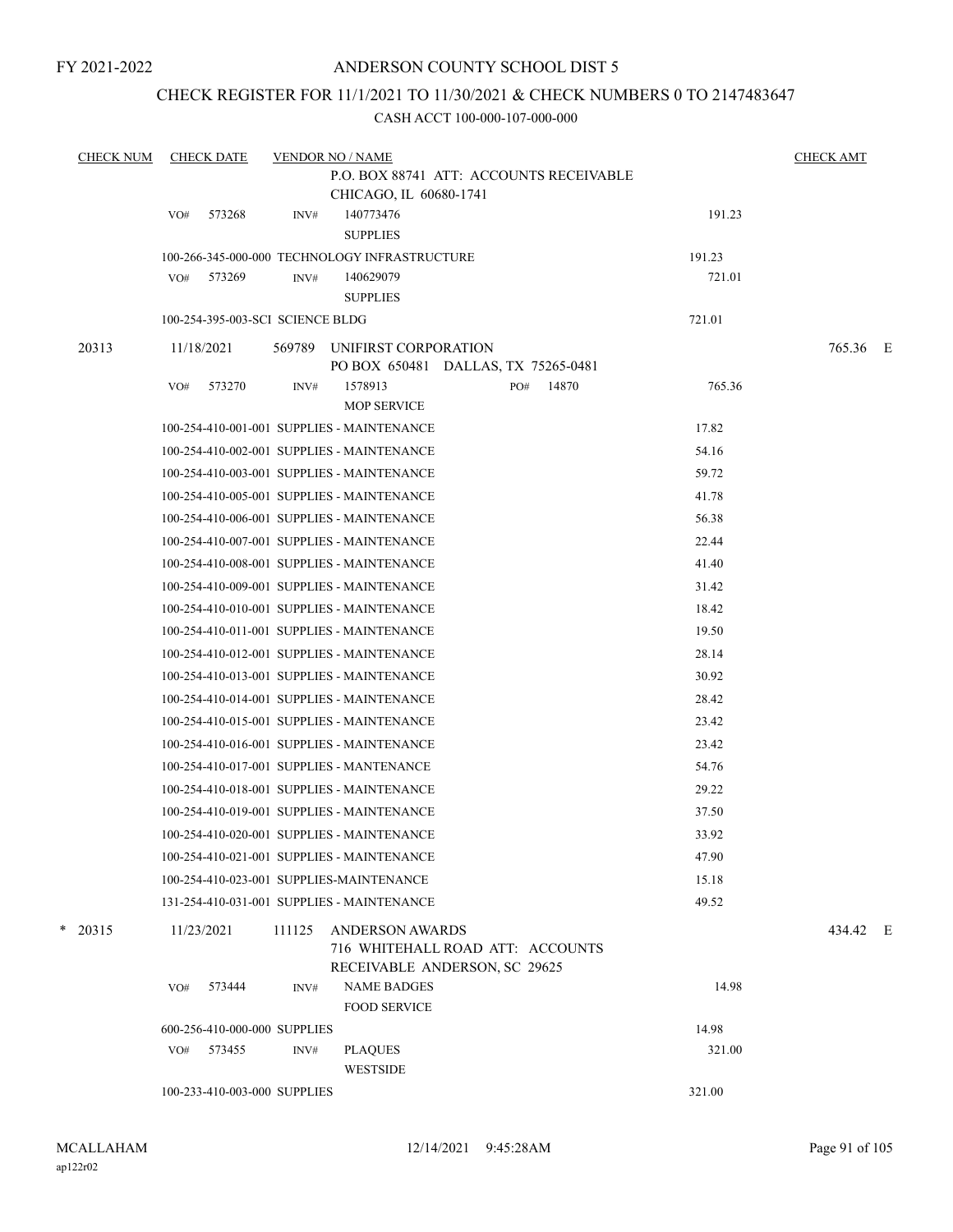## ANDERSON COUNTY SCHOOL DIST 5

## CHECK REGISTER FOR 11/1/2021 TO 11/30/2021 & CHECK NUMBERS 0 TO 2147483647

| <b>CHECK NUM</b> | <b>CHECK DATE</b>                             | <b>VENDOR NO / NAME</b> |                                           |                                                                   |        | <b>CHECK AMT</b> |  |
|------------------|-----------------------------------------------|-------------------------|-------------------------------------------|-------------------------------------------------------------------|--------|------------------|--|
|                  |                                               |                         |                                           | P.O. BOX 88741 ATT: ACCOUNTS RECEIVABLE                           |        |                  |  |
|                  |                                               |                         | CHICAGO, IL 60680-1741                    |                                                                   |        |                  |  |
|                  | 573268<br>VO#                                 | INV#                    | 140773476<br><b>SUPPLIES</b>              |                                                                   | 191.23 |                  |  |
|                  | 100-266-345-000-000 TECHNOLOGY INFRASTRUCTURE |                         |                                           |                                                                   | 191.23 |                  |  |
|                  | 573269<br>VO#                                 | INV#                    | 140629079<br><b>SUPPLIES</b>              |                                                                   | 721.01 |                  |  |
|                  | 100-254-395-003-SCI SCIENCE BLDG              |                         |                                           |                                                                   | 721.01 |                  |  |
| 20313            | 11/18/2021                                    | 569789                  | UNIFIRST CORPORATION                      | PO BOX 650481 DALLAS, TX 75265-0481                               |        | 765.36 E         |  |
|                  | 573270<br>VO#                                 | INV#                    | 1578913                                   | PO#<br>14870                                                      | 765.36 |                  |  |
|                  |                                               |                         | <b>MOP SERVICE</b>                        |                                                                   |        |                  |  |
|                  | 100-254-410-001-001 SUPPLIES - MAINTENANCE    |                         |                                           |                                                                   | 17.82  |                  |  |
|                  | 100-254-410-002-001 SUPPLIES - MAINTENANCE    |                         |                                           |                                                                   | 54.16  |                  |  |
|                  | 100-254-410-003-001 SUPPLIES - MAINTENANCE    |                         |                                           |                                                                   | 59.72  |                  |  |
|                  | 100-254-410-005-001 SUPPLIES - MAINTENANCE    |                         |                                           |                                                                   | 41.78  |                  |  |
|                  | 100-254-410-006-001 SUPPLIES - MAINTENANCE    |                         |                                           |                                                                   | 56.38  |                  |  |
|                  | 100-254-410-007-001 SUPPLIES - MAINTENANCE    |                         |                                           |                                                                   | 22.44  |                  |  |
|                  | 100-254-410-008-001 SUPPLIES - MAINTENANCE    |                         |                                           |                                                                   | 41.40  |                  |  |
|                  | 100-254-410-009-001 SUPPLIES - MAINTENANCE    |                         |                                           |                                                                   | 31.42  |                  |  |
|                  | 100-254-410-010-001 SUPPLIES - MAINTENANCE    |                         |                                           |                                                                   | 18.42  |                  |  |
|                  | 100-254-410-011-001 SUPPLIES - MAINTENANCE    |                         |                                           |                                                                   | 19.50  |                  |  |
|                  | 100-254-410-012-001 SUPPLIES - MAINTENANCE    |                         |                                           |                                                                   | 28.14  |                  |  |
|                  | 100-254-410-013-001 SUPPLIES - MAINTENANCE    |                         |                                           |                                                                   | 30.92  |                  |  |
|                  | 100-254-410-014-001 SUPPLIES - MAINTENANCE    |                         |                                           |                                                                   | 28.42  |                  |  |
|                  | 100-254-410-015-001 SUPPLIES - MAINTENANCE    |                         |                                           |                                                                   | 23.42  |                  |  |
|                  | 100-254-410-016-001 SUPPLIES - MAINTENANCE    |                         |                                           |                                                                   | 23.42  |                  |  |
|                  | 100-254-410-017-001 SUPPLIES - MANTENANCE     |                         |                                           |                                                                   | 54.76  |                  |  |
|                  | 100-254-410-018-001 SUPPLIES - MAINTENANCE    |                         |                                           |                                                                   | 29.22  |                  |  |
|                  | 100-254-410-019-001 SUPPLIES - MAINTENANCE    |                         |                                           |                                                                   | 37.50  |                  |  |
|                  | 100-254-410-020-001 SUPPLIES - MAINTENANCE    |                         |                                           |                                                                   | 33.92  |                  |  |
|                  | 100-254-410-021-001 SUPPLIES - MAINTENANCE    |                         |                                           |                                                                   | 47.90  |                  |  |
|                  | 100-254-410-023-001 SUPPLIES-MAINTENANCE      |                         |                                           |                                                                   | 15.18  |                  |  |
|                  | 131-254-410-031-001 SUPPLIES - MAINTENANCE    |                         |                                           |                                                                   | 49.52  |                  |  |
| *<br>20315       | 11/23/2021                                    | 111125                  | <b>ANDERSON AWARDS</b>                    | 716 WHITEHALL ROAD ATT: ACCOUNTS<br>RECEIVABLE ANDERSON, SC 29625 |        | 434.42 E         |  |
|                  | 573444<br>VO#                                 | INV#                    | <b>NAME BADGES</b><br><b>FOOD SERVICE</b> |                                                                   | 14.98  |                  |  |
|                  | 600-256-410-000-000 SUPPLIES                  |                         |                                           |                                                                   | 14.98  |                  |  |
|                  | 573455<br>VO#                                 | INV#                    | <b>PLAQUES</b><br><b>WESTSIDE</b>         |                                                                   | 321.00 |                  |  |
|                  | 100-233-410-003-000 SUPPLIES                  |                         |                                           |                                                                   | 321.00 |                  |  |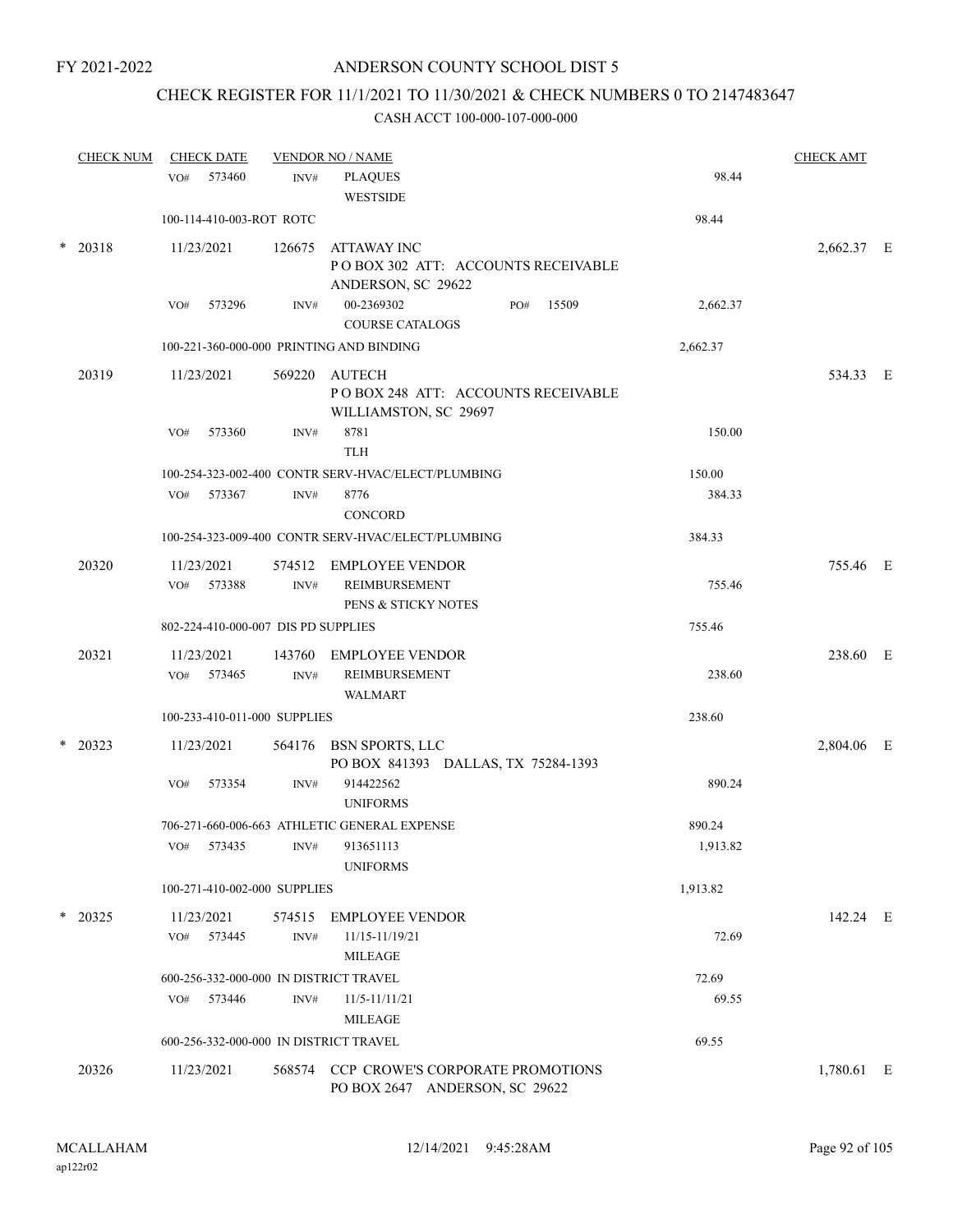# CHECK REGISTER FOR 11/1/2021 TO 11/30/2021 & CHECK NUMBERS 0 TO 2147483647

|  | <b>CHECK NUM</b> | <b>CHECK DATE</b>                        |                                   | <b>VENDOR NO / NAME</b>                                                        |          | <b>CHECK AMT</b> |  |
|--|------------------|------------------------------------------|-----------------------------------|--------------------------------------------------------------------------------|----------|------------------|--|
|  | 573460<br>VO#    | INV#                                     | <b>PLAQUES</b><br><b>WESTSIDE</b> | 98.44                                                                          |          |                  |  |
|  |                  | 100-114-410-003-ROT ROTC                 |                                   |                                                                                | 98.44    |                  |  |
|  | * 20318          | 11/23/2021                               | 126675                            | <b>ATTAWAY INC</b><br>POBOX 302 ATT: ACCOUNTS RECEIVABLE<br>ANDERSON, SC 29622 |          | 2,662.37 E       |  |
|  |                  | 573296<br>VO#                            | INV#                              | 00-2369302<br>15509<br>PO#<br><b>COURSE CATALOGS</b>                           | 2,662.37 |                  |  |
|  |                  | 100-221-360-000-000 PRINTING AND BINDING |                                   |                                                                                | 2,662.37 |                  |  |
|  | 20319            | 11/23/2021                               | 569220                            | AUTECH<br>POBOX 248 ATT: ACCOUNTS RECEIVABLE<br>WILLIAMSTON, SC 29697          |          | 534.33 E         |  |
|  |                  | VO#<br>573360                            | INV#                              | 8781<br><b>TLH</b>                                                             | 150.00   |                  |  |
|  |                  |                                          |                                   | 100-254-323-002-400 CONTR SERV-HVAC/ELECT/PLUMBING                             | 150.00   |                  |  |
|  |                  | 573367<br>VO#                            | INV#                              | 8776<br>CONCORD                                                                | 384.33   |                  |  |
|  |                  |                                          |                                   | 100-254-323-009-400 CONTR SERV-HVAC/ELECT/PLUMBING                             | 384.33   |                  |  |
|  | 20320            | 11/23/2021<br>VO# 573388                 | INV#                              | 574512 EMPLOYEE VENDOR<br>REIMBURSEMENT<br>PENS & STICKY NOTES                 | 755.46   | 755.46 E         |  |
|  |                  | 802-224-410-000-007 DIS PD SUPPLIES      |                                   |                                                                                | 755.46   |                  |  |
|  | 20321            | 11/23/2021<br>573465<br>VO#              | 143760<br>$\text{INV}\#$          | <b>EMPLOYEE VENDOR</b><br><b>REIMBURSEMENT</b><br><b>WALMART</b>               | 238.60   | 238.60 E         |  |
|  |                  | 100-233-410-011-000 SUPPLIES             |                                   |                                                                                | 238.60   |                  |  |
|  | $*$ 20323        | 11/23/2021                               |                                   | 564176 BSN SPORTS, LLC<br>PO BOX 841393 DALLAS, TX 75284-1393                  |          | 2,804.06 E       |  |
|  |                  | VO#<br>573354                            | INV#                              | 914422562<br><b>UNIFORMS</b>                                                   | 890.24   |                  |  |
|  |                  |                                          |                                   | 706-271-660-006-663 ATHLETIC GENERAL EXPENSE                                   | 890.24   |                  |  |
|  |                  | VO# 573435 INV# 913651113                |                                   | <b>UNIFORMS</b>                                                                | 1,913.82 |                  |  |
|  |                  | 100-271-410-002-000 SUPPLIES             |                                   |                                                                                | 1,913.82 |                  |  |
|  | $*$ 20325        | 11/23/2021<br>VO# 573445                 | $\text{INV}\#$                    | 574515 EMPLOYEE VENDOR<br>11/15-11/19/21<br><b>MILEAGE</b>                     | 72.69    | 142.24 E         |  |
|  |                  | 600-256-332-000-000 IN DISTRICT TRAVEL   |                                   |                                                                                | 72.69    |                  |  |
|  |                  | 573446<br>VO#                            | INV#                              | 11/5-11/11/21<br><b>MILEAGE</b>                                                | 69.55    |                  |  |
|  |                  | 600-256-332-000-000 IN DISTRICT TRAVEL   |                                   |                                                                                | 69.55    |                  |  |
|  | 20326            | 11/23/2021                               |                                   | 568574 CCP CROWE'S CORPORATE PROMOTIONS<br>PO BOX 2647 ANDERSON, SC 29622      |          | 1,780.61 E       |  |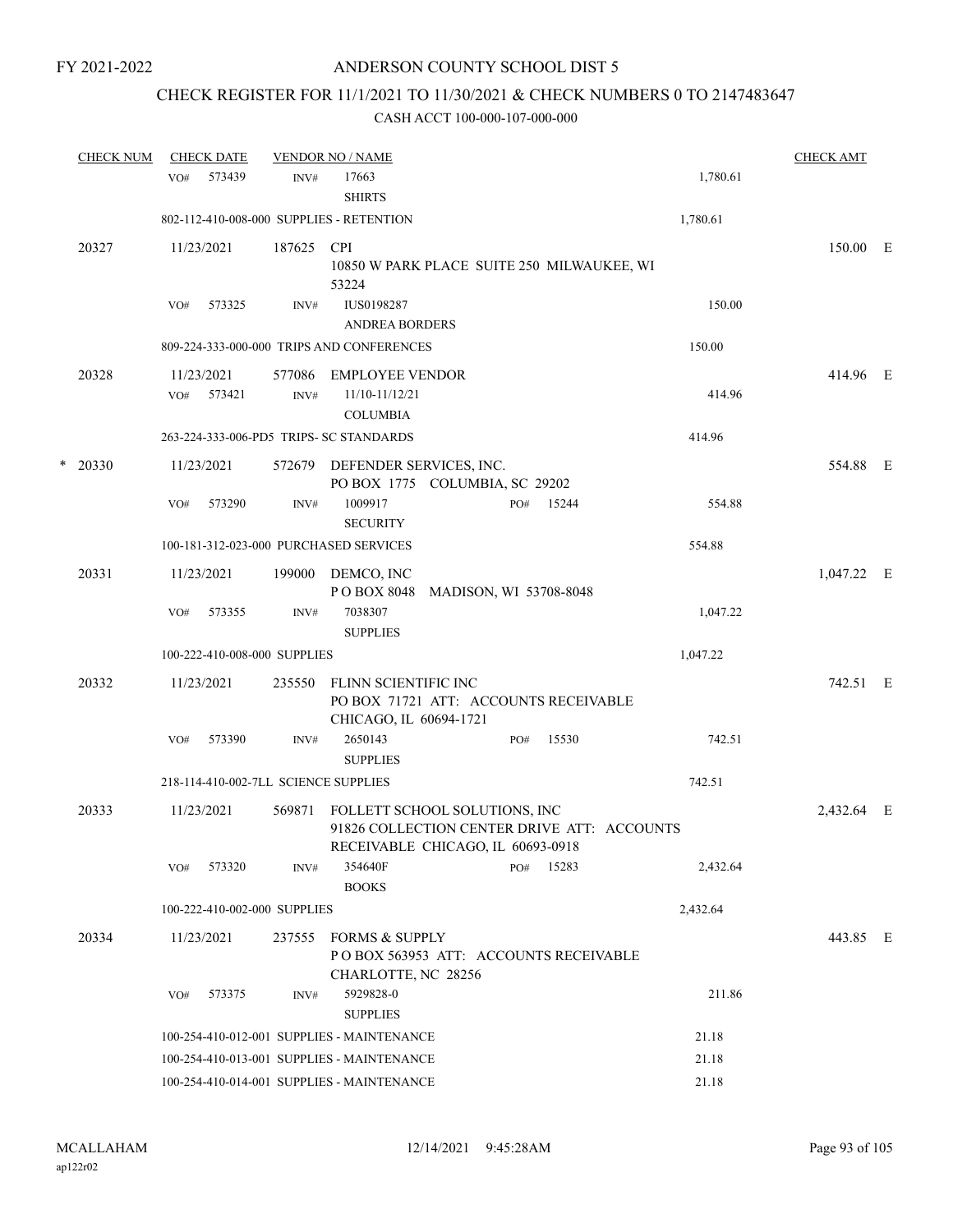## CHECK REGISTER FOR 11/1/2021 TO 11/30/2021 & CHECK NUMBERS 0 TO 2147483647

|   | <b>CHECK NUM</b> |     | <b>CHECK DATE</b> |                              | <b>VENDOR NO / NAME</b>                                                                                           |                        |     |       |          | <b>CHECK AMT</b> |  |
|---|------------------|-----|-------------------|------------------------------|-------------------------------------------------------------------------------------------------------------------|------------------------|-----|-------|----------|------------------|--|
|   |                  | VO# | 573439            | INV#                         | 17663<br><b>SHIRTS</b>                                                                                            |                        |     |       | 1,780.61 |                  |  |
|   |                  |     |                   |                              | 802-112-410-008-000 SUPPLIES - RETENTION                                                                          |                        |     |       | 1,780.61 |                  |  |
|   | 20327            |     | 11/23/2021        | 187625                       | <b>CPI</b><br>10850 W PARK PLACE SUITE 250 MILWAUKEE, WI<br>53224                                                 |                        |     |       |          | 150.00 E         |  |
|   |                  | VO# | 573325            | INV#                         | <b>IUS0198287</b><br><b>ANDREA BORDERS</b>                                                                        |                        |     |       | 150.00   |                  |  |
|   |                  |     |                   |                              | 809-224-333-000-000 TRIPS AND CONFERENCES                                                                         |                        |     |       | 150.00   |                  |  |
|   | 20328            |     | 11/23/2021        | 577086                       | <b>EMPLOYEE VENDOR</b>                                                                                            |                        |     |       |          | 414.96 E         |  |
|   |                  | VO# | 573421            | INV#                         | 11/10-11/12/21<br><b>COLUMBIA</b>                                                                                 |                        |     |       | 414.96   |                  |  |
|   |                  |     |                   |                              | 263-224-333-006-PD5 TRIPS- SC STANDARDS                                                                           |                        |     |       | 414.96   |                  |  |
| * | 20330            |     | 11/23/2021        |                              | 572679 DEFENDER SERVICES, INC.<br>PO BOX 1775 COLUMBIA, SC 29202                                                  |                        |     |       |          | 554.88 E         |  |
|   |                  | VO# | 573290            | INV#                         | 1009917<br><b>SECURITY</b>                                                                                        |                        | PO# | 15244 | 554.88   |                  |  |
|   |                  |     |                   |                              | 100-181-312-023-000 PURCHASED SERVICES                                                                            |                        |     |       | 554.88   |                  |  |
|   | 20331            |     | 11/23/2021        |                              | 199000 DEMCO, INC<br>P O BOX 8048                                                                                 | MADISON, WI 53708-8048 |     |       |          | $1,047.22$ E     |  |
|   |                  | VO# | 573355            | INV#                         | 7038307<br><b>SUPPLIES</b>                                                                                        |                        |     |       | 1,047.22 |                  |  |
|   |                  |     |                   | 100-222-410-008-000 SUPPLIES |                                                                                                                   |                        |     |       | 1,047.22 |                  |  |
|   | 20332            |     | 11/23/2021        | 235550                       | FLINN SCIENTIFIC INC<br>PO BOX 71721 ATT: ACCOUNTS RECEIVABLE<br>CHICAGO, IL 60694-1721                           |                        |     |       |          | 742.51 E         |  |
|   |                  | VO# | 573390            | INV#                         | 2650143<br><b>SUPPLIES</b>                                                                                        |                        | PO# | 15530 | 742.51   |                  |  |
|   |                  |     |                   |                              | 218-114-410-002-7LL SCIENCE SUPPLIES                                                                              |                        |     |       | 742.51   |                  |  |
|   | 20333            |     | 11/23/2021        | 569871                       | FOLLETT SCHOOL SOLUTIONS, INC<br>91826 COLLECTION CENTER DRIVE ATT: ACCOUNTS<br>RECEIVABLE CHICAGO, IL 60693-0918 |                        |     |       |          | 2,432.64 E       |  |
|   |                  | VO# | 573320            | INV#                         | 354640F<br><b>BOOKS</b>                                                                                           |                        | PO# | 15283 | 2,432.64 |                  |  |
|   |                  |     |                   | 100-222-410-002-000 SUPPLIES |                                                                                                                   |                        |     |       | 2,432.64 |                  |  |
|   | 20334            |     | 11/23/2021        | 237555                       | FORMS & SUPPLY<br>PO BOX 563953 ATT: ACCOUNTS RECEIVABLE<br>CHARLOTTE, NC 28256                                   |                        |     |       |          | 443.85 E         |  |
|   |                  | VO# | 573375            | INV#                         | 5929828-0                                                                                                         |                        |     |       | 211.86   |                  |  |
|   |                  |     |                   |                              | <b>SUPPLIES</b>                                                                                                   |                        |     |       |          |                  |  |
|   |                  |     |                   |                              | 100-254-410-012-001 SUPPLIES - MAINTENANCE                                                                        |                        |     |       | 21.18    |                  |  |
|   |                  |     |                   |                              | 100-254-410-013-001 SUPPLIES - MAINTENANCE                                                                        |                        |     |       | 21.18    |                  |  |
|   |                  |     |                   |                              | 100-254-410-014-001 SUPPLIES - MAINTENANCE                                                                        |                        |     |       | 21.18    |                  |  |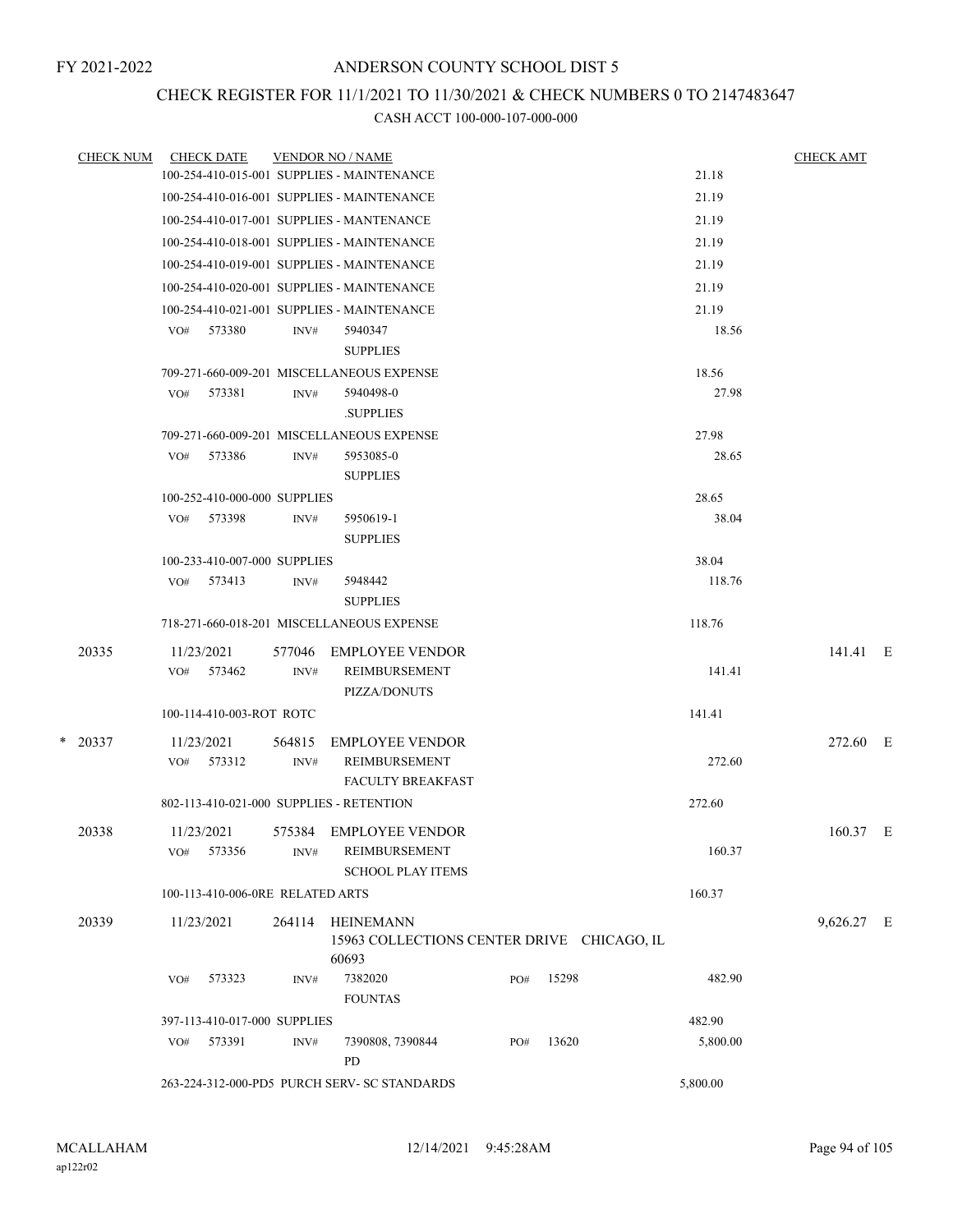## CHECK REGISTER FOR 11/1/2021 TO 11/30/2021 & CHECK NUMBERS 0 TO 2147483647

| <b>CHECK NUM</b> |     | <b>CHECK DATE</b>                |        | <b>VENDOR NO / NAME</b>                                                    |     |       |          | <b>CHECK AMT</b> |  |
|------------------|-----|----------------------------------|--------|----------------------------------------------------------------------------|-----|-------|----------|------------------|--|
|                  |     |                                  |        | 100-254-410-015-001 SUPPLIES - MAINTENANCE                                 |     |       | 21.18    |                  |  |
|                  |     |                                  |        | 100-254-410-016-001 SUPPLIES - MAINTENANCE                                 |     |       | 21.19    |                  |  |
|                  |     |                                  |        | 100-254-410-017-001 SUPPLIES - MANTENANCE                                  |     |       | 21.19    |                  |  |
|                  |     |                                  |        | 100-254-410-018-001 SUPPLIES - MAINTENANCE                                 |     |       | 21.19    |                  |  |
|                  |     |                                  |        | 100-254-410-019-001 SUPPLIES - MAINTENANCE                                 |     |       | 21.19    |                  |  |
|                  |     |                                  |        | 100-254-410-020-001 SUPPLIES - MAINTENANCE                                 |     |       | 21.19    |                  |  |
|                  |     |                                  |        | 100-254-410-021-001 SUPPLIES - MAINTENANCE                                 |     |       | 21.19    |                  |  |
|                  | VO# | 573380                           | INV#   | 5940347<br><b>SUPPLIES</b>                                                 |     |       | 18.56    |                  |  |
|                  |     |                                  |        | 709-271-660-009-201 MISCELLANEOUS EXPENSE                                  |     |       | 18.56    |                  |  |
|                  | VO# | 573381                           | INV#   | 5940498-0<br><b>SUPPLIES</b>                                               |     |       | 27.98    |                  |  |
|                  |     |                                  |        | 709-271-660-009-201 MISCELLANEOUS EXPENSE                                  |     |       | 27.98    |                  |  |
|                  |     | VO# 573386                       | INV#   | 5953085-0<br><b>SUPPLIES</b>                                               |     |       | 28.65    |                  |  |
|                  |     | 100-252-410-000-000 SUPPLIES     |        |                                                                            |     |       | 28.65    |                  |  |
|                  | VO# | 573398                           | INV#   | 5950619-1<br><b>SUPPLIES</b>                                               |     |       | 38.04    |                  |  |
|                  |     | 100-233-410-007-000 SUPPLIES     |        |                                                                            |     |       | 38.04    |                  |  |
|                  | VO# | 573413                           | INV#   | 5948442<br><b>SUPPLIES</b>                                                 |     |       | 118.76   |                  |  |
|                  |     |                                  |        | 718-271-660-018-201 MISCELLANEOUS EXPENSE                                  |     |       | 118.76   |                  |  |
| 20335            |     | 11/23/2021                       | 577046 | <b>EMPLOYEE VENDOR</b>                                                     |     |       |          | 141.41 E         |  |
|                  | VO# | 573462                           | INV#   | REIMBURSEMENT<br>PIZZA/DONUTS                                              |     |       | 141.41   |                  |  |
|                  |     | 100-114-410-003-ROT ROTC         |        |                                                                            |     |       | 141.41   |                  |  |
| $*$ 20337        |     | 11/23/2021                       | 564815 | <b>EMPLOYEE VENDOR</b>                                                     |     |       |          | 272.60 E         |  |
|                  |     | VO# 573312                       | INV#   | REIMBURSEMENT<br><b>FACULTY BREAKFAST</b>                                  |     |       | 272.60   |                  |  |
|                  |     |                                  |        | 802-113-410-021-000 SUPPLIES - RETENTION                                   |     |       | 272.60   |                  |  |
| 20338            | VO# | 11/23/2021<br>573356             | INV#   | 575384 EMPLOYEE VENDOR<br><b>REIMBURSEMENT</b><br><b>SCHOOL PLAY ITEMS</b> |     |       | 160.37   | 160.37 E         |  |
|                  |     | 100-113-410-006-0RE RELATED ARTS |        |                                                                            |     |       | 160.37   |                  |  |
| 20339            |     | 11/23/2021                       | 264114 | HEINEMANN<br>15963 COLLECTIONS CENTER DRIVE CHICAGO, IL                    |     |       |          | 9,626.27 E       |  |
|                  | VO# | 573323                           | INV#   | 60693<br>7382020<br><b>FOUNTAS</b>                                         | PO# | 15298 | 482.90   |                  |  |
|                  |     | 397-113-410-017-000 SUPPLIES     |        |                                                                            |     |       | 482.90   |                  |  |
|                  |     | VO# 573391                       | INV#   | 7390808, 7390844<br>PD                                                     | PO# | 13620 | 5,800.00 |                  |  |
|                  |     |                                  |        | 263-224-312-000-PD5 PURCH SERV- SC STANDARDS                               |     |       | 5,800.00 |                  |  |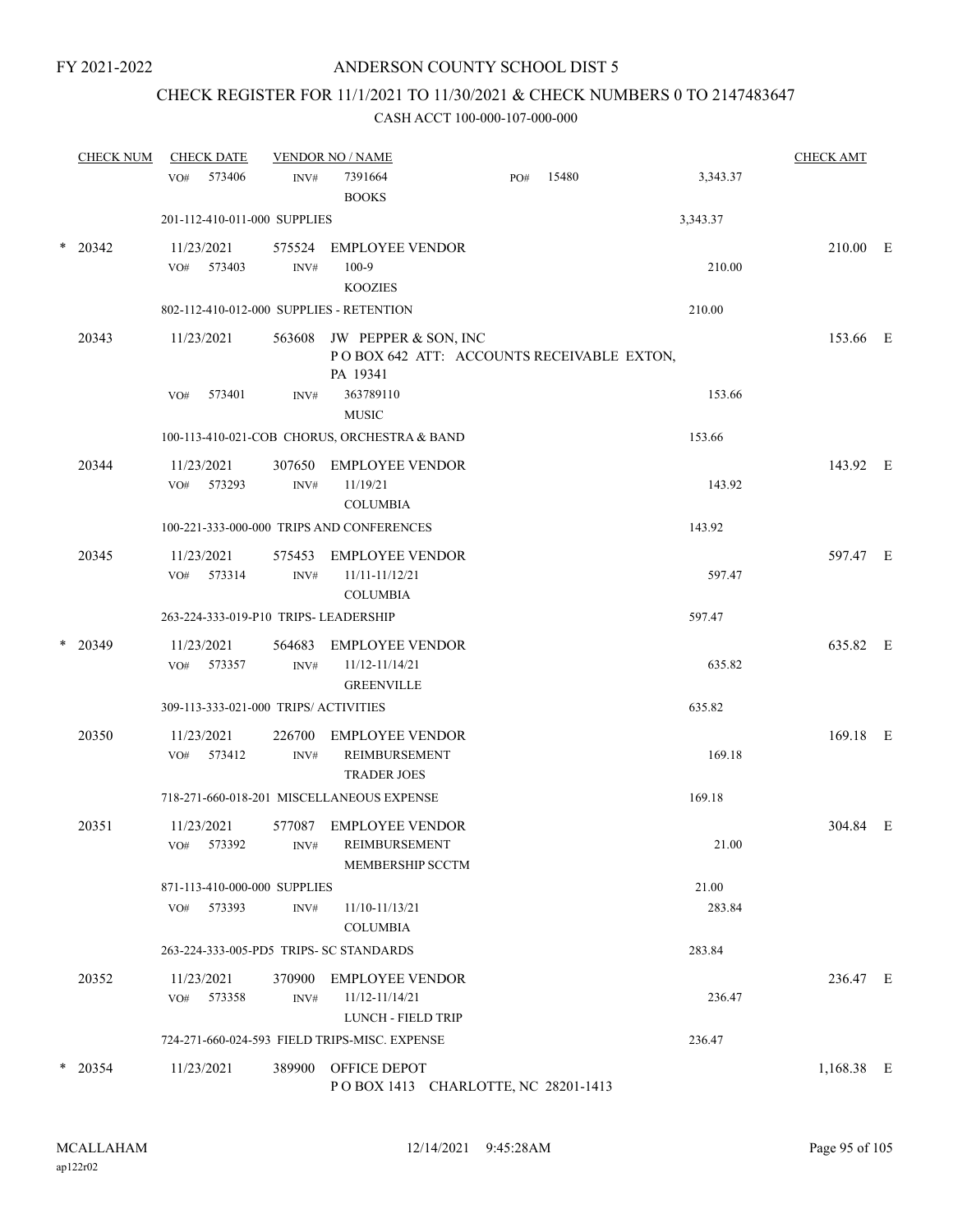## CHECK REGISTER FOR 11/1/2021 TO 11/30/2021 & CHECK NUMBERS 0 TO 2147483647

| <b>CHECK NUM</b> | <b>CHECK DATE</b>                        |                          | <b>VENDOR NO / NAME</b>                                                              |     |       |          | <b>CHECK AMT</b> |  |
|------------------|------------------------------------------|--------------------------|--------------------------------------------------------------------------------------|-----|-------|----------|------------------|--|
|                  | 573406<br>VO#                            | INV#                     | 7391664<br><b>BOOKS</b>                                                              | PO# | 15480 | 3,343.37 |                  |  |
|                  | 201-112-410-011-000 SUPPLIES             |                          |                                                                                      |     |       | 3,343.37 |                  |  |
| $*$ 20342        | 11/23/2021<br>573403<br>VO#              | 575524<br>INV#           | <b>EMPLOYEE VENDOR</b><br>$100-9$<br><b>KOOZIES</b>                                  |     |       | 210.00   | 210.00 E         |  |
|                  | 802-112-410-012-000 SUPPLIES - RETENTION |                          |                                                                                      |     |       | 210.00   |                  |  |
| 20343            | 11/23/2021                               |                          | 563608 JW PEPPER & SON, INC<br>POBOX 642 ATT: ACCOUNTS RECEIVABLE EXTON,<br>PA 19341 |     |       |          | 153.66 E         |  |
|                  | 573401<br>VO#                            | INV#                     | 363789110<br><b>MUSIC</b>                                                            |     |       | 153.66   |                  |  |
|                  |                                          |                          | 100-113-410-021-COB CHORUS, ORCHESTRA & BAND                                         |     |       | 153.66   |                  |  |
| 20344            | 11/23/2021<br>573293<br>VO#              | 307650<br>INV#           | <b>EMPLOYEE VENDOR</b><br>11/19/21<br><b>COLUMBIA</b>                                |     |       | 143.92   | 143.92 E         |  |
|                  |                                          |                          | 100-221-333-000-000 TRIPS AND CONFERENCES                                            |     |       | 143.92   |                  |  |
| 20345            | 11/23/2021<br>VO#<br>573314              | 575453<br>INV#           | <b>EMPLOYEE VENDOR</b><br>11/11-11/12/21<br><b>COLUMBIA</b>                          |     |       | 597.47   | 597.47 E         |  |
|                  | 263-224-333-019-P10 TRIPS- LEADERSHIP    |                          |                                                                                      |     |       | 597.47   |                  |  |
| $*$ 20349        | 11/23/2021<br>573357<br>VO#              | 564683<br>INV#           | <b>EMPLOYEE VENDOR</b><br>11/12-11/14/21<br><b>GREENVILLE</b>                        |     |       | 635.82   | 635.82 E         |  |
|                  | 309-113-333-021-000 TRIPS/ ACTIVITIES    |                          |                                                                                      |     |       | 635.82   |                  |  |
| 20350            | 11/23/2021<br>573412<br>VO#              | 226700<br>$\text{INV}\#$ | <b>EMPLOYEE VENDOR</b><br>REIMBURSEMENT<br><b>TRADER JOES</b>                        |     |       | 169.18   | 169.18 E         |  |
|                  |                                          |                          | 718-271-660-018-201 MISCELLANEOUS EXPENSE                                            |     |       | 169.18   |                  |  |
| 20351            | 11/23/2021<br>VO# 573392                 | 577087                   | <b>EMPLOYEE VENDOR</b><br>INV# REIMBURSEMENT<br>MEMBERSHIP SCCTM                     |     |       | 21.00    | 304.84 E         |  |
|                  | 871-113-410-000-000 SUPPLIES             |                          |                                                                                      |     |       | 21.00    |                  |  |
|                  | VO# 573393                               | INV#                     | 11/10-11/13/21<br><b>COLUMBIA</b>                                                    |     |       | 283.84   |                  |  |
|                  | 263-224-333-005-PD5 TRIPS- SC STANDARDS  |                          |                                                                                      |     |       | 283.84   |                  |  |
| 20352            | 11/23/2021<br>573358<br>VO#              | INV#                     | 370900 EMPLOYEE VENDOR<br>11/12-11/14/21<br>LUNCH - FIELD TRIP                       |     |       | 236.47   | 236.47 E         |  |
|                  |                                          |                          | 724-271-660-024-593 FIELD TRIPS-MISC. EXPENSE                                        |     |       | 236.47   |                  |  |
| $*$ 20354        | 11/23/2021                               |                          | 389900 OFFICE DEPOT<br>POBOX 1413 CHARLOTTE, NC 28201-1413                           |     |       |          | 1,168.38 E       |  |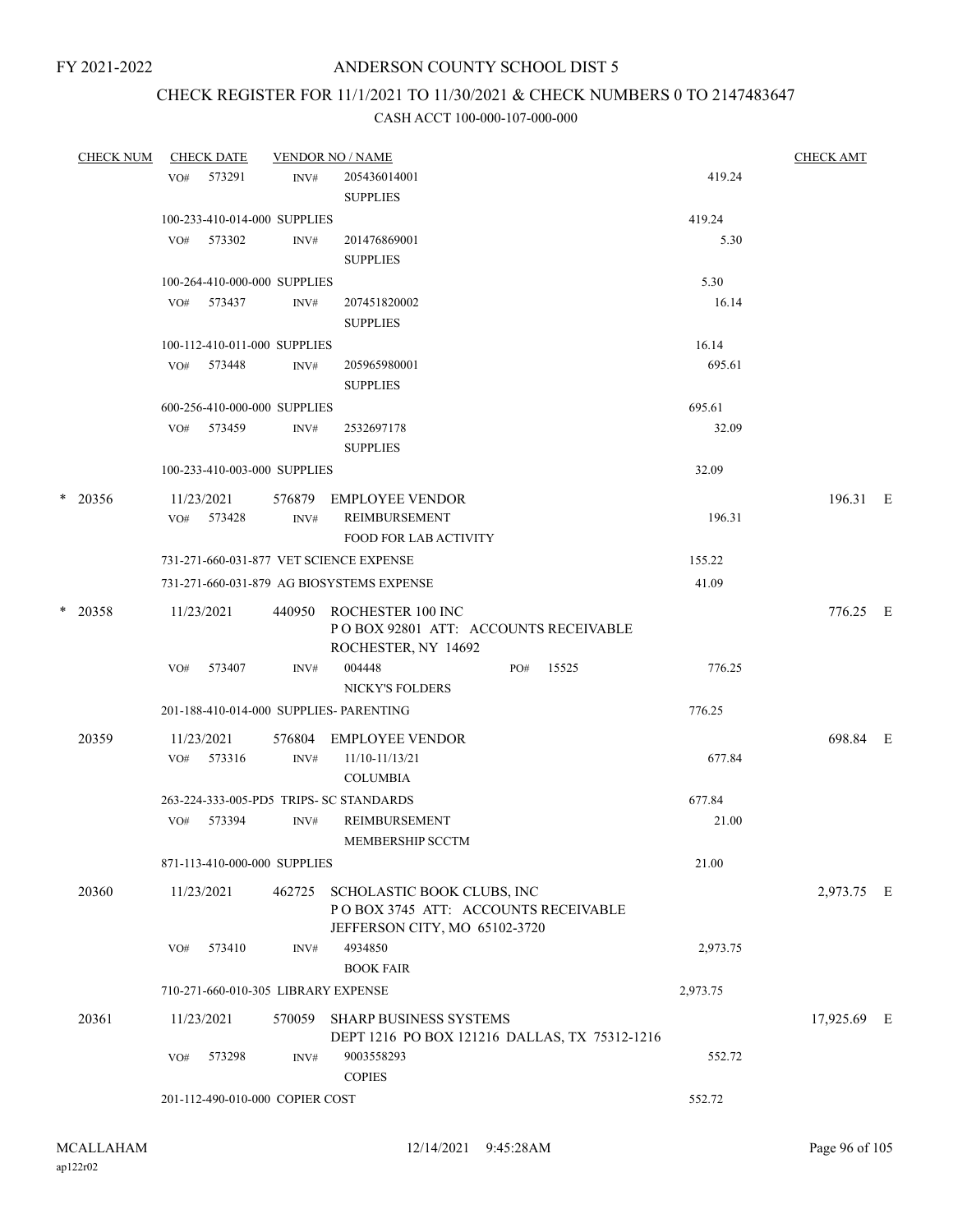# CHECK REGISTER FOR 11/1/2021 TO 11/30/2021 & CHECK NUMBERS 0 TO 2147483647

| <b>CHECK NUM</b> |     | <b>CHECK DATE</b> |                                     | <b>VENDOR NO / NAME</b>                                                                            |          | <b>CHECK AMT</b> |  |
|------------------|-----|-------------------|-------------------------------------|----------------------------------------------------------------------------------------------------|----------|------------------|--|
|                  |     | VO# 573291        | INV#                                | 205436014001<br><b>SUPPLIES</b>                                                                    | 419.24   |                  |  |
|                  |     |                   | 100-233-410-014-000 SUPPLIES        |                                                                                                    | 419.24   |                  |  |
|                  |     | VO# 573302        | INV#                                | 201476869001<br><b>SUPPLIES</b>                                                                    | 5.30     |                  |  |
|                  |     |                   | 100-264-410-000-000 SUPPLIES        |                                                                                                    | 5.30     |                  |  |
|                  |     | VO# 573437        | INV#                                | 207451820002<br><b>SUPPLIES</b>                                                                    | 16.14    |                  |  |
|                  |     |                   | 100-112-410-011-000 SUPPLIES        |                                                                                                    | 16.14    |                  |  |
|                  |     | VO# 573448        | INV#                                | 205965980001<br><b>SUPPLIES</b>                                                                    | 695.61   |                  |  |
|                  |     |                   | 600-256-410-000-000 SUPPLIES        |                                                                                                    | 695.61   |                  |  |
|                  |     | VO# 573459        | INV#                                | 2532697178<br><b>SUPPLIES</b>                                                                      | 32.09    |                  |  |
|                  |     |                   | 100-233-410-003-000 SUPPLIES        |                                                                                                    | 32.09    |                  |  |
| $*$ 20356        |     | 11/23/2021        |                                     | 576879 EMPLOYEE VENDOR                                                                             |          | 196.31 E         |  |
|                  |     | VO# 573428        | INV#                                | REIMBURSEMENT<br><b>FOOD FOR LAB ACTIVITY</b>                                                      | 196.31   |                  |  |
|                  |     |                   |                                     | 731-271-660-031-877 VET SCIENCE EXPENSE                                                            | 155.22   |                  |  |
|                  |     |                   |                                     | 731-271-660-031-879 AG BIOSYSTEMS EXPENSE                                                          | 41.09    |                  |  |
| $*$ 20358        |     | 11/23/2021        |                                     | 440950 ROCHESTER 100 INC<br>PO BOX 92801 ATT: ACCOUNTS RECEIVABLE<br>ROCHESTER, NY 14692           |          | 776.25 E         |  |
|                  | VO# | 573407            | INV#                                | 004448<br>15525<br>PO#<br>NICKY'S FOLDERS                                                          | 776.25   |                  |  |
|                  |     |                   |                                     | 201-188-410-014-000 SUPPLIES- PARENTING                                                            | 776.25   |                  |  |
| 20359            |     | 11/23/2021        |                                     | 576804 EMPLOYEE VENDOR                                                                             |          | 698.84 E         |  |
|                  |     | VO# 573316        | INV#                                | 11/10-11/13/21<br><b>COLUMBIA</b>                                                                  | 677.84   |                  |  |
|                  |     |                   |                                     | 263-224-333-005-PD5 TRIPS- SC STANDARDS                                                            | 677.84   |                  |  |
|                  | VO# | 573394            | INV#                                | <b>REIMBURSEMENT</b><br>MEMBERSHIP SCCTM                                                           | 21.00    |                  |  |
|                  |     |                   | 871-113-410-000-000 SUPPLIES        |                                                                                                    | 21.00    |                  |  |
| 20360            |     | 11/23/2021        | 462725                              | SCHOLASTIC BOOK CLUBS, INC<br>POBOX 3745 ATT: ACCOUNTS RECEIVABLE<br>JEFFERSON CITY, MO 65102-3720 |          | 2,973.75 E       |  |
|                  | VO# | 573410            | INV#                                | 4934850<br><b>BOOK FAIR</b>                                                                        | 2,973.75 |                  |  |
|                  |     |                   | 710-271-660-010-305 LIBRARY EXPENSE |                                                                                                    | 2,973.75 |                  |  |
| 20361            |     | 11/23/2021        |                                     | 570059 SHARP BUSINESS SYSTEMS<br>DEPT 1216 PO BOX 121216 DALLAS, TX 75312-1216                     |          | 17,925.69 E      |  |
|                  | VO# | 573298            | INV#                                | 9003558293<br><b>COPIES</b>                                                                        | 552.72   |                  |  |
|                  |     |                   | 201-112-490-010-000 COPIER COST     |                                                                                                    | 552.72   |                  |  |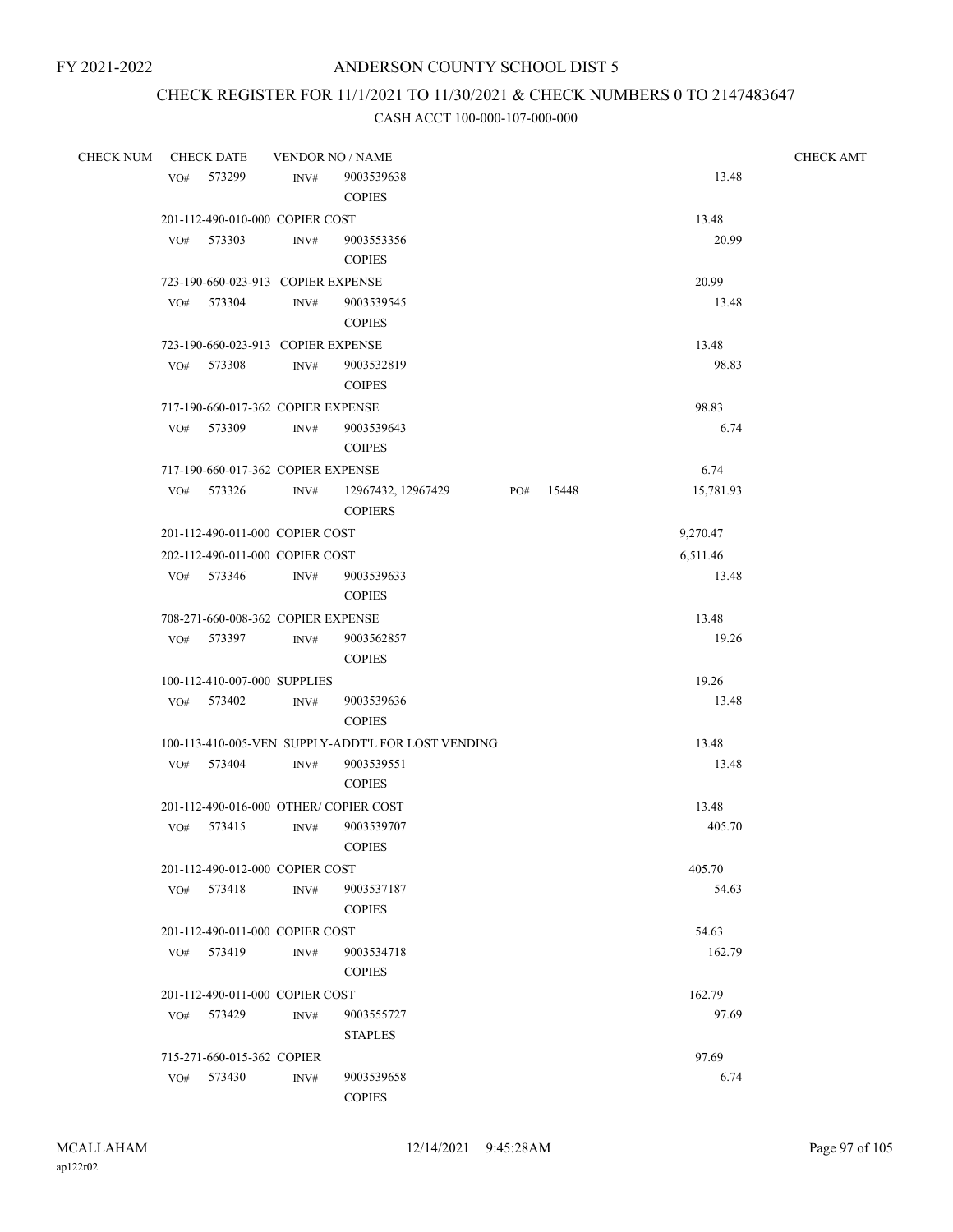## CHECK REGISTER FOR 11/1/2021 TO 11/30/2021 & CHECK NUMBERS 0 TO 2147483647

| <b>CHECK NUM</b> |     | <b>CHECK DATE</b>                  |                | <b>VENDOR NO / NAME</b>                            |     |       |           | <b>CHECK AMT</b> |
|------------------|-----|------------------------------------|----------------|----------------------------------------------------|-----|-------|-----------|------------------|
|                  | VO# | 573299                             | INV#           | 9003539638                                         |     |       | 13.48     |                  |
|                  |     |                                    |                | <b>COPIES</b>                                      |     |       |           |                  |
|                  |     | 201-112-490-010-000 COPIER COST    |                |                                                    |     |       | 13.48     |                  |
|                  | VO# | 573303                             | INV#           | 9003553356                                         |     |       | 20.99     |                  |
|                  |     |                                    |                | <b>COPIES</b>                                      |     |       |           |                  |
|                  |     | 723-190-660-023-913 COPIER EXPENSE |                |                                                    |     |       | 20.99     |                  |
|                  | VO# | 573304                             | INV#           | 9003539545                                         |     |       | 13.48     |                  |
|                  |     |                                    |                | <b>COPIES</b>                                      |     |       |           |                  |
|                  |     | 723-190-660-023-913 COPIER EXPENSE |                |                                                    |     |       | 13.48     |                  |
|                  | VO# | 573308                             | INV#           | 9003532819                                         |     |       | 98.83     |                  |
|                  |     |                                    |                | <b>COIPES</b>                                      |     |       |           |                  |
|                  |     | 717-190-660-017-362 COPIER EXPENSE |                |                                                    |     |       | 98.83     |                  |
|                  | VO# | 573309                             | $\text{INV}\#$ | 9003539643                                         |     |       | 6.74      |                  |
|                  |     |                                    |                | <b>COIPES</b>                                      |     |       |           |                  |
|                  |     | 717-190-660-017-362 COPIER EXPENSE |                |                                                    |     |       | 6.74      |                  |
|                  | VO# | 573326                             | $\text{INV}\#$ | 12967432, 12967429                                 | PO# | 15448 | 15,781.93 |                  |
|                  |     |                                    |                | <b>COPIERS</b>                                     |     |       |           |                  |
|                  |     | 201-112-490-011-000 COPIER COST    |                |                                                    |     |       | 9,270.47  |                  |
|                  |     | 202-112-490-011-000 COPIER COST    |                |                                                    |     |       | 6,511.46  |                  |
|                  | VO# | 573346                             | $\text{INV}\#$ | 9003539633                                         |     |       | 13.48     |                  |
|                  |     |                                    |                | <b>COPIES</b>                                      |     |       |           |                  |
|                  |     | 708-271-660-008-362 COPIER EXPENSE |                |                                                    |     |       | 13.48     |                  |
|                  | VO# | 573397                             | INV#           | 9003562857                                         |     |       | 19.26     |                  |
|                  |     |                                    |                | <b>COPIES</b>                                      |     |       |           |                  |
|                  |     | 100-112-410-007-000 SUPPLIES       |                |                                                    |     |       | 19.26     |                  |
|                  |     | VO# 573402                         | INV#           | 9003539636                                         |     |       | 13.48     |                  |
|                  |     |                                    |                | <b>COPIES</b>                                      |     |       |           |                  |
|                  |     |                                    |                | 100-113-410-005-VEN SUPPLY-ADDT'L FOR LOST VENDING |     |       | 13.48     |                  |
|                  | VO# | 573404                             | INV#           | 9003539551                                         |     |       | 13.48     |                  |
|                  |     |                                    |                | <b>COPIES</b>                                      |     |       |           |                  |
|                  |     |                                    |                | 201-112-490-016-000 OTHER/COPIER COST              |     |       | 13.48     |                  |
|                  | VO# | 573415                             | INV#           | 9003539707                                         |     |       | 405.70    |                  |
|                  |     |                                    |                | <b>COPIES</b>                                      |     |       |           |                  |
|                  |     | 201-112-490-012-000 COPIER COST    |                |                                                    |     |       | 405.70    |                  |
|                  |     | VO# 573418                         | INV#           | 9003537187                                         |     |       | 54.63     |                  |
|                  |     |                                    |                | <b>COPIES</b>                                      |     |       |           |                  |
|                  |     | 201-112-490-011-000 COPIER COST    |                |                                                    |     |       | 54.63     |                  |
|                  |     | VO# 573419                         | INV#           | 9003534718                                         |     |       | 162.79    |                  |
|                  |     |                                    |                | <b>COPIES</b>                                      |     |       |           |                  |
|                  |     | 201-112-490-011-000 COPIER COST    |                |                                                    |     |       | 162.79    |                  |
|                  |     | VO# 573429                         | INV#           | 9003555727                                         |     |       | 97.69     |                  |
|                  |     |                                    |                | <b>STAPLES</b>                                     |     |       |           |                  |
|                  |     | 715-271-660-015-362 COPIER         |                |                                                    |     |       | 97.69     |                  |
|                  | VO# | 573430                             | INV#           | 9003539658                                         |     |       | 6.74      |                  |
|                  |     |                                    |                | <b>COPIES</b>                                      |     |       |           |                  |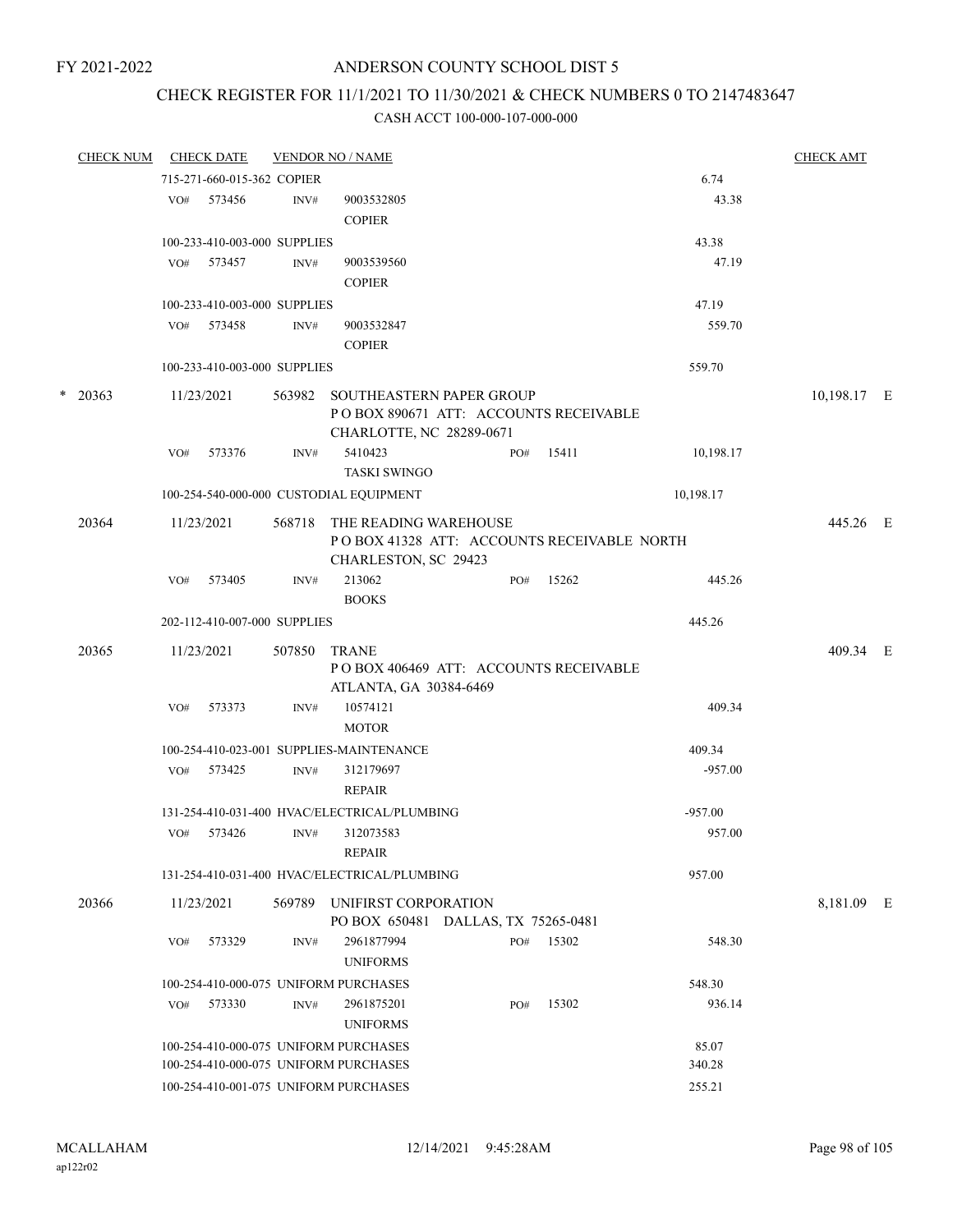## CHECK REGISTER FOR 11/1/2021 TO 11/30/2021 & CHECK NUMBERS 0 TO 2147483647

|   | <b>CHECK NUM</b> |     | <b>CHECK DATE</b>            |        | <b>VENDOR NO / NAME</b>                                                                       |     |       |           | <b>CHECK AMT</b>                                  |  |  |  |  |
|---|------------------|-----|------------------------------|--------|-----------------------------------------------------------------------------------------------|-----|-------|-----------|---------------------------------------------------|--|--|--|--|
|   |                  |     | 715-271-660-015-362 COPIER   |        |                                                                                               |     |       | 6.74      |                                                   |  |  |  |  |
|   |                  | VO# | 573456                       | INV#   | 9003532805<br><b>COPIER</b>                                                                   |     |       | 43.38     |                                                   |  |  |  |  |
|   |                  |     | 100-233-410-003-000 SUPPLIES |        |                                                                                               |     |       | 43.38     |                                                   |  |  |  |  |
|   |                  | VO# | 573457                       | INV#   | 9003539560<br><b>COPIER</b>                                                                   |     |       | 47.19     |                                                   |  |  |  |  |
|   |                  |     | 100-233-410-003-000 SUPPLIES |        |                                                                                               |     |       | 47.19     |                                                   |  |  |  |  |
|   |                  | VO# | 573458                       | INV#   | 9003532847<br><b>COPIER</b>                                                                   |     |       | 559.70    |                                                   |  |  |  |  |
|   |                  |     | 100-233-410-003-000 SUPPLIES |        |                                                                                               |     |       | 559.70    |                                                   |  |  |  |  |
| * | 20363            |     | 11/23/2021                   | 563982 | SOUTHEASTERN PAPER GROUP<br>POBOX 890671 ATT: ACCOUNTS RECEIVABLE<br>CHARLOTTE, NC 28289-0671 |     |       |           |                                                   |  |  |  |  |
|   |                  | VO# | 573376                       | INV#   | 5410423<br><b>TASKI SWINGO</b>                                                                | PO# | 15411 | 10,198.17 |                                                   |  |  |  |  |
|   |                  |     |                              |        | 100-254-540-000-000 CUSTODIAL EQUIPMENT                                                       |     |       | 10,198.17 | 10,198.17 E<br>445.26 E<br>409.34 E<br>8,181.09 E |  |  |  |  |
|   | 20364            |     | 11/23/2021                   | 568718 | THE READING WAREHOUSE<br>POBOX 41328 ATT: ACCOUNTS RECEIVABLE NORTH<br>CHARLESTON, SC 29423   |     |       |           |                                                   |  |  |  |  |
|   |                  | VO# | 573405                       | INV#   | 213062<br><b>BOOKS</b>                                                                        | PO# | 15262 | 445.26    |                                                   |  |  |  |  |
|   |                  |     | 202-112-410-007-000 SUPPLIES |        |                                                                                               |     |       | 445.26    |                                                   |  |  |  |  |
|   | 20365            |     | 11/23/2021                   | 507850 | <b>TRANE</b><br>POBOX 406469 ATT: ACCOUNTS RECEIVABLE<br>ATLANTA, GA 30384-6469               |     |       |           |                                                   |  |  |  |  |
|   |                  | VO# | 573373                       | INV#   | 10574121<br><b>MOTOR</b>                                                                      |     |       | 409.34    |                                                   |  |  |  |  |
|   |                  |     |                              |        | 100-254-410-023-001 SUPPLIES-MAINTENANCE                                                      |     |       | 409.34    |                                                   |  |  |  |  |
|   |                  | VO# | 573425                       | INV#   | 312179697<br><b>REPAIR</b>                                                                    |     |       | $-957.00$ |                                                   |  |  |  |  |
|   |                  |     |                              |        | 131-254-410-031-400 HVAC/ELECTRICAL/PLUMBING                                                  |     |       | $-957.00$ |                                                   |  |  |  |  |
|   |                  | VO# | 573426                       | INV#   | 312073583<br><b>REPAIR</b>                                                                    |     |       | 957.00    |                                                   |  |  |  |  |
|   |                  |     |                              |        | 131-254-410-031-400 HVAC/ELECTRICAL/PLUMBING                                                  |     |       | 957.00    |                                                   |  |  |  |  |
|   | 20366            |     | 11/23/2021                   | 569789 | UNIFIRST CORPORATION<br>PO BOX 650481 DALLAS, TX 75265-0481                                   |     |       |           |                                                   |  |  |  |  |
|   |                  | VO# | 573329                       | INV#   | 2961877994<br><b>UNIFORMS</b>                                                                 | PO# | 15302 | 548.30    |                                                   |  |  |  |  |
|   |                  |     |                              |        | 100-254-410-000-075 UNIFORM PURCHASES                                                         |     |       | 548.30    |                                                   |  |  |  |  |
|   |                  | VO# | 573330                       | INV#   | 2961875201<br><b>UNIFORMS</b>                                                                 | PO# | 15302 | 936.14    |                                                   |  |  |  |  |
|   |                  |     |                              |        | 100-254-410-000-075 UNIFORM PURCHASES                                                         |     |       | 85.07     |                                                   |  |  |  |  |
|   |                  |     |                              |        | 100-254-410-000-075 UNIFORM PURCHASES                                                         |     |       | 340.28    |                                                   |  |  |  |  |
|   |                  |     |                              |        | 100-254-410-001-075 UNIFORM PURCHASES                                                         |     |       | 255.21    |                                                   |  |  |  |  |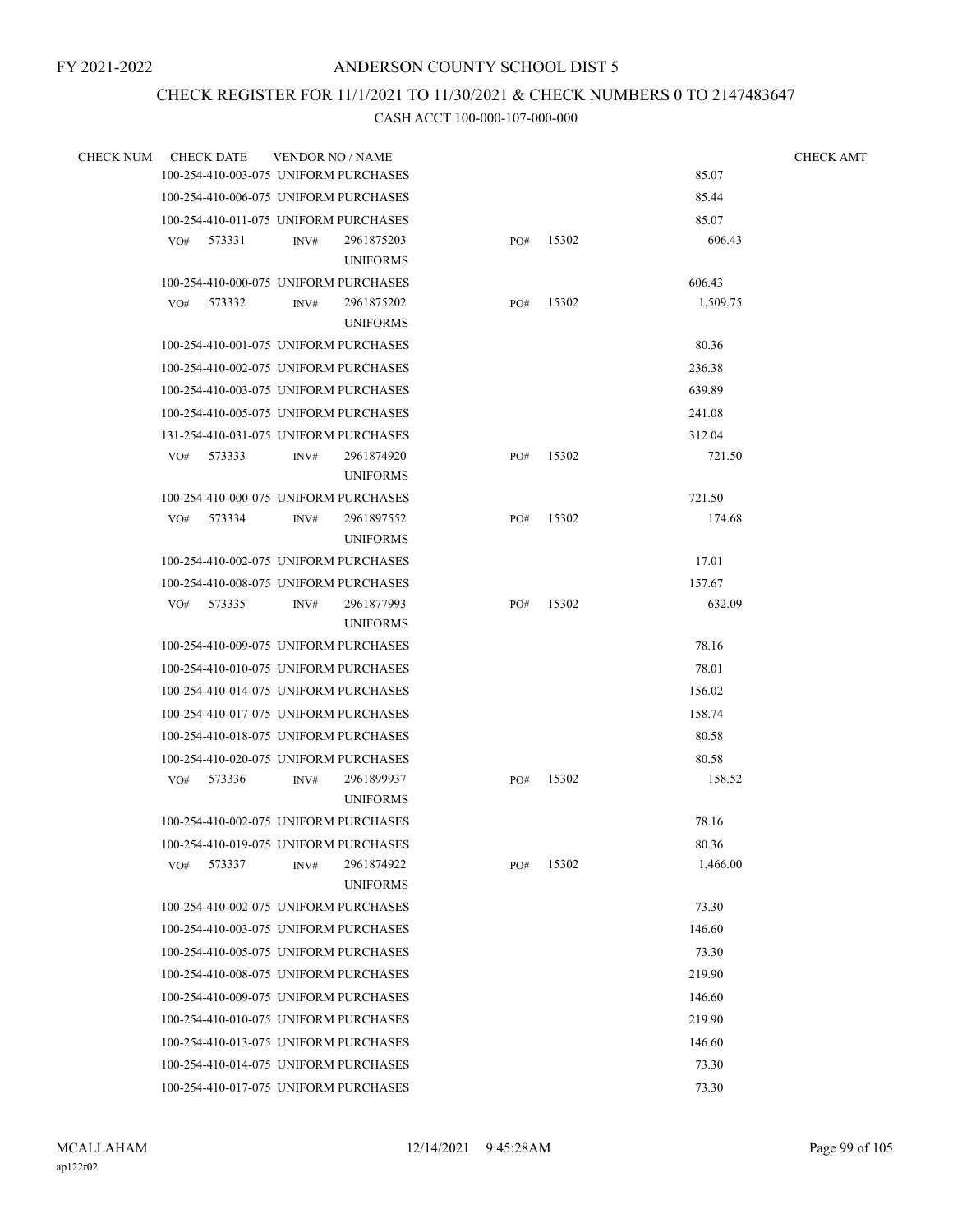## CHECK REGISTER FOR 11/1/2021 TO 11/30/2021 & CHECK NUMBERS 0 TO 2147483647

| <b>CHECK NUM</b> | <b>CHECK DATE</b> | <b>VENDOR NO / NAME</b>                                  |     |       |          | <b>CHECK AMT</b> |
|------------------|-------------------|----------------------------------------------------------|-----|-------|----------|------------------|
|                  |                   | 100-254-410-003-075 UNIFORM PURCHASES                    |     |       | 85.07    |                  |
|                  |                   | 100-254-410-006-075 UNIFORM PURCHASES                    |     |       | 85.44    |                  |
|                  |                   | 100-254-410-011-075 UNIFORM PURCHASES                    |     |       | 85.07    |                  |
|                  | 573331<br>VO#     | 2961875203<br>INV#                                       | PO# | 15302 | 606.43   |                  |
|                  |                   | <b>UNIFORMS</b>                                          |     |       |          |                  |
|                  |                   | 100-254-410-000-075 UNIFORM PURCHASES                    |     |       | 606.43   |                  |
|                  | 573332<br>VO#     | INV#<br>2961875202                                       | PO# | 15302 | 1,509.75 |                  |
|                  |                   | <b>UNIFORMS</b>                                          |     |       |          |                  |
|                  |                   | 100-254-410-001-075 UNIFORM PURCHASES                    |     |       | 80.36    |                  |
|                  |                   | 100-254-410-002-075 UNIFORM PURCHASES                    |     |       | 236.38   |                  |
|                  |                   | 100-254-410-003-075 UNIFORM PURCHASES                    |     |       | 639.89   |                  |
|                  |                   | 100-254-410-005-075 UNIFORM PURCHASES                    |     |       | 241.08   |                  |
|                  |                   | 131-254-410-031-075 UNIFORM PURCHASES                    |     |       | 312.04   |                  |
|                  | VO#<br>573333     | 2961874920<br>INV#                                       | PO# | 15302 | 721.50   |                  |
|                  |                   | <b>UNIFORMS</b>                                          |     |       |          |                  |
|                  |                   | 100-254-410-000-075 UNIFORM PURCHASES                    |     |       | 721.50   |                  |
|                  | 573334<br>VO#     | 2961897552<br>INV#                                       | PO# | 15302 | 174.68   |                  |
|                  |                   | <b>UNIFORMS</b>                                          |     |       |          |                  |
|                  |                   | 100-254-410-002-075 UNIFORM PURCHASES                    |     |       | 17.01    |                  |
|                  |                   | 100-254-410-008-075 UNIFORM PURCHASES                    |     |       | 157.67   |                  |
|                  | VO# 573335        | 2961877993<br>INV#                                       | PO# | 15302 | 632.09   |                  |
|                  |                   | <b>UNIFORMS</b><br>100-254-410-009-075 UNIFORM PURCHASES |     |       | 78.16    |                  |
|                  |                   |                                                          |     |       | 78.01    |                  |
|                  |                   | 100-254-410-010-075 UNIFORM PURCHASES                    |     |       |          |                  |
|                  |                   | 100-254-410-014-075 UNIFORM PURCHASES                    |     |       | 156.02   |                  |
|                  |                   | 100-254-410-017-075 UNIFORM PURCHASES                    |     |       | 158.74   |                  |
|                  |                   | 100-254-410-018-075 UNIFORM PURCHASES                    |     |       | 80.58    |                  |
|                  |                   | 100-254-410-020-075 UNIFORM PURCHASES                    |     |       | 80.58    |                  |
|                  | VO#<br>573336     | 2961899937<br>INV#<br><b>UNIFORMS</b>                    | PO# | 15302 | 158.52   |                  |
|                  |                   | 100-254-410-002-075 UNIFORM PURCHASES                    |     |       | 78.16    |                  |
|                  |                   | 100-254-410-019-075 UNIFORM PURCHASES                    |     |       | 80.36    |                  |
|                  | 573337<br>VO#     | 2961874922<br>INV#                                       | PO# | 15302 | 1,466.00 |                  |
|                  |                   | <b>UNIFORMS</b>                                          |     |       |          |                  |
|                  |                   | 100-254-410-002-075 UNIFORM PURCHASES                    |     |       | 73.30    |                  |
|                  |                   | 100-254-410-003-075 UNIFORM PURCHASES                    |     |       | 146.60   |                  |
|                  |                   | 100-254-410-005-075 UNIFORM PURCHASES                    |     |       | 73.30    |                  |
|                  |                   | 100-254-410-008-075 UNIFORM PURCHASES                    |     |       | 219.90   |                  |
|                  |                   | 100-254-410-009-075 UNIFORM PURCHASES                    |     |       | 146.60   |                  |
|                  |                   | 100-254-410-010-075 UNIFORM PURCHASES                    |     |       | 219.90   |                  |
|                  |                   | 100-254-410-013-075 UNIFORM PURCHASES                    |     |       | 146.60   |                  |
|                  |                   | 100-254-410-014-075 UNIFORM PURCHASES                    |     |       | 73.30    |                  |
|                  |                   |                                                          |     |       | 73.30    |                  |
|                  |                   | 100-254-410-017-075 UNIFORM PURCHASES                    |     |       |          |                  |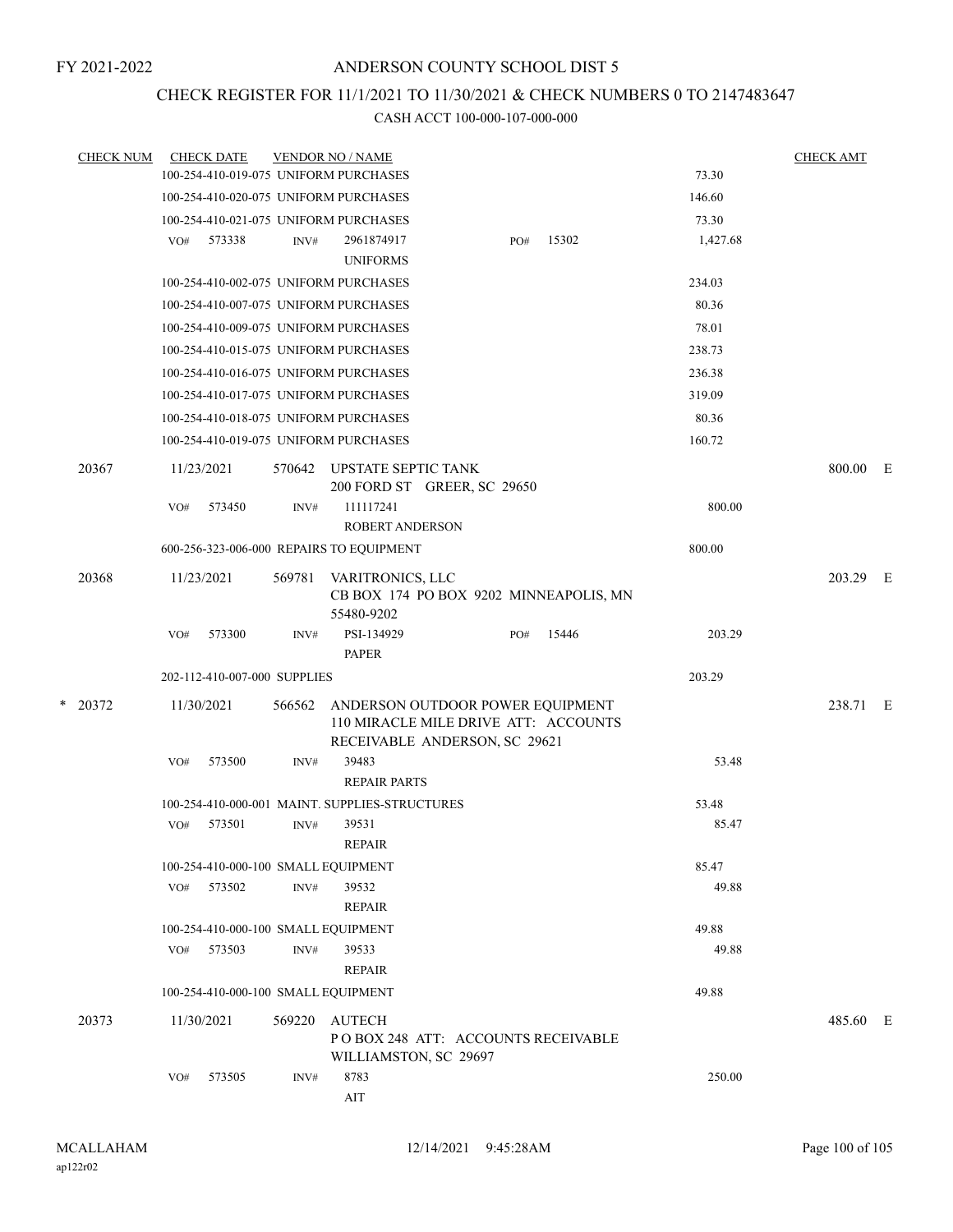# CHECK REGISTER FOR 11/1/2021 TO 11/30/2021 & CHECK NUMBERS 0 TO 2147483647

|   | <b>CHECK NUM</b> |            | <b>CHECK DATE</b>                   |        | <b>VENDOR NO / NAME</b>                                                                                   |     |       |          | <b>CHECK AMT</b> |  |
|---|------------------|------------|-------------------------------------|--------|-----------------------------------------------------------------------------------------------------------|-----|-------|----------|------------------|--|
|   |                  |            |                                     |        | 100-254-410-019-075 UNIFORM PURCHASES                                                                     |     |       | 73.30    |                  |  |
|   |                  |            |                                     |        | 100-254-410-020-075 UNIFORM PURCHASES                                                                     |     |       | 146.60   |                  |  |
|   |                  |            |                                     |        | 100-254-410-021-075 UNIFORM PURCHASES                                                                     |     |       | 73.30    |                  |  |
|   |                  | VO#        | 573338                              | INV#   | 2961874917<br><b>UNIFORMS</b>                                                                             | PO# | 15302 | 1,427.68 |                  |  |
|   |                  |            |                                     |        | 100-254-410-002-075 UNIFORM PURCHASES                                                                     |     |       | 234.03   |                  |  |
|   |                  |            |                                     |        | 100-254-410-007-075 UNIFORM PURCHASES                                                                     |     |       | 80.36    |                  |  |
|   |                  |            |                                     |        | 100-254-410-009-075 UNIFORM PURCHASES                                                                     |     |       | 78.01    |                  |  |
|   |                  |            |                                     |        | 100-254-410-015-075 UNIFORM PURCHASES                                                                     |     |       | 238.73   |                  |  |
|   |                  |            |                                     |        | 100-254-410-016-075 UNIFORM PURCHASES                                                                     |     |       | 236.38   |                  |  |
|   |                  |            |                                     |        | 100-254-410-017-075 UNIFORM PURCHASES                                                                     |     |       | 319.09   |                  |  |
|   |                  |            |                                     |        | 100-254-410-018-075 UNIFORM PURCHASES                                                                     |     |       | 80.36    |                  |  |
|   |                  |            |                                     |        | 100-254-410-019-075 UNIFORM PURCHASES                                                                     |     |       | 160.72   |                  |  |
|   | 20367            |            | 11/23/2021                          | 570642 | UPSTATE SEPTIC TANK<br>200 FORD ST GREER, SC 29650                                                        |     |       |          | 800.00 E         |  |
|   |                  | VO#        | 573450                              | INV#   | 111117241<br><b>ROBERT ANDERSON</b>                                                                       |     |       | 800.00   |                  |  |
|   |                  |            |                                     |        | 600-256-323-006-000 REPAIRS TO EQUIPMENT                                                                  |     |       | 800.00   |                  |  |
|   | 20368            |            | 11/23/2021                          | 569781 | VARITRONICS, LLC<br>CB BOX 174 PO BOX 9202 MINNEAPOLIS, MN<br>55480-9202                                  |     |       |          | 203.29 E         |  |
|   |                  | VO#        | 573300                              | INV#   | PSI-134929<br><b>PAPER</b>                                                                                | PO# | 15446 | 203.29   |                  |  |
|   |                  |            | 202-112-410-007-000 SUPPLIES        |        |                                                                                                           |     |       | 203.29   |                  |  |
| * | 20372            |            | 11/30/2021                          | 566562 | ANDERSON OUTDOOR POWER EQUIPMENT<br>110 MIRACLE MILE DRIVE ATT: ACCOUNTS<br>RECEIVABLE ANDERSON, SC 29621 |     |       |          | 238.71 E         |  |
|   |                  | VO#        | 573500                              | INV#   | 39483<br><b>REPAIR PARTS</b>                                                                              |     |       | 53.48    |                  |  |
|   |                  |            |                                     |        | 100-254-410-000-001 MAINT. SUPPLIES-STRUCTURES                                                            |     |       | 53.48    |                  |  |
|   |                  | VO#        | 573501                              | INV#   | 39531<br><b>REPAIR</b>                                                                                    |     |       | 85.47    |                  |  |
|   |                  |            | 100-254-410-000-100 SMALL EQUIPMENT |        |                                                                                                           |     |       | 85.47    |                  |  |
|   |                  | VO#        | 573502                              | INV#   | 39532<br>REPAIR                                                                                           |     |       | 49.88    |                  |  |
|   |                  |            | 100-254-410-000-100 SMALL EQUIPMENT |        |                                                                                                           |     |       | 49.88    |                  |  |
|   |                  | VO#        | 573503                              | INV#   | 39533<br><b>REPAIR</b>                                                                                    |     |       | 49.88    |                  |  |
|   |                  |            | 100-254-410-000-100 SMALL EQUIPMENT |        |                                                                                                           |     |       | 49.88    |                  |  |
|   | 20373            | 11/30/2021 |                                     | 569220 | AUTECH<br>PO BOX 248 ATT: ACCOUNTS RECEIVABLE<br>WILLIAMSTON, SC 29697                                    |     |       |          | 485.60 E         |  |
|   |                  | VO#        | 573505                              | INV#   | 8783<br>AIT                                                                                               |     |       | 250.00   |                  |  |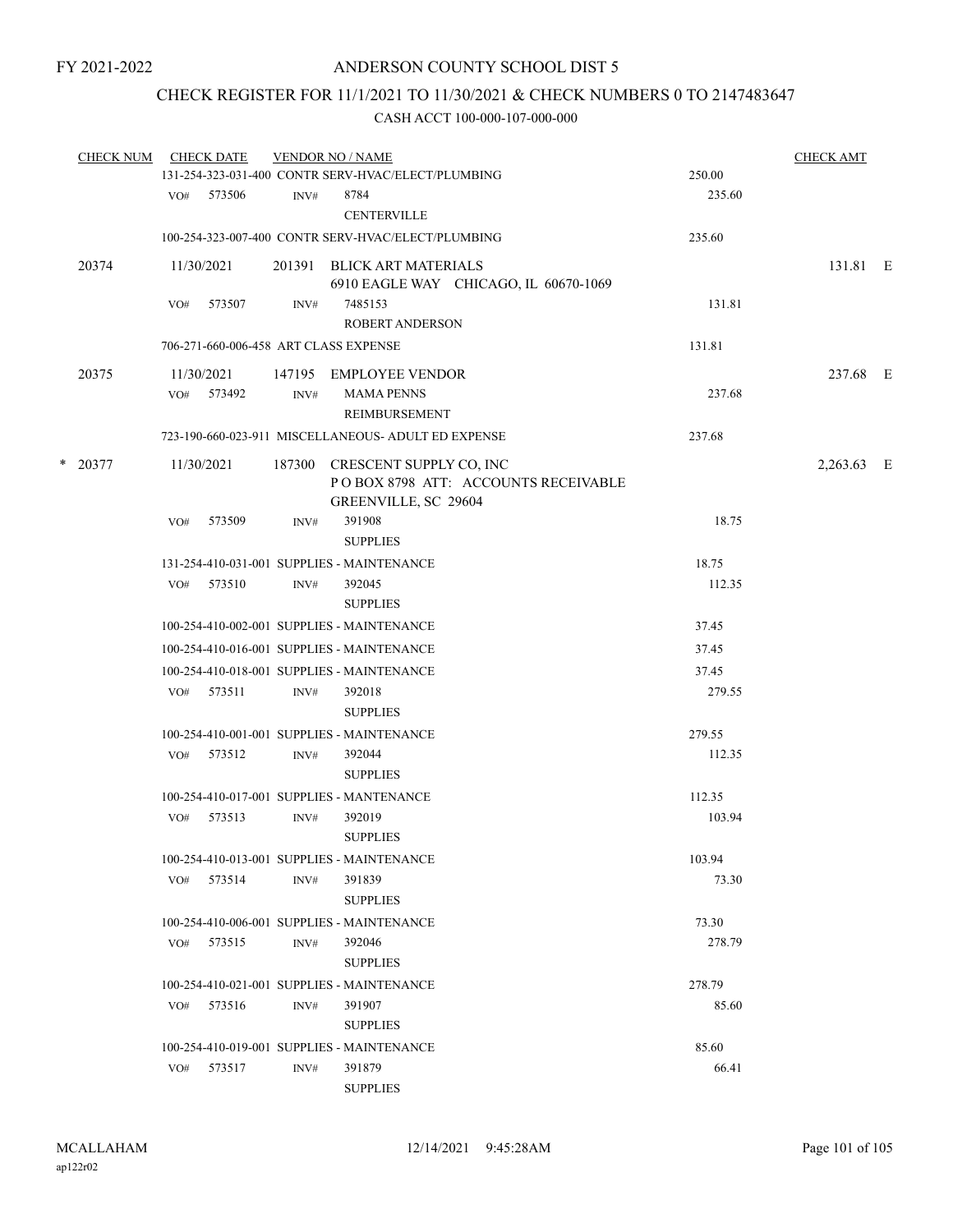## CHECK REGISTER FOR 11/1/2021 TO 11/30/2021 & CHECK NUMBERS 0 TO 2147483647

|  | <b>CHECK NUM</b> |     | <b>CHECK DATE</b> |                | <b>VENDOR NO / NAME</b>                                                                       |        | <b>CHECK AMT</b> |  |
|--|------------------|-----|-------------------|----------------|-----------------------------------------------------------------------------------------------|--------|------------------|--|
|  |                  |     |                   |                | 131-254-323-031-400 CONTR SERV-HVAC/ELECT/PLUMBING                                            | 250.00 |                  |  |
|  |                  |     | VO# 573506        | INV#           | 8784<br><b>CENTERVILLE</b>                                                                    | 235.60 |                  |  |
|  |                  |     |                   |                | 100-254-323-007-400 CONTR SERV-HVAC/ELECT/PLUMBING                                            | 235.60 |                  |  |
|  | 20374            |     | 11/30/2021        |                | 201391 BLICK ART MATERIALS<br>6910 EAGLE WAY CHICAGO, IL 60670-1069                           |        | 131.81 E         |  |
|  |                  | VO# | 573507            | INV#           | 7485153<br><b>ROBERT ANDERSON</b>                                                             | 131.81 |                  |  |
|  |                  |     |                   |                | 706-271-660-006-458 ART CLASS EXPENSE                                                         | 131.81 |                  |  |
|  | 20375            |     | 11/30/2021        | 147195         | EMPLOYEE VENDOR                                                                               |        | 237.68 E         |  |
|  |                  | VO# | 573492            | INV#           | <b>MAMA PENNS</b><br>REIMBURSEMENT                                                            | 237.68 |                  |  |
|  |                  |     |                   |                | 723-190-660-023-911 MISCELLANEOUS- ADULT ED EXPENSE                                           | 237.68 |                  |  |
|  | $*$ 20377        |     | 11/30/2021        |                | 187300 CRESCENT SUPPLY CO, INC<br>POBOX 8798 ATT: ACCOUNTS RECEIVABLE<br>GREENVILLE, SC 29604 |        | 2,263.63 E       |  |
|  |                  | VO# | 573509            | INV#           | 391908                                                                                        | 18.75  |                  |  |
|  |                  |     |                   |                | <b>SUPPLIES</b>                                                                               |        |                  |  |
|  |                  |     |                   |                | 131-254-410-031-001 SUPPLIES - MAINTENANCE                                                    | 18.75  |                  |  |
|  |                  |     | VO# 573510        | INV#           | 392045<br><b>SUPPLIES</b>                                                                     | 112.35 |                  |  |
|  |                  |     |                   |                | 100-254-410-002-001 SUPPLIES - MAINTENANCE                                                    | 37.45  |                  |  |
|  |                  |     |                   |                | 100-254-410-016-001 SUPPLIES - MAINTENANCE                                                    | 37.45  |                  |  |
|  |                  |     |                   |                | 100-254-410-018-001 SUPPLIES - MAINTENANCE                                                    | 37.45  |                  |  |
|  |                  | VO# | 573511            | INV#           | 392018<br><b>SUPPLIES</b>                                                                     | 279.55 |                  |  |
|  |                  |     |                   |                | 100-254-410-001-001 SUPPLIES - MAINTENANCE                                                    | 279.55 |                  |  |
|  |                  |     | VO# 573512        | INV#           | 392044<br><b>SUPPLIES</b>                                                                     | 112.35 |                  |  |
|  |                  |     |                   |                | 100-254-410-017-001 SUPPLIES - MANTENANCE                                                     | 112.35 |                  |  |
|  |                  | VO# | 573513            | $\text{INV}\#$ | 392019<br><b>SUPPLIES</b>                                                                     | 103.94 |                  |  |
|  |                  |     |                   |                | 100-254-410-013-001 SUPPLIES - MAINTENANCE                                                    | 103.94 |                  |  |
|  |                  |     | VO# 573514        | INV#           | 391839<br><b>SUPPLIES</b>                                                                     | 73.30  |                  |  |
|  |                  |     |                   |                | 100-254-410-006-001 SUPPLIES - MAINTENANCE                                                    | 73.30  |                  |  |
|  |                  | VO# | 573515            | INV#           | 392046<br><b>SUPPLIES</b>                                                                     | 278.79 |                  |  |
|  |                  |     |                   |                | 100-254-410-021-001 SUPPLIES - MAINTENANCE                                                    | 278.79 |                  |  |
|  |                  |     | VO# 573516        | INV#           | 391907<br><b>SUPPLIES</b>                                                                     | 85.60  |                  |  |
|  |                  |     |                   |                | 100-254-410-019-001 SUPPLIES - MAINTENANCE                                                    | 85.60  |                  |  |
|  |                  | VO# | 573517            | INV#           | 391879<br><b>SUPPLIES</b>                                                                     | 66.41  |                  |  |
|  |                  |     |                   |                |                                                                                               |        |                  |  |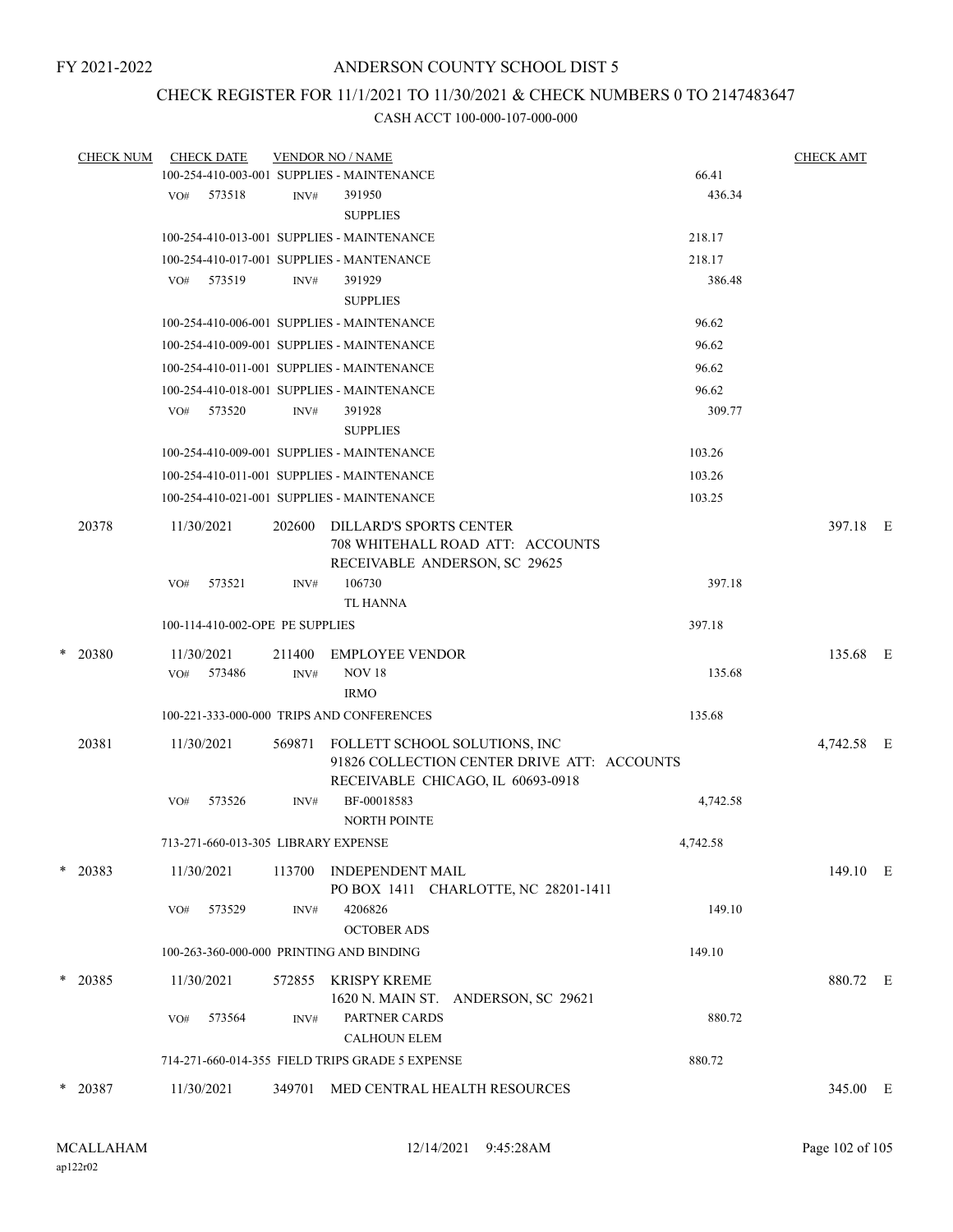# CHECK REGISTER FOR 11/1/2021 TO 11/30/2021 & CHECK NUMBERS 0 TO 2147483647

|        | <b>CHECK NUM</b> |     | <b>CHECK DATE</b>                   |        | <b>VENDOR NO / NAME</b>                                                                                           |          | <b>CHECK AMT</b> |  |
|--------|------------------|-----|-------------------------------------|--------|-------------------------------------------------------------------------------------------------------------------|----------|------------------|--|
|        |                  |     |                                     |        | 100-254-410-003-001 SUPPLIES - MAINTENANCE                                                                        | 66.41    |                  |  |
|        |                  | VO# | 573518                              | INV#   | 391950                                                                                                            | 436.34   |                  |  |
|        |                  |     |                                     |        | <b>SUPPLIES</b>                                                                                                   |          |                  |  |
|        |                  |     |                                     |        | 100-254-410-013-001 SUPPLIES - MAINTENANCE                                                                        | 218.17   |                  |  |
|        |                  |     |                                     |        | 100-254-410-017-001 SUPPLIES - MANTENANCE                                                                         | 218.17   |                  |  |
|        |                  | VO# | 573519                              | INV#   | 391929                                                                                                            | 386.48   |                  |  |
|        |                  |     |                                     |        | <b>SUPPLIES</b>                                                                                                   |          |                  |  |
|        |                  |     |                                     |        | 100-254-410-006-001 SUPPLIES - MAINTENANCE                                                                        | 96.62    |                  |  |
|        |                  |     |                                     |        | 100-254-410-009-001 SUPPLIES - MAINTENANCE                                                                        | 96.62    |                  |  |
|        |                  |     |                                     |        | 100-254-410-011-001 SUPPLIES - MAINTENANCE                                                                        | 96.62    |                  |  |
|        |                  |     |                                     |        | 100-254-410-018-001 SUPPLIES - MAINTENANCE                                                                        | 96.62    |                  |  |
|        |                  | VO# | 573520                              | INV#   | 391928                                                                                                            | 309.77   |                  |  |
|        |                  |     |                                     |        | <b>SUPPLIES</b>                                                                                                   |          |                  |  |
|        |                  |     |                                     |        | 100-254-410-009-001 SUPPLIES - MAINTENANCE                                                                        | 103.26   |                  |  |
|        |                  |     |                                     |        | 100-254-410-011-001 SUPPLIES - MAINTENANCE                                                                        | 103.26   |                  |  |
|        |                  |     |                                     |        | 100-254-410-021-001 SUPPLIES - MAINTENANCE                                                                        | 103.25   |                  |  |
|        | 20378            |     | 11/30/2021                          | 202600 | DILLARD'S SPORTS CENTER<br>708 WHITEHALL ROAD ATT: ACCOUNTS<br>RECEIVABLE ANDERSON, SC 29625                      |          | 397.18 E         |  |
|        |                  | VO# | 573521                              | INV#   | 106730<br><b>TL HANNA</b>                                                                                         | 397.18   |                  |  |
|        |                  |     | 100-114-410-002-OPE PE SUPPLIES     |        |                                                                                                                   | 397.18   |                  |  |
| $\ast$ | 20380            |     | 11/30/2021                          | 211400 | <b>EMPLOYEE VENDOR</b>                                                                                            |          | 135.68 E         |  |
|        |                  | VO# | 573486                              | INV#   | <b>NOV 18</b>                                                                                                     | 135.68   |                  |  |
|        |                  |     |                                     |        | <b>IRMO</b>                                                                                                       |          |                  |  |
|        |                  |     |                                     |        | 100-221-333-000-000 TRIPS AND CONFERENCES                                                                         | 135.68   |                  |  |
|        | 20381            |     | 11/30/2021                          | 569871 | FOLLETT SCHOOL SOLUTIONS, INC<br>91826 COLLECTION CENTER DRIVE ATT: ACCOUNTS<br>RECEIVABLE CHICAGO, IL 60693-0918 |          | 4,742.58 E       |  |
|        |                  | VO# | 573526                              | INV#   | BF-00018583<br><b>NORTH POINTE</b>                                                                                | 4,742.58 |                  |  |
|        |                  |     | 713-271-660-013-305 LIBRARY EXPENSE |        |                                                                                                                   | 4,742.58 |                  |  |
|        | $*$ 20383        |     | 11/30/2021                          | 113700 | INDEPENDENT MAIL<br>PO BOX 1411 CHARLOTTE, NC 28201-1411                                                          |          | 149.10 E         |  |
|        |                  | VO# | 573529                              | INV#   | 4206826<br><b>OCTOBER ADS</b>                                                                                     | 149.10   |                  |  |
|        |                  |     |                                     |        | 100-263-360-000-000 PRINTING AND BINDING                                                                          | 149.10   |                  |  |
|        | * 20385          |     | 11/30/2021                          |        | 572855 KRISPY KREME                                                                                               |          | 880.72 E         |  |
|        |                  |     |                                     |        | 1620 N. MAIN ST. ANDERSON, SC 29621                                                                               |          |                  |  |
|        |                  | VO# | 573564                              | INV#   | PARTNER CARDS<br><b>CALHOUN ELEM</b>                                                                              | 880.72   |                  |  |
|        |                  |     |                                     |        | 714-271-660-014-355 FIELD TRIPS GRADE 5 EXPENSE                                                                   | 880.72   |                  |  |
|        | $*$ 20387        |     | 11/30/2021                          |        | 349701 MED CENTRAL HEALTH RESOURCES                                                                               |          | 345.00 E         |  |
|        |                  |     |                                     |        |                                                                                                                   |          |                  |  |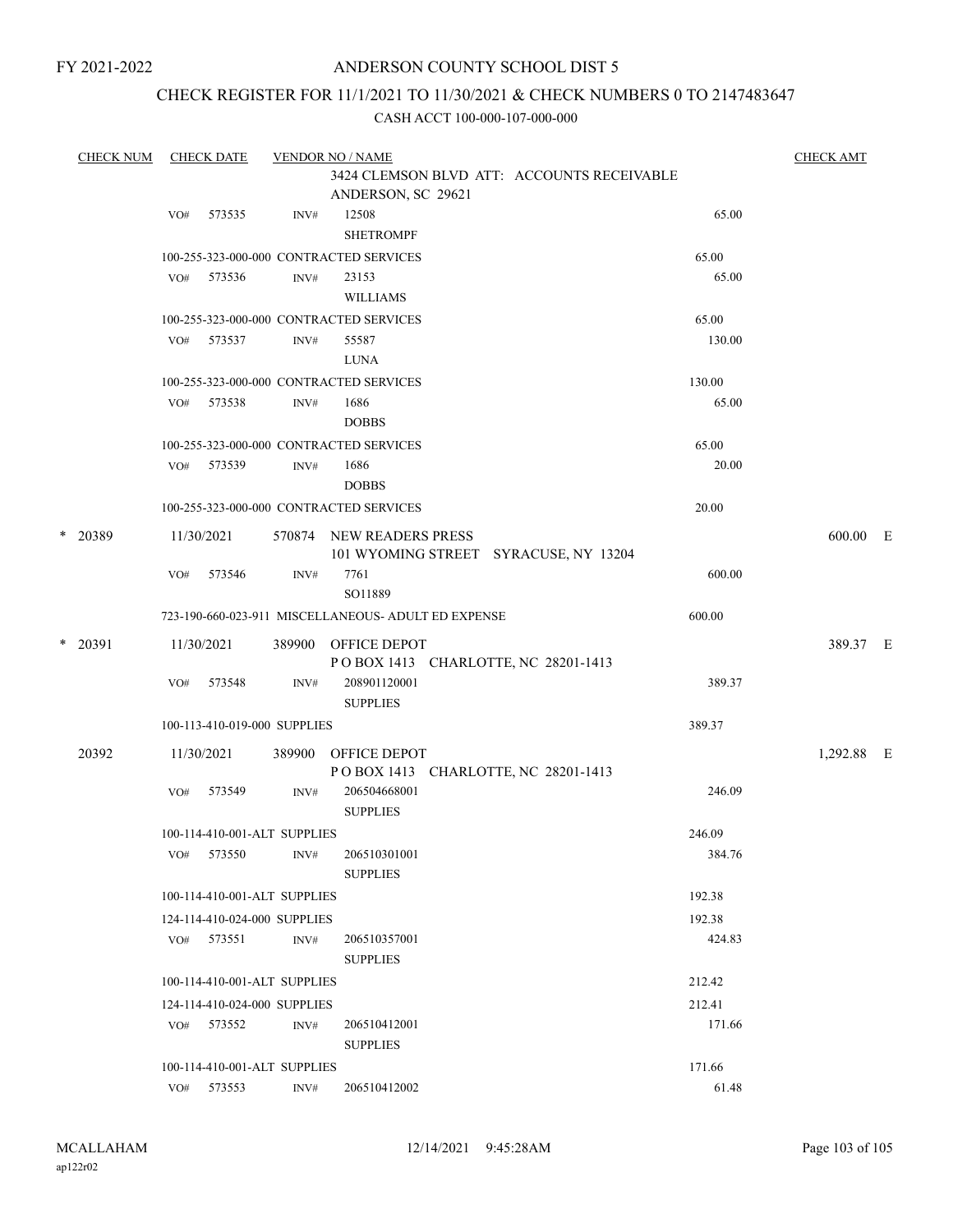## ANDERSON COUNTY SCHOOL DIST 5

## CHECK REGISTER FOR 11/1/2021 TO 11/30/2021 & CHECK NUMBERS 0 TO 2147483647

| <b>CHECK NUM</b> |         | <b>CHECK DATE</b> |                              | <b>VENDOR NO / NAME</b> |                                                                   | <b>CHECK AMT</b> |            |  |
|------------------|---------|-------------------|------------------------------|-------------------------|-------------------------------------------------------------------|------------------|------------|--|
|                  |         |                   |                              |                         | 3424 CLEMSON BLVD ATT: ACCOUNTS RECEIVABLE<br>ANDERSON, SC 29621  |                  |            |  |
|                  |         | VO#               | 573535                       | INV#                    | 12508<br><b>SHETROMPF</b>                                         | 65.00            |            |  |
|                  |         |                   |                              |                         | 100-255-323-000-000 CONTRACTED SERVICES                           | 65.00            |            |  |
|                  |         | VO#               | 573536                       | INV#                    | 23153<br><b>WILLIAMS</b>                                          | 65.00            |            |  |
|                  |         |                   |                              |                         | 100-255-323-000-000 CONTRACTED SERVICES                           | 65.00            |            |  |
|                  |         | VO#               | 573537                       | INV#                    | 55587<br><b>LUNA</b>                                              | 130.00           |            |  |
|                  |         |                   |                              |                         | 100-255-323-000-000 CONTRACTED SERVICES                           | 130.00           |            |  |
|                  |         | VO#               | 573538                       | INV#                    | 1686<br><b>DOBBS</b>                                              | 65.00            |            |  |
|                  |         |                   |                              |                         | 100-255-323-000-000 CONTRACTED SERVICES                           | 65.00            |            |  |
|                  |         | VO#               | 573539                       | INV#                    | 1686<br><b>DOBBS</b>                                              | 20.00            |            |  |
|                  |         |                   |                              |                         | 100-255-323-000-000 CONTRACTED SERVICES                           | 20.00            |            |  |
|                  | * 20389 |                   | 11/30/2021                   |                         | 570874 NEW READERS PRESS<br>101 WYOMING STREET SYRACUSE, NY 13204 |                  | 600.00 E   |  |
|                  |         | VO#               | 573546                       | INV#                    | 7761<br>SO11889                                                   | 600.00           |            |  |
|                  |         |                   |                              |                         | 723-190-660-023-911 MISCELLANEOUS- ADULT ED EXPENSE               | 600.00           |            |  |
|                  | * 20391 |                   | 11/30/2021                   | 389900                  | OFFICE DEPOT<br>POBOX 1413 CHARLOTTE, NC 28201-1413               |                  | 389.37 E   |  |
|                  |         | VO#               | 573548                       | INV#                    | 208901120001<br><b>SUPPLIES</b>                                   | 389.37           |            |  |
|                  |         |                   | 100-113-410-019-000 SUPPLIES |                         |                                                                   | 389.37           |            |  |
|                  | 20392   |                   | 11/30/2021                   | 389900                  | OFFICE DEPOT<br>POBOX 1413 CHARLOTTE, NC 28201-1413               |                  | 1,292.88 E |  |
|                  |         | VO#               | 573549                       | INV#                    | 206504668001<br><b>SUPPLIES</b>                                   | 246.09           |            |  |
|                  |         |                   | 100-114-410-001-ALT SUPPLIES |                         |                                                                   | 246.09           |            |  |
|                  |         | VO#               | 573550                       | INV#                    | 206510301001<br><b>SUPPLIES</b>                                   | 384.76           |            |  |
|                  |         |                   | 100-114-410-001-ALT SUPPLIES |                         |                                                                   | 192.38           |            |  |
|                  |         |                   | 124-114-410-024-000 SUPPLIES |                         |                                                                   | 192.38           |            |  |
|                  |         |                   | VO# 573551                   | INV#                    | 206510357001<br><b>SUPPLIES</b>                                   | 424.83           |            |  |
|                  |         |                   | 100-114-410-001-ALT SUPPLIES |                         |                                                                   | 212.42           |            |  |
|                  |         |                   | 124-114-410-024-000 SUPPLIES |                         |                                                                   | 212.41           |            |  |
|                  |         |                   | VO# 573552                   | INV#                    | 206510412001<br><b>SUPPLIES</b>                                   | 171.66           |            |  |
|                  |         |                   | 100-114-410-001-ALT SUPPLIES |                         |                                                                   | 171.66           |            |  |
|                  |         | VO#               | 573553                       | INV#                    | 206510412002                                                      | 61.48            |            |  |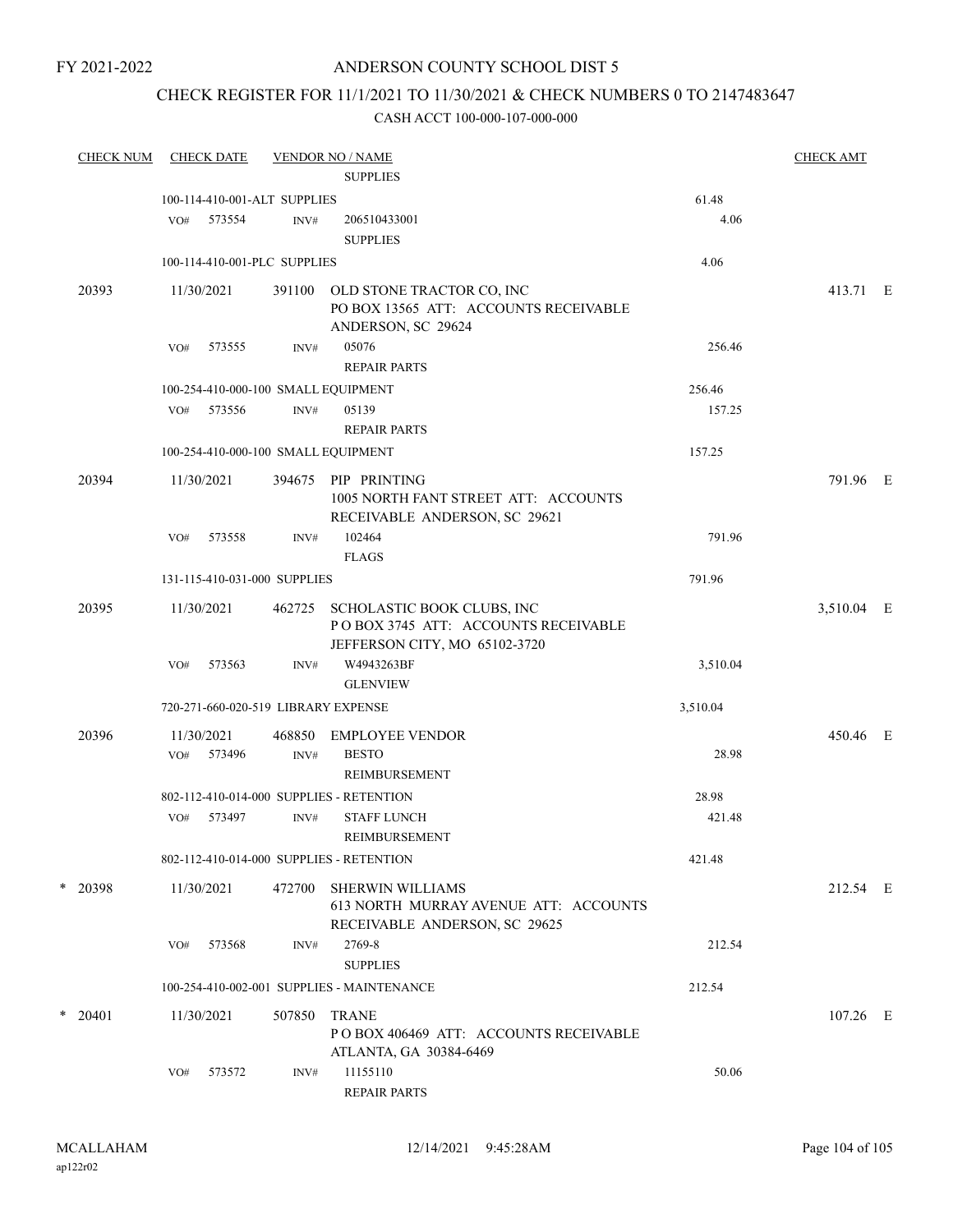## ANDERSON COUNTY SCHOOL DIST 5

## CHECK REGISTER FOR 11/1/2021 TO 11/30/2021 & CHECK NUMBERS 0 TO 2147483647

| <b>CHECK NUM</b> |           |            | <b>CHECK DATE</b>            |        | <b>VENDOR NO / NAME</b><br><b>SUPPLIES</b>                                                                |          | <b>CHECK AMT</b> |  |
|------------------|-----------|------------|------------------------------|--------|-----------------------------------------------------------------------------------------------------------|----------|------------------|--|
|                  |           |            |                              |        |                                                                                                           |          |                  |  |
|                  |           |            | 100-114-410-001-ALT SUPPLIES |        |                                                                                                           | 61.48    |                  |  |
|                  |           | VO#        | 573554                       | INV#   | 206510433001<br><b>SUPPLIES</b>                                                                           | 4.06     |                  |  |
|                  |           |            | 100-114-410-001-PLC SUPPLIES |        |                                                                                                           | 4.06     |                  |  |
|                  |           |            |                              |        |                                                                                                           |          |                  |  |
|                  | 20393     | 11/30/2021 |                              | 391100 | OLD STONE TRACTOR CO, INC<br>PO BOX 13565 ATT: ACCOUNTS RECEIVABLE<br>ANDERSON, SC 29624                  |          | 413.71 E         |  |
|                  |           | VO#        | 573555                       | INV#   | 05076<br><b>REPAIR PARTS</b>                                                                              | 256.46   |                  |  |
|                  |           |            |                              |        | 100-254-410-000-100 SMALL EQUIPMENT                                                                       | 256.46   |                  |  |
|                  |           | VO#        | 573556                       | INV#   | 05139                                                                                                     | 157.25   |                  |  |
|                  |           |            |                              |        | <b>REPAIR PARTS</b>                                                                                       |          |                  |  |
|                  |           |            |                              |        | 100-254-410-000-100 SMALL EQUIPMENT                                                                       | 157.25   |                  |  |
|                  | 20394     | 11/30/2021 |                              | 394675 | PIP PRINTING<br>1005 NORTH FANT STREET ATT: ACCOUNTS<br>RECEIVABLE ANDERSON, SC 29621                     |          | 791.96 E         |  |
|                  |           | VO#        | 573558                       | INV#   | 102464<br><b>FLAGS</b>                                                                                    | 791.96   |                  |  |
|                  |           |            | 131-115-410-031-000 SUPPLIES |        |                                                                                                           | 791.96   |                  |  |
|                  | 20395     | 11/30/2021 |                              |        |                                                                                                           |          | 3,510.04 E       |  |
|                  |           |            |                              |        | 462725 SCHOLASTIC BOOK CLUBS, INC<br>POBOX 3745 ATT: ACCOUNTS RECEIVABLE<br>JEFFERSON CITY, MO 65102-3720 |          |                  |  |
|                  |           | VO#        | 573563                       | INV#   | W4943263BF<br><b>GLENVIEW</b>                                                                             | 3,510.04 |                  |  |
|                  |           |            |                              |        | 720-271-660-020-519 LIBRARY EXPENSE                                                                       | 3,510.04 |                  |  |
|                  | 20396     | 11/30/2021 |                              | 468850 | <b>EMPLOYEE VENDOR</b>                                                                                    |          | 450.46 E         |  |
|                  |           | VO#        | 573496                       | INV#   | <b>BESTO</b><br>REIMBURSEMENT                                                                             | 28.98    |                  |  |
|                  |           |            |                              |        | 802-112-410-014-000 SUPPLIES - RETENTION                                                                  | 28.98    |                  |  |
|                  |           | VO#        | 573497                       | INV#   | <b>STAFF LUNCH</b><br>REIMBURSEMENT                                                                       | 421.48   |                  |  |
|                  |           |            |                              |        | 802-112-410-014-000 SUPPLIES - RETENTION                                                                  | 421.48   |                  |  |
|                  | * 20398   | 11/30/2021 |                              | 472700 | <b>SHERWIN WILLIAMS</b><br>613 NORTH MURRAY AVENUE ATT: ACCOUNTS<br>RECEIVABLE ANDERSON, SC 29625         |          | 212.54 E         |  |
|                  |           | VO#        | 573568                       | INV#   | 2769-8<br><b>SUPPLIES</b>                                                                                 | 212.54   |                  |  |
|                  |           |            |                              |        | 100-254-410-002-001 SUPPLIES - MAINTENANCE                                                                | 212.54   |                  |  |
|                  | $*$ 20401 | 11/30/2021 |                              | 507850 | <b>TRANE</b><br>PO BOX 406469 ATT: ACCOUNTS RECEIVABLE<br>ATLANTA, GA 30384-6469                          |          | 107.26 E         |  |
|                  |           | VO#        | 573572                       | INV#   | 11155110<br><b>REPAIR PARTS</b>                                                                           | 50.06    |                  |  |